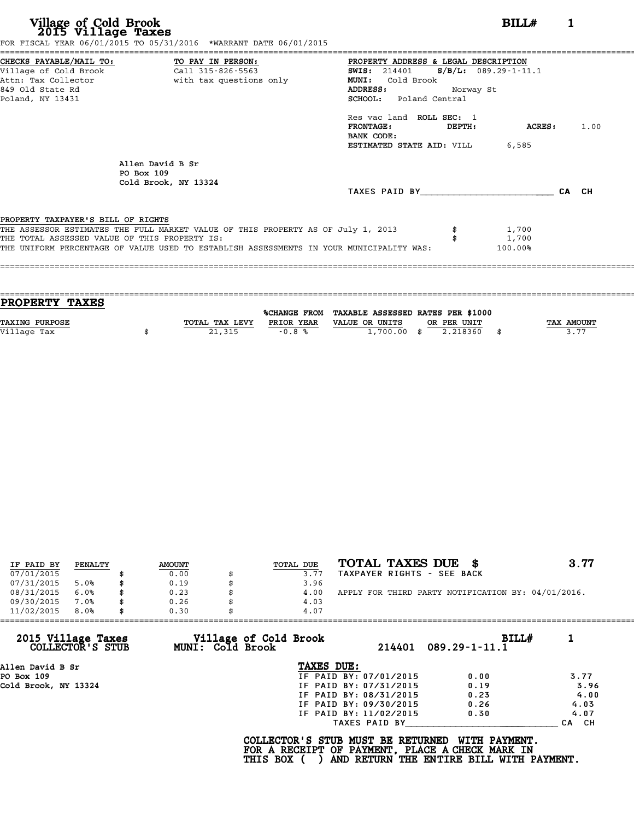**Village of Cold Brook**<br> **2015 Village Taxes**<br>
FOR FISCAL YEAR 06/31/2016 TO 05/31/2015 TO 05/31/2015<br> **EXECUTE:** THE 06/01/2015 TO 05/31/2016 TO 06/01/2015

|                                               | CHECKS PAYABLE/MAIL TO: TO PAY IN PERSON:                                               | PROPERTY ADDRESS & LEGAL DESCRIPTION            |         |       |
|-----------------------------------------------|-----------------------------------------------------------------------------------------|-------------------------------------------------|---------|-------|
| Village of Cold Brook                         | Call 315-826-5563                                                                       | <b>SWIS:</b> 214401 <b>S/B/L:</b> 089.29-1-11.1 |         |       |
| Attn: Tax Collector                           | with tax questions only                                                                 | MUNI: Cold Brook                                |         |       |
| 849 Old State Rd                              |                                                                                         | <b>ADDRESS:</b><br>Norway St                    |         |       |
| Poland, NY 13431                              |                                                                                         | SCHOOL: Poland Central                          |         |       |
|                                               |                                                                                         | Res vac land ROLL SEC: 1                        |         |       |
|                                               |                                                                                         | FRONTAGE: DEPTH:                                | ACRES:  | 1.00  |
|                                               |                                                                                         | BANK CODE:                                      |         |       |
|                                               |                                                                                         | <b>ESTIMATED STATE AID:</b> VILL 6,585          |         |       |
|                                               | Allen David B Sr                                                                        |                                                 |         |       |
| PO Box 109                                    |                                                                                         |                                                 |         |       |
|                                               | Cold Brook, NY 13324                                                                    |                                                 |         |       |
|                                               |                                                                                         | TAXES PAID BY                                   |         | CA CH |
| PROPERTY TAXPAYER'S BILL OF RIGHTS            |                                                                                         |                                                 |         |       |
|                                               | THE ASSESSOR ESTIMATES THE FULL MARKET VALUE OF THIS PROPERTY AS OF July 1, 2013        |                                                 | 1,700   |       |
| THE TOTAL ASSESSED VALUE OF THIS PROPERTY IS: |                                                                                         |                                                 | 1,700   |       |
|                                               | THE UNIFORM PERCENTAGE OF VALUE USED TO ESTABLISH ASSESSMENTS IN YOUR MUNICIPALITY WAS: |                                                 | 100.00% |       |

| <b>PROPERTY TAXES</b> |                |            |                                                |             |                   |
|-----------------------|----------------|------------|------------------------------------------------|-------------|-------------------|
|                       |                |            | %CHANGE FROM TAXABLE ASSESSED RATES PER \$1000 |             |                   |
| <b>TAXING PURPOSE</b> | TOTAL TAX LEVY | PRIOR YEAR | VALUE OR UNITS                                 | OR PER UNIT | <b>TAX AMOUNT</b> |
| Village Tax           | 21,315         | $-0.8%$    | $1,700.00$ \$                                  | 2.218360    | 3.77              |
|                       |                |            |                                                |             |                   |

| IF PAID BY | PENALTY | <b>AMOUNT</b> | TOTAL DUE | TOTAL TAXES DUE \$                                 | 3.77 |
|------------|---------|---------------|-----------|----------------------------------------------------|------|
| 07/01/2015 |         | 0.00          | 3.77      | TAXPAYER RIGHTS - SEE BACK                         |      |
| 07/31/2015 | 5.0%    | \$<br>0.19    | 3.96      |                                                    |      |
| 08/31/2015 | 6.0%    | \$<br>0.23    | 4.00      | APPLY FOR THIRD PARTY NOTIFICATION BY: 04/01/2016. |      |
| 09/30/2015 | 7.0%    | \$<br>0.26    | 4.03      |                                                    |      |
| 11/02/2015 | 8.0%    | \$<br>0.30    | 4.07      |                                                    |      |

|                                        | 0.30<br>4.07                              |                        |                              |       |
|----------------------------------------|-------------------------------------------|------------------------|------------------------------|-------|
| 2015 Village Taxes<br>COLLECTOR'S STUB | Village of Cold Brook<br>MUNI: Cold Brook | 214401                 | BILLH<br>$089.29 - 1 - 11.1$ |       |
| Allen David B Sr                       |                                           | TAXES DUE:             |                              |       |
| PO Box 109                             |                                           | IF PAID BY: 07/01/2015 | 0.00                         | 3.77  |
| Cold Brook, NY 13324                   |                                           | IF PAID BY: 07/31/2015 | 0.19                         | 3.96  |
|                                        |                                           | IF PAID BY: 08/31/2015 | 0.23                         | 4.00  |
|                                        |                                           | IF PAID BY: 09/30/2015 | 0.26                         | 4.03  |
|                                        |                                           | IF PAID BY: 11/02/2015 | 0.30                         | 4.07  |
|                                        |                                           | TAXES PAID BY          |                              | CA CH |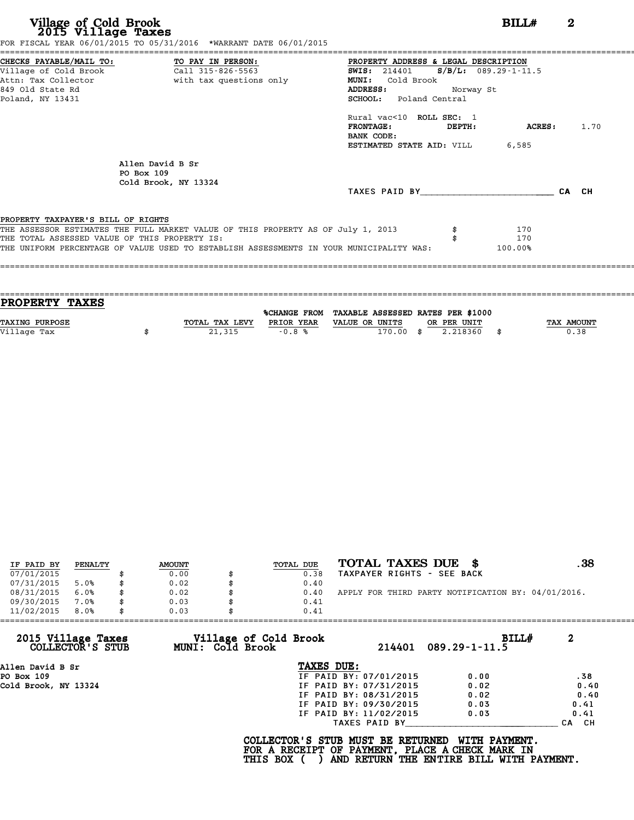| CHECKS PAYABLE/MAIL TO: TO PAY IN PERSON:     |                                                                                         |                                                 | PROPERTY ADDRESS & LEGAL DESCRIPTION |         |       |  |  |  |  |  |
|-----------------------------------------------|-----------------------------------------------------------------------------------------|-------------------------------------------------|--------------------------------------|---------|-------|--|--|--|--|--|
| Village of Cold Brook                         | Call 315-826-5563                                                                       | <b>SWIS:</b> 214401 <b>S/B/L:</b> 089.29-1-11.5 |                                      |         |       |  |  |  |  |  |
| Attn: Tax Collector                           | with tax questions only                                                                 | MUNI: Cold Brook                                |                                      |         |       |  |  |  |  |  |
| 849 Old State Rd                              |                                                                                         | ADDRESS:                                        | Norway St                            |         |       |  |  |  |  |  |
| Poland, NY 13431                              |                                                                                         | SCHOOL: Poland Central                          |                                      |         |       |  |  |  |  |  |
|                                               |                                                                                         | Rural vac<10 ROLL SEC: 1                        |                                      |         |       |  |  |  |  |  |
|                                               |                                                                                         | FRONTAGE:                                       | DEPTH:                               | ACRES:  | 1.70  |  |  |  |  |  |
|                                               |                                                                                         | BANK CODE:                                      |                                      |         |       |  |  |  |  |  |
|                                               |                                                                                         | <b>ESTIMATED STATE AID:</b> VILL 6,585          |                                      |         |       |  |  |  |  |  |
|                                               | Allen David B Sr                                                                        |                                                 |                                      |         |       |  |  |  |  |  |
|                                               | PO Box 109                                                                              |                                                 |                                      |         |       |  |  |  |  |  |
|                                               | Cold Brook, NY 13324                                                                    |                                                 |                                      |         |       |  |  |  |  |  |
|                                               |                                                                                         | TAXES PAID BY                                   |                                      |         | CA CH |  |  |  |  |  |
| PROPERTY TAXPAYER'S BILL OF RIGHTS            |                                                                                         |                                                 |                                      |         |       |  |  |  |  |  |
|                                               | THE ASSESSOR ESTIMATES THE FULL MARKET VALUE OF THIS PROPERTY AS OF July 1, 2013        |                                                 |                                      | 170     |       |  |  |  |  |  |
| THE TOTAL ASSESSED VALUE OF THIS PROPERTY IS: |                                                                                         |                                                 |                                      | 170     |       |  |  |  |  |  |
|                                               | THE UNIFORM PERCENTAGE OF VALUE USED TO ESTABLISH ASSESSMENTS IN YOUR MUNICIPALITY WAS: |                                                 |                                      | 100.00% |       |  |  |  |  |  |

| <b>PROPERTY TAXES</b> |                |            |                                                |      |             |                   |
|-----------------------|----------------|------------|------------------------------------------------|------|-------------|-------------------|
|                       |                |            | %CHANGE FROM TAXABLE ASSESSED RATES PER \$1000 |      |             |                   |
| <b>TAXING PURPOSE</b> | TOTAL TAX LEVY | PRIOR YEAR | VALUE OR UNITS                                 |      | OR PER UNIT | <b>TAX AMOUNT</b> |
| Village Tax           | 21,315         | $-0.8%$    | 170.00                                         | - \$ | 2.218360    | 0.38              |
|                       |                |            |                                                |      |             |                   |
|                       |                |            |                                                |      |             |                   |

| IF PAID BY | PENALTY |    | <b>AMOUNT</b> | TOTAL DUE | TOTAL TAXES DUE<br>- 86                            | . 38 |
|------------|---------|----|---------------|-----------|----------------------------------------------------|------|
| 07/01/2015 |         |    | 0.00          | 0.38      | TAXPAYER RIGHTS - SEE BACK                         |      |
| 07/31/2015 | 5.0%    | S  | 0.02          | 0.40      |                                                    |      |
| 08/31/2015 | 6.0%    | \$ | 0.02          | 0.40      | APPLY FOR THIRD PARTY NOTIFICATION BY: 04/01/2016. |      |
| 09/30/2015 | 7.0%    | \$ | 0.03          | 0.41      |                                                    |      |
| 11/02/2015 | 8.0%    | \$ | 0.03          | 0.41      |                                                    |      |

| 11/02/2015                             | 8.0% | 0.03 |                                           | 0.41                              |                        |                                                                                                                     |            |
|----------------------------------------|------|------|-------------------------------------------|-----------------------------------|------------------------|---------------------------------------------------------------------------------------------------------------------|------------|
| 2015 Village Taxes<br>COLLECTOR'S STUB |      |      | Village of Cold Brook<br>MUNI: Cold Brook |                                   | 214401                 | $089.29 - 1 - 11.5$                                                                                                 | 2<br>BILLH |
| Allen David B Sr                       |      |      |                                           | TAXES DUE:                        |                        |                                                                                                                     |            |
| PO Box 109                             |      |      |                                           |                                   | IF PAID BY: 07/01/2015 | 0.00                                                                                                                | .38        |
| Cold Brook, NY 13324                   |      |      |                                           |                                   | IF PAID BY: 07/31/2015 | 0.02                                                                                                                | 0.40       |
|                                        |      |      |                                           |                                   | IF PAID BY: 08/31/2015 | 0.02                                                                                                                | 0.40       |
|                                        |      |      |                                           |                                   | IF PAID BY: 09/30/2015 | 0.03                                                                                                                | 0.41       |
|                                        |      |      |                                           |                                   | IF PAID BY: 11/02/2015 | 0.03                                                                                                                | 0.41       |
|                                        |      |      |                                           |                                   | TAXES PAID BY          |                                                                                                                     | CH.<br>CA  |
|                                        |      |      | <b>THIS BOX</b>                           | COLLECTOR'S STUB MUST BE RETURNED |                        | <b>WITH PAYMENT.</b><br>FOR A RECEIPT OF PAYMENT, PLACE A CHECK MARK IN<br>AND RETURN THE ENTIRE BILL WITH PAYMENT. |            |
|                                        |      |      |                                           |                                   |                        |                                                                                                                     |            |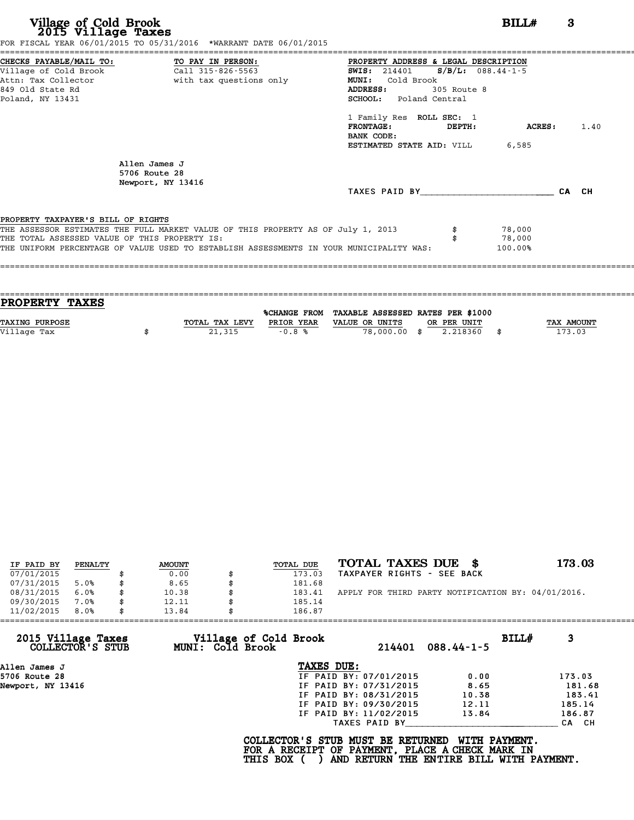| Village of Cold Brook<br>2015 Village Taxes<br>FOR FISCAL YEAR 06/01/2015 TO 05/31/2016 *WARRANT DATE 06/01/2015                                                                                                                                                   | 3<br>BILLH                                                                                                                                                                                                                                                                                    |
|--------------------------------------------------------------------------------------------------------------------------------------------------------------------------------------------------------------------------------------------------------------------|-----------------------------------------------------------------------------------------------------------------------------------------------------------------------------------------------------------------------------------------------------------------------------------------------|
| CHECKS PAYABLE/MAIL TO: TO PAY IN PERSON:<br>Village of Cold Brook Call 315-826-5563<br>$\overline{c}$ all 315-826-5563<br>Attn: Tax Collector The With tax questions only<br>849 Old State Rd<br>Poland, NY 13431                                                 | PROPERTY ADDRESS & LEGAL DESCRIPTION<br>SWIS: 214401 S/B/L: 088.44-1-5<br>MUNI:<br>Cold Brook<br>305 Route 8<br>ADDRESS:<br><b>SCHOOL:</b> Poland Central<br>1 Family Res ROLL SEC: 1<br><b>FRONTAGE:</b><br>ACRES:<br>1.40<br>DEPTH:<br>BANK CODE:<br><b>ESTIMATED STATE AID:</b> VILL 6,585 |
| Allen James J<br>5706 Route 28<br>Newport, NY 13416                                                                                                                                                                                                                | TAXES PAID BY CA CH                                                                                                                                                                                                                                                                           |
| PROPERTY TAXPAYER'S BILL OF RIGHTS<br>THE ASSESSOR ESTIMATES THE FULL MARKET VALUE OF THIS PROPERTY AS OF July 1, 2013<br>THE TOTAL ASSESSED VALUE OF THIS PROPERTY IS:<br>THE UNIFORM PERCENTAGE OF VALUE USED TO ESTABLISH ASSESSMENTS IN YOUR MUNICIPALITY WAS: | 78,000<br>78,000<br>100.00%                                                                                                                                                                                                                                                                   |

| <b>PROPERTY TAXES</b> |                |            |                                                |             |                   |
|-----------------------|----------------|------------|------------------------------------------------|-------------|-------------------|
|                       |                |            | %CHANGE FROM TAXABLE ASSESSED RATES PER \$1000 |             |                   |
|                       |                |            |                                                |             |                   |
| TAXING PURPOSE        | TOTAL TAX LEVY | PRIOR YEAR | VALUE OR UNITS                                 | OR PER UNIT | <b>TAX AMOUNT</b> |
| Village Tax           | 21,315         | $-0.8%$    | 78,000.00 \$                                   | 2.218360    | 173.03            |
|                       |                |            |                                                |             |                   |

| IF PAID BY | PENALTY | <b>AMOUNT</b> | TOTAL DUE | TOTAL TAXES DUE \$                                 | 173.03 |
|------------|---------|---------------|-----------|----------------------------------------------------|--------|
| 07/01/2015 |         | 0.00          | 173.03    | TAXPAYER RIGHTS - SEE BACK                         |        |
| 07/31/2015 | 5.0%    | 8.65          | 181.68    |                                                    |        |
| 08/31/2015 | 6.0%    | 10.38         | 183.41    | APPLY FOR THIRD PARTY NOTIFICATION BY: 04/01/2016. |        |
| 09/30/2015 | 7.0%    | 12.11         | 185.14    |                                                    |        |
| 11/02/2015 | 8.0%    | 13.84         | 186.87    |                                                    |        |

| 11/02/2015                             | 8.0% | 13.84 |                  | 186.87                                                                                             |                        |                                                           |       |        |
|----------------------------------------|------|-------|------------------|----------------------------------------------------------------------------------------------------|------------------------|-----------------------------------------------------------|-------|--------|
| 2015 Village Taxes<br>COLLECTOR'S STUB |      |       | MUNI: Cold Brook | Village of Cold Brook                                                                              | 214401                 | $088.44 - 1 - 5$                                          | BILL# | 3      |
| Allen James J                          |      |       |                  | TAXES DUE:                                                                                         |                        |                                                           |       |        |
| 5706 Route 28                          |      |       |                  |                                                                                                    | IF PAID BY: 07/01/2015 | 0.00                                                      |       | 173.03 |
| Newport, NY 13416                      |      |       |                  |                                                                                                    | IF PAID BY: 07/31/2015 | 8.65                                                      |       | 181.68 |
|                                        |      |       |                  |                                                                                                    | IF PAID BY: 08/31/2015 | 10.38                                                     |       | 183.41 |
|                                        |      |       |                  |                                                                                                    | IF PAID BY: 09/30/2015 | 12.11                                                     |       | 185.14 |
|                                        |      |       |                  |                                                                                                    | IF PAID BY: 11/02/2015 | 13.84                                                     |       | 186.87 |
|                                        |      |       |                  |                                                                                                    | TAXES PAID BY          |                                                           |       | CA CH  |
|                                        |      |       |                  | COLLECTOR'S STUB MUST BE RETURNED<br>FOR A RECEIPT OF PAYMENT, PLACE A CHECK MARK IN<br>THIS BOX ( |                        | WITH PAYMENT.<br>AND RETURN THE ENTIRE BILL WITH PAYMENT. |       |        |
|                                        |      |       |                  |                                                                                                    |                        |                                                           |       |        |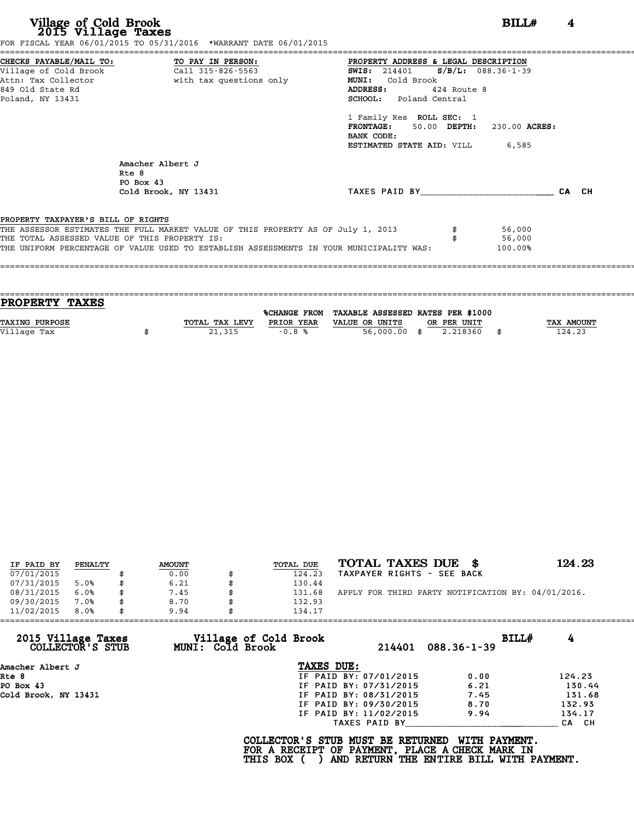| Village of Cold Brook<br>2015 Village Taxes                                          | FOR FISCAL YEAR 06/01/2015 TO 05/31/2016 *WARRANT DATE 06/01/2015                                                                                                                                                            |                                                                                                                                                                                                                                                                                               | BILLH<br>4 |
|--------------------------------------------------------------------------------------|------------------------------------------------------------------------------------------------------------------------------------------------------------------------------------------------------------------------------|-----------------------------------------------------------------------------------------------------------------------------------------------------------------------------------------------------------------------------------------------------------------------------------------------|------------|
| Village of Cold Brook<br>Attn: Tax Collector<br>849 Old State Rd<br>Poland, NY 13431 | CHECKS PAYABLE/MAIL TO: TO PAY IN PERSON:<br>Call 315-826-5563<br>with tax questions only                                                                                                                                    | PROPERTY ADDRESS & LEGAL DESCRIPTION<br>SWIS: 214401 S/B/L: 088.36-1-39<br>Cold Brook<br><b>MUNI:</b><br>ADDRESS:<br>424 Route 8<br><b>SCHOOL:</b> Poland Central<br>1 Family Res ROLL SEC: 1<br>FRONTAGE: 50.00 DEPTH: 230.00 ACRES:<br>BANK CODE:<br><b>ESTIMATED STATE AID: VILL 6,585</b> |            |
|                                                                                      | Amacher Albert J<br>Rte 8<br>PO Box 43<br>Cold Brook, NY 13431                                                                                                                                                               | TAXES PAID BY                                                                                                                                                                                                                                                                                 | CA CH      |
| PROPERTY TAXPAYER'S BILL OF RIGHTS                                                   | THE ASSESSOR ESTIMATES THE FULL MARKET VALUE OF THIS PROPERTY AS OF July 1, 2013<br>THE TOTAL ASSESSED VALUE OF THIS PROPERTY IS:<br>THE UNIFORM PERCENTAGE OF VALUE USED TO ESTABLISH ASSESSMENTS IN YOUR MUNICIPALITY WAS: | 56,000<br>56,000<br>100.00%                                                                                                                                                                                                                                                                   |            |

| <b>TAX AMOUNT</b> |
|-------------------|
| 124.23            |
|                   |
|                   |

| IF PAID BY | PENALTY | <b>AMOUNT</b> | <b>TOTAL DUE</b> | TOTAL TAXES DUE \$                                 | 124.23 |
|------------|---------|---------------|------------------|----------------------------------------------------|--------|
| 07/01/2015 |         | 0.00          | 124.23           | TAXPAYER RIGHTS - SEE BACK                         |        |
| 07/31/2015 | 5.0%    | 6.21          | 130.44           |                                                    |        |
| 08/31/2015 | 6.0%    | \$<br>7.45    | 131.68           | APPLY FOR THIRD PARTY NOTIFICATION BY: 04/01/2016. |        |
| 09/30/2015 | 7.0%    | \$<br>8.70    | 132.93           |                                                    |        |
| 11/02/2015 | 8.0%    | \$<br>9.94    | 134.17           |                                                    |        |

| 11/02/2015<br>8.0%                     | 9.94             | 134.17                                                                                             |                        |                                                           |            |
|----------------------------------------|------------------|----------------------------------------------------------------------------------------------------|------------------------|-----------------------------------------------------------|------------|
| 2015 Village Taxes<br>COLLECTOR'S STUB | MUNI: Cold Brook | Village of Cold Brook                                                                              | 214401                 | $088.36 - 1 - 39$                                         | 4<br>BILL# |
| Amacher Albert J                       |                  | TAXES DUE:                                                                                         |                        |                                                           |            |
| Rte 8                                  |                  |                                                                                                    | IF PAID BY: 07/01/2015 | 0.00                                                      | 124.23     |
| PO Box 43                              |                  |                                                                                                    | IF PAID BY: 07/31/2015 | 6.21                                                      | 130.44     |
| Cold Brook, NY 13431                   |                  |                                                                                                    | IF PAID BY: 08/31/2015 | 7.45                                                      | 131.68     |
|                                        |                  |                                                                                                    | IF PAID BY: 09/30/2015 | 8.70                                                      | 132.93     |
|                                        |                  |                                                                                                    | IF PAID BY: 11/02/2015 | 9.94                                                      | 134.17     |
|                                        |                  |                                                                                                    | TAXES PAID BY          |                                                           | CA CH      |
|                                        |                  | COLLECTOR'S STUB MUST BE RETURNED<br>FOR A RECEIPT OF PAYMENT, PLACE A CHECK MARK IN<br>THIS BOX ( |                        | WITH PAYMENT.<br>AND RETURN THE ENTIRE BILL WITH PAYMENT. |            |
|                                        |                  |                                                                                                    |                        |                                                           |            |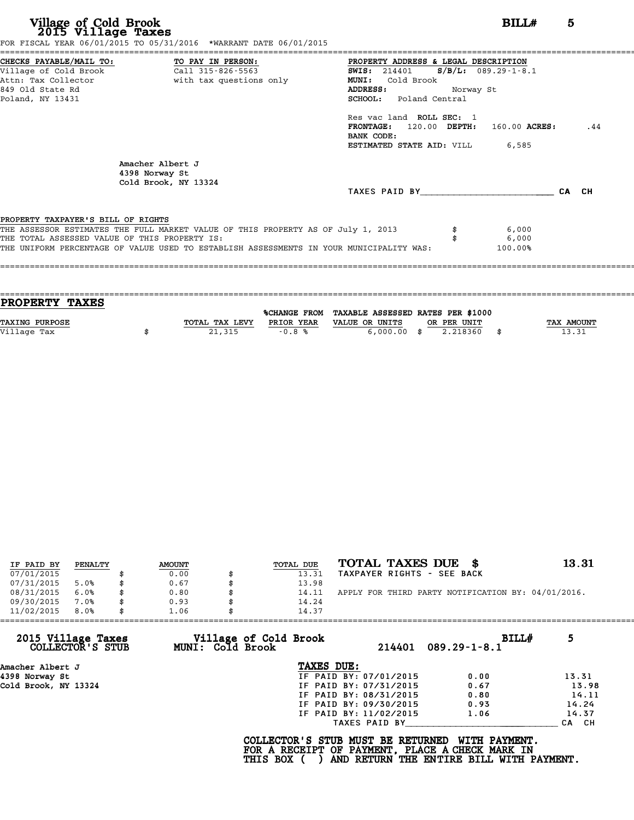|                                               | FOR FISCAL YEAR 06/01/2015 TO 05/31/2016 *WARRANT DATE 06/01/2015                       |                                                  |         |     |
|-----------------------------------------------|-----------------------------------------------------------------------------------------|--------------------------------------------------|---------|-----|
|                                               | CHECKS PAYABLE/MAIL TO: TO PAY IN PERSON:                                               | PROPERTY ADDRESS & LEGAL DESCRIPTION             |         |     |
|                                               |                                                                                         | <b>SWIS:</b> 214401 <b>S/B/L:</b> 089.29-1-8.1   |         |     |
|                                               | Attn: Tax Collector                       with tax questions only                       | <b>MUNI:</b><br>Cold Brook                       |         |     |
| 849 Old State Rd                              |                                                                                         | ADDRESS: Norway St                               |         |     |
| Poland, NY 13431                              |                                                                                         | <b>SCHOOL:</b> Poland Central                    |         |     |
|                                               |                                                                                         | Res vac land ROLL SEC: 1                         |         |     |
|                                               |                                                                                         | $\texttt{FRONTAGE:}$ 120.00 DEPTH: 160.00 ACRES: |         | .44 |
|                                               |                                                                                         | BANK CODE:                                       |         |     |
|                                               |                                                                                         | <b>ESTIMATED STATE AID:</b> VILL 6,585           |         |     |
|                                               | Amacher Albert J<br>4398 Norway St<br>Cold Brook, NY 13324                              |                                                  |         |     |
|                                               |                                                                                         | TAXES PAID BY CA CH                              |         |     |
|                                               |                                                                                         |                                                  |         |     |
| PROPERTY TAXPAYER'S BILL OF RIGHTS            |                                                                                         |                                                  |         |     |
|                                               | THE ASSESSOR ESTIMATES THE FULL MARKET VALUE OF THIS PROPERTY AS OF July 1, 2013        |                                                  | 6,000   |     |
| THE TOTAL ASSESSED VALUE OF THIS PROPERTY IS: |                                                                                         |                                                  | 6,000   |     |
|                                               | THE UNIFORM PERCENTAGE OF VALUE USED TO ESTABLISH ASSESSMENTS IN YOUR MUNICIPALITY WAS: |                                                  | 100.00% |     |
|                                               |                                                                                         |                                                  |         |     |
|                                               |                                                                                         |                                                  |         |     |

| PROPERTY TAXES        |                |                     |                                   |                |            |
|-----------------------|----------------|---------------------|-----------------------------------|----------------|------------|
|                       |                | <b>%CHANGE FROM</b> | TAXABLE ASSESSED RATES PER \$1000 |                |            |
|                       |                |                     |                                   |                |            |
| <b>TAXING PURPOSE</b> | TOTAL TAX LEVY | PRIOR YEAR          | VALUE OR UNITS                    | OR PER UNIT    | TAX AMOUNT |
| Village Tax           | 21,315         | $-0.8%$             | $6,000.00$ \$                     | 2.218360<br>\$ | 13.31      |
|                       |                |                     |                                   |                |            |
|                       |                |                     |                                   |                |            |

| IF PAID BY | PENALTY | <b>AMOUNT</b> | TOTAL DUE | TOTAL TAXES DUE \$                                 | 13.31 |
|------------|---------|---------------|-----------|----------------------------------------------------|-------|
| 07/01/2015 |         | 0.00          | 13.31     | TAXPAYER RIGHTS - SEE BACK                         |       |
| 07/31/2015 | 5.0%    | 0.67          | 13.98     |                                                    |       |
| 08/31/2015 | 6.0%    | 0.80          | 14.11     | APPLY FOR THIRD PARTY NOTIFICATION BY: 04/01/2016. |       |
| 09/30/2015 | 7.0%    | 0.93          | 14.24     |                                                    |       |
| 11/02/2015 | 8.0%    | 1.06          | 14.37     |                                                    |       |

| Village of Cold Brook<br>MUNI: Cold Brook | BILLH<br>$089.29 - 1 - 8.1$                                                                                                                                   | 5      |
|-------------------------------------------|---------------------------------------------------------------------------------------------------------------------------------------------------------------|--------|
|                                           |                                                                                                                                                               |        |
|                                           | 0.00                                                                                                                                                          | 13.31  |
|                                           | 0.67                                                                                                                                                          | 13.98  |
|                                           | 0.80                                                                                                                                                          | 14.11  |
|                                           | 0.93                                                                                                                                                          | 14.24  |
|                                           | 1.06                                                                                                                                                          | 14.37  |
|                                           |                                                                                                                                                               | CA CH  |
|                                           | TAXES DUE:<br>IF PAID BY: 07/01/2015<br>IF PAID BY: 07/31/2015<br>IF PAID BY: 08/31/2015<br>IF PAID BY: 09/30/2015<br>IF PAID BY: 11/02/2015<br>TAXES PAID BY | 214401 |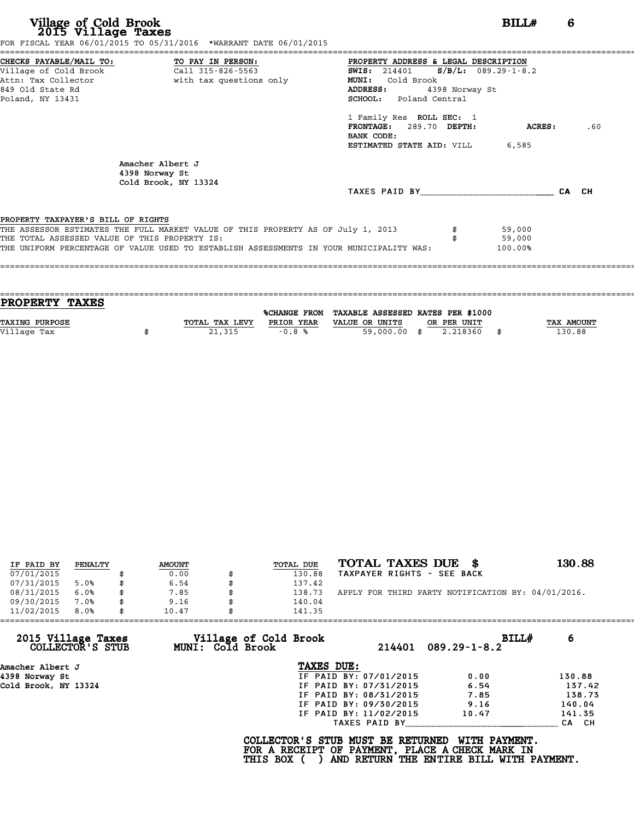|                                               |                                                                                  | PROPERTY ADDRESS & LEGAL DESCRIPTION     |                |         |     |
|-----------------------------------------------|----------------------------------------------------------------------------------|------------------------------------------|----------------|---------|-----|
|                                               |                                                                                  | SWIS: $214401$ S/B/L: $089.29 - 1 - 8.2$ |                |         |     |
|                                               | Attn: Tax Collector                       with tax questions only                | MUNI: Cold Brook                         |                |         |     |
| 849 Old State Rd                              |                                                                                  | ADDRESS:                                 | 4398 Norway St |         |     |
| Poland, NY 13431                              |                                                                                  | SCHOOL: Poland Central                   |                |         |     |
|                                               |                                                                                  | 1 Family Res ROLL SEC: 1                 |                |         |     |
|                                               |                                                                                  | FRONTAGE: 289.70 DEPTH:<br>BANK CODE:    |                | ACRES : | .60 |
|                                               |                                                                                  | <b>ESTIMATED STATE AID:</b> VILL 6,585   |                |         |     |
|                                               |                                                                                  |                                          |                |         |     |
|                                               | Amacher Albert J                                                                 |                                          |                |         |     |
|                                               | 4398 Norway St                                                                   |                                          |                |         |     |
|                                               | Cold Brook, NY 13324                                                             |                                          |                |         |     |
|                                               |                                                                                  | TAXES PAID BY CA CH                      |                |         |     |
|                                               |                                                                                  |                                          |                |         |     |
| PROPERTY TAXPAYER'S BILL OF RIGHTS            | THE ASSESSOR ESTIMATES THE FULL MARKET VALUE OF THIS PROPERTY AS OF July 1, 2013 |                                          |                | 59,000  |     |
| THE TOTAL ASSESSED VALUE OF THIS PROPERTY IS: |                                                                                  |                                          |                | 59,000  |     |

| <b>PROPERTY TAXES</b> |                |            |                                                |              |
|-----------------------|----------------|------------|------------------------------------------------|--------------|
|                       |                |            | %CHANGE FROM TAXABLE ASSESSED RATES PER \$1000 |              |
| <b>TAXING PURPOSE</b> | TOTAL TAX LEVY | PRIOR YEAR | VALUE OR UNITS<br>OR PER UNIT                  | TAX AMOUNT   |
| Village Tax           | 21,315         | $-0.8%$    | 2.218360<br>59,000.00<br>- \$                  | \$<br>130.88 |
|                       |                |            |                                                |              |

| IF PAID BY | PENALTY | <b>AMOUNT</b> | TOTAL DUE | TOTAL TAXES DUE \$                                 | 130.88 |
|------------|---------|---------------|-----------|----------------------------------------------------|--------|
| 07/01/2015 |         | 0.00          | 130.88    | TAXPAYER RIGHTS - SEE BACK                         |        |
| 07/31/2015 | 5.0%    | 6.54          | 137.42    |                                                    |        |
| 08/31/2015 | 6.0%    | 7.85          | 138.73    | APPLY FOR THIRD PARTY NOTIFICATION BY: 04/01/2016. |        |
| 09/30/2015 | 7.0%    | 9.16          | 140.04    |                                                    |        |
| 11/02/2015 | 8.0%    | 10.47         | 141.35    |                                                    |        |

| 6             |
|---------------|
|               |
|               |
| 130.88        |
| 137.42        |
| 138.73        |
| 140.04        |
| 141.35        |
| CA CH         |
| WITH PAYMENT. |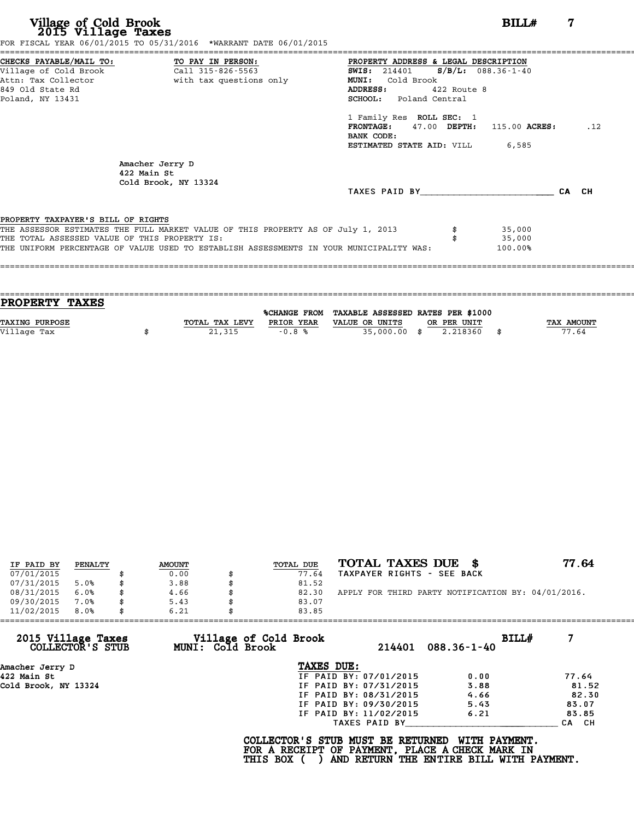| Village of Cold Brook<br>2015 Village Taxes   | FOR FISCAL YEAR 06/01/2015 TO 05/31/2016 *WARRANT DATE 06/01/2015                       |                                                                  | BILL#                 | 7     |     |
|-----------------------------------------------|-----------------------------------------------------------------------------------------|------------------------------------------------------------------|-----------------------|-------|-----|
| CHECKS PAYABLE/MAIL TO: TO PAY IN PERSON:     |                                                                                         | PROPERTY ADDRESS & LEGAL DESCRIPTION                             |                       |       |     |
| Village of Cold Brook                         | Call 315-826-5563                                                                       | <b>SWIS:</b> 214401                                              | $S/B/L$ : 088.36-1-40 |       |     |
| Attn: Tax Collector                           | with tax questions only                                                                 | MUNI: Cold Brook                                                 |                       |       |     |
| 849 Old State Rd                              |                                                                                         | ADDRESS:<br>422 Route 8                                          |                       |       |     |
| Poland, NY 13431                              |                                                                                         | SCHOOL: Poland Central                                           |                       |       |     |
|                                               |                                                                                         | 1 Family Res ROLL SEC: 1<br>FRONTAGE: 47.00 DEPTH: 115.00 ACRES: |                       |       | .12 |
|                                               |                                                                                         | BANK CODE:                                                       |                       |       |     |
|                                               |                                                                                         | <b>ESTIMATED STATE AID:</b> VILL 6,585                           |                       |       |     |
|                                               | Amacher Jerry D<br>422 Main St                                                          |                                                                  |                       |       |     |
|                                               | Cold Brook, NY 13324                                                                    | TAXES PAID BY                                                    |                       | CA CH |     |
| PROPERTY TAXPAYER'S BILL OF RIGHTS            |                                                                                         |                                                                  |                       |       |     |
|                                               | THE ASSESSOR ESTIMATES THE FULL MARKET VALUE OF THIS PROPERTY AS OF July 1, 2013        |                                                                  | 35,000                |       |     |
| THE TOTAL ASSESSED VALUE OF THIS PROPERTY IS: |                                                                                         |                                                                  | 35,000                |       |     |
|                                               | THE UNIFORM PERCENTAGE OF VALUE USED TO ESTABLISH ASSESSMENTS IN YOUR MUNICIPALITY WAS: |                                                                  | 100.00%               |       |     |

| PROPERTY TAXES        |                |            |                                                |             |                   |
|-----------------------|----------------|------------|------------------------------------------------|-------------|-------------------|
|                       |                |            | %CHANGE FROM TAXABLE ASSESSED RATES PER \$1000 |             |                   |
| <b>TAXING PURPOSE</b> | TOTAL TAX LEVY | PRIOR YEAR | VALUE OR UNITS                                 | OR PER UNIT | <b>TAX AMOUNT</b> |
|                       |                |            |                                                |             | 77.64             |
| Village Tax           | 21,315         | $-0.8%$    | 35,000.00 \$                                   | 2.218360    |                   |
|                       |                |            |                                                |             |                   |

| TOTAL TAXES DUE \$<br>77.64<br>TOTAL DUE<br><b>AMOUNT</b><br>PENALTY<br>IF PAID BY<br>07/01/2015<br>TAXPAYER RIGHTS - SEE BACK<br>0.00<br>77.64<br>07/31/2015<br>3.88<br>81.52<br>5.0%<br>08/31/2015<br>APPLY FOR THIRD PARTY NOTIFICATION BY: 04/01/2016.<br>6.0%<br>4.66<br>82.30<br>09/30/2015<br>7.0%<br>5.43<br>83.07<br>11/02/2015<br>8.0%<br>6.21<br>83.85 |  |  |  |  |
|-------------------------------------------------------------------------------------------------------------------------------------------------------------------------------------------------------------------------------------------------------------------------------------------------------------------------------------------------------------------|--|--|--|--|
|                                                                                                                                                                                                                                                                                                                                                                   |  |  |  |  |
|                                                                                                                                                                                                                                                                                                                                                                   |  |  |  |  |
|                                                                                                                                                                                                                                                                                                                                                                   |  |  |  |  |
|                                                                                                                                                                                                                                                                                                                                                                   |  |  |  |  |
|                                                                                                                                                                                                                                                                                                                                                                   |  |  |  |  |
|                                                                                                                                                                                                                                                                                                                                                                   |  |  |  |  |

| 11/02/2015<br>8.0%                     |  | 6.21 | 83.85                                           |            |                        |                                                                                                              |       |       |
|----------------------------------------|--|------|-------------------------------------------------|------------|------------------------|--------------------------------------------------------------------------------------------------------------|-------|-------|
| 2015 Village Taxes<br>COLLECTOR'S STUB |  |      | Village of Cold Brook<br>MUNI: Cold Brook       |            | 214401                 | $088.36 - 1 - 40$                                                                                            | BILL# |       |
| Amacher Jerry D                        |  |      |                                                 | TAXES DUE: |                        |                                                                                                              |       |       |
| 422 Main St                            |  |      |                                                 |            | IF PAID BY: 07/01/2015 | 0.00                                                                                                         |       | 77.64 |
| Cold Brook, NY 13324                   |  |      |                                                 |            | IF PAID BY: 07/31/2015 | 3.88                                                                                                         |       | 81.52 |
|                                        |  |      |                                                 |            | IF PAID BY: 08/31/2015 | 4.66                                                                                                         |       | 82.30 |
|                                        |  |      |                                                 |            | IF PAID BY: 09/30/2015 | 5.43                                                                                                         |       | 83.07 |
|                                        |  |      |                                                 |            | IF PAID BY: 11/02/2015 | 6.21                                                                                                         |       | 83.85 |
|                                        |  |      |                                                 |            | TAXES PAID BY          |                                                                                                              |       | CA CH |
|                                        |  |      | COLLECTOR'S STUB MUST BE RETURNED<br>THIS BOX ( |            |                        | WITH PAYMENT.<br>FOR A RECEIPT OF PAYMENT, PLACE A CHECK MARK IN<br>AND RETURN THE ENTIRE BILL WITH PAYMENT. |       |       |
|                                        |  |      |                                                 |            |                        |                                                                                                              |       |       |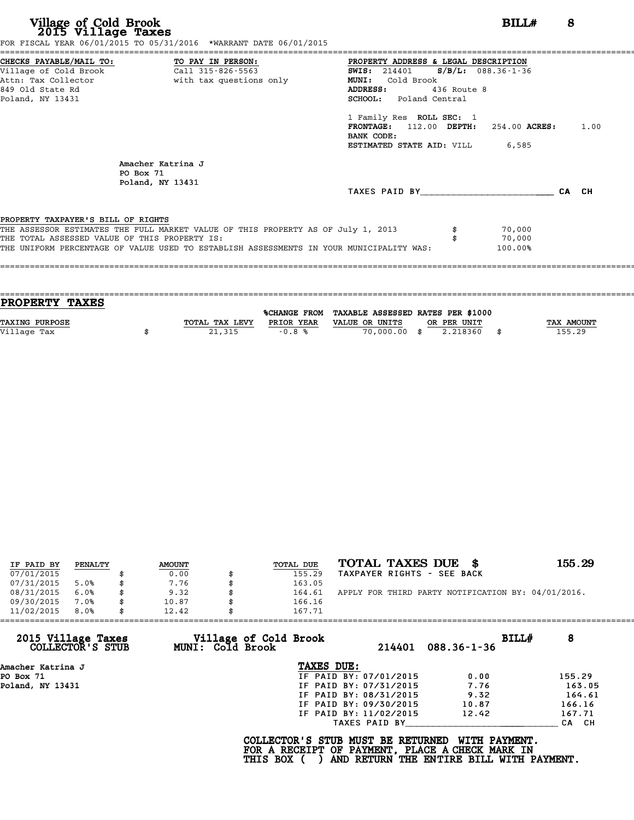| Village of Cold Brook<br>2015 Village Taxes                                         | FOR FISCAL YEAR 06/01/2015 TO 05/31/2016 *WARRANT DATE 06/01/2015                                                                                                           |                                                                                                                                                                                                                                                                                                                   | BILLH                       | 8 |
|-------------------------------------------------------------------------------------|-----------------------------------------------------------------------------------------------------------------------------------------------------------------------------|-------------------------------------------------------------------------------------------------------------------------------------------------------------------------------------------------------------------------------------------------------------------------------------------------------------------|-----------------------------|---|
| Village of Cold Brook<br>849 Old State Rd<br>Poland, NY 13431                       | CHECKS PAYABLE/MAIL TO: TO PAY IN PERSON:<br>Call 315-826-5563<br>Attn: Tax Collector The With tax questions only                                                           | PROPERTY ADDRESS & LEGAL DESCRIPTION<br>SWIS: 214401 S/B/L: 088.36-1-36<br>Cold Brook<br>MUNI:<br>436 Route 8<br><b>ADDRESS:</b><br>SCHOOL: Poland Central<br>1 Family Res ROLL SEC: 1<br><b>FRONTAGE:</b> 112.00 <b>DEPTH:</b> 254.00 <b>ACRES:</b> 1.00<br>BANK CODE:<br><b>ESTIMATED STATE AID:</b> VILL 6,585 |                             |   |
|                                                                                     | Amacher Katrina J<br>PO Box 71<br>Poland, NY 13431                                                                                                                          | TAXES PAID BY CA CH                                                                                                                                                                                                                                                                                               |                             |   |
| PROPERTY TAXPAYER'S BILL OF RIGHTS<br>THE TOTAL ASSESSED VALUE OF THIS PROPERTY IS: | THE ASSESSOR ESTIMATES THE FULL MARKET VALUE OF THIS PROPERTY AS OF July 1, 2013<br>THE UNIFORM PERCENTAGE OF VALUE USED TO ESTABLISH ASSESSMENTS IN YOUR MUNICIPALITY WAS: |                                                                                                                                                                                                                                                                                                                   | 70,000<br>70,000<br>100.00% |   |

| <b>PROPERTY TAXES</b> |                |            |                                                |             |            |
|-----------------------|----------------|------------|------------------------------------------------|-------------|------------|
|                       |                |            | %CHANGE FROM TAXABLE ASSESSED RATES PER \$1000 |             |            |
| <b>TAXING PURPOSE</b> | TOTAL TAX LEVY | PRIOR YEAR | VALUE OR UNITS                                 | OR PER UNIT | TAX AMOUNT |
| Village Tax           | 21,315         | $-0.8%$    | 70,000,00 \$                                   | 2.218360    | 155.29     |
|                       |                |            |                                                |             |            |

| IF PAID BY | PENALTY | <b>AMOUNT</b> | <b>TOTAL DUE</b> | TOTAL TAXES DUE \$                                 | 155.29 |
|------------|---------|---------------|------------------|----------------------------------------------------|--------|
| 07/01/2015 |         | 0.00          | 155.29           | TAXPAYER RIGHTS - SEE BACK                         |        |
| 07/31/2015 | 5.0%    | 7.76          | 163.05           |                                                    |        |
| 08/31/2015 | 6.0%    | \$<br>9.32    | 164.61           | APPLY FOR THIRD PARTY NOTIFICATION BY: 04/01/2016. |        |
| 09/30/2015 | 7.0%    | \$<br>10.87   | 166.16           |                                                    |        |
| 11/02/2015 | 8.0%    | \$<br>12.42   | 167.71           |                                                    |        |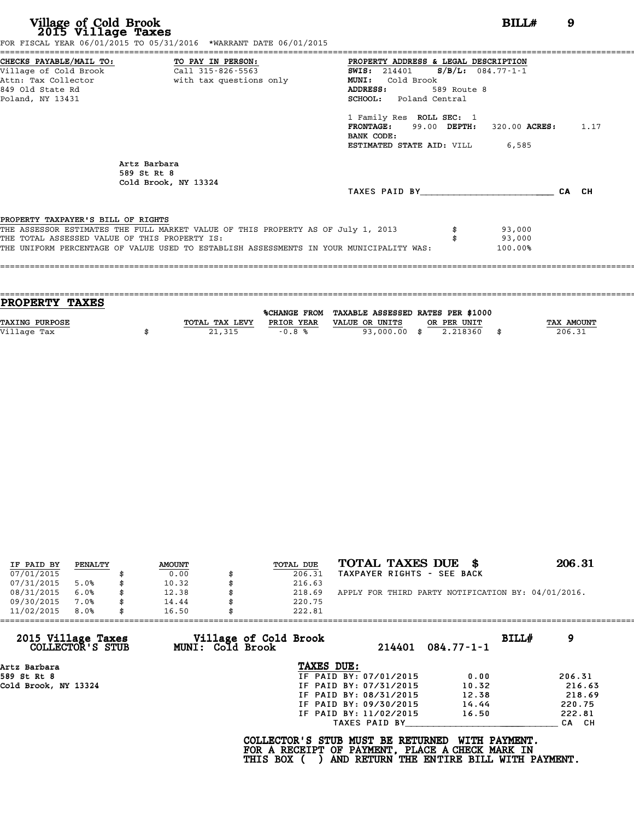| CHECKS PAYABLE/MAIL TO: TO PAY IN PERSON:<br>PROPERTY ADDRESS & LEGAL DESCRIPTION<br>Village of Cold Brook Call 315-826-5563<br><b>SWIS:</b> 214401 <b>S/B/L:</b> 084.77-1-1<br>Attn: Tax Collector and with tax questions only<br><b>MUNI:</b><br>Cold Brook<br>ADDRESS:<br>589 Route 8<br><b>SCHOOL:</b> Poland Central<br>1 Family Res ROLL SEC: 1<br><b>FRONTAGE:</b> 99.00 DEPTH: 320.00 ACRES: 1.17<br>BANK CODE:<br><b>ESTIMATED STATE AID:</b> VILL 6,585<br>Artz Barbara<br>589 St Rt 8<br>Cold Brook, NY 13324<br>TAXES PAID BY<br>93,000<br>93,000 |       |  |
|---------------------------------------------------------------------------------------------------------------------------------------------------------------------------------------------------------------------------------------------------------------------------------------------------------------------------------------------------------------------------------------------------------------------------------------------------------------------------------------------------------------------------------------------------------------|-------|--|
| 849 Old State Rd<br>Poland, NY 13431                                                                                                                                                                                                                                                                                                                                                                                                                                                                                                                          |       |  |
|                                                                                                                                                                                                                                                                                                                                                                                                                                                                                                                                                               |       |  |
| PROPERTY TAXPAYER'S BILL OF RIGHTS<br>THE ASSESSOR ESTIMATES THE FULL MARKET VALUE OF THIS PROPERTY AS OF July 1, 2013<br>THE TOTAL ASSESSED VALUE OF THIS PROPERTY IS:                                                                                                                                                                                                                                                                                                                                                                                       |       |  |
|                                                                                                                                                                                                                                                                                                                                                                                                                                                                                                                                                               |       |  |
|                                                                                                                                                                                                                                                                                                                                                                                                                                                                                                                                                               | CA CH |  |
|                                                                                                                                                                                                                                                                                                                                                                                                                                                                                                                                                               |       |  |
| THE UNIFORM PERCENTAGE OF VALUE USED TO ESTABLISH ASSESSMENTS IN YOUR MUNICIPALITY WAS:<br>100.00%                                                                                                                                                                                                                                                                                                                                                                                                                                                            |       |  |
|                                                                                                                                                                                                                                                                                                                                                                                                                                                                                                                                                               |       |  |

| <b>PROPERTY TAXES</b> |                |            |                                                |             |            |
|-----------------------|----------------|------------|------------------------------------------------|-------------|------------|
|                       |                |            | %CHANGE FROM TAXABLE ASSESSED RATES PER \$1000 |             |            |
|                       |                |            |                                                |             |            |
| <b>TAXING PURPOSE</b> | TOTAL TAX LEVY | PRIOR YEAR | VALUE OR UNITS                                 | OR PER UNIT | TAX AMOUNT |
| Village Tax           | 21,315         | $-0.8%$    | 93,000.00 \$                                   | 2.218360    | 206.31     |
|                       |                |            |                                                |             |            |
|                       |                |            |                                                |             |            |

| IF PAID BY | PENALTY | <b>AMOUNT</b> | <b>TOTAL DUE</b> | TOTAL TAXES DUE \$                                 | 206.31 |
|------------|---------|---------------|------------------|----------------------------------------------------|--------|
|            |         |               |                  |                                                    |        |
| 07/01/2015 |         | 0.00          | 206.31           | TAXPAYER RIGHTS - SEE BACK                         |        |
| 07/31/2015 | 5.0%    | 10.32         | 216.63           |                                                    |        |
| 08/31/2015 | 6.0%    | \$<br>12.38   | 218.69           | APPLY FOR THIRD PARTY NOTIFICATION BY: 04/01/2016. |        |
| 09/30/2015 | 7.0%    | \$<br>14.44   | 220.75           |                                                    |        |
| 11/02/2015 | 8.0%    | \$<br>16.50   | 222.81           |                                                    |        |

| 11/02/2015<br>8.0%                     | 16.50            | 222.81                                                                               |                        |                  |       |        |
|----------------------------------------|------------------|--------------------------------------------------------------------------------------|------------------------|------------------|-------|--------|
| 2015 Village Taxes<br>COLLECTOR'S STUB | MUNI: Cold Brook | Village of Cold Brook                                                                | 214401                 | $084.77 - 1 - 1$ | BILLH | 9      |
| Artz Barbara                           |                  | TAXES DUE:                                                                           |                        |                  |       |        |
| 589 St Rt 8                            |                  |                                                                                      | IF PAID BY: 07/01/2015 | 0.00             |       | 206.31 |
| Cold Brook, NY 13324                   |                  |                                                                                      | IF PAID BY: 07/31/2015 | 10.32            |       | 216.63 |
|                                        |                  |                                                                                      | IF PAID BY: 08/31/2015 | 12.38            |       | 218.69 |
|                                        |                  |                                                                                      | IF PAID BY: 09/30/2015 | 14.44            |       | 220.75 |
|                                        |                  |                                                                                      | IF PAID BY: 11/02/2015 | 16.50            |       | 222.81 |
|                                        |                  |                                                                                      | TAXES PAID BY          |                  |       | CA CH  |
|                                        |                  | COLLECTOR'S STUB MUST BE RETURNED<br>FOR A RECEIPT OF PAYMENT, PLACE A CHECK MARK IN |                        | WITH PAYMENT.    |       |        |

COLLECTOR'S STUB MUST BE RETURNED WITH PAYMENT.<br>FOR A RECEIPT OF PAYMENT, PLACE A CHECK MARK IN<br>THIS BOX ( ) AND RETURN THE ENTIRE BILL WITH PAYMENT.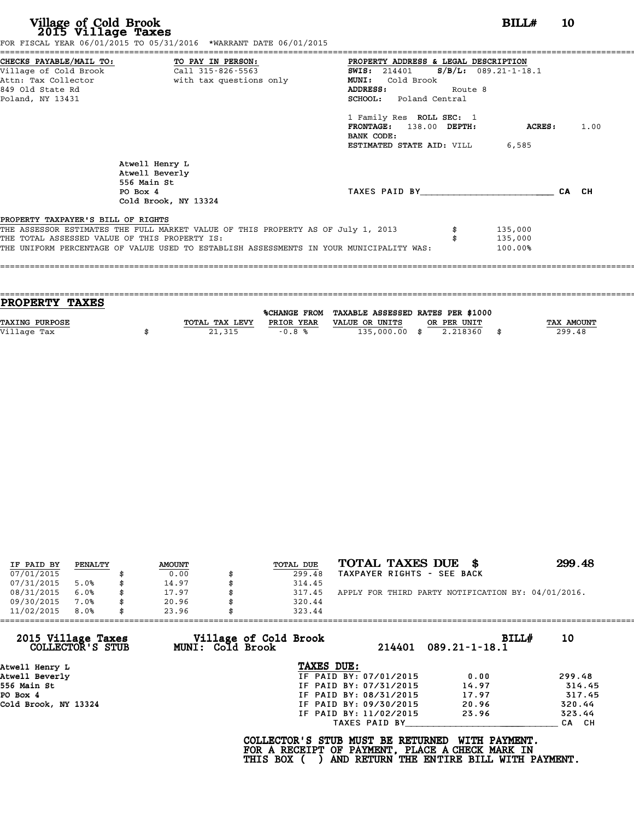|                                                             | FOR FISCAL YEAR 06/01/2015 TO 05/31/2016 *WARRANT DATE 06/01/2015                       |                                                                                                |                         |       |
|-------------------------------------------------------------|-----------------------------------------------------------------------------------------|------------------------------------------------------------------------------------------------|-------------------------|-------|
| Village of Cold Brook                                       | CHECKS PAYABLE/MAIL TO: TO PAY IN PERSON:<br>Call 315-826-5563                          | PROPERTY ADDRESS & LEGAL DESCRIPTION<br><b>SWIS:</b> 214401                                    | $S/B/L$ : 089.21-1-18.1 |       |
| Attn: Tax Collector<br>849 Old State Rd<br>Poland, NY 13431 | with tax questions only                                                                 | Cold Brook<br><b>MUNI:</b><br>Route 8<br><b>ADDRESS:</b><br><b>SCHOOL:</b> Poland Central      |                         |       |
|                                                             |                                                                                         | 1 Family Res ROLL SEC: 1<br>FRONTAGE: 138.00 DEPTH:<br>BANK CODE:<br>ESTIMATED STATE AID: VILL | <b>ACRES :</b><br>6,585 | 1.00  |
|                                                             | Atwell Henry L<br>Atwell Beverly<br>556 Main St<br>PO Box 4<br>Cold Brook, NY 13324     | TAXES PAID BY                                                                                  |                         | CA CH |
| PROPERTY TAXPAYER'S BILL OF RIGHTS                          | THE ASSESSOR ESTIMATES THE FULL MARKET VALUE OF THIS PROPERTY AS OF July 1, 2013        |                                                                                                | 135,000                 |       |
| THE TOTAL ASSESSED VALUE OF THIS PROPERTY IS:               | THE UNIFORM PERCENTAGE OF VALUE USED TO ESTABLISH ASSESSMENTS IN YOUR MUNICIPALITY WAS: |                                                                                                | 135,000<br>100.00%      |       |
|                                                             |                                                                                         |                                                                                                |                         |       |

| PROPERTY TAXES        |                |            |                                                |             |                   |
|-----------------------|----------------|------------|------------------------------------------------|-------------|-------------------|
|                       |                |            | %CHANGE FROM TAXABLE ASSESSED RATES PER \$1000 |             |                   |
| <b>TAXING PURPOSE</b> | TOTAL TAX LEVY | PRIOR YEAR | VALUE OR UNITS                                 | OR PER UNIT | <b>TAX AMOUNT</b> |
| Village Tax           | 21,315         | $-0.8%$    | 135,000.00 \$                                  | 2.218360    | 299.48            |
|                       |                |            |                                                |             |                   |

| IF PAID BY | PENALTY | <b>AMOUNT</b> | TOTAL DUE    | TOTAL TAXES DUE \$                                 | 299.48 |
|------------|---------|---------------|--------------|----------------------------------------------------|--------|
| 07/01/2015 |         | 0.00          | 299.48       | TAXPAYER RIGHTS - SEE BACK                         |        |
| 07/31/2015 | 5.0%    | \$<br>14.97   | 314.45       |                                                    |        |
| 08/31/2015 | 6.0%    | \$<br>17.97   | \$<br>317.45 | APPLY FOR THIRD PARTY NOTIFICATION BY: 04/01/2016. |        |
| 09/30/2015 | 7.0%    | \$<br>20.96   | 320.44       |                                                    |        |
| 11/02/2015 | 8.0%    | \$<br>23.96   | 323.44       |                                                    |        |

| Village of Cold Brook<br>MUNI: Cold Brook | BILL#                  | 10                                                        |
|-------------------------------------------|------------------------|-----------------------------------------------------------|
|                                           | $214401$ 089.21-1-18.1 |                                                           |
| TAXES DUE:                                |                        |                                                           |
| IF PAID BY: 07/01/2015                    | 0.00                   | 299.48                                                    |
| IF PAID BY: 07/31/2015                    | 14.97                  | 314.45                                                    |
| IF PAID BY: 08/31/2015                    | 17.97                  | 317.45                                                    |
| IF PAID BY: 09/30/2015                    | 20.96                  | 320.44                                                    |
| IF PAID BY: 11/02/2015                    | 23.96                  | 323.44                                                    |
| TAXES PAID BY                             |                        | CA CH                                                     |
|                                           |                        | COLLECTOR'S STUB MUST BE RETURNED<br><b>WITH PAYMENT.</b> |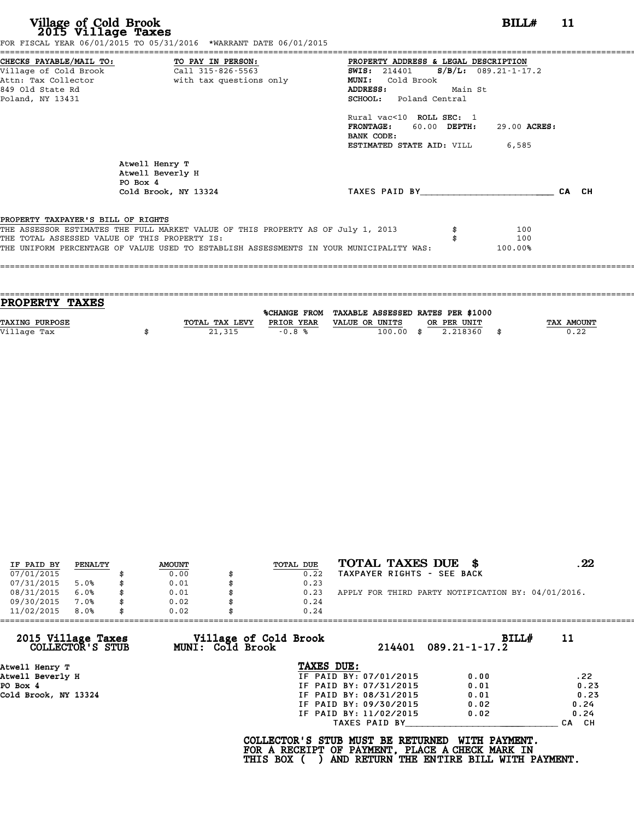**Village of Cold Brook**<br> **2015 Village Taxes**<br>
FOR FISCAL YEAR 06/31/2016 TO 05/31/2015 TO 06/01/2015<br> **EXECUTE:** THE 06/01/2015 TO 05/31/2016 TO 06/01/2015

|                                    | CHECKS PAYABLE/MAIL TO: TO PAY IN PERSON: PROPERTY ADDRESS & LEGAL DESCRIPTION<br>Village of Cold Brook (211 315-826-5563) THE SAMIS: 214401 S/B/L: 089.21-1-17 | <b>SWIS:</b> 214401 <b>S/B/L:</b> 089.21-1-17.2 |
|------------------------------------|-----------------------------------------------------------------------------------------------------------------------------------------------------------------|-------------------------------------------------|
| Attn: Tax Collector                | with tax questions only                                                                                                                                         | MUNI: Cold Brook                                |
| 849 Old State Rd                   |                                                                                                                                                                 | Main St<br><b>ADDRESS:</b>                      |
| Poland, NY 13431                   |                                                                                                                                                                 | SCHOOL: Poland Central                          |
|                                    |                                                                                                                                                                 | Rural vac<10 ROLL SEC: 1                        |
|                                    |                                                                                                                                                                 | FRONTAGE: 60.00 DEPTH:<br>29.00 ACRES:          |
|                                    |                                                                                                                                                                 | BANK CODE:                                      |
|                                    |                                                                                                                                                                 | <b>ESTIMATED STATE AID:</b> VILL 6,585          |
|                                    | Atwell Henry T<br>Atwell Beverly H<br>PO Box 4                                                                                                                  |                                                 |
|                                    | Cold Brook, NY 13324                                                                                                                                            | TAXES PAID BY<br>CA CH                          |
|                                    |                                                                                                                                                                 |                                                 |
| PROPERTY TAXPAYER'S BILL OF RIGHTS |                                                                                                                                                                 |                                                 |
|                                    | THE ASSESSOR ESTIMATES THE FULL MARKET VALUE OF THIS PROPERTY AS OF July 1, 2013                                                                                | 100                                             |
|                                    | THE TOTAL ASSESSED VALUE OF THIS PROPERTY IS:<br>THE UNIFORM PERCENTAGE OF VALUE USED TO ESTABLISH ASSESSMENTS IN YOUR MUNICIPALITY WAS:                        | 100                                             |
|                                    |                                                                                                                                                                 | 100.00%                                         |

| <b>PROPERTY TAXES</b> |                |            |                                                |     |             |                   |
|-----------------------|----------------|------------|------------------------------------------------|-----|-------------|-------------------|
|                       |                |            | %CHANGE FROM TAXABLE ASSESSED RATES PER \$1000 |     |             |                   |
| <b>TAXING PURPOSE</b> | TOTAL TAX LEVY | PRIOR YEAR | VALUE OR UNITS                                 |     | OR PER UNIT | <b>TAX AMOUNT</b> |
| Village Tax           | 21,315         | $-0.8%$    | 100.00                                         |     | 2.218360    | 0.22              |
|                       |                |            |                                                | -83 |             |                   |
|                       |                |            |                                                |     |             |                   |

| IF PAID BY | PENALTY | <b>AMOUNT</b> | TOTAL DUE | TOTAL TAXES DUE<br>- 86                            | 22 |
|------------|---------|---------------|-----------|----------------------------------------------------|----|
| 07/01/2015 |         | 0.00          | 0.22      | TAXPAYER RIGHTS - SEE BACK                         |    |
| 07/31/2015 | 5.0%    | \$<br>0.01    | 0.23      |                                                    |    |
| 08/31/2015 | 6.0%    | \$<br>0.01    | 0.23      | APPLY FOR THIRD PARTY NOTIFICATION BY: 04/01/2016. |    |
| 09/30/2015 | 7.0%    | \$<br>0.02    | 0.24      |                                                    |    |
| 11/02/2015 | 8.0%    | \$<br>0.02    | 0.24      |                                                    |    |

| 11/02/2015<br>8.0%                     | 0.02                                      | 0.24                                                                                 |                                                                  |       |
|----------------------------------------|-------------------------------------------|--------------------------------------------------------------------------------------|------------------------------------------------------------------|-------|
| 2015 Village Taxes<br>COLLECTOR'S STUB | Village of Cold Brook<br>MUNI: Cold Brook |                                                                                      | BILL#<br>$214401$ $089.21 - 1 - 17.2$                            | 11    |
| Atwell Henry T                         |                                           | TAXES DUE:                                                                           |                                                                  |       |
| Atwell Beverly H                       |                                           | IF PAID BY: 07/01/2015                                                               | 0.00                                                             | .22   |
| PO Box 4                               |                                           | IF PAID BY: 07/31/2015                                                               | 0.01                                                             | 0.23  |
| Cold Brook, NY 13324                   |                                           | IF PAID BY: 08/31/2015                                                               | 0.01                                                             | 0.23  |
|                                        |                                           | IF PAID BY: 09/30/2015                                                               | 0.02                                                             | 0.24  |
|                                        |                                           | IF PAID BY: 11/02/2015                                                               | 0.02                                                             | 0.24  |
|                                        |                                           | TAXES PAID BY                                                                        |                                                                  | CA CH |
|                                        | THIS BOX (                                | COLLECTOR'S STUB MUST BE RETURNED<br>FOR A RECEIPT OF PAYMENT, PLACE A CHECK MARK IN | <b>WITH PAYMENT.</b><br>AND RETURN THE ENTIRE BILL WITH PAYMENT. |       |
|                                        |                                           |                                                                                      |                                                                  |       |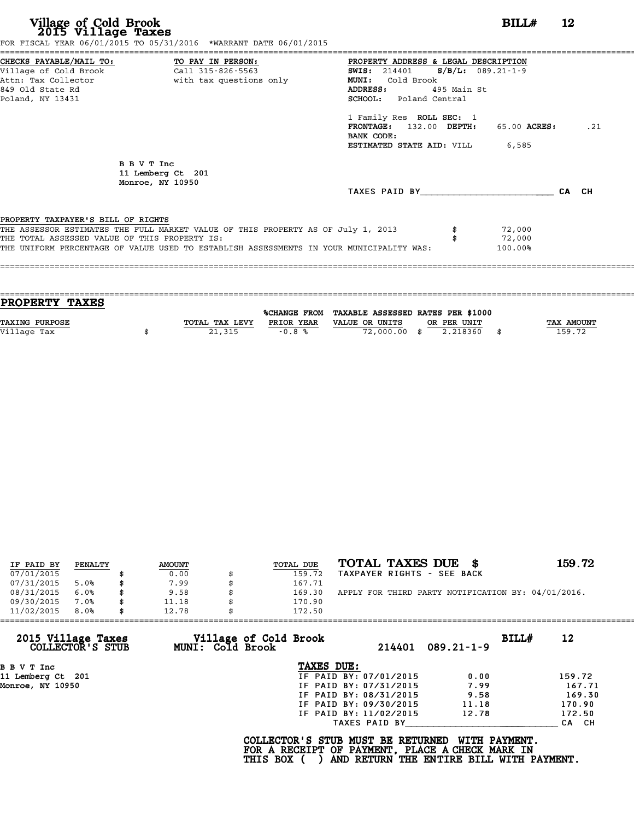|                                                                                     | CHECKS PAYABLE/MAIL TO: TO PAY IN PERSON:                                        | PROPERTY ADDRESS & LEGAL DESCRIPTION         |             |              |     |
|-------------------------------------------------------------------------------------|----------------------------------------------------------------------------------|----------------------------------------------|-------------|--------------|-----|
|                                                                                     |                                                                                  | <b>SWIS:</b> 214401 <b>S/B/L:</b> 089.21-1-9 |             |              |     |
|                                                                                     | Attn: Tax Collector <b>and South</b> with tax questions only                     | MUNI: Cold Brook                             |             |              |     |
| 849 Old State Rd                                                                    |                                                                                  | <b>ADDRESS:</b>                              | 495 Main St |              |     |
| Poland, NY 13431                                                                    |                                                                                  | SCHOOL: Poland Central                       |             |              |     |
|                                                                                     |                                                                                  | 1 Family Res ROLL SEC: 1                     |             |              |     |
|                                                                                     |                                                                                  | FRONTAGE: 132.00 DEPTH:                      |             | 65.00 ACRES: | .21 |
|                                                                                     |                                                                                  | BANK CODE:                                   |             |              |     |
|                                                                                     |                                                                                  | <b>ESTIMATED STATE AID:</b> VILL 6,585       |             |              |     |
|                                                                                     | B B V T Inc                                                                      |                                              |             |              |     |
|                                                                                     | 11 Lemberg Ct 201<br>Monroe, NY 10950                                            |                                              |             |              |     |
|                                                                                     |                                                                                  | TAXES PAID BY <b>CA</b> CH                   |             |              |     |
|                                                                                     |                                                                                  |                                              |             |              |     |
|                                                                                     |                                                                                  |                                              |             |              |     |
|                                                                                     | THE ASSESSOR ESTIMATES THE FULL MARKET VALUE OF THIS PROPERTY AS OF July 1, 2013 |                                              |             | 72,000       |     |
| PROPERTY TAXPAYER'S BILL OF RIGHTS<br>THE TOTAL ASSESSED VALUE OF THIS PROPERTY IS: |                                                                                  |                                              |             | 72,000       |     |

| PROPERTY TAXES        |                |                     |                                   |                |            |
|-----------------------|----------------|---------------------|-----------------------------------|----------------|------------|
|                       |                | <b>%CHANGE FROM</b> | TAXABLE ASSESSED RATES PER \$1000 |                |            |
|                       |                |                     |                                   |                |            |
| <b>TAXING PURPOSE</b> | TOTAL TAX LEVY | PRIOR YEAR          | VALUE OR UNITS<br>OR PER UNIT     |                | TAX AMOUNT |
| Village Tax           | 21,315         | $-0.8%$             | 72,000.00 \$                      | 2.218360<br>\$ | 159.72     |
|                       |                |                     |                                   |                |            |
|                       |                |                     |                                   |                |            |

|            |         |               |                  | TOTAL TAXES DUE \$                                 | 159.72 |
|------------|---------|---------------|------------------|----------------------------------------------------|--------|
| IF PAID BY | PENALTY | <b>AMOUNT</b> | <b>TOTAL DUE</b> |                                                    |        |
| 07/01/2015 |         | 0.00          | 159.72           | TAXPAYER RIGHTS - SEE BACK                         |        |
| 07/31/2015 | 5.0%    | \$<br>7.99    | 167.71           |                                                    |        |
| 08/31/2015 | 6.0%    | \$<br>9.58    | 169.30           | APPLY FOR THIRD PARTY NOTIFICATION BY: 04/01/2016. |        |
| 09/30/2015 | 7.0%    | \$<br>11.18   | 170.90           |                                                    |        |
| 11/02/2015 | 8.0%    | \$<br>12.78   | 172.50           |                                                    |        |

| 2015 Village Taxes<br>Village of Cold Brook<br>MUNI: Cold Brook<br>COLLECTOR'S STUB |                        | BILL#            | 12     |
|-------------------------------------------------------------------------------------|------------------------|------------------|--------|
|                                                                                     | 214401                 | $089.21 - 1 - 9$ |        |
| B B V T Inc                                                                         | TAXES DUE:             |                  |        |
| 11 Lemberg Ct 201                                                                   | IF PAID BY: 07/01/2015 | 0.00             | 159.72 |
| Monroe, NY 10950                                                                    | IF PAID BY: 07/31/2015 | 7.99             | 167.71 |
|                                                                                     | IF PAID BY: 08/31/2015 | 9.58             | 169.30 |
|                                                                                     | IF PAID BY: 09/30/2015 | 11.18            | 170.90 |
|                                                                                     | IF PAID BY: 11/02/2015 | 12.78            | 172.50 |
|                                                                                     | TAXES PAID BY          |                  | CA CH  |

COLLECTOR'S STUB MUST BE RETURNED WITH PAYMENT.<br>FOR A RECEIPT OF PAYMENT, PLACE A CHECK MARK IN<br>THIS BOX ( ) AND RETURN THE ENTIRE BILL WITH PAYMENT.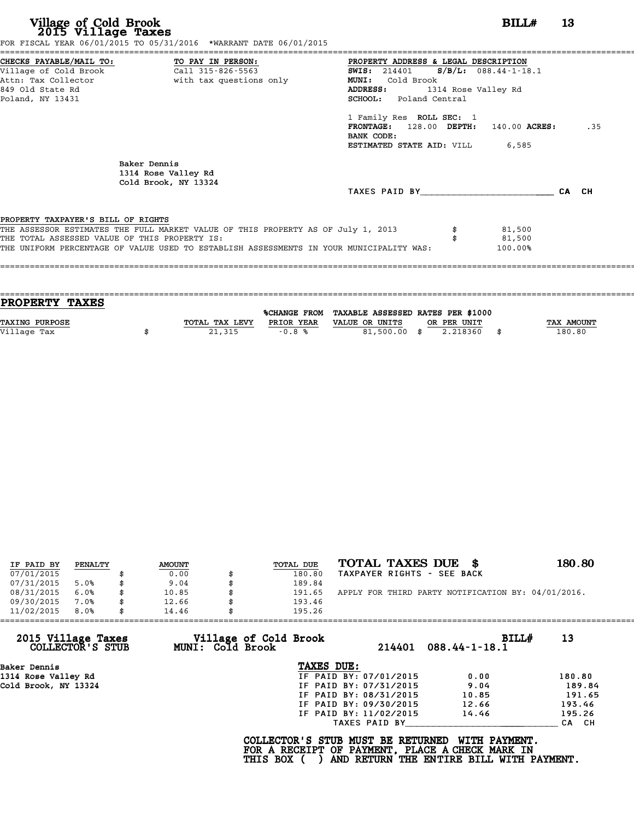|                                               | FOR FISCAL YEAR 06/01/2015 TO 05/31/2016 *WARRANT DATE 06/01/2015                       |                                             |          |     |
|-----------------------------------------------|-----------------------------------------------------------------------------------------|---------------------------------------------|----------|-----|
|                                               |                                                                                         | PROPERTY ADDRESS & LEGAL DESCRIPTION        |          |     |
|                                               |                                                                                         | SWIS: $214401$ S/B/L: 088.44-1-18.1         |          |     |
|                                               | Attn: Tax Collector and the with tax questions only                                     | MUNI: Cold Brook                            |          |     |
| 849 Old State Rd                              |                                                                                         | <b>ADDRESS:</b><br>1314 Rose Valley Rd      |          |     |
| Poland, NY 13431                              |                                                                                         | SCHOOL: Poland Central                      |          |     |
|                                               |                                                                                         | 1 Family Res ROLL SEC: 1                    |          |     |
|                                               |                                                                                         | $FRONTAGE: 128.00$ $DEPTH: 140.00$ $ACRES:$ |          | .35 |
|                                               |                                                                                         | BANK CODE:                                  |          |     |
|                                               |                                                                                         | <b>ESTIMATED STATE AID:</b> VILL 6,585      |          |     |
|                                               | Baker Dennis                                                                            |                                             |          |     |
|                                               | 1314 Rose Valley Rd                                                                     |                                             |          |     |
|                                               | Cold Brook, NY 13324                                                                    |                                             |          |     |
|                                               |                                                                                         | TAXES PAID BY CA CH                         |          |     |
| PROPERTY TAXPAYER'S BILL OF RIGHTS            |                                                                                         |                                             |          |     |
|                                               | THE ASSESSOR ESTIMATES THE FULL MARKET VALUE OF THIS PROPERTY AS OF July 1, 2013        |                                             | \$31,500 |     |
| THE TOTAL ASSESSED VALUE OF THIS PROPERTY IS: |                                                                                         |                                             | 81,500   |     |
|                                               | THE UNIFORM PERCENTAGE OF VALUE USED TO ESTABLISH ASSESSMENTS IN YOUR MUNICIPALITY WAS: |                                             | 100.00%  |     |
|                                               |                                                                                         |                                             |          |     |
|                                               |                                                                                         |                                             |          |     |
|                                               |                                                                                         |                                             |          |     |

| <b>PROPERTY TAXES</b> |                |            |                                                |             |                   |
|-----------------------|----------------|------------|------------------------------------------------|-------------|-------------------|
|                       |                |            |                                                |             |                   |
|                       |                |            | %CHANGE FROM TAXABLE ASSESSED RATES PER \$1000 |             |                   |
| <b>TAXING PURPOSE</b> | TOTAL TAX LEVY | PRIOR YEAR | VALUE OR UNITS                                 | OR PER UNIT | <b>TAX AMOUNT</b> |
| Village Tax           | 21,315         | $-0.8%$    | 81,500.00 \$                                   | 2.218360    | 180.80            |
|                       |                |            |                                                |             |                   |

| IF PAID BY | PENALTY | <b>AMOUNT</b> | TOTAL DUE    | TOTAL TAXES DUE \$                                 | 180.80 |
|------------|---------|---------------|--------------|----------------------------------------------------|--------|
| 07/01/2015 |         | 0.00          | 180.80       | TAXPAYER RIGHTS - SEE BACK                         |        |
| 07/31/2015 | 5.0%    | \$<br>9.04    | 189.84       |                                                    |        |
| 08/31/2015 | 6.0%    | \$<br>10.85   | \$<br>191.65 | APPLY FOR THIRD PARTY NOTIFICATION BY: 04/01/2016. |        |
| 09/30/2015 | 7.0%    | \$<br>12.66   | 193.46       |                                                    |        |
| 11/02/2015 | 8.0%    | \$<br>14.46   | 195.26       |                                                    |        |

|            |                                           | BILLH                                                                                                                                                         | 13                                                                                                                                                                |
|------------|-------------------------------------------|---------------------------------------------------------------------------------------------------------------------------------------------------------------|-------------------------------------------------------------------------------------------------------------------------------------------------------------------|
|            |                                           |                                                                                                                                                               |                                                                                                                                                                   |
|            |                                           | 0.00                                                                                                                                                          | 180.80                                                                                                                                                            |
|            |                                           | 9.04                                                                                                                                                          | 189.84                                                                                                                                                            |
|            |                                           | 10.85                                                                                                                                                         | 191.65                                                                                                                                                            |
|            |                                           | 12.66                                                                                                                                                         | 193.46                                                                                                                                                            |
|            |                                           | 14.46                                                                                                                                                         | 195.26                                                                                                                                                            |
|            |                                           |                                                                                                                                                               | CA CH                                                                                                                                                             |
| THIS BOX ( |                                           | WITH PAYMENT.                                                                                                                                                 |                                                                                                                                                                   |
|            | Village of Cold Brook<br>MUNI: Cold Brook | TAXES DUE:<br>IF PAID BY: 07/01/2015<br>IF PAID BY: 07/31/2015<br>IF PAID BY: 08/31/2015<br>IF PAID BY: 09/30/2015<br>IF PAID BY: 11/02/2015<br>TAXES PAID BY | $088.44 - 1 - 18.1$<br>214401<br>COLLECTOR'S STUB MUST BE RETURNED<br>FOR A RECEIPT OF PAYMENT, PLACE A CHECK MARK IN<br>AND RETURN THE ENTIRE BILL WITH PAYMENT. |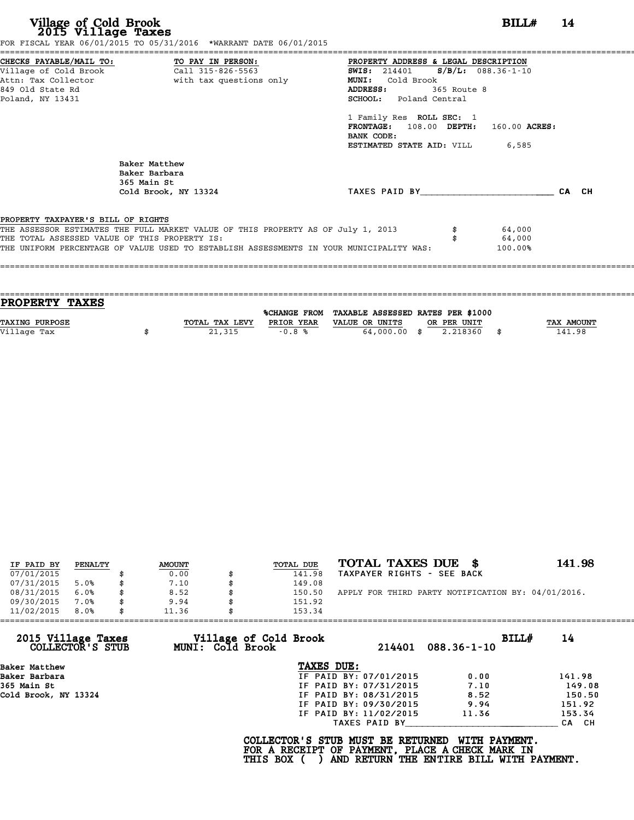| Village of Cold Brook<br>2015 Village Taxes   | FOR FISCAL YEAR 06/01/2015 TO 05/31/2016 *WARRANT DATE 06/01/2015                       |                                        | $BILLH$ 14 |       |
|-----------------------------------------------|-----------------------------------------------------------------------------------------|----------------------------------------|------------|-------|
|                                               | CHECKS PAYABLE/MAIL TO: TO PAY IN PERSON:                                               | PROPERTY ADDRESS & LEGAL DESCRIPTION   |            |       |
| Village of Cold Brook                         | Call 315-826-5563                                                                       | SWIS: 214401 S/B/L: 088.36-1-10        |            |       |
| Attn: Tax Collector                           | with tax questions only                                                                 | MUNI: Cold Brook                       |            |       |
| 849 Old State Rd                              |                                                                                         | 365 Route 8<br>ADDRESS:                |            |       |
| Poland, NY 13431                              |                                                                                         | <b>SCHOOL:</b> Poland Central          |            |       |
|                                               |                                                                                         | 1 Family Res ROLL SEC: 1               |            |       |
|                                               |                                                                                         | FRONTAGE: 108.00 DEPTH: 160.00 ACRES:  |            |       |
|                                               |                                                                                         | BANK CODE:                             |            |       |
|                                               |                                                                                         | <b>ESTIMATED STATE AID:</b> VILL 6,585 |            |       |
|                                               | Baker Matthew<br>Baker Barbara<br>365 Main St                                           |                                        |            |       |
|                                               | Cold Brook, NY 13324                                                                    | TAXES PAID BY TAXES PAID BY            |            | CA CH |
| PROPERTY TAXPAYER'S BILL OF RIGHTS            |                                                                                         |                                        |            |       |
|                                               | THE ASSESSOR ESTIMATES THE FULL MARKET VALUE OF THIS PROPERTY AS OF July 1, 2013        |                                        | 64,000     |       |
| THE TOTAL ASSESSED VALUE OF THIS PROPERTY IS: |                                                                                         |                                        | 64,000     |       |
|                                               | THE UNIFORM PERCENTAGE OF VALUE USED TO ESTABLISH ASSESSMENTS IN YOUR MUNICIPALITY WAS: |                                        | 100.00%    |       |

| <b>PROPERTY TAXES</b> |                |            |                                                |             |                   |
|-----------------------|----------------|------------|------------------------------------------------|-------------|-------------------|
|                       |                |            |                                                |             |                   |
|                       |                |            | %CHANGE FROM TAXABLE ASSESSED RATES PER \$1000 |             |                   |
| <b>TAXING PURPOSE</b> | TOTAL TAX LEVY | PRIOR YEAR | VALUE OR UNITS                                 | OR PER UNIT | <b>TAX AMOUNT</b> |
| Village Tax           | 21,315         | $-0.8%$    | 64,000.00 \$                                   | 2.218360    | 141.98            |
|                       |                |            |                                                |             |                   |
|                       |                |            |                                                |             |                   |

| IF PAID BY | PENALTY | <b>AMOUNT</b> | TOTAL DUE | TOTAL TAXES DUE \$                                 | 141.98 |
|------------|---------|---------------|-----------|----------------------------------------------------|--------|
| 07/01/2015 |         | 0.00          | 141.98    | TAXPAYER RIGHTS - SEE BACK                         |        |
| 07/31/2015 | 5.0%    | 7.10          | 149.08    |                                                    |        |
| 08/31/2015 | 6.0%    | 8.52          | 150.50    | APPLY FOR THIRD PARTY NOTIFICATION BY: 04/01/2016. |        |
| 09/30/2015 | 7.0%    | 9.94          | 151.92    |                                                    |        |
| 11/02/2015 | 8.0%    | 11.36         | 153.34    |                                                    |        |

| 11/02/2015                             | 8.0% | 11.36 |                         | 153.34                                                                                             |                                          |                   |       |        |
|----------------------------------------|------|-------|-------------------------|----------------------------------------------------------------------------------------------------|------------------------------------------|-------------------|-------|--------|
| 2015 Village Taxes<br>COLLECTOR'S STUB |      |       | <b>MUNI: Cold Brook</b> | Village of Cold Brook                                                                              | 214401                                   | $088.36 - 1 - 10$ | BILL# | 14     |
| Baker Matthew                          |      |       |                         | TAXES DUE:                                                                                         |                                          |                   |       |        |
| Baker Barbara                          |      |       |                         |                                                                                                    | IF PAID BY: 07/01/2015                   | 0.00              |       | 141.98 |
| 365 Main St                            |      |       |                         |                                                                                                    | IF PAID BY: 07/31/2015                   | 7.10              |       | 149.08 |
| Cold Brook, NY 13324                   |      |       |                         |                                                                                                    | IF PAID BY: 08/31/2015                   | 8.52              |       | 150.50 |
|                                        |      |       |                         |                                                                                                    | IF PAID BY: 09/30/2015                   | 9.94              |       | 151.92 |
|                                        |      |       |                         |                                                                                                    | IF PAID BY: 11/02/2015                   | 11.36             |       | 153.34 |
|                                        |      |       |                         |                                                                                                    | TAXES PAID BY                            |                   |       | CA CH  |
|                                        |      |       |                         | COLLECTOR'S STUB MUST BE RETURNED<br>FOR A RECEIPT OF PAYMENT, PLACE A CHECK MARK IN<br>THIS BOX ( | AND RETURN THE ENTIRE BILL WITH PAYMENT. | WITH PAYMENT.     |       |        |
|                                        |      |       |                         |                                                                                                    |                                          |                   |       |        |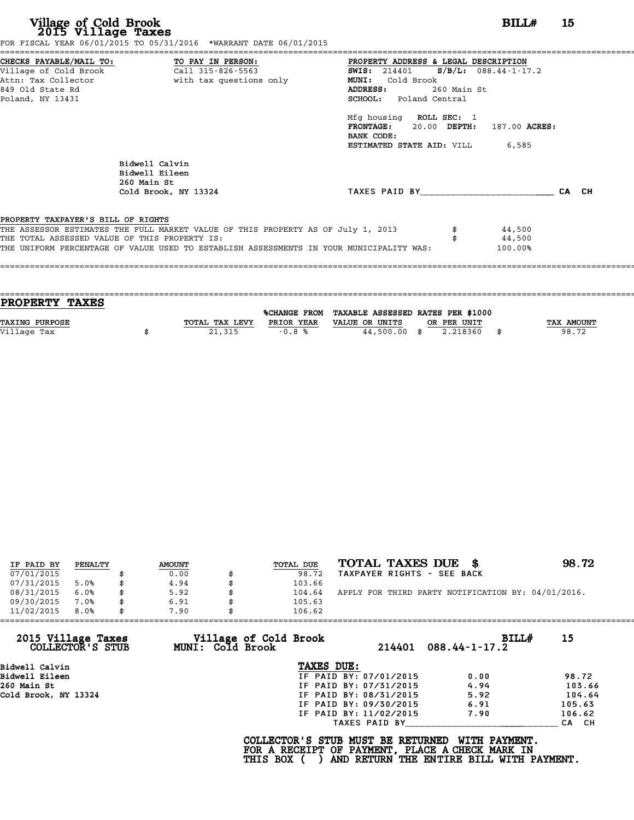| Village of Cold Brook<br>2015 Village Taxes                      | FOR FISCAL YEAR 06/01/2015 TO 05/31/2016 *WARRANT DATE 06/01/2015                         |                                                                                                                                                          | BILL#   | 15    |
|------------------------------------------------------------------|-------------------------------------------------------------------------------------------|----------------------------------------------------------------------------------------------------------------------------------------------------------|---------|-------|
| Village of Cold Brook<br>Attn: Tax Collector<br>849 Old State Rd | CHECKS PAYABLE/MAIL TO: TO PAY IN PERSON:<br>Call 315-826-5563<br>with tax questions only | PROPERTY ADDRESS & LEGAL DESCRIPTION<br>SWIS: $214401$ S/B/L: 088.44-1-17.2<br>MUNI: Cold Brook<br>ADDRESS:<br>260 Main St                               |         |       |
| Poland, NY 13431                                                 |                                                                                           | <b>SCHOOL:</b> Poland Central<br>Mfg housing ROLL SEC: 1<br>FRONTAGE: 20.00 DEPTH: 187.00 ACRES:<br>BANK CODE:<br><b>ESTIMATED STATE AID:</b> VILL 6,585 |         |       |
|                                                                  | Bidwell Calvin<br>Bidwell Eileen<br>260 Main St                                           | TAXES PAID BY                                                                                                                                            |         | CA CH |
| PROPERTY TAXPAYER'S BILL OF RIGHTS                               | Cold Brook, NY 13324                                                                      |                                                                                                                                                          |         |       |
|                                                                  | THE ASSESSOR ESTIMATES THE FULL MARKET VALUE OF THIS PROPERTY AS OF July 1, 2013          |                                                                                                                                                          | 44,500  |       |
| THE TOTAL ASSESSED VALUE OF THIS PROPERTY IS:                    |                                                                                           |                                                                                                                                                          | 44,500  |       |
|                                                                  | THE UNIFORM PERCENTAGE OF VALUE USED TO ESTABLISH ASSESSMENTS IN YOUR MUNICIPALITY WAS:   |                                                                                                                                                          | 100.00% |       |

| PROPERTY TAXES        |                |            |                                                |             |                   |
|-----------------------|----------------|------------|------------------------------------------------|-------------|-------------------|
|                       |                |            | %CHANGE FROM TAXABLE ASSESSED RATES PER \$1000 |             |                   |
| <b>TAXING PURPOSE</b> | TOTAL TAX LEVY | PRIOR YEAR | VALUE OR UNITS                                 | OR PER UNIT | <b>TAX AMOUNT</b> |
|                       |                |            |                                                |             |                   |
| Village Tax           | 21,315         | $-0.8%$    | $44,500.00$ \$                                 | 2.218360    | 98.72             |
|                       |                |            |                                                |             |                   |

| IF PAID BY | PENALTY | <b>AMOUNT</b> | <b>TOTAL DUE</b> | TOTAL TAXES DUE \$                                 | 98.72 |
|------------|---------|---------------|------------------|----------------------------------------------------|-------|
| 07/01/2015 |         | 0.00          | 98.72            | TAXPAYER RIGHTS - SEE BACK                         |       |
| 07/31/2015 | 5.0%    | \$<br>4.94    | 103.66           |                                                    |       |
| 08/31/2015 | 6.0%    | \$<br>5.92    | 104.64           | APPLY FOR THIRD PARTY NOTIFICATION BY: 04/01/2016. |       |
| 09/30/2015 | 7.0%    | \$<br>6.91    | 105.63           |                                                    |       |
| 11/02/2015 | 8.0%    | \$<br>7.90    | 106.62           |                                                    |       |

| 15     |
|--------|
|        |
| 98.72  |
| 103.66 |
| 104.64 |
| 105.63 |
| 106.62 |
| CA CH  |
|        |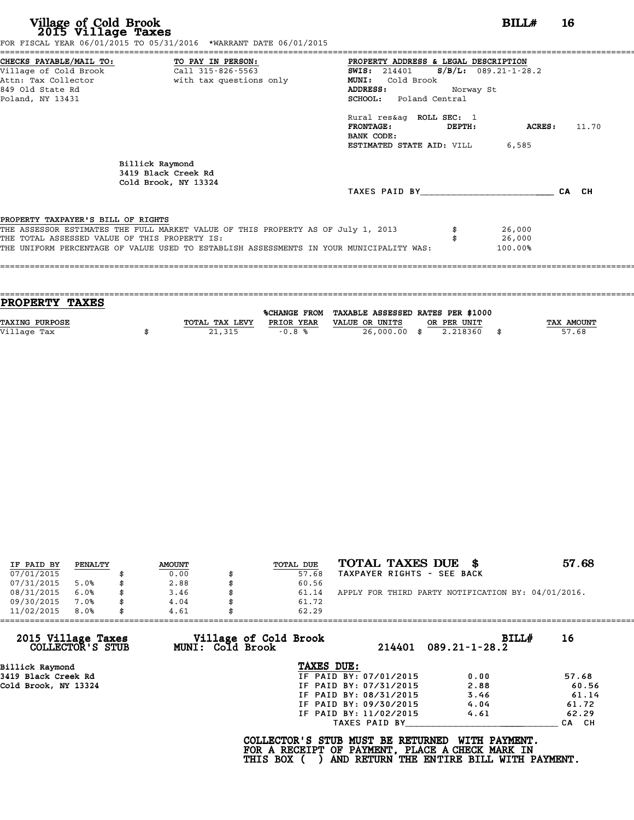| CHECKS PAYABLE/MAIL TO: TO PAY IN PERSON:<br>PROPERTY ADDRESS & LEGAL DESCRIPTION                  |       |
|----------------------------------------------------------------------------------------------------|-------|
| Village of Cold Brook Call 315-826-5563<br>SWIS: $214401$ S/B/L: 089.21-1-28.2                     |       |
| Attn: Tax Collector                       with tax questions only<br>MUNI: Cold Brook              |       |
| 849 Old State Rd<br><b>ADDRESS:</b><br>Norway St                                                   |       |
| SCHOOL: Poland Central<br>Poland, NY 13431                                                         |       |
| Rural res&aq ROLL SEC: 1                                                                           |       |
| $\tt FRONTAGE:$<br>ACRES :<br>DEPTH:                                                               | 11.70 |
| BANK CODE:                                                                                         |       |
| <b>ESTIMATED STATE AID:</b> VILL 6,585                                                             |       |
| Billick Raymond                                                                                    |       |
| 3419 Black Creek Rd                                                                                |       |
| Cold Brook, NY 13324                                                                               |       |
| TAXES PAID BY TAXES<br>CA CH                                                                       |       |
| PROPERTY TAXPAYER'S BILL OF RIGHTS                                                                 |       |
| THE ASSESSOR ESTIMATES THE FULL MARKET VALUE OF THIS PROPERTY AS OF July 1, 2013<br>26,000         |       |
| THE TOTAL ASSESSED VALUE OF THIS PROPERTY IS:<br>26,000                                            |       |
| THE UNIFORM PERCENTAGE OF VALUE USED TO ESTABLISH ASSESSMENTS IN YOUR MUNICIPALITY WAS:<br>100.00% |       |
|                                                                                                    |       |
|                                                                                                    |       |

| <b>PROPERTY TAXES</b> |                |            |                                                |             |                   |
|-----------------------|----------------|------------|------------------------------------------------|-------------|-------------------|
|                       |                |            |                                                |             |                   |
|                       |                |            | %CHANGE FROM TAXABLE ASSESSED RATES PER \$1000 |             |                   |
| TAXING PURPOSE        | TOTAL TAX LEVY | PRIOR YEAR | VALUE OR UNITS                                 | OR PER UNIT | <b>TAX AMOUNT</b> |
| Village Tax           | 21,315         | $-0.8%$    | 26,000.00 \$                                   | 2.218360    | 57.68             |
|                       |                |            |                                                |             |                   |
|                       |                |            |                                                |             |                   |

| IF PAID BY | PENALTY | <b>AMOUNT</b> | TOTAL DUE | TOTAL TAXES DUE \$                                 | 57.68 |
|------------|---------|---------------|-----------|----------------------------------------------------|-------|
| 07/01/2015 |         | 0.00          | 57.68     | TAXPAYER RIGHTS - SEE BACK                         |       |
| 07/31/2015 | 5.0%    | 2.88          | 60.56     |                                                    |       |
| 08/31/2015 | 6.0%    | 3.46          | 61.14     | APPLY FOR THIRD PARTY NOTIFICATION BY: 04/01/2016. |       |
| 09/30/2015 | 7.0%    | 4.04          | 61.72     |                                                    |       |
| 11/02/2015 | 8.0%    | 4.61          | 62.29     |                                                    |       |

| 11/02/2015<br>8.0%                     | 4.61<br>62.29                             |                        |                              |       |
|----------------------------------------|-------------------------------------------|------------------------|------------------------------|-------|
| 2015 Village Taxes<br>COLLECTOR'S STUB | Village of Cold Brook<br>MUNI: Cold Brook | 214401                 | BILLH<br>$089.21 - 1 - 28.2$ | 16    |
| Billick Raymond                        | TAXES DUE:                                |                        |                              |       |
| 3419 Black Creek Rd                    |                                           | IF PAID BY: 07/01/2015 | 0.00                         | 57.68 |
| Cold Brook, NY 13324                   |                                           | IF PAID BY: 07/31/2015 | 2.88                         | 60.56 |
|                                        |                                           | IF PAID BY: 08/31/2015 | 3.46                         | 61.14 |
|                                        |                                           | IF PAID BY: 09/30/2015 | 4.04                         | 61.72 |
|                                        |                                           | IF PAID BY: 11/02/2015 | 4.61                         | 62.29 |
|                                        |                                           | TAXES PAID BY          |                              | CA CH |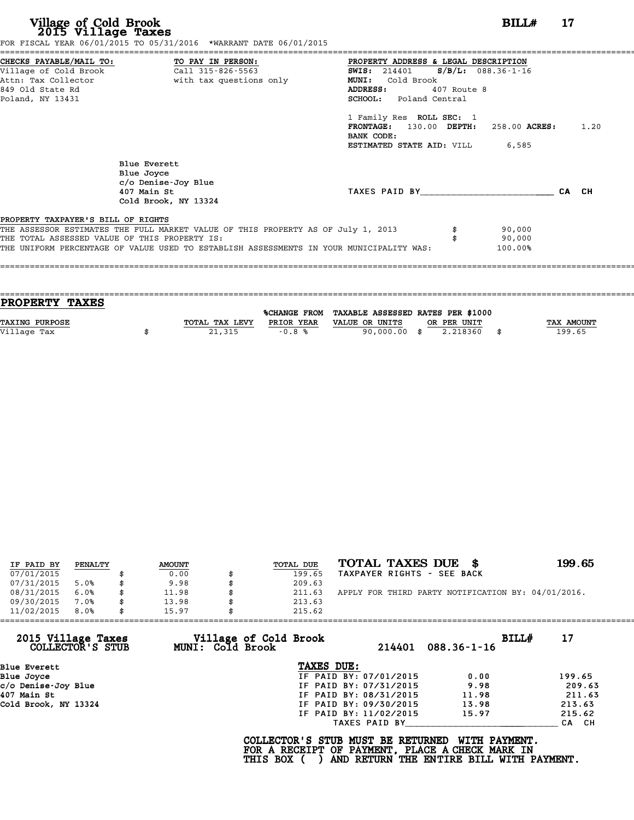## **Village of Cold Brook**<br> **2015 Village Taxes**<br>
SCAL YEAR 06/01/2015 TO 05/31/2016 \*WARRANT DATE 06/01/2015

Village of Cold Brook<br>2015 Village Taxes<br>FOR FISCAL YEAR 06/01/2015 TO 05/31/2016 \*WARRANT DATE 06/01/2015

| FOR FISCAL YEAR 06/01/2015 TO 05/31/2016 *WARRANT DATE 06/01/2015                                                                                                                                                                                                  |                                                                                                                                                                                                                                                               |  |  |  |  |  |
|--------------------------------------------------------------------------------------------------------------------------------------------------------------------------------------------------------------------------------------------------------------------|---------------------------------------------------------------------------------------------------------------------------------------------------------------------------------------------------------------------------------------------------------------|--|--|--|--|--|
| CHECKS PAYABLE/MAIL TO: TO PAY IN PERSON:<br>Village of Cold Brook<br>Call 315-826-5563<br>with tax questions only<br>Attn: Tax Collector<br>849 Old State Rd<br>Poland, NY 13431                                                                                  | PROPERTY ADDRESS & LEGAL DESCRIPTION<br>$S/B/L: 088.36-1-16$<br><b>SWIS:</b> 214401<br>Cold Brook<br><b>MUNI:</b><br>ADDRESS:<br>407 Route 8<br><b>SCHOOL:</b> Poland Central<br>1 Family Res ROLL SEC: 1<br>FRONTAGE: 130.00 DEPTH:<br>1.20<br>258.00 ACRES: |  |  |  |  |  |
| Blue Everett<br>Blue Joyce<br>c/o Denise-Joy Blue<br>407 Main St<br>Cold Brook, NY 13324                                                                                                                                                                           | BANK CODE:<br>6,585<br>ESTIMATED STATE AID: VILL<br>TAXES PAID BY<br>CA CH                                                                                                                                                                                    |  |  |  |  |  |
| PROPERTY TAXPAYER'S BILL OF RIGHTS<br>THE ASSESSOR ESTIMATES THE FULL MARKET VALUE OF THIS PROPERTY AS OF July 1, 2013<br>THE TOTAL ASSESSED VALUE OF THIS PROPERTY IS:<br>THE UNIFORM PERCENTAGE OF VALUE USED TO ESTABLISH ASSESSMENTS IN YOUR MUNICIPALITY WAS: | 90,000<br>90,000<br>100.00%                                                                                                                                                                                                                                   |  |  |  |  |  |

==================================================================================================================================== **PROPERTY TAXES** %CHANGE FROM TAXABLE ASSESSED RATES PER \$1000 **PROPERTY TAXES**<br>
TAXING PURPOSE TOTAL TAX LEVY PRIOR YEAR VALUE OR UNITS OR PER UNIT TAX AMOUNT<br>
VALUE OR UNITS OR PER UNIT TAX AMOUNT OF TAX AMOUNT TAX AMOUNT TAX AMOUNT TAX AMOUNT **TAXING PURPOSE**<br>
TAXING PURPOSE **EXELLED OF SUITE ASSESSED RATES PER \$1000**<br>
Village Tax **199.65**<br>
Village Tax **199.65** 

====================================================================================================================================

| IF PAID BY | PENALTY | <b>AMOUNT</b> | TOTAL DUE | TOTAL TAXES DUE<br>- 86                            | 199.65 |
|------------|---------|---------------|-----------|----------------------------------------------------|--------|
| 07/01/2015 |         | 0.00          | 199.65    | TAXPAYER RIGHTS - SEE BACK                         |        |
| 07/31/2015 | 5.0%    | 9.98          | 209.63    |                                                    |        |
| 08/31/2015 | 6.0%    | \$<br>11.98   | 211.63    | APPLY FOR THIRD PARTY NOTIFICATION BY: 04/01/2016. |        |
| 09/30/2015 | 7.0%    | 13.98         | 213.63    |                                                    |        |
| 11/02/2015 | 8.0%    | 15.97         | 215.62    |                                                    |        |

| 2015 Village Taxes<br>Village of Cold Brook<br>BILL#<br>MUNI: Cold Brook<br>COLLECTOR'S STUB<br>214401<br>$088.36 - 1 - 16$<br>TAXES DUE:<br>Blue Everett | 17     |
|-----------------------------------------------------------------------------------------------------------------------------------------------------------|--------|
|                                                                                                                                                           |        |
|                                                                                                                                                           |        |
| IF PAID BY: 07/01/2015<br>Blue Joyce<br>0.00                                                                                                              | 199.65 |
| c/o Denise-Joy Blue<br>IF PAID BY: 07/31/2015<br>9.98                                                                                                     | 209.63 |
| 407 Main St<br>IF PAID BY: 08/31/2015<br>11.98                                                                                                            | 211.63 |
| Cold Brook, NY 13324<br>IF PAID BY: 09/30/2015<br>13.98                                                                                                   | 213.63 |
| IF PAID BY: 11/02/2015<br>15.97                                                                                                                           | 215.62 |
| TAXES PAID BY                                                                                                                                             | CA CH  |

COLLECTOR'S STUB MUST BE RETURNED WITH PAYMENT.<br>FOR A RECEIPT OF PAYMENT, PLACE A CHECK MARK IN<br>THIS BOX ( ) AND RETURN THE ENTIRE BILL WITH PAYMENT.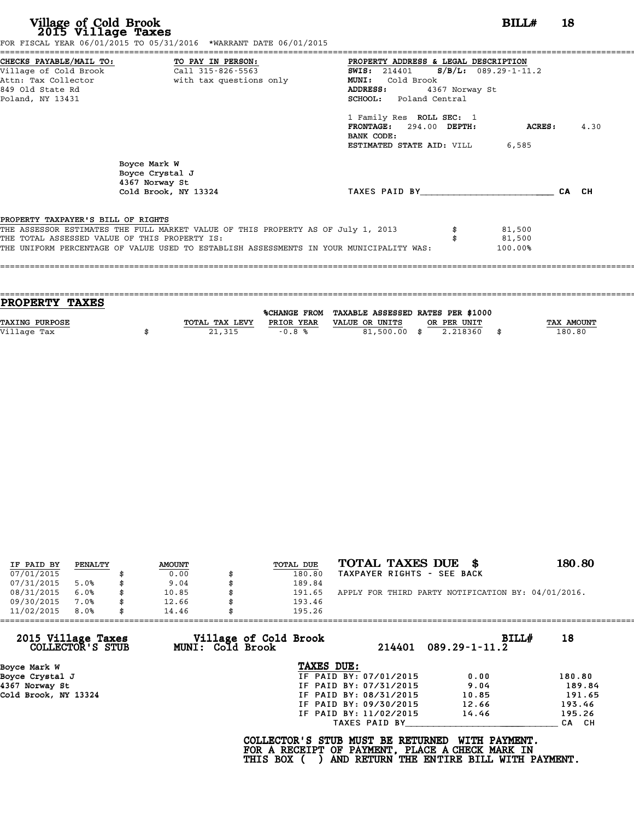|                                    | FOR FISCAL YEAR 06/01/2015 TO 05/31/2016 *WARRANT DATE 06/01/2015                       |                                                 |                |                |      |
|------------------------------------|-----------------------------------------------------------------------------------------|-------------------------------------------------|----------------|----------------|------|
|                                    | CHECKS PAYABLE/MAIL TO: TO PAY IN PERSON:                                               | PROPERTY ADDRESS & LEGAL DESCRIPTION            |                |                |      |
|                                    |                                                                                         | <b>SWIS:</b> 214401 <b>S/B/L:</b> 089.29-1-11.2 |                |                |      |
|                                    | Attn: Tax Collector                       with tax questions only                       | MUNI: Cold Brook                                |                |                |      |
| 849 Old State Rd                   |                                                                                         | <b>ADDRESS:</b>                                 | 4367 Norway St |                |      |
| Poland, NY 13431                   |                                                                                         | SCHOOL: Poland Central                          |                |                |      |
|                                    |                                                                                         | 1 Family Res ROLL SEC: 1                        |                |                |      |
|                                    |                                                                                         | FRONTAGE: 294.00 DEPTH:                         |                | <b>ACRES :</b> | 4.30 |
|                                    |                                                                                         | BANK CODE:                                      |                |                |      |
|                                    |                                                                                         | <b>ESTIMATED STATE AID:</b> VILL 6,585          |                |                |      |
|                                    | Boyce Mark W                                                                            |                                                 |                |                |      |
|                                    | Boyce Crystal J                                                                         |                                                 |                |                |      |
|                                    | 4367 Norway St                                                                          |                                                 |                |                |      |
|                                    | Cold Brook, NY 13324                                                                    | TAXES PAID BY CA CH                             |                |                |      |
| PROPERTY TAXPAYER'S BILL OF RIGHTS |                                                                                         |                                                 |                |                |      |
|                                    | THE ASSESSOR ESTIMATES THE FULL MARKET VALUE OF THIS PROPERTY AS OF July 1, 2013        |                                                 |                | 81,500         |      |
|                                    | THE TOTAL ASSESSED VALUE OF THIS PROPERTY IS:                                           |                                                 |                | 81,500         |      |
|                                    |                                                                                         |                                                 |                | 100.00%        |      |
|                                    | THE UNIFORM PERCENTAGE OF VALUE USED TO ESTABLISH ASSESSMENTS IN YOUR MUNICIPALITY WAS: |                                                 |                |                |      |
|                                    |                                                                                         |                                                 |                |                |      |

| PROPERTY TAXES        |                |            |                                                |             |                   |
|-----------------------|----------------|------------|------------------------------------------------|-------------|-------------------|
|                       |                |            | %CHANGE FROM TAXABLE ASSESSED RATES PER \$1000 |             |                   |
| <b>TAXING PURPOSE</b> | TOTAL TAX LEVY | PRIOR YEAR | VALUE OR UNITS                                 | OR PER UNIT | <b>TAX AMOUNT</b> |
| Village Tax           | 21,315         | $-0.8%$    | 81,500.00 \$                                   | 2.218360    | 180.80            |
|                       |                |            |                                                |             |                   |

| IF PAID BY | PENALTY | <b>AMOUNT</b> | TOTAL DUE    | TOTAL TAXES DUE<br>- 86                            | 180.80 |
|------------|---------|---------------|--------------|----------------------------------------------------|--------|
| 07/01/2015 |         | 0.00          | 180.80       | TAXPAYER RIGHTS - SEE BACK                         |        |
| 07/31/2015 | 5.0%    | 9.04          | 189.84       |                                                    |        |
| 08/31/2015 | 6.0%    | 10.85         | \$<br>191.65 | APPLY FOR THIRD PARTY NOTIFICATION BY: 04/01/2016. |        |
| 09/30/2015 | 7.0%    | 12.66         | 193.46       |                                                    |        |
| 11/02/2015 | 8.0%    | 14.46         | 195.26       |                                                    |        |

|                                        |                                           | 195.26                 |                                 |        |
|----------------------------------------|-------------------------------------------|------------------------|---------------------------------|--------|
| 2015 Village Taxes<br>COLLECTOR'S STUB | Village of Cold Brook<br>MUNI: Cold Brook |                        | BILLH<br>$214401$ 089.29-1-11.2 | 18     |
| Boyce Mark W                           |                                           | TAXES DUE:             |                                 |        |
| Boyce Crystal J                        |                                           | IF PAID BY: 07/01/2015 | 0.00                            | 180.80 |
| 4367 Norway St                         |                                           | IF PAID BY: 07/31/2015 | 9.04                            | 189.84 |
| Cold Brook, NY 13324                   |                                           | IF PAID BY: 08/31/2015 | 10.85                           | 191.65 |
|                                        |                                           | IF PAID BY: 09/30/2015 | 12.66                           | 193.46 |
|                                        |                                           | IF PAID BY: 11/02/2015 | 14.46                           | 195.26 |
|                                        |                                           | TAXES PAID BY          |                                 | CA CH  |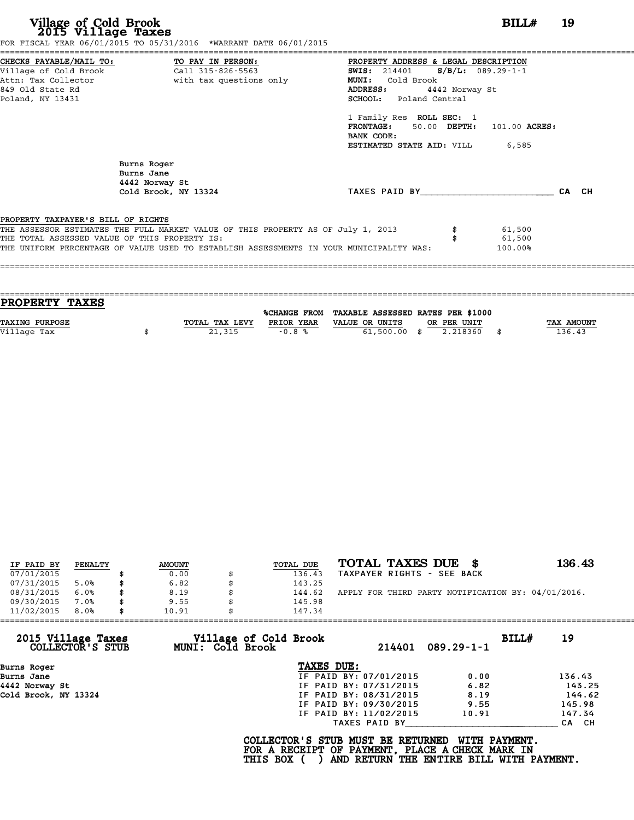|                                               | FOR FISCAL YEAR 06/01/2015 TO 05/31/2016 *WARRANT DATE 06/01/2015                       |                                              |         |       |
|-----------------------------------------------|-----------------------------------------------------------------------------------------|----------------------------------------------|---------|-------|
|                                               | CHECKS PAYABLE/MAIL TO: TO PAY IN PERSON:                                               | PROPERTY ADDRESS & LEGAL DESCRIPTION         |         |       |
|                                               |                                                                                         | <b>SWIS:</b> 214401 <b>S/B/L:</b> 089.29-1-1 |         |       |
|                                               | Attn: Tax Collector and a with tax questions only                                       | <b>MUNI:</b><br>Cold Brook                   |         |       |
| 849 Old State Rd                              |                                                                                         | ADDRESS:<br>4442 Norway St                   |         |       |
| Poland, NY 13431                              |                                                                                         | <b>SCHOOL:</b> Poland Central                |         |       |
|                                               |                                                                                         | 1 Family Res ROLL SEC: 1                     |         |       |
|                                               |                                                                                         | FRONTAGE: 50.00 DEPTH: 101.00 ACRES:         |         |       |
|                                               |                                                                                         | BANK CODE:                                   |         |       |
|                                               |                                                                                         | <b>ESTIMATED STATE AID:</b> VILL 6,585       |         |       |
|                                               | Burns Roger<br>Burns Jane<br>4442 Norway St                                             |                                              |         |       |
|                                               | Cold Brook, NY 13324                                                                    | TAXES PAID BY                                |         | CA CH |
| PROPERTY TAXPAYER'S BILL OF RIGHTS            |                                                                                         |                                              |         |       |
|                                               | THE ASSESSOR ESTIMATES THE FULL MARKET VALUE OF THIS PROPERTY AS OF July 1, 2013        |                                              | 61,500  |       |
| THE TOTAL ASSESSED VALUE OF THIS PROPERTY IS: |                                                                                         |                                              | 61,500  |       |
|                                               | THE UNIFORM PERCENTAGE OF VALUE USED TO ESTABLISH ASSESSMENTS IN YOUR MUNICIPALITY WAS: |                                              | 100.00% |       |
|                                               |                                                                                         |                                              |         |       |
|                                               |                                                                                         |                                              |         |       |

| <b>PROPERTY TAXES</b> |                |                     |                                   |             |      |            |
|-----------------------|----------------|---------------------|-----------------------------------|-------------|------|------------|
|                       |                | <b>%CHANGE FROM</b> | TAXABLE ASSESSED RATES PER \$1000 |             |      |            |
|                       |                |                     |                                   |             |      |            |
| <b>TAXING PURPOSE</b> | TOTAL TAX LEVY | PRIOR YEAR          | VALUE OR UNITS                    | OR PER UNIT |      | TAX AMOUNT |
| Village Tax           | 21,315         | $-0.8%$             | $61,500.00$ \$                    | 2.218360    | - \$ | 136.43     |
|                       |                |                     |                                   |             |      |            |

| IF PAID BY | PENALTY | <b>AMOUNT</b> |    | TOTAL DUE | TOTAL TAXES DUE \$                                 | 136.43 |
|------------|---------|---------------|----|-----------|----------------------------------------------------|--------|
| 07/01/2015 |         | 0.00          |    | 136.43    | TAXPAYER RIGHTS - SEE BACK                         |        |
| 07/31/2015 | 5.0%    | \$<br>6.82    |    | 143.25    |                                                    |        |
| 08/31/2015 | 6.0%    | \$<br>8.19    | ß. | 144.62    | APPLY FOR THIRD PARTY NOTIFICATION BY: 04/01/2016. |        |
| 09/30/2015 | 7.0%    | \$<br>9.55    |    | 145.98    |                                                    |        |
| 11/02/2015 | 8.0%    | \$<br>10.91   |    | 147.34    |                                                    |        |
|            |         |               |    |           |                                                    |        |

| 11/02/2015<br>8.0%                     | 10.91            | 147.34                                                                                                  |                                                           |        |
|----------------------------------------|------------------|---------------------------------------------------------------------------------------------------------|-----------------------------------------------------------|--------|
| 2015 Village Taxes<br>COLLECTOR'S STUB | MUNI: Cold Brook | Village of Cold Brook<br>214401                                                                         | BILL#<br>$089.29 - 1 - 1$                                 | 19     |
| Burns Roger                            |                  | TAXES DUE:                                                                                              |                                                           |        |
| Burns Jane                             |                  | IF PAID BY: 07/01/2015                                                                                  | 0.00                                                      | 136.43 |
| 4442 Norway St                         |                  | IF PAID BY: 07/31/2015                                                                                  | 6.82                                                      | 143.25 |
| Cold Brook, NY 13324                   |                  | IF PAID BY: 08/31/2015                                                                                  | 8.19                                                      | 144.62 |
|                                        |                  | IF PAID BY: 09/30/2015                                                                                  | 9.55                                                      | 145.98 |
|                                        |                  | IF PAID BY: 11/02/2015                                                                                  | 10.91                                                     | 147.34 |
|                                        |                  | TAXES PAID BY                                                                                           |                                                           | CA CH  |
|                                        |                  | COLLECTOR'S STUB MUST BE RETURNED<br>FOR A RECEIPT OF PAYMENT, PLACE A CHECK MARK IN<br><b>THIS BOX</b> | WITH PAYMENT.<br>AND RETURN THE ENTIRE BILL WITH PAYMENT. |        |

COLLECTOR'S STUB MUST BE RETURNED WITH PAYMENT.<br>FOR A RECEIPT OF PAYMENT, PLACE A CHECK MARK IN<br>THIS BOX ( ) AND RETURN THE ENTIRE BILL WITH PAYMENT.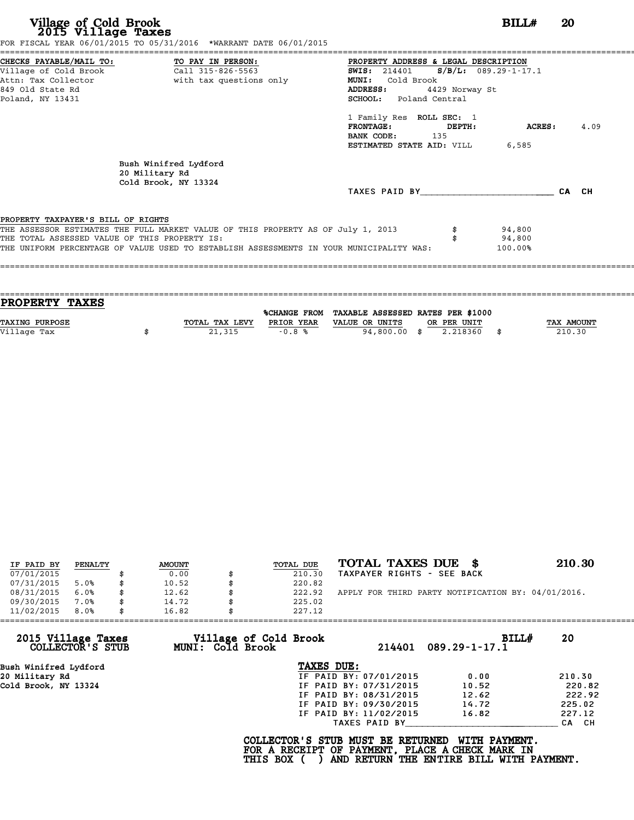|                                               | FOR FISCAL YEAR 06/01/2015 TO 05/31/2016 *WARRANT DATE 06/01/2015                       |                                                 |                |         |       |
|-----------------------------------------------|-----------------------------------------------------------------------------------------|-------------------------------------------------|----------------|---------|-------|
|                                               | CHECKS PAYABLE/MAIL TO: TO PAY IN PERSON:                                               | PROPERTY ADDRESS & LEGAL DESCRIPTION            |                |         |       |
|                                               |                                                                                         | <b>SWIS:</b> 214401 <b>S/B/L:</b> 089.29-1-17.1 |                |         |       |
|                                               | Attn: Tax Collector and with tax questions only                                         | <b>MUNI:</b><br>Cold Brook                      |                |         |       |
| 849 Old State Rd                              |                                                                                         | ADDRESS:                                        | 4429 Norway St |         |       |
| Poland, NY 13431                              |                                                                                         | SCHOOL: Poland Central                          |                |         |       |
|                                               |                                                                                         | 1 Family Res ROLL SEC: 1                        |                |         |       |
|                                               |                                                                                         | FRONTAGE: DEPTH:                                |                | ACRES : | 4.09  |
|                                               |                                                                                         | BANK CODE: 135                                  |                |         |       |
|                                               |                                                                                         | ESTIMATED STATE AID: VILL                       |                | 6,585   |       |
|                                               | Bush Winifred Lydford<br>20 Military Rd<br>Cold Brook, NY 13324                         |                                                 |                |         |       |
|                                               |                                                                                         | TAXES PAID BY TAXES                             |                |         | CA CH |
|                                               |                                                                                         |                                                 |                |         |       |
| PROPERTY TAXPAYER'S BILL OF RIGHTS            |                                                                                         |                                                 |                |         |       |
|                                               | THE ASSESSOR ESTIMATES THE FULL MARKET VALUE OF THIS PROPERTY AS OF July 1, 2013        |                                                 |                | 94,800  |       |
| THE TOTAL ASSESSED VALUE OF THIS PROPERTY IS: |                                                                                         |                                                 |                | 94,800  |       |
|                                               | THE UNIFORM PERCENTAGE OF VALUE USED TO ESTABLISH ASSESSMENTS IN YOUR MUNICIPALITY WAS: |                                                 |                | 100.00% |       |
|                                               |                                                                                         |                                                 |                |         |       |
|                                               |                                                                                         |                                                 |                |         |       |

| <b>PROPERTY TAXES</b> |                |            |                                                |             |            |
|-----------------------|----------------|------------|------------------------------------------------|-------------|------------|
|                       |                |            | %CHANGE FROM TAXABLE ASSESSED RATES PER \$1000 |             |            |
|                       |                |            |                                                |             |            |
| <b>TAXING PURPOSE</b> | TOTAL TAX LEVY | PRIOR YEAR | VALUE OR UNITS                                 | OR PER UNIT | TAX AMOUNT |
| Village Tax           | 21,315         | $-0.8%$    | 94,800.00 \$                                   | 2.218360    | 210.30     |
|                       |                |            |                                                |             |            |
|                       |                |            |                                                |             |            |

| IF PAID BY | PENALTY | <b>AMOUNT</b> | <b>TOTAL DUE</b> | TOTAL TAXES DUE \$                                 | 210.30 |
|------------|---------|---------------|------------------|----------------------------------------------------|--------|
| 07/01/2015 |         | 0.00          | 210.30           | TAXPAYER RIGHTS - SEE BACK                         |        |
| 07/31/2015 | 5.0%    | 10.52         | 220.82           |                                                    |        |
| 08/31/2015 | 6.0%    | \$<br>12.62   | 222.92           | APPLY FOR THIRD PARTY NOTIFICATION BY: 04/01/2016. |        |
| 09/30/2015 | 7.0%    | \$<br>14.72   | 225.02           |                                                    |        |
| 11/02/2015 | 8.0%    | \$<br>16.82   | 227.12           |                                                    |        |

| 11/02/2015            | 8.0%             | 16.82 |                  | 227.12                                          |                        |                                                                                                              |        |
|-----------------------|------------------|-------|------------------|-------------------------------------------------|------------------------|--------------------------------------------------------------------------------------------------------------|--------|
| 2015 Village Taxes    | COLLECTOR'S STUB |       | MUNI: Cold Brook | Village of Cold Brook                           | 214401                 | BILLH<br>$089.29 - 1 - 17.1$                                                                                 | 20     |
| Bush Winifred Lydford |                  |       |                  | TAXES DUE:                                      |                        |                                                                                                              |        |
| 20 Military Rd        |                  |       |                  |                                                 | IF PAID BY: 07/01/2015 | 0.00                                                                                                         | 210.30 |
| Cold Brook, NY 13324  |                  |       |                  |                                                 | IF PAID BY: 07/31/2015 | 10.52                                                                                                        | 220.82 |
|                       |                  |       |                  |                                                 | IF PAID BY: 08/31/2015 | 12.62                                                                                                        | 222.92 |
|                       |                  |       |                  |                                                 | IF PAID BY: 09/30/2015 | 14.72                                                                                                        | 225.02 |
|                       |                  |       |                  |                                                 | IF PAID BY: 11/02/2015 | 16.82                                                                                                        | 227.12 |
|                       |                  |       |                  |                                                 | TAXES PAID BY          |                                                                                                              | CA CH  |
|                       |                  |       |                  | COLLECTOR'S STUB MUST BE RETURNED<br>THIS BOX ( |                        | WITH PAYMENT.<br>FOR A RECEIPT OF PAYMENT, PLACE A CHECK MARK IN<br>AND RETURN THE ENTIRE BILL WITH PAYMENT. |        |
|                       |                  |       |                  |                                                 |                        |                                                                                                              |        |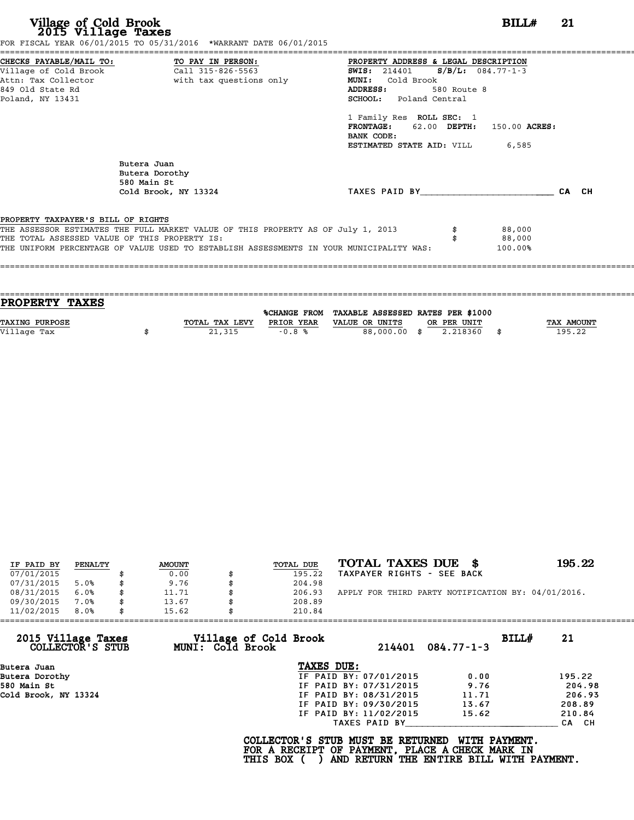| CHECKS PAYABLE/MAIL TO: TO PAY IN PERSON:<br>PROPERTY ADDRESS & LEGAL DESCRIPTION<br><b>SWIS:</b> 214401 <b>S/B/L:</b> 084.77-1-3<br>Attn: Tax Collector and with tax questions only<br><b>MUNI:</b><br>Cold Brook<br>580 Route 8<br>ADDRESS:<br><b>SCHOOL:</b> Poland Central<br>1 Family Res ROLL SEC: 1<br>FRONTAGE: 62.00 DEPTH: 150.00 ACRES:<br>BANK CODE:<br><b>ESTIMATED STATE AID:</b> VILL 6,585<br>Butera Juan<br>Butera Dorothy<br>580 Main St<br>CA CH<br>TAXES PAID BY<br>Cold Brook, NY 13324<br>88,000<br>88,000<br>100.00% |                                      | FOR FISCAL YEAR 06/01/2015 TO 05/31/2016 *WARRANT DATE 06/01/2015 |  |  |
|---------------------------------------------------------------------------------------------------------------------------------------------------------------------------------------------------------------------------------------------------------------------------------------------------------------------------------------------------------------------------------------------------------------------------------------------------------------------------------------------------------------------------------------------|--------------------------------------|-------------------------------------------------------------------|--|--|
|                                                                                                                                                                                                                                                                                                                                                                                                                                                                                                                                             | 849 Old State Rd<br>Poland, NY 13431 |                                                                   |  |  |
| PROPERTY TAXPAYER'S BILL OF RIGHTS<br>THE ASSESSOR ESTIMATES THE FULL MARKET VALUE OF THIS PROPERTY AS OF July 1, 2013<br>THE TOTAL ASSESSED VALUE OF THIS PROPERTY IS:<br>THE UNIFORM PERCENTAGE OF VALUE USED TO ESTABLISH ASSESSMENTS IN YOUR MUNICIPALITY WAS:                                                                                                                                                                                                                                                                          |                                      |                                                                   |  |  |
|                                                                                                                                                                                                                                                                                                                                                                                                                                                                                                                                             |                                      |                                                                   |  |  |
|                                                                                                                                                                                                                                                                                                                                                                                                                                                                                                                                             |                                      |                                                                   |  |  |

| <b>PROPERTY TAXES</b> |                |            |                                                |             |                   |
|-----------------------|----------------|------------|------------------------------------------------|-------------|-------------------|
|                       |                |            |                                                |             |                   |
|                       |                |            | %CHANGE FROM TAXABLE ASSESSED RATES PER \$1000 |             |                   |
| TAXING PURPOSE        | TOTAL TAX LEVY | PRIOR YEAR | VALUE OR UNITS                                 | OR PER UNIT | <b>TAX AMOUNT</b> |
| Village Tax           | 21,315         | $-0.8%$    | 88,000,00 \$                                   | 2.218360    | 195.22            |
|                       |                |            |                                                |             |                   |
|                       |                |            |                                                |             |                   |

|            |         |               |           | TOTAL TAXES DUE<br>- 86                            | 195.22 |
|------------|---------|---------------|-----------|----------------------------------------------------|--------|
| IF PAID BY | PENALTY | <b>AMOUNT</b> | TOTAL DUE |                                                    |        |
| 07/01/2015 |         | 0.00          | 195.22    | TAXPAYER RIGHTS - SEE BACK                         |        |
| 07/31/2015 | 5.0%    | 9.76          | 204.98    |                                                    |        |
| 08/31/2015 | 6.0%    | 11.71         | 206.93    | APPLY FOR THIRD PARTY NOTIFICATION BY: 04/01/2016. |        |
| 09/30/2015 | 7.0%    | 13.67         | 208.89    |                                                    |        |
| 11/02/2015 | 8.0%    | 15.62         | 210.84    |                                                    |        |

| 11/02/2015<br>8.0%                     | 15.62 |                         | 210.84                |                                                                                                                                  |                  |       |        |
|----------------------------------------|-------|-------------------------|-----------------------|----------------------------------------------------------------------------------------------------------------------------------|------------------|-------|--------|
| 2015 Village Taxes<br>COLLECTOR'S STUB |       | <b>MUNI: Cold Brook</b> | Village of Cold Brook | 214401                                                                                                                           | $084.77 - 1 - 3$ | BILL# | 21     |
| Butera Juan                            |       |                         |                       | TAXES DUE:                                                                                                                       |                  |       |        |
| Butera Dorothy                         |       |                         |                       | IF PAID BY: 07/01/2015                                                                                                           | 0.00             |       | 195.22 |
| 580 Main St                            |       |                         |                       | IF PAID BY: 07/31/2015                                                                                                           | 9.76             |       | 204.98 |
| Cold Brook, NY 13324                   |       |                         |                       | IF PAID BY: 08/31/2015                                                                                                           | 11.71            |       | 206.93 |
|                                        |       |                         |                       | IF PAID BY: 09/30/2015                                                                                                           | 13.67            |       | 208.89 |
|                                        |       |                         |                       | IF PAID BY: 11/02/2015                                                                                                           | 15.62            |       | 210.84 |
|                                        |       |                         |                       | TAXES PAID BY                                                                                                                    |                  |       | CA CH  |
|                                        |       |                         | THIS BOX (            | COLLECTOR'S STUB MUST BE RETURNED<br>FOR A RECEIPT OF PAYMENT, PLACE A CHECK MARK IN<br>AND RETURN THE ENTIRE BILL WITH PAYMENT. | WITH PAYMENT.    |       |        |
|                                        |       |                         |                       |                                                                                                                                  |                  |       |        |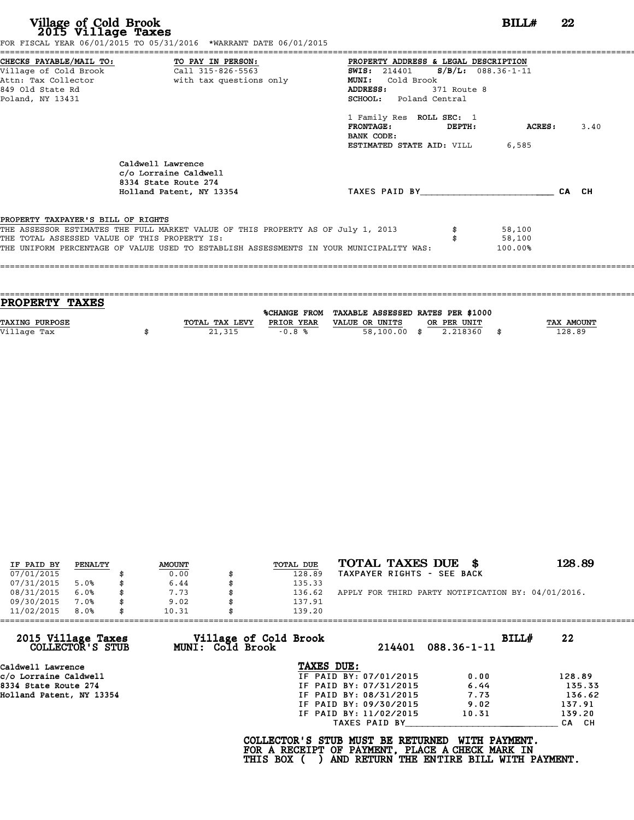| Village of Cold Brook<br>2015 Village Taxes                 | FOR FISCAL YEAR 06/01/2015 TO 05/31/2016 *WARRANT DATE 06/01/2015                                                                                                                                                            | BILL#                                                                                                                                                                                                                                                               |         | 22    |
|-------------------------------------------------------------|------------------------------------------------------------------------------------------------------------------------------------------------------------------------------------------------------------------------------|---------------------------------------------------------------------------------------------------------------------------------------------------------------------------------------------------------------------------------------------------------------------|---------|-------|
| Attn: Tax Collector<br>849 Old State Rd<br>Poland, NY 13431 | CHECKS PAYABLE/MAIL TO: TO PAY IN PERSON:<br>Village of Cold Brook Call 315-826-5563<br>with tax questions only                                                                                                              | PROPERTY ADDRESS & LEGAL DESCRIPTION<br>SWIS: 214401 S/B/L: 088.36-1-11<br>MUNI: Cold Brook<br>371 Route 8<br>ADDRESS:<br>SCHOOL: Poland Central<br>1 Family Res ROLL SEC: 1<br><b>FRONTAGE :</b><br>DEPTH:<br>BANK CODE:<br><b>ESTIMATED STATE AID:</b> VILL 6,585 | ACRES : | 3.40  |
|                                                             | Caldwell Lawrence<br>c/o Lorraine Caldwell<br>8334 State Route 274<br>Holland Patent, NY 13354                                                                                                                               | TAXES PAID BY TAXES PAID BY                                                                                                                                                                                                                                         |         | CA CH |
| PROPERTY TAXPAYER'S BILL OF RIGHTS                          | THE ASSESSOR ESTIMATES THE FULL MARKET VALUE OF THIS PROPERTY AS OF July 1, 2013<br>THE TOTAL ASSESSED VALUE OF THIS PROPERTY IS:<br>THE UNIFORM PERCENTAGE OF VALUE USED TO ESTABLISH ASSESSMENTS IN YOUR MUNICIPALITY WAS: | 58,100<br>58,100<br>100.00%                                                                                                                                                                                                                                         |         |       |

| PROPERTY TAXES        |                |            |                                                |             |                   |
|-----------------------|----------------|------------|------------------------------------------------|-------------|-------------------|
|                       |                |            | %CHANGE FROM TAXABLE ASSESSED RATES PER \$1000 |             |                   |
| <b>TAXING PURPOSE</b> | TOTAL TAX LEVY | PRIOR YEAR | VALUE OR UNITS                                 | OR PER UNIT | <b>TAX AMOUNT</b> |
|                       |                |            |                                                |             | 128.89            |
| Village Tax           | 21,315         | $-0.8%$    | 58,100.00 \$                                   | 2.218360    |                   |
|                       |                |            |                                                |             |                   |

| IF PAID BY | PENALTY | <b>AMOUNT</b> | TOTAL DUE | TOTAL TAXES DUE \$                                 | 128.89 |
|------------|---------|---------------|-----------|----------------------------------------------------|--------|
| 07/01/2015 |         | 0.00          | 128.89    | TAXPAYER RIGHTS - SEE BACK                         |        |
| 07/31/2015 | 5.0%    | 6.44          | 135.33    |                                                    |        |
| 08/31/2015 | 6.0%    | 7.73          | 136.62    | APPLY FOR THIRD PARTY NOTIFICATION BY: 04/01/2016. |        |
| 09/30/2015 | 7.0%    | 9.02          | 137.91    |                                                    |        |
| 11/02/2015 | 8.0%    | 10.31         | 139.20    |                                                    |        |

| 11/02/2015<br>8.0%                     | 10.31                   | 139.20                                                                                             |        |                                                           |             |  |
|----------------------------------------|-------------------------|----------------------------------------------------------------------------------------------------|--------|-----------------------------------------------------------|-------------|--|
| 2015 Village Taxes<br>COLLECTOR'S STUB | <b>MUNI: Cold Brook</b> | Village of Cold Brook                                                                              | 214401 | $088.36 - 1 - 11$                                         | BILLH<br>22 |  |
| Caldwell Lawrence                      |                         | TAXES DUE:                                                                                         |        |                                                           |             |  |
| c/o Lorraine Caldwell                  |                         | IF PAID BY: 07/01/2015                                                                             |        | 0.00                                                      | 128.89      |  |
| 8334 State Route 274                   |                         | IF PAID BY: 07/31/2015                                                                             |        | 6.44                                                      | 135.33      |  |
| Holland Patent, NY 13354               |                         | IF PAID BY: 08/31/2015                                                                             |        | 7.73                                                      | 136.62      |  |
|                                        |                         | IF PAID BY: 09/30/2015                                                                             |        | 9.02                                                      | 137.91      |  |
|                                        |                         | IF PAID BY: 11/02/2015                                                                             |        | 10.31                                                     | 139.20      |  |
|                                        |                         | TAXES PAID BY                                                                                      |        |                                                           | CA CH       |  |
|                                        |                         | COLLECTOR'S STUB MUST BE RETURNED<br>FOR A RECEIPT OF PAYMENT, PLACE A CHECK MARK IN<br>THIS BOX ( |        | WITH PAYMENT.<br>AND RETURN THE ENTIRE BILL WITH PAYMENT. |             |  |
|                                        |                         |                                                                                                    |        |                                                           |             |  |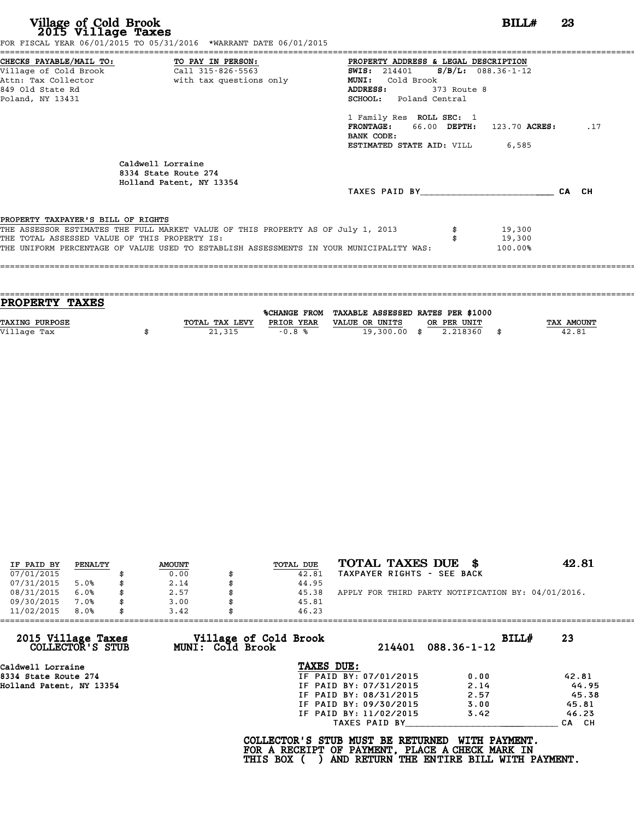| CHECKS PAYABLE/MAIL TO: TO PAY IN PERSON:<br>PROPERTY ADDRESS & LEGAL DESCRIPTION<br><b>SWIS:</b> 214401 <b>S/B/L:</b> 088.36-1-12<br>Attn: Tax Collector and the with tax questions only<br>MUNI: Cold Brook<br>ADDRESS:<br>373 Route 8<br>SCHOOL: Poland Central<br>1 Family Res ROLL SEC: 1<br>FRONTAGE: 66.00 DEPTH: 123.70 ACRES:<br>BANK CODE:<br><b>ESTIMATED STATE AID:</b> VILL 6,585<br>Caldwell Lorraine<br>8334 State Route 274<br>Holland Patent, NY 13354<br>TAXES PAID BY CA CH<br>PROPERTY TAXPAYER'S BILL OF RIGHTS<br>THE ASSESSOR ESTIMATES THE FULL MARKET VALUE OF THIS PROPERTY AS OF July 1, 2013<br>19,300<br>19,300<br>THE TOTAL ASSESSED VALUE OF THIS PROPERTY IS:<br>THE UNIFORM PERCENTAGE OF VALUE USED TO ESTABLISH ASSESSMENTS IN YOUR MUNICIPALITY WAS:<br>100.00% |                  | FOR FISCAL YEAR 06/01/2015 TO 05/31/2016 *WARRANT DATE 06/01/2015 |  |     |
|-----------------------------------------------------------------------------------------------------------------------------------------------------------------------------------------------------------------------------------------------------------------------------------------------------------------------------------------------------------------------------------------------------------------------------------------------------------------------------------------------------------------------------------------------------------------------------------------------------------------------------------------------------------------------------------------------------------------------------------------------------------------------------------------------------|------------------|-------------------------------------------------------------------|--|-----|
|                                                                                                                                                                                                                                                                                                                                                                                                                                                                                                                                                                                                                                                                                                                                                                                                     |                  |                                                                   |  |     |
|                                                                                                                                                                                                                                                                                                                                                                                                                                                                                                                                                                                                                                                                                                                                                                                                     |                  |                                                                   |  |     |
|                                                                                                                                                                                                                                                                                                                                                                                                                                                                                                                                                                                                                                                                                                                                                                                                     |                  |                                                                   |  |     |
|                                                                                                                                                                                                                                                                                                                                                                                                                                                                                                                                                                                                                                                                                                                                                                                                     | 849 Old State Rd |                                                                   |  |     |
|                                                                                                                                                                                                                                                                                                                                                                                                                                                                                                                                                                                                                                                                                                                                                                                                     | Poland, NY 13431 |                                                                   |  |     |
|                                                                                                                                                                                                                                                                                                                                                                                                                                                                                                                                                                                                                                                                                                                                                                                                     |                  |                                                                   |  |     |
|                                                                                                                                                                                                                                                                                                                                                                                                                                                                                                                                                                                                                                                                                                                                                                                                     |                  |                                                                   |  | .17 |
|                                                                                                                                                                                                                                                                                                                                                                                                                                                                                                                                                                                                                                                                                                                                                                                                     |                  |                                                                   |  |     |
|                                                                                                                                                                                                                                                                                                                                                                                                                                                                                                                                                                                                                                                                                                                                                                                                     |                  |                                                                   |  |     |
|                                                                                                                                                                                                                                                                                                                                                                                                                                                                                                                                                                                                                                                                                                                                                                                                     |                  |                                                                   |  |     |
|                                                                                                                                                                                                                                                                                                                                                                                                                                                                                                                                                                                                                                                                                                                                                                                                     |                  |                                                                   |  |     |
|                                                                                                                                                                                                                                                                                                                                                                                                                                                                                                                                                                                                                                                                                                                                                                                                     |                  |                                                                   |  |     |
|                                                                                                                                                                                                                                                                                                                                                                                                                                                                                                                                                                                                                                                                                                                                                                                                     |                  |                                                                   |  |     |
|                                                                                                                                                                                                                                                                                                                                                                                                                                                                                                                                                                                                                                                                                                                                                                                                     |                  |                                                                   |  |     |
|                                                                                                                                                                                                                                                                                                                                                                                                                                                                                                                                                                                                                                                                                                                                                                                                     |                  |                                                                   |  |     |
|                                                                                                                                                                                                                                                                                                                                                                                                                                                                                                                                                                                                                                                                                                                                                                                                     |                  |                                                                   |  |     |
|                                                                                                                                                                                                                                                                                                                                                                                                                                                                                                                                                                                                                                                                                                                                                                                                     |                  |                                                                   |  |     |

| PROPERTY TAXES        |                |            |                                                |             |            |
|-----------------------|----------------|------------|------------------------------------------------|-------------|------------|
|                       |                |            | %CHANGE FROM TAXABLE ASSESSED RATES PER \$1000 |             |            |
| <b>TAXING PURPOSE</b> | TOTAL TAX LEVY | PRIOR YEAR | VALUE OR UNITS                                 | OR PER UNIT | TAX AMOUNT |
| Village Tax           | 21,315         | $-0.8%$    | 19,300.00 \$                                   | 2.218360    | 42.81      |
|                       |                |            |                                                |             |            |

| IF PAID BY | PENALTY | <b>AMOUNT</b> | TOTAL DUE | TOTAL TAXES DUE \$                                 | 42.81 |
|------------|---------|---------------|-----------|----------------------------------------------------|-------|
| 07/01/2015 |         | 0.00          | 42.81     | TAXPAYER RIGHTS - SEE BACK                         |       |
| 07/31/2015 | 5.0%    | 2.14          | 44.95     |                                                    |       |
| 08/31/2015 | 6.0%    | 2.57          | 45.38     | APPLY FOR THIRD PARTY NOTIFICATION BY: 04/01/2016. |       |
| 09/30/2015 | $7.0\%$ | 3.00          | 45.81     |                                                    |       |
| 11/02/2015 | 8.0%    | 3.42          | 46.23     |                                                    |       |

| Village of Cold Brook             | BILLH             | 23                                                                                  |
|-----------------------------------|-------------------|-------------------------------------------------------------------------------------|
| <b>MUNI: Cold Brook</b><br>214401 | $088.36 - 1 - 12$ |                                                                                     |
| TAXES DUE:                        |                   |                                                                                     |
| IF PAID BY: 07/01/2015            | 0.00              | 42.81                                                                               |
|                                   | 2.14              | 44.95                                                                               |
| IF PAID BY: 08/31/2015            | 2.57              | 45.38                                                                               |
| IF PAID BY: 09/30/2015            | 3.00              | 45.81                                                                               |
| IF PAID BY: 11/02/2015            | 3.42              | 46.23                                                                               |
| TAXES PAID BY                     |                   | CA CH                                                                               |
|                                   |                   | IF PAID BY: 07/31/2015<br>COLLECTOR'S STUB MUST BE RETURNED<br><b>WITH PAYMENT.</b> |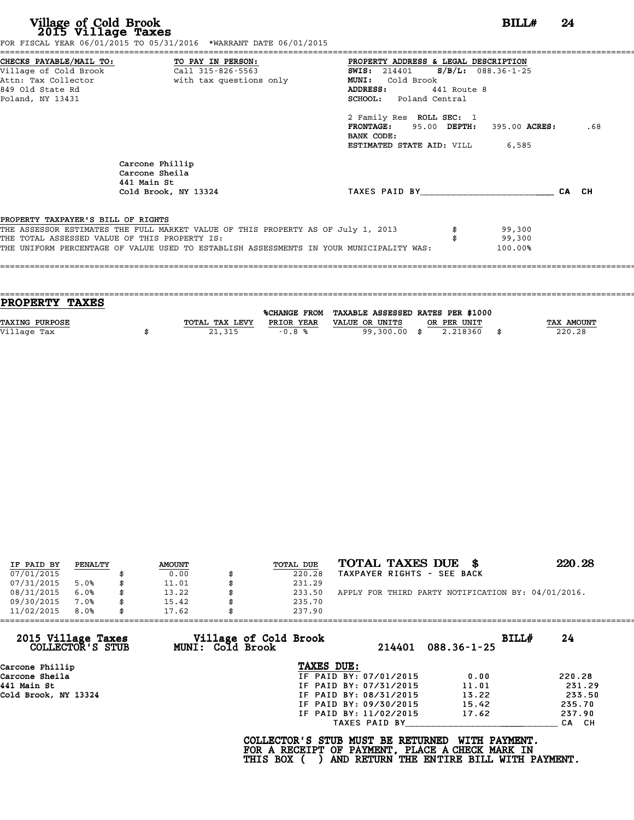|                                    | FOR FISCAL YEAR 06/01/2015 TO 05/31/2016 *WARRANT DATE 06/01/2015                       |                                               |             |                   |     |
|------------------------------------|-----------------------------------------------------------------------------------------|-----------------------------------------------|-------------|-------------------|-----|
|                                    |                                                                                         | PROPERTY ADDRESS & LEGAL DESCRIPTION          |             |                   |     |
|                                    |                                                                                         | <b>SWIS:</b> 214401 <b>S/B/L:</b> 088.36-1-25 |             |                   |     |
|                                    | Attn: Tax Collector The South With tax questions only                                   | MUNI: Cold Brook                              |             |                   |     |
| 849 Old State Rd                   |                                                                                         | <b>ADDRESS:</b>                               | 441 Route 8 |                   |     |
| Poland, NY 13431                   |                                                                                         | SCHOOL: Poland Central                        |             |                   |     |
|                                    |                                                                                         | 2 Family Res ROLL SEC: 1                      |             |                   |     |
|                                    |                                                                                         | FRONTAGE: 95.00 DEPTH: 395.00 ACRES:          |             |                   | .68 |
|                                    |                                                                                         | BANK CODE:                                    |             |                   |     |
|                                    |                                                                                         | <b>ESTIMATED STATE AID:</b> VILL 6,585        |             |                   |     |
|                                    | Carcone Phillip<br>Carcone Sheila<br>441 Main St                                        |                                               |             |                   |     |
|                                    | Cold Brook, NY 13324                                                                    | TAXES PAID BY CA CH                           |             |                   |     |
|                                    |                                                                                         |                                               |             |                   |     |
| PROPERTY TAXPAYER'S BILL OF RIGHTS |                                                                                         |                                               |             |                   |     |
|                                    | THE ASSESSOR ESTIMATES THE FULL MARKET VALUE OF THIS PROPERTY AS OF July 1, 2013        |                                               |             | 99,300            |     |
|                                    | THE TOTAL ASSESSED VALUE OF THIS PROPERTY IS:                                           |                                               |             | 99,300<br>100.00% |     |
|                                    | THE UNIFORM PERCENTAGE OF VALUE USED TO ESTABLISH ASSESSMENTS IN YOUR MUNICIPALITY WAS: |                                               |             |                   |     |

| <b>PROPERTY TAXES</b> |                |            |                                                |              |
|-----------------------|----------------|------------|------------------------------------------------|--------------|
|                       |                |            | %CHANGE FROM TAXABLE ASSESSED RATES PER \$1000 |              |
| <b>TAXING PURPOSE</b> | TOTAL TAX LEVY | PRIOR YEAR | VALUE OR UNITS<br>OR PER UNIT                  | TAX AMOUNT   |
| Village Tax           | 21,315         | $-0.8%$    | 2.218360<br>99,300.00<br>- \$                  | \$<br>220.28 |
|                       |                |            |                                                |              |
|                       |                |            |                                                |              |

| IF PAID BY | PENALTY | <b>AMOUNT</b> | TOTAL DUE | TOTAL TAXES DUE \$                                 | 220.28 |
|------------|---------|---------------|-----------|----------------------------------------------------|--------|
| 07/01/2015 |         | 0.00          | 220.28    | TAXPAYER RIGHTS - SEE BACK                         |        |
| 07/31/2015 | 5.0%    | 11.01         | 231.29    |                                                    |        |
| 08/31/2015 | 6.0%    | 13.22         | 233.50    | APPLY FOR THIRD PARTY NOTIFICATION BY: 04/01/2016. |        |
| 09/30/2015 | 7.0%    | 15.42         | 235.70    |                                                    |        |
| 11/02/2015 | 8.0%    | 17.62         | 237.90    |                                                    |        |

| 11/02/2015                             | 8.0% | 17.62 |                  | 237.90                                                                                             |                        |                                                           |       |        |
|----------------------------------------|------|-------|------------------|----------------------------------------------------------------------------------------------------|------------------------|-----------------------------------------------------------|-------|--------|
| 2015 Village Taxes<br>COLLECTOR'S STUB |      |       | MUNI: Cold Brook | Village of Cold Brook                                                                              | 214401                 | $088.36 - 1 - 25$                                         | BILLH | 24     |
| Carcone Phillip                        |      |       |                  | TAXES DUE:                                                                                         |                        |                                                           |       |        |
| Carcone Sheila                         |      |       |                  |                                                                                                    | IF PAID BY: 07/01/2015 | 0.00                                                      |       | 220.28 |
| 441 Main St                            |      |       |                  |                                                                                                    | IF PAID BY: 07/31/2015 | 11.01                                                     |       | 231.29 |
| Cold Brook, NY 13324                   |      |       |                  |                                                                                                    | IF PAID BY: 08/31/2015 | 13.22                                                     |       | 233.50 |
|                                        |      |       |                  |                                                                                                    | IF PAID BY: 09/30/2015 | 15.42                                                     |       | 235.70 |
|                                        |      |       |                  |                                                                                                    | IF PAID BY: 11/02/2015 | 17.62                                                     |       | 237.90 |
|                                        |      |       |                  |                                                                                                    | TAXES PAID BY          |                                                           |       | CA CH  |
|                                        |      |       |                  | COLLECTOR'S STUB MUST BE RETURNED<br>FOR A RECEIPT OF PAYMENT, PLACE A CHECK MARK IN<br>THIS BOX ( |                        | WITH PAYMENT.<br>AND RETURN THE ENTIRE BILL WITH PAYMENT. |       |        |
|                                        |      |       |                  |                                                                                                    |                        |                                                           |       |        |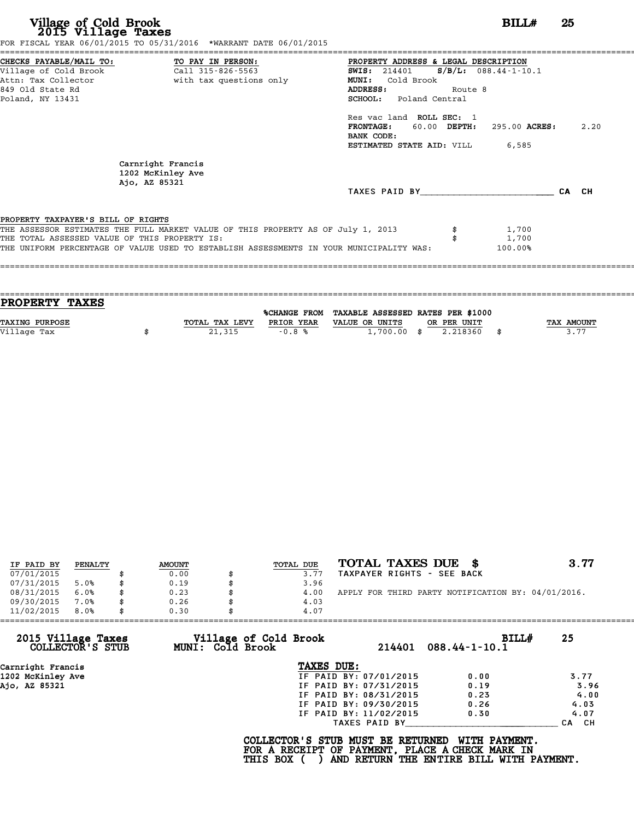| CHECKS PAYABLE/MAIL TO: TO PAY IN PERSON:<br>PROPERTY ADDRESS & LEGAL DESCRIPTION<br>$S/B/L$ : 088.44-1-10.1<br>SWIS: 214401<br>Attn: Tax Collector and with tax questions only<br><b>MUNI:</b><br>Cold Brook<br>ADDRESS:<br>Route 8<br>SCHOOL: Poland Central<br>Res vac land ROLL SEC: 1<br><b>FRONTAGE:</b><br>60.00 DEPTH:<br>295.00 ACRES:<br>BANK CODE:<br><b>ESTIMATED STATE AID:</b> VILL 6,585<br>Carnright Francis<br>1202 McKinley Ave<br>Ajo, AZ 85321<br>TAXES PAID BY<br>CA CH<br>PROPERTY TAXPAYER'S BILL OF RIGHTS<br>THE ASSESSOR ESTIMATES THE FULL MARKET VALUE OF THIS PROPERTY AS OF July 1, 2013<br>1,700<br>THE TOTAL ASSESSED VALUE OF THIS PROPERTY IS:<br>1,700<br>THE UNIFORM PERCENTAGE OF VALUE USED TO ESTABLISH ASSESSMENTS IN YOUR MUNICIPALITY WAS:<br>100.00% |                  | FOR FISCAL YEAR 06/01/2015 TO 05/31/2016 *WARRANT DATE 06/01/2015 |      |
|-------------------------------------------------------------------------------------------------------------------------------------------------------------------------------------------------------------------------------------------------------------------------------------------------------------------------------------------------------------------------------------------------------------------------------------------------------------------------------------------------------------------------------------------------------------------------------------------------------------------------------------------------------------------------------------------------------------------------------------------------------------------------------------------------|------------------|-------------------------------------------------------------------|------|
|                                                                                                                                                                                                                                                                                                                                                                                                                                                                                                                                                                                                                                                                                                                                                                                                 |                  |                                                                   |      |
|                                                                                                                                                                                                                                                                                                                                                                                                                                                                                                                                                                                                                                                                                                                                                                                                 |                  |                                                                   |      |
|                                                                                                                                                                                                                                                                                                                                                                                                                                                                                                                                                                                                                                                                                                                                                                                                 |                  |                                                                   |      |
|                                                                                                                                                                                                                                                                                                                                                                                                                                                                                                                                                                                                                                                                                                                                                                                                 | 849 Old State Rd |                                                                   |      |
|                                                                                                                                                                                                                                                                                                                                                                                                                                                                                                                                                                                                                                                                                                                                                                                                 | Poland, NY 13431 |                                                                   |      |
|                                                                                                                                                                                                                                                                                                                                                                                                                                                                                                                                                                                                                                                                                                                                                                                                 |                  |                                                                   |      |
|                                                                                                                                                                                                                                                                                                                                                                                                                                                                                                                                                                                                                                                                                                                                                                                                 |                  |                                                                   | 2.20 |
|                                                                                                                                                                                                                                                                                                                                                                                                                                                                                                                                                                                                                                                                                                                                                                                                 |                  |                                                                   |      |
|                                                                                                                                                                                                                                                                                                                                                                                                                                                                                                                                                                                                                                                                                                                                                                                                 |                  |                                                                   |      |
|                                                                                                                                                                                                                                                                                                                                                                                                                                                                                                                                                                                                                                                                                                                                                                                                 |                  |                                                                   |      |
|                                                                                                                                                                                                                                                                                                                                                                                                                                                                                                                                                                                                                                                                                                                                                                                                 |                  |                                                                   |      |
|                                                                                                                                                                                                                                                                                                                                                                                                                                                                                                                                                                                                                                                                                                                                                                                                 |                  |                                                                   |      |
|                                                                                                                                                                                                                                                                                                                                                                                                                                                                                                                                                                                                                                                                                                                                                                                                 |                  |                                                                   |      |
|                                                                                                                                                                                                                                                                                                                                                                                                                                                                                                                                                                                                                                                                                                                                                                                                 |                  |                                                                   |      |
|                                                                                                                                                                                                                                                                                                                                                                                                                                                                                                                                                                                                                                                                                                                                                                                                 |                  |                                                                   |      |
|                                                                                                                                                                                                                                                                                                                                                                                                                                                                                                                                                                                                                                                                                                                                                                                                 |                  |                                                                   |      |
|                                                                                                                                                                                                                                                                                                                                                                                                                                                                                                                                                                                                                                                                                                                                                                                                 |                  |                                                                   |      |

| PROPERTY TAXES        |                |            |                                                |             |            |
|-----------------------|----------------|------------|------------------------------------------------|-------------|------------|
|                       |                |            | %CHANGE FROM TAXABLE ASSESSED RATES PER \$1000 |             |            |
| <b>TAXING PURPOSE</b> | TOTAL TAX LEVY | PRIOR YEAR | VALUE OR UNITS                                 | OR PER UNIT | TAX AMOUNT |
| Village Tax           | 21,315         | $-0.8%$    | $1,700.00$ \$                                  | 2.218360    | 3.77       |
|                       |                |            |                                                |             |            |

|            |         |               |           | TOTAL TAXES DUE \$                                 | 3.77 |
|------------|---------|---------------|-----------|----------------------------------------------------|------|
| IF PAID BY | PENALTY | <b>AMOUNT</b> | TOTAL DUE |                                                    |      |
| 07/01/2015 |         | 0.00          | 3.77      | TAXPAYER RIGHTS - SEE BACK                         |      |
| 07/31/2015 | 5.0%    | 0.19          | 3.96      |                                                    |      |
| 08/31/2015 | 6.0%    | \$<br>0.23    | 4.00      | APPLY FOR THIRD PARTY NOTIFICATION BY: 04/01/2016. |      |
| 09/30/2015 | 7.0%    | \$<br>0.26    | 4.03      |                                                    |      |
| 11/02/2015 | 8.0%    | \$<br>0.30    | 4.07      |                                                    |      |

|                                        | 0.30<br>4.07                              |                        |                              |       |
|----------------------------------------|-------------------------------------------|------------------------|------------------------------|-------|
| 2015 Village Taxes<br>COLLECTOR'S STUB | Village of Cold Brook<br>MUNI: Cold Brook | 214401                 | BILLH<br>$088.44 - 1 - 10.1$ | 25    |
| Carnright Francis                      | TAXES DUE:                                |                        |                              |       |
| 1202 McKinley Ave                      |                                           | IF PAID BY: 07/01/2015 | 0.00                         | 3.77  |
| Ajo, AZ 85321                          |                                           | IF PAID BY: 07/31/2015 | 0.19                         | 3.96  |
|                                        |                                           | IF PAID BY: 08/31/2015 | 0.23                         | 4.00  |
|                                        |                                           | IF PAID BY: 09/30/2015 | 0.26                         | 4.03  |
|                                        |                                           | IF PAID BY: 11/02/2015 | 0.30                         | 4.07  |
|                                        |                                           | TAXES PAID BY          |                              | CA CH |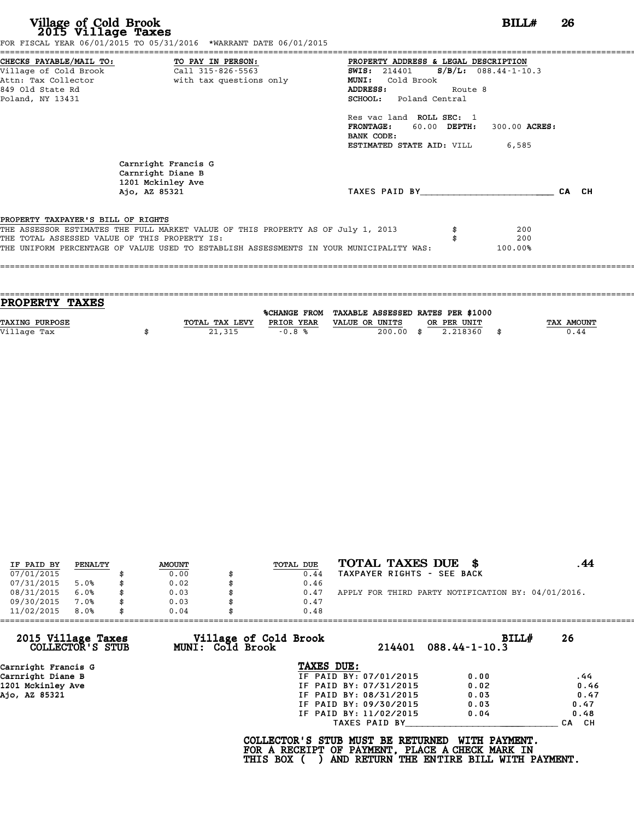|                                                               | BANK CODE:                                                                                                                                                 |                                                                                                                                         |                                                             |                                                                                                                                                                                                                     |
|---------------------------------------------------------------|------------------------------------------------------------------------------------------------------------------------------------------------------------|-----------------------------------------------------------------------------------------------------------------------------------------|-------------------------------------------------------------|---------------------------------------------------------------------------------------------------------------------------------------------------------------------------------------------------------------------|
|                                                               |                                                                                                                                                            |                                                                                                                                         |                                                             |                                                                                                                                                                                                                     |
| Carnright Francis G<br>Carnright Diane B<br>1201 Mckinley Ave |                                                                                                                                                            |                                                                                                                                         |                                                             |                                                                                                                                                                                                                     |
| Ajo, AZ 85321                                                 |                                                                                                                                                            |                                                                                                                                         |                                                             | CA CH                                                                                                                                                                                                               |
|                                                               |                                                                                                                                                            |                                                                                                                                         |                                                             |                                                                                                                                                                                                                     |
|                                                               |                                                                                                                                                            |                                                                                                                                         |                                                             |                                                                                                                                                                                                                     |
| THE TOTAL ASSESSED VALUE OF THIS PROPERTY IS:                 |                                                                                                                                                            |                                                                                                                                         | 200                                                         |                                                                                                                                                                                                                     |
|                                                               |                                                                                                                                                            |                                                                                                                                         |                                                             |                                                                                                                                                                                                                     |
|                                                               | CHECKS PAYABLE/MAIL TO: TO PAY IN PERSON:<br>Village of Cold Brook<br>with tax questions only<br>Attn: Tax Collector<br>PROPERTY TAXPAYER'S BILL OF RIGHTS | Call $315 - 826 - 5563$<br><b>MUNI:</b><br>ADDRESS:<br>THE ASSESSOR ESTIMATES THE FULL MARKET VALUE OF THIS PROPERTY AS OF July 1, 2013 | <b>SWIS:</b> 214401<br>Cold Brook<br>SCHOOL: Poland Central | PROPERTY ADDRESS & LEGAL DESCRIPTION<br>$S/B/L$ : 088.44-1-10.3<br>Route 8<br>Res vac land ROLL SEC: 1<br>FRONTAGE: 60.00 DEPTH:<br>300.00 ACRES:<br><b>ESTIMATED STATE AID:</b> VILL 6,585<br>TAXES PAID BY<br>200 |

| <b>PROPERTY TAXES</b> |                |            |                                                |     |             |                   |
|-----------------------|----------------|------------|------------------------------------------------|-----|-------------|-------------------|
|                       |                |            | %CHANGE FROM TAXABLE ASSESSED RATES PER \$1000 |     |             |                   |
| <b>TAXING PURPOSE</b> | TOTAL TAX LEVY | PRIOR YEAR | VALUE OR UNITS                                 |     | OR PER UNIT | <b>TAX AMOUNT</b> |
| Village Tax           | 21,315         | $-0.8%$    | 200.00                                         | -\$ | 2.218360    | 0.44              |
|                       |                |            |                                                |     |             |                   |
|                       |                |            |                                                |     |             |                   |

|            |         |               |           | TOTAL TAXES DUE \$                                 |  |
|------------|---------|---------------|-----------|----------------------------------------------------|--|
| IF PAID BY | PENALTY | <b>AMOUNT</b> | TOTAL DUE |                                                    |  |
| 07/01/2015 |         | 0.00          | 0.44      | TAXPAYER RIGHTS - SEE BACK                         |  |
| 07/31/2015 | 5.0%    | 0.02          | 0.46      |                                                    |  |
| 08/31/2015 | 6.0%    | \$<br>0.03    | 0.47      | APPLY FOR THIRD PARTY NOTIFICATION BY: 04/01/2016. |  |
| 09/30/2015 | 7.0%    | 0.03          | 0.47      |                                                    |  |
| 11/02/2015 | 8.0%    | \$<br>0.04    | 0.48      |                                                    |  |

| 11/02/2015<br>8.0%                     | 0.04<br>0.48                              |                        |                                    |
|----------------------------------------|-------------------------------------------|------------------------|------------------------------------|
| 2015 Village Taxes<br>COLLECTOR'S STUB | Village of Cold Brook<br>MUNI: Cold Brook | 214401                 | BILLH<br>26<br>$088.44 - 1 - 10.3$ |
| Carnright Francis G                    | TAXES DUE:                                |                        |                                    |
| Carnright Diane B                      |                                           | IF PAID BY: 07/01/2015 | 0.00<br>.44                        |
| 1201 Mckinley Ave                      |                                           | IF PAID BY: 07/31/2015 | 0.46<br>0.02                       |
| Ajo, AZ 85321                          |                                           | IF PAID BY: 08/31/2015 | 0.47<br>0.03                       |
|                                        |                                           | IF PAID BY: 09/30/2015 | 0.47<br>0.03                       |
|                                        |                                           | IF PAID BY: 11/02/2015 | 0.04<br>0.48                       |
|                                        |                                           | TAXES PAID BY          | CH.<br><b>CA</b>                   |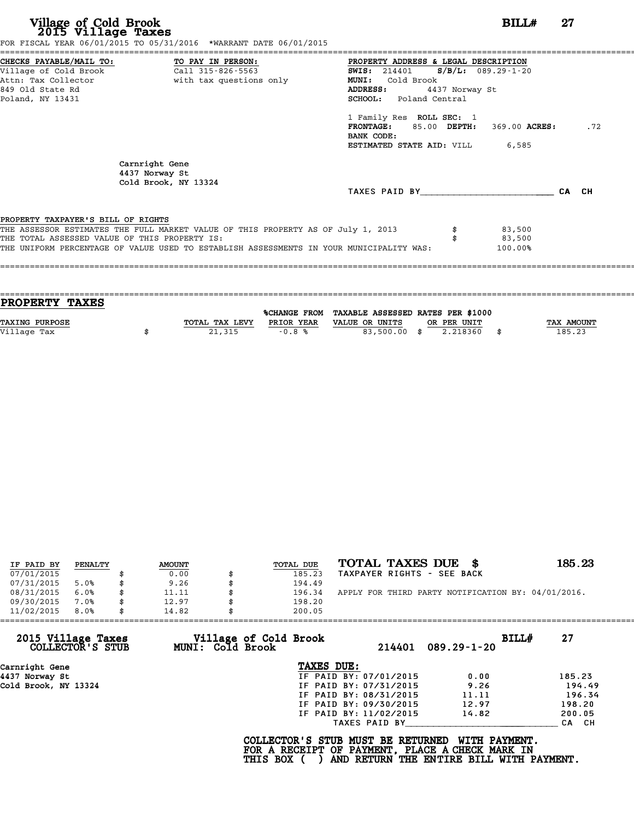|                                               | FOR FISCAL YEAR 06/01/2015 TO 05/31/2016 *WARRANT DATE 06/01/2015                       |                                               |     |
|-----------------------------------------------|-----------------------------------------------------------------------------------------|-----------------------------------------------|-----|
|                                               | CHECKS PAYABLE/MAIL TO: TO PAY IN PERSON:                                               | PROPERTY ADDRESS & LEGAL DESCRIPTION          |     |
|                                               | Village of Cold Brook Call 315-826-5563                                                 | <b>SWIS:</b> 214401 <b>S/B/L:</b> 089.29-1-20 |     |
|                                               |                                                                                         | MUNI: Cold Brook                              |     |
| 849 Old State Rd                              |                                                                                         | 4437 Norway St<br><b>ADDRESS:</b>             |     |
| Poland, NY 13431                              |                                                                                         | SCHOOL: Poland Central                        |     |
|                                               |                                                                                         | 1 Family Res ROLL SEC: 1                      |     |
|                                               |                                                                                         | FRONTAGE: 85.00 DEPTH: 369.00 ACRES:          | .72 |
|                                               |                                                                                         | BANK CODE:                                    |     |
|                                               |                                                                                         | <b>ESTIMATED STATE AID:</b> VILL 6,585        |     |
|                                               | Carnright Gene<br>4437 Norway St<br>Cold Brook, NY 13324                                |                                               |     |
|                                               |                                                                                         | TAXES PAID BY <b>CA</b> CH                    |     |
|                                               |                                                                                         |                                               |     |
| PROPERTY TAXPAYER'S BILL OF RIGHTS            |                                                                                         |                                               |     |
|                                               | THE ASSESSOR ESTIMATES THE FULL MARKET VALUE OF THIS PROPERTY AS OF July 1, 2013        | 83,500                                        |     |
| THE TOTAL ASSESSED VALUE OF THIS PROPERTY IS: |                                                                                         | 83,500                                        |     |
|                                               | THE UNIFORM PERCENTAGE OF VALUE USED TO ESTABLISH ASSESSMENTS IN YOUR MUNICIPALITY WAS: | 100.00%                                       |     |
|                                               |                                                                                         |                                               |     |
|                                               |                                                                                         |                                               |     |

| PROPERTY TAXES        |                |              |                                   |             |      |            |
|-----------------------|----------------|--------------|-----------------------------------|-------------|------|------------|
|                       |                |              |                                   |             |      |            |
|                       |                | %CHANGE FROM | TAXABLE ASSESSED RATES PER \$1000 |             |      |            |
| <b>TAXING PURPOSE</b> | TOTAL TAX LEVY | PRIOR YEAR   | VALUE OR UNITS                    | OR PER UNIT |      | TAX AMOUNT |
| Village Tax           | 21,315         | $-0.8%$      | 83,500.00 \$                      | 2.218360    | - \$ | 185.23     |
|                       |                |              |                                   |             |      |            |

| IF PAID BY | PENALTY |   | <b>AMOUNT</b> | TOTAL DUE | TOTAL TAXES DUE \$                                 | 185.23 |
|------------|---------|---|---------------|-----------|----------------------------------------------------|--------|
| 07/01/2015 |         |   | 0.00          | 185.23    | TAXPAYER RIGHTS - SEE BACK                         |        |
| 07/31/2015 | 5.0%    |   | 9.26          | 194.49    |                                                    |        |
| 08/31/2015 | 6.0%    |   | 11.11         | 196.34    | APPLY FOR THIRD PARTY NOTIFICATION BY: 04/01/2016. |        |
| 09/30/2015 | 7.0%    |   | 12.97         | 198.20    |                                                    |        |
| 11/02/2015 | 8.0%    | S | 14.82         | 200.05    |                                                    |        |

| 11/02/2015           | 8.0%             | 14.82 |                  | 200.05                                                                                             |                        |                                                           |       |        |
|----------------------|------------------|-------|------------------|----------------------------------------------------------------------------------------------------|------------------------|-----------------------------------------------------------|-------|--------|
| 2015 Village Taxes   | COLLECTOR'S STUB |       | MUNI: Cold Brook | Village of Cold Brook                                                                              | 214401                 | $089.29 - 1 - 20$                                         | BILL# | 27     |
| Carnright Gene       |                  |       |                  | TAXES DUE:                                                                                         |                        |                                                           |       |        |
| 4437 Norway St       |                  |       |                  |                                                                                                    | IF PAID BY: 07/01/2015 | 0.00                                                      |       | 185.23 |
| Cold Brook, NY 13324 |                  |       |                  |                                                                                                    | IF PAID BY: 07/31/2015 | 9.26                                                      |       | 194.49 |
|                      |                  |       |                  |                                                                                                    | IF PAID BY: 08/31/2015 | 11.11                                                     |       | 196.34 |
|                      |                  |       |                  |                                                                                                    | IF PAID BY: 09/30/2015 | 12.97                                                     |       | 198.20 |
|                      |                  |       |                  |                                                                                                    | IF PAID BY: 11/02/2015 | 14.82                                                     |       | 200.05 |
|                      |                  |       |                  |                                                                                                    | TAXES PAID BY          |                                                           |       | CA CH  |
|                      |                  |       |                  | COLLECTOR'S STUB MUST BE RETURNED<br>FOR A RECEIPT OF PAYMENT, PLACE A CHECK MARK IN<br>THIS BOX ( |                        | WITH PAYMENT.<br>AND RETURN THE ENTIRE BILL WITH PAYMENT. |       |        |
|                      |                  |       |                  |                                                                                                    |                        |                                                           |       |        |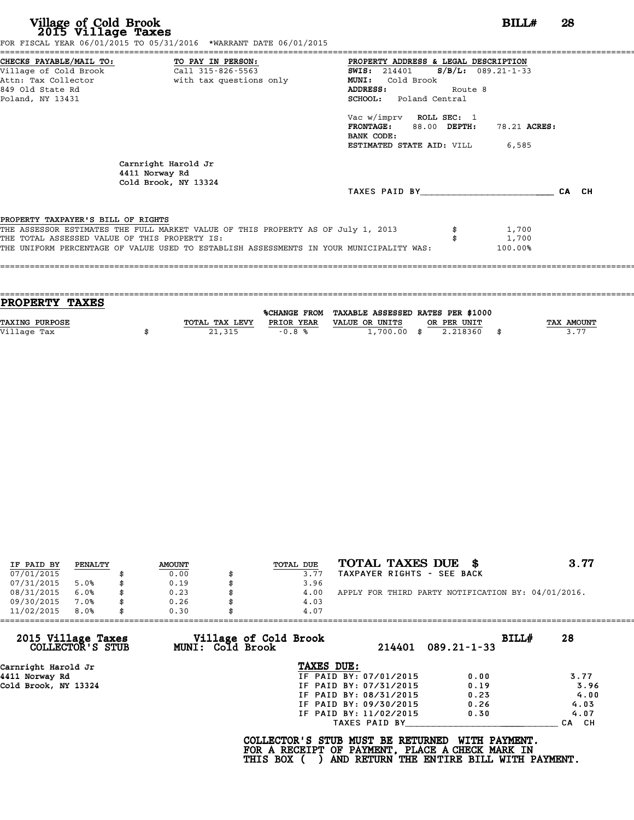| Village of Cold Brook<br>2015 Village Taxes   |                                                                                         |                                                                                                           |                       | BILL#        | 28    |
|-----------------------------------------------|-----------------------------------------------------------------------------------------|-----------------------------------------------------------------------------------------------------------|-----------------------|--------------|-------|
|                                               | FOR FISCAL YEAR 06/01/2015 TO 05/31/2016 *WARRANT DATE 06/01/2015                       |                                                                                                           |                       |              |       |
| CHECKS PAYABLE/MAIL TO: TO PAY IN PERSON:     |                                                                                         | PROPERTY ADDRESS & LEGAL DESCRIPTION                                                                      |                       |              |       |
| Village of Cold Brook                         | Call 315-826-5563                                                                       | <b>SWIS:</b> 214401                                                                                       | $S/B/L$ : 089.21-1-33 |              |       |
| Attn: Tax Collector<br>849 Old State Rd       | with tax questions only                                                                 | MUNI: Cold Brook<br>ADDRESS:                                                                              | Route 8               |              |       |
| Poland, NY 13431                              |                                                                                         | SCHOOL: Poland Central                                                                                    |                       |              |       |
|                                               |                                                                                         | Vac w/imprv ROLL SEC: 1<br>FRONTAGE: 88.00 DEPTH:<br>BANK CODE:<br><b>ESTIMATED STATE AID:</b> VILL 6,585 |                       | 78.21 ACRES: |       |
|                                               | Carnright Harold Jr<br>4411 Norway Rd<br>Cold Brook, NY 13324                           |                                                                                                           |                       |              |       |
|                                               |                                                                                         | TAXES PAID BY                                                                                             |                       |              | CA CH |
| PROPERTY TAXPAYER'S BILL OF RIGHTS            |                                                                                         |                                                                                                           |                       |              |       |
|                                               | THE ASSESSOR ESTIMATES THE FULL MARKET VALUE OF THIS PROPERTY AS OF July 1, 2013        |                                                                                                           |                       | 1,700        |       |
| THE TOTAL ASSESSED VALUE OF THIS PROPERTY IS: |                                                                                         |                                                                                                           |                       | 1,700        |       |
|                                               | THE UNIFORM PERCENTAGE OF VALUE USED TO ESTABLISH ASSESSMENTS IN YOUR MUNICIPALITY WAS: |                                                                                                           |                       | 100.00%      |       |

| PROPERTY TAXES        |                |            |                                                |             |                   |
|-----------------------|----------------|------------|------------------------------------------------|-------------|-------------------|
|                       |                |            | %CHANGE FROM TAXABLE ASSESSED RATES PER \$1000 |             |                   |
| <b>TAXING PURPOSE</b> | TOTAL TAX LEVY | PRIOR YEAR | VALUE OR UNITS                                 | OR PER UNIT | <b>TAX AMOUNT</b> |
| Village Tax           | 21,315         | $-0.8%$    | $1,700.00$ \$                                  | 2.218360    | 3.77              |
|                       |                |            |                                                |             |                   |

| IF PAID BY | PENALTY | <b>AMOUNT</b> | TOTAL DUE | TOTAL TAXES DUE \$                                 | 3.77 |
|------------|---------|---------------|-----------|----------------------------------------------------|------|
| 07/01/2015 |         | 0.00          | 3.77      | TAXPAYER RIGHTS - SEE BACK                         |      |
| 07/31/2015 | 5.0%    | \$<br>0.19    | 3.96      |                                                    |      |
| 08/31/2015 | 6.0%    | 0.23          | 4.00      | APPLY FOR THIRD PARTY NOTIFICATION BY: 04/01/2016. |      |
| 09/30/2015 | 7.0%    | \$<br>0.26    | 4.03      |                                                    |      |
| 11/02/2015 | 8.0%    | \$<br>0.30    | 4.07      |                                                    |      |

|                                        | 0.30                                      | 4.07                   |                   |             |
|----------------------------------------|-------------------------------------------|------------------------|-------------------|-------------|
| 2015 Village Taxes<br>COLLECTOR'S STUB | Village of Cold Brook<br>MUNI: Cold Brook | 214401                 | $089.21 - 1 - 33$ | BILL#<br>28 |
| Carnright Harold Jr                    |                                           | TAXES DUE:             |                   |             |
| 4411 Norway Rd                         |                                           | IF PAID BY: 07/01/2015 | 0.00              | 3.77        |
| Cold Brook, NY 13324                   |                                           | IF PAID BY: 07/31/2015 | 0.19              | 3.96        |
|                                        |                                           | IF PAID BY: 08/31/2015 | 0.23              | 4.00        |
|                                        |                                           | IF PAID BY: 09/30/2015 | 0.26              | 4.03        |
|                                        |                                           | IF PAID BY: 11/02/2015 | 0.30              | 4.07        |
|                                        |                                           | TAXES PAID BY          |                   | CA CH       |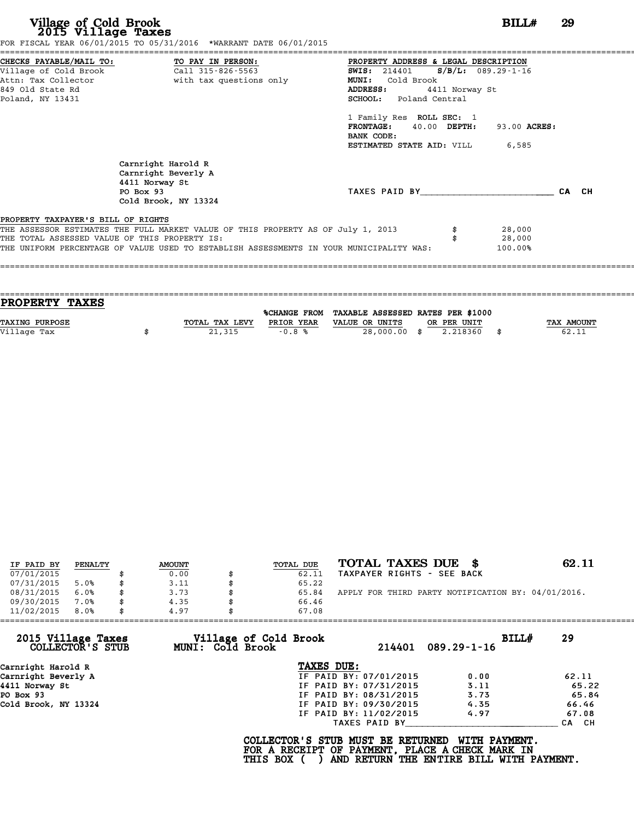| FOR FISCAL YEAR 06/01/2015 TO 05/31/2016 *WARRANT DATE 06/01/2015                       |                                                                                  |              |  |
|-----------------------------------------------------------------------------------------|----------------------------------------------------------------------------------|--------------|--|
| CHECKS PAYABLE/MAIL TO: TO PAY IN PERSON:                                               | PROPERTY ADDRESS & LEGAL DESCRIPTION                                             |              |  |
|                                                                                         | <b>SWIS:</b> 214401 <b>S/B/L:</b> 089.29-1-16                                    |              |  |
| Attn: Tax Collector <b>and South Contracts</b> with tax questions only                  | Cold Brook<br><b>MUNI:</b>                                                       |              |  |
| 849 Old State Rd                                                                        | ADDRESS:<br>4411 Norway St                                                       |              |  |
| Poland, NY 13431                                                                        | <b>SCHOOL:</b> Poland Central                                                    |              |  |
|                                                                                         | 1 Family Res ROLL SEC: 1                                                         |              |  |
|                                                                                         | FRONTAGE: 40.00 DEPTH:                                                           | 93.00 ACRES: |  |
|                                                                                         | BANK CODE:                                                                       |              |  |
|                                                                                         | <b>ESTIMATED STATE AID:</b> VILL 6,585                                           |              |  |
| Carnright Harold R<br>Carnright Beverly A                                               |                                                                                  |              |  |
| 4411 Norway St                                                                          |                                                                                  |              |  |
| PO Box 93<br>Cold Brook, NY 13324                                                       | TAXES PAID BY                                                                    | CA CH        |  |
| PROPERTY TAXPAYER'S BILL OF RIGHTS                                                      |                                                                                  |              |  |
|                                                                                         | THE ASSESSOR ESTIMATES THE FULL MARKET VALUE OF THIS PROPERTY AS OF July 1, 2013 | 28,000       |  |
| THE TOTAL ASSESSED VALUE OF THIS PROPERTY IS:                                           |                                                                                  | 28,000       |  |
| THE UNIFORM PERCENTAGE OF VALUE USED TO ESTABLISH ASSESSMENTS IN YOUR MUNICIPALITY WAS: |                                                                                  | 100.00%      |  |
|                                                                                         |                                                                                  |              |  |

| <b>PROPERTY TAXES</b> |                |            |                                                |             |                   |
|-----------------------|----------------|------------|------------------------------------------------|-------------|-------------------|
|                       |                |            |                                                |             |                   |
|                       |                |            | %CHANGE FROM TAXABLE ASSESSED RATES PER \$1000 |             |                   |
| <b>TAXING PURPOSE</b> | TOTAL TAX LEVY | PRIOR YEAR | VALUE OR UNITS                                 | OR PER UNIT | <b>TAX AMOUNT</b> |
| Village Tax           | 21,315         | $-0.8%$    | 28,000.00 \$                                   | 2.218360    | 62.11             |
|                       |                |            |                                                |             |                   |

| IF PAID BY | PENALTY |    | <b>AMOUNT</b> | TOTAL DUE | TOTAL TAXES DUE \$                                 | 62.11 |
|------------|---------|----|---------------|-----------|----------------------------------------------------|-------|
| 07/01/2015 |         |    | 0.00          | 62.11     | TAXPAYER RIGHTS - SEE BACK                         |       |
| 07/31/2015 | 5.0%    | S  | 3.11          | 65.22     |                                                    |       |
| 08/31/2015 | 6.0%    | \$ | 3.73          | 65.84     | APPLY FOR THIRD PARTY NOTIFICATION BY: 04/01/2016. |       |
| 09/30/2015 | 7.0%    | \$ | 4.35          | 66.46     |                                                    |       |
| 11/02/2015 | 8.0%    | \$ | 4.97          | 67.08     |                                                    |       |

| Village of Cold Brook  | BILLH            | 29                    |
|------------------------|------------------|-----------------------|
| TAXES DUE:             |                  |                       |
| IF PAID BY: 07/01/2015 | 0.00             | 62.11                 |
| IF PAID BY: 07/31/2015 | 3.11             | 65.22                 |
| IF PAID BY: 08/31/2015 | 3.73             | 65.84                 |
| IF PAID BY: 09/30/2015 | 4.35             | 66.46                 |
| IF PAID BY: 11/02/2015 | 4.97             | 67.08                 |
| TAXES PAID BY          |                  | CA CH                 |
|                        | MUNI: Cold Brook | 214401<br>089.29-1-16 |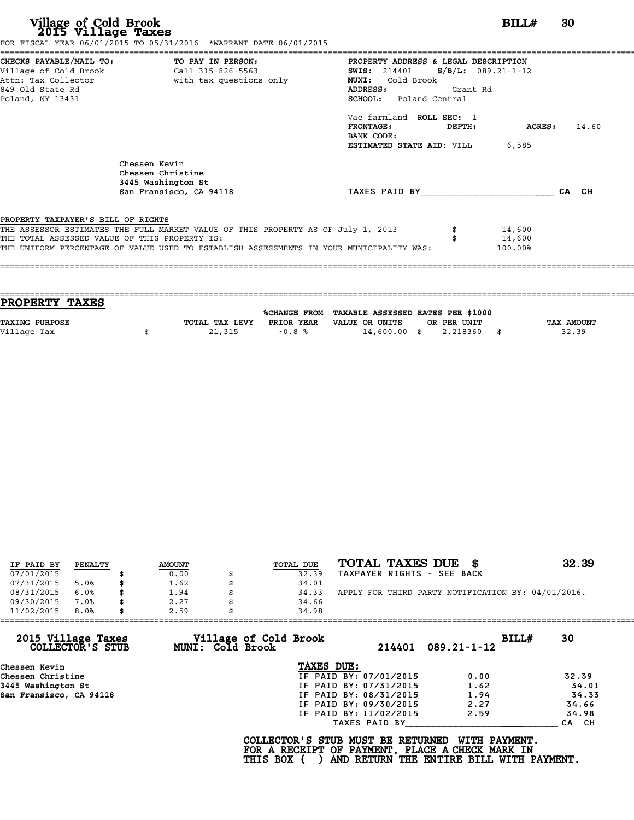| Village of Cold Brook<br>2015 Village Taxes                                                                | FOR FISCAL YEAR 06/01/2015 TO 05/31/2016 *WARRANT DATE 06/01/2015                                                                                                           |                                                                                                                                                                                                                                                                             | BILL#                          | -30   |
|------------------------------------------------------------------------------------------------------------|-----------------------------------------------------------------------------------------------------------------------------------------------------------------------------|-----------------------------------------------------------------------------------------------------------------------------------------------------------------------------------------------------------------------------------------------------------------------------|--------------------------------|-------|
| CHECKS PAYABLE/MAIL TO: TO PAY IN PERSON:<br>Village of Cold Brook<br>849 Old State Rd<br>Poland, NY 13431 | Call 315-826-5563<br>Attn: Tax Collector and the with tax questions only                                                                                                    | PROPERTY ADDRESS & LEGAL DESCRIPTION<br><b>SWIS:</b> 214401<br>Cold Brook<br><b>MUNI:</b><br><b>ADDRESS:</b><br>Grant Rd<br><b>SCHOOL:</b> Poland Central<br>Vac farmland ROLL SEC: 1<br><b>FRONTAGE:</b><br>DEPTH:<br>BANK CODE:<br><b>ESTIMATED STATE AID:</b> VILL 6,585 | $S/B/L: 089.21-1-12$<br>ACRES: | 14.60 |
|                                                                                                            | Chessen Kevin<br>Chessen Christine<br>3445 Washington St<br>San Fransisco, CA 94118                                                                                         | TAXES PAID BY CA CH                                                                                                                                                                                                                                                         |                                |       |
| PROPERTY TAXPAYER'S BILL OF RIGHTS<br>THE TOTAL ASSESSED VALUE OF THIS PROPERTY IS:                        | THE ASSESSOR ESTIMATES THE FULL MARKET VALUE OF THIS PROPERTY AS OF July 1, 2013<br>THE UNIFORM PERCENTAGE OF VALUE USED TO ESTABLISH ASSESSMENTS IN YOUR MUNICIPALITY WAS: |                                                                                                                                                                                                                                                                             | 14,600<br>14,600<br>100.00%    |       |

| PROPERTY TAXES        |                |            |                                                |             |                   |
|-----------------------|----------------|------------|------------------------------------------------|-------------|-------------------|
|                       |                |            | %CHANGE FROM TAXABLE ASSESSED RATES PER \$1000 |             |                   |
| <b>TAXING PURPOSE</b> | TOTAL TAX LEVY | PRIOR YEAR | VALUE OR UNITS                                 | OR PER UNIT | <b>TAX AMOUNT</b> |
| Village Tax           | 21,315         | $-0.8%$    | $14,600.00$ \$                                 | 2.218360    | 32.39             |
|                       |                |            |                                                |             |                   |

| IF PAID BY | PENALTY | <b>AMOUNT</b> | TOTAL DUE | TOTAL TAXES DUE \$                                 | 32.39 |
|------------|---------|---------------|-----------|----------------------------------------------------|-------|
| 07/01/2015 |         | 0.00          | 32.39     | TAXPAYER RIGHTS - SEE BACK                         |       |
| 07/31/2015 | 5.0%    | 1.62          | 34.01     |                                                    |       |
| 08/31/2015 | 6.0%    | \$<br>1.94    | 34.33     | APPLY FOR THIRD PARTY NOTIFICATION BY: 04/01/2016. |       |
| 09/30/2015 | 7.0%    | 2.27          | 34.66     |                                                    |       |
| 11/02/2015 | 8.0%    | \$<br>2.59    | 34.98     |                                                    |       |

| 11/02/2015<br>8.0%                     | 2.59<br>34.98                             |                        |                            |       |
|----------------------------------------|-------------------------------------------|------------------------|----------------------------|-------|
| 2015 Village Taxes<br>COLLECTOR'S STUB | Village of Cold Brook<br>MUNI: Cold Brook | 214401                 | BILLH<br>$089.21 - 1 - 12$ | 30    |
| Chessen Kevin                          | TAXES DUE:                                |                        |                            |       |
| Chessen Christine                      |                                           | IF PAID BY: 07/01/2015 | 0.00                       | 32.39 |
| 3445 Washington St                     |                                           | IF PAID BY: 07/31/2015 | 1.62                       | 34.01 |
| San Fransisco, CA 94118                |                                           | IF PAID BY: 08/31/2015 | 1.94                       | 34.33 |
|                                        |                                           | IF PAID BY: 09/30/2015 | 2.27                       | 34.66 |
|                                        |                                           | IF PAID BY: 11/02/2015 | 2.59                       | 34.98 |
|                                        |                                           | TAXES PAID BY          |                            | CA CH |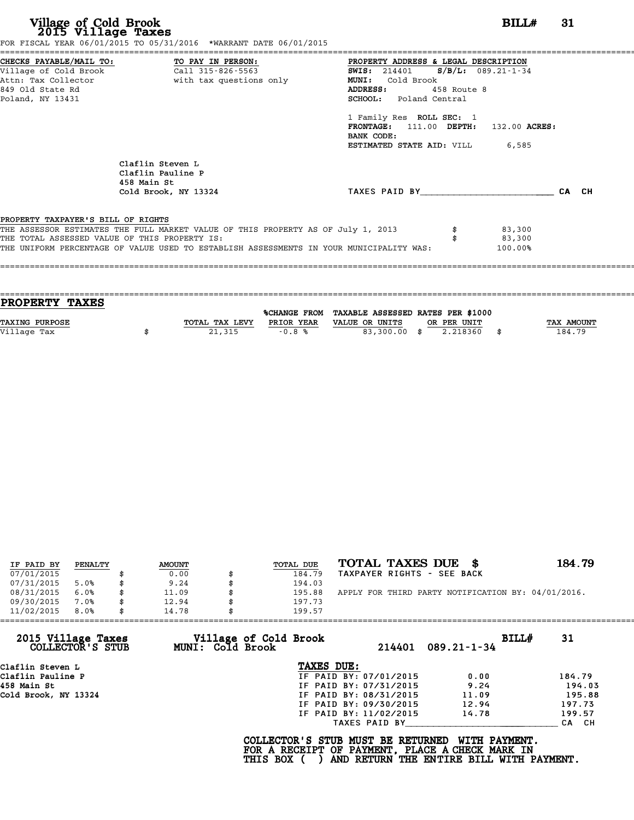|                                                                                     |                                                                                         | PROPERTY ADDRESS & LEGAL DESCRIPTION   |             |                   |       |
|-------------------------------------------------------------------------------------|-----------------------------------------------------------------------------------------|----------------------------------------|-------------|-------------------|-------|
|                                                                                     |                                                                                         | SWIS: 214401 S/B/L: 089.21-1-34        |             |                   |       |
|                                                                                     | Attn: Tax Collector and the with tax questions only                                     | MUNI: Cold Brook                       |             |                   |       |
| 849 Old State Rd                                                                    |                                                                                         | ADDRESS:                               | 458 Route 8 |                   |       |
| Poland, NY 13431                                                                    |                                                                                         | SCHOOL: Poland Central                 |             |                   |       |
|                                                                                     |                                                                                         | 1 Family Res ROLL SEC: 1               |             |                   |       |
|                                                                                     |                                                                                         | FRONTAGE: 111.00 DEPTH: 132.00 ACRES:  |             |                   |       |
|                                                                                     |                                                                                         | BANK CODE:                             |             |                   |       |
|                                                                                     |                                                                                         | <b>ESTIMATED STATE AID:</b> VILL 6,585 |             |                   |       |
|                                                                                     | Claflin Steven L                                                                        |                                        |             |                   |       |
|                                                                                     | Claflin Pauline P<br>458 Main St                                                        |                                        |             |                   |       |
|                                                                                     | Cold Brook, NY 13324                                                                    | TAXES PAID BY                          |             |                   | CA CH |
|                                                                                     |                                                                                         |                                        |             |                   |       |
|                                                                                     |                                                                                         |                                        |             |                   |       |
|                                                                                     | THE ASSESSOR ESTIMATES THE FULL MARKET VALUE OF THIS PROPERTY AS OF July 1, 2013        |                                        |             | \$3,300           |       |
| PROPERTY TAXPAYER'S BILL OF RIGHTS<br>THE TOTAL ASSESSED VALUE OF THIS PROPERTY IS: | THE UNIFORM PERCENTAGE OF VALUE USED TO ESTABLISH ASSESSMENTS IN YOUR MUNICIPALITY WAS: |                                        |             | 83,300<br>100.00% |       |

| PROPERTY TAXES        |                |                     |                                   |                |            |
|-----------------------|----------------|---------------------|-----------------------------------|----------------|------------|
|                       |                | <b>%CHANGE FROM</b> | TAXABLE ASSESSED RATES PER \$1000 |                |            |
| <b>TAXING PURPOSE</b> | TOTAL TAX LEVY | PRIOR YEAR          | VALUE OR UNITS                    | OR PER UNIT    | TAX AMOUNT |
| Village Tax           | 21,315         | $-0.8%$             | 83,300.00 \$                      | 2.218360<br>\$ | 184.79     |
|                       |                |                     |                                   |                |            |
|                       |                |                     |                                   |                |            |

| IF PAID BY | PENALTY | <b>AMOUNT</b> | TOTAL DUE | TOTAL TAXES DUE \$                                 | 184.79 |
|------------|---------|---------------|-----------|----------------------------------------------------|--------|
| 07/01/2015 |         | 0.00          | 184.79    | TAXPAYER RIGHTS - SEE BACK                         |        |
| 07/31/2015 | 5.0%    | 9.24          | 194.03    |                                                    |        |
| 08/31/2015 | 6.0%    | \$<br>11.09   | 195.88    | APPLY FOR THIRD PARTY NOTIFICATION BY: 04/01/2016. |        |
| 09/30/2015 | 7.0%    | \$<br>12.94   | 197.73    |                                                    |        |
| 11/02/2015 | 8.0%    | \$<br>14.78   | 199.57    |                                                    |        |

| 11/02/2015                             | 8.0% | 14.78 |                         | 199.57                                                                                                  |                        |                                                           |       |        |
|----------------------------------------|------|-------|-------------------------|---------------------------------------------------------------------------------------------------------|------------------------|-----------------------------------------------------------|-------|--------|
| 2015 Village Taxes<br>COLLECTOR'S STUB |      |       | <b>MUNI: Cold Brook</b> | Village of Cold Brook                                                                                   | 214401                 | $089.21 - 1 - 34$                                         | BILL# | 31     |
| Claflin Steven L                       |      |       |                         | TAXES DUE:                                                                                              |                        |                                                           |       |        |
| Claflin Pauline P                      |      |       |                         |                                                                                                         | IF PAID BY: 07/01/2015 | 0.00                                                      |       | 184.79 |
| 458 Main St                            |      |       |                         |                                                                                                         | IF PAID BY: 07/31/2015 | 9.24                                                      |       | 194.03 |
| Cold Brook, NY 13324                   |      |       |                         |                                                                                                         | IF PAID BY: 08/31/2015 | 11.09                                                     |       | 195.88 |
|                                        |      |       |                         |                                                                                                         | IF PAID BY: 09/30/2015 | 12.94                                                     |       | 197.73 |
|                                        |      |       |                         |                                                                                                         | IF PAID BY: 11/02/2015 | 14.78                                                     |       | 199.57 |
|                                        |      |       |                         |                                                                                                         | TAXES PAID BY          |                                                           |       | CA CH  |
|                                        |      |       |                         | COLLECTOR'S STUB MUST BE RETURNED<br>FOR A RECEIPT OF PAYMENT, PLACE A CHECK MARK IN<br><b>THIS BOX</b> |                        | WITH PAYMENT.<br>AND RETURN THE ENTIRE BILL WITH PAYMENT. |       |        |
|                                        |      |       |                         |                                                                                                         |                        |                                                           |       |        |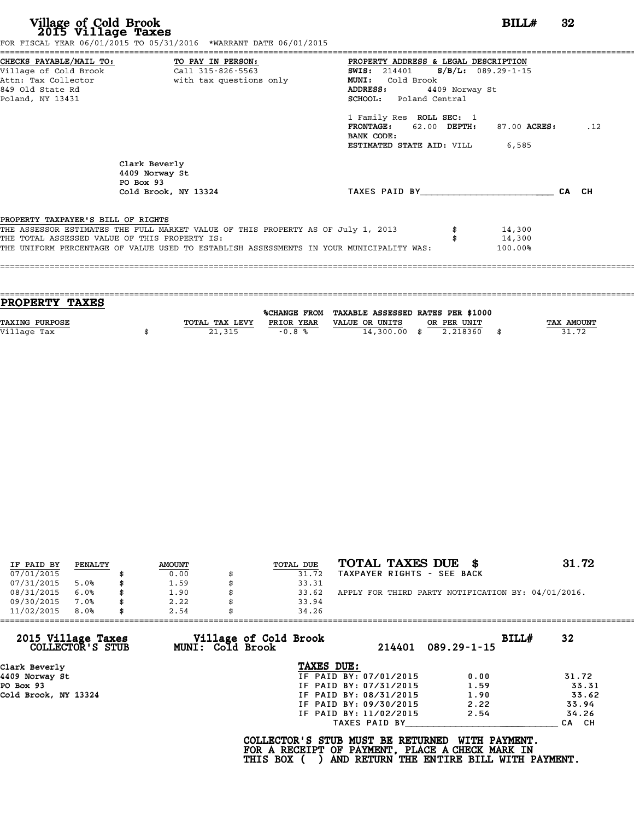|                                               | FOR FISCAL YEAR 06/01/2015 TO 05/31/2016 *WARRANT DATE 06/01/2015                       |                                               |              |       |
|-----------------------------------------------|-----------------------------------------------------------------------------------------|-----------------------------------------------|--------------|-------|
|                                               |                                                                                         | PROPERTY ADDRESS & LEGAL DESCRIPTION          |              |       |
|                                               |                                                                                         | <b>SWIS:</b> 214401 <b>S/B/L:</b> 089.29-1-15 |              |       |
|                                               | Attn: Tax Collector and with tax questions only                                         | MUNI: Cold Brook                              |              |       |
| 849 Old State Rd                              |                                                                                         | 4409 Norway St<br>ADDRESS:                    |              |       |
| Poland, NY 13431                              |                                                                                         | SCHOOL: Poland Central                        |              |       |
|                                               |                                                                                         | 1 Family Res ROLL SEC: 1                      |              |       |
|                                               |                                                                                         | FRONTAGE: 62.00 DEPTH:<br>BANK CODE:          | 87.00 ACRES: | .12   |
|                                               |                                                                                         | <b>ESTIMATED STATE AID:</b> VILL 6,585        |              |       |
|                                               | Clark Beverly<br>4409 Norway St<br>PO Box 93                                            |                                               |              |       |
|                                               | Cold Brook, NY 13324                                                                    | TAXES PAID BY                                 |              | CA CH |
| PROPERTY TAXPAYER'S BILL OF RIGHTS            |                                                                                         |                                               |              |       |
|                                               | THE ASSESSOR ESTIMATES THE FULL MARKET VALUE OF THIS PROPERTY AS OF July 1, 2013        |                                               | 14,300       |       |
| THE TOTAL ASSESSED VALUE OF THIS PROPERTY IS: |                                                                                         |                                               | 14,300       |       |
|                                               | THE UNIFORM PERCENTAGE OF VALUE USED TO ESTABLISH ASSESSMENTS IN YOUR MUNICIPALITY WAS: |                                               | 100.00%      |       |
|                                               |                                                                                         |                                               |              |       |
|                                               |                                                                                         |                                               |              |       |
|                                               |                                                                                         |                                               |              |       |

| <b>PROPERTY TAXES</b> |                |            |                                                |             |            |
|-----------------------|----------------|------------|------------------------------------------------|-------------|------------|
|                       |                |            | %CHANGE FROM TAXABLE ASSESSED RATES PER \$1000 |             |            |
|                       |                |            |                                                |             |            |
| <b>TAXING PURPOSE</b> | TOTAL TAX LEVY | PRIOR YEAR | VALUE OR UNITS                                 | OR PER UNIT | TAX AMOUNT |
| Village Tax           | 21,315         | $-0.8%$    | $14,300.00$ \$                                 | 2.218360    | 31.72      |
|                       |                |            |                                                |             |            |

| IF PAID BY | PENALTY | <b>AMOUNT</b> | TOTAL DUE | TOTAL TAXES DUE \$                                 | 31.72 |
|------------|---------|---------------|-----------|----------------------------------------------------|-------|
| 07/01/2015 |         | 0.00          | 31.72     | TAXPAYER RIGHTS - SEE BACK                         |       |
| 07/31/2015 | 5.0%    | 1.59          | 33.31     |                                                    |       |
| 08/31/2015 | 6.0%    | \$<br>1.90    | 33.62     | APPLY FOR THIRD PARTY NOTIFICATION BY: 04/01/2016. |       |
| 09/30/2015 | 7.0%    | \$<br>2.22    | 33.94     |                                                    |       |
| 11/02/2015 | 8.0%    | 2.54          | 34.26     |                                                    |       |

| 11/02/2015<br>8.0%                     | 2.54<br>34.26                             |                        |                            |       |
|----------------------------------------|-------------------------------------------|------------------------|----------------------------|-------|
| 2015 Village Taxes<br>COLLECTOR'S STUB | Village of Cold Brook<br>MUNI: Cold Brook | 214401                 | BILLH<br>$089.29 - 1 - 15$ | 32    |
| Clark Beverly                          | TAXES DUE:                                |                        |                            |       |
| 4409 Norway St                         |                                           | IF PAID BY: 07/01/2015 | 0.00                       | 31.72 |
| PO Box 93                              |                                           | IF PAID BY: 07/31/2015 | 1.59                       | 33.31 |
| Cold Brook, NY 13324                   |                                           | IF PAID BY: 08/31/2015 | 1.90                       | 33.62 |
|                                        |                                           | IF PAID BY: 09/30/2015 | 2.22                       | 33.94 |
|                                        |                                           | IF PAID BY: 11/02/2015 | 2.54                       | 34.26 |
|                                        |                                           | TAXES PAID BY          |                            | CA CH |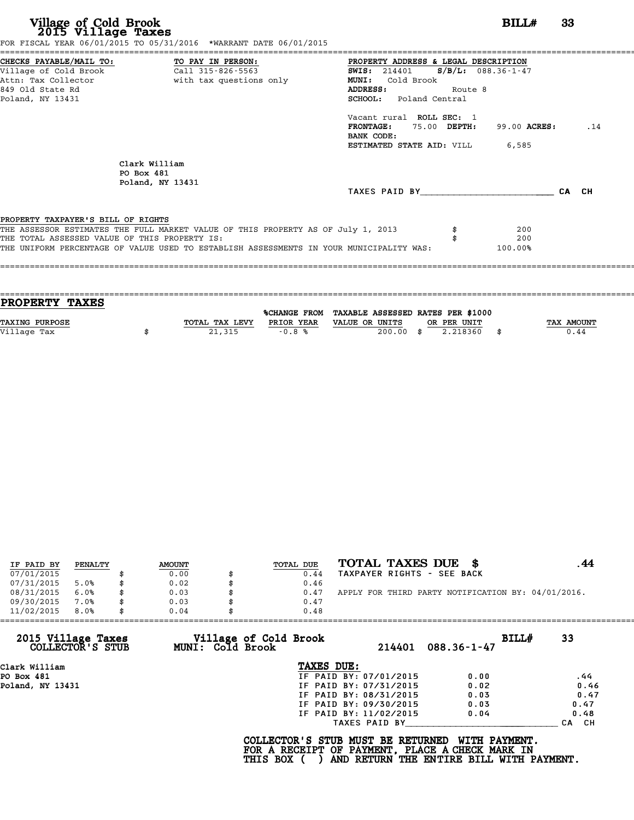| Village of Cold Brook<br>2015 Village Taxes<br>FOR FISCAL YEAR 06/01/2015 TO 05/31/2016 *WARRANT DATE 06/01/2015                                                                                                                                                   | BILL#                                                                                                                                                                                                                                 | 33    |     |
|--------------------------------------------------------------------------------------------------------------------------------------------------------------------------------------------------------------------------------------------------------------------|---------------------------------------------------------------------------------------------------------------------------------------------------------------------------------------------------------------------------------------|-------|-----|
| CHECKS PAYABLE/MAIL TO: TO PAY IN PERSON:<br>Village of Cold Brook<br>Call 315-826-5563<br>with tax questions only<br>Attn: Tax Collector<br>849 Old State Rd<br>Poland, NY 13431                                                                                  | PROPERTY ADDRESS & LEGAL DESCRIPTION<br><b>SWIS:</b> 214401<br>$S/B/L: 088.36-1-47$<br>MUNI: Cold Brook<br>ADDRESS:<br>Route 8<br><b>SCHOOL:</b> Poland Central<br>Vacant rural ROLL SEC: 1<br>FRONTAGE: 75.00 DEPTH:<br>99.00 ACRES: |       | .14 |
| Clark William<br>PO Box 481<br>Poland, NY 13431                                                                                                                                                                                                                    | BANK CODE:<br>ESTIMATED STATE AID: VILL<br>6,585<br>TAXES PAID BY                                                                                                                                                                     | CA CH |     |
| PROPERTY TAXPAYER'S BILL OF RIGHTS<br>THE ASSESSOR ESTIMATES THE FULL MARKET VALUE OF THIS PROPERTY AS OF July 1, 2013<br>THE TOTAL ASSESSED VALUE OF THIS PROPERTY IS:<br>THE UNIFORM PERCENTAGE OF VALUE USED TO ESTABLISH ASSESSMENTS IN YOUR MUNICIPALITY WAS: | 200<br>200<br>100.00%                                                                                                                                                                                                                 |       |     |

| PROPERTY TAXES        |                |            |                                                |             |            |
|-----------------------|----------------|------------|------------------------------------------------|-------------|------------|
|                       |                |            |                                                |             |            |
|                       |                |            | %CHANGE FROM TAXABLE ASSESSED RATES PER \$1000 |             |            |
| <b>TAXING PURPOSE</b> | TOTAL TAX LEVY | PRIOR YEAR | VALUE OR UNITS                                 | OR PER UNIT | TAX AMOUNT |
| Village Tax           | 21,315         | $-0.8%$    | $200.00$ \$                                    | 2.218360    | 0.44       |
|                       |                |            |                                                |             |            |

| IF PAID BY | PENALTY | <b>AMOUNT</b> | TOTAL DUE | TOTAL TAXES DUE \$                                 |  |
|------------|---------|---------------|-----------|----------------------------------------------------|--|
| 07/01/2015 |         | 0.00          | 0.44      | TAXPAYER RIGHTS - SEE BACK                         |  |
| 07/31/2015 | 5.0%    | 0.02          | 0.46      |                                                    |  |
| 08/31/2015 | 6.0%    | 0.03          | 0.47      | APPLY FOR THIRD PARTY NOTIFICATION BY: 04/01/2016. |  |
| 09/30/2015 | 7.0%    | \$<br>0.03    | 0.47      |                                                    |  |
| 11/02/2015 | 8.0%    | \$<br>0.04    | 0.48      |                                                    |  |

| 11/02/2015<br>8.0%                     | 0.04             | 0.48                                                 |                        |                                                                                                              |                  |
|----------------------------------------|------------------|------------------------------------------------------|------------------------|--------------------------------------------------------------------------------------------------------------|------------------|
| 2015 Village Taxes<br>COLLECTOR'S STUB | MUNI: Cold Brook | Village of Cold Brook                                | 214401                 | BILLH<br>$088.36 - 1 - 47$                                                                                   | 33               |
| Clark William                          |                  | TAXES DUE:                                           |                        |                                                                                                              |                  |
| PO Box 481                             |                  |                                                      | IF PAID BY: 07/01/2015 | 0.00                                                                                                         | .44              |
| Poland, NY 13431                       |                  |                                                      | IF PAID BY: 07/31/2015 | 0.02                                                                                                         | 0.46             |
|                                        |                  |                                                      | IF PAID BY: 08/31/2015 | 0.03                                                                                                         | 0.47             |
|                                        |                  |                                                      | IF PAID BY: 09/30/2015 | 0.03                                                                                                         | 0.47             |
|                                        |                  |                                                      | IF PAID BY: 11/02/2015 | 0.04                                                                                                         | 0.48             |
|                                        |                  |                                                      | TAXES PAID BY          |                                                                                                              | CH.<br><b>CA</b> |
|                                        |                  | COLLECTOR'S STUB MUST BE RETURNED<br><b>THIS BOX</b> |                        | WITH PAYMENT.<br>FOR A RECEIPT OF PAYMENT, PLACE A CHECK MARK IN<br>AND RETURN THE ENTIRE BILL WITH PAYMENT. |                  |
|                                        |                  |                                                      |                        |                                                                                                              |                  |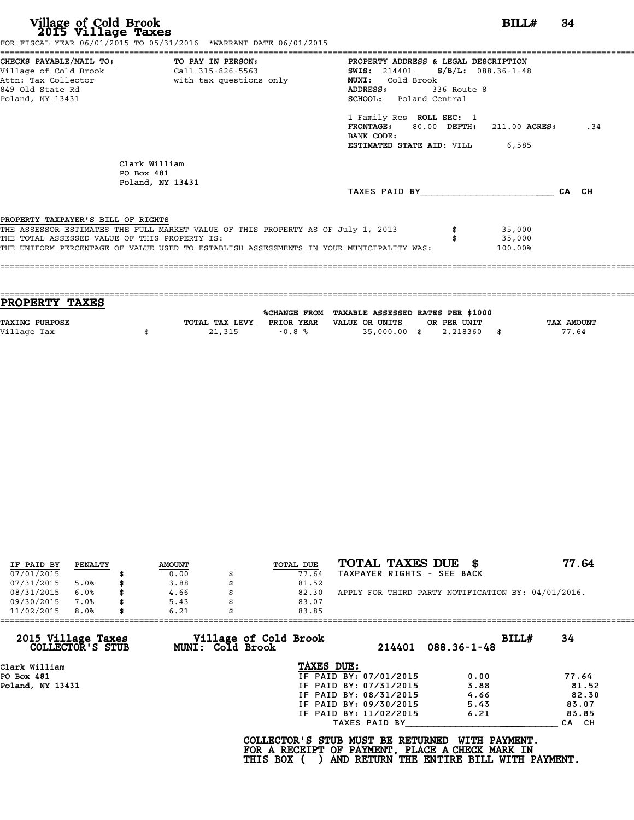|                                               | FOR FISCAL YEAR 06/01/2015 TO 05/31/2016 *WARRANT DATE 06/01/2015                       |                                               |             |                            |       |
|-----------------------------------------------|-----------------------------------------------------------------------------------------|-----------------------------------------------|-------------|----------------------------|-------|
| CHECKS PAYABLE/MAIL TO: TO PAY IN PERSON:     |                                                                                         | PROPERTY ADDRESS & LEGAL DESCRIPTION          |             |                            |       |
|                                               |                                                                                         | <b>SWIS:</b> 214401 <b>S/B/L:</b> 088.36-1-48 |             |                            |       |
|                                               | Attn: Tax Collector and the with tax questions only                                     | MUNI: Cold Brook                              |             |                            |       |
| 849 Old State Rd                              |                                                                                         | ADDRESS:                                      | 336 Route 8 |                            |       |
| Poland, NY 13431                              |                                                                                         | SCHOOL: Poland Central                        |             |                            |       |
|                                               |                                                                                         | 1 Family Res ROLL SEC: 1                      |             |                            |       |
|                                               |                                                                                         | <b>FRONTAGE:</b>                              |             | 80.00 DEPTH: 211.00 ACRES: | .34   |
|                                               |                                                                                         | BANK CODE:                                    |             |                            |       |
|                                               |                                                                                         | <b>ESTIMATED STATE AID:</b> VILL 6,585        |             |                            |       |
|                                               | Clark William                                                                           |                                               |             |                            |       |
|                                               | PO Box 481                                                                              |                                               |             |                            |       |
|                                               | Poland, NY 13431                                                                        |                                               |             |                            |       |
|                                               |                                                                                         | TAXES PAID BY TAXES                           |             |                            | CA CH |
| PROPERTY TAXPAYER'S BILL OF RIGHTS            |                                                                                         |                                               |             |                            |       |
|                                               | THE ASSESSOR ESTIMATES THE FULL MARKET VALUE OF THIS PROPERTY AS OF July 1, 2013        |                                               |             | 35,000                     |       |
| THE TOTAL ASSESSED VALUE OF THIS PROPERTY IS: |                                                                                         |                                               |             | 35,000                     |       |
|                                               | THE UNIFORM PERCENTAGE OF VALUE USED TO ESTABLISH ASSESSMENTS IN YOUR MUNICIPALITY WAS: |                                               |             | 100.00%                    |       |
|                                               |                                                                                         |                                               |             |                            |       |
|                                               |                                                                                         |                                               |             |                            |       |
|                                               |                                                                                         |                                               |             |                            |       |

| <b>PROPERTY TAXES</b> |                |            |                                                |             |            |
|-----------------------|----------------|------------|------------------------------------------------|-------------|------------|
|                       |                |            | %CHANGE FROM TAXABLE ASSESSED RATES PER \$1000 |             |            |
|                       |                |            |                                                |             |            |
| <b>TAXING PURPOSE</b> | TOTAL TAX LEVY | PRIOR YEAR | VALUE OR UNITS                                 | OR PER UNIT | TAX AMOUNT |
| Village Tax           | 21,315         | $-0.8%$    | 35,000.00 \$                                   | 2.218360    | 77.64      |
|                       |                |            |                                                |             |            |
|                       |                |            |                                                |             |            |

| IF PAID BY | PENALTY | <b>AMOUNT</b> | TOTAL DUE | TOTAL TAXES DUE \$                                 | 77.64 |
|------------|---------|---------------|-----------|----------------------------------------------------|-------|
| 07/01/2015 |         | 0.00          | 77.64     | TAXPAYER RIGHTS - SEE BACK                         |       |
| 07/31/2015 | 5.0%    | 3.88          | 81.52     |                                                    |       |
| 08/31/2015 | 6.0%    | \$<br>4.66    | 82.30     | APPLY FOR THIRD PARTY NOTIFICATION BY: 04/01/2016. |       |
| 09/30/2015 | 7.0%    | \$<br>5.43    | 83.07     |                                                    |       |
| 11/02/2015 | 8.0%    | \$<br>6.21    | 83.85     |                                                    |       |

| 34<br>BILL#<br>$088.36 - 1 - 48$ |
|----------------------------------|
|                                  |
|                                  |
| 77.64<br>0.00                    |
| 3.88<br>81.52                    |
| 4.66<br>82.30                    |
| 5.43<br>83.07                    |
| 6.21<br>83.85                    |
| CA CH                            |
| WITH PAYMENT.                    |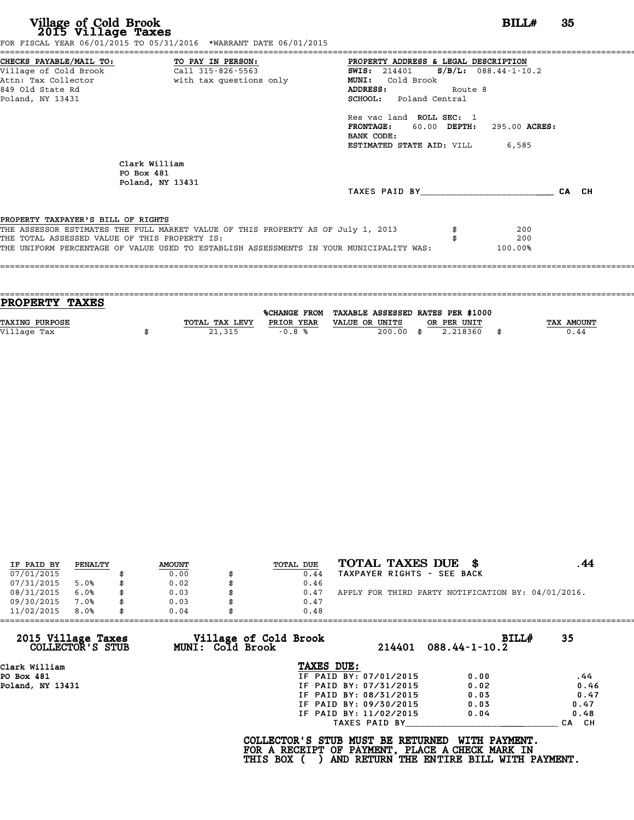|                                               |                                                                                  | PROPERTY ADDRESS & LEGAL DESCRIPTION            |         |                            |       |
|-----------------------------------------------|----------------------------------------------------------------------------------|-------------------------------------------------|---------|----------------------------|-------|
|                                               |                                                                                  | <b>SWIS:</b> 214401 <b>S/B/L:</b> 088.44-1-10.2 |         |                            |       |
|                                               | Attn: Tax Collector                       with tax questions only                | MUNI: Cold Brook                                |         |                            |       |
| 849 Old State Rd                              |                                                                                  | ADDRESS:                                        | Route 8 |                            |       |
| Poland, NY 13431                              |                                                                                  | SCHOOL: Poland Central                          |         |                            |       |
|                                               |                                                                                  | Res vac land ROLL SEC: 1                        |         |                            |       |
|                                               |                                                                                  | <b>FRONTAGE:</b>                                |         | 60.00 DEPTH: 295.00 ACRES: |       |
|                                               |                                                                                  | BANK CODE:                                      |         |                            |       |
|                                               |                                                                                  | <b>ESTIMATED STATE AID:</b> VILL 6,585          |         |                            |       |
|                                               | Clark William                                                                    |                                                 |         |                            |       |
| PO Box 481                                    |                                                                                  |                                                 |         |                            |       |
|                                               | Poland, NY 13431                                                                 |                                                 |         |                            |       |
|                                               |                                                                                  | TAXES PAID BY                                   |         |                            | CA CH |
| PROPERTY TAXPAYER'S BILL OF RIGHTS            |                                                                                  |                                                 |         |                            |       |
|                                               | THE ASSESSOR ESTIMATES THE FULL MARKET VALUE OF THIS PROPERTY AS OF July 1, 2013 |                                                 |         | 200                        |       |
|                                               |                                                                                  |                                                 |         | 200                        |       |
| THE TOTAL ASSESSED VALUE OF THIS PROPERTY IS: |                                                                                  |                                                 |         |                            |       |

| PROPERTY TAXES        |                |            |                                                |             |            |
|-----------------------|----------------|------------|------------------------------------------------|-------------|------------|
|                       |                |            |                                                |             |            |
|                       |                |            | %CHANGE FROM TAXABLE ASSESSED RATES PER \$1000 |             |            |
| <b>TAXING PURPOSE</b> | TOTAL TAX LEVY | PRIOR YEAR | VALUE OR UNITS                                 | OR PER UNIT | TAX AMOUNT |
| Village Tax           | 21,315         | $-0.8%$    | $200.00$ \$                                    | 2.218360    | 0.44       |
|                       |                |            |                                                |             |            |

| IF PAID BY | PENALTY |    | <b>AMOUNT</b> | TOTAL DUE | TOTAL TAXES DUE<br>- 86                            |  |
|------------|---------|----|---------------|-----------|----------------------------------------------------|--|
| 07/01/2015 |         |    | 0.00          | 0.44      | TAXPAYER RIGHTS - SEE BACK                         |  |
| 07/31/2015 | 5.0%    | S  | 0.02          | 0.46      |                                                    |  |
| 08/31/2015 | 6.0%    | \$ | 0.03          | 0.47      | APPLY FOR THIRD PARTY NOTIFICATION BY: 04/01/2016. |  |
| 09/30/2015 | 7.0%    | \$ | 0.03          | 0.47      |                                                    |  |
| 11/02/2015 | 8.0%    | \$ | 0.04          | 0.48      |                                                    |  |

| 2015 Village Taxes<br>COLLECTOR'S STUB | Village of Cold Brook<br>MUNI: Cold Brook | 214401                 | BILLH<br>$088.44 - 1 - 10.2$ | 35               |
|----------------------------------------|-------------------------------------------|------------------------|------------------------------|------------------|
| Clark William                          | TAXES DUE:                                |                        |                              |                  |
| PO Box 481                             |                                           | IF PAID BY: 07/01/2015 | 0.00                         | .44              |
| Poland, NY 13431                       |                                           | IF PAID BY: 07/31/2015 | 0.02                         | 0.46             |
|                                        |                                           | IF PAID BY: 08/31/2015 | 0.03                         | 0.47             |
|                                        |                                           | IF PAID BY: 09/30/2015 | 0.03                         | 0.47             |
|                                        |                                           | IF PAID BY: 11/02/2015 | 0.04                         | 0.48             |
|                                        |                                           | TAXES PAID BY          |                              | CH.<br><b>CA</b> |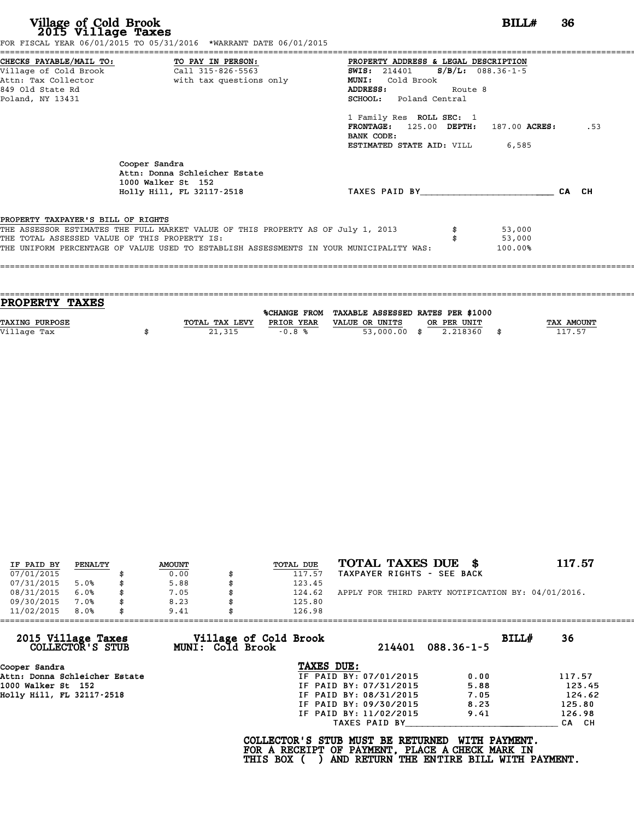|                                               | FOR FISCAL YEAR 06/01/2015 TO 05/31/2016 *WARRANT DATE 06/01/2015                       |                                                                                      |         |         |       |     |
|-----------------------------------------------|-----------------------------------------------------------------------------------------|--------------------------------------------------------------------------------------|---------|---------|-------|-----|
|                                               | CHECKS PAYABLE/MAIL TO: TO PAY IN PERSON:                                               | PROPERTY ADDRESS & LEGAL DESCRIPTION<br><b>SWIS:</b> 214401 <b>S/B/L:</b> 088.36-1-5 |         |         |       |     |
|                                               | Attn: Tax Collector and with tax questions only                                         | MUNI: Cold Brook                                                                     |         |         |       |     |
| 849 Old State Rd                              |                                                                                         | <b>ADDRESS:</b>                                                                      | Route 8 |         |       |     |
| Poland, NY 13431                              |                                                                                         | SCHOOL: Poland Central                                                               |         |         |       |     |
|                                               |                                                                                         | 1 Family Res ROLL SEC: 1                                                             |         |         |       |     |
|                                               |                                                                                         | $FRONTAGE: 125.00$ $DEPTH: 187.00$ $ACRES:$                                          |         |         |       | .53 |
|                                               |                                                                                         | BANK CODE:                                                                           |         |         |       |     |
|                                               |                                                                                         | <b>ESTIMATED STATE AID:</b> VILL 6,585                                               |         |         |       |     |
|                                               | Cooper Sandra<br>Attn: Donna Schleicher Estate<br>1000 Walker St 152                    |                                                                                      |         |         |       |     |
|                                               | Holly Hill, FL 32117-2518                                                               | TAXES PAID BY TAXES                                                                  |         |         | CA CH |     |
|                                               |                                                                                         |                                                                                      |         |         |       |     |
| PROPERTY TAXPAYER'S BILL OF RIGHTS            |                                                                                         |                                                                                      |         |         |       |     |
|                                               | THE ASSESSOR ESTIMATES THE FULL MARKET VALUE OF THIS PROPERTY AS OF July 1, 2013        |                                                                                      |         | 53,000  |       |     |
| THE TOTAL ASSESSED VALUE OF THIS PROPERTY IS: |                                                                                         |                                                                                      |         | 53,000  |       |     |
|                                               | THE UNIFORM PERCENTAGE OF VALUE USED TO ESTABLISH ASSESSMENTS IN YOUR MUNICIPALITY WAS: |                                                                                      |         | 100.00% |       |     |
|                                               |                                                                                         |                                                                                      |         |         |       |     |
|                                               |                                                                                         |                                                                                      |         |         |       |     |

| PROPERTY TAXES        |                |            |                                                |             |                   |
|-----------------------|----------------|------------|------------------------------------------------|-------------|-------------------|
|                       |                |            | %CHANGE FROM TAXABLE ASSESSED RATES PER \$1000 |             |                   |
| <b>TAXING PURPOSE</b> | TOTAL TAX LEVY | PRIOR YEAR | VALUE OR UNITS                                 | OR PER UNIT | <b>TAX AMOUNT</b> |
| Village Tax           | 21,315         | $-0.8%$    | $53,000.00$ \$                                 | 2.218360    | 117.57            |
|                       |                |            |                                                |             |                   |

| IF PAID BY | PENALTY | <b>AMOUNT</b> | TOTAL DUE | TOTAL TAXES DUE \$                                 | 117.57 |
|------------|---------|---------------|-----------|----------------------------------------------------|--------|
| 07/01/2015 |         | 0.00          | 117.57    | TAXPAYER RIGHTS - SEE BACK                         |        |
| 07/31/2015 | 5.0%    | \$<br>5.88    | 123.45    |                                                    |        |
| 08/31/2015 | 6.0%    | 7.05          | 124.62    | APPLY FOR THIRD PARTY NOTIFICATION BY: 04/01/2016. |        |
| 09/30/2015 | 7.0%    | \$<br>8.23    | 125.80    |                                                    |        |
| 11/02/2015 | 8.0%    | \$<br>9.41    | 126.98    |                                                    |        |

| 11/02/2015<br>8.0%                     | 9.41                                             | 126.98                                                                                             |                                                                  |        |
|----------------------------------------|--------------------------------------------------|----------------------------------------------------------------------------------------------------|------------------------------------------------------------------|--------|
| 2015 Village Taxes<br>COLLECTOR'S STUB | Village of Cold Brook<br><b>MUNI: Cold Brook</b> | 214401                                                                                             | BILL#<br>$088.36 - 1 - 5$                                        | 36     |
| Cooper Sandra                          |                                                  | TAXES DUE:                                                                                         |                                                                  |        |
| Attn: Donna Schleicher Estate          |                                                  | IF PAID BY: 07/01/2015                                                                             | 0.00                                                             | 117.57 |
| 1000 Walker St 152                     |                                                  | IF PAID BY: 07/31/2015                                                                             | 5.88                                                             | 123.45 |
| Hollv Hill, FL 32117-2518              |                                                  | IF PAID BY: 08/31/2015                                                                             | 7.05                                                             | 124.62 |
|                                        |                                                  | IF PAID BY: 09/30/2015                                                                             | 8.23                                                             | 125.80 |
|                                        |                                                  | IF PAID BY: 11/02/2015                                                                             | 9.41                                                             | 126.98 |
|                                        |                                                  | TAXES PAID BY                                                                                      |                                                                  | CA CH  |
|                                        |                                                  | COLLECTOR'S STUB MUST BE RETURNED<br>FOR A RECEIPT OF PAYMENT, PLACE A CHECK MARK IN<br>THIS BOX ( | <b>WITH PAYMENT.</b><br>AND RETURN THE ENTIRE BILL WITH PAYMENT. |        |
|                                        |                                                  |                                                                                                    |                                                                  |        |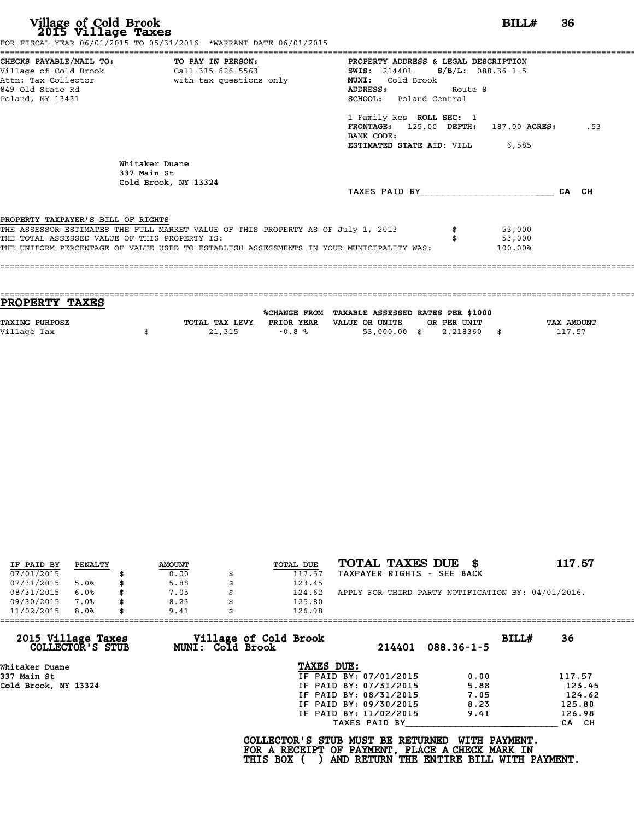|                                               | FOR FISCAL YEAR 06/01/2015 TO 05/31/2016 *WARRANT DATE 06/01/2015                       |                                              |         |         |       |     |
|-----------------------------------------------|-----------------------------------------------------------------------------------------|----------------------------------------------|---------|---------|-------|-----|
| CHECKS PAYABLE/MAIL TO: TO PAY IN PERSON:     |                                                                                         | PROPERTY ADDRESS & LEGAL DESCRIPTION         |         |         |       |     |
|                                               |                                                                                         | <b>SWIS:</b> 214401 <b>S/B/L:</b> 088.36-1-5 |         |         |       |     |
|                                               | Attn: Tax Collector and the with tax questions only                                     | MUNI: Cold Brook                             |         |         |       |     |
| 849 Old State Rd                              |                                                                                         | ADDRESS:                                     | Route 8 |         |       |     |
| Poland, NY 13431                              |                                                                                         | SCHOOL: Poland Central                       |         |         |       |     |
|                                               |                                                                                         | 1 Family Res ROLL SEC: 1                     |         |         |       |     |
|                                               |                                                                                         | FRONTAGE: 125.00 DEPTH: 187.00 ACRES:        |         |         |       | .53 |
|                                               |                                                                                         | BANK CODE:                                   |         |         |       |     |
|                                               |                                                                                         | <b>ESTIMATED STATE AID:</b> VILL 6,585       |         |         |       |     |
|                                               | Whitaker Duane<br>337 Main St<br>Cold Brook, NY 13324                                   |                                              |         |         |       |     |
|                                               |                                                                                         | TAXES PAID BY                                |         |         | CA CH |     |
|                                               |                                                                                         |                                              |         |         |       |     |
| PROPERTY TAXPAYER'S BILL OF RIGHTS            |                                                                                         |                                              |         |         |       |     |
|                                               | THE ASSESSOR ESTIMATES THE FULL MARKET VALUE OF THIS PROPERTY AS OF July 1, 2013        |                                              |         | 53,000  |       |     |
|                                               |                                                                                         |                                              |         | 53,000  |       |     |
| THE TOTAL ASSESSED VALUE OF THIS PROPERTY IS: | THE UNIFORM PERCENTAGE OF VALUE USED TO ESTABLISH ASSESSMENTS IN YOUR MUNICIPALITY WAS: |                                              |         | 100.00% |       |     |

| PROPERTY TAXES        |                |            |                                                |             |                   |
|-----------------------|----------------|------------|------------------------------------------------|-------------|-------------------|
|                       |                |            | %CHANGE FROM TAXABLE ASSESSED RATES PER \$1000 |             |                   |
|                       |                |            |                                                |             |                   |
| <b>TAXING PURPOSE</b> | TOTAL TAX LEVY | PRIOR YEAR | VALUE OR UNITS                                 | OR PER UNIT | <b>TAX AMOUNT</b> |
| Village Tax           | 21,315         | $-0.8%$    | $53,000.00$ \$                                 | 2.218360    | 117.57            |
|                       |                |            |                                                |             |                   |

| IF PAID BY | PENALTY |   | <b>AMOUNT</b> | TOTAL DUE | TOTAL TAXES DUE \$                                 | 117.57 |
|------------|---------|---|---------------|-----------|----------------------------------------------------|--------|
| 07/01/2015 |         |   | 0.00          | 117.57    | TAXPAYER RIGHTS - SEE BACK                         |        |
| 07/31/2015 | 5.0%    |   | 5.88          | 123.45    |                                                    |        |
| 08/31/2015 | 6.0%    | S | 7.05          | 124.62    | APPLY FOR THIRD PARTY NOTIFICATION BY: 04/01/2016. |        |
| 09/30/2015 | 7.0%    |   | 8.23          | 125.80    |                                                    |        |
| 11/02/2015 | 8.0%    |   | 9.41          | 126.98    |                                                    |        |

| 11/02/2015<br>8.0%                     | 9.41                                      | 126.98                 |                           |        |
|----------------------------------------|-------------------------------------------|------------------------|---------------------------|--------|
| 2015 Village Taxes<br>COLLECTOR'S STUB | Village of Cold Brook<br>MUNI: Cold Brook | 214401                 | BILL#<br>$088.36 - 1 - 5$ | 36     |
| Whitaker Duane                         |                                           | TAXES DUE:             |                           |        |
| 337 Main St                            |                                           | IF PAID BY: 07/01/2015 | 0.00                      | 117.57 |
| Cold Brook, NY 13324                   |                                           | IF PAID BY: 07/31/2015 | 5.88                      | 123.45 |
|                                        |                                           | IF PAID BY: 08/31/2015 | 7.05                      | 124.62 |
|                                        |                                           | IF PAID BY: 09/30/2015 | 8.23                      | 125.80 |
|                                        |                                           | IF PAID BY: 11/02/2015 | 9.41                      | 126.98 |
|                                        |                                           | TAXES PAID BY          |                           | CA CH  |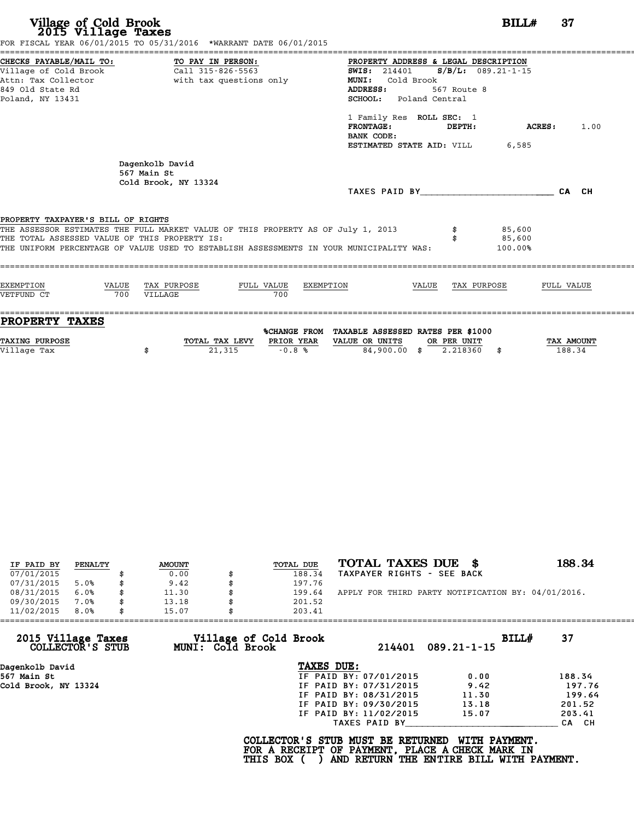# **Village of Cold Brook**<br> **2015 Village Taxes**<br>
SCAL YEAR 06/01/2015 TO 05/31/2016 \*WARRANT DATE 06/01/2015

Village of Cold Brook<br>2015 Village Taxes<br>FOR FISCAL YEAR 06/01/2015 TO 05/31/2016 \*WARRANT DATE 06/01/2015

|                                                                                                                 | FOR FISCAL YEAR 06/01/2015 TO 05/31/2016 *WARRANT DATE 06/01/2015                                                                                                                                                                     |                                                                                                                                                                                                                                                 |                      |
|-----------------------------------------------------------------------------------------------------------------|---------------------------------------------------------------------------------------------------------------------------------------------------------------------------------------------------------------------------------------|-------------------------------------------------------------------------------------------------------------------------------------------------------------------------------------------------------------------------------------------------|----------------------|
| CHECKS PAYABLE/MAIL TO:<br>Village of Cold Brook<br>Attn: Tax Collector<br>849 Old State Rd<br>Poland, NY 13431 | TO PAY IN PERSON:<br>Call 315-826-5563<br>with tax questions only                                                                                                                                                                     | PROPERTY ADDRESS & LEGAL DESCRIPTION<br>$S/B/L$ : 089.21-1-15<br><b>SWIS: 214401</b><br>Cold Brook<br>MUNI:<br>ADDRESS:<br>567 Route 8<br><b>SCHOOL:</b> Poland Central<br>1 Family Res ROLL SEC: 1<br><b>FRONTAGE:</b><br>DEPTH:<br>BANK CODE: | 1.00<br>ACRES:       |
| PROPERTY TAXPAYER'S BILL OF RIGHTS<br>THE TOTAL ASSESSED VALUE OF THIS PROPERTY IS:                             | Dagenkolb David<br>567 Main St<br>Cold Brook, NY 13324<br>THE ASSESSOR ESTIMATES THE FULL MARKET VALUE OF THIS PROPERTY AS OF July 1, 2013<br>THE UNIFORM PERCENTAGE OF VALUE USED TO ESTABLISH ASSESSMENTS IN YOUR MUNICIPALITY WAS: | ESTIMATED STATE AID: VILL<br>6,585<br>TAXES PAID BY TAXES<br>85,600<br>85,600<br>100.00%                                                                                                                                                        | CA CH                |
| <b>EXEMPTION</b><br>VALUE<br>VETFUND CT<br>700                                                                  | TAX PURPOSE<br>FULL VALUE<br>EXEMPTION<br>700<br>VILLAGE                                                                                                                                                                              | TAX PURPOSE<br>VALUE                                                                                                                                                                                                                            | FULL VALUE           |
| <b>PROPERTY TAXES</b><br>TAXING PURPOSE<br>Village Tax                                                          | PRIOR YEAR<br>TOTAL TAX LEVY<br>21,315<br>$-0.8%$<br>\$                                                                                                                                                                               | %CHANGE FROM TAXABLE ASSESSED RATES PER \$1000<br>VALUE OR UNITS<br>OR PER UNIT<br>84,900.00 \$ 2.218360<br>- \$                                                                                                                                | TAX AMOUNT<br>188.34 |

| IF PAID BY | PENALTY | <b>AMOUNT</b> |   | TOTAL DUE | TOTAL TAXES DUE \$                                 | 188.34 |
|------------|---------|---------------|---|-----------|----------------------------------------------------|--------|
| 07/01/2015 |         | 0.00          |   | 188.34    | TAXPAYER RIGHTS - SEE BACK                         |        |
| 07/31/2015 | 5.0%    | \$<br>9.42    |   | 197.76    |                                                    |        |
| 08/31/2015 | 6.0%    | \$<br>11.30   | S | 199.64    | APPLY FOR THIRD PARTY NOTIFICATION BY: 04/01/2016. |        |
| 09/30/2015 | 7.0%    | \$<br>13.18   |   | 201.52    |                                                    |        |
| 11/02/2015 | 8.0%    | \$<br>15.07   |   | 203.41    |                                                    |        |

| 11/02/2015           | 8.0%             | 15.07 |                  | 203.41                                                                                             |                        |                                                           |       |        |
|----------------------|------------------|-------|------------------|----------------------------------------------------------------------------------------------------|------------------------|-----------------------------------------------------------|-------|--------|
| 2015 Village Taxes   | COLLECTOR'S STUB |       | MUNI: Cold Brook | Village of Cold Brook                                                                              | 214401                 | $089.21 - 1 - 15$                                         | BILLH | 37     |
| Dagenkolb David      |                  |       |                  | TAXES DUE:                                                                                         |                        |                                                           |       |        |
| 567 Main St          |                  |       |                  |                                                                                                    | IF PAID BY: 07/01/2015 | 0.00                                                      |       | 188.34 |
| Cold Brook, NY 13324 |                  |       |                  |                                                                                                    | IF PAID BY: 07/31/2015 | 9.42                                                      |       | 197.76 |
|                      |                  |       |                  |                                                                                                    | IF PAID BY: 08/31/2015 | 11.30                                                     |       | 199.64 |
|                      |                  |       |                  |                                                                                                    | IF PAID BY: 09/30/2015 | 13.18                                                     |       | 201.52 |
|                      |                  |       |                  |                                                                                                    | IF PAID BY: 11/02/2015 | 15.07                                                     |       | 203.41 |
|                      |                  |       |                  |                                                                                                    | TAXES PAID BY          |                                                           |       | CA CH  |
|                      |                  |       |                  | COLLECTOR'S STUB MUST BE RETURNED<br>FOR A RECEIPT OF PAYMENT, PLACE A CHECK MARK IN<br>THIS BOX ( |                        | WITH PAYMENT.<br>AND RETURN THE ENTIRE BILL WITH PAYMENT. |       |        |
|                      |                  |       |                  |                                                                                                    |                        |                                                           |       |        |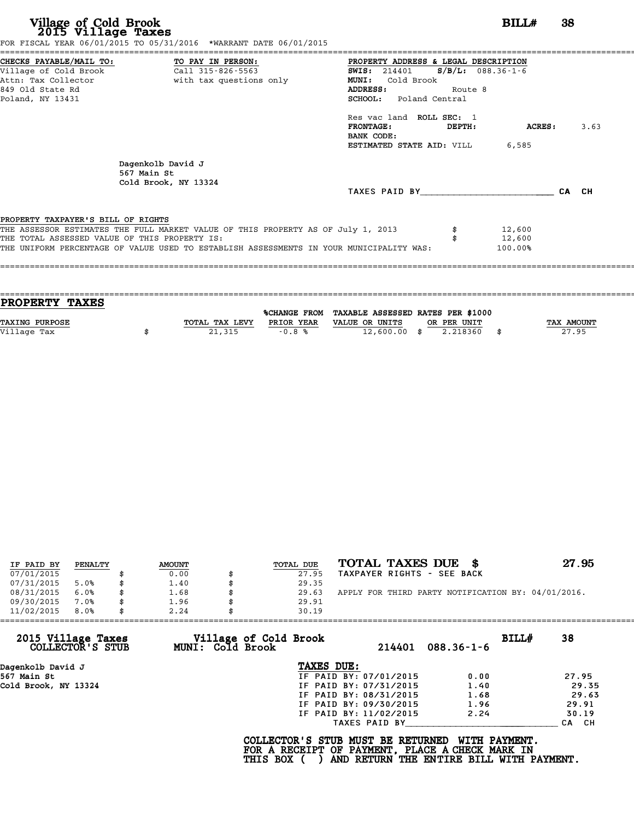|                                               | FOR FISCAL YEAR 06/01/2015 TO 05/31/2016 *WARRANT DATE 06/01/2015                       |                                              |         |         |       |      |
|-----------------------------------------------|-----------------------------------------------------------------------------------------|----------------------------------------------|---------|---------|-------|------|
|                                               | CHECKS PAYABLE/MAIL TO: TO PAY IN PERSON:                                               | PROPERTY ADDRESS & LEGAL DESCRIPTION         |         |         |       |      |
|                                               | village of Cold Brook $\overline{1, 1315-826-5563}$                                     | <b>SWIS:</b> 214401 <b>S/B/L:</b> 088.36-1-6 |         |         |       |      |
|                                               | Attn: Tax Collector and the with tax questions only                                     | Cold Brook<br><b>MUNI:</b>                   |         |         |       |      |
| 849 Old State Rd                              |                                                                                         | ADDRESS:                                     | Route 8 |         |       |      |
| Poland, NY 13431                              |                                                                                         | <b>SCHOOL:</b> Poland Central                |         |         |       |      |
|                                               |                                                                                         | Res vac land ROLL SEC: 1                     |         |         |       |      |
|                                               |                                                                                         | <b>FRONTAGE:</b>                             | DEPTH:  | ACRES : |       | 3.63 |
|                                               |                                                                                         | BANK CODE:                                   |         |         |       |      |
|                                               |                                                                                         | <b>ESTIMATED STATE AID: VILL 6,585</b>       |         |         |       |      |
|                                               | Dagenkolb David J                                                                       |                                              |         |         |       |      |
|                                               | 567 Main St                                                                             |                                              |         |         |       |      |
|                                               | Cold Brook, NY 13324                                                                    |                                              |         |         |       |      |
|                                               |                                                                                         | TAXES PAID BY                                |         |         | CA CH |      |
| PROPERTY TAXPAYER'S BILL OF RIGHTS            |                                                                                         |                                              |         |         |       |      |
|                                               | THE ASSESSOR ESTIMATES THE FULL MARKET VALUE OF THIS PROPERTY AS OF July 1, 2013        |                                              |         | 12,600  |       |      |
| THE TOTAL ASSESSED VALUE OF THIS PROPERTY IS: |                                                                                         |                                              |         | 12,600  |       |      |
|                                               | THE UNIFORM PERCENTAGE OF VALUE USED TO ESTABLISH ASSESSMENTS IN YOUR MUNICIPALITY WAS: |                                              |         | 100.00% |       |      |
|                                               |                                                                                         |                                              |         |         |       |      |
|                                               |                                                                                         |                                              |         |         |       |      |
|                                               |                                                                                         |                                              |         |         |       |      |

| PROPERTY TAXES        |                |            |                                                |             |                   |
|-----------------------|----------------|------------|------------------------------------------------|-------------|-------------------|
|                       |                |            | %CHANGE FROM TAXABLE ASSESSED RATES PER \$1000 |             |                   |
| <b>TAXING PURPOSE</b> | TOTAL TAX LEVY | PRIOR YEAR | VALUE OR UNITS                                 | OR PER UNIT | <b>TAX AMOUNT</b> |
| Village Tax           | 21,315         | $-0.8%$    | $12,600.00$ \$                                 | 2.218360    | 27.95             |
|                       |                |            |                                                |             |                   |

| TOTAL TAXES DUE \$<br>27.95<br>TOTAL DUE<br><b>AMOUNT</b><br>PENALTY<br>IF PAID BY<br>07/01/2015<br>TAXPAYER RIGHTS - SEE BACK<br>0.00<br>27.95<br>07/31/2015<br>1.40<br>5.0%<br>29.35<br>APPLY FOR THIRD PARTY NOTIFICATION BY: 04/01/2016.<br>08/31/2015<br>6.0%<br>1.68<br>29.63<br>09/30/2015<br>7.0%<br>1.96<br>29.91<br>\$<br>11/02/2015<br>8.0%<br>2.24<br>30.19 |  |  |  |  |
|-------------------------------------------------------------------------------------------------------------------------------------------------------------------------------------------------------------------------------------------------------------------------------------------------------------------------------------------------------------------------|--|--|--|--|
|                                                                                                                                                                                                                                                                                                                                                                         |  |  |  |  |
|                                                                                                                                                                                                                                                                                                                                                                         |  |  |  |  |
|                                                                                                                                                                                                                                                                                                                                                                         |  |  |  |  |
|                                                                                                                                                                                                                                                                                                                                                                         |  |  |  |  |
|                                                                                                                                                                                                                                                                                                                                                                         |  |  |  |  |
|                                                                                                                                                                                                                                                                                                                                                                         |  |  |  |  |

| 11/02/2015<br>8.0%                     | 2.24                                      | 30.19                  |                           |       |
|----------------------------------------|-------------------------------------------|------------------------|---------------------------|-------|
| 2015 Village Taxes<br>COLLECTOR'S STUB | Village of Cold Brook<br>MUNI: Cold Brook | 214401                 | BILL#<br>$088.36 - 1 - 6$ | 38    |
| Dagenkolb David J                      |                                           | TAXES DUE:             |                           |       |
| 567 Main St                            |                                           | IF PAID BY: 07/01/2015 | 0.00                      | 27.95 |
| Cold Brook, NY 13324                   |                                           | IF PAID BY: 07/31/2015 | 1.40                      | 29.35 |
|                                        |                                           | IF PAID BY: 08/31/2015 | 1.68                      | 29.63 |
|                                        |                                           | IF PAID BY: 09/30/2015 | 1.96                      | 29.91 |
|                                        |                                           | IF PAID BY: 11/02/2015 | 2.24                      | 30.19 |
|                                        |                                           | TAXES PAID BY          |                           | CA CH |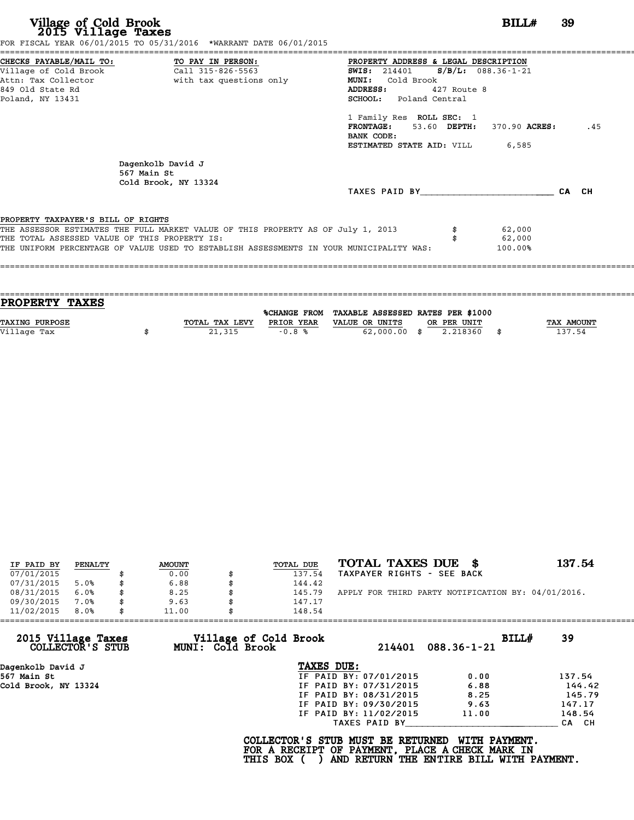|                                                                                     |                                                                                  | PROPERTY ADDRESS & LEGAL DESCRIPTION<br><b>SWIS:</b> 214401 <b>S/B/L:</b> 088.36-1-21 |             |                  |       |     |
|-------------------------------------------------------------------------------------|----------------------------------------------------------------------------------|---------------------------------------------------------------------------------------|-------------|------------------|-------|-----|
|                                                                                     | Attn: Tax Collector and with tax questions only                                  | <b>MUNI:</b><br>Cold Brook                                                            |             |                  |       |     |
| 849 Old State Rd                                                                    |                                                                                  | <b>ADDRESS:</b>                                                                       | 427 Route 8 |                  |       |     |
| Poland, NY 13431                                                                    |                                                                                  | SCHOOL: Poland Central                                                                |             |                  |       |     |
|                                                                                     |                                                                                  | 1 Family Res ROLL SEC: 1                                                              |             |                  |       |     |
|                                                                                     |                                                                                  | FRONTAGE: 53.60 DEPTH: 370.90 ACRES:<br>BANK CODE:                                    |             |                  |       | .45 |
|                                                                                     |                                                                                  | <b>ESTIMATED STATE AID:</b> VILL 6,585                                                |             |                  |       |     |
|                                                                                     | Dagenkolb David J<br>567 Main St<br>Cold Brook, NY 13324                         |                                                                                       |             |                  |       |     |
|                                                                                     |                                                                                  | TAXES PAID BY                                                                         |             |                  | CA CH |     |
|                                                                                     |                                                                                  |                                                                                       |             |                  |       |     |
|                                                                                     |                                                                                  |                                                                                       |             |                  |       |     |
|                                                                                     |                                                                                  |                                                                                       |             |                  |       |     |
| PROPERTY TAXPAYER'S BILL OF RIGHTS<br>THE TOTAL ASSESSED VALUE OF THIS PROPERTY IS: | THE ASSESSOR ESTIMATES THE FULL MARKET VALUE OF THIS PROPERTY AS OF July 1, 2013 |                                                                                       |             | 62,000<br>62,000 |       |     |

| PROPERTY TAXES        |                |            |                                                |             |                   |
|-----------------------|----------------|------------|------------------------------------------------|-------------|-------------------|
|                       |                |            | %CHANGE FROM TAXABLE ASSESSED RATES PER \$1000 |             |                   |
|                       |                |            |                                                |             |                   |
| <b>TAXING PURPOSE</b> | TOTAL TAX LEVY | PRIOR YEAR | VALUE OR UNITS                                 | OR PER UNIT | <b>TAX AMOUNT</b> |
| Village Tax           | 21,315         | $-0.8%$    | $62,000.00$ \$                                 | 2.218360    | 137.54            |
|                       |                |            |                                                |             |                   |

| IF PAID BY | PENALTY | <b>AMOUNT</b> | <b>TOTAL DUE</b> | TOTAL TAXES DUE \$                                 | 137.54 |
|------------|---------|---------------|------------------|----------------------------------------------------|--------|
| 07/01/2015 |         | 0.00          | 137.54           | TAXPAYER RIGHTS - SEE BACK                         |        |
| 07/31/2015 | 5.0%    | \$<br>6.88    | 144.42           |                                                    |        |
| 08/31/2015 | 6.0%    | \$<br>8.25    | 145.79           | APPLY FOR THIRD PARTY NOTIFICATION BY: 04/01/2016. |        |
| 09/30/2015 | 7.0%    | \$<br>9.63    | 147.17           |                                                    |        |
| 11/02/2015 | 8.0%    | \$<br>11.00   | 148.54           |                                                    |        |
|            |         |               |                  |                                                    |        |

| 11/02/2015           | 8.0%             | 11.00 |                  | 148.54                                                                                             |                        |                                                           |       |        |
|----------------------|------------------|-------|------------------|----------------------------------------------------------------------------------------------------|------------------------|-----------------------------------------------------------|-------|--------|
| 2015 Village Taxes   | COLLECTOR'S STUB |       | MUNI: Cold Brook | Village of Cold Brook                                                                              | 214401                 | $088.36 - 1 - 21$                                         | BILLH | 39     |
| Dagenkolb David J    |                  |       |                  | TAXES DUE:                                                                                         |                        |                                                           |       |        |
| 567 Main St          |                  |       |                  |                                                                                                    | IF PAID BY: 07/01/2015 | 0.00                                                      |       | 137.54 |
| Cold Brook, NY 13324 |                  |       |                  |                                                                                                    | IF PAID BY: 07/31/2015 | 6.88                                                      |       | 144.42 |
|                      |                  |       |                  |                                                                                                    | IF PAID BY: 08/31/2015 | 8.25                                                      |       | 145.79 |
|                      |                  |       |                  |                                                                                                    | IF PAID BY: 09/30/2015 | 9.63                                                      |       | 147.17 |
|                      |                  |       |                  |                                                                                                    | IF PAID BY: 11/02/2015 | 11.00                                                     |       | 148.54 |
|                      |                  |       |                  |                                                                                                    | TAXES PAID BY          |                                                           |       | CA CH  |
|                      |                  |       |                  | COLLECTOR'S STUB MUST BE RETURNED<br>FOR A RECEIPT OF PAYMENT, PLACE A CHECK MARK IN<br>THIS BOX ( |                        | WITH PAYMENT.<br>AND RETURN THE ENTIRE BILL WITH PAYMENT. |       |        |
|                      |                  |       |                  |                                                                                                    |                        |                                                           |       |        |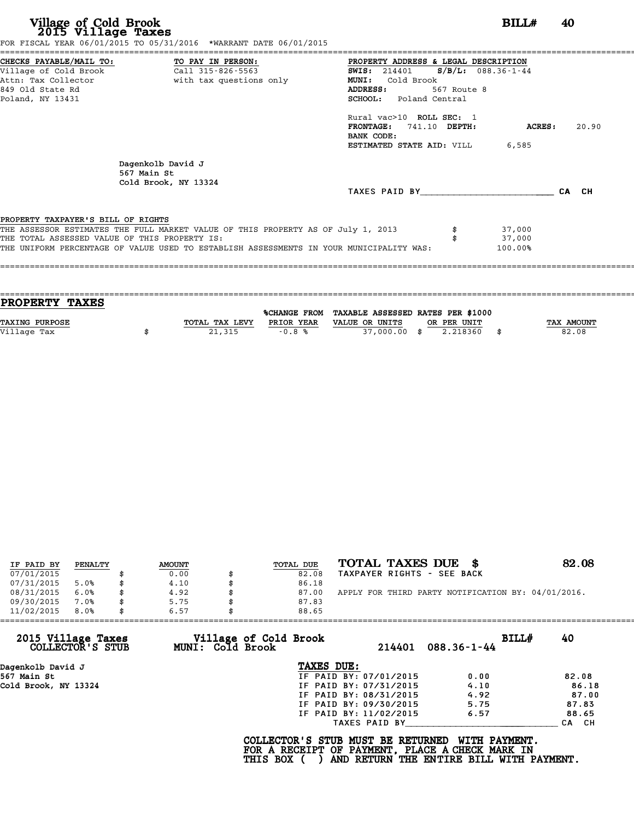| Village of Cold Brook<br>2015 Village Taxes<br>FOR FISCAL YEAR 06/01/2015 TO 05/31/2016 *WARRANT DATE 06/01/2015                                                                                                                                                   | BILL#<br>40                                                                                                                                             |
|--------------------------------------------------------------------------------------------------------------------------------------------------------------------------------------------------------------------------------------------------------------------|---------------------------------------------------------------------------------------------------------------------------------------------------------|
| CHECKS PAYABLE/MAIL TO:<br>TO PAY IN PERSON:<br>Village of Cold Brook<br>Call 315-826-5563<br>Attn: Tax Collector<br>with tax questions only<br>849 Old State Rd<br>Poland, NY 13431                                                                               | PROPERTY ADDRESS & LEGAL DESCRIPTION<br>SWIS: 214401 S/B/L: 088.36-1-44<br>MUNI: Cold Brook<br>ADDRESS:<br>567 Route 8<br><b>SCHOOL:</b> Poland Central |
|                                                                                                                                                                                                                                                                    | Rural vac>10 ROLL SEC: 1<br>FRONTAGE: 741.10 DEPTH:<br>ACRES :<br>20.90<br>BANK CODE:<br><b>ESTIMATED STATE AID:</b> VILL 6,585                         |
| Dagenkolb David J<br>567 Main St<br>Cold Brook, NY 13324                                                                                                                                                                                                           | TAXES PAID BY<br>CA CH                                                                                                                                  |
| PROPERTY TAXPAYER'S BILL OF RIGHTS<br>THE ASSESSOR ESTIMATES THE FULL MARKET VALUE OF THIS PROPERTY AS OF July 1, 2013<br>THE TOTAL ASSESSED VALUE OF THIS PROPERTY IS:<br>THE UNIFORM PERCENTAGE OF VALUE USED TO ESTABLISH ASSESSMENTS IN YOUR MUNICIPALITY WAS: | 37,000<br>37,000<br>100.00%                                                                                                                             |

| PROPERTY TAXES        |                |            |                                                |             |                   |
|-----------------------|----------------|------------|------------------------------------------------|-------------|-------------------|
|                       |                |            | %CHANGE FROM TAXABLE ASSESSED RATES PER \$1000 |             |                   |
|                       |                |            |                                                |             |                   |
| <b>TAXING PURPOSE</b> | TOTAL TAX LEVY | PRIOR YEAR | VALUE OR UNITS                                 | OR PER UNIT | <b>TAX AMOUNT</b> |
| Village Tax           | 21,315         | $-0.8%$    | 37,000.00 \$                                   | 2.218360    | 82.08             |
|                       |                |            |                                                |             |                   |
|                       |                |            |                                                |             |                   |

| IF PAID BY | PENALTY | <b>AMOUNT</b> | TOTAL DUE | TOTAL TAXES DUE<br>- 8                             | 82.08 |
|------------|---------|---------------|-----------|----------------------------------------------------|-------|
| 07/01/2015 |         | 0.00          | 82.08     | TAXPAYER RIGHTS - SEE BACK                         |       |
| 07/31/2015 | 5.0%    | 4.10          | 86.18     |                                                    |       |
| 08/31/2015 | 6.0%    | 4.92          | 87.00     | APPLY FOR THIRD PARTY NOTIFICATION BY: 04/01/2016. |       |
| 09/30/2015 | 7.0%    | 5.75          | 87.83     |                                                    |       |
| 11/02/2015 | 8.0%    | 6.57          | 88.65     |                                                    |       |

|                                        | 6.57<br>88.65                             |                        |                            |       |
|----------------------------------------|-------------------------------------------|------------------------|----------------------------|-------|
| 2015 Village Taxes<br>COLLECTOR'S STUB | Village of Cold Brook<br>MUNI: Cold Brook | 214401                 | BILL#<br>$088.36 - 1 - 44$ | 40    |
| Dagenkolb David J                      |                                           | TAXES DUE:             |                            |       |
| 567 Main St                            |                                           | IF PAID BY: 07/01/2015 | 0.00                       | 82.08 |
| Cold Brook, NY 13324                   |                                           | IF PAID BY: 07/31/2015 | 4.10                       | 86.18 |
|                                        |                                           | IF PAID BY: 08/31/2015 | 4.92                       | 87.00 |
|                                        |                                           | IF PAID BY: 09/30/2015 | 5.75                       | 87.83 |
|                                        |                                           | IF PAID BY: 11/02/2015 | 6.57                       | 88.65 |
|                                        |                                           | TAXES PAID BY          |                            | CA CH |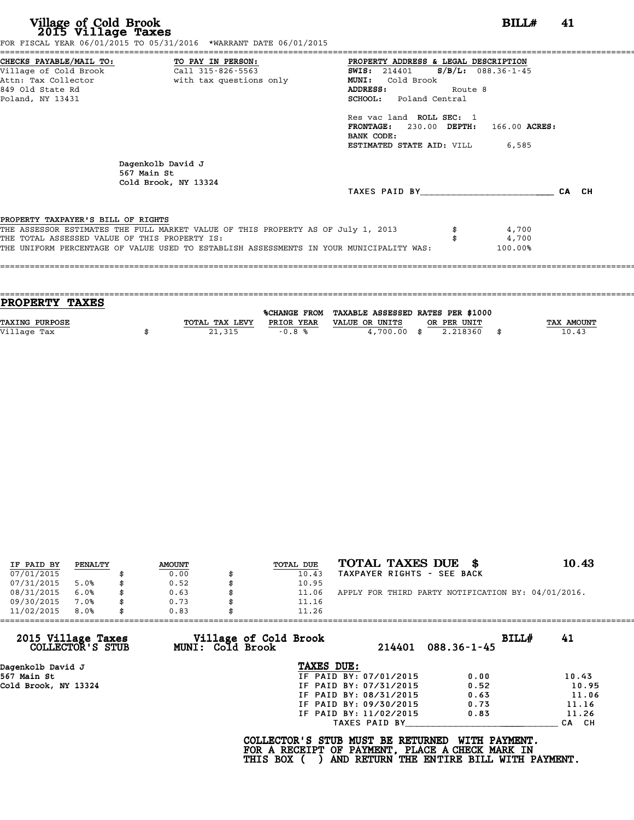| CHECKS PAYABLE/MAIL TO: TO PAY IN PERSON:     |                                                                                         | PROPERTY ADDRESS & LEGAL DESCRIPTION          |         |                  |       |
|-----------------------------------------------|-----------------------------------------------------------------------------------------|-----------------------------------------------|---------|------------------|-------|
|                                               |                                                                                         | <b>SWIS:</b> 214401 <b>S/B/L:</b> 088.36-1-45 |         |                  |       |
|                                               | Attn: Tax Collector The South With tax questions only                                   | MUNI: Cold Brook                              |         |                  |       |
| 849 Old State Rd                              |                                                                                         | ADDRESS:                                      | Route 8 |                  |       |
| Poland, NY 13431                              |                                                                                         | SCHOOL: Poland Central                        |         |                  |       |
|                                               |                                                                                         | Res vac land ROLL SEC: 1                      |         |                  |       |
|                                               |                                                                                         | FRONTAGE: 230.00 DEPTH:                       |         | 166.00 ACRES:    |       |
|                                               |                                                                                         | BANK CODE:                                    |         |                  |       |
|                                               |                                                                                         | <b>ESTIMATED STATE AID:</b> VILL 6,585        |         |                  |       |
|                                               | Dagenkolb David J<br>567 Main St<br>Cold Brook, NY 13324                                |                                               |         |                  |       |
|                                               |                                                                                         | TAXES PAID BY                                 |         |                  | CA CH |
|                                               |                                                                                         |                                               |         |                  |       |
| PROPERTY TAXPAYER'S BILL OF RIGHTS            |                                                                                         |                                               |         |                  |       |
|                                               | THE ASSESSOR ESTIMATES THE FULL MARKET VALUE OF THIS PROPERTY AS OF July 1, 2013        |                                               |         | 4,700            |       |
| THE TOTAL ASSESSED VALUE OF THIS PROPERTY IS: | THE UNIFORM PERCENTAGE OF VALUE USED TO ESTABLISH ASSESSMENTS IN YOUR MUNICIPALITY WAS: |                                               |         | 4,700<br>100.00% |       |
|                                               |                                                                                         |                                               |         |                  |       |

| <b>PROPERTY TAXES</b> |                |            |                                                |             |                   |
|-----------------------|----------------|------------|------------------------------------------------|-------------|-------------------|
|                       |                |            | %CHANGE FROM TAXABLE ASSESSED RATES PER \$1000 |             |                   |
|                       |                |            |                                                |             |                   |
| <b>TAXING PURPOSE</b> | TOTAL TAX LEVY | PRIOR YEAR | VALUE OR UNITS                                 | OR PER UNIT | <b>TAX AMOUNT</b> |
| Village Tax           | 21,315         | $-0.8%$    | $4,700.00$ \$                                  | 2.218360    | 10.43             |
|                       |                |            |                                                |             |                   |
|                       |                |            |                                                |             |                   |

| IF PAID BY | PENALTY | <b>AMOUNT</b> | TOTAL DUE | TOTAL TAXES DUE \$                                 | 10.43 |
|------------|---------|---------------|-----------|----------------------------------------------------|-------|
| 07/01/2015 |         | 0.00          | 10.43     | TAXPAYER RIGHTS - SEE BACK                         |       |
| 07/31/2015 | 5.0%    | \$<br>0.52    | 10.95     |                                                    |       |
| 08/31/2015 | 6.0%    | 0.63          | 11.06     | APPLY FOR THIRD PARTY NOTIFICATION BY: 04/01/2016. |       |
| 09/30/2015 | 7.0%    | \$<br>0.73    | 11.16     |                                                    |       |
| 11/02/2015 | 8.0%    | \$<br>0.83    | 11.26     |                                                    |       |

|                                        |                                           | 11.26                  |                            |       |
|----------------------------------------|-------------------------------------------|------------------------|----------------------------|-------|
| 2015 Village Taxes<br>COLLECTOR'S STUB | Village of Cold Brook<br>MUNI: Cold Brook | 214401                 | BILL#<br>$088.36 - 1 - 45$ | 41    |
| Dagenkolb David J                      |                                           | TAXES DUE:             |                            |       |
| 567 Main St                            |                                           | IF PAID BY: 07/01/2015 | 0.00                       | 10.43 |
| Cold Brook, NY 13324                   |                                           | IF PAID BY: 07/31/2015 | 0.52                       | 10.95 |
|                                        |                                           | IF PAID BY: 08/31/2015 | 0.63                       | 11.06 |
|                                        |                                           | IF PAID BY: 09/30/2015 | 0.73                       | 11.16 |
|                                        |                                           | IF PAID BY: 11/02/2015 | 0.83                       | 11.26 |
|                                        |                                           | TAXES PAID BY          |                            | CA CH |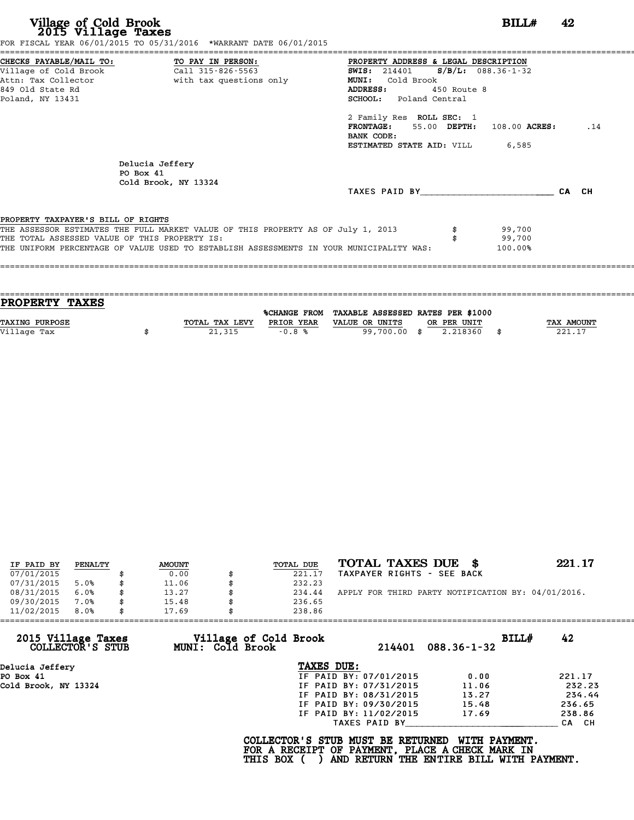| Village of Cold Brook<br>2015 Village Taxes<br>FOR FISCAL YEAR 06/01/2015 TO 05/31/2016 *WARRANT DATE 06/01/2015                                                                                                                                                   |                         |                                                                                                                                                                                                                                                                                                   | BILL#                       | 42  |
|--------------------------------------------------------------------------------------------------------------------------------------------------------------------------------------------------------------------------------------------------------------------|-------------------------|---------------------------------------------------------------------------------------------------------------------------------------------------------------------------------------------------------------------------------------------------------------------------------------------------|-----------------------------|-----|
| CHECKS PAYABLE/MAIL TO: TO PAY IN PERSON:<br>Village of Cold Brook Call 315-826-5563<br>Attn: Tax Collector<br>849 Old State Rd<br>Poland, NY 13431                                                                                                                | with tax questions only | ===============================<br>PROPERTY ADDRESS & LEGAL DESCRIPTION<br><b>SWIS:</b> 214401 <b>S/B/L:</b> 088.36-1-32<br><b>MUNI:</b><br>Cold Brook<br>ADDRESS: 450 Route 8<br><b>SCHOOL:</b> Poland Central<br>2 Family Res ROLL SEC: 1<br>FRONTAGE: 55.00 DEPTH: 108.00 ACRES:<br>BANK CODE: |                             | .14 |
| Delucia Jeffery<br>PO Box 41<br>Cold Brook, NY 13324                                                                                                                                                                                                               |                         | <b>ESTIMATED STATE AID:</b> VILL 6,585<br>TAXES PAID BY CA CH                                                                                                                                                                                                                                     |                             |     |
| PROPERTY TAXPAYER'S BILL OF RIGHTS<br>THE ASSESSOR ESTIMATES THE FULL MARKET VALUE OF THIS PROPERTY AS OF July 1, 2013<br>THE TOTAL ASSESSED VALUE OF THIS PROPERTY IS:<br>THE UNIFORM PERCENTAGE OF VALUE USED TO ESTABLISH ASSESSMENTS IN YOUR MUNICIPALITY WAS: |                         |                                                                                                                                                                                                                                                                                                   | 99,700<br>99,700<br>100.00% |     |

| PROPERTY TAXES        |                |            |                                                |             |                   |
|-----------------------|----------------|------------|------------------------------------------------|-------------|-------------------|
|                       |                |            | %CHANGE FROM TAXABLE ASSESSED RATES PER \$1000 |             |                   |
| <b>TAXING PURPOSE</b> | TOTAL TAX LEVY | PRIOR YEAR | VALUE OR UNITS                                 | OR PER UNIT | <b>TAX AMOUNT</b> |
| Village Tax           | 21,315         | $-0.8%$    | 99,700.00 \$                                   | 2.218360    | 221.17            |
|                       |                |            |                                                |             |                   |

| IF PAID BY | PENALTY | <b>AMOUNT</b> | TOTAL DUE | TOTAL TAXES DUE \$                                 | 221.17 |
|------------|---------|---------------|-----------|----------------------------------------------------|--------|
| 07/01/2015 |         | 0.00          | 221.17    | TAXPAYER RIGHTS - SEE BACK                         |        |
| 07/31/2015 | 5.0%    | \$<br>11.06   | 232.23    |                                                    |        |
| 08/31/2015 | 6.0%    | 13.27         | 234.44    | APPLY FOR THIRD PARTY NOTIFICATION BY: 04/01/2016. |        |
| 09/30/2015 | $7.0\%$ | \$<br>15.48   | 236.65    |                                                    |        |
| 11/02/2015 | 8.0%    | 17.69         | 238.86    |                                                    |        |

| 11/02/2015                             | 8.0% | 17.69 |                  | 238.86                                                                                             |                        |                                                           |       |        |
|----------------------------------------|------|-------|------------------|----------------------------------------------------------------------------------------------------|------------------------|-----------------------------------------------------------|-------|--------|
| 2015 Village Taxes<br>COLLECTOR'S STUB |      |       | MUNI: Cold Brook | Village of Cold Brook                                                                              | 214401                 | $088.36 - 1 - 32$                                         | BILL# | 42     |
| Delucia Jeffery                        |      |       |                  | TAXES DUE:                                                                                         |                        |                                                           |       |        |
| PO Box 41                              |      |       |                  |                                                                                                    | IF PAID BY: 07/01/2015 | 0.00                                                      |       | 221.17 |
| Cold Brook, NY 13324                   |      |       |                  |                                                                                                    | IF PAID BY: 07/31/2015 | 11.06                                                     |       | 232.23 |
|                                        |      |       |                  |                                                                                                    | IF PAID BY: 08/31/2015 | 13.27                                                     |       | 234.44 |
|                                        |      |       |                  |                                                                                                    | IF PAID BY: 09/30/2015 | 15.48                                                     |       | 236.65 |
|                                        |      |       |                  |                                                                                                    | IF PAID BY: 11/02/2015 | 17.69                                                     |       | 238.86 |
|                                        |      |       |                  |                                                                                                    | TAXES PAID BY          |                                                           |       | CA CH  |
|                                        |      |       |                  | COLLECTOR'S STUB MUST BE RETURNED<br>FOR A RECEIPT OF PAYMENT, PLACE A CHECK MARK IN<br>THIS BOX ( |                        | WITH PAYMENT.<br>AND RETURN THE ENTIRE BILL WITH PAYMENT. |       |        |
|                                        |      |       |                  |                                                                                                    |                        |                                                           |       |        |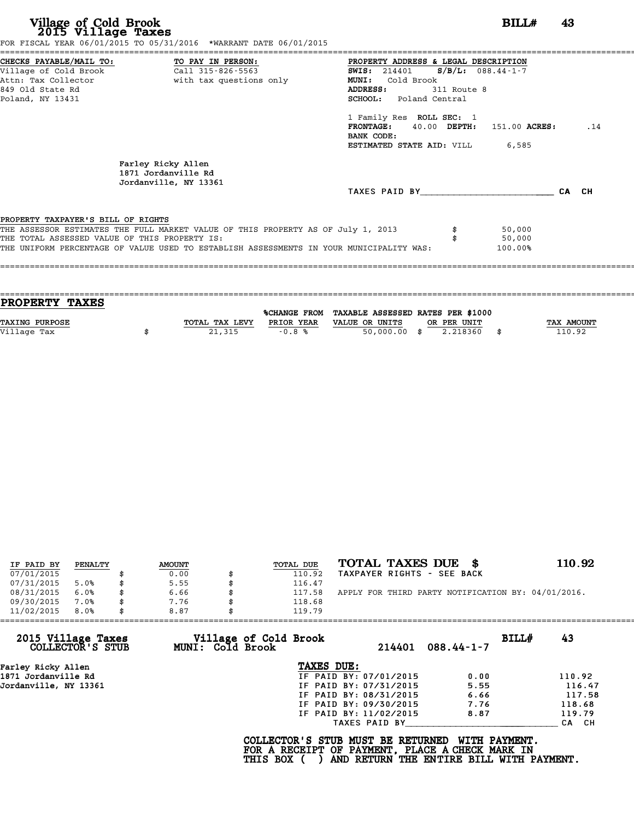|                                               | FOR FISCAL YEAR 06/01/2015 TO 05/31/2016 *WARRANT DATE 06/01/2015                       |                                        |               |       |
|-----------------------------------------------|-----------------------------------------------------------------------------------------|----------------------------------------|---------------|-------|
|                                               | CHECKS PAYABLE/MAIL TO: TO PAY IN PERSON:                                               | PROPERTY ADDRESS & LEGAL DESCRIPTION   |               |       |
|                                               |                                                                                         | SWIS: $214401$ S/B/L: 088.44-1-7       |               |       |
|                                               | Attn: Tax Collector The With tax questions only                                         | MUNI: Cold Brook                       |               |       |
| 849 Old State Rd                              |                                                                                         | <b>ADDRESS:</b>                        | 311 Route 8   |       |
| Poland, NY 13431                              |                                                                                         | SCHOOL: Poland Central                 |               |       |
|                                               |                                                                                         | 1 Family Res ROLL SEC: 1               |               |       |
|                                               |                                                                                         | FRONTAGE: 40.00 DEPTH:                 | 151.00 ACRES: | .14   |
|                                               |                                                                                         | BANK CODE:                             |               |       |
|                                               |                                                                                         | <b>ESTIMATED STATE AID:</b> VILL 6,585 |               |       |
|                                               | Farley Ricky Allen<br>1871 Jordanville Rd<br>Jordanville, NY 13361                      |                                        |               |       |
|                                               |                                                                                         | TAXES PAID BY                          |               | CA CH |
| PROPERTY TAXPAYER'S BILL OF RIGHTS            |                                                                                         |                                        |               |       |
|                                               | THE ASSESSOR ESTIMATES THE FULL MARKET VALUE OF THIS PROPERTY AS OF July 1, 2013        |                                        | 50,000        |       |
| THE TOTAL ASSESSED VALUE OF THIS PROPERTY IS: |                                                                                         |                                        | 50,000        |       |
|                                               | THE UNIFORM PERCENTAGE OF VALUE USED TO ESTABLISH ASSESSMENTS IN YOUR MUNICIPALITY WAS: |                                        | 100.00%       |       |
|                                               |                                                                                         |                                        |               |       |
|                                               |                                                                                         |                                        |               |       |

| <b>PROPERTY TAXES</b> |                |            |                                                |             |                   |
|-----------------------|----------------|------------|------------------------------------------------|-------------|-------------------|
|                       |                |            |                                                |             |                   |
|                       |                |            | %CHANGE FROM TAXABLE ASSESSED RATES PER \$1000 |             |                   |
| TAXING PURPOSE        | TOTAL TAX LEVY | PRIOR YEAR | VALUE OR UNITS                                 | OR PER UNIT | <b>TAX AMOUNT</b> |
|                       |                |            |                                                |             |                   |
| Village Tax           | 21,315         | $-0.8%$    | 50,000.00 \$                                   | 2.218360    | 110.92            |
|                       |                |            |                                                |             |                   |

| IF PAID BY | PENALTY | <b>AMOUNT</b> | TOTAL DUE | TOTAL TAXES DUE \$                                 | 110.92 |
|------------|---------|---------------|-----------|----------------------------------------------------|--------|
| 07/01/2015 |         | 0.00          | 110.92    | TAXPAYER RIGHTS - SEE BACK                         |        |
| 07/31/2015 | 5.0%    | 5.55          | 116.47    |                                                    |        |
| 08/31/2015 | 6.0%    | 6.66          | 117.58    | APPLY FOR THIRD PARTY NOTIFICATION BY: 04/01/2016. |        |
| 09/30/2015 | 7.0%    | 7.76          | 118.68    |                                                    |        |
| 11/02/2015 | 8.0%    | 8.87          | 119.79    |                                                    |        |

| 11/02/2015            | 8.0%             | 8.87             | 119.79                                                                                             |                                          |                  |       |        |
|-----------------------|------------------|------------------|----------------------------------------------------------------------------------------------------|------------------------------------------|------------------|-------|--------|
| 2015 Village Taxes    | COLLECTOR'S STUB | MUNI: Cold Brook | Village of Cold Brook                                                                              | 214401                                   | $088.44 - 1 - 7$ | BILL# | 43     |
| Farley Ricky Allen    |                  |                  | TAXES DUE:                                                                                         |                                          |                  |       |        |
| 1871 Jordanville Rd   |                  |                  |                                                                                                    | IF PAID BY: 07/01/2015                   | 0.00             |       | 110.92 |
| Jordanville, NY 13361 |                  |                  |                                                                                                    | IF PAID BY: 07/31/2015                   | 5.55             |       | 116.47 |
|                       |                  |                  |                                                                                                    | IF PAID BY: 08/31/2015                   | 6.66             |       | 117.58 |
|                       |                  |                  |                                                                                                    | IF PAID BY: 09/30/2015                   | 7.76             |       | 118.68 |
|                       |                  |                  |                                                                                                    | IF PAID BY: 11/02/2015                   | 8.87             |       | 119.79 |
|                       |                  |                  |                                                                                                    | TAXES PAID BY                            |                  |       | CA CH  |
|                       |                  |                  | COLLECTOR'S STUB MUST BE RETURNED<br>FOR A RECEIPT OF PAYMENT, PLACE A CHECK MARK IN<br>THIS BOX ( | AND RETURN THE ENTIRE BILL WITH PAYMENT. | WITH PAYMENT.    |       |        |
|                       |                  |                  |                                                                                                    |                                          |                  |       |        |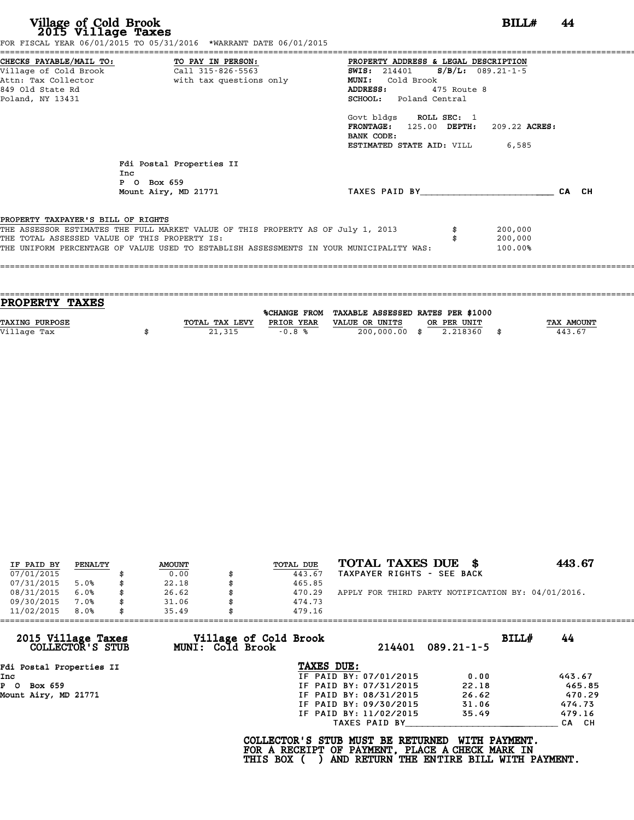| CHECKS PAYABLE/MAIL TO: TO PAY IN PERSON:<br>Attn: Tax Collector                       with tax questions only | PROPERTY ADDRESS & LEGAL DESCRIPTION<br>$S/B/L$ : 089.21-1-5<br><b>SWIS:</b> 214401<br>Cold Brook<br><b>MUNI:</b><br>ADDRESS:<br>475 Route 8<br><b>SCHOOL:</b> Poland Central<br>Govt bldgs ROLL SEC: 1<br>FRONTAGE: 125.00 DEPTH:<br>209.22 ACRES:<br>BANK CODE: |                                                                                                                                                                                                                                                                                        |
|----------------------------------------------------------------------------------------------------------------|-------------------------------------------------------------------------------------------------------------------------------------------------------------------------------------------------------------------------------------------------------------------|----------------------------------------------------------------------------------------------------------------------------------------------------------------------------------------------------------------------------------------------------------------------------------------|
| Fdi Postal Properties II<br>Inc<br>P O Box 659<br>Mount Airy, MD 21771                                         | TAXES PAID BY                                                                                                                                                                                                                                                     | CA CH                                                                                                                                                                                                                                                                                  |
| PROPERTY TAXPAYER'S BILL OF RIGHTS<br>THE TOTAL ASSESSED VALUE OF THIS PROPERTY IS:                            | 200,000<br>200,000<br>100.00%                                                                                                                                                                                                                                     |                                                                                                                                                                                                                                                                                        |
|                                                                                                                |                                                                                                                                                                                                                                                                   | FOR FISCAL YEAR 06/01/2015 TO 05/31/2016 *WARRANT DATE 06/01/2015<br>ESTIMATED STATE AID: VILL<br>6,585<br>THE ASSESSOR ESTIMATES THE FULL MARKET VALUE OF THIS PROPERTY AS OF July 1, 2013<br>THE UNIFORM PERCENTAGE OF VALUE USED TO ESTABLISH ASSESSMENTS IN YOUR MUNICIPALITY WAS: |

| PROPERTY TAXES        |                |            |                                                |             |                   |
|-----------------------|----------------|------------|------------------------------------------------|-------------|-------------------|
|                       |                |            | %CHANGE FROM TAXABLE ASSESSED RATES PER \$1000 |             |                   |
| <b>TAXING PURPOSE</b> | TOTAL TAX LEVY | PRIOR YEAR | VALUE OR UNITS                                 | OR PER UNIT | <b>TAX AMOUNT</b> |
| Village Tax           | 21,315         | $-0.8%$    | 200,000.00 \$                                  | 2.218360    | 443.67            |
|                       |                |            |                                                |             |                   |

====================================================================================================================================

| IF PAID BY | PENALTY | <b>AMOUNT</b> | TOTAL DUE | TOTAL TAXES DUE \$                                 | 443.67 |
|------------|---------|---------------|-----------|----------------------------------------------------|--------|
| 07/01/2015 |         | 0.00          | 443.67    | TAXPAYER RIGHTS - SEE BACK                         |        |
| 07/31/2015 | 5.0%    | \$<br>22.18   | 465.85    |                                                    |        |
| 08/31/2015 | 6.0%    | \$<br>26.62   | 470.29    | APPLY FOR THIRD PARTY NOTIFICATION BY: 04/01/2016. |        |
| 09/30/2015 | 7.0%    | \$<br>31.06   | 474.73    |                                                    |        |
| 11/02/2015 | 8.0%    | \$<br>35.49   | 479.16    |                                                    |        |

| 11/02/2015<br>8.0%                     | 35.49            | 479.16                 |        |                  |       |        |
|----------------------------------------|------------------|------------------------|--------|------------------|-------|--------|
| 2015 Village Taxes<br>COLLECTOR'S STUB | MUNI: Cold Brook | Village of Cold Brook  | 214401 | $089.21 - 1 - 5$ | BILLH | 44     |
| Fdi Postal Properties II               |                  | TAXES DUE:             |        |                  |       |        |
| Inc                                    |                  | IF PAID BY: 07/01/2015 |        | 0.00             |       | 443.67 |
| PO.<br>Box 659                         |                  | IF PAID BY: 07/31/2015 |        | 22.18            |       | 465.85 |
| Mount Airy, MD 21771                   |                  | IF PAID BY: 08/31/2015 |        | 26.62            |       | 470.29 |
|                                        |                  | IF PAID BY: 09/30/2015 |        | 31.06            |       | 474.73 |
|                                        |                  | IF PAID BY: 11/02/2015 |        | 35.49            |       | 479.16 |
|                                        |                  | TAXES PAID BY          |        |                  |       | CA CH  |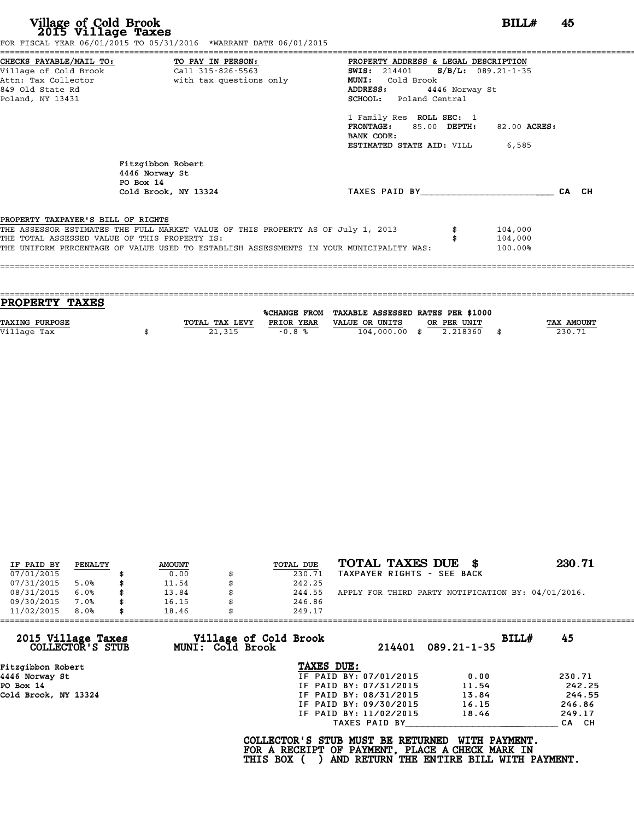|                                    | CHECKS PAYABLE/MAIL TO: TO PAY IN PERSON:                                        | PROPERTY ADDRESS & LEGAL DESCRIPTION                                                    |                |       |
|------------------------------------|----------------------------------------------------------------------------------|-----------------------------------------------------------------------------------------|----------------|-------|
|                                    |                                                                                  | <b>SWIS:</b> 214401 <b>S/B/L:</b> 089.21-1-35                                           |                |       |
|                                    | Attn: Tax Collector and with tax questions only                                  | Cold Brook<br><b>MUNI:</b>                                                              |                |       |
| 849 Old State Rd                   |                                                                                  | ADDRESS:                                                                                | 4446 Norway St |       |
| Poland, NY 13431                   |                                                                                  | SCHOOL: Poland Central                                                                  |                |       |
|                                    |                                                                                  | 1 Family Res ROLL SEC: 1                                                                |                |       |
|                                    |                                                                                  | FRONTAGE: 85.00 DEPTH:                                                                  | 82.00 ACRES:   |       |
|                                    |                                                                                  | BANK CODE:                                                                              |                |       |
|                                    |                                                                                  | <b>ESTIMATED STATE AID:</b> VILL 6,585                                                  |                |       |
|                                    | Fitzgibbon Robert<br>4446 Norway St<br>PO Box 14                                 |                                                                                         |                |       |
|                                    | Cold Brook, NY 13324                                                             | TAXES PAID BY                                                                           |                | CA CH |
|                                    |                                                                                  |                                                                                         |                |       |
| PROPERTY TAXPAYER'S BILL OF RIGHTS |                                                                                  |                                                                                         |                |       |
|                                    | THE ASSESSOR ESTIMATES THE FULL MARKET VALUE OF THIS PROPERTY AS OF July 1, 2013 |                                                                                         | 104,000        |       |
|                                    | THE TOTAL ASSESSED VALUE OF THIS PROPERTY IS:                                    |                                                                                         | 104,000        |       |
|                                    |                                                                                  | THE UNIFORM PERCENTAGE OF VALUE USED TO ESTABLISH ASSESSMENTS IN YOUR MUNICIPALITY WAS: | 100.00%        |       |

| PROPERTY TAXES        |                |              |                                   |             |      |            |
|-----------------------|----------------|--------------|-----------------------------------|-------------|------|------------|
|                       |                |              |                                   |             |      |            |
|                       |                | %CHANGE FROM | TAXABLE ASSESSED RATES PER \$1000 |             |      |            |
| <b>TAXING PURPOSE</b> | TOTAL TAX LEVY | PRIOR YEAR   | VALUE OR UNITS                    | OR PER UNIT |      | TAX AMOUNT |
| Village Tax           | 21,315         | $-0.8%$      | $104,000.00$ \$                   | 2.218360    | - \$ | 230.71     |
|                       |                |              |                                   |             |      |            |

|            |         |               |              | TOTAL TAXES DUE \$                                 | 230.71 |
|------------|---------|---------------|--------------|----------------------------------------------------|--------|
| IF PAID BY | PENALTY | <b>AMOUNT</b> | TOTAL DUE    |                                                    |        |
| 07/01/2015 |         | 0.00          | 230.71       | TAXPAYER RIGHTS - SEE BACK                         |        |
| 07/31/2015 | 5.0%    | \$<br>11.54   | 242.25       |                                                    |        |
| 08/31/2015 | 6.0%    | \$<br>13.84   | 244.55       | APPLY FOR THIRD PARTY NOTIFICATION BY: 04/01/2016. |        |
| 09/30/2015 | 7.0%    | \$<br>16.15   | \$<br>246.86 |                                                    |        |
| 11/02/2015 | 8.0%    | \$<br>18.46   | 249.17       |                                                    |        |

| 11/02/2015<br>8.0%                     | 18.46 |                  | 249.17                                                                                             |                        |                                                           |       |        |
|----------------------------------------|-------|------------------|----------------------------------------------------------------------------------------------------|------------------------|-----------------------------------------------------------|-------|--------|
| 2015 Village Taxes<br>COLLECTOR'S STUB |       | MUNI: Cold Brook | Village of Cold Brook                                                                              | 214401                 | $089.21 - 1 - 35$                                         | BILLH | 45     |
| Fitzgibbon Robert                      |       |                  | TAXES DUE:                                                                                         |                        |                                                           |       |        |
| 4446 Norway St                         |       |                  |                                                                                                    | IF PAID BY: 07/01/2015 | 0.00                                                      |       | 230.71 |
| PO Box 14                              |       |                  |                                                                                                    | IF PAID BY: 07/31/2015 | 11.54                                                     |       | 242.25 |
| Cold Brook, NY 13324                   |       |                  |                                                                                                    | IF PAID BY: 08/31/2015 | 13.84                                                     |       | 244.55 |
|                                        |       |                  |                                                                                                    | IF PAID BY: 09/30/2015 | 16.15                                                     |       | 246.86 |
|                                        |       |                  |                                                                                                    | IF PAID BY: 11/02/2015 | 18.46                                                     |       | 249.17 |
|                                        |       |                  |                                                                                                    | TAXES PAID BY          |                                                           |       | CA CH  |
|                                        |       |                  | COLLECTOR'S STUB MUST BE RETURNED<br>FOR A RECEIPT OF PAYMENT, PLACE A CHECK MARK IN<br>THIS BOX ( |                        | WITH PAYMENT.<br>AND RETURN THE ENTIRE BILL WITH PAYMENT. |       |        |
|                                        |       |                  |                                                                                                    |                        |                                                           |       |        |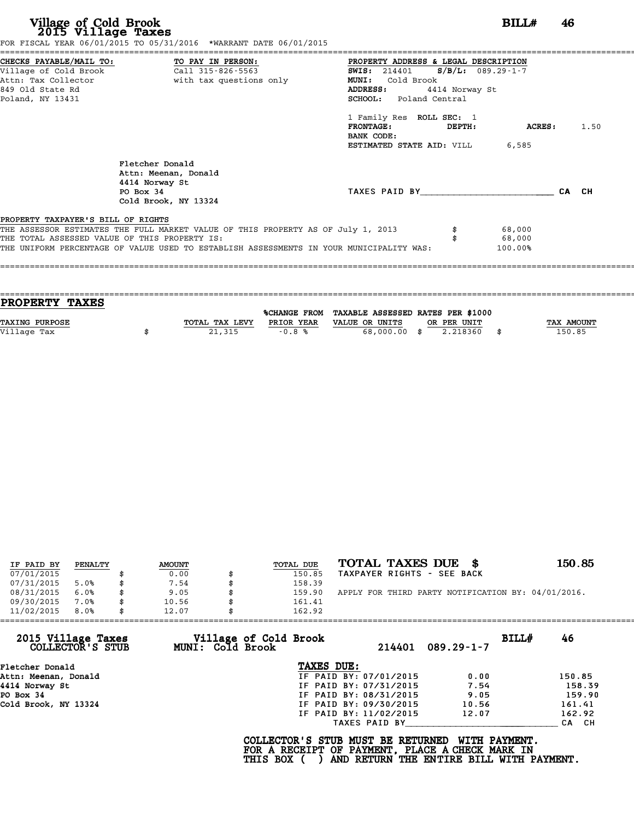|                                               | FOR FISCAL YEAR 06/01/2015 TO 05/31/2016 *WARRANT DATE 06/01/2015                       |                                            |                |       |
|-----------------------------------------------|-----------------------------------------------------------------------------------------|--------------------------------------------|----------------|-------|
|                                               | CHECKS PAYABLE/MAIL TO: TO PAY IN PERSON:                                               | PROPERTY ADDRESS & LEGAL DESCRIPTION       |                |       |
| Village of Cold Brook                         | Call 315-826-5563                                                                       | $S/B/L: 089.29-1-7$<br><b>SWIS:</b> 214401 |                |       |
| Attn: Tax Collector                           | with tax questions only                                                                 | Cold Brook<br><b>MUNI:</b>                 |                |       |
| 849 Old State Rd                              |                                                                                         | <b>ADDRESS:</b><br>4414 Norway St          |                |       |
| Poland, NY 13431                              |                                                                                         | <b>SCHOOL:</b> Poland Central              |                |       |
|                                               |                                                                                         | 1 Family Res ROLL SEC: 1                   |                |       |
|                                               |                                                                                         | <b>FRONTAGE:</b><br>DEPTH:<br>BANK CODE:   | <b>ACRES :</b> | 1.50  |
|                                               |                                                                                         | ESTIMATED STATE AID: VILL                  | 6,585          |       |
|                                               |                                                                                         |                                            |                |       |
|                                               | Fletcher Donald                                                                         |                                            |                |       |
|                                               | Attn: Meenan, Donald                                                                    |                                            |                |       |
|                                               | 4414 Norway St                                                                          |                                            |                |       |
|                                               | PO Box 34                                                                               | TAXES PAID BY                              |                | CA CH |
|                                               | Cold Brook, NY 13324                                                                    |                                            |                |       |
| PROPERTY TAXPAYER'S BILL OF RIGHTS            |                                                                                         |                                            |                |       |
|                                               | THE ASSESSOR ESTIMATES THE FULL MARKET VALUE OF THIS PROPERTY AS OF July 1, 2013        |                                            | 68,000         |       |
| THE TOTAL ASSESSED VALUE OF THIS PROPERTY IS: |                                                                                         |                                            | 68,000         |       |
|                                               | THE UNIFORM PERCENTAGE OF VALUE USED TO ESTABLISH ASSESSMENTS IN YOUR MUNICIPALITY WAS: |                                            | 100.00%        |       |
|                                               |                                                                                         |                                            |                |       |
|                                               |                                                                                         |                                            |                |       |

| PROPERTY TAXES        |                |            |                                                |             |                   |
|-----------------------|----------------|------------|------------------------------------------------|-------------|-------------------|
|                       |                |            | %CHANGE FROM TAXABLE ASSESSED RATES PER \$1000 |             |                   |
| <b>TAXING PURPOSE</b> | TOTAL TAX LEVY | PRIOR YEAR | VALUE OR UNITS                                 | OR PER UNIT | <b>TAX AMOUNT</b> |
| Village Tax           | 21,315         | $-0.8%$    | 68,000.00 \$                                   | 2.218360    | 150.85            |
|                       |                |            |                                                |             |                   |

| IF PAID BY | PENALTY | <b>AMOUNT</b> | TOTAL DUE    | TOTAL TAXES DUE \$                                 | 150.85 |
|------------|---------|---------------|--------------|----------------------------------------------------|--------|
| 07/01/2015 |         | 0.00          | 150.85       | TAXPAYER RIGHTS - SEE BACK                         |        |
| 07/31/2015 | 5.0%    | 7.54          | 158.39       |                                                    |        |
| 08/31/2015 | 6.0%    | \$<br>9.05    | \$<br>159.90 | APPLY FOR THIRD PARTY NOTIFICATION BY: 04/01/2016. |        |
| 09/30/2015 | 7.0%    | \$<br>10.56   | 161.41       |                                                    |        |
| 11/02/2015 | 8.0%    | \$<br>12.07   | 162.92       |                                                    |        |

| 46     |
|--------|
|        |
|        |
| 150.85 |
| 158.39 |
| 159.90 |
| 161.41 |
| 162.92 |
| CA CH  |
|        |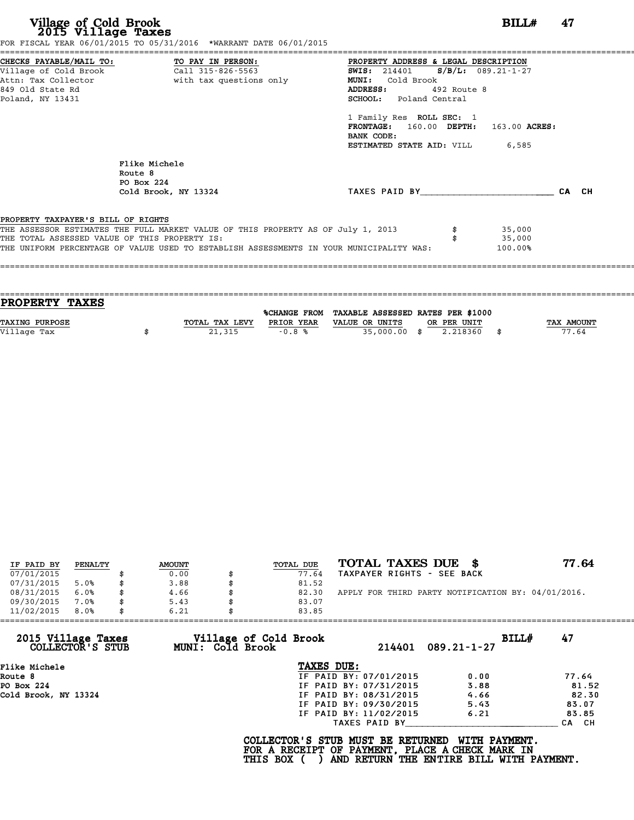| Village of Cold Brook<br>2015 Village Taxes | FOR FISCAL YEAR 06/01/2015 TO 05/31/2016 *WARRANT DATE 06/01/2015                |                                                                                         | 47<br>BILL# |
|---------------------------------------------|----------------------------------------------------------------------------------|-----------------------------------------------------------------------------------------|-------------|
|                                             | CHECKS PAYABLE/MAIL TO: TO PAY IN PERSON:                                        | PROPERTY ADDRESS & LEGAL DESCRIPTION                                                    |             |
| Village of Cold Brook                       | Call 315-826-5563                                                                | SWIS: 214401 S/B/L: 089.21-1-27                                                         |             |
| Attn: Tax Collector                         | with tax questions only                                                          | MUNI: Cold Brook                                                                        |             |
| 849 Old State Rd                            |                                                                                  | ADDRESS: 492 Route 8                                                                    |             |
| Poland, NY 13431                            |                                                                                  | SCHOOL: Poland Central                                                                  |             |
|                                             |                                                                                  | 1 Family Res ROLL SEC: 1                                                                |             |
|                                             |                                                                                  | FRONTAGE: 160.00 DEPTH: 163.00 ACRES:                                                   |             |
|                                             |                                                                                  | BANK CODE:                                                                              |             |
|                                             |                                                                                  | <b>ESTIMATED STATE AID:</b> VILL 6,585                                                  |             |
|                                             | Flike Michele                                                                    |                                                                                         |             |
|                                             | Route 8                                                                          |                                                                                         |             |
|                                             | PO Box 224                                                                       |                                                                                         |             |
|                                             | Cold Brook, NY 13324                                                             | TAXES PAID BY                                                                           | CA CH       |
|                                             |                                                                                  |                                                                                         |             |
| PROPERTY TAXPAYER'S BILL OF RIGHTS          | THE ASSESSOR ESTIMATES THE FULL MARKET VALUE OF THIS PROPERTY AS OF July 1, 2013 | 35,000                                                                                  |             |
|                                             | THE TOTAL ASSESSED VALUE OF THIS PROPERTY IS:                                    | 35,000                                                                                  |             |
|                                             |                                                                                  | THE UNIFORM PERCENTAGE OF VALUE USED TO ESTABLISH ASSESSMENTS IN YOUR MUNICIPALITY WAS: |             |

| PROPERTY TAXES        |                |            |                                                |             |                   |
|-----------------------|----------------|------------|------------------------------------------------|-------------|-------------------|
|                       |                |            | %CHANGE FROM TAXABLE ASSESSED RATES PER \$1000 |             |                   |
| <b>TAXING PURPOSE</b> | TOTAL TAX LEVY | PRIOR YEAR | VALUE OR UNITS                                 | OR PER UNIT | <b>TAX AMOUNT</b> |
| Village Tax           | 21,315         | $-0.8%$    | 35,000.00 \$                                   | 2.218360    | 77.64             |
|                       |                |            |                                                |             |                   |

| IF PAID BY | PENALTY | <b>AMOUNT</b> | <b>TOTAL DUE</b> | TOTAL TAXES DUE \$                                 | 77.64 |
|------------|---------|---------------|------------------|----------------------------------------------------|-------|
| 07/01/2015 |         | 0.00          | 77.64            | TAXPAYER RIGHTS - SEE BACK                         |       |
| 07/31/2015 | 5.0%    | \$<br>3.88    | 81.52            |                                                    |       |
| 08/31/2015 | 6.0%    | \$<br>4.66    | \$<br>82.30      | APPLY FOR THIRD PARTY NOTIFICATION BY: 04/01/2016. |       |
| 09/30/2015 | 7.0%    | \$<br>5.43    | 83.07            |                                                    |       |
| 11/02/2015 | 8.0%    | \$<br>6.21    | 83.85            |                                                    |       |

|                                        | 6.21                                      | 83.85                  |                   |             |
|----------------------------------------|-------------------------------------------|------------------------|-------------------|-------------|
| 2015 Village Taxes<br>COLLECTOR'S STUB | Village of Cold Brook<br>MUNI: Cold Brook | 214401                 | $089.21 - 1 - 27$ | 47<br>BILLH |
| Flike Michele                          |                                           | TAXES DUE:             |                   |             |
| Route 8                                |                                           | IF PAID BY: 07/01/2015 | 0.00              | 77.64       |
| PO Box 224                             |                                           | IF PAID BY: 07/31/2015 | 3.88              | 81.52       |
| Cold Brook, NY 13324                   |                                           | IF PAID BY: 08/31/2015 | 4.66              | 82.30       |
|                                        |                                           | IF PAID BY: 09/30/2015 | 5.43              | 83.07       |
|                                        |                                           | IF PAID BY: 11/02/2015 | 6.21              | 83.85       |
|                                        |                                           | TAXES PAID BY          |                   | CA CH       |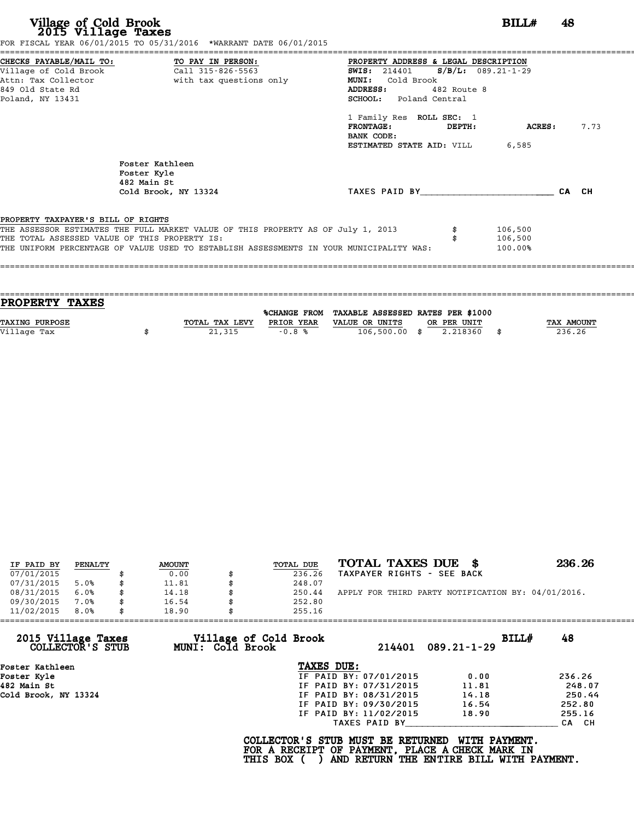|                                               | CHECKS PAYABLE/MAIL TO: TO PAY IN PERSON:                                               | PROPERTY ADDRESS & LEGAL DESCRIPTION          |       |
|-----------------------------------------------|-----------------------------------------------------------------------------------------|-----------------------------------------------|-------|
|                                               | village of Cold Brook call 315-826-5563                                                 | <b>SWIS:</b> 214401 <b>S/B/L:</b> 089.21-1-29 |       |
|                                               | Attn: Tax Collector and with tax questions only                                         | MUNI: Cold Brook                              |       |
| 849 Old State Rd                              |                                                                                         | ADDRESS:<br>482 Route 8                       |       |
| Poland, NY 13431                              |                                                                                         | SCHOOL: Poland Central                        |       |
|                                               |                                                                                         | 1 Family Res ROLL SEC: 1                      |       |
|                                               |                                                                                         | <b>FRONTAGE:</b><br>ACRES :<br>DEPTH:         | 7.73  |
|                                               |                                                                                         | BANK CODE:                                    |       |
|                                               |                                                                                         | <b>ESTIMATED STATE AID:</b> VILL 6,585        |       |
|                                               | Foster Kathleen                                                                         |                                               |       |
|                                               | Foster Kyle                                                                             |                                               |       |
|                                               | 482 Main St                                                                             |                                               |       |
|                                               | Cold Brook, NY 13324                                                                    | TAXES PAID BY                                 | CA CH |
|                                               |                                                                                         |                                               |       |
| PROPERTY TAXPAYER'S BILL OF RIGHTS            | THE ASSESSOR ESTIMATES THE FULL MARKET VALUE OF THIS PROPERTY AS OF July 1, 2013        | 106,500                                       |       |
| THE TOTAL ASSESSED VALUE OF THIS PROPERTY IS: |                                                                                         | 106,500                                       |       |
|                                               | THE UNIFORM PERCENTAGE OF VALUE USED TO ESTABLISH ASSESSMENTS IN YOUR MUNICIPALITY WAS: | 100.00%                                       |       |
|                                               |                                                                                         |                                               |       |

| <b>PROPERTY TAXES</b> |                |            |                                                |             |                   |
|-----------------------|----------------|------------|------------------------------------------------|-------------|-------------------|
|                       |                |            | %CHANGE FROM TAXABLE ASSESSED RATES PER \$1000 |             |                   |
| <b>TAXING PURPOSE</b> | TOTAL TAX LEVY | PRIOR YEAR | VALUE OR UNITS                                 | OR PER UNIT | <b>TAX AMOUNT</b> |
| Village Tax           | 21,315         | $-0.8%$    | $106,500.00$ \$                                | 2.218360    | 236.26            |
|                       |                |            |                                                |             |                   |

| IF PAID BY | PENALTY | <b>AMOUNT</b> | TOTAL DUE | TOTAL TAXES DUE \$                                 | 236.26 |
|------------|---------|---------------|-----------|----------------------------------------------------|--------|
| 07/01/2015 |         | 0.00          | 236.26    | TAXPAYER RIGHTS - SEE BACK                         |        |
| 07/31/2015 | 5.0%    | 11.81         | 248.07    |                                                    |        |
| 08/31/2015 | 6.0%    | \$<br>14.18   | 250.44    | APPLY FOR THIRD PARTY NOTIFICATION BY: 04/01/2016. |        |
| 09/30/2015 | 7.0%    | 16.54         | 252.80    |                                                    |        |
| 11/02/2015 | 8.0%    | 18.90         | 255.16    |                                                    |        |

| 11/02/2015                             | 8.0% | 18.90            | 255.16                |                                                                                                                                  |                   |       |        |
|----------------------------------------|------|------------------|-----------------------|----------------------------------------------------------------------------------------------------------------------------------|-------------------|-------|--------|
| 2015 Village Taxes<br>COLLECTOR'S STUB |      | MUNI: Cold Brook | Village of Cold Brook | 214401                                                                                                                           | $089.21 - 1 - 29$ | BILL# | 48     |
| Foster Kathleen                        |      |                  |                       | TAXES DUE:                                                                                                                       |                   |       |        |
| Foster Kyle                            |      |                  |                       | IF PAID BY: 07/01/2015                                                                                                           | 0.00              |       | 236.26 |
| 482 Main St                            |      |                  |                       | IF PAID BY: 07/31/2015                                                                                                           | 11.81             |       | 248.07 |
| Cold Brook, NY 13324                   |      |                  |                       | IF PAID BY: 08/31/2015                                                                                                           | 14.18             |       | 250.44 |
|                                        |      |                  |                       | IF PAID BY: 09/30/2015                                                                                                           | 16.54             |       | 252.80 |
|                                        |      |                  |                       | IF PAID BY: 11/02/2015                                                                                                           | 18.90             |       | 255.16 |
|                                        |      |                  |                       | TAXES PAID BY                                                                                                                    |                   |       | CA CH  |
|                                        |      |                  | THIS BOX (            | COLLECTOR'S STUB MUST BE RETURNED<br>FOR A RECEIPT OF PAYMENT, PLACE A CHECK MARK IN<br>AND RETURN THE ENTIRE BILL WITH PAYMENT. | WITH PAYMENT.     |       |        |
|                                        |      |                  |                       |                                                                                                                                  |                   |       |        |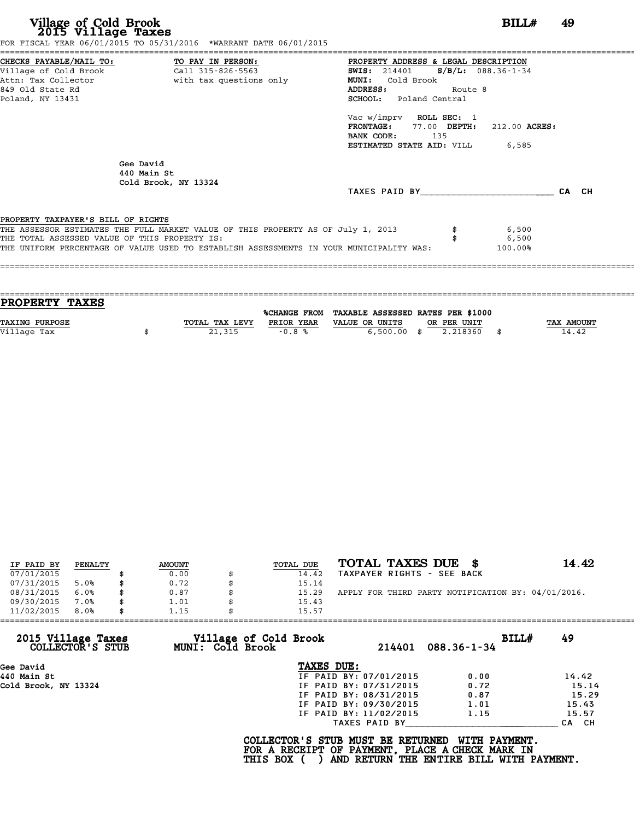| FOR FISCAL YEAR 06/01/2015 TO 05/31/2016 *WARRANT DATE 06/01/2015                       |                                               |
|-----------------------------------------------------------------------------------------|-----------------------------------------------|
| CHECKS PAYABLE/MAIL TO: TO PAY IN PERSON:                                               | PROPERTY ADDRESS & LEGAL DESCRIPTION          |
| Village of Cold Brook Call 315-826-5563                                                 | <b>SWIS:</b> 214401 <b>S/B/L:</b> 088.36-1-34 |
| Attn: Tax Collector and with tax questions only                                         | Cold Brook<br><b>MUNI:</b>                    |
| 849 Old State Rd                                                                        | ADDRESS:<br>Route 8                           |
| Poland, NY 13431                                                                        | <b>SCHOOL:</b> Poland Central                 |
|                                                                                         | Vac w/imprv ROLL SEC: 1                       |
|                                                                                         | FRONTAGE: 77.00 DEPTH: 212.00 ACRES:          |
|                                                                                         | BANK CODE: 135                                |
|                                                                                         | <b>ESTIMATED STATE AID:</b> VILL 6,585        |
| Gee David<br>440 Main St<br>Cold Brook, NY 13324                                        |                                               |
|                                                                                         | CA CH<br>TAXES PAID BY                        |
| PROPERTY TAXPAYER'S BILL OF RIGHTS                                                      |                                               |
| THE ASSESSOR ESTIMATES THE FULL MARKET VALUE OF THIS PROPERTY AS OF July 1, 2013        | 6,500                                         |
| THE TOTAL ASSESSED VALUE OF THIS PROPERTY IS:                                           | 6,500                                         |
| THE UNIFORM PERCENTAGE OF VALUE USED TO ESTABLISH ASSESSMENTS IN YOUR MUNICIPALITY WAS: | $100.00\%$                                    |
|                                                                                         |                                               |

| <b>TAX AMOUNT</b> |
|-------------------|
| 14.42             |
|                   |
|                   |

| IF PAID BY | PENALTY | <b>AMOUNT</b> | TOTAL DUE | TOTAL TAXES DUE \$                                 | 14.42 |
|------------|---------|---------------|-----------|----------------------------------------------------|-------|
| 07/01/2015 |         | 0.00          | 14.42     | TAXPAYER RIGHTS - SEE BACK                         |       |
| 07/31/2015 | 5.0%    | \$<br>0.72    | 15.14     |                                                    |       |
| 08/31/2015 | 6.0%    | \$<br>0.87    | 15.29     | APPLY FOR THIRD PARTY NOTIFICATION BY: 04/01/2016. |       |
| 09/30/2015 | 7.0%    | \$<br>1.01    | 15.43     |                                                    |       |
| 11/02/2015 | 8.0%    | \$<br>1.15    | 15.57     |                                                    |       |

| 11/02/2015<br>8.0%                     | 1.15<br>15.57                             |                        |                            |       |
|----------------------------------------|-------------------------------------------|------------------------|----------------------------|-------|
| 2015 Village Taxes<br>COLLECTOR'S STUB | Village of Cold Brook<br>MUNI: Cold Brook | 214401                 | BILL#<br>$088.36 - 1 - 34$ | 49    |
| Gee David                              | TAXES DUE:                                |                        |                            |       |
| 440 Main St                            |                                           | IF PAID BY: 07/01/2015 | 0.00                       | 14.42 |
| Cold Brook, NY 13324                   |                                           | IF PAID BY: 07/31/2015 | 0.72                       | 15.14 |
|                                        |                                           | IF PAID BY: 08/31/2015 | 0.87                       | 15.29 |
|                                        |                                           | IF PAID BY: 09/30/2015 | 1.01                       | 15.43 |
|                                        |                                           | IF PAID BY: 11/02/2015 | 1.15                       | 15.57 |
|                                        |                                           | TAXES PAID BY          |                            | CA CH |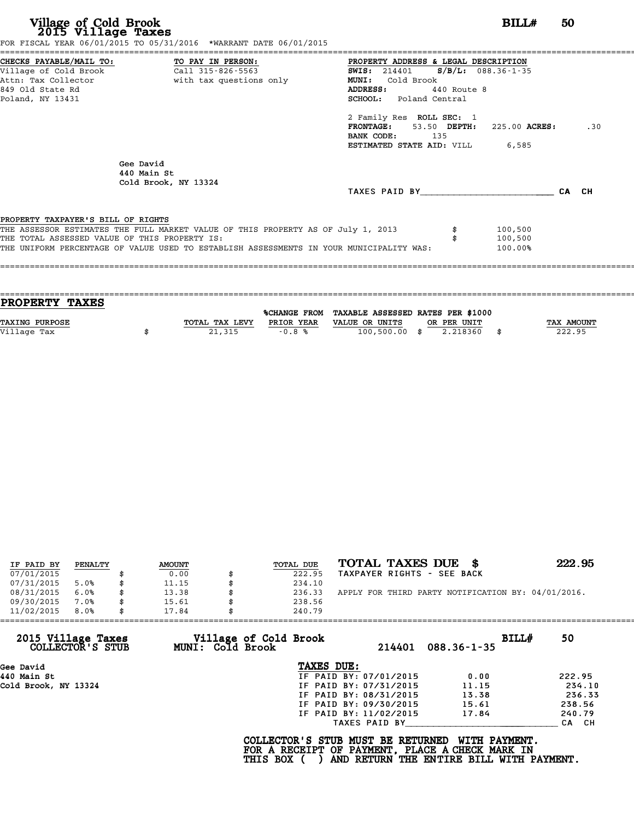|                                               | FOR FISCAL YEAR 06/01/2015 TO 05/31/2016 *WARRANT DATE 06/01/2015                       |                                               |         |     |
|-----------------------------------------------|-----------------------------------------------------------------------------------------|-----------------------------------------------|---------|-----|
|                                               | CHECKS PAYABLE/MAIL TO: TO PAY IN PERSON:                                               | PROPERTY ADDRESS & LEGAL DESCRIPTION          |         |     |
|                                               | Village of Cold Brook Call 315-826-5563                                                 | <b>SWIS:</b> 214401 <b>S/B/L:</b> 088.36-1-35 |         |     |
|                                               | Attn: Tax Collector                           with tax questions only                   | Cold Brook<br><b>MUNI:</b>                    |         |     |
| 849 Old State Rd                              |                                                                                         | ADDRESS: 440 Route 8                          |         |     |
| Poland, NY 13431                              |                                                                                         | <b>SCHOOL:</b> Poland Central                 |         |     |
|                                               |                                                                                         | 2 Family Res ROLL SEC: 1                      |         |     |
|                                               |                                                                                         | FRONTAGE: 53.50 DEPTH: 225.00 ACRES:          |         | .30 |
|                                               |                                                                                         | BANK CODE: 135                                |         |     |
|                                               |                                                                                         | <b>ESTIMATED STATE AID:</b> VILL 6,585        |         |     |
|                                               | Gee David<br>440 Main St<br>Cold Brook, NY 13324                                        |                                               |         |     |
|                                               |                                                                                         | TAXES PAID BY CA CH                           |         |     |
| PROPERTY TAXPAYER'S BILL OF RIGHTS            |                                                                                         |                                               |         |     |
|                                               | THE ASSESSOR ESTIMATES THE FULL MARKET VALUE OF THIS PROPERTY AS OF July 1, 2013        |                                               | 100,500 |     |
| THE TOTAL ASSESSED VALUE OF THIS PROPERTY IS: |                                                                                         |                                               | 100,500 |     |
|                                               | THE UNIFORM PERCENTAGE OF VALUE USED TO ESTABLISH ASSESSMENTS IN YOUR MUNICIPALITY WAS: |                                               | 100.00% |     |
|                                               |                                                                                         |                                               |         |     |
|                                               |                                                                                         |                                               |         |     |

| PROPERTY TAXES        |                |              |                                   |             |      |            |
|-----------------------|----------------|--------------|-----------------------------------|-------------|------|------------|
|                       |                |              |                                   |             |      |            |
|                       |                | %CHANGE FROM | TAXABLE ASSESSED RATES PER \$1000 |             |      |            |
| <b>TAXING PURPOSE</b> | TOTAL TAX LEVY | PRIOR YEAR   | VALUE OR UNITS                    | OR PER UNIT |      | TAX AMOUNT |
| Village Tax           | 21,315         | $-0.8%$      | $100,500.00$ \$                   | 2.218360    | - \$ | 222.95     |
|                       |                |              |                                   |             |      |            |

| IF PAID BY | PENALTY | <b>AMOUNT</b> | <b>TOTAL DUE</b> | TOTAL TAXES DUE<br>- 8                             | 222.95 |
|------------|---------|---------------|------------------|----------------------------------------------------|--------|
| 07/01/2015 |         | 0.00          | 222.95           | TAXPAYER RIGHTS - SEE BACK                         |        |
| 07/31/2015 | 5.0%    | 11.15         | 234.10           |                                                    |        |
| 08/31/2015 | 6.0%    | \$<br>13.38   | 236.33           | APPLY FOR THIRD PARTY NOTIFICATION BY: 04/01/2016. |        |
| 09/30/2015 | 7.0%    | \$<br>15.61   | 238.56           |                                                    |        |
| 11/02/2015 | 8.0%    | \$<br>17.84   | 240.79           |                                                    |        |

| Village of Cold Brook<br>MUNI: Cold Brook<br>TAXES DUE: | 214401                 | $088.36 - 1 - 35$                                                                                                     | BILLH<br>50                                                                                                                      |
|---------------------------------------------------------|------------------------|-----------------------------------------------------------------------------------------------------------------------|----------------------------------------------------------------------------------------------------------------------------------|
|                                                         |                        |                                                                                                                       |                                                                                                                                  |
|                                                         |                        |                                                                                                                       |                                                                                                                                  |
|                                                         | IF PAID BY: 07/01/2015 | 0.00                                                                                                                  | 222.95                                                                                                                           |
|                                                         |                        | 11.15                                                                                                                 | 234.10                                                                                                                           |
|                                                         |                        | 13.38                                                                                                                 | 236.33                                                                                                                           |
|                                                         |                        | 15.61                                                                                                                 | 238.56                                                                                                                           |
|                                                         |                        | 17.84                                                                                                                 | 240.79                                                                                                                           |
|                                                         |                        |                                                                                                                       | CA CH                                                                                                                            |
| THIS BOX (                                              |                        | WITH PAYMENT.                                                                                                         |                                                                                                                                  |
|                                                         |                        | IF PAID BY: 07/31/2015<br>IF PAID BY: 08/31/2015<br>IF PAID BY: 09/30/2015<br>IF PAID BY: 11/02/2015<br>TAXES PAID BY | COLLECTOR'S STUB MUST BE RETURNED<br>FOR A RECEIPT OF PAYMENT, PLACE A CHECK MARK IN<br>AND RETURN THE ENTIRE BILL WITH PAYMENT. |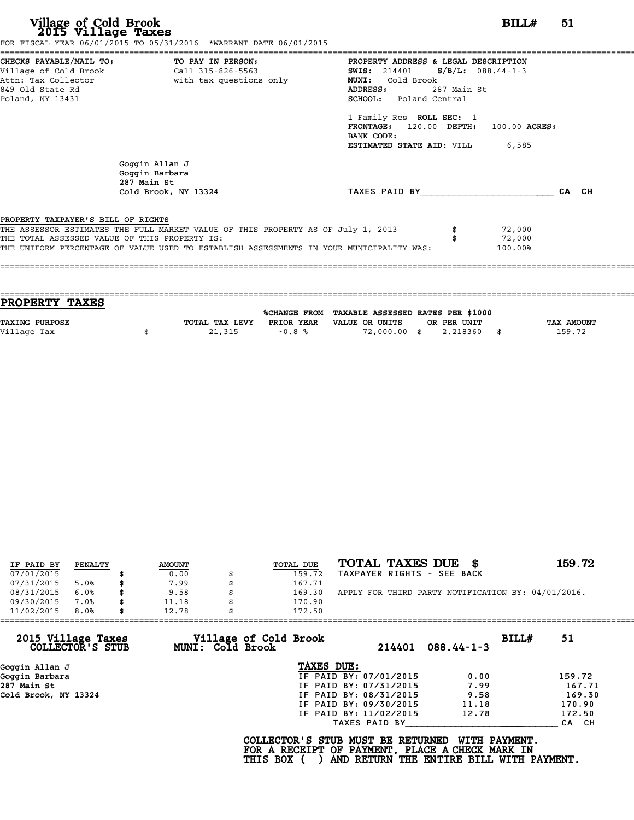|                                               | CHECKS PAYABLE/MAIL TO: TO PAY IN PERSON:                                        | PROPERTY ADDRESS & LEGAL DESCRIPTION         |             |                  |       |
|-----------------------------------------------|----------------------------------------------------------------------------------|----------------------------------------------|-------------|------------------|-------|
|                                               | village of Cold Brook $\overline{1, 11315}$ -826-5563                            | <b>SWIS:</b> 214401 <b>S/B/L:</b> 088.44-1-3 |             |                  |       |
|                                               | Attn: Tax Collector and the with tax questions only                              | Cold Brook<br><b>MUNI:</b>                   |             |                  |       |
| 849 Old State Rd                              |                                                                                  | ADDRESS:                                     | 287 Main St |                  |       |
| Poland, NY 13431                              |                                                                                  | SCHOOL: Poland Central                       |             |                  |       |
|                                               |                                                                                  | 1 Family Res ROLL SEC: 1                     |             |                  |       |
|                                               |                                                                                  | FRONTAGE: 120.00 DEPTH: 100.00 ACRES:        |             |                  |       |
|                                               |                                                                                  | BANK CODE:                                   |             |                  |       |
|                                               |                                                                                  | <b>ESTIMATED STATE AID:</b> VILL 6,585       |             |                  |       |
|                                               | Goggin Allan J<br>Goggin Barbara                                                 |                                              |             |                  |       |
|                                               | 287 Main St                                                                      |                                              |             |                  |       |
|                                               | Cold Brook, NY 13324                                                             | TAXES PAID BY                                |             |                  | CA CH |
|                                               |                                                                                  |                                              |             |                  |       |
| PROPERTY TAXPAYER'S BILL OF RIGHTS            |                                                                                  |                                              |             |                  |       |
| THE TOTAL ASSESSED VALUE OF THIS PROPERTY IS: | THE ASSESSOR ESTIMATES THE FULL MARKET VALUE OF THIS PROPERTY AS OF July 1, 2013 |                                              |             | 72,000<br>72,000 |       |

| PROPERTY TAXES        |                |                     |                                   |                |            |
|-----------------------|----------------|---------------------|-----------------------------------|----------------|------------|
|                       |                | <b>%CHANGE FROM</b> | TAXABLE ASSESSED RATES PER \$1000 |                |            |
|                       |                |                     |                                   |                |            |
| <b>TAXING PURPOSE</b> | TOTAL TAX LEVY | PRIOR YEAR          | VALUE OR UNITS<br>OR PER UNIT     |                | TAX AMOUNT |
| Village Tax           | 21,315         | $-0.8%$             | 72,000.00 \$                      | 2.218360<br>\$ | 159.72     |
|                       |                |                     |                                   |                |            |
|                       |                |                     |                                   |                |            |

| IF PAID BY | PENALTY | <b>AMOUNT</b> | <b>TOTAL DUE</b> | TOTAL TAXES DUE \$                                 | 159.72 |
|------------|---------|---------------|------------------|----------------------------------------------------|--------|
| 07/01/2015 |         | 0.00          | 159.72           | TAXPAYER RIGHTS - SEE BACK                         |        |
| 07/31/2015 | 5.0%    | 7.99          | 167.71           |                                                    |        |
| 08/31/2015 | 6.0%    | \$<br>9.58    | \$<br>169.30     | APPLY FOR THIRD PARTY NOTIFICATION BY: 04/01/2016. |        |
| 09/30/2015 | 7.0%    | \$<br>11.18   | 170.90           |                                                    |        |
| 11/02/2015 | 8.0%    | \$<br>12.78   | 172.50           |                                                    |        |

| Village of Cold Brook<br>BILL#<br>2015 Village Taxes<br>51<br>MUNI: Cold Brook<br>$088.44 - 1 - 3$<br>COLLECTOR'S STUB<br>214401<br>TAXES DUE:<br>Goggin Allan J<br>IF PAID BY: 07/01/2015<br>Goggin Barbara<br>0.00<br>159.72<br>287 Main St<br>IF PAID BY: 07/31/2015<br>7.99<br>Cold Brook, NY 13324<br>9.58<br>IF PAID BY: 08/31/2015 | 11/02/2015<br>8.0%<br>12.78 | 172.50 |        |
|-------------------------------------------------------------------------------------------------------------------------------------------------------------------------------------------------------------------------------------------------------------------------------------------------------------------------------------------|-----------------------------|--------|--------|
|                                                                                                                                                                                                                                                                                                                                           |                             |        |        |
|                                                                                                                                                                                                                                                                                                                                           |                             |        |        |
|                                                                                                                                                                                                                                                                                                                                           |                             |        |        |
|                                                                                                                                                                                                                                                                                                                                           |                             |        | 167.71 |
|                                                                                                                                                                                                                                                                                                                                           |                             |        | 169.30 |
| 170.90<br>IF PAID BY: 09/30/2015<br>11.18                                                                                                                                                                                                                                                                                                 |                             |        |        |
| 172.50<br>IF PAID BY: 11/02/2015<br>12.78                                                                                                                                                                                                                                                                                                 |                             |        |        |
| TAXES PAID BY                                                                                                                                                                                                                                                                                                                             |                             |        | CA CH  |
| COLLECTOR'S STUB MUST BE RETURNED<br>WITH PAYMENT.<br>FOR A RECEIPT OF PAYMENT, PLACE A CHECK MARK IN<br>AND RETURN THE ENTIRE BILL WITH PAYMENT.<br>THIS BOX (                                                                                                                                                                           |                             |        |        |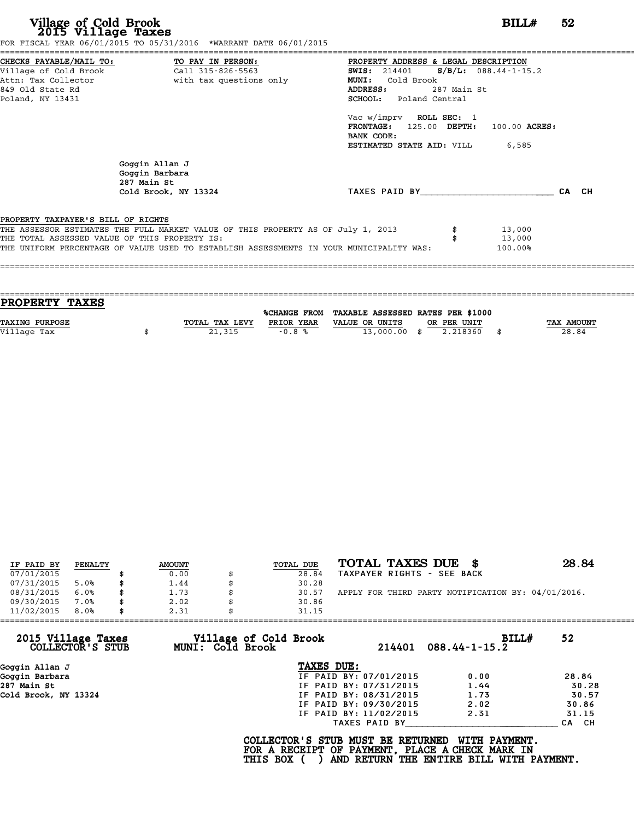|                                               | FOR FISCAL YEAR 06/01/2015 TO 05/31/2016 *WARRANT DATE 06/01/2015                       |                                                 |             |               |       |
|-----------------------------------------------|-----------------------------------------------------------------------------------------|-------------------------------------------------|-------------|---------------|-------|
|                                               | CHECKS PAYABLE/MAIL TO: TO PAY IN PERSON:                                               | PROPERTY ADDRESS & LEGAL DESCRIPTION            |             |               |       |
|                                               |                                                                                         | <b>SWIS:</b> 214401 <b>S/B/L:</b> 088.44-1-15.2 |             |               |       |
|                                               | Attn: Tax Collector and with tax questions only                                         | MUNI: Cold Brook                                |             |               |       |
| 849 Old State Rd                              |                                                                                         | ADDRESS:                                        | 287 Main St |               |       |
| Poland, NY 13431                              |                                                                                         | SCHOOL: Poland Central                          |             |               |       |
|                                               |                                                                                         | Vac w/imprv ROLL SEC: 1                         |             |               |       |
|                                               |                                                                                         | FRONTAGE: 125.00 DEPTH:                         |             | 100.00 ACRES: |       |
|                                               |                                                                                         | BANK CODE:                                      |             |               |       |
|                                               |                                                                                         | <b>ESTIMATED STATE AID:</b> VILL 6,585          |             |               |       |
|                                               | Goggin Allan J<br>Goggin Barbara<br>287 Main St                                         |                                                 |             |               |       |
|                                               | Cold Brook, NY 13324                                                                    | TAXES PAID BY TAXES                             |             |               | CA CH |
| PROPERTY TAXPAYER'S BILL OF RIGHTS            |                                                                                         |                                                 |             |               |       |
|                                               | THE ASSESSOR ESTIMATES THE FULL MARKET VALUE OF THIS PROPERTY AS OF July 1, 2013        |                                                 |             | 13,000        |       |
| THE TOTAL ASSESSED VALUE OF THIS PROPERTY IS: |                                                                                         |                                                 |             | 13,000        |       |
|                                               | THE UNIFORM PERCENTAGE OF VALUE USED TO ESTABLISH ASSESSMENTS IN YOUR MUNICIPALITY WAS: |                                                 |             | 100.00%       |       |
|                                               |                                                                                         |                                                 |             |               |       |
|                                               |                                                                                         |                                                 |             |               |       |

| TOTAL TAX LEVY | PRIOR YEAR | VALUE OR UNITS      |                | TAX AMOUNT                                                   |
|----------------|------------|---------------------|----------------|--------------------------------------------------------------|
|                | $-0.8%$    |                     | - \$           | 28.84                                                        |
|                |            |                     |                |                                                              |
|                | 21,315     | <b>%CHANGE FROM</b> | $13,000.00$ \$ | TAXABLE ASSESSED RATES PER \$1000<br>OR PER UNIT<br>2.218360 |

| IF PAID BY | PENALTY | <b>AMOUNT</b> | TOTAL DUE | TOTAL TAXES DUE \$                                 | 28.84 |
|------------|---------|---------------|-----------|----------------------------------------------------|-------|
| 07/01/2015 |         | 0.00          | 28.84     | TAXPAYER RIGHTS - SEE BACK                         |       |
| 07/31/2015 | 5.0%    | \$<br>1.44    | 30.28     |                                                    |       |
| 08/31/2015 | 6.0%    | \$<br>1.73    | 30.57     | APPLY FOR THIRD PARTY NOTIFICATION BY: 04/01/2016. |       |
| 09/30/2015 | 7.0%    | \$<br>2.02    | 30.86     |                                                    |       |
| 11/02/2015 | 8.0%    | \$<br>2.31    | 31.15     |                                                    |       |

| 11/02/2015<br>8.0%                     | 2.31<br>31.15                             |                        |                                     |       |
|----------------------------------------|-------------------------------------------|------------------------|-------------------------------------|-------|
| 2015 Village Taxes<br>COLLECTOR'S STUB | Village of Cold Brook<br>MUNI: Cold Brook | 214401                 | <b>BILL#</b><br>$088.44 - 1 - 15.2$ | 52    |
| Goggin Allan J                         | TAXES DUE:                                |                        |                                     |       |
| Goggin Barbara                         |                                           | IF PAID BY: 07/01/2015 | 0.00                                | 28.84 |
| 287 Main St                            |                                           | IF PAID BY: 07/31/2015 | 1.44                                | 30.28 |
| Cold Brook, NY 13324                   |                                           | IF PAID BY: 08/31/2015 | 1.73                                | 30.57 |
|                                        |                                           | IF PAID BY: 09/30/2015 | 2.02                                | 30.86 |
|                                        |                                           | IF PAID BY: 11/02/2015 | 2.31                                | 31.15 |
|                                        |                                           | TAXES PAID BY          |                                     | CA CH |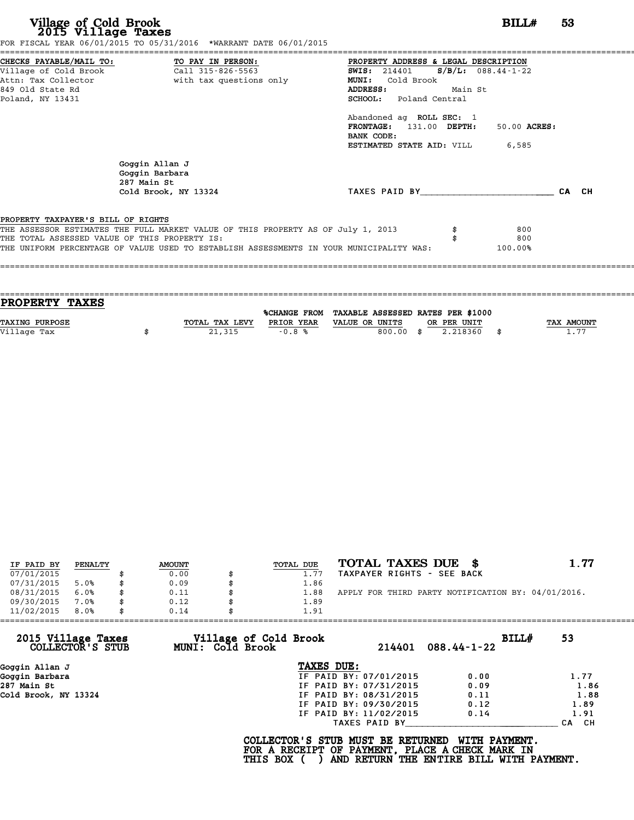|                                               |                                                                                         | PROPERTY ADDRESS & LEGAL DESCRIPTION          |         |              |       |  |
|-----------------------------------------------|-----------------------------------------------------------------------------------------|-----------------------------------------------|---------|--------------|-------|--|
|                                               |                                                                                         | <b>SWIS:</b> 214401 <b>S/B/L:</b> 088.44-1-22 |         |              |       |  |
|                                               | Attn: Tax Collector and with tax questions only                                         | Cold Brook<br><b>MUNI:</b>                    |         |              |       |  |
| 849 Old State Rd                              |                                                                                         | ADDRESS:                                      | Main St |              |       |  |
| Poland, NY 13431                              |                                                                                         | SCHOOL: Poland Central                        |         |              |       |  |
|                                               |                                                                                         | Abandoned ag ROLL SEC: 1                      |         |              |       |  |
|                                               |                                                                                         | FRONTAGE: 131.00 DEPTH:                       |         | 50.00 ACRES: |       |  |
|                                               |                                                                                         | BANK CODE:                                    |         |              |       |  |
|                                               |                                                                                         | <b>ESTIMATED STATE AID:</b> VILL 6,585        |         |              |       |  |
|                                               | Goggin Allan J<br>Goggin Barbara<br>287 Main St                                         |                                               |         |              |       |  |
|                                               | Cold Brook, NY 13324                                                                    | TAXES PAID BY                                 |         |              | CA CH |  |
|                                               |                                                                                         |                                               |         |              |       |  |
| PROPERTY TAXPAYER'S BILL OF RIGHTS            | THE ASSESSOR ESTIMATES THE FULL MARKET VALUE OF THIS PROPERTY AS OF July 1, 2013        |                                               |         | 800          |       |  |
|                                               |                                                                                         |                                               |         | 800          |       |  |
|                                               | THE UNIFORM PERCENTAGE OF VALUE USED TO ESTABLISH ASSESSMENTS IN YOUR MUNICIPALITY WAS: |                                               |         | 100.00%      |       |  |
| THE TOTAL ASSESSED VALUE OF THIS PROPERTY IS: |                                                                                         |                                               |         |              |       |  |

| <b>PROPERTY TAXES</b> |                |            |                                                |                |            |
|-----------------------|----------------|------------|------------------------------------------------|----------------|------------|
|                       |                |            |                                                |                |            |
|                       |                |            | %CHANGE FROM TAXABLE ASSESSED RATES PER \$1000 |                |            |
| <b>TAXING PURPOSE</b> | TOTAL TAX LEVY | PRIOR YEAR | VALUE OR UNITS<br>OR PER UNIT                  |                | TAX AMOUNT |
| Village Tax           | 21,315         | $-0.8%$    | 800.00<br>.ቋ                                   | 2.218360<br>\$ | 1.77       |
|                       |                |            |                                                |                |            |

| IF PAID BY | PENALTY | <b>AMOUNT</b> | <b>TOTAL DUE</b> | TOTAL TAXES DUE \$                                 | 1.77 |
|------------|---------|---------------|------------------|----------------------------------------------------|------|
| 07/01/2015 |         | 0.00          | 1.77             | TAXPAYER RIGHTS - SEE BACK                         |      |
| 07/31/2015 | 5.0%    | 0.09          | 1.86             |                                                    |      |
| 08/31/2015 | 6.0%    | 0.11          | 1.88             | APPLY FOR THIRD PARTY NOTIFICATION BY: 04/01/2016. |      |
| 09/30/2015 | 7.0%    | \$<br>0.12    | 1.89             |                                                    |      |
| 11/02/2015 | 8.0%    | 0.14          | 1.91             |                                                    |      |

| Village of Cold Brook |                        |                            |                                                                                                                  |
|-----------------------|------------------------|----------------------------|------------------------------------------------------------------------------------------------------------------|
| MUNI: Cold Brook      |                        | BILLH<br>$088.44 - 1 - 22$ | 53                                                                                                               |
|                       | TAXES DUE:             |                            |                                                                                                                  |
|                       | IF PAID BY: 07/01/2015 | 0.00                       | 1.77                                                                                                             |
|                       |                        | 0.09                       | 1.86                                                                                                             |
|                       |                        | 0.11                       | 1.88                                                                                                             |
|                       | IF PAID BY: 09/30/2015 | 0.12                       | 1.89                                                                                                             |
|                       | IF PAID BY: 11/02/2015 | 0.14                       | 1.91                                                                                                             |
|                       | TAXES PAID BY          |                            | CH.<br><b>CA</b>                                                                                                 |
|                       |                        |                            | 214401<br>IF PAID BY: 07/31/2015<br>IF PAID BY: 08/31/2015<br>COLLECTOR'S STUB MUST BE RETURNED<br>WITH PAYMENT. |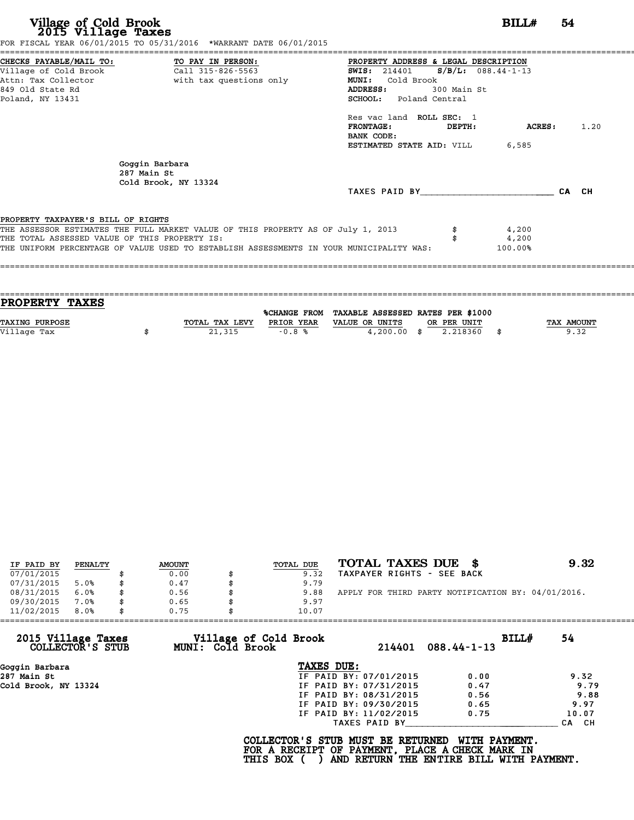| Village of Cold Brook<br>2015 Village Taxes                                                                     | FOR FISCAL YEAR 06/01/2015 TO 05/31/2016 *WARRANT DATE 06/01/2015                                                                                                           |                                                                                                                                        |                                     | BILL#                     | 54    |      |
|-----------------------------------------------------------------------------------------------------------------|-----------------------------------------------------------------------------------------------------------------------------------------------------------------------------|----------------------------------------------------------------------------------------------------------------------------------------|-------------------------------------|---------------------------|-------|------|
| CHECKS PAYABLE/MAIL TO:<br>Village of Cold Brook<br>Attn: Tax Collector<br>849 Old State Rd<br>Poland, NY 13431 | TO PAY IN PERSON:<br>Call 315-826-5563<br>with tax questions only                                                                                                           | PROPERTY ADDRESS & LEGAL DESCRIPTION<br><b>SWIS:</b> 214401<br><b>MUNI:</b><br>Cold Brook<br>ADDRESS:<br><b>SCHOOL:</b> Poland Central | $S/B/L: 088.44-1-13$<br>300 Main St |                           |       |      |
|                                                                                                                 |                                                                                                                                                                             | Res vac land ROLL SEC: 1<br><b>FRONTAGE:</b><br>BANK CODE:<br><b>ESTIMATED STATE AID:</b> VILL 6,585                                   | DEPTH:                              | ACRES :                   |       | 1.20 |
| 287 Main St                                                                                                     | Goggin Barbara<br>Cold Brook, NY 13324                                                                                                                                      |                                                                                                                                        |                                     |                           |       |      |
|                                                                                                                 |                                                                                                                                                                             | TAXES PAID BY TAXES                                                                                                                    |                                     |                           | CA CH |      |
| PROPERTY TAXPAYER'S BILL OF RIGHTS<br>THE TOTAL ASSESSED VALUE OF THIS PROPERTY IS:                             | THE ASSESSOR ESTIMATES THE FULL MARKET VALUE OF THIS PROPERTY AS OF July 1, 2013<br>THE UNIFORM PERCENTAGE OF VALUE USED TO ESTABLISH ASSESSMENTS IN YOUR MUNICIPALITY WAS: |                                                                                                                                        |                                     | 4,200<br>4,200<br>100.00% |       |      |

| PROPERTY TAXES        |                |            |                                                |             |                   |
|-----------------------|----------------|------------|------------------------------------------------|-------------|-------------------|
|                       |                |            | %CHANGE FROM TAXABLE ASSESSED RATES PER \$1000 |             |                   |
|                       |                |            |                                                |             |                   |
| <b>TAXING PURPOSE</b> | TOTAL TAX LEVY | PRIOR YEAR | VALUE OR UNITS                                 | OR PER UNIT | <b>TAX AMOUNT</b> |
| Village Tax           | 21,315         | $-0.8%$    | $4,200.00$ \$                                  | 2.218360    | 9.32              |
|                       |                |            |                                                |             |                   |

| IF PAID BY | PENALTY | <b>AMOUNT</b> | TOTAL DUE | TOTAL TAXES DUE \$                                 | 9.32 |
|------------|---------|---------------|-----------|----------------------------------------------------|------|
| 07/01/2015 |         | 0.00          | 9.32      | TAXPAYER RIGHTS - SEE BACK                         |      |
| 07/31/2015 | 5.0%    | \$<br>0.47    | 9.79      |                                                    |      |
| 08/31/2015 | 6.0%    | \$<br>0.56    | 9.88      | APPLY FOR THIRD PARTY NOTIFICATION BY: 04/01/2016. |      |
| 09/30/2015 | 7.0%    | \$<br>0.65    | 9.97      |                                                    |      |
| 11/02/2015 | 8.0%    | \$<br>0.75    | 10.07     |                                                    |      |

|                                        | 0.75<br>10.07                             |                        |                            |       |
|----------------------------------------|-------------------------------------------|------------------------|----------------------------|-------|
| 2015 Village Taxes<br>COLLECTOR'S STUB | Village of Cold Brook<br>MUNI: Cold Brook | 214401                 | BILL#<br>$088.44 - 1 - 13$ | 54    |
| Goggin Barbara                         |                                           | TAXES DUE:             |                            |       |
| 287 Main St                            |                                           | IF PAID BY: 07/01/2015 | 0.00                       | 9.32  |
| Cold Brook, NY 13324                   |                                           | IF PAID BY: 07/31/2015 | 0.47                       | 9.79  |
|                                        |                                           | IF PAID BY: 08/31/2015 | 0.56                       | 9.88  |
|                                        |                                           | IF PAID BY: 09/30/2015 | 0.65                       | 9.97  |
|                                        |                                           | IF PAID BY: 11/02/2015 | 0.75                       | 10.07 |
|                                        |                                           | TAXES PAID BY          |                            | CA CH |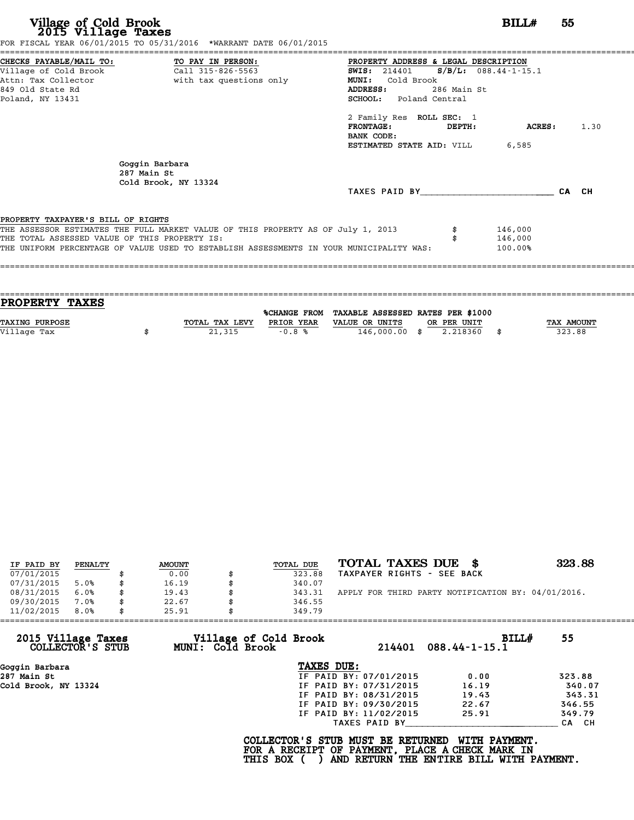| Village of Cold Brook<br>2015 Village Taxes                                                                | FOR FISCAL YEAR 06/01/2015 TO 05/31/2016 *WARRANT DATE 06/01/2015                                                                                                           |                                                                                                                                                                                                                                                         | BILLH                 |                               |  |      |
|------------------------------------------------------------------------------------------------------------|-----------------------------------------------------------------------------------------------------------------------------------------------------------------------------|---------------------------------------------------------------------------------------------------------------------------------------------------------------------------------------------------------------------------------------------------------|-----------------------|-------------------------------|--|------|
| CHECKS PAYABLE/MAIL TO: TO PAY IN PERSON:<br>Village of Cold Brook<br>849 Old State Rd<br>Poland, NY 13431 | Call 315-826-5563                                                                                                                                                           | PROPERTY ADDRESS & LEGAL DESCRIPTION<br>SWIS: $214401$ S/B/L: 088.44-1-15.1<br>Cold Brook<br>MUNI:<br>ADDRESS:<br><b>SCHOOL:</b> Poland Central<br>2 Family Res ROLL SEC: 1<br><b>FRONTAGE:</b><br>BANK CODE:<br><b>ESTIMATED STATE AID:</b> VILL 6,585 | 286 Main St<br>DEPTH: | ACRES :                       |  | 1.30 |
|                                                                                                            | Goggin Barbara<br>287 Main St<br>Cold Brook, NY 13324                                                                                                                       | TAXES PAID BY CA CH                                                                                                                                                                                                                                     |                       |                               |  |      |
| PROPERTY TAXPAYER'S BILL OF RIGHTS<br>THE TOTAL ASSESSED VALUE OF THIS PROPERTY IS:                        | THE ASSESSOR ESTIMATES THE FULL MARKET VALUE OF THIS PROPERTY AS OF July 1, 2013<br>THE UNIFORM PERCENTAGE OF VALUE USED TO ESTABLISH ASSESSMENTS IN YOUR MUNICIPALITY WAS: |                                                                                                                                                                                                                                                         |                       | 146,000<br>146,000<br>100.00% |  |      |

| <b>PROPERTY TAXES</b>                                                   |                                  |
|-------------------------------------------------------------------------|----------------------------------|
| %CHANGE FROM TAXABLE ASSESSED RATES PER \$1000                          |                                  |
|                                                                         |                                  |
| <b>TAXING PURPOSE</b><br>TOTAL TAX LEVY<br>PRIOR YEAR<br>VALUE OR UNITS | <b>TAX AMOUNT</b><br>OR PER UNIT |
| Village Tax<br>146,000.00 \$<br>21,315<br>$-0.8%$                       | 323.88<br>2.218360               |
|                                                                         |                                  |

| IF PAID BY | PENALTY | <b>AMOUNT</b> | TOTAL DUE    | TOTAL TAXES DUE \$                                 | 323.88 |
|------------|---------|---------------|--------------|----------------------------------------------------|--------|
| 07/01/2015 |         | 0.00          | 323.88       | TAXPAYER RIGHTS - SEE BACK                         |        |
| 07/31/2015 | 5.0%    | \$<br>16.19   | 340.07       |                                                    |        |
| 08/31/2015 | 6.0%    | \$<br>19.43   | \$<br>343.31 | APPLY FOR THIRD PARTY NOTIFICATION BY: 04/01/2016. |        |
| 09/30/2015 | 7.0%    | \$<br>22.67   | 346.55       |                                                    |        |
| 11/02/2015 | 8.0%    | \$<br>25.91   | 349.79       |                                                    |        |

| 11/02/2015<br>8.0%                     | 25.91<br>349.79                           |                        |                              |        |
|----------------------------------------|-------------------------------------------|------------------------|------------------------------|--------|
| 2015 Village Taxes<br>COLLECTOR'S STUB | Village of Cold Brook<br>MUNI: Cold Brook | 214401                 | BILL#<br>$088.44 - 1 - 15.1$ | 55     |
| Goggin Barbara                         |                                           | TAXES DUE:             |                              |        |
| 287 Main St                            |                                           | IF PAID BY: 07/01/2015 | 0.00                         | 323.88 |
| Cold Brook, NY 13324                   |                                           | IF PAID BY: 07/31/2015 | 16.19                        | 340.07 |
|                                        |                                           | IF PAID BY: 08/31/2015 | 19.43                        | 343.31 |
|                                        |                                           | IF PAID BY: 09/30/2015 | 22.67                        | 346.55 |
|                                        |                                           | IF PAID BY: 11/02/2015 | 25.91                        | 349.79 |
|                                        |                                           | TAXES PAID BY          |                              | CA CH  |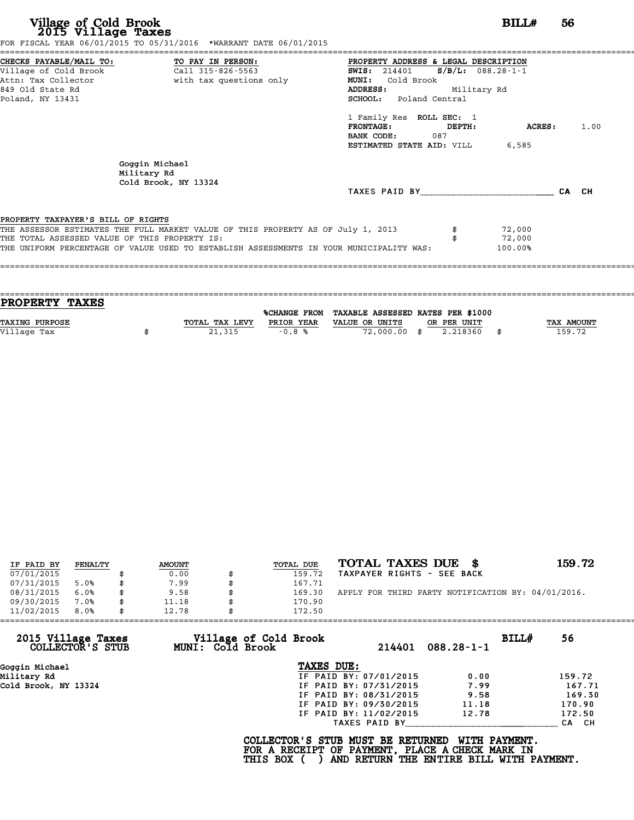| FOR FISCAL YEAR 06/01/2015 TO 05/31/2016 *WARRANT DATE 06/01/2015                                  |       |
|----------------------------------------------------------------------------------------------------|-------|
| CHECKS PAYABLE/MAIL TO: TO PAY IN PERSON:<br>PROPERTY ADDRESS & LEGAL DESCRIPTION                  |       |
| Village of Cold Brook Call 315-826-5563<br>SWIS: $214401$ S/B/L: 088.28-1-1                        |       |
| Attn: Tax Collector and the with tax questions only<br><b>MUNI:</b><br>Cold Brook                  |       |
| 849 Old State Rd<br>Military Rd<br><b>ADDRESS:</b>                                                 |       |
| SCHOOL: Poland Central<br>Poland, NY 13431                                                         |       |
| 1 Family Res ROLL SEC: 1                                                                           |       |
| PRONTAGE:<br>ACRES :<br>DEPTH:                                                                     | 1.00  |
| <b>BANK CODE:</b> 087                                                                              |       |
| <b>ESTIMATED STATE AID:</b> VILL 6,585                                                             |       |
| Goggin Michael<br>Military Rd<br>Cold Brook, NY 13324                                              |       |
| TAXES PAID BY TAXES                                                                                | CA CH |
|                                                                                                    |       |
| PROPERTY TAXPAYER'S BILL OF RIGHTS                                                                 |       |
| THE ASSESSOR ESTIMATES THE FULL MARKET VALUE OF THIS PROPERTY AS OF July 1, 2013<br>72,000         |       |
| THE TOTAL ASSESSED VALUE OF THIS PROPERTY IS:<br>72,000                                            |       |
| THE UNIFORM PERCENTAGE OF VALUE USED TO ESTABLISH ASSESSMENTS IN YOUR MUNICIPALITY WAS:<br>100.00% |       |
|                                                                                                    |       |

| <b>PROPERTY TAXES</b> |                |            |                                                |             |            |
|-----------------------|----------------|------------|------------------------------------------------|-------------|------------|
|                       |                |            | %CHANGE FROM TAXABLE ASSESSED RATES PER \$1000 |             |            |
| <b>TAXING PURPOSE</b> | TOTAL TAX LEVY | PRIOR YEAR | VALUE OR UNITS                                 | OR PER UNIT | TAX AMOUNT |
| Village Tax           | 21,315         | $-0.8%$    | 72,000,00 \$                                   | 2.218360    | 159.72     |
|                       |                |            |                                                |             |            |

| IF PAID BY | PENALTY | <b>AMOUNT</b> | TOTAL DUE | TOTAL TAXES DUE<br>- 86                            | 159.72 |
|------------|---------|---------------|-----------|----------------------------------------------------|--------|
| 07/01/2015 |         | 0.00          | 159.72    | TAXPAYER RIGHTS - SEE BACK                         |        |
| 07/31/2015 | 5.0%    | \$<br>7.99    | 167.71    |                                                    |        |
| 08/31/2015 | 6.0%    | \$<br>9.58    | 169.30    | APPLY FOR THIRD PARTY NOTIFICATION BY: 04/01/2016. |        |
| 09/30/2015 | 7.0%    | \$<br>11.18   | 170.90    |                                                    |        |
| 11/02/2015 | 8.0%    | \$<br>12.78   | 172.50    |                                                    |        |

| 11/02/2015<br>8.0%                     | 12.78            | 172.50                          |                           |        |
|----------------------------------------|------------------|---------------------------------|---------------------------|--------|
| 2015 Village Taxes<br>COLLECTOR'S STUB | MUNI: Cold Brook | Village of Cold Brook<br>214401 | BILL#<br>$088.28 - 1 - 1$ | 56     |
| Goggin Michael                         |                  | TAXES DUE:                      |                           |        |
| Military Rd                            |                  | IF PAID BY: 07/01/2015          | 0.00                      | 159.72 |
| Cold Brook, NY 13324                   |                  | IF PAID BY: 07/31/2015          | 7.99                      | 167.71 |
|                                        |                  | IF PAID BY: 08/31/2015          | 9.58                      | 169.30 |
|                                        |                  | IF PAID BY: 09/30/2015          | 11.18                     | 170.90 |
|                                        |                  | IF PAID BY: 11/02/2015          | 12.78                     | 172.50 |
|                                        |                  | TAXES PAID BY                   |                           | CA CH  |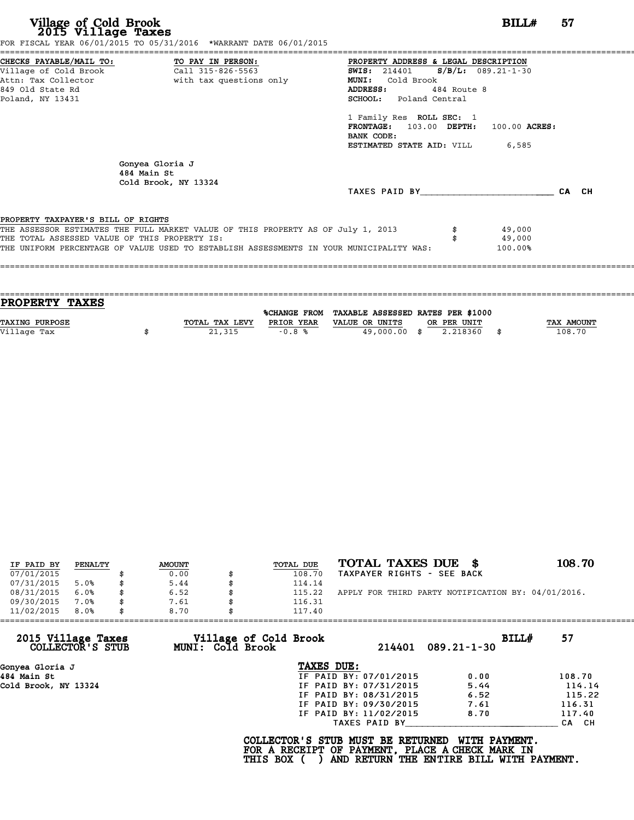| FOR FISCAL YEAR 06/01/2015 TO 05/31/2016 *WARRANT DATE 06/01/2015                                  |       |
|----------------------------------------------------------------------------------------------------|-------|
| CHECKS PAYABLE/MAIL TO: TO PAY IN PERSON:<br>PROPERTY ADDRESS & LEGAL DESCRIPTION                  |       |
| <b>SWIS:</b> 214401 <b>S/B/L:</b> 089.21-1-30                                                      |       |
| Attn: Tax Collector and with tax questions only<br>MUNI: Cold Brook                                |       |
| 849 Old State Rd<br>ADDRESS:<br>484 Route 8                                                        |       |
| SCHOOL: Poland Central<br>Poland, NY 13431                                                         |       |
| 1 Family Res ROLL SEC: 1                                                                           |       |
| FRONTAGE: 103.00 DEPTH: 100.00 ACRES:                                                              |       |
| BANK CODE:                                                                                         |       |
| <b>ESTIMATED STATE AID:</b> VILL 6,585                                                             |       |
| Gonyea Gloria J<br>484 Main St<br>Cold Brook, NY 13324                                             |       |
| TAXES PAID BY TAXES                                                                                | CA CH |
|                                                                                                    |       |
| PROPERTY TAXPAYER'S BILL OF RIGHTS                                                                 |       |
| THE ASSESSOR ESTIMATES THE FULL MARKET VALUE OF THIS PROPERTY AS OF July 1, 2013<br>49,000         |       |
| THE TOTAL ASSESSED VALUE OF THIS PROPERTY IS:<br>49,000                                            |       |
| THE UNIFORM PERCENTAGE OF VALUE USED TO ESTABLISH ASSESSMENTS IN YOUR MUNICIPALITY WAS:<br>100.00% |       |
|                                                                                                    |       |

| <b>PROPERTY TAXES</b> |                |            |                                                |             |            |
|-----------------------|----------------|------------|------------------------------------------------|-------------|------------|
|                       |                |            | %CHANGE FROM TAXABLE ASSESSED RATES PER \$1000 |             |            |
|                       |                |            |                                                |             |            |
| <b>TAXING PURPOSE</b> | TOTAL TAX LEVY | PRIOR YEAR | VALUE OR UNITS                                 | OR PER UNIT | TAX AMOUNT |
| Village Tax           | 21,315         | $-0.8%$    | 49,000,00 \$                                   | 2.218360    | 108.70     |
|                       |                |            |                                                |             |            |
|                       |                |            |                                                |             |            |

| IF PAID BY | PENALTY | <b>AMOUNT</b> | TOTAL DUE | TOTAL TAXES DUE \$                                 | 108.70 |
|------------|---------|---------------|-----------|----------------------------------------------------|--------|
| 07/01/2015 |         | 0.00          | 108.70    | TAXPAYER RIGHTS - SEE BACK                         |        |
| 07/31/2015 | 5.0%    | 5.44          | 114.14    |                                                    |        |
| 08/31/2015 | 6.0%    | 6.52          | 115.22    | APPLY FOR THIRD PARTY NOTIFICATION BY: 04/01/2016. |        |
| 09/30/2015 | 7.0%    | 7.61          | 116.31    |                                                    |        |
| 11/02/2015 | 8.0%    | 8.70          | 117.40    |                                                    |        |

| 11/02/2015<br>8.0%                     | 8.70 |                  | 117.40                                                                                             |                        |                                                           |       |        |
|----------------------------------------|------|------------------|----------------------------------------------------------------------------------------------------|------------------------|-----------------------------------------------------------|-------|--------|
| 2015 Village Taxes<br>COLLECTOR'S STUB |      | MUNI: Cold Brook | Village of Cold Brook                                                                              | 214401                 | $089.21 - 1 - 30$                                         | BILL# | 57     |
| Gonyea Gloria J                        |      |                  | TAXES DUE:                                                                                         |                        |                                                           |       |        |
| 484 Main St                            |      |                  |                                                                                                    | IF PAID BY: 07/01/2015 | 0.00                                                      |       | 108.70 |
| Cold Brook, NY 13324                   |      |                  |                                                                                                    | IF PAID BY: 07/31/2015 | 5.44                                                      |       | 114.14 |
|                                        |      |                  |                                                                                                    | IF PAID BY: 08/31/2015 | 6.52                                                      |       | 115.22 |
|                                        |      |                  |                                                                                                    | IF PAID BY: 09/30/2015 | 7.61                                                      |       | 116.31 |
|                                        |      |                  |                                                                                                    | IF PAID BY: 11/02/2015 | 8.70                                                      |       | 117.40 |
|                                        |      |                  |                                                                                                    | TAXES PAID BY          |                                                           |       | CA CH  |
|                                        |      |                  | COLLECTOR'S STUB MUST BE RETURNED<br>FOR A RECEIPT OF PAYMENT, PLACE A CHECK MARK IN<br>THIS BOX ( |                        | WITH PAYMENT.<br>AND RETURN THE ENTIRE BILL WITH PAYMENT. |       |        |
|                                        |      |                  |                                                                                                    |                        |                                                           |       |        |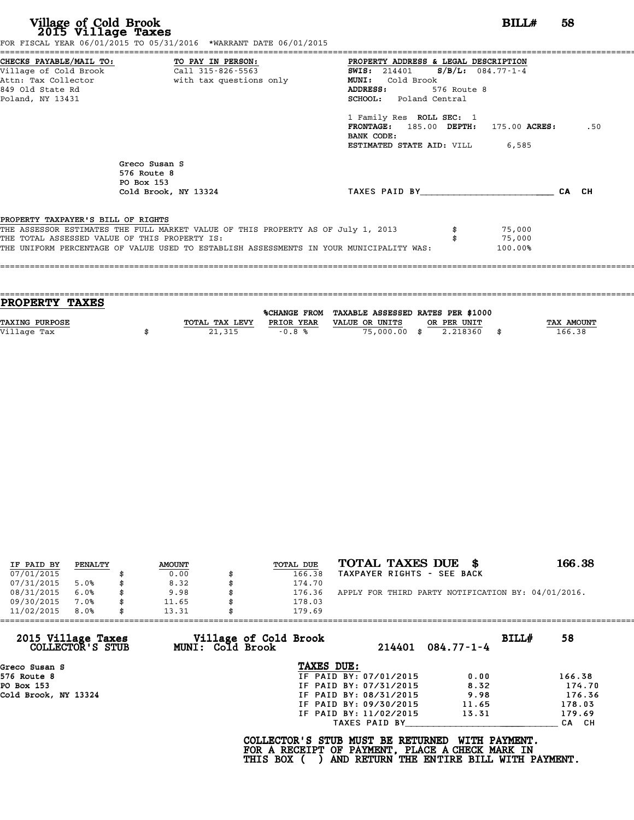| Village of Cold Brook<br>2015 Village Taxes                                          | FOR FISCAL YEAR 06/01/2015 TO 05/31/2016 *WARRANT DATE 06/01/2015                                                                                                                                                            |                                                                                                                                                                                                                                                                                                       | BILLH                       | 58  |
|--------------------------------------------------------------------------------------|------------------------------------------------------------------------------------------------------------------------------------------------------------------------------------------------------------------------------|-------------------------------------------------------------------------------------------------------------------------------------------------------------------------------------------------------------------------------------------------------------------------------------------------------|-----------------------------|-----|
| Village of Cold Brook<br>Attn: Tax Collector<br>849 Old State Rd<br>Poland, NY 13431 | CHECKS PAYABLE/MAIL TO: TO PAY IN PERSON:<br>Call 315-826-5563<br>with tax questions only                                                                                                                                    | PROPERTY ADDRESS & LEGAL DESCRIPTION<br>SWIS: $214401$ S/B/L: 084.77-1-4<br><b>MUNI:</b><br>Cold Brook<br>ADDRESS:<br>576 Route 8<br><b>SCHOOL:</b> Poland Central<br>1 Family Res ROLL SEC: 1<br>$FRONTAGE: 185.00$ $DEPTH: 175.00$ $ACRES:$<br>BANK CODE:<br><b>ESTIMATED STATE AID:</b> VILL 6,585 |                             | .50 |
|                                                                                      | Greco Susan S<br>576 Route 8<br>PO Box 153<br>Cold Brook, NY 13324                                                                                                                                                           | TAXES PAID BY CA CH                                                                                                                                                                                                                                                                                   |                             |     |
| PROPERTY TAXPAYER'S BILL OF RIGHTS                                                   | THE ASSESSOR ESTIMATES THE FULL MARKET VALUE OF THIS PROPERTY AS OF July 1, 2013<br>THE TOTAL ASSESSED VALUE OF THIS PROPERTY IS:<br>THE UNIFORM PERCENTAGE OF VALUE USED TO ESTABLISH ASSESSMENTS IN YOUR MUNICIPALITY WAS: |                                                                                                                                                                                                                                                                                                       | 75,000<br>75,000<br>100.00% |     |

| <b>PROPERTY TAXES</b> |                |            |                                                |             |                   |
|-----------------------|----------------|------------|------------------------------------------------|-------------|-------------------|
|                       |                |            | %CHANGE FROM TAXABLE ASSESSED RATES PER \$1000 |             |                   |
|                       |                |            |                                                |             |                   |
| <b>TAXING PURPOSE</b> | TOTAL TAX LEVY | PRIOR YEAR | VALUE OR UNITS                                 | OR PER UNIT | <b>TAX AMOUNT</b> |
| Village Tax           | 21,315         | $-0.8%$    | 75,000.00 \$                                   | 2.218360    | 166.38            |
|                       |                |            |                                                |             |                   |

| IF PAID BY | PENALTY | <b>AMOUNT</b> | <b>TOTAL DUE</b> | TOTAL TAXES DUE<br>- 86                            | 166.38 |
|------------|---------|---------------|------------------|----------------------------------------------------|--------|
| 07/01/2015 |         | 0.00          | 166.38           | TAXPAYER RIGHTS - SEE BACK                         |        |
| 07/31/2015 | 5.0%    | \$<br>8.32    | 174.70           |                                                    |        |
| 08/31/2015 | 6.0%    | \$<br>9.98    | 176.36           | APPLY FOR THIRD PARTY NOTIFICATION BY: 04/01/2016. |        |
| 09/30/2015 | 7.0%    | \$<br>11.65   | 178.03           |                                                    |        |
| 11/02/2015 | 8.0%    | \$<br>13.31   | 179.69           |                                                    |        |

| 11/02/2015                             | 8.0% | 13.31 |                                                  | 179.69                                                                                             |                        |                                                           |       |        |
|----------------------------------------|------|-------|--------------------------------------------------|----------------------------------------------------------------------------------------------------|------------------------|-----------------------------------------------------------|-------|--------|
| 2015 Village Taxes<br>COLLECTOR'S STUB |      |       | Village of Cold Brook<br><b>MUNI: Cold Brook</b> |                                                                                                    | 214401                 | $084.77 - 1 - 4$                                          | BILL# | 58     |
| Greco Susan S                          |      |       |                                                  | TAXES DUE:                                                                                         |                        |                                                           |       |        |
| 576 Route 8                            |      |       |                                                  |                                                                                                    | IF PAID BY: 07/01/2015 | 0.00                                                      |       | 166.38 |
| PO Box 153                             |      |       |                                                  |                                                                                                    | IF PAID BY: 07/31/2015 | 8.32                                                      |       | 174.70 |
| Cold Brook, NY 13324                   |      |       |                                                  |                                                                                                    | IF PAID BY: 08/31/2015 | 9.98                                                      |       | 176.36 |
|                                        |      |       |                                                  |                                                                                                    | IF PAID BY: 09/30/2015 | 11.65                                                     |       | 178.03 |
|                                        |      |       |                                                  |                                                                                                    | IF PAID BY: 11/02/2015 | 13.31                                                     |       | 179.69 |
|                                        |      |       |                                                  |                                                                                                    | TAXES PAID BY          |                                                           |       | CA CH  |
|                                        |      |       |                                                  | COLLECTOR'S STUB MUST BE RETURNED<br>FOR A RECEIPT OF PAYMENT, PLACE A CHECK MARK IN<br>THIS BOX ( |                        | WITH PAYMENT.<br>AND RETURN THE ENTIRE BILL WITH PAYMENT. |       |        |
|                                        |      |       |                                                  |                                                                                                    |                        |                                                           |       |        |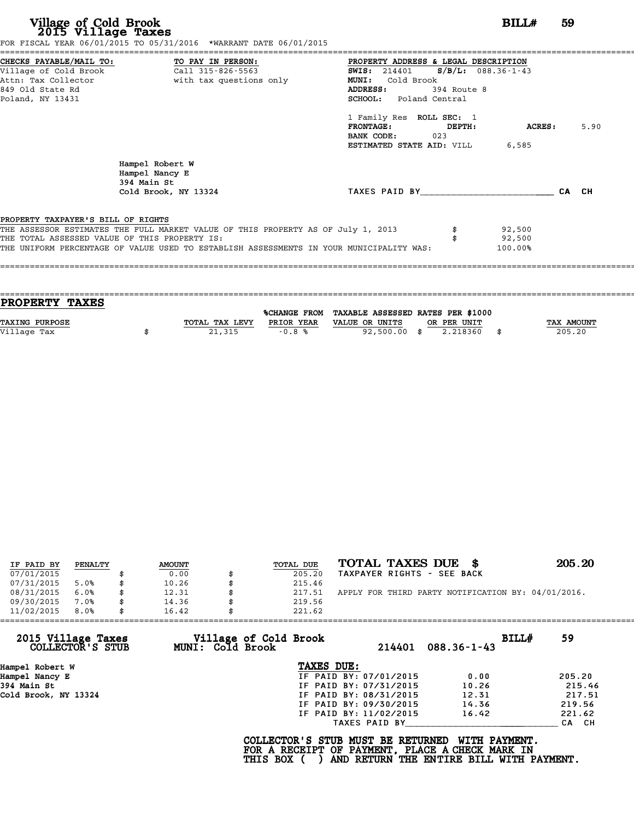| Village of Cold Brook<br>2015 Village Taxes                                                                     | FOR FISCAL YEAR 06/01/2015 TO 05/31/2016 *WARRANT DATE 06/01/2015                                                                                                           | BILL#                                                                                                                                                   | 59    |
|-----------------------------------------------------------------------------------------------------------------|-----------------------------------------------------------------------------------------------------------------------------------------------------------------------------|---------------------------------------------------------------------------------------------------------------------------------------------------------|-------|
| CHECKS PAYABLE/MAIL TO:<br>Village of Cold Brook<br>Attn: Tax Collector<br>849 Old State Rd<br>Poland, NY 13431 | TO PAY IN PERSON:<br>Call 315-826-5563<br>with tax questions only                                                                                                           | PROPERTY ADDRESS & LEGAL DESCRIPTION<br>SWIS: 214401 S/B/L: 088.36-1-43<br>MUNI: Cold Brook<br>ADDRESS:<br>394 Route 8<br><b>SCHOOL:</b> Poland Central |       |
|                                                                                                                 |                                                                                                                                                                             | 1 Family Res ROLL SEC: 1<br><b>FRONTAGE:</b><br><b>ACRES:</b><br>DEPTH:<br>BANK CODE:<br>023<br><b>ESTIMATED STATE AID:</b> VILL 6,585                  | 5.90  |
|                                                                                                                 | Hampel Robert W<br>Hampel Nancy E<br>394 Main St<br>Cold Brook, NY 13324                                                                                                    | TAXES PAID BY                                                                                                                                           | CA CH |
| PROPERTY TAXPAYER'S BILL OF RIGHTS<br>THE TOTAL ASSESSED VALUE OF THIS PROPERTY IS:                             | THE ASSESSOR ESTIMATES THE FULL MARKET VALUE OF THIS PROPERTY AS OF July 1, 2013<br>THE UNIFORM PERCENTAGE OF VALUE USED TO ESTABLISH ASSESSMENTS IN YOUR MUNICIPALITY WAS: | 92,500<br>92,500<br>100.00%                                                                                                                             |       |

| PROPERTY TAXES        |                |            |                                                |             |                   |
|-----------------------|----------------|------------|------------------------------------------------|-------------|-------------------|
|                       |                |            | %CHANGE FROM TAXABLE ASSESSED RATES PER \$1000 |             |                   |
| <b>TAXING PURPOSE</b> | TOTAL TAX LEVY | PRIOR YEAR | VALUE OR UNITS                                 | OR PER UNIT | <b>TAX AMOUNT</b> |
| Village Tax           | 21,315         | $-0.8%$    | 92,500.00 \$                                   | 2.218360    | 205.20            |
|                       |                |            |                                                |             |                   |

| IF PAID BY | PENALTY | <b>AMOUNT</b> | TOTAL DUE | TOTAL TAXES DUE \$                                 | 205.20 |
|------------|---------|---------------|-----------|----------------------------------------------------|--------|
| 07/01/2015 |         | 0.00          | 205.20    | TAXPAYER RIGHTS - SEE BACK                         |        |
| 07/31/2015 | 5.0%    | \$<br>10.26   | 215.46    |                                                    |        |
| 08/31/2015 | 6.0%    | \$<br>12.31   | 217.51    | APPLY FOR THIRD PARTY NOTIFICATION BY: 04/01/2016. |        |
| 09/30/2015 | 7.0%    | \$<br>14.36   | 219.56    |                                                    |        |
| 11/02/2015 | 8.0%    | \$<br>16.42   | 221.62    |                                                    |        |

| 11/02/2015                             | 8.0% | 16.42 |                                           | 221.62                                                                                             |                        |                                                           |       |        |
|----------------------------------------|------|-------|-------------------------------------------|----------------------------------------------------------------------------------------------------|------------------------|-----------------------------------------------------------|-------|--------|
| 2015 Village Taxes<br>COLLECTOR'S STUB |      |       | Village of Cold Brook<br>MUNI: Cold Brook |                                                                                                    | 214401                 | $088.36 - 1 - 43$                                         | BILL# | 59     |
| Hampel Robert W                        |      |       |                                           | TAXES DUE:                                                                                         |                        |                                                           |       |        |
| Hampel Nancy E                         |      |       |                                           |                                                                                                    | IF PAID BY: 07/01/2015 | 0.00                                                      |       | 205.20 |
| 394 Main St                            |      |       |                                           |                                                                                                    | IF PAID BY: 07/31/2015 | 10.26                                                     |       | 215.46 |
| Cold Brook, NY 13324                   |      |       |                                           |                                                                                                    | IF PAID BY: 08/31/2015 | 12.31                                                     |       | 217.51 |
|                                        |      |       |                                           |                                                                                                    | IF PAID BY: 09/30/2015 | 14.36                                                     |       | 219.56 |
|                                        |      |       |                                           |                                                                                                    | IF PAID BY: 11/02/2015 | 16.42                                                     |       | 221.62 |
|                                        |      |       |                                           |                                                                                                    | TAXES PAID BY          |                                                           |       | CA CH  |
|                                        |      |       |                                           | COLLECTOR'S STUB MUST BE RETURNED<br>FOR A RECEIPT OF PAYMENT, PLACE A CHECK MARK IN<br>THIS BOX ( |                        | WITH PAYMENT.<br>AND RETURN THE ENTIRE BILL WITH PAYMENT. |       |        |
|                                        |      |       |                                           |                                                                                                    |                        |                                                           |       |        |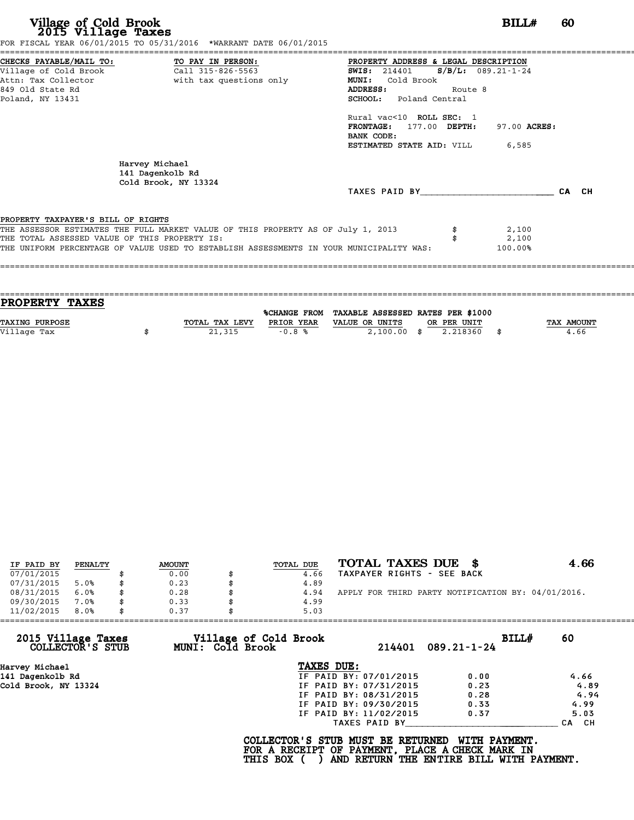| CHECKS PAYABLE/MAIL TO: TO PAY IN PERSON:<br>PROPERTY ADDRESS & LEGAL DESCRIPTION<br><b>SWIS:</b> 214401 <b>S/B/L:</b> 089.21-1-24<br><b>MUNI:</b><br>Cold Brook<br><b>ADDRESS:</b><br>Route 8<br>SCHOOL: Poland Central<br>Rural vac<10 ROLL SEC: 1<br>97.00 ACRES:<br>FRONTAGE: 177.00 DEPTH:<br>BANK CODE:<br><b>ESTIMATED STATE AID:</b> VILL 6,585<br>Harvey Michael<br>141 Dagenkolb Rd<br>Cold Brook, NY 13324<br>TAXES PAID BY | FOR FISCAL YEAR 06/01/2015 TO 05/31/2016 *WARRANT DATE 06/01/2015 |  |       |
|----------------------------------------------------------------------------------------------------------------------------------------------------------------------------------------------------------------------------------------------------------------------------------------------------------------------------------------------------------------------------------------------------------------------------------------|-------------------------------------------------------------------|--|-------|
|                                                                                                                                                                                                                                                                                                                                                                                                                                        |                                                                   |  |       |
| Attn: Tax Collector and with tax questions only<br>849 Old State Rd<br>Poland, NY 13431                                                                                                                                                                                                                                                                                                                                                |                                                                   |  |       |
|                                                                                                                                                                                                                                                                                                                                                                                                                                        |                                                                   |  |       |
|                                                                                                                                                                                                                                                                                                                                                                                                                                        |                                                                   |  |       |
|                                                                                                                                                                                                                                                                                                                                                                                                                                        |                                                                   |  |       |
| PROPERTY TAXPAYER'S BILL OF RIGHTS                                                                                                                                                                                                                                                                                                                                                                                                     |                                                                   |  |       |
|                                                                                                                                                                                                                                                                                                                                                                                                                                        |                                                                   |  |       |
|                                                                                                                                                                                                                                                                                                                                                                                                                                        |                                                                   |  |       |
|                                                                                                                                                                                                                                                                                                                                                                                                                                        |                                                                   |  |       |
|                                                                                                                                                                                                                                                                                                                                                                                                                                        |                                                                   |  |       |
|                                                                                                                                                                                                                                                                                                                                                                                                                                        |                                                                   |  | CA CH |
|                                                                                                                                                                                                                                                                                                                                                                                                                                        |                                                                   |  |       |
|                                                                                                                                                                                                                                                                                                                                                                                                                                        |                                                                   |  |       |
| THE ASSESSOR ESTIMATES THE FULL MARKET VALUE OF THIS PROPERTY AS OF July 1, 2013<br>2,100                                                                                                                                                                                                                                                                                                                                              |                                                                   |  |       |
| THE TOTAL ASSESSED VALUE OF THIS PROPERTY IS:<br>2,100                                                                                                                                                                                                                                                                                                                                                                                 |                                                                   |  |       |
| THE UNIFORM PERCENTAGE OF VALUE USED TO ESTABLISH ASSESSMENTS IN YOUR MUNICIPALITY WAS:<br>100.00%                                                                                                                                                                                                                                                                                                                                     |                                                                   |  |       |
|                                                                                                                                                                                                                                                                                                                                                                                                                                        |                                                                   |  |       |

| TOTAL TAX LEVY | PRIOR YEAR | VALUE OR UNITS |               |                                                               | TAX AMOUNT |
|----------------|------------|----------------|---------------|---------------------------------------------------------------|------------|
|                |            |                | 2.218360      |                                                               | 4.66       |
|                |            |                |               |                                                               |            |
|                | 21,315     | $-0.8%$        | $2,100.00$ \$ | %CHANGE FROM TAXABLE ASSESSED RATES PER \$1000<br>OR PER UNIT |            |

| IF PAID BY | PENALTY | <b>AMOUNT</b> | <b>TOTAL DUE</b> | TOTAL TAXES DUE \$                                 | 4.66 |
|------------|---------|---------------|------------------|----------------------------------------------------|------|
| 07/01/2015 |         | 0.00          | 4.66             | TAXPAYER RIGHTS - SEE BACK                         |      |
| 07/31/2015 | 5.0%    | 0.23          | 4.89             |                                                    |      |
| 08/31/2015 | 6.0%    | 0.28          | 4.94             | APPLY FOR THIRD PARTY NOTIFICATION BY: 04/01/2016. |      |
| 09/30/2015 | 7.0%    | 0.33          | 4.99             |                                                    |      |
| 11/02/2015 | 8.0%    | 0.37          | 5.03             |                                                    |      |

| 0.37 | 5.03          |                                                         |                                                                                                                                                                                                                                                                              |
|------|---------------|---------------------------------------------------------|------------------------------------------------------------------------------------------------------------------------------------------------------------------------------------------------------------------------------------------------------------------------------|
|      |               | BILLH<br>$089.21 - 1 - 24$                              | 60                                                                                                                                                                                                                                                                           |
|      | TAXES DUE:    |                                                         |                                                                                                                                                                                                                                                                              |
|      |               | 0.00                                                    | 4.66                                                                                                                                                                                                                                                                         |
|      |               | 0.23                                                    | 4.89                                                                                                                                                                                                                                                                         |
|      |               | 0.28                                                    | 4.94                                                                                                                                                                                                                                                                         |
|      |               | 0.33                                                    | 4.99                                                                                                                                                                                                                                                                         |
|      |               | 0.37                                                    | 5.03                                                                                                                                                                                                                                                                         |
|      | TAXES PAID BY |                                                         | CA CH                                                                                                                                                                                                                                                                        |
|      |               | WITH PAYMENT.                                           |                                                                                                                                                                                                                                                                              |
|      |               | Village of Cold Brook<br>MUNI: Cold Brook<br>THIS BOX ( | 214401<br>IF PAID BY: 07/01/2015<br>IF PAID BY: 07/31/2015<br>IF PAID BY: 08/31/2015<br>IF PAID BY: 09/30/2015<br>IF PAID BY: 11/02/2015<br>COLLECTOR'S STUB MUST BE RETURNED<br>FOR A RECEIPT OF PAYMENT, PLACE A CHECK MARK IN<br>AND RETURN THE ENTIRE BILL WITH PAYMENT. |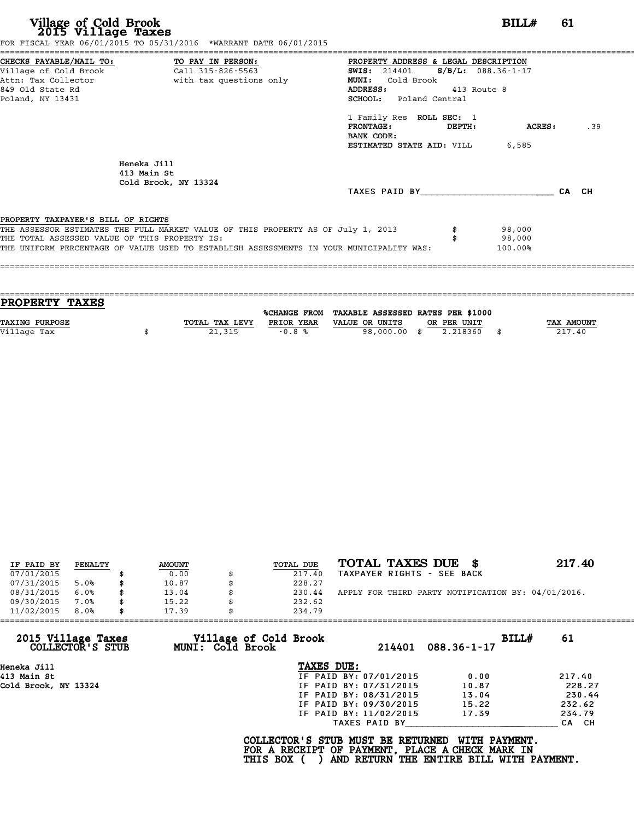|                                               | FOR FISCAL YEAR 06/01/2015 TO 05/31/2016 *WARRANT DATE 06/01/2015                       |                                               |               |         |       |
|-----------------------------------------------|-----------------------------------------------------------------------------------------|-----------------------------------------------|---------------|---------|-------|
| CHECKS PAYABLE/MAIL TO: TO PAY IN PERSON:     |                                                                                         | PROPERTY ADDRESS & LEGAL DESCRIPTION          |               |         |       |
|                                               |                                                                                         | <b>SWIS:</b> 214401 <b>S/B/L:</b> 088.36-1-17 |               |         |       |
|                                               | Attn: Tax Collector and with tax questions only                                         | MUNI: Cold Brook                              |               |         |       |
| 849 Old State Rd                              |                                                                                         | ADDRESS: 413 Route 8                          |               |         |       |
| Poland, NY 13431                              |                                                                                         | SCHOOL: Poland Central                        |               |         |       |
|                                               |                                                                                         | 1 Family Res ROLL SEC: 1                      |               |         |       |
|                                               |                                                                                         | FRONTAGE:                                     | <b>DEPTH:</b> | ACRES:  | .39   |
|                                               |                                                                                         | BANK CODE:                                    |               |         |       |
|                                               |                                                                                         | <b>ESTIMATED STATE AID:</b> VILL 6,585        |               |         |       |
|                                               | Heneka Jill                                                                             |                                               |               |         |       |
|                                               | 413 Main St                                                                             |                                               |               |         |       |
|                                               | Cold Brook, NY 13324                                                                    |                                               |               |         |       |
|                                               |                                                                                         | TAXES PAID BY                                 |               |         | CA CH |
| PROPERTY TAXPAYER'S BILL OF RIGHTS            |                                                                                         |                                               |               |         |       |
|                                               | THE ASSESSOR ESTIMATES THE FULL MARKET VALUE OF THIS PROPERTY AS OF July 1, 2013        |                                               |               | 98,000  |       |
| THE TOTAL ASSESSED VALUE OF THIS PROPERTY IS: |                                                                                         |                                               |               | 98,000  |       |
|                                               | THE UNIFORM PERCENTAGE OF VALUE USED TO ESTABLISH ASSESSMENTS IN YOUR MUNICIPALITY WAS: |                                               |               | 100.00% |       |
|                                               |                                                                                         |                                               |               |         |       |
|                                               |                                                                                         |                                               |               |         |       |

| PROPERTY TAXES        |                |            |                                                |             |                   |
|-----------------------|----------------|------------|------------------------------------------------|-------------|-------------------|
|                       |                |            | %CHANGE FROM TAXABLE ASSESSED RATES PER \$1000 |             |                   |
| <b>TAXING PURPOSE</b> | TOTAL TAX LEVY | PRIOR YEAR | VALUE OR UNITS                                 | OR PER UNIT | <b>TAX AMOUNT</b> |
| Village Tax           | 21,315         | $-0.8%$    | 98,000.00 \$                                   | 2.218360    | 217.40            |
|                       |                |            |                                                |             |                   |

| IF PAID BY | PENALTY | <b>AMOUNT</b> | <b>TOTAL DUE</b> | TOTAL TAXES DUE<br>- 86                            | 217.40 |
|------------|---------|---------------|------------------|----------------------------------------------------|--------|
| 07/01/2015 |         | 0.00          | 217.40           | TAXPAYER RIGHTS - SEE BACK                         |        |
| 07/31/2015 | 5.0%    | \$<br>10.87   | 228.27           |                                                    |        |
| 08/31/2015 | 6.0%    | \$<br>13.04   | 230.44           | APPLY FOR THIRD PARTY NOTIFICATION BY: 04/01/2016. |        |
| 09/30/2015 | 7.0%    | \$<br>15.22   | 232.62           |                                                    |        |
| 11/02/2015 | 8.0%    | \$<br>17.39   | 234.79           |                                                    |        |

| 11/02/2015           | 8.0%             | 17.39 |                  | 234.79                                                                                             |                        |                                                           |       |        |
|----------------------|------------------|-------|------------------|----------------------------------------------------------------------------------------------------|------------------------|-----------------------------------------------------------|-------|--------|
| 2015 Village Taxes   | COLLECTOR'S STUB |       | MUNI: Cold Brook | Village of Cold Brook                                                                              | 214401                 | $088.36 - 1 - 17$                                         | BILLH | 61     |
| Heneka Jill          |                  |       |                  | TAXES DUE:                                                                                         |                        |                                                           |       |        |
| 413 Main St          |                  |       |                  |                                                                                                    | IF PAID BY: 07/01/2015 | 0.00                                                      |       | 217.40 |
| Cold Brook, NY 13324 |                  |       |                  |                                                                                                    | IF PAID BY: 07/31/2015 | 10.87                                                     |       | 228.27 |
|                      |                  |       |                  |                                                                                                    | IF PAID BY: 08/31/2015 | 13.04                                                     |       | 230.44 |
|                      |                  |       |                  |                                                                                                    | IF PAID BY: 09/30/2015 | 15.22                                                     |       | 232.62 |
|                      |                  |       |                  |                                                                                                    | IF PAID BY: 11/02/2015 | 17.39                                                     |       | 234.79 |
|                      |                  |       |                  |                                                                                                    | TAXES PAID BY          |                                                           |       | CA CH  |
|                      |                  |       |                  | COLLECTOR'S STUB MUST BE RETURNED<br>FOR A RECEIPT OF PAYMENT, PLACE A CHECK MARK IN<br>THIS BOX ( |                        | WITH PAYMENT.<br>AND RETURN THE ENTIRE BILL WITH PAYMENT. |       |        |
|                      |                  |       |                  |                                                                                                    |                        |                                                           |       |        |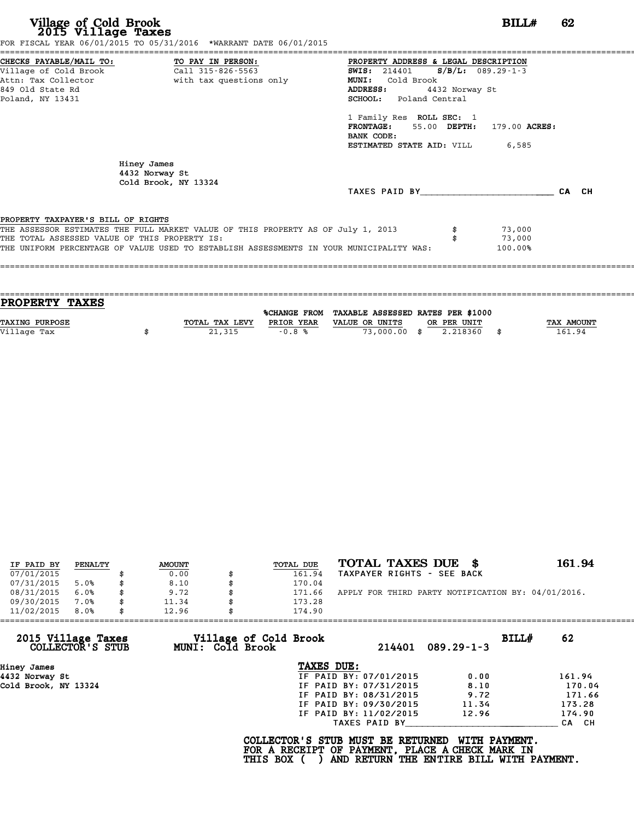| CHECKS PAYABLE/MAIL TO: TO PAY IN PERSON:<br>PROPERTY ADDRESS & LEGAL DESCRIPTION                  |       |
|----------------------------------------------------------------------------------------------------|-------|
| <b>SWIS:</b> 214401 <b>S/B/L:</b> 089.29-1-3                                                       |       |
| Attn: Tax Collector and with tax questions only<br><b>MUNI:</b><br>Cold Brook                      |       |
| 849 Old State Rd<br>ADDRESS:<br>4432 Norway St                                                     |       |
| SCHOOL: Poland Central<br>Poland, NY 13431                                                         |       |
| 1 Family Res ROLL SEC: 1                                                                           |       |
| FRONTAGE: 55.00 DEPTH: 179.00 ACRES:                                                               |       |
| BANK CODE:                                                                                         |       |
| <b>ESTIMATED STATE AID:</b> VILL 6,585                                                             |       |
| Hiney James<br>4432 Norway St<br>Cold Brook, NY 13324                                              |       |
| TAXES PAID BY                                                                                      | CA CH |
|                                                                                                    |       |
| PROPERTY TAXPAYER'S BILL OF RIGHTS                                                                 |       |
| THE ASSESSOR ESTIMATES THE FULL MARKET VALUE OF THIS PROPERTY AS OF July 1, 2013<br>73,000         |       |
| THE TOTAL ASSESSED VALUE OF THIS PROPERTY IS:<br>73,000                                            |       |
| THE UNIFORM PERCENTAGE OF VALUE USED TO ESTABLISH ASSESSMENTS IN YOUR MUNICIPALITY WAS:<br>100.00% |       |
|                                                                                                    |       |

|                | %CHANGE FROM | TAXABLE ASSESSED RATES PER \$1000 |              |                         |            |
|----------------|--------------|-----------------------------------|--------------|-------------------------|------------|
| TOTAL TAX LEVY | PRIOR YEAR   | VALUE OR UNITS                    |              |                         | TAX AMOUNT |
|                |              |                                   |              | - \$                    | 161.94     |
|                | 21,315       | $-0.8%$                           | 73,000,00 \$ | OR PER UNIT<br>2.218360 |            |

|            | PENALTY | <b>AMOUNT</b> | TOTAL DUE | TOTAL TAXES DUE \$                                 | 161.94 |
|------------|---------|---------------|-----------|----------------------------------------------------|--------|
| IF PAID BY |         |               |           |                                                    |        |
| 07/01/2015 |         | 0.00          | 161.94    | TAXPAYER RIGHTS - SEE BACK                         |        |
| 07/31/2015 | 5.0%    | \$<br>8.10    | 170.04    |                                                    |        |
| 08/31/2015 | 6.0%    | \$<br>9.72    | 171.66    | APPLY FOR THIRD PARTY NOTIFICATION BY: 04/01/2016. |        |
| 09/30/2015 | 7.0%    | \$<br>11.34   | 173.28    |                                                    |        |
| 11/02/2015 | 8.0%    | \$<br>12.96   | 174.90    |                                                    |        |

| 11/02/2015<br>8.0%                     | 12.96            | 174.90                |                        |                  |       |        |
|----------------------------------------|------------------|-----------------------|------------------------|------------------|-------|--------|
| 2015 Village Taxes<br>COLLECTOR'S STUB | MUNI: Cold Brook | Village of Cold Brook | 214401                 | $089.29 - 1 - 3$ | BILLH | 62     |
| Hiney James                            |                  | TAXES DUE:            |                        |                  |       |        |
| 4432 Norway St                         |                  |                       | IF PAID BY: 07/01/2015 | 0.00             |       | 161.94 |
| Cold Brook, NY 13324                   |                  |                       | IF PAID BY: 07/31/2015 | 8.10             |       | 170.04 |
|                                        |                  |                       | IF PAID BY: 08/31/2015 | 9.72             |       | 171.66 |
|                                        |                  |                       | IF PAID BY: 09/30/2015 | 11.34            |       | 173.28 |
|                                        |                  |                       | IF PAID BY: 11/02/2015 | 12.96            |       | 174.90 |
|                                        |                  |                       | TAXES PAID BY          |                  |       | CA CH  |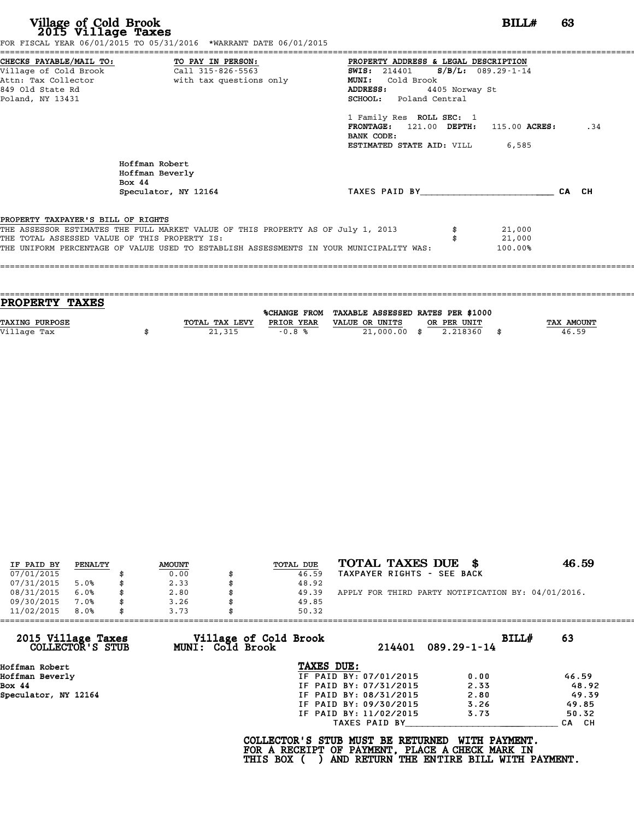|                                               | FOR FISCAL YEAR 06/01/2015 TO 05/31/2016 *WARRANT DATE 06/01/2015                       |                                                    |
|-----------------------------------------------|-----------------------------------------------------------------------------------------|----------------------------------------------------|
|                                               | CHECKS PAYABLE/MAIL TO: TO PAY IN PERSON:                                               | PROPERTY ADDRESS & LEGAL DESCRIPTION               |
|                                               |                                                                                         | <b>SWIS:</b> 214401 <b>S/B/L:</b> 089.29-1-14      |
|                                               | Attn: Tax Collector and with tax questions only                                         | Cold Brook<br><b>MUNI:</b>                         |
| 849 Old State Rd                              |                                                                                         | 4405 Norway St<br>ADDRESS:                         |
| Poland, NY 13431                              |                                                                                         | SCHOOL: Poland Central                             |
|                                               |                                                                                         | 1 Family Res ROLL SEC: 1                           |
|                                               |                                                                                         | $FRONTAGE: 121.00$ $DEPTH: 115.00$ $ACRES:$<br>.34 |
|                                               |                                                                                         | BANK CODE:                                         |
|                                               |                                                                                         | <b>ESTIMATED STATE AID:</b> VILL 6,585             |
|                                               | Hoffman Robert<br>Hoffman Beverly                                                       |                                                    |
|                                               | Box $44$                                                                                |                                                    |
|                                               | Speculator, NY 12164                                                                    | TAXES PAID BY<br>CA CH                             |
| PROPERTY TAXPAYER'S BILL OF RIGHTS            |                                                                                         |                                                    |
|                                               | THE ASSESSOR ESTIMATES THE FULL MARKET VALUE OF THIS PROPERTY AS OF July 1, 2013        | 21,000                                             |
| THE TOTAL ASSESSED VALUE OF THIS PROPERTY IS: |                                                                                         | 21,000                                             |
|                                               | THE UNIFORM PERCENTAGE OF VALUE USED TO ESTABLISH ASSESSMENTS IN YOUR MUNICIPALITY WAS: | 100.00%                                            |
|                                               |                                                                                         |                                                    |
|                                               |                                                                                         |                                                    |
|                                               |                                                                                         |                                                    |

| <b>PROPERTY TAXES</b> |                |            |                                                |             |            |
|-----------------------|----------------|------------|------------------------------------------------|-------------|------------|
|                       |                |            |                                                |             |            |
|                       |                |            | %CHANGE FROM TAXABLE ASSESSED RATES PER \$1000 |             |            |
| <b>TAXING PURPOSE</b> | TOTAL TAX LEVY | PRIOR YEAR | VALUE OR UNITS                                 | OR PER UNIT | TAX AMOUNT |
| Village Tax           | 21,315         | $-0.8%$    | 21,000.00 \$                                   | 2.218360    | 46.59      |
|                       |                |            |                                                |             |            |

| IF PAID BY | PENALTY | <b>AMOUNT</b> |    | TOTAL DUE | TOTAL TAXES DUE \$                                 | 46.59 |
|------------|---------|---------------|----|-----------|----------------------------------------------------|-------|
| 07/01/2015 |         | 0.00          |    | 46.59     | TAXPAYER RIGHTS - SEE BACK                         |       |
| 07/31/2015 | 5.0%    | \$<br>2.33    |    | 48.92     |                                                    |       |
| 08/31/2015 | 6.0%    | \$<br>2.80    | Я. | 49.39     | APPLY FOR THIRD PARTY NOTIFICATION BY: 04/01/2016. |       |
| 09/30/2015 | 7.0%    | 3.26          |    | 49.85     |                                                    |       |
| 11/02/2015 | 8.0%    | \$<br>3.73    |    | 50.32     |                                                    |       |

| Village of Cold Brook  | BILLH<br>$089.29 - 1 - 14$ | 63                                                                  |
|------------------------|----------------------------|---------------------------------------------------------------------|
| TAXES DUE:             |                            |                                                                     |
| IF PAID BY: 07/01/2015 | 0.00                       | 46.59                                                               |
| IF PAID BY: 07/31/2015 | 2.33                       | 48.92                                                               |
| IF PAID BY: 08/31/2015 | 2.80                       | 49.39                                                               |
| IF PAID BY: 09/30/2015 | 3.26                       | 49.85                                                               |
| IF PAID BY: 11/02/2015 | 3.73                       | 50.32                                                               |
| TAXES PAID BY          |                            | CA CH                                                               |
|                        | MUNI: Cold Brook           | 214401<br><b>WITH PAYMENT.</b><br>COLLECTOR'S STUB MUST BE RETURNED |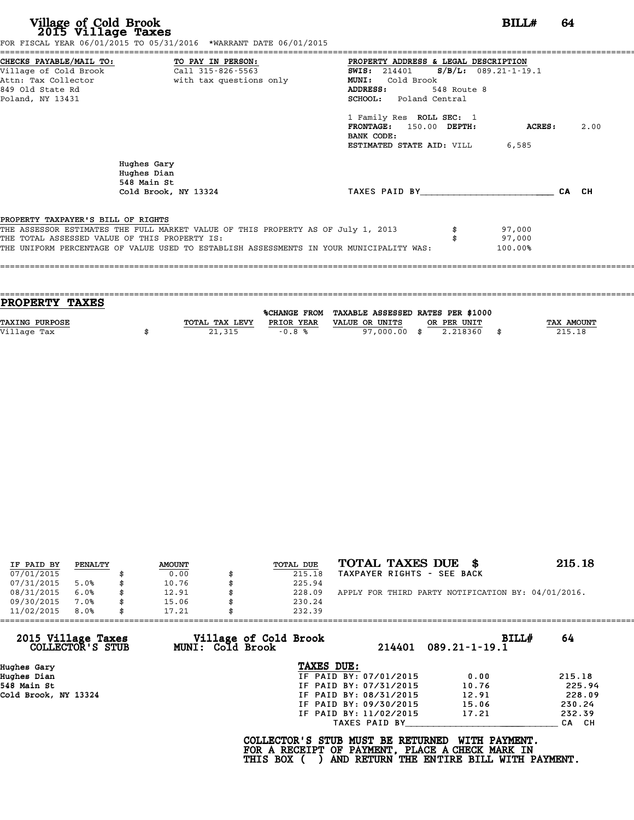|                                               | FOR FISCAL YEAR 06/01/2015 TO 05/31/2016 *WARRANT DATE 06/01/2015                       |                                                 |             |                |       |      |
|-----------------------------------------------|-----------------------------------------------------------------------------------------|-------------------------------------------------|-------------|----------------|-------|------|
|                                               | CHECKS PAYABLE/MAIL TO: TO PAY IN PERSON:                                               | PROPERTY ADDRESS & LEGAL DESCRIPTION            |             |                |       |      |
|                                               | Village of Cold Brook Call 315-826-5563                                                 | <b>SWIS:</b> 214401 <b>S/B/L:</b> 089.21-1-19.1 |             |                |       |      |
|                                               | Attn: Tax Collector and the with tax questions only                                     | <b>MUNI:</b><br>Cold Brook                      |             |                |       |      |
| 849 Old State Rd                              |                                                                                         | ADDRESS:                                        | 548 Route 8 |                |       |      |
| Poland, NY 13431                              |                                                                                         | SCHOOL: Poland Central                          |             |                |       |      |
|                                               |                                                                                         | 1 Family Res ROLL SEC: 1                        |             |                |       |      |
|                                               |                                                                                         | FRONTAGE: 150.00 DEPTH:                         |             | <b>ACRES :</b> |       | 2.00 |
|                                               |                                                                                         | BANK CODE:                                      |             |                |       |      |
|                                               |                                                                                         | <b>ESTIMATED STATE AID:</b> VILL 6,585          |             |                |       |      |
|                                               | Hughes Gary<br>Hughes Dian<br>548 Main St                                               |                                                 |             |                |       |      |
|                                               | Cold Brook, NY 13324                                                                    | TAXES PAID BY                                   |             |                | CA CH |      |
|                                               |                                                                                         |                                                 |             |                |       |      |
| PROPERTY TAXPAYER'S BILL OF RIGHTS            |                                                                                         |                                                 |             |                |       |      |
|                                               | THE ASSESSOR ESTIMATES THE FULL MARKET VALUE OF THIS PROPERTY AS OF July 1, 2013        |                                                 |             | 97,000         |       |      |
| THE TOTAL ASSESSED VALUE OF THIS PROPERTY IS: |                                                                                         |                                                 |             | 97,000         |       |      |
|                                               | THE UNIFORM PERCENTAGE OF VALUE USED TO ESTABLISH ASSESSMENTS IN YOUR MUNICIPALITY WAS: |                                                 |             | 100.00%        |       |      |
|                                               |                                                                                         |                                                 |             |                |       |      |

| <b>TAX AMOUNT</b> |
|-------------------|
| 215.18            |
|                   |
|                   |

| IF PAID BY | PENALTY | <b>AMOUNT</b> | TOTAL DUE | TOTAL TAXES DUE<br>- 86                            | 215.18 |
|------------|---------|---------------|-----------|----------------------------------------------------|--------|
| 07/01/2015 |         | 0.00          | 215.18    | TAXPAYER RIGHTS - SEE BACK                         |        |
| 07/31/2015 | 5.0%    | 10.76         | 225.94    |                                                    |        |
| 08/31/2015 | 6.0%    | \$<br>12.91   | 228.09    | APPLY FOR THIRD PARTY NOTIFICATION BY: 04/01/2016. |        |
| 09/30/2015 | 7.0%    | 15.06         | 230.24    |                                                    |        |
| 11/02/2015 | 8.0%    | 17.21         | 232.39    |                                                    |        |

| 11/02/2015                             | 8.0% | 17.21 |                  | 232.39                                          |                        |                                                                                                              |        |
|----------------------------------------|------|-------|------------------|-------------------------------------------------|------------------------|--------------------------------------------------------------------------------------------------------------|--------|
| 2015 Village Taxes<br>COLLECTOR'S STUB |      |       | MUNI: Cold Brook | Village of Cold Brook                           |                        | BILLH<br>214401 089.21-1-19.1                                                                                | 64     |
| Hughes Gary                            |      |       |                  | TAXES DUE:                                      |                        |                                                                                                              |        |
| Hughes Dian                            |      |       |                  |                                                 | IF PAID BY: 07/01/2015 | 0.00                                                                                                         | 215.18 |
| 548 Main St                            |      |       |                  |                                                 | IF PAID BY: 07/31/2015 | 10.76                                                                                                        | 225.94 |
| Cold Brook, NY 13324                   |      |       |                  |                                                 | IF PAID BY: 08/31/2015 | 12.91                                                                                                        | 228.09 |
|                                        |      |       |                  |                                                 | IF PAID BY: 09/30/2015 | 15.06                                                                                                        | 230.24 |
|                                        |      |       |                  |                                                 | IF PAID BY: 11/02/2015 | 17.21                                                                                                        | 232.39 |
|                                        |      |       |                  |                                                 | TAXES PAID BY          |                                                                                                              | CA CH  |
|                                        |      |       |                  | COLLECTOR'S STUB MUST BE RETURNED<br>THIS BOX ( |                        | WITH PAYMENT.<br>FOR A RECEIPT OF PAYMENT, PLACE A CHECK MARK IN<br>AND RETURN THE ENTIRE BILL WITH PAYMENT. |        |
|                                        |      |       |                  |                                                 |                        |                                                                                                              |        |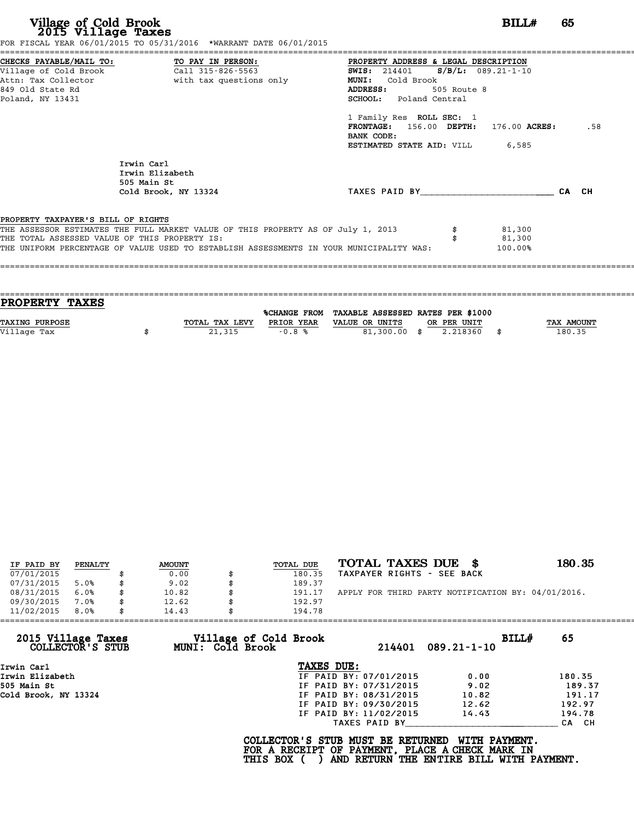| Village of Cold Brook<br>2015 Village Taxes                                                                     | FOR FISCAL YEAR 06/01/2015 TO 05/31/2016 *WARRANT DATE 06/01/2015                       |                                                                                                                                                                                                             | BILL#   | 65  |
|-----------------------------------------------------------------------------------------------------------------|-----------------------------------------------------------------------------------------|-------------------------------------------------------------------------------------------------------------------------------------------------------------------------------------------------------------|---------|-----|
| CHECKS PAYABLE/MAIL TO:<br>Village of Cold Brook<br>Attn: Tax Collector<br>849 Old State Rd<br>Poland, NY 13431 | TO PAY IN PERSON:<br>Call 315-826-5563<br>with tax questions only                       | PROPERTY ADDRESS & LEGAL DESCRIPTION<br><b>SWIS:</b> 214401 <b>S/B/L:</b> 089.21-1-10<br><b>MUNI:</b><br>Cold Brook<br>ADDRESS:<br>505 Route 8<br><b>SCHOOL:</b> Poland Central<br>1 Family Res ROLL SEC: 1 |         |     |
|                                                                                                                 |                                                                                         | $\texttt{FRONTAGE:}$ 156.00 DEPTH: 176.00 ACRES:<br>BANK CODE:<br><b>ESTIMATED STATE AID:</b> VILL 6,585                                                                                                    |         | .58 |
|                                                                                                                 | Irwin Carl<br>Irwin Elizabeth<br>505 Main St                                            |                                                                                                                                                                                                             |         |     |
|                                                                                                                 | Cold Brook, NY 13324                                                                    | TAXES PAID BY CA CH                                                                                                                                                                                         |         |     |
| PROPERTY TAXPAYER'S BILL OF RIGHTS                                                                              |                                                                                         |                                                                                                                                                                                                             |         |     |
|                                                                                                                 | THE ASSESSOR ESTIMATES THE FULL MARKET VALUE OF THIS PROPERTY AS OF July 1, 2013        |                                                                                                                                                                                                             | 81,300  |     |
| THE TOTAL ASSESSED VALUE OF THIS PROPERTY IS:                                                                   |                                                                                         |                                                                                                                                                                                                             | 81,300  |     |
|                                                                                                                 | THE UNIFORM PERCENTAGE OF VALUE USED TO ESTABLISH ASSESSMENTS IN YOUR MUNICIPALITY WAS: |                                                                                                                                                                                                             | 100.00% |     |

| <b>TAX AMOUNT</b> |
|-------------------|
| 180.35            |
|                   |
|                   |

| IF PAID BY | PENALTY | <b>AMOUNT</b> | <b>TOTAL DUE</b> | TOTAL TAXES DUE \$                                 | 180.35 |
|------------|---------|---------------|------------------|----------------------------------------------------|--------|
| 07/01/2015 |         | 0.00          | 180.35           | TAXPAYER RIGHTS - SEE BACK                         |        |
| 07/31/2015 | 5.0%    | \$<br>9.02    | 189.37           |                                                    |        |
| 08/31/2015 | 6.0%    | \$<br>10.82   | \$<br>191.17     | APPLY FOR THIRD PARTY NOTIFICATION BY: 04/01/2016. |        |
| 09/30/2015 | 7.0%    | \$<br>12.62   | 192.97           |                                                    |        |
| 11/02/2015 | 8.0%    | \$<br>14.43   | 194.78           |                                                    |        |

| 11/02/2015                             | 8.0% | 14.43 |                         | 194.78                                                                                                    |                        |                                                           |       |        |
|----------------------------------------|------|-------|-------------------------|-----------------------------------------------------------------------------------------------------------|------------------------|-----------------------------------------------------------|-------|--------|
| 2015 Village Taxes<br>COLLECTOR'S STUB |      |       | <b>MUNI: Cold Brook</b> | Village of Cold Brook                                                                                     | 214401                 | 089.21-1-10                                               | BILL# | 65     |
| Irwin Carl                             |      |       |                         | TAXES DUE:                                                                                                |                        |                                                           |       |        |
| Irwin Elizabeth                        |      |       |                         |                                                                                                           | IF PAID BY: 07/01/2015 | 0.00                                                      |       | 180.35 |
| 505 Main St                            |      |       |                         |                                                                                                           | IF PAID BY: 07/31/2015 | 9.02                                                      |       | 189.37 |
| Cold Brook, NY 13324                   |      |       |                         |                                                                                                           | IF PAID BY: 08/31/2015 | 10.82                                                     |       | 191.17 |
|                                        |      |       |                         |                                                                                                           | IF PAID BY: 09/30/2015 | 12.62                                                     |       | 192.97 |
|                                        |      |       |                         |                                                                                                           | IF PAID BY: 11/02/2015 | 14.43                                                     |       | 194.78 |
|                                        |      |       |                         |                                                                                                           | TAXES PAID BY          |                                                           |       | CA CH  |
|                                        |      |       |                         | COLLECTOR'S STUB MUST BE RETURNED<br>FOR A RECEIPT OF PAYMENT, PLACE A CHECK MARK IN<br><b>THIS BOX (</b> |                        | WITH PAYMENT.<br>AND RETURN THE ENTIRE BILL WITH PAYMENT. |       |        |
|                                        |      |       |                         |                                                                                                           |                        |                                                           |       |        |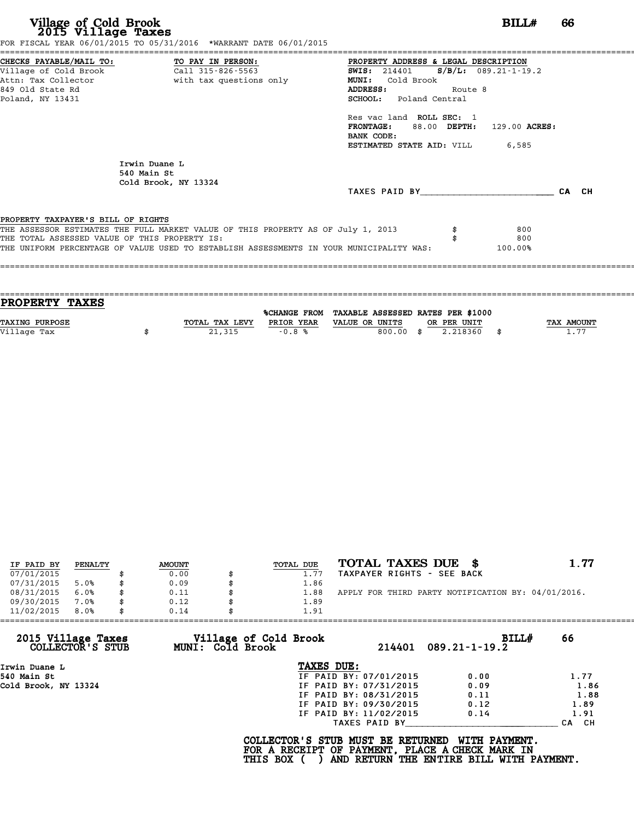|                                               |                                                                                  | PROPERTY ADDRESS & LEGAL DESCRIPTION            |       |
|-----------------------------------------------|----------------------------------------------------------------------------------|-------------------------------------------------|-------|
|                                               |                                                                                  | <b>SWIS:</b> 214401 <b>S/B/L:</b> 089.21-1-19.2 |       |
|                                               | Attn: Tax Collector and the with tax questions only                              | MUNI: Cold Brook                                |       |
| 849 Old State Rd                              |                                                                                  | ADDRESS:<br>Route 8                             |       |
| Poland, NY 13431                              |                                                                                  | SCHOOL: Poland Central                          |       |
|                                               |                                                                                  | Res vac land ROLL SEC: 1                        |       |
|                                               |                                                                                  | FRONTAGE: 88.00 DEPTH: 129.00 ACRES:            |       |
|                                               |                                                                                  | BANK CODE:                                      |       |
|                                               |                                                                                  | <b>ESTIMATED STATE AID:</b> VILL 6,585          |       |
|                                               | Irwin Duane L                                                                    |                                                 |       |
|                                               | 540 Main St                                                                      |                                                 |       |
|                                               | Cold Brook, NY 13324                                                             |                                                 |       |
|                                               |                                                                                  | TAXES PAID BY                                   | CA CH |
|                                               |                                                                                  |                                                 |       |
|                                               |                                                                                  |                                                 |       |
| PROPERTY TAXPAYER'S BILL OF RIGHTS            | THE ASSESSOR ESTIMATES THE FULL MARKET VALUE OF THIS PROPERTY AS OF July 1, 2013 | 800                                             |       |
| THE TOTAL ASSESSED VALUE OF THIS PROPERTY IS: |                                                                                  | 800                                             |       |

| PROPERTY TAXES        |                |              |                                   |              |
|-----------------------|----------------|--------------|-----------------------------------|--------------|
|                       |                |              | TAXABLE ASSESSED RATES PER \$1000 |              |
|                       |                | %CHANGE FROM |                                   |              |
| <b>TAXING PURPOSE</b> | TOTAL TAX LEVY | PRIOR YEAR   | VALUE OR UNITS<br>OR PER UNIT     | TAX AMOUNT   |
| Village Tax           | 21,315         | $-0.8%$      | 800.00<br>2.218360<br>- \$        | 1.77<br>- \$ |
|                       |                |              |                                   |              |

| IF PAID BY | PENALTY | <b>AMOUNT</b> | TOTAL DUE | TOTAL TAXES DUE \$                                 | 1.77 |
|------------|---------|---------------|-----------|----------------------------------------------------|------|
| 07/01/2015 |         | 0.00          | 1.77      | TAXPAYER RIGHTS - SEE BACK                         |      |
| 07/31/2015 | 5.0%    | 0.09          | 1.86      |                                                    |      |
| 08/31/2015 | 6.0%    | 0.11          | 1.88      | APPLY FOR THIRD PARTY NOTIFICATION BY: 04/01/2016. |      |
| 09/30/2015 | 7.0%    | 0.12          | 1.89      |                                                    |      |
| 11/02/2015 | 8.0%    | 0.14          | 1.91      |                                                    |      |

| 11/02/2015<br>8.0%                     | 0.14<br>1.91                              |                        |                                 |                  |
|----------------------------------------|-------------------------------------------|------------------------|---------------------------------|------------------|
| 2015 Village Taxes<br>COLLECTOR'S STUB | Village of Cold Brook<br>MUNI: Cold Brook |                        | BILL#<br>$214401$ 089.21-1-19.2 | 66               |
| Irwin Duane L                          | TAXES DUE:                                |                        |                                 |                  |
| 540 Main St                            |                                           | IF PAID BY: 07/01/2015 | 0.00                            | 1.77             |
| Cold Brook, NY 13324                   |                                           | IF PAID BY: 07/31/2015 | 0.09                            | 1.86             |
|                                        |                                           | IF PAID BY: 08/31/2015 | 0.11                            | 1.88             |
|                                        |                                           | IF PAID BY: 09/30/2015 | 0.12                            | 1.89             |
|                                        |                                           | IF PAID BY: 11/02/2015 | 0.14                            | 1.91             |
|                                        |                                           | TAXES PAID BY          |                                 | CH.<br><b>CA</b> |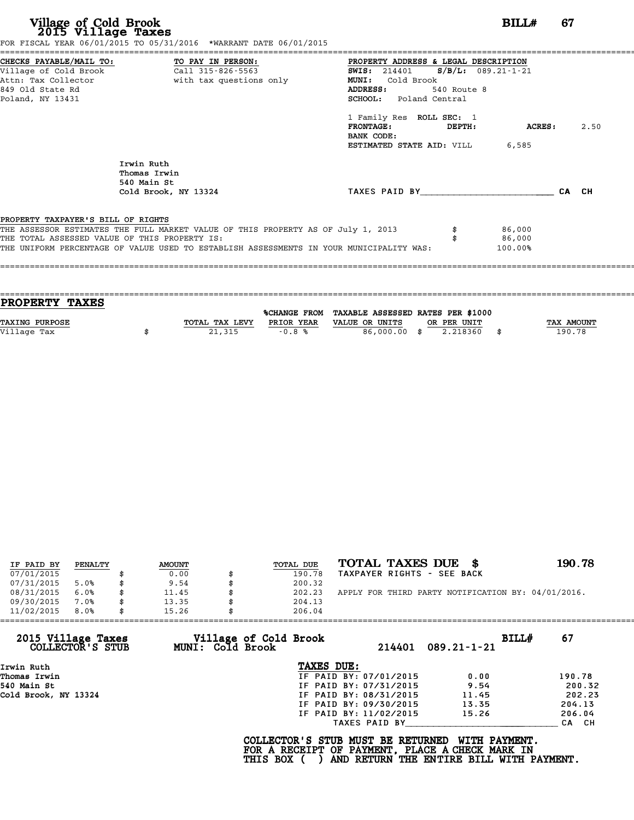| FOR FISCAL YEAR 06/01/2015 TO 05/31/2016 *WARRANT DATE 06/01/2015 |                                                                                                |                                                                                                                                                                     |                                                                                    |                                                                                                                                                            |         |
|-------------------------------------------------------------------|------------------------------------------------------------------------------------------------|---------------------------------------------------------------------------------------------------------------------------------------------------------------------|------------------------------------------------------------------------------------|------------------------------------------------------------------------------------------------------------------------------------------------------------|---------|
|                                                                   |                                                                                                |                                                                                                                                                                     |                                                                                    |                                                                                                                                                            |         |
|                                                                   |                                                                                                |                                                                                                                                                                     |                                                                                    |                                                                                                                                                            |         |
|                                                                   |                                                                                                |                                                                                                                                                                     |                                                                                    |                                                                                                                                                            |         |
|                                                                   |                                                                                                |                                                                                                                                                                     |                                                                                    |                                                                                                                                                            |         |
|                                                                   |                                                                                                |                                                                                                                                                                     |                                                                                    |                                                                                                                                                            |         |
|                                                                   |                                                                                                |                                                                                                                                                                     |                                                                                    |                                                                                                                                                            |         |
|                                                                   | FRONTAGE:                                                                                      |                                                                                                                                                                     |                                                                                    |                                                                                                                                                            | 2.50    |
|                                                                   | BANK CODE:                                                                                     |                                                                                                                                                                     |                                                                                    |                                                                                                                                                            |         |
|                                                                   |                                                                                                |                                                                                                                                                                     |                                                                                    |                                                                                                                                                            |         |
| Irwin Ruth<br>Thomas Irwin                                        |                                                                                                |                                                                                                                                                                     |                                                                                    |                                                                                                                                                            |         |
| Cold Brook, NY 13324                                              |                                                                                                |                                                                                                                                                                     |                                                                                    | CA CH                                                                                                                                                      |         |
|                                                                   |                                                                                                |                                                                                                                                                                     |                                                                                    |                                                                                                                                                            |         |
|                                                                   |                                                                                                |                                                                                                                                                                     |                                                                                    |                                                                                                                                                            |         |
| THE TOTAL ASSESSED VALUE OF THIS PROPERTY IS:                     |                                                                                                |                                                                                                                                                                     | 86,000                                                                             |                                                                                                                                                            |         |
|                                                                   |                                                                                                |                                                                                                                                                                     |                                                                                    |                                                                                                                                                            |         |
|                                                                   | CHECKS PAYABLE/MAIL TO: TO PAY IN PERSON:<br>540 Main St<br>PROPERTY TAXPAYER'S BILL OF RIGHTS | Attn: Tax Collector and with tax questions only<br>MUNI: Cold Brook<br>ADDRESS:<br>THE ASSESSOR ESTIMATES THE FULL MARKET VALUE OF THIS PROPERTY AS OF July 1, 2013 | 540 Route 8<br>SCHOOL: Poland Central<br>1 Family Res ROLL SEC: 1<br><b>DEPTH:</b> | PROPERTY ADDRESS & LEGAL DESCRIPTION<br><b>SWIS:</b> 214401 <b>S/B/L:</b> 089.21-1-21<br><b>ESTIMATED STATE AID:</b> VILL 6,585<br>TAXES PAID BY<br>86,000 | ACRES : |

| <b>PROPERTY TAXES</b> |                |            |                                                |             |                   |
|-----------------------|----------------|------------|------------------------------------------------|-------------|-------------------|
|                       |                |            |                                                |             |                   |
|                       |                |            | %CHANGE FROM TAXABLE ASSESSED RATES PER \$1000 |             |                   |
| <b>TAXING PURPOSE</b> | TOTAL TAX LEVY | PRIOR YEAR | VALUE OR UNITS                                 | OR PER UNIT | <b>TAX AMOUNT</b> |
| Village Tax           | 21,315         | $-0.8%$    | 86,000.00 \$                                   | 2.218360    | 190.78            |
|                       |                |            |                                                |             |                   |

| IF PAID BY | PENALTY | <b>AMOUNT</b> | TOTAL DUE | TOTAL TAXES DUE<br>- 86                            | 190.78 |
|------------|---------|---------------|-----------|----------------------------------------------------|--------|
| 07/01/2015 |         | 0.00          | 190.78    | TAXPAYER RIGHTS - SEE BACK                         |        |
| 07/31/2015 | 5.0%    | 9.54          | 200.32    |                                                    |        |
| 08/31/2015 | 6.0%    | 11.45         | 202.23    | APPLY FOR THIRD PARTY NOTIFICATION BY: 04/01/2016. |        |
| 09/30/2015 | 7.0%    | 13.35         | 204.13    |                                                    |        |
| 11/02/2015 | 8.0%    | 15.26         | 206.04    |                                                    |        |

| 11/02/2015                             | 8.0% | 15.26 |                         | 206.04                                                                                             |                        |                                                           |       |        |
|----------------------------------------|------|-------|-------------------------|----------------------------------------------------------------------------------------------------|------------------------|-----------------------------------------------------------|-------|--------|
| 2015 Village Taxes<br>COLLECTOR'S STUB |      |       | <b>MUNI: Cold Brook</b> | Village of Cold Brook                                                                              | 214401                 | $089.21 - 1 - 21$                                         | BILLH | 67     |
| Irwin Ruth                             |      |       |                         | TAXES DUE:                                                                                         |                        |                                                           |       |        |
| Thomas Irwin                           |      |       |                         |                                                                                                    | IF PAID BY: 07/01/2015 | 0.00                                                      |       | 190.78 |
| 540 Main St                            |      |       |                         |                                                                                                    | IF PAID BY: 07/31/2015 | 9.54                                                      |       | 200.32 |
| Cold Brook, NY 13324                   |      |       |                         |                                                                                                    | IF PAID BY: 08/31/2015 | 11.45                                                     |       | 202.23 |
|                                        |      |       |                         |                                                                                                    | IF PAID BY: 09/30/2015 | 13.35                                                     |       | 204.13 |
|                                        |      |       |                         |                                                                                                    | IF PAID BY: 11/02/2015 | 15.26                                                     |       | 206.04 |
|                                        |      |       |                         |                                                                                                    | TAXES PAID BY          |                                                           |       | CA CH  |
|                                        |      |       |                         | COLLECTOR'S STUB MUST BE RETURNED<br>FOR A RECEIPT OF PAYMENT, PLACE A CHECK MARK IN<br>THIS BOX ( |                        | WITH PAYMENT.<br>AND RETURN THE ENTIRE BILL WITH PAYMENT. |       |        |
|                                        |      |       |                         |                                                                                                    |                        |                                                           |       |        |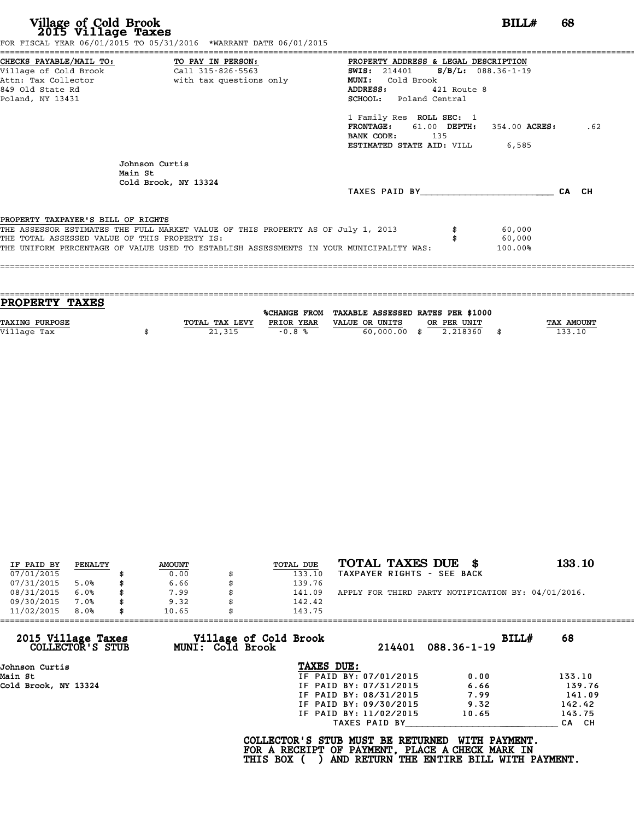| Village of Cold Brook<br>2015 Village Taxes                                                                     | FOR FISCAL YEAR 06/01/2015 TO 05/31/2016 *WARRANT DATE 06/01/2015                                                                                                           | BILL#                                                                                                                                                                                                                                                                                                           | 68    |     |
|-----------------------------------------------------------------------------------------------------------------|-----------------------------------------------------------------------------------------------------------------------------------------------------------------------------|-----------------------------------------------------------------------------------------------------------------------------------------------------------------------------------------------------------------------------------------------------------------------------------------------------------------|-------|-----|
| CHECKS PAYABLE/MAIL TO:<br>Village of Cold Brook<br>Attn: Tax Collector<br>849 Old State Rd<br>Poland, NY 13431 | TO PAY IN PERSON:<br>Call 315-826-5563<br>with tax questions only                                                                                                           | PROPERTY ADDRESS & LEGAL DESCRIPTION<br><b>SWIS:</b> 214401 <b>S/B/L:</b> 088.36-1-19<br>Cold Brook<br>MUNI:<br><b>ADDRESS:</b><br>421 Route 8<br><b>SCHOOL:</b> Poland Central<br>1 Family Res ROLL SEC: 1<br>FRONTAGE: 61.00 DEPTH: 354.00 ACRES:<br>BANK CODE: 135<br><b>ESTIMATED STATE AID:</b> VILL 6,585 |       | .62 |
|                                                                                                                 | Johnson Curtis<br>Main St<br>Cold Brook, NY 13324                                                                                                                           | TAXES PAID BY                                                                                                                                                                                                                                                                                                   | CA CH |     |
| PROPERTY TAXPAYER'S BILL OF RIGHTS<br>THE TOTAL ASSESSED VALUE OF THIS PROPERTY IS:                             | THE ASSESSOR ESTIMATES THE FULL MARKET VALUE OF THIS PROPERTY AS OF July 1, 2013<br>THE UNIFORM PERCENTAGE OF VALUE USED TO ESTABLISH ASSESSMENTS IN YOUR MUNICIPALITY WAS: | 60,000<br>60,000<br>100.00%                                                                                                                                                                                                                                                                                     |       |     |
|                                                                                                                 |                                                                                                                                                                             |                                                                                                                                                                                                                                                                                                                 |       |     |

| PROPERTY TAXES        |                |            |                                                |             |                   |
|-----------------------|----------------|------------|------------------------------------------------|-------------|-------------------|
|                       |                |            | %CHANGE FROM TAXABLE ASSESSED RATES PER \$1000 |             |                   |
| <b>TAXING PURPOSE</b> | TOTAL TAX LEVY | PRIOR YEAR | VALUE OR UNITS                                 | OR PER UNIT | <b>TAX AMOUNT</b> |
| Village Tax           | 21,315         | $-0.8%$    | $60,000.00$ \$                                 | 2.218360    | 133.10            |
|                       |                |            |                                                |             |                   |

| IF PAID BY | PENALTY | <b>AMOUNT</b> | TOTAL DUE | TOTAL TAXES DUE<br>- 86                            | 133.10 |
|------------|---------|---------------|-----------|----------------------------------------------------|--------|
| 07/01/2015 |         | 0.00          | 133.10    | TAXPAYER RIGHTS - SEE BACK                         |        |
| 07/31/2015 | 5.0%    | \$<br>6.66    | 139.76    |                                                    |        |
| 08/31/2015 | 6.0%    | \$<br>7.99    | 141.09    | APPLY FOR THIRD PARTY NOTIFICATION BY: 04/01/2016. |        |
| 09/30/2015 | 7.0%    | \$<br>9.32    | 142.42    |                                                    |        |
| 11/02/2015 | 8.0%    | \$<br>10.65   | 143.75    |                                                    |        |
|            |         |               |           |                                                    |        |

| 11/02/2015           | 8.0%             | 10.65 |                  | 143.75                                                                                             |                        |                                                           |       |        |
|----------------------|------------------|-------|------------------|----------------------------------------------------------------------------------------------------|------------------------|-----------------------------------------------------------|-------|--------|
| 2015 Village Taxes   | COLLECTOR'S STUB |       | MUNI: Cold Brook | Village of Cold Brook                                                                              | 214401                 | $088.36 - 1 - 19$                                         | BILL# | 68     |
| Johnson Curtis       |                  |       |                  | TAXES DUE:                                                                                         |                        |                                                           |       |        |
| Main St              |                  |       |                  |                                                                                                    | IF PAID BY: 07/01/2015 | 0.00                                                      |       | 133.10 |
| Cold Brook, NY 13324 |                  |       |                  |                                                                                                    | IF PAID BY: 07/31/2015 | 6.66                                                      |       | 139.76 |
|                      |                  |       |                  |                                                                                                    | IF PAID BY: 08/31/2015 | 7.99                                                      |       | 141.09 |
|                      |                  |       |                  |                                                                                                    | IF PAID BY: 09/30/2015 | 9.32                                                      |       | 142.42 |
|                      |                  |       |                  |                                                                                                    | IF PAID BY: 11/02/2015 | 10.65                                                     |       | 143.75 |
|                      |                  |       |                  |                                                                                                    | TAXES PAID BY          |                                                           |       | CA CH  |
|                      |                  |       |                  | COLLECTOR'S STUB MUST BE RETURNED<br>FOR A RECEIPT OF PAYMENT, PLACE A CHECK MARK IN<br>THIS BOX ( |                        | WITH PAYMENT.<br>AND RETURN THE ENTIRE BILL WITH PAYMENT. |       |        |
|                      |                  |       |                  |                                                                                                    |                        |                                                           |       |        |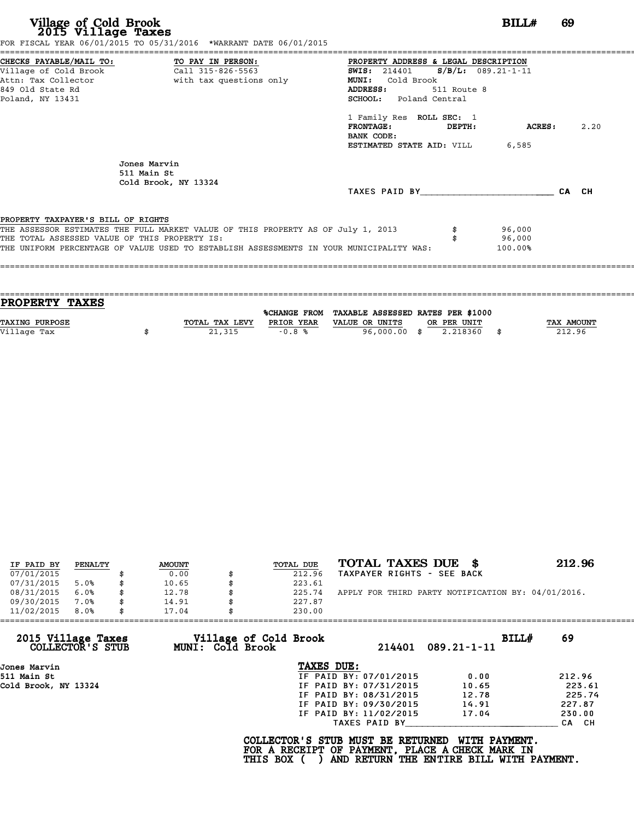|                                               | FOR FISCAL YEAR 06/01/2015 TO 05/31/2016 *WARRANT DATE 06/01/2015                       |                                        |         |       |
|-----------------------------------------------|-----------------------------------------------------------------------------------------|----------------------------------------|---------|-------|
|                                               | CHECKS PAYABLE/MAIL TO: TO PAY IN PERSON:                                               | PROPERTY ADDRESS & LEGAL DESCRIPTION   |         |       |
|                                               |                                                                                         | SWIS: $214401$ S/B/L: 089.21-1-11      |         |       |
|                                               | Attn: Tax Collector                       with tax questions only                       | MUNI: Cold Brook                       |         |       |
| 849 Old State Rd                              |                                                                                         | 511 Route 8<br><b>ADDRESS:</b>         |         |       |
| Poland, NY 13431                              |                                                                                         | SCHOOL: Poland Central                 |         |       |
|                                               |                                                                                         | 1 Family Res ROLL SEC: 1               |         |       |
|                                               |                                                                                         | $\tt FRONTAGE:$<br><b>DEPTH:</b>       | ACRES : | 2.20  |
|                                               |                                                                                         | BANK CODE:                             |         |       |
|                                               |                                                                                         | <b>ESTIMATED STATE AID:</b> VILL 6,585 |         |       |
|                                               | Jones Marvin                                                                            |                                        |         |       |
|                                               | 511 Main St                                                                             |                                        |         |       |
|                                               | Cold Brook, NY 13324                                                                    |                                        |         |       |
|                                               |                                                                                         | TAXES PAID BY                          |         | CA CH |
| PROPERTY TAXPAYER'S BILL OF RIGHTS            |                                                                                         |                                        |         |       |
|                                               | THE ASSESSOR ESTIMATES THE FULL MARKET VALUE OF THIS PROPERTY AS OF July 1, 2013        |                                        | 96,000  |       |
| THE TOTAL ASSESSED VALUE OF THIS PROPERTY IS: |                                                                                         |                                        | 96,000  |       |
|                                               | THE UNIFORM PERCENTAGE OF VALUE USED TO ESTABLISH ASSESSMENTS IN YOUR MUNICIPALITY WAS: |                                        | 100.00% |       |
|                                               |                                                                                         |                                        |         |       |
|                                               |                                                                                         |                                        |         |       |
|                                               |                                                                                         |                                        |         |       |

| PROPERTY TAXES        |                |            |                                                |             |                   |
|-----------------------|----------------|------------|------------------------------------------------|-------------|-------------------|
|                       |                |            | %CHANGE FROM TAXABLE ASSESSED RATES PER \$1000 |             |                   |
| <b>TAXING PURPOSE</b> | TOTAL TAX LEVY | PRIOR YEAR | VALUE OR UNITS                                 | OR PER UNIT | <b>TAX AMOUNT</b> |
| Village Tax           | 21,315         | $-0.8%$    | 96,000.00 \$                                   | 2.218360    | 212.96            |
|                       |                |            |                                                |             |                   |

| IF PAID BY | PENALTY | <b>AMOUNT</b> | TOTAL DUE | TOTAL TAXES DUE<br>- SS                            | 212.96 |
|------------|---------|---------------|-----------|----------------------------------------------------|--------|
| 07/01/2015 |         | 0.00          | 212.96    | TAXPAYER RIGHTS - SEE BACK                         |        |
| 07/31/2015 | 5.0%    | 10.65         | 223.61    |                                                    |        |
| 08/31/2015 | 6.0%    | \$<br>12.78   | 225.74    | APPLY FOR THIRD PARTY NOTIFICATION BY: 04/01/2016. |        |
| 09/30/2015 | 7.0%    | \$<br>14.91   | 227.87    |                                                    |        |
| 11/02/2015 | 8.0%    | \$<br>17.04   | 230.00    |                                                    |        |

| 11/02/2015           | 8.0%             | 17.04 |                  | 230.00                                                                                             |                        |                                                           |       |        |
|----------------------|------------------|-------|------------------|----------------------------------------------------------------------------------------------------|------------------------|-----------------------------------------------------------|-------|--------|
| 2015 Village Taxes   | COLLECTOR'S STUB |       | MUNI: Cold Brook | Village of Cold Brook                                                                              | 214401                 | $089.21 - 1 - 11$                                         | BILLH | 69     |
| Jones Marvin         |                  |       |                  | TAXES DUE:                                                                                         |                        |                                                           |       |        |
| 511 Main St          |                  |       |                  |                                                                                                    | IF PAID BY: 07/01/2015 | 0.00                                                      |       | 212.96 |
| Cold Brook, NY 13324 |                  |       |                  |                                                                                                    | IF PAID BY: 07/31/2015 | 10.65                                                     |       | 223.61 |
|                      |                  |       |                  |                                                                                                    | IF PAID BY: 08/31/2015 | 12.78                                                     |       | 225.74 |
|                      |                  |       |                  |                                                                                                    | IF PAID BY: 09/30/2015 | 14.91                                                     |       | 227.87 |
|                      |                  |       |                  |                                                                                                    | IF PAID BY: 11/02/2015 | 17.04                                                     |       | 230.00 |
|                      |                  |       |                  |                                                                                                    | TAXES PAID BY          |                                                           |       | CA CH  |
|                      |                  |       |                  | COLLECTOR'S STUB MUST BE RETURNED<br>FOR A RECEIPT OF PAYMENT, PLACE A CHECK MARK IN<br>THIS BOX ( |                        | WITH PAYMENT.<br>AND RETURN THE ENTIRE BILL WITH PAYMENT. |       |        |
|                      |                  |       |                  |                                                                                                    |                        |                                                           |       |        |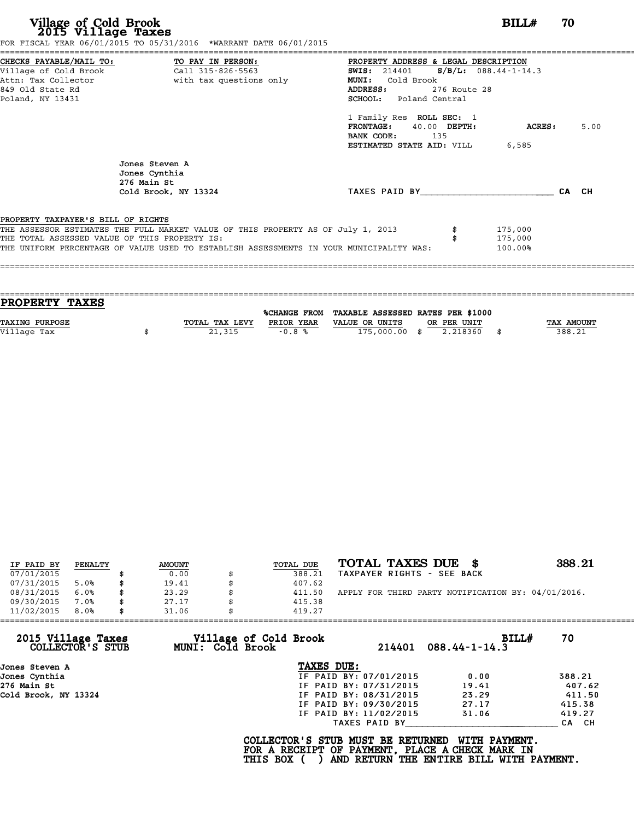| Village of Cold Brook<br>2015 Village Taxes                                          | FOR FISCAL YEAR 06/01/2015 TO 05/31/2016 *WARRANT DATE 06/01/2015                                                                                                                                                            |                                                                                                                                                                                                                                                                                | BILL#                         | 70    |
|--------------------------------------------------------------------------------------|------------------------------------------------------------------------------------------------------------------------------------------------------------------------------------------------------------------------------|--------------------------------------------------------------------------------------------------------------------------------------------------------------------------------------------------------------------------------------------------------------------------------|-------------------------------|-------|
| Village of Cold Brook<br>Attn: Tax Collector<br>849 Old State Rd<br>Poland, NY 13431 | CHECKS PAYABLE/MAIL TO: TO PAY IN PERSON:<br>Call 315-826-5563<br>with tax questions only                                                                                                                                    | PROPERTY ADDRESS & LEGAL DESCRIPTION<br>SWIS: $214401$ S/B/L: 088.44-1-14.3<br>Cold Brook<br><b>MUNI:</b><br>ADDRESS:<br>276 Route 28<br><b>SCHOOL:</b> Poland Central<br>1 Family Res ROLL SEC: 1<br>FRONTAGE: 40.00 DEPTH:<br>BANK CODE:<br>135<br>ESTIMATED STATE AID: VILL | <b>ACRES:</b><br>6,585        | 5.00  |
|                                                                                      | Jones Steven A<br>Jones Cynthia<br>276 Main St<br>Cold Brook, NY 13324                                                                                                                                                       | TAXES PAID BY                                                                                                                                                                                                                                                                  |                               | CA CH |
| PROPERTY TAXPAYER'S BILL OF RIGHTS                                                   | THE ASSESSOR ESTIMATES THE FULL MARKET VALUE OF THIS PROPERTY AS OF July 1, 2013<br>THE TOTAL ASSESSED VALUE OF THIS PROPERTY IS:<br>THE UNIFORM PERCENTAGE OF VALUE USED TO ESTABLISH ASSESSMENTS IN YOUR MUNICIPALITY WAS: |                                                                                                                                                                                                                                                                                | 175,000<br>175,000<br>100.00% |       |

| PROPERTY TAXES        |                |            |                                                |             |                   |
|-----------------------|----------------|------------|------------------------------------------------|-------------|-------------------|
|                       |                |            | %CHANGE FROM TAXABLE ASSESSED RATES PER \$1000 |             |                   |
| <b>TAXING PURPOSE</b> | TOTAL TAX LEVY | PRIOR YEAR | VALUE OR UNITS                                 | OR PER UNIT | <b>TAX AMOUNT</b> |
| Village Tax           | 21,315         | $-0.8%$    | 175,000.00 \$                                  | 2.218360    | 388.21            |
|                       |                |            |                                                |             |                   |

| IF PAID BY | PENALTY | <b>AMOUNT</b> | TOTAL DUE    | TOTAL TAXES DUE \$                                 | 388.21 |
|------------|---------|---------------|--------------|----------------------------------------------------|--------|
| 07/01/2015 |         | 0.00          | 388.21       | TAXPAYER RIGHTS - SEE BACK                         |        |
| 07/31/2015 | 5.0%    | \$<br>19.41   | 407.62       |                                                    |        |
| 08/31/2015 | 6.0%    | \$<br>23.29   | \$<br>411.50 | APPLY FOR THIRD PARTY NOTIFICATION BY: 04/01/2016. |        |
| 09/30/2015 | 7.0%    | \$<br>27.17   | 415.38       |                                                    |        |
| 11/02/2015 | 8.0%    | \$<br>31.06   | 419.27       |                                                    |        |

| 11/02/2015                             | 8.0% | 31.06                   | 419.27                |                                                                                                                                  |                        |       |        |
|----------------------------------------|------|-------------------------|-----------------------|----------------------------------------------------------------------------------------------------------------------------------|------------------------|-------|--------|
| 2015 Village Taxes<br>COLLECTOR'S STUB |      | <b>MUNI: Cold Brook</b> | Village of Cold Brook |                                                                                                                                  | $214401$ 088.44-1-14.3 | BILLH | 70     |
| Jones Steven A                         |      |                         | TAXES DUE:            |                                                                                                                                  |                        |       |        |
| Jones Cynthia                          |      |                         |                       | IF PAID BY: 07/01/2015                                                                                                           | 0.00                   |       | 388.21 |
| 276 Main St                            |      |                         |                       | IF PAID BY: 07/31/2015                                                                                                           | 19.41                  |       | 407.62 |
| Cold Brook, NY 13324                   |      |                         |                       | IF PAID BY: 08/31/2015                                                                                                           | 23.29                  |       | 411.50 |
|                                        |      |                         |                       | IF PAID BY: 09/30/2015                                                                                                           | 27.17                  |       | 415.38 |
|                                        |      |                         |                       | IF PAID BY: 11/02/2015                                                                                                           | 31.06                  |       | 419.27 |
|                                        |      |                         |                       | TAXES PAID BY                                                                                                                    |                        |       | CA CH  |
|                                        |      |                         | THIS BOX (            | COLLECTOR'S STUB MUST BE RETURNED<br>FOR A RECEIPT OF PAYMENT, PLACE A CHECK MARK IN<br>AND RETURN THE ENTIRE BILL WITH PAYMENT. | WITH PAYMENT.          |       |        |
|                                        |      |                         |                       |                                                                                                                                  |                        |       |        |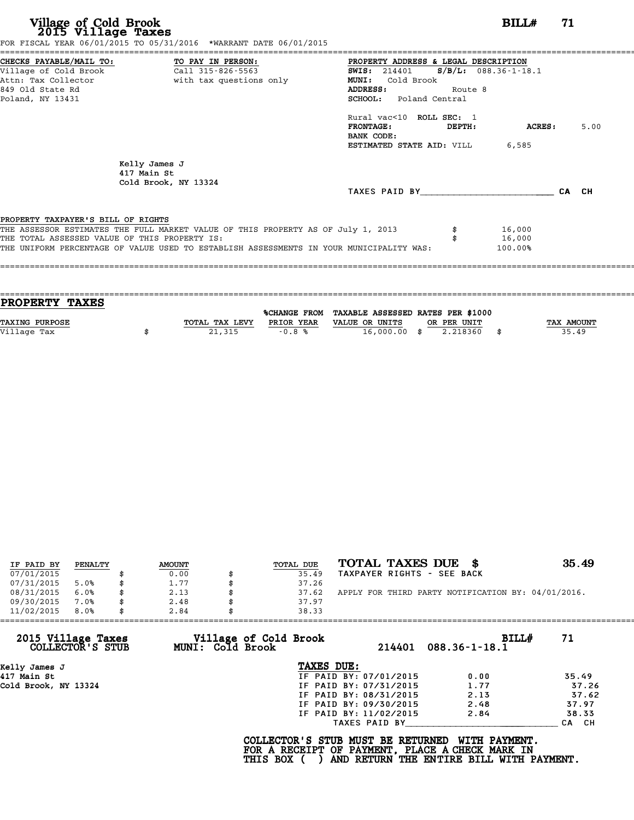| Village of Cold Brook<br>2015 Village Taxes                                                                                       | FOR FISCAL YEAR 06/01/2015 TO 05/31/2016 *WARRANT DATE 06/01/2015                                                                                                           |                                                                                                                                                                                                                                                                                          | BILLH                       | 71    |      |
|-----------------------------------------------------------------------------------------------------------------------------------|-----------------------------------------------------------------------------------------------------------------------------------------------------------------------------|------------------------------------------------------------------------------------------------------------------------------------------------------------------------------------------------------------------------------------------------------------------------------------------|-----------------------------|-------|------|
| CHECKS PAYABLE/MAIL TO: TO PAY IN PERSON:<br>Village of Cold Brook<br>Attn: Tax Collector<br>849 Old State Rd<br>Poland, NY 13431 | Call 315-826-5563<br>with tax questions only                                                                                                                                | PROPERTY ADDRESS & LEGAL DESCRIPTION<br>SWIS: 214401 S/B/L: 088.36-1-18.1<br>Cold Brook<br><b>MUNI:</b><br><b>ADDRESS:</b><br>Route 8<br><b>SCHOOL:</b> Poland Central<br>Rural vac<10 ROLL SEC: 1<br><b>FRONTAGE:</b><br>DEPTH:<br>BANK CODE:<br><b>ESTIMATED STATE AID: VILL 6,585</b> | ACRES:                      |       | 5.00 |
|                                                                                                                                   | Kelly James J<br>417 Main St<br>Cold Brook, NY 13324                                                                                                                        | TAXES PAID BY TAXES                                                                                                                                                                                                                                                                      |                             | CA CH |      |
| PROPERTY TAXPAYER'S BILL OF RIGHTS<br>THE TOTAL ASSESSED VALUE OF THIS PROPERTY IS:                                               | THE ASSESSOR ESTIMATES THE FULL MARKET VALUE OF THIS PROPERTY AS OF July 1, 2013<br>THE UNIFORM PERCENTAGE OF VALUE USED TO ESTABLISH ASSESSMENTS IN YOUR MUNICIPALITY WAS: |                                                                                                                                                                                                                                                                                          | 16,000<br>16,000<br>100.00% |       |      |

| PROPERTY TAXES        |                |            |                                                |             |                   |
|-----------------------|----------------|------------|------------------------------------------------|-------------|-------------------|
|                       |                |            | %CHANGE FROM TAXABLE ASSESSED RATES PER \$1000 |             |                   |
| <b>TAXING PURPOSE</b> | TOTAL TAX LEVY | PRIOR YEAR | VALUE OR UNITS                                 | OR PER UNIT | <b>TAX AMOUNT</b> |
| Village Tax           | 21,315         | $-0.8%$    | $16,000.00$ \$                                 | 2.218360    | 35.49             |
|                       |                |            |                                                |             |                   |

| IF PAID BY | PENALTY | <b>AMOUNT</b> | TOTAL DUE | TOTAL TAXES DUE \$                                 | 35.49 |
|------------|---------|---------------|-----------|----------------------------------------------------|-------|
| 07/01/2015 |         | 0.00          | 35.49     | TAXPAYER RIGHTS - SEE BACK                         |       |
| 07/31/2015 | 5.0%    | 1.77          | 37.26     |                                                    |       |
| 08/31/2015 | 6.0%    | 2.13          | 37.62     | APPLY FOR THIRD PARTY NOTIFICATION BY: 04/01/2016. |       |
| 09/30/2015 | 7.0%    | 2.48          | 37.97     |                                                    |       |
| 11/02/2015 | 8.0%    | 2.84          | 38.33     |                                                    |       |

| 11/02/2015<br>8.0%                     | 2.84<br>38.33                                    |                        |                               |       |
|----------------------------------------|--------------------------------------------------|------------------------|-------------------------------|-------|
| 2015 Village Taxes<br>COLLECTOR'S STUB | Village of Cold Brook<br><b>MUNI: Cold Brook</b> |                        | BILLH<br>214401 088.36-1-18.1 | 71    |
| Kelly James J                          | TAXES DUE:                                       |                        |                               |       |
| 417 Main St                            |                                                  | IF PAID BY: 07/01/2015 | 0.00                          | 35.49 |
| Cold Brook, NY 13324                   |                                                  | IF PAID BY: 07/31/2015 | 1.77                          | 37.26 |
|                                        |                                                  | IF PAID BY: 08/31/2015 | 2.13                          | 37.62 |
|                                        |                                                  | IF PAID BY: 09/30/2015 | 2.48                          | 37.97 |
|                                        |                                                  | IF PAID BY: 11/02/2015 | 2.84                          | 38.33 |
|                                        |                                                  | TAXES PAID BY          |                               | CA CH |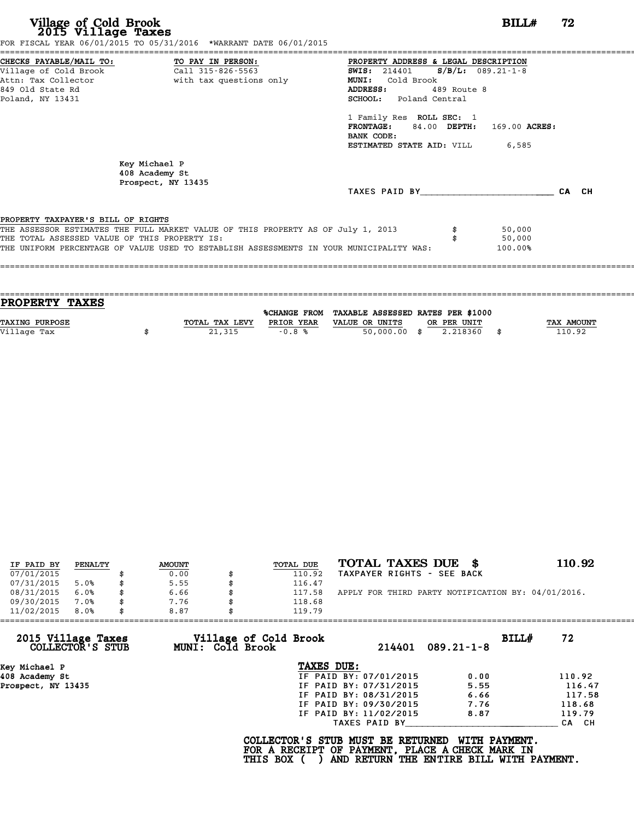|                                               | FOR FISCAL YEAR 06/01/2015 TO 05/31/2016 *WARRANT DATE 06/01/2015                       |                                              |             |               |       |
|-----------------------------------------------|-----------------------------------------------------------------------------------------|----------------------------------------------|-------------|---------------|-------|
| CHECKS PAYABLE/MAIL TO: TO PAY IN PERSON:     |                                                                                         | PROPERTY ADDRESS & LEGAL DESCRIPTION         |             |               |       |
|                                               |                                                                                         | <b>SWIS:</b> 214401 <b>S/B/L:</b> 089.21-1-8 |             |               |       |
|                                               | Attn: Tax Collector and with tax questions only                                         | <b>MUNI:</b><br>Cold Brook                   |             |               |       |
| 849 Old State Rd                              |                                                                                         | ADDRESS:                                     | 489 Route 8 |               |       |
| Poland, NY 13431                              |                                                                                         | <b>SCHOOL:</b> Poland Central                |             |               |       |
|                                               |                                                                                         | 1 Family Res ROLL SEC: 1                     |             |               |       |
|                                               |                                                                                         | FRONTAGE: 84.00 DEPTH:                       |             | 169.00 ACRES: |       |
|                                               |                                                                                         | BANK CODE:                                   |             |               |       |
|                                               |                                                                                         | <b>ESTIMATED STATE AID:</b> VILL 6,585       |             |               |       |
|                                               | Key Michael P<br>408 Academy St<br>Prospect, NY 13435                                   |                                              |             |               |       |
|                                               |                                                                                         | TAXES PAID BY                                |             |               | CA CH |
| PROPERTY TAXPAYER'S BILL OF RIGHTS            |                                                                                         |                                              |             |               |       |
|                                               | THE ASSESSOR ESTIMATES THE FULL MARKET VALUE OF THIS PROPERTY AS OF July 1, 2013        |                                              |             | 50,000        |       |
| THE TOTAL ASSESSED VALUE OF THIS PROPERTY IS: |                                                                                         |                                              |             | 50,000        |       |
|                                               | THE UNIFORM PERCENTAGE OF VALUE USED TO ESTABLISH ASSESSMENTS IN YOUR MUNICIPALITY WAS: |                                              |             | 100.00%       |       |
|                                               |                                                                                         |                                              |             |               |       |
|                                               |                                                                                         |                                              |             |               |       |

| PROPERTY TAXES        |                |              |                                   |             |      |            |
|-----------------------|----------------|--------------|-----------------------------------|-------------|------|------------|
|                       |                |              |                                   |             |      |            |
|                       |                | %CHANGE FROM | TAXABLE ASSESSED RATES PER \$1000 |             |      |            |
| <b>TAXING PURPOSE</b> | TOTAL TAX LEVY | PRIOR YEAR   | VALUE OR UNITS                    | OR PER UNIT |      | TAX AMOUNT |
| Village Tax           | 21,315         | $-0.8%$      | $50,000.00$ \$                    | 2.218360    | - \$ | 110.92     |
|                       |                |              |                                   |             |      |            |

| IF PAID BY | PENALTY | <b>AMOUNT</b> | TOTAL DUE | TOTAL TAXES DUE \$                                 | 110.92 |
|------------|---------|---------------|-----------|----------------------------------------------------|--------|
| 07/01/2015 |         | 0.00          | 110.92    | TAXPAYER RIGHTS - SEE BACK                         |        |
| 07/31/2015 | 5.0%    | \$<br>5.55    | 116.47    |                                                    |        |
| 08/31/2015 | 6.0%    | \$<br>6.66    | 117.58    | APPLY FOR THIRD PARTY NOTIFICATION BY: 04/01/2016. |        |
| 09/30/2015 | 7.0%    | \$<br>7.76    | 118.68    |                                                    |        |
| 11/02/2015 | 8.0%    | \$<br>8.87    | 119.79    |                                                    |        |

| 2015 Village Taxes<br>Village of Cold Brook<br>COLLECTOR'S STUB<br>MUNI: Cold Brook | 214401                 | BILLH            | 72     |
|-------------------------------------------------------------------------------------|------------------------|------------------|--------|
|                                                                                     |                        | $089.21 - 1 - 8$ |        |
| Key Michael P                                                                       | TAXES DUE:             |                  |        |
| 408 Academy St                                                                      | IF PAID BY: 07/01/2015 | 0.00             | 110.92 |
| Prospect, NY 13435                                                                  | IF PAID BY: 07/31/2015 | 5.55             | 116.47 |
|                                                                                     | IF PAID BY: 08/31/2015 | 6.66             | 117.58 |
|                                                                                     | IF PAID BY: 09/30/2015 | 7.76             | 118.68 |
|                                                                                     | IF PAID BY: 11/02/2015 | 8.87             | 119.79 |
|                                                                                     | TAXES PAID BY          |                  | CA CH  |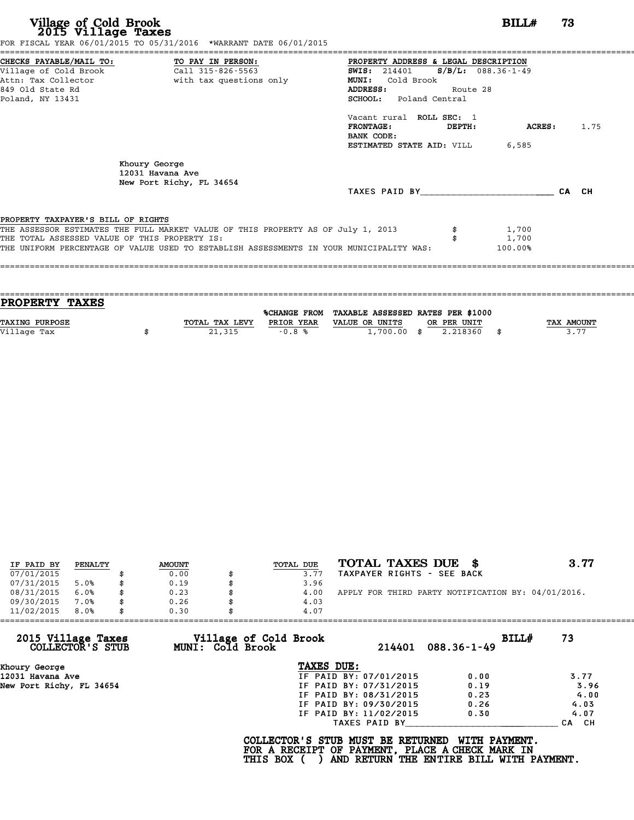| FOR FISCAL YEAR 06/01/2015 TO 05/31/2016 *WARRANT DATE 06/01/2015 |                                                                                  |                                                                                       |               |         |       |
|-------------------------------------------------------------------|----------------------------------------------------------------------------------|---------------------------------------------------------------------------------------|---------------|---------|-------|
|                                                                   |                                                                                  | PROPERTY ADDRESS & LEGAL DESCRIPTION<br><b>SWIS:</b> 214401 <b>S/B/L:</b> 088.36-1-49 |               |         |       |
|                                                                   | Attn: Tax Collector                       with tax questions only                | <b>MUNI:</b><br>Cold Brook                                                            |               |         |       |
| 849 Old State Rd                                                  |                                                                                  | ADDRESS:                                                                              | Route 28      |         |       |
| Poland, NY 13431                                                  |                                                                                  | SCHOOL: Poland Central                                                                |               |         |       |
|                                                                   |                                                                                  | Vacant rural ROLL SEC: 1                                                              |               |         |       |
|                                                                   |                                                                                  | $\tt FRONTAGE:$<br>BANK CODE:                                                         | <b>DEPTH:</b> | ACRES : | 1.75  |
|                                                                   |                                                                                  | <b>ESTIMATED STATE AID: VILL 6,585</b>                                                |               |         |       |
|                                                                   | Khoury George<br>12031 Havana Ave<br>New Port Richy, FL 34654                    |                                                                                       |               |         |       |
|                                                                   |                                                                                  | TAXES PAID BY                                                                         |               |         | CA CH |
| PROPERTY TAXPAYER'S BILL OF RIGHTS                                |                                                                                  |                                                                                       |               |         |       |
|                                                                   | THE ASSESSOR ESTIMATES THE FULL MARKET VALUE OF THIS PROPERTY AS OF July 1, 2013 |                                                                                       |               | 1,700   |       |
|                                                                   |                                                                                  |                                                                                       |               | 1,700   |       |
| THE TOTAL ASSESSED VALUE OF THIS PROPERTY IS:                     |                                                                                  |                                                                                       |               |         |       |

|            |                                   |                |              |                | PROPERTY TAXES        |
|------------|-----------------------------------|----------------|--------------|----------------|-----------------------|
|            |                                   |                |              |                |                       |
|            | TAXABLE ASSESSED RATES PER \$1000 |                | %CHANGE FROM |                |                       |
| TAX AMOUNT | OR PER UNIT                       | VALUE OR UNITS | PRIOR YEAR   | TOTAL TAX LEVY | <b>TAXING PURPOSE</b> |
| 3.77       | 2.218360<br>- \$                  | $1,700.00$ \$  | $-0.8%$      | 21,315         | Village Tax           |
|            |                                   |                |              |                |                       |

| IF PAID BY | PENALTY | <b>AMOUNT</b> | TOTAL DUE | TOTAL TAXES DUE \$                                 | 3.77 |
|------------|---------|---------------|-----------|----------------------------------------------------|------|
| 07/01/2015 |         | 0.00          | 3.77      | TAXPAYER RIGHTS - SEE BACK                         |      |
| 07/31/2015 | 5.0%    | 0.19          | 3.96      |                                                    |      |
| 08/31/2015 | 6.0%    | \$<br>0.23    | 4.00      | APPLY FOR THIRD PARTY NOTIFICATION BY: 04/01/2016. |      |
| 09/30/2015 | 7.0%    | \$<br>0.26    | 4.03      |                                                    |      |
| 11/02/2015 | 8.0%    | 0.30          | 4.07      |                                                    |      |

| Village of Cold Brook |               |                                                                                                                                              |                                                    |
|-----------------------|---------------|----------------------------------------------------------------------------------------------------------------------------------------------|----------------------------------------------------|
| MUNI: Cold Brook      | 214401        | BILLH<br>$088.36 - 1 - 49$                                                                                                                   | 73                                                 |
|                       |               |                                                                                                                                              |                                                    |
|                       |               | 0.00                                                                                                                                         | 3.77                                               |
|                       |               | 0.19                                                                                                                                         | 3.96                                               |
|                       |               | 0.23                                                                                                                                         | 4.00                                               |
|                       |               | 0.26                                                                                                                                         | 4.03                                               |
|                       |               | 0.30                                                                                                                                         | 4.07                                               |
|                       | TAXES PAID BY |                                                                                                                                              | CA CH                                              |
|                       |               | TAXES DUE:<br>IF PAID BY: 07/01/2015<br>IF PAID BY: 07/31/2015<br>IF PAID BY: 08/31/2015<br>IF PAID BY: 09/30/2015<br>IF PAID BY: 11/02/2015 | COLLECTOR'S STUB MUST BE RETURNED<br>WITH PAYMENT. |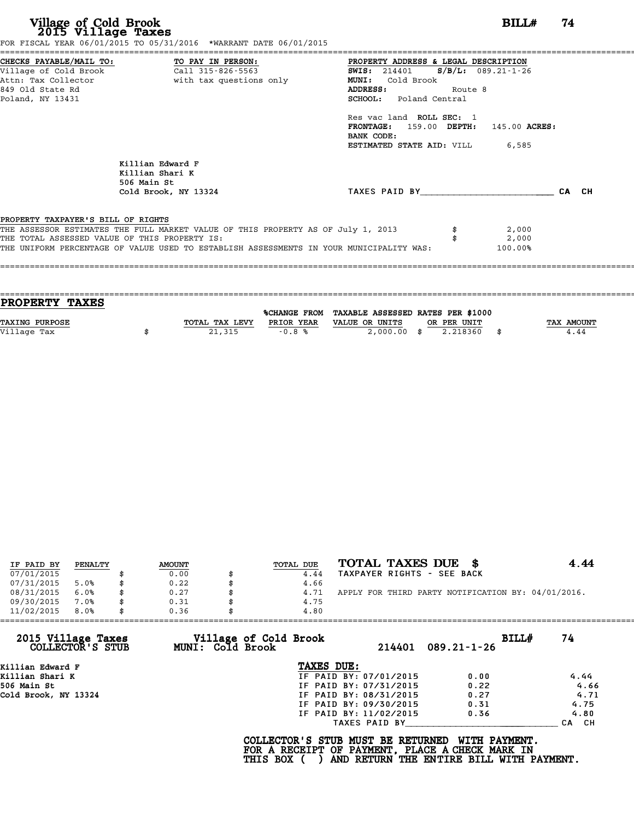|                                               | CHECKS PAYABLE/MAIL TO: TO PAY IN PERSON: PROPERTY ADDRESS & LEGAL DESCRIPTION          |                                               |         |         |       |
|-----------------------------------------------|-----------------------------------------------------------------------------------------|-----------------------------------------------|---------|---------|-------|
|                                               | Village of Cold Brook and Call 315-826-5563                                             | <b>SWIS:</b> 214401 <b>S/B/L:</b> 089.21-1-26 |         |         |       |
| Attn: Tax Collector                           | with tax questions only                                                                 | MUNI: Cold Brook                              |         |         |       |
| 849 Old State Rd                              |                                                                                         | ADDRESS:                                      | Route 8 |         |       |
| Poland, NY 13431                              |                                                                                         | SCHOOL: Poland Central                        |         |         |       |
|                                               |                                                                                         | Res vac land ROLL SEC: 1                      |         |         |       |
|                                               |                                                                                         | FRONTAGE: 159.00 DEPTH: 145.00 ACRES:         |         |         |       |
|                                               |                                                                                         | BANK CODE:                                    |         |         |       |
|                                               |                                                                                         | <b>ESTIMATED STATE AID:</b> VILL 6,585        |         |         |       |
|                                               | Killian Edward F<br>Killian Shari K<br>506 Main St                                      |                                               |         |         |       |
|                                               | Cold Brook, NY 13324                                                                    | TAXES PAID BY                                 |         |         | CA CH |
|                                               |                                                                                         |                                               |         |         |       |
| PROPERTY TAXPAYER'S BILL OF RIGHTS            |                                                                                         |                                               |         |         |       |
|                                               | THE ASSESSOR ESTIMATES THE FULL MARKET VALUE OF THIS PROPERTY AS OF July 1, 2013        |                                               |         | 2,000   |       |
| THE TOTAL ASSESSED VALUE OF THIS PROPERTY IS: |                                                                                         |                                               |         | 2,000   |       |
|                                               | THE UNIFORM PERCENTAGE OF VALUE USED TO ESTABLISH ASSESSMENTS IN YOUR MUNICIPALITY WAS: |                                               |         | 100.00% |       |

| <b>PROPERTY TAXES</b> |                |            |                                                |             |                   |
|-----------------------|----------------|------------|------------------------------------------------|-------------|-------------------|
|                       |                |            | %CHANGE FROM TAXABLE ASSESSED RATES PER \$1000 |             |                   |
| <b>TAXING PURPOSE</b> | TOTAL TAX LEVY | PRIOR YEAR | VALUE OR UNITS                                 | OR PER UNIT | <b>TAX AMOUNT</b> |
| Village Tax           | 21,315         | $-0.8%$    | $2,000.00$ \$                                  | 2.218360    | 4.44              |
|                       |                |            |                                                |             |                   |
|                       |                |            |                                                |             |                   |

| IF PAID BY | PENALTY | <b>AMOUNT</b> | TOTAL DUE | TOTAL TAXES DUE \$                                 | 4.44 |
|------------|---------|---------------|-----------|----------------------------------------------------|------|
| 07/01/2015 |         | 0.00          | 4.44      | TAXPAYER RIGHTS - SEE BACK                         |      |
| 07/31/2015 | 5.0%    | 0.22          | 4.66      |                                                    |      |
| 08/31/2015 | 6.0%    | \$<br>0.27    | 4.71      | APPLY FOR THIRD PARTY NOTIFICATION BY: 04/01/2016. |      |
| 09/30/2015 | 7.0%    | \$<br>0.31    | 4.75      |                                                    |      |
| 11/02/2015 | 8.0%    | 0.36          | 4.80      |                                                    |      |

|                                        |                                                  | 4.80                   |                            |       |
|----------------------------------------|--------------------------------------------------|------------------------|----------------------------|-------|
| 2015 Village Taxes<br>COLLECTOR'S STUB | Village of Cold Brook<br><b>MUNI: Cold Brook</b> | 214401                 | BILLH<br>$089.21 - 1 - 26$ | 74    |
| Killian Edward F                       |                                                  | TAXES DUE:             |                            |       |
| Killian Shari K                        |                                                  | IF PAID BY: 07/01/2015 | 0.00                       | 4.44  |
| 506 Main St                            |                                                  | IF PAID BY: 07/31/2015 | 0.22                       | 4.66  |
| Cold Brook, NY 13324                   |                                                  | IF PAID BY: 08/31/2015 | 0.27                       | 4.71  |
|                                        |                                                  | IF PAID BY: 09/30/2015 | 0.31                       | 4.75  |
|                                        |                                                  | IF PAID BY: 11/02/2015 | 0.36                       | 4.80  |
|                                        |                                                  | TAXES PAID BY          |                            | CA CH |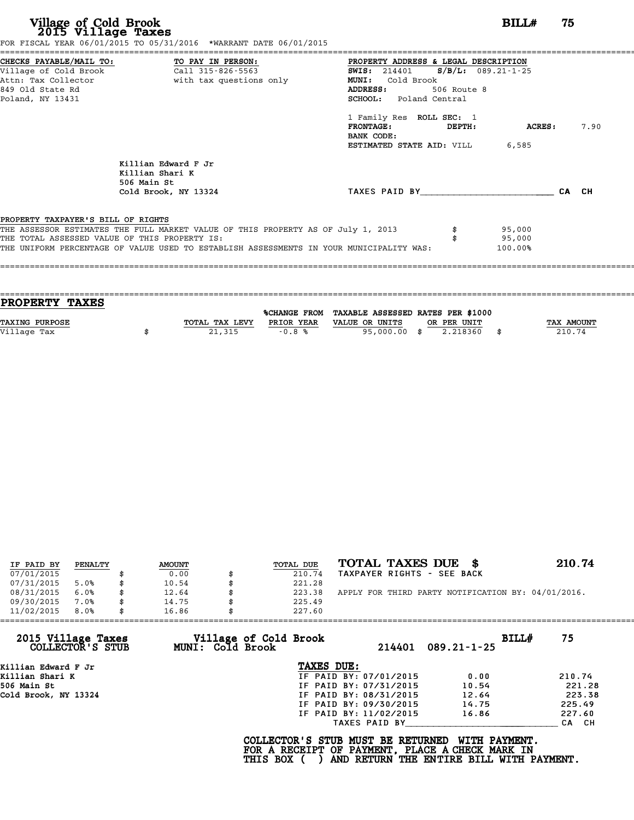|                                    | CHECKS PAYABLE/MAIL TO: TO PAY IN PERSON:                                                                                         | PROPERTY ADDRESS & LEGAL DESCRIPTION          |             |                  |       |      |
|------------------------------------|-----------------------------------------------------------------------------------------------------------------------------------|-----------------------------------------------|-------------|------------------|-------|------|
| Village of Cold Brook              | Call 315-826-5563                                                                                                                 | <b>SWIS:</b> 214401 <b>S/B/L:</b> 089.21-1-25 |             |                  |       |      |
|                                    | Attn: Tax Collector but with tax questions only                                                                                   | MUNI: Cold Brook                              |             |                  |       |      |
| 849 Old State Rd                   |                                                                                                                                   | <b>ADDRESS:</b>                               | 506 Route 8 |                  |       |      |
| Poland, NY 13431                   |                                                                                                                                   | <b>SCHOOL:</b> Poland Central                 |             |                  |       |      |
|                                    |                                                                                                                                   | 1 Family Res ROLL SEC: 1                      |             |                  |       |      |
|                                    |                                                                                                                                   | FRONTAGE: DEPTH:                              |             | ACRES:           |       | 7.90 |
|                                    |                                                                                                                                   | BANK CODE:                                    |             |                  |       |      |
|                                    |                                                                                                                                   | <b>ESTIMATED STATE AID: VILL 6,585</b>        |             |                  |       |      |
|                                    | Killian Edward F Jr<br>Killian Shari K<br>506 Main St                                                                             |                                               |             |                  |       |      |
|                                    | Cold Brook, NY 13324                                                                                                              | TAXES PAID BY                                 |             |                  | CA CH |      |
|                                    |                                                                                                                                   |                                               |             |                  |       |      |
| PROPERTY TAXPAYER'S BILL OF RIGHTS |                                                                                                                                   |                                               |             |                  |       |      |
|                                    | THE ASSESSOR ESTIMATES THE FULL MARKET VALUE OF THIS PROPERTY AS OF July 1, 2013<br>THE TOTAL ASSESSED VALUE OF THIS PROPERTY IS: |                                               |             | 95,000<br>95,000 |       |      |
|                                    |                                                                                                                                   |                                               |             | 100.00%          |       |      |

| <b>PROPERTY TAXES</b> |                |            |                                                |              |
|-----------------------|----------------|------------|------------------------------------------------|--------------|
|                       |                |            | %CHANGE FROM TAXABLE ASSESSED RATES PER \$1000 |              |
| <b>TAXING PURPOSE</b> | TOTAL TAX LEVY | PRIOR YEAR | VALUE OR UNITS<br>OR PER UNIT                  | TAX AMOUNT   |
| Village Tax           | 21,315         | $-0.8%$    | 2.218360<br>95,000.00 \$                       | \$<br>210.74 |
|                       |                |            |                                                |              |
|                       |                |            |                                                |              |

| IF PAID BY | PENALTY | <b>AMOUNT</b> | TOTAL DUE    | TOTAL TAXES DUE \$                                 | 210.74 |
|------------|---------|---------------|--------------|----------------------------------------------------|--------|
| 07/01/2015 |         | 0.00          | 210.74       | TAXPAYER RIGHTS - SEE BACK                         |        |
| 07/31/2015 | 5.0%    | 10.54         | 221.28       |                                                    |        |
| 08/31/2015 | 6.0%    | 12.64         | 223.38       | APPLY FOR THIRD PARTY NOTIFICATION BY: 04/01/2016. |        |
| 09/30/2015 | 7.0%    | \$<br>14.75   | \$<br>225.49 |                                                    |        |
| 11/02/2015 | 8.0%    | 16.86         | 227.60       |                                                    |        |

| 11/02/2015                             | 8.0% | 16.86 | 227.60                                           |                        |        |                                                                                                              |       |        |
|----------------------------------------|------|-------|--------------------------------------------------|------------------------|--------|--------------------------------------------------------------------------------------------------------------|-------|--------|
| 2015 Village Taxes<br>COLLECTOR'S STUB |      |       | Village of Cold Brook<br><b>MUNI: Cold Brook</b> |                        | 214401 | $089.21 - 1 - 25$                                                                                            | BILLH | 75     |
| Killian Edward F Jr                    |      |       |                                                  | TAXES DUE:             |        |                                                                                                              |       |        |
| Killian Shari K                        |      |       |                                                  | IF PAID BY: 07/01/2015 |        | 0.00                                                                                                         |       | 210.74 |
| 506 Main St                            |      |       |                                                  | IF PAID BY: 07/31/2015 |        | 10.54                                                                                                        |       | 221.28 |
| Cold Brook, NY 13324                   |      |       |                                                  | IF PAID BY: 08/31/2015 |        | 12.64                                                                                                        |       | 223.38 |
|                                        |      |       |                                                  | IF PAID BY: 09/30/2015 |        | 14.75                                                                                                        |       | 225.49 |
|                                        |      |       |                                                  | IF PAID BY: 11/02/2015 |        | 16.86                                                                                                        |       | 227.60 |
|                                        |      |       |                                                  | TAXES PAID BY          |        |                                                                                                              |       | CA CH  |
|                                        |      |       | COLLECTOR'S STUB MUST BE RETURNED<br>THIS BOX (  |                        |        | WITH PAYMENT.<br>FOR A RECEIPT OF PAYMENT, PLACE A CHECK MARK IN<br>AND RETURN THE ENTIRE BILL WITH PAYMENT. |       |        |
|                                        |      |       |                                                  |                        |        |                                                                                                              |       |        |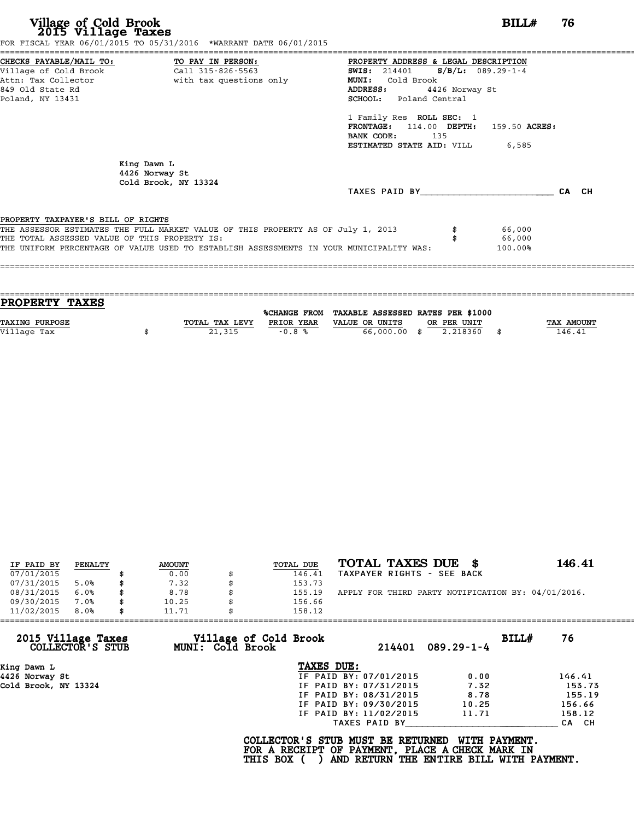| CHECKS PAYABLE/MAIL TO: TO PAY IN PERSON:<br>PROPERTY ADDRESS & LEGAL DESCRIPTION                  |
|----------------------------------------------------------------------------------------------------|
| Village of Cold Brook Call 315-826-5563<br><b>SWIS:</b> 214401 <b>S/B/L:</b> 089.29-1-4            |
| Attn: Tax Collector                       with tax questions only<br>MUNI: Cold Brook              |
| <b>ADDRESS:</b><br>4426 Norway St                                                                  |
| SCHOOL: Poland Central                                                                             |
| 1 Family Res ROLL SEC: 1                                                                           |
| FRONTAGE: 114.00 DEPTH:<br>159.50 ACRES:                                                           |
| BANK CODE: 135                                                                                     |
| <b>ESTIMATED STATE AID:</b> VILL 6,585                                                             |
|                                                                                                    |
|                                                                                                    |
|                                                                                                    |
| TAXES PAID BY<br>CA CH                                                                             |
|                                                                                                    |
| THE ASSESSOR ESTIMATES THE FULL MARKET VALUE OF THIS PROPERTY AS OF July 1, 2013<br>66,000         |
| 66,000                                                                                             |
| THE UNIFORM PERCENTAGE OF VALUE USED TO ESTABLISH ASSESSMENTS IN YOUR MUNICIPALITY WAS:<br>100.00% |
|                                                                                                    |

| TOTAL TAX LEVY | PRIOR YEAR | VALUE OR UNITS | OR PER UNIT |              | <b>TAX AMOUNT</b>                              |
|----------------|------------|----------------|-------------|--------------|------------------------------------------------|
|                |            |                | 2.218360    |              | 146.41                                         |
|                |            |                |             |              |                                                |
|                | 21,315     | $-0.8%$        |             | 66,000.00 \$ | %CHANGE FROM TAXABLE ASSESSED RATES PER \$1000 |

| IF PAID BY | PENALTY | <b>AMOUNT</b> | <b>TOTAL DUE</b> | TOTAL TAXES DUE \$                                 | 146.41 |
|------------|---------|---------------|------------------|----------------------------------------------------|--------|
| 07/01/2015 |         | 0.00          | 146.41           | TAXPAYER RIGHTS - SEE BACK                         |        |
| 07/31/2015 | 5.0%    | \$<br>7.32    | 153.73           |                                                    |        |
| 08/31/2015 | 6.0%    | \$<br>8.78    | 155.19           | APPLY FOR THIRD PARTY NOTIFICATION BY: 04/01/2016. |        |
| 09/30/2015 | 7.0%    | \$<br>10.25   | 156.66           |                                                    |        |
| 11/02/2015 | 8.0%    | \$<br>11.71   | 158.12           |                                                    |        |
|            |         |               |                  |                                                    |        |

| 2015 Village Taxes<br>Village of Cold Brook<br>BILLH<br>76<br>MUNI: Cold Brook<br>COLLECTOR'S STUB<br>214401<br>$089.29 - 1 - 4$<br>TAXES DUE:<br>King Dawn L<br>IF PAID BY: 07/01/2015<br>4426 Norway St<br>0.00 |        |
|-------------------------------------------------------------------------------------------------------------------------------------------------------------------------------------------------------------------|--------|
|                                                                                                                                                                                                                   |        |
|                                                                                                                                                                                                                   |        |
|                                                                                                                                                                                                                   | 146.41 |
| 7.32<br>Cold Brook, NY 13324<br>IF PAID BY: 07/31/2015                                                                                                                                                            | 153.73 |
| IF PAID BY: 08/31/2015<br>8.78                                                                                                                                                                                    | 155.19 |
| IF PAID BY: 09/30/2015<br>10.25                                                                                                                                                                                   | 156.66 |
| IF PAID BY: 11/02/2015<br>11.71                                                                                                                                                                                   | 158.12 |
| TAXES PAID BY                                                                                                                                                                                                     | CA CH  |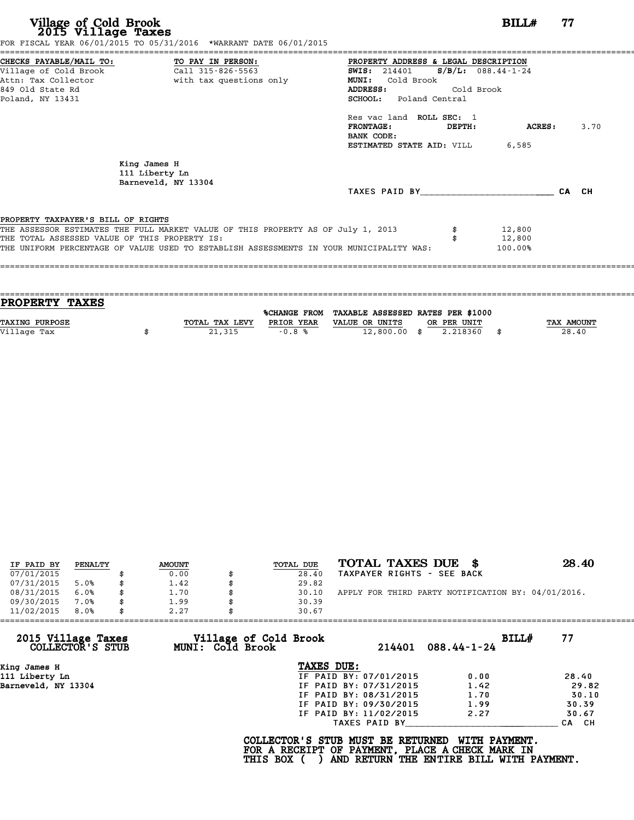| CHECKS PAYABLE/MAIL TO: TO PAY IN PERSON:<br>PROPERTY ADDRESS & LEGAL DESCRIPTION                                                |       |
|----------------------------------------------------------------------------------------------------------------------------------|-------|
| Village of Cold Brook<br>Call 315-826-5563<br>$S/B/L$ : 088.44-1-24<br><b>SWIS:</b> 214401                                       |       |
| Attn: Tax Collector and with tax questions only<br>Cold Brook<br><b>MUNI:</b>                                                    |       |
| 849 Old State Rd<br>Cold Brook<br>ADDRESS:                                                                                       |       |
| Poland, NY 13431<br><b>SCHOOL:</b> Poland Central                                                                                |       |
| Res vac land ROLL SEC: 1                                                                                                         |       |
| <b>FRONTAGE:</b><br>DEPTH:<br>ACRES :                                                                                            | 3.70  |
| BANK CODE:                                                                                                                       |       |
| <b>ESTIMATED STATE AID:</b> VILL 6,585                                                                                           |       |
| King James H<br>111 Liberty Ln<br>Barneveld, NY 13304                                                                            |       |
| TAXES PAID BY TAXES                                                                                                              | CA CH |
|                                                                                                                                  |       |
| PROPERTY TAXPAYER'S BILL OF RIGHTS<br>THE ASSESSOR ESTIMATES THE FULL MARKET VALUE OF THIS PROPERTY AS OF July 1, 2013<br>12,800 |       |
| THE TOTAL ASSESSED VALUE OF THIS PROPERTY IS:<br>12,800                                                                          |       |
| THE UNIFORM PERCENTAGE OF VALUE USED TO ESTABLISH ASSESSMENTS IN YOUR MUNICIPALITY WAS:<br>100.00%                               |       |
|                                                                                                                                  |       |
|                                                                                                                                  |       |

| <b>PROPERTY TAXES</b> |                |            |                                                |             |                   |
|-----------------------|----------------|------------|------------------------------------------------|-------------|-------------------|
|                       |                |            |                                                |             |                   |
|                       |                |            | %CHANGE FROM TAXABLE ASSESSED RATES PER \$1000 |             |                   |
| <b>TAXING PURPOSE</b> | TOTAL TAX LEVY | PRIOR YEAR | VALUE OR UNITS                                 | OR PER UNIT | <b>TAX AMOUNT</b> |
| Village Tax           | 21,315         | $-0.8%$    | $12,800.00$ \$                                 | 2.218360    | 28.40             |
|                       |                |            |                                                |             |                   |

| IF PAID BY | PENALTY | <b>AMOUNT</b> | <b>TOTAL DUE</b> | TOTAL TAXES DUE \$                                 | 28.40 |
|------------|---------|---------------|------------------|----------------------------------------------------|-------|
| 07/01/2015 |         | 0.00          | 28.40            | TAXPAYER RIGHTS - SEE BACK                         |       |
| 07/31/2015 | 5.0%    | 1.42          | 29.82            |                                                    |       |
| 08/31/2015 | 6.0%    | \$<br>1.70    | 30.10            | APPLY FOR THIRD PARTY NOTIFICATION BY: 04/01/2016. |       |
| 09/30/2015 | 7.0%    | 1.99          | 30.39            |                                                    |       |
| 11/02/2015 | 8.0%    | 2.27          | 30.67            |                                                    |       |
|            |         |               |                  |                                                    |       |

| 11/02/2015<br>8.0%                     | 2.27                                      | 30.67                                                                                              |                                                           |       |
|----------------------------------------|-------------------------------------------|----------------------------------------------------------------------------------------------------|-----------------------------------------------------------|-------|
| 2015 Village Taxes<br>COLLECTOR'S STUB | Village of Cold Brook<br>MUNI: Cold Brook | 214401                                                                                             | BILLH<br>$088.44 - 1 - 24$                                | 77    |
| King James H                           |                                           | TAXES DUE:                                                                                         |                                                           |       |
| 111 Liberty Ln                         |                                           | IF PAID BY: 07/01/2015                                                                             | 0.00                                                      | 28.40 |
| Barneveld, NY 13304                    |                                           | IF PAID BY: 07/31/2015                                                                             | 1.42                                                      | 29.82 |
|                                        |                                           | IF PAID BY: 08/31/2015                                                                             | 1.70                                                      | 30.10 |
|                                        |                                           | IF PAID BY: 09/30/2015                                                                             | 1.99                                                      | 30.39 |
|                                        |                                           | IF PAID BY: 11/02/2015                                                                             | 2.27                                                      | 30.67 |
|                                        |                                           | TAXES PAID BY                                                                                      |                                                           | CA CH |
|                                        |                                           | COLLECTOR'S STUB MUST BE RETURNED<br>FOR A RECEIPT OF PAYMENT, PLACE A CHECK MARK IN<br>THIS BOX ( | WITH PAYMENT.<br>AND RETURN THE ENTIRE BILL WITH PAYMENT. |       |
|                                        |                                           |                                                                                                    |                                                           |       |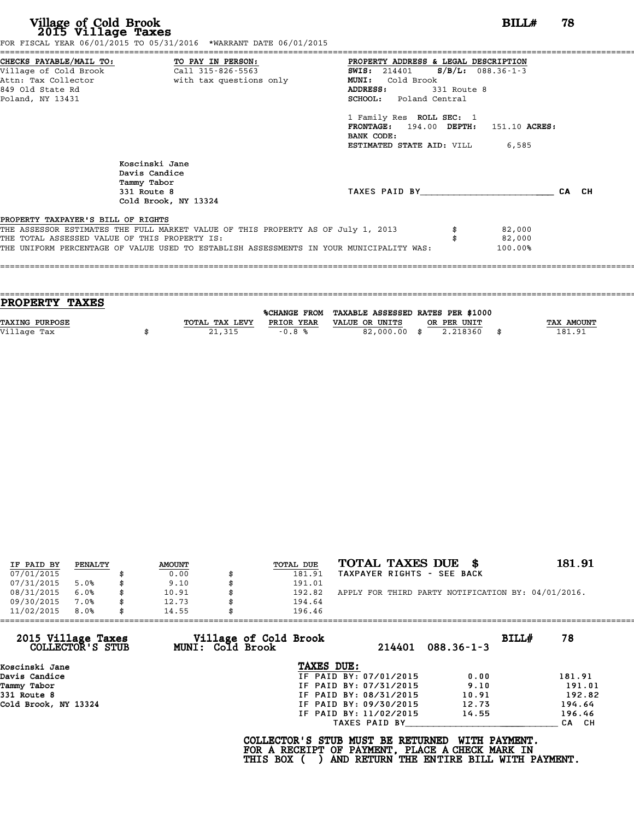|                                               | FOR FISCAL YEAR 06/01/2015 TO 05/31/2016 *WARRANT DATE 06/01/2015                       |                                            |       |
|-----------------------------------------------|-----------------------------------------------------------------------------------------|--------------------------------------------|-------|
|                                               | CHECKS PAYABLE/MAIL TO: TO PAY IN PERSON:                                               | PROPERTY ADDRESS & LEGAL DESCRIPTION       |       |
| Village of Cold Brook                         | Call 315-826-5563                                                                       | $S/B/L: 088.36-1-3$<br><b>SWIS:</b> 214401 |       |
| Attn: Tax Collector                           | with tax questions only                                                                 | <b>MUNI:</b><br>Cold Brook                 |       |
| 849 Old State Rd                              |                                                                                         | ADDRESS:<br>331 Route 8                    |       |
| Poland, NY 13431                              |                                                                                         | <b>SCHOOL:</b> Poland Central              |       |
|                                               |                                                                                         | 1 Family Res ROLL SEC: 1                   |       |
|                                               |                                                                                         | FRONTAGE: $194.00$ DEPTH: $151.10$ ACRES:  |       |
|                                               |                                                                                         | BANK CODE:                                 |       |
|                                               |                                                                                         | <b>ESTIMATED STATE AID:</b> VILL 6,585     |       |
|                                               | Koscinski Jane                                                                          |                                            |       |
|                                               | Davis Candice                                                                           |                                            |       |
|                                               | Tammy Tabor                                                                             |                                            |       |
|                                               | 331 Route 8                                                                             | TAXES PAID BY                              | CA CH |
|                                               | Cold Brook, NY 13324                                                                    |                                            |       |
| PROPERTY TAXPAYER'S BILL OF RIGHTS            |                                                                                         |                                            |       |
|                                               | THE ASSESSOR ESTIMATES THE FULL MARKET VALUE OF THIS PROPERTY AS OF July 1, 2013        | 82,000                                     |       |
| THE TOTAL ASSESSED VALUE OF THIS PROPERTY IS: |                                                                                         | 82,000                                     |       |
|                                               | THE UNIFORM PERCENTAGE OF VALUE USED TO ESTABLISH ASSESSMENTS IN YOUR MUNICIPALITY WAS: | 100.00%                                    |       |
|                                               |                                                                                         |                                            |       |

| PROPERTY TAXES        |                |            |                                                |             |                   |
|-----------------------|----------------|------------|------------------------------------------------|-------------|-------------------|
|                       |                |            | %CHANGE FROM TAXABLE ASSESSED RATES PER \$1000 |             |                   |
| <b>TAXING PURPOSE</b> | TOTAL TAX LEVY | PRIOR YEAR | VALUE OR UNITS                                 | OR PER UNIT | <b>TAX AMOUNT</b> |
| Village Tax           | 21,315         | $-0.8%$    | 82,000.00 \$                                   | 2.218360    | 181.91            |
|                       |                |            |                                                |             |                   |

| IF PAID BY | PENALTY | <b>AMOUNT</b> | TOTAL DUE    | TOTAL TAXES DUE \$                                 | 181.91 |
|------------|---------|---------------|--------------|----------------------------------------------------|--------|
| 07/01/2015 |         | 0.00          | 181.91       | TAXPAYER RIGHTS - SEE BACK                         |        |
| 07/31/2015 | 5.0%    | 9.10          | 191.01       |                                                    |        |
| 08/31/2015 | 6.0%    | 10.91         | 192.82       | APPLY FOR THIRD PARTY NOTIFICATION BY: 04/01/2016. |        |
| 09/30/2015 | 7.0%    | \$<br>12.73   | \$<br>194.64 |                                                    |        |
| 11/02/2015 | 8.0%    | 14.55         | 196.46       |                                                    |        |

|                                        | 14.55                                     | 196.46                 |                  |       |        |
|----------------------------------------|-------------------------------------------|------------------------|------------------|-------|--------|
| 2015 Village Taxes<br>COLLECTOR'S STUB | Village of Cold Brook<br>MUNI: Cold Brook | 214401                 | $088.36 - 1 - 3$ | BILLH | 78     |
| Koscinski Jane                         |                                           | TAXES DUE:             |                  |       |        |
| Davis Candice                          |                                           | IF PAID BY: 07/01/2015 | 0.00             |       | 181.91 |
| Tammy Tabor                            |                                           | IF PAID BY: 07/31/2015 | 9.10             |       | 191.01 |
| 331 Route 8                            |                                           | IF PAID BY: 08/31/2015 | 10.91            |       | 192.82 |
| Cold Brook, NY 13324                   |                                           | IF PAID BY: 09/30/2015 | 12.73            |       | 194.64 |
|                                        |                                           | IF PAID BY: 11/02/2015 | 14.55            |       | 196.46 |
|                                        |                                           | TAXES PAID BY          |                  |       | CA CH  |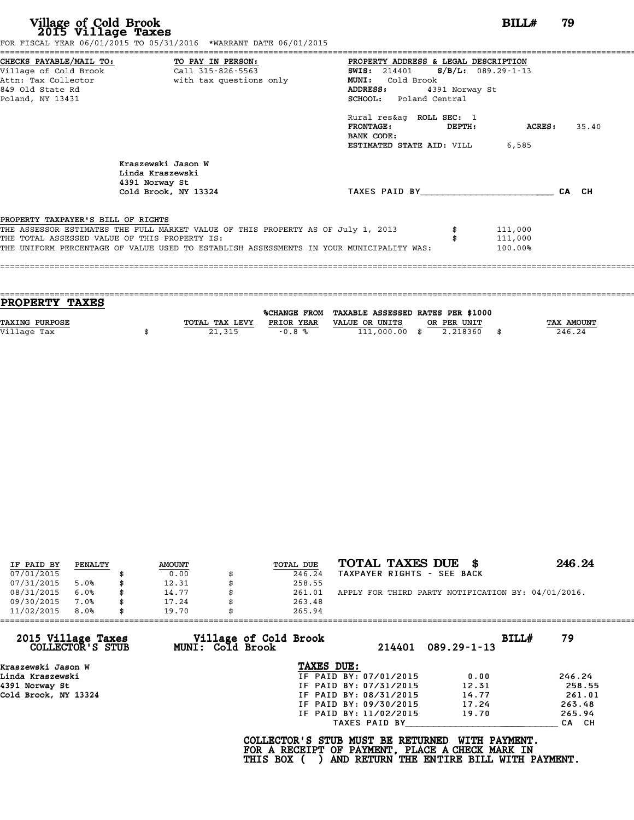|                                               | CHECKS PAYABLE/MAIL TO: TO PAY IN PERSON:                                               | PROPERTY ADDRESS & LEGAL DESCRIPTION   |                                               |         |       |  |  |  |  |
|-----------------------------------------------|-----------------------------------------------------------------------------------------|----------------------------------------|-----------------------------------------------|---------|-------|--|--|--|--|
| Village of Cold Brook                         | Call 315-826-5563                                                                       |                                        | <b>SWIS:</b> 214401 <b>S/B/L:</b> 089.29-1-13 |         |       |  |  |  |  |
| Attn: Tax Collector                           | with tax questions only                                                                 | MUNI: Cold Brook                       |                                               |         |       |  |  |  |  |
| 849 Old State Rd                              |                                                                                         | <b>ADDRESS:</b>                        | 4391 Norway St                                |         |       |  |  |  |  |
| Poland, NY 13431                              |                                                                                         | <b>SCHOOL:</b> Poland Central          |                                               |         |       |  |  |  |  |
|                                               |                                                                                         | Rural res&ag ROLL SEC: 1               |                                               |         |       |  |  |  |  |
|                                               |                                                                                         | FRONTAGE:<br>BANK CODE:                | DEPTH:                                        | ACRES:  | 35.40 |  |  |  |  |
|                                               |                                                                                         | <b>ESTIMATED STATE AID: VILL 6,585</b> |                                               |         |       |  |  |  |  |
|                                               | Kraszewski Jason W<br>Linda Kraszewski<br>4391 Norway St                                |                                        |                                               |         |       |  |  |  |  |
|                                               | Cold Brook, NY 13324                                                                    | TAXES PAID BY                          |                                               |         | CA CH |  |  |  |  |
| PROPERTY TAXPAYER'S BILL OF RIGHTS            |                                                                                         |                                        |                                               |         |       |  |  |  |  |
|                                               | THE ASSESSOR ESTIMATES THE FULL MARKET VALUE OF THIS PROPERTY AS OF July 1, 2013        |                                        |                                               | 111,000 |       |  |  |  |  |
| THE TOTAL ASSESSED VALUE OF THIS PROPERTY IS: |                                                                                         |                                        |                                               | 111,000 |       |  |  |  |  |
|                                               | THE UNIFORM PERCENTAGE OF VALUE USED TO ESTABLISH ASSESSMENTS IN YOUR MUNICIPALITY WAS: |                                        |                                               | 100.00% |       |  |  |  |  |

| <b>PROPERTY TAXES</b> |                |            |                                                |             |            |
|-----------------------|----------------|------------|------------------------------------------------|-------------|------------|
|                       |                |            | %CHANGE FROM TAXABLE ASSESSED RATES PER \$1000 |             |            |
| <b>TAXING PURPOSE</b> | TOTAL TAX LEVY | PRIOR YEAR | VALUE OR UNITS                                 | OR PER UNIT | TAX AMOUNT |
|                       |                |            |                                                |             | 246.24     |
| Village Tax           | 21,315         | $-0.8%$    | $111,000.00$ \$                                | 2.218360    | \$         |
|                       |                |            |                                                |             |            |

| IF PAID BY | PENALTY | <b>AMOUNT</b> | TOTAL DUE | TOTAL TAXES DUE \$                                 | 246.24 |
|------------|---------|---------------|-----------|----------------------------------------------------|--------|
| 07/01/2015 |         | 0.00          | 246.24    | TAXPAYER RIGHTS - SEE BACK                         |        |
| 07/31/2015 | 5.0%    | 12.31         | 258.55    |                                                    |        |
| 08/31/2015 | 6.0%    | \$<br>14.77   | 261.01    | APPLY FOR THIRD PARTY NOTIFICATION BY: 04/01/2016. |        |
| 09/30/2015 | 7.0%    | \$<br>17.24   | 263.48    |                                                    |        |
| 11/02/2015 | 8.0%    | \$<br>19.70   | 265.94    |                                                    |        |

| 11/02/2015<br>8.0%                     | 19.70                   | 265.94                                                                                             |                                                                  |        |
|----------------------------------------|-------------------------|----------------------------------------------------------------------------------------------------|------------------------------------------------------------------|--------|
| 2015 Village Taxes<br>COLLECTOR'S STUB | <b>MUNI: Cold Brook</b> | Village of Cold Brook<br>214401                                                                    | BILLH<br>$089.29 - 1 - 13$                                       | 79     |
| Kraszewski Jason W                     |                         | TAXES DUE:                                                                                         |                                                                  |        |
| Linda Kraszewski                       |                         | IF PAID BY: 07/01/2015                                                                             | 0.00                                                             | 246.24 |
| 4391 Norway St                         |                         | IF PAID BY: 07/31/2015                                                                             | 12.31                                                            | 258.55 |
| Cold Brook, NY 13324                   |                         | IF PAID BY: 08/31/2015                                                                             | 14.77                                                            | 261.01 |
|                                        |                         | IF PAID BY: 09/30/2015                                                                             | 17.24                                                            | 263.48 |
|                                        |                         | IF PAID BY: 11/02/2015                                                                             | 19.70                                                            | 265.94 |
|                                        |                         | TAXES PAID BY                                                                                      |                                                                  | CA CH  |
|                                        |                         | COLLECTOR'S STUB MUST BE RETURNED<br>FOR A RECEIPT OF PAYMENT, PLACE A CHECK MARK IN<br>THIS BOX ( | <b>WITH PAYMENT.</b><br>AND RETURN THE ENTIRE BILL WITH PAYMENT. |        |
|                                        |                         |                                                                                                    |                                                                  |        |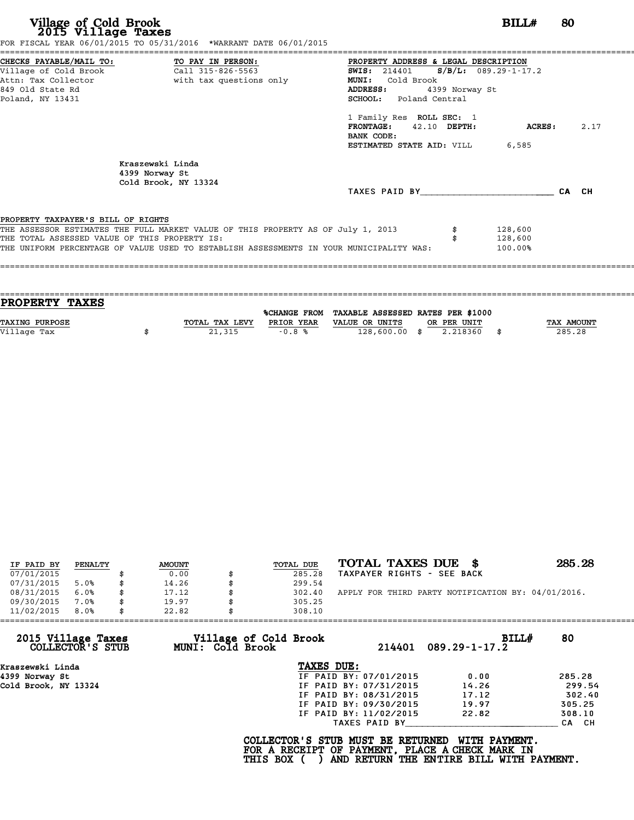|                                               | FOR FISCAL YEAR 06/01/2015 TO 05/31/2016 *WARRANT DATE 06/01/2015                       |                                      |                |         |      |
|-----------------------------------------------|-----------------------------------------------------------------------------------------|--------------------------------------|----------------|---------|------|
|                                               | CHECKS PAYABLE/MAIL TO: TO PAY IN PERSON:                                               | PROPERTY ADDRESS & LEGAL DESCRIPTION |                |         |      |
|                                               |                                                                                         | SWIS: $214401$ S/B/L: 089.29-1-17.2  |                |         |      |
|                                               | Attn: Tax Collector                         with tax questions only                     | MUNI: Cold Brook                     |                |         |      |
| 849 Old State Rd                              |                                                                                         | <b>ADDRESS:</b>                      | 4399 Norway St |         |      |
| Poland, NY 13431                              |                                                                                         | SCHOOL: Poland Central               |                |         |      |
|                                               |                                                                                         | 1 Family Res ROLL SEC: 1             |                |         |      |
|                                               |                                                                                         | FRONTAGE: 42.10 DEPTH:               |                | ACRES : | 2.17 |
|                                               |                                                                                         | BANK CODE:                           |                |         |      |
|                                               |                                                                                         | ESTIMATED STATE AID: VILL            |                | 6,585   |      |
|                                               | Kraszewski Linda                                                                        |                                      |                |         |      |
|                                               | 4399 Norway St                                                                          |                                      |                |         |      |
|                                               | Cold Brook, NY 13324                                                                    |                                      |                |         |      |
|                                               |                                                                                         | TAXES PAID BY CA CH                  |                |         |      |
| PROPERTY TAXPAYER'S BILL OF RIGHTS            |                                                                                         |                                      |                |         |      |
|                                               | THE ASSESSOR ESTIMATES THE FULL MARKET VALUE OF THIS PROPERTY AS OF July 1, 2013        |                                      |                | 128,600 |      |
| THE TOTAL ASSESSED VALUE OF THIS PROPERTY IS: |                                                                                         |                                      |                | 128,600 |      |
|                                               | THE UNIFORM PERCENTAGE OF VALUE USED TO ESTABLISH ASSESSMENTS IN YOUR MUNICIPALITY WAS: |                                      |                | 100.00% |      |
|                                               |                                                                                         |                                      |                |         |      |
|                                               |                                                                                         |                                      |                |         |      |
|                                               |                                                                                         |                                      |                |         |      |

| PROPERTY TAXES        |                |                     |                                   |             |      |            |
|-----------------------|----------------|---------------------|-----------------------------------|-------------|------|------------|
|                       |                |                     |                                   |             |      |            |
|                       |                | <b>%CHANGE FROM</b> | TAXABLE ASSESSED RATES PER \$1000 |             |      |            |
| <b>TAXING PURPOSE</b> | TOTAL TAX LEVY | PRIOR YEAR          | VALUE OR UNITS                    | OR PER UNIT |      | TAX AMOUNT |
| Village Tax           | 21,315         | $-0.8%$             | $128,600.00$ \$                   | 2.218360    | - \$ | 285.28     |
|                       |                |                     |                                   |             |      |            |

| IF PAID BY | PENALTY | <b>AMOUNT</b> | TOTAL DUE | TOTAL TAXES DUE<br>- 86                            | 285.28 |
|------------|---------|---------------|-----------|----------------------------------------------------|--------|
| 07/01/2015 |         | 0.00          | 285.28    | TAXPAYER RIGHTS - SEE BACK                         |        |
| 07/31/2015 | 5.0%    | \$<br>14.26   | 299.54    |                                                    |        |
| 08/31/2015 | 6.0%    | \$<br>17.12   | 302.40    | APPLY FOR THIRD PARTY NOTIFICATION BY: 04/01/2016. |        |
| 09/30/2015 | 7.0%    | \$<br>19.97   | 305.25    |                                                    |        |
| 11/02/2015 | 8.0%    | \$<br>22.82   | 308.10    |                                                    |        |
|            |         |               |           |                                                    |        |

| 11/02/2015                             | 8.0% | 22.82 |                         | 308.10                                          |                        |                                                                                                              |        |
|----------------------------------------|------|-------|-------------------------|-------------------------------------------------|------------------------|--------------------------------------------------------------------------------------------------------------|--------|
| 2015 Village Taxes<br>COLLECTOR'S STUB |      |       | <b>MUNI: Cold Brook</b> | Village of Cold Brook                           |                        | BILL#<br>$214401$ 089.29-1-17.2                                                                              | 80     |
| Kraszewski Linda                       |      |       |                         | TAXES DUE:                                      |                        |                                                                                                              |        |
| 4399 Norway St                         |      |       |                         |                                                 | IF PAID BY: 07/01/2015 | 0.00                                                                                                         | 285.28 |
| Cold Brook, NY 13324                   |      |       |                         |                                                 | IF PAID BY: 07/31/2015 | 14.26                                                                                                        | 299.54 |
|                                        |      |       |                         |                                                 | IF PAID BY: 08/31/2015 | 17.12                                                                                                        | 302.40 |
|                                        |      |       |                         |                                                 | IF PAID BY: 09/30/2015 | 19.97                                                                                                        | 305.25 |
|                                        |      |       |                         |                                                 | IF PAID BY: 11/02/2015 | 22.82                                                                                                        | 308.10 |
|                                        |      |       |                         |                                                 | TAXES PAID BY          |                                                                                                              | CA CH  |
|                                        |      |       |                         | COLLECTOR'S STUB MUST BE RETURNED<br>THIS BOX ( |                        | WITH PAYMENT.<br>FOR A RECEIPT OF PAYMENT, PLACE A CHECK MARK IN<br>AND RETURN THE ENTIRE BILL WITH PAYMENT. |        |
|                                        |      |       |                         |                                                 |                        |                                                                                                              |        |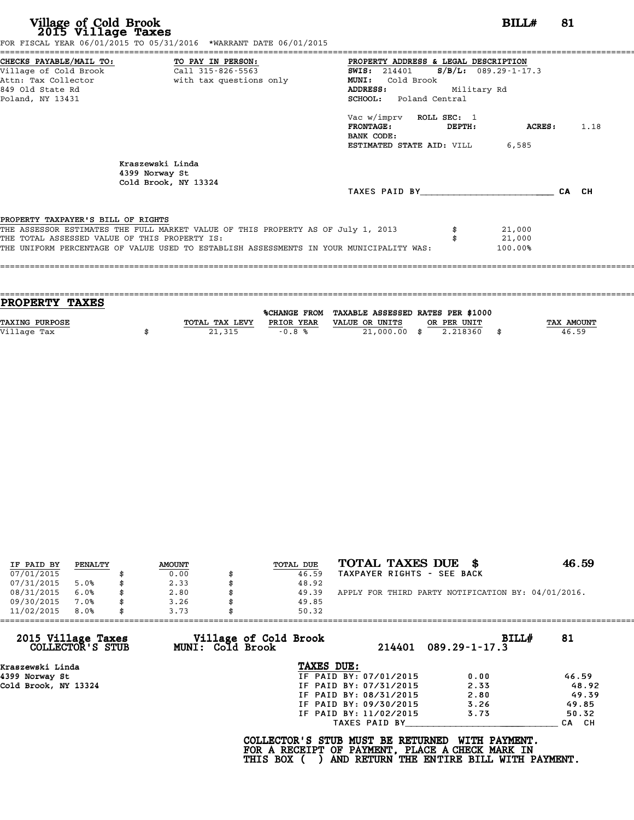| CHECKS PAYABLE/MAIL TO: TO PAY IN PERSON:<br>PROPERTY ADDRESS & LEGAL DESCRIPTION                                                                                                                                                                                  |                             |       |
|--------------------------------------------------------------------------------------------------------------------------------------------------------------------------------------------------------------------------------------------------------------------|-----------------------------|-------|
| $S/B/L$ : 089.29-1-17.3<br><b>SWIS:</b> 214401<br>Attn: Tax Collector and the with tax questions only<br><b>MUNI:</b><br>Cold Brook<br>849 Old State Rd<br>Military Rd<br>ADDRESS:<br>SCHOOL: Poland Central<br>Poland, NY 13431                                   |                             |       |
| Vac w/imprv ROLL SEC: 1<br><b>FRONTAGE:</b><br>DEPTH:<br>BANK CODE:<br><b>ESTIMATED STATE AID:</b> VILL 6,585                                                                                                                                                      | ACRES :                     | 1.18  |
| Kraszewski Linda<br>4399 Norway St<br>Cold Brook, NY 13324<br>TAXES PAID BY                                                                                                                                                                                        |                             | CA CH |
| PROPERTY TAXPAYER'S BILL OF RIGHTS<br>THE ASSESSOR ESTIMATES THE FULL MARKET VALUE OF THIS PROPERTY AS OF July 1, 2013<br>THE TOTAL ASSESSED VALUE OF THIS PROPERTY IS:<br>THE UNIFORM PERCENTAGE OF VALUE USED TO ESTABLISH ASSESSMENTS IN YOUR MUNICIPALITY WAS: | 21,000<br>21,000<br>100.00% |       |

| <b>PROPERTY TAXES</b> |                |            |                                                |             |                   |
|-----------------------|----------------|------------|------------------------------------------------|-------------|-------------------|
|                       |                |            |                                                |             |                   |
|                       |                |            | %CHANGE FROM TAXABLE ASSESSED RATES PER \$1000 |             |                   |
| TAXING PURPOSE        | TOTAL TAX LEVY | PRIOR YEAR | VALUE OR UNITS                                 | OR PER UNIT | <b>TAX AMOUNT</b> |
|                       |                |            |                                                |             |                   |
| Village Tax           | 21,315         | $-0.8%$    | 21,000.00 \$                                   | 2.218360    | 46.59             |
|                       |                |            |                                                |             |                   |

| IF PAID BY | PENALTY | <b>AMOUNT</b> | TOTAL DUE | TOTAL TAXES DUE                                    | 46.59 |
|------------|---------|---------------|-----------|----------------------------------------------------|-------|
| 07/01/2015 |         | 0.00          | 46.59     | TAXPAYER RIGHTS - SEE BACK                         |       |
| 07/31/2015 | 5.0%    | 2.33          | 48.92     |                                                    |       |
| 08/31/2015 | 6.0%    | 2.80          | 49.39     | APPLY FOR THIRD PARTY NOTIFICATION BY: 04/01/2016. |       |
| 09/30/2015 | 7.0%    | 3.26          | 49.85     |                                                    |       |
| 11/02/2015 | 8.0%    | 3.73          | 50.32     |                                                    |       |

| 11/02/2015<br>8.0%                     | 3.73<br>50.32                                    |                        |                               |       |
|----------------------------------------|--------------------------------------------------|------------------------|-------------------------------|-------|
| 2015 Village Taxes<br>COLLECTOR'S STUB | Village of Cold Brook<br><b>MUNI: Cold Brook</b> |                        | BILL#<br>214401 089.29-1-17.3 | 81    |
| Kraszewski Linda                       | TAXES DUE:                                       |                        |                               |       |
| 4399 Norway St                         |                                                  | IF PAID BY: 07/01/2015 | 0.00                          | 46.59 |
| Cold Brook, NY 13324                   |                                                  | IF PAID BY: 07/31/2015 | 2.33                          | 48.92 |
|                                        |                                                  | IF PAID BY: 08/31/2015 | 2.80                          | 49.39 |
|                                        |                                                  | IF PAID BY: 09/30/2015 | 3.26                          | 49.85 |
|                                        |                                                  | IF PAID BY: 11/02/2015 | 3.73                          | 50.32 |
|                                        |                                                  | TAXES PAID BY          |                               | CA CH |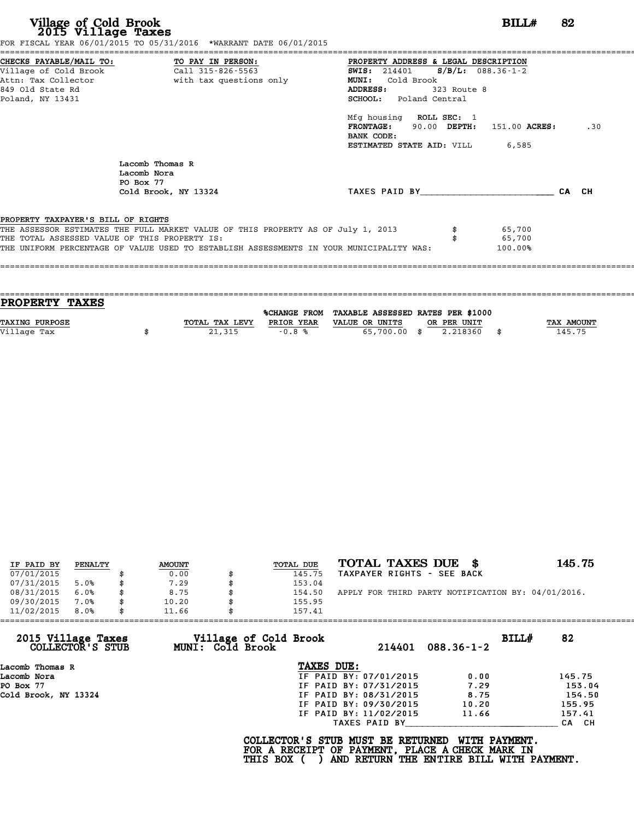|                                               | FOR FISCAL YEAR 06/01/2015 TO 05/31/2016 *WARRANT DATE 06/01/2015                       |                                              |       |
|-----------------------------------------------|-----------------------------------------------------------------------------------------|----------------------------------------------|-------|
|                                               |                                                                                         | PROPERTY ADDRESS & LEGAL DESCRIPTION         |       |
|                                               |                                                                                         | <b>SWIS:</b> 214401 <b>S/B/L:</b> 088.36-1-2 |       |
|                                               | Attn: Tax Collector                       with tax questions only                       | MUNI: Cold Brook                             |       |
| 849 Old State Rd                              |                                                                                         | ADDRESS:<br>323 Route 8                      |       |
| Poland, NY 13431                              |                                                                                         | <b>SCHOOL:</b> Poland Central                |       |
|                                               |                                                                                         | Mfg housing ROLL SEC: 1                      |       |
|                                               |                                                                                         | FRONTAGE: 90.00 DEPTH: 151.00 ACRES:         | .30   |
|                                               |                                                                                         | BANK CODE:                                   |       |
|                                               |                                                                                         | <b>ESTIMATED STATE AID:</b> VILL 6,585       |       |
|                                               | Lacomb Thomas R<br>Lacomb Nora                                                          |                                              |       |
|                                               | PO Box 77                                                                               | TAXES PAID BY                                | CA CH |
|                                               | Cold Brook, NY 13324                                                                    |                                              |       |
| PROPERTY TAXPAYER'S BILL OF RIGHTS            |                                                                                         |                                              |       |
|                                               | THE ASSESSOR ESTIMATES THE FULL MARKET VALUE OF THIS PROPERTY AS OF July 1, 2013        | 65,700                                       |       |
| THE TOTAL ASSESSED VALUE OF THIS PROPERTY IS: |                                                                                         | 65,700                                       |       |
|                                               | THE UNIFORM PERCENTAGE OF VALUE USED TO ESTABLISH ASSESSMENTS IN YOUR MUNICIPALITY WAS: | $100.00\%$                                   |       |
|                                               |                                                                                         |                                              |       |
|                                               |                                                                                         |                                              |       |
|                                               |                                                                                         |                                              |       |

| PROPERTY TAXES        |                |            |                                                |             |            |
|-----------------------|----------------|------------|------------------------------------------------|-------------|------------|
|                       |                |            | %CHANGE FROM TAXABLE ASSESSED RATES PER \$1000 |             |            |
|                       |                |            |                                                |             |            |
| <b>TAXING PURPOSE</b> | TOTAL TAX LEVY | PRIOR YEAR | VALUE OR UNITS                                 | OR PER UNIT | TAX AMOUNT |
| Village Tax           | 21,315         | $-0.8%$    | 65,700.00 \$                                   | 2.218360    | 145.75     |
|                       |                |            |                                                |             |            |
|                       |                |            |                                                |             |            |

|            |         |               |           | TOTAL TAXES DUE \$                                 | 145.75 |
|------------|---------|---------------|-----------|----------------------------------------------------|--------|
| IF PAID BY | PENALTY | <b>AMOUNT</b> | TOTAL DUE |                                                    |        |
| 07/01/2015 |         | 0.00          | 145.75    | TAXPAYER RIGHTS - SEE BACK                         |        |
| 07/31/2015 | 5.0%    | \$<br>7.29    | 153.04    |                                                    |        |
| 08/31/2015 | 6.0%    | \$<br>8.75    | 154.50    | APPLY FOR THIRD PARTY NOTIFICATION BY: 04/01/2016. |        |
| 09/30/2015 | 7.0%    | \$<br>10.20   | 155.95    |                                                    |        |
| 11/02/2015 | 8.0%    | \$<br>11.66   | 157.41    |                                                    |        |

| 11/02/2015<br>8.0%                     | 11.66            | 157.41                 |        |                  |       |        |
|----------------------------------------|------------------|------------------------|--------|------------------|-------|--------|
| 2015 Village Taxes<br>COLLECTOR'S STUB | MUNI: Cold Brook | Village of Cold Brook  | 214401 | $088.36 - 1 - 2$ | BILLH | 82     |
| Lacomb Thomas R                        |                  | TAXES DUE:             |        |                  |       |        |
| Lacomb Nora                            |                  | IF PAID BY: 07/01/2015 |        | 0.00             |       | 145.75 |
| PO Box 77                              |                  | IF PAID BY: 07/31/2015 |        | 7.29             |       | 153.04 |
| Cold Brook, NY 13324                   |                  | IF PAID BY: 08/31/2015 |        | 8.75             |       | 154.50 |
|                                        |                  | IF PAID BY: 09/30/2015 |        | 10.20            |       | 155.95 |
|                                        |                  | IF PAID BY: 11/02/2015 |        | 11.66            |       | 157.41 |
|                                        |                  | TAXES PAID BY          |        |                  |       | CA CH  |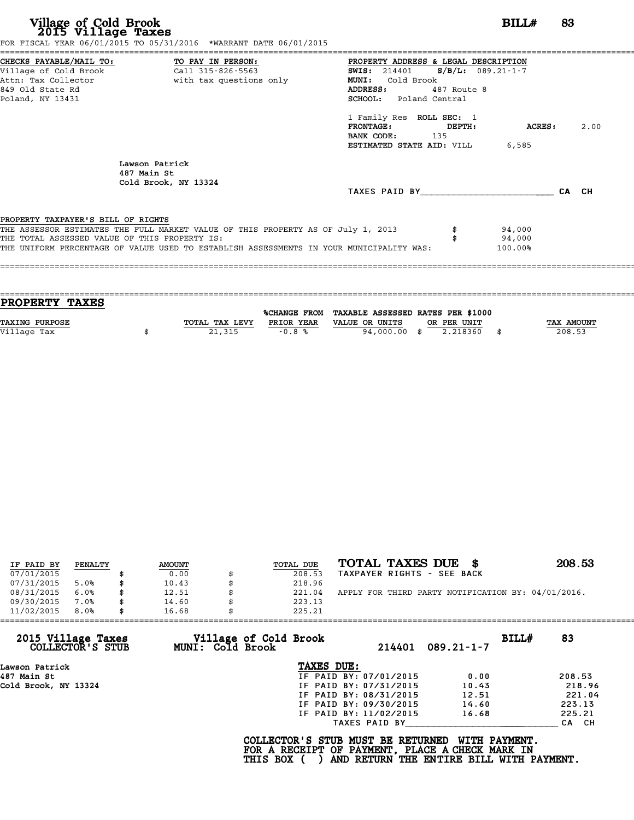| Village of Cold Brook<br>2015 Village Taxes<br>FOR FISCAL YEAR 06/01/2015 TO 05/31/2016 *WARRANT DATE 06/01/2015                                                                                                                                                   | BILL#                                                                                                                                                    | 83   |
|--------------------------------------------------------------------------------------------------------------------------------------------------------------------------------------------------------------------------------------------------------------------|----------------------------------------------------------------------------------------------------------------------------------------------------------|------|
| CHECKS PAYABLE/MAIL TO: TO PAY IN PERSON:<br>Village of Cold Brook Call 315-826-5563<br>with tax questions only<br>Attn: Tax Collector<br>849 Old State Rd<br>Poland, NY 13431                                                                                     | PROPERTY ADDRESS & LEGAL DESCRIPTION<br>SWIS: $214401$ S/B/L: 089.21-1-7<br>MUNI: Cold Brook<br>ADDRESS:<br>487 Route 8<br><b>SCHOOL:</b> Poland Central |      |
|                                                                                                                                                                                                                                                                    | 1 Family Res ROLL SEC: 1<br>FRONTAGE: DEPTH:<br>ACRES:<br><b>BANK CODE:</b> 135<br><b>ESTIMATED STATE AID:</b> VILL 6,585                                | 2.00 |
| Lawson Patrick<br>487 Main St<br>Cold Brook, NY 13324                                                                                                                                                                                                              | TAXES PAID BY CA CH                                                                                                                                      |      |
| PROPERTY TAXPAYER'S BILL OF RIGHTS<br>THE ASSESSOR ESTIMATES THE FULL MARKET VALUE OF THIS PROPERTY AS OF July 1, 2013<br>THE TOTAL ASSESSED VALUE OF THIS PROPERTY IS:<br>THE UNIFORM PERCENTAGE OF VALUE USED TO ESTABLISH ASSESSMENTS IN YOUR MUNICIPALITY WAS: | 94,000<br>94,000<br>100.00%                                                                                                                              |      |

| PROPERTY TAXES        |                |            |                                                |             |                   |
|-----------------------|----------------|------------|------------------------------------------------|-------------|-------------------|
|                       |                |            | %CHANGE FROM TAXABLE ASSESSED RATES PER \$1000 |             |                   |
|                       |                | PRIOR YEAR |                                                |             |                   |
| <b>TAXING PURPOSE</b> | TOTAL TAX LEVY |            | VALUE OR UNITS                                 | OR PER UNIT | <b>TAX AMOUNT</b> |
| Village Tax           | 21,315         | $-0.8%$    | 94,000.00 \$                                   | 2.218360    | 208.53            |
|                       |                |            |                                                |             |                   |

| IF PAID BY | PENALTY | <b>AMOUNT</b> | TOTAL DUE | TOTAL TAXES DUE \$                                 | 208.53 |
|------------|---------|---------------|-----------|----------------------------------------------------|--------|
| 07/01/2015 |         | 0.00          | 208.53    | TAXPAYER RIGHTS - SEE BACK                         |        |
| 07/31/2015 | 5.0%    | 10.43         | 218.96    |                                                    |        |
| 08/31/2015 | 6.0%    | 12.51         | 221.04    | APPLY FOR THIRD PARTY NOTIFICATION BY: 04/01/2016. |        |
| 09/30/2015 | 7.0%    | 14.60         | 223.13    |                                                    |        |
| 11/02/2015 | 8.0%    | 16.68         | 225.21    |                                                    |        |

| 11/02/2015<br>8.0%                     | 16.68            | 225.21                          |                  |       |        |
|----------------------------------------|------------------|---------------------------------|------------------|-------|--------|
| 2015 Village Taxes<br>COLLECTOR'S STUB | MUNI: Cold Brook | Village of Cold Brook<br>214401 | $089.21 - 1 - 7$ | BILLH | 83     |
| Lawson Patrick                         |                  | TAXES DUE:                      |                  |       |        |
| 487 Main St                            |                  | IF PAID BY: 07/01/2015          | 0.00             |       | 208.53 |
| Cold Brook, NY 13324                   |                  | IF PAID BY: 07/31/2015          | 10.43            |       | 218.96 |
|                                        |                  | IF PAID BY: 08/31/2015          | 12.51            |       | 221.04 |
|                                        |                  | IF PAID BY: 09/30/2015          | 14.60            |       | 223.13 |
|                                        |                  | IF PAID BY: 11/02/2015          | 16.68            |       | 225.21 |
|                                        |                  | TAXES PAID BY                   |                  |       | CA CH  |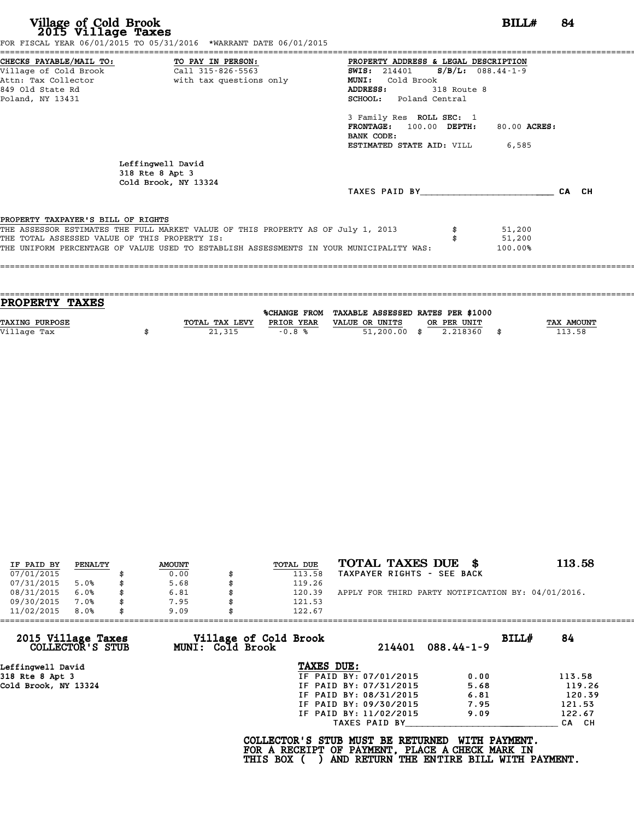|                                               | FOR FISCAL YEAR 06/01/2015 TO 05/31/2016 *WARRANT DATE 06/01/2015                       |                                              |             |              |       |
|-----------------------------------------------|-----------------------------------------------------------------------------------------|----------------------------------------------|-------------|--------------|-------|
|                                               | CHECKS PAYABLE/MAIL TO: TO PAY IN PERSON:                                               | PROPERTY ADDRESS & LEGAL DESCRIPTION         |             |              |       |
|                                               |                                                                                         | <b>SWIS:</b> 214401 <b>S/B/L:</b> 088.44-1-9 |             |              |       |
|                                               | Attn: Tax Collector and the with tax questions only                                     | Cold Brook<br><b>MUNI:</b>                   |             |              |       |
| 849 Old State Rd                              |                                                                                         | ADDRESS:                                     | 318 Route 8 |              |       |
| Poland, NY 13431                              |                                                                                         | <b>SCHOOL:</b> Poland Central                |             |              |       |
|                                               |                                                                                         | 3 Family Res ROLL SEC: 1                     |             |              |       |
|                                               |                                                                                         | FRONTAGE: 100.00 DEPTH:                      |             | 80.00 ACRES: |       |
|                                               |                                                                                         | BANK CODE:                                   |             |              |       |
|                                               |                                                                                         | <b>ESTIMATED STATE AID:</b> VILL 6,585       |             |              |       |
|                                               | Leffingwell David<br>318 Rte 8 Apt 3<br>Cold Brook, NY 13324                            |                                              |             |              |       |
|                                               |                                                                                         | TAXES PAID BY                                |             |              | CA CH |
| PROPERTY TAXPAYER'S BILL OF RIGHTS            |                                                                                         |                                              |             |              |       |
|                                               | THE ASSESSOR ESTIMATES THE FULL MARKET VALUE OF THIS PROPERTY AS OF July 1, 2013        |                                              |             | 51,200       |       |
| THE TOTAL ASSESSED VALUE OF THIS PROPERTY IS: |                                                                                         |                                              |             | 51,200       |       |
|                                               | THE UNIFORM PERCENTAGE OF VALUE USED TO ESTABLISH ASSESSMENTS IN YOUR MUNICIPALITY WAS: |                                              |             | 100.00%      |       |
|                                               |                                                                                         |                                              |             |              |       |
|                                               |                                                                                         |                                              |             |              |       |
|                                               |                                                                                         |                                              |             |              |       |

| PROPERTY TAXES        |                |                     |                                   |            |
|-----------------------|----------------|---------------------|-----------------------------------|------------|
|                       |                | <b>%CHANGE FROM</b> | TAXABLE ASSESSED RATES PER \$1000 |            |
| <b>TAXING PURPOSE</b> | TOTAL TAX LEVY | PRIOR YEAR          | VALUE OR UNITS<br>OR PER UNIT     | TAX AMOUNT |
|                       |                |                     |                                   | 113.58     |
| Village Tax           | 21,315         | $-0.8%$             | 51,200.00<br>2.218360<br>- \$     | \$         |
|                       |                |                     |                                   |            |

| IF PAID BY | PENALTY | <b>AMOUNT</b> | <b>TOTAL DUE</b> | TOTAL TAXES DUE \$                                 | 113.58 |
|------------|---------|---------------|------------------|----------------------------------------------------|--------|
| 07/01/2015 |         | 0.00          | 113.58           | TAXPAYER RIGHTS - SEE BACK                         |        |
| 07/31/2015 | 5.0%    | 5.68          | 119.26           |                                                    |        |
| 08/31/2015 | 6.0%    | \$<br>6.81    | 120.39           | APPLY FOR THIRD PARTY NOTIFICATION BY: 04/01/2016. |        |
| 09/30/2015 | 7.0%    | 7.95          | 121.53           |                                                    |        |
| 11/02/2015 | 8.0%    | \$<br>9.09    | 122.67           |                                                    |        |

| 11/02/2015                             | 8.0% | 9.09 |                  | 122.67                                                                                             |                        |                                                           |       |        |
|----------------------------------------|------|------|------------------|----------------------------------------------------------------------------------------------------|------------------------|-----------------------------------------------------------|-------|--------|
| 2015 Village Taxes<br>COLLECTOR'S STUB |      |      | MUNI: Cold Brook | Village of Cold Brook                                                                              | 214401                 | $088.44 - 1 - 9$                                          | BILL# | 84     |
| Leffinqwell David                      |      |      |                  | TAXES DUE:                                                                                         |                        |                                                           |       |        |
| 318 Rte 8 Apt 3                        |      |      |                  |                                                                                                    | IF PAID BY: 07/01/2015 | 0.00                                                      |       | 113.58 |
| Cold Brook, NY 13324                   |      |      |                  |                                                                                                    | IF PAID BY: 07/31/2015 | 5.68                                                      |       | 119.26 |
|                                        |      |      |                  |                                                                                                    | IF PAID BY: 08/31/2015 | 6.81                                                      |       | 120.39 |
|                                        |      |      |                  |                                                                                                    | IF PAID BY: 09/30/2015 | 7.95                                                      |       | 121.53 |
|                                        |      |      |                  |                                                                                                    | IF PAID BY: 11/02/2015 | 9.09                                                      |       | 122.67 |
|                                        |      |      |                  |                                                                                                    | TAXES PAID BY          |                                                           |       | CA CH  |
|                                        |      |      |                  | COLLECTOR'S STUB MUST BE RETURNED<br>FOR A RECEIPT OF PAYMENT, PLACE A CHECK MARK IN<br>THIS BOX ( |                        | WITH PAYMENT.<br>AND RETURN THE ENTIRE BILL WITH PAYMENT. |       |        |
|                                        |      |      |                  |                                                                                                    |                        |                                                           |       |        |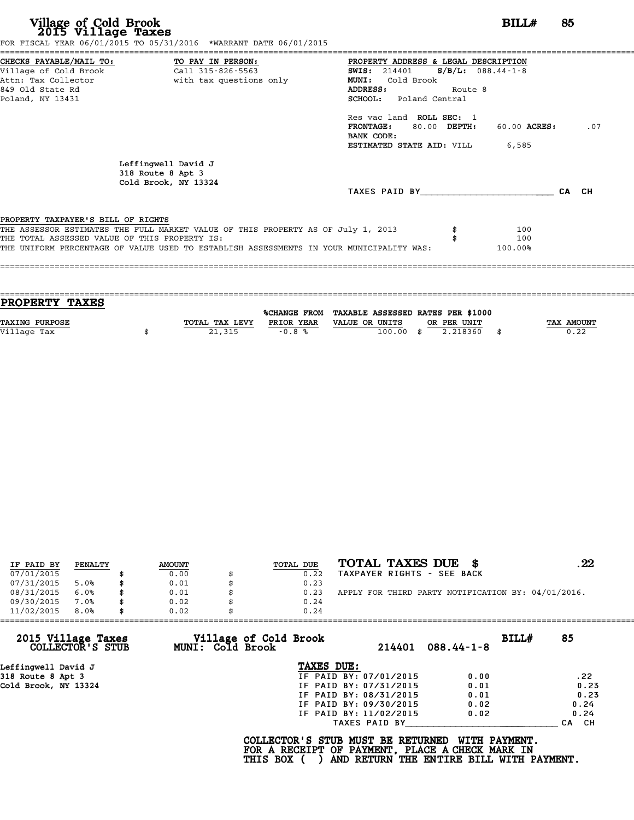|                                               | CHECKS PAYABLE/MAIL TO: TO PAY IN PERSON:                                        | PROPERTY ADDRESS & LEGAL DESCRIPTION   |              |       |
|-----------------------------------------------|----------------------------------------------------------------------------------|----------------------------------------|--------------|-------|
| Village of Cold Brook                         | Call 315-826-5563                                                                | SWIS: $214401$ S/B/L: 088.44-1-8       |              |       |
| Attn: Tax Collector                           | with tax questions only                                                          | MUNI: Cold Brook                       |              |       |
| 849 Old State Rd                              |                                                                                  | ADDRESS:<br>Route 8                    |              |       |
| Poland, NY 13431                              |                                                                                  | SCHOOL: Poland Central                 |              |       |
|                                               |                                                                                  | Res vac land ROLL SEC: 1               |              |       |
|                                               |                                                                                  | <b>FRONTAGE:</b><br>80.00 DEPTH:       | 60.00 ACRES: | .07   |
|                                               |                                                                                  | BANK CODE:                             |              |       |
|                                               |                                                                                  | <b>ESTIMATED STATE AID:</b> VILL 6,585 |              |       |
|                                               | Leffingwell David J                                                              |                                        |              |       |
|                                               | 318 Route 8 Apt 3                                                                |                                        |              |       |
|                                               | Cold Brook, NY 13324                                                             |                                        |              |       |
|                                               |                                                                                  | TAXES PAID BY                          |              | CA CH |
|                                               |                                                                                  |                                        |              |       |
|                                               |                                                                                  |                                        |              |       |
| PROPERTY TAXPAYER'S BILL OF RIGHTS            |                                                                                  |                                        | 100          |       |
| THE TOTAL ASSESSED VALUE OF THIS PROPERTY IS: | THE ASSESSOR ESTIMATES THE FULL MARKET VALUE OF THIS PROPERTY AS OF July 1, 2013 |                                        | 100          |       |

| <b>PROPERTY TAXES</b> |                |            |                                                |                |            |
|-----------------------|----------------|------------|------------------------------------------------|----------------|------------|
|                       |                |            | %CHANGE FROM TAXABLE ASSESSED RATES PER \$1000 |                |            |
| TAXING PURPOSE        | TOTAL TAX LEVY | PRIOR YEAR | VALUE OR UNITS                                 | OR PER UNIT    | TAX AMOUNT |
| Village Tax           | 21,315         | $-0.8%$    | 100.00                                         | \$<br>2.218360 | 0.22       |
|                       |                |            |                                                |                |            |

| IF PAID BY | PENALTY | <b>AMOUNT</b> | TOTAL DUE | TOTAL TAXES DUE<br>- 8                             | . 22 |
|------------|---------|---------------|-----------|----------------------------------------------------|------|
| 07/01/2015 |         | 0.00          | 0.22      | TAXPAYER RIGHTS - SEE BACK                         |      |
| 07/31/2015 | 5.0%    | \$<br>0.01    | 0.23      |                                                    |      |
| 08/31/2015 | 6.0%    | \$<br>0.01    | 0.23      | APPLY FOR THIRD PARTY NOTIFICATION BY: 04/01/2016. |      |
| 09/30/2015 | 7.0%    | \$<br>0.02    | 0.24      |                                                    |      |
| 11/02/2015 | 8.0%    | \$<br>0.02    | 0.24      |                                                    |      |

| 11/02/2015                             | 8.0% | 0.02 |                                           | 0.24                                                                                               |                        |                                                           |       |                  |
|----------------------------------------|------|------|-------------------------------------------|----------------------------------------------------------------------------------------------------|------------------------|-----------------------------------------------------------|-------|------------------|
| 2015 Village Taxes<br>COLLECTOR'S STUB |      |      | Village of Cold Brook<br>MUNI: Cold Brook |                                                                                                    | 214401                 | $088.44 - 1 - 8$                                          | BILL# | 85               |
| Leffingwell David J                    |      |      |                                           | TAXES DUE:                                                                                         |                        |                                                           |       |                  |
| 318 Route 8 Apt 3                      |      |      |                                           |                                                                                                    | IF PAID BY: 07/01/2015 | 0.00                                                      |       | .22              |
| Cold Brook, NY 13324                   |      |      |                                           |                                                                                                    | IF PAID BY: 07/31/2015 | 0.01                                                      |       | 0.23             |
|                                        |      |      |                                           |                                                                                                    | IF PAID BY: 08/31/2015 | 0.01                                                      |       | 0.23             |
|                                        |      |      |                                           |                                                                                                    | IF PAID BY: 09/30/2015 | 0.02                                                      |       | 0.24             |
|                                        |      |      |                                           |                                                                                                    | IF PAID BY: 11/02/2015 | 0.02                                                      |       | 0.24             |
|                                        |      |      |                                           |                                                                                                    | TAXES PAID BY          |                                                           |       | CH.<br><b>CA</b> |
|                                        |      |      |                                           | COLLECTOR'S STUB MUST BE RETURNED<br>FOR A RECEIPT OF PAYMENT, PLACE A CHECK MARK IN<br>THIS BOX ( |                        | WITH PAYMENT.<br>AND RETURN THE ENTIRE BILL WITH PAYMENT. |       |                  |
|                                        |      |      |                                           |                                                                                                    |                        |                                                           |       |                  |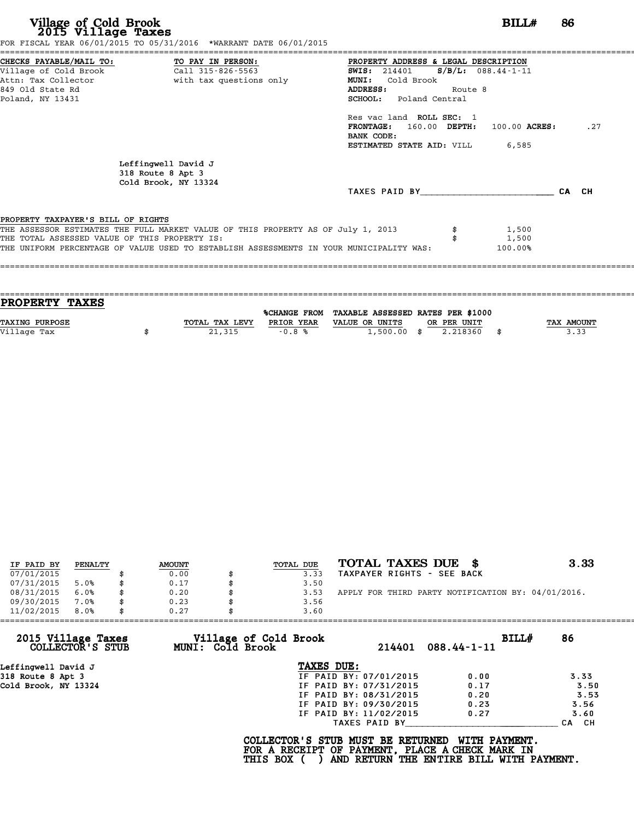|                                               | CHECKS PAYABLE/MAIL TO: TO PAY IN PERSON:                                        | PROPERTY ADDRESS & LEGAL DESCRIPTION    |         |       |     |
|-----------------------------------------------|----------------------------------------------------------------------------------|-----------------------------------------|---------|-------|-----|
|                                               |                                                                                  | SWIS: $214401$ S/B/L: $088.44 - 1 - 11$ |         |       |     |
|                                               | Attn: Tax Collector and with tax questions only                                  | <b>MUNI:</b><br>Cold Brook              |         |       |     |
| 849 Old State Rd                              |                                                                                  | ADDRESS:                                | Route 8 |       |     |
| Poland, NY 13431                              |                                                                                  | SCHOOL: Poland Central                  |         |       |     |
|                                               |                                                                                  | Res vac land ROLL SEC: 1                |         |       |     |
|                                               |                                                                                  | FRONTAGE: 160.00 DEPTH: 100.00 ACRES:   |         |       | .27 |
|                                               |                                                                                  | BANK CODE:                              |         |       |     |
|                                               |                                                                                  | <b>ESTIMATED STATE AID: VILL 6,585</b>  |         |       |     |
|                                               |                                                                                  |                                         |         |       |     |
|                                               | Leffingwell David J                                                              |                                         |         |       |     |
|                                               | 318 Route 8 Apt 3                                                                |                                         |         |       |     |
|                                               | Cold Brook, NY 13324                                                             |                                         |         |       |     |
|                                               |                                                                                  | TAXES PAID BY <b>CA</b> CH              |         |       |     |
|                                               |                                                                                  |                                         |         |       |     |
| PROPERTY TAXPAYER'S BILL OF RIGHTS            |                                                                                  |                                         |         | 1,500 |     |
| THE TOTAL ASSESSED VALUE OF THIS PROPERTY IS: | THE ASSESSOR ESTIMATES THE FULL MARKET VALUE OF THIS PROPERTY AS OF July 1, 2013 |                                         |         | 1,500 |     |

| PROPERTY TAXES        |                |                     |                                   |            |
|-----------------------|----------------|---------------------|-----------------------------------|------------|
|                       |                | <b>%CHANGE FROM</b> | TAXABLE ASSESSED RATES PER \$1000 |            |
|                       |                |                     |                                   |            |
| <b>TAXING PURPOSE</b> | TOTAL TAX LEVY | PRIOR YEAR          | VALUE OR UNITS<br>OR PER UNIT     | TAX AMOUNT |
| Village Tax           | 21,315         | $-0.8%$             | $1,500.00$ \$<br>2.218360         | \$<br>3.33 |
|                       |                |                     |                                   |            |

| IF PAID BY | PENALTY | <b>AMOUNT</b> | TOTAL DUE | TOTAL TAXES DUE \$                                 | 3.33 |
|------------|---------|---------------|-----------|----------------------------------------------------|------|
| 07/01/2015 |         | 0.00          | 3.33      | TAXPAYER RIGHTS - SEE BACK                         |      |
| 07/31/2015 | 5.0%    | 0.17          | 3.50      |                                                    |      |
| 08/31/2015 | 6.0%    | \$<br>0.20    | 3.53      | APPLY FOR THIRD PARTY NOTIFICATION BY: 04/01/2016. |      |
| 09/30/2015 | 7.0%    | \$<br>0.23    | 3.56      |                                                    |      |
| 11/02/2015 | 8.0%    | \$<br>0.27    | 3.60      |                                                    |      |

| Village of Cold Brook |               | BILLH                                                                                                                                        |                                                    |
|-----------------------|---------------|----------------------------------------------------------------------------------------------------------------------------------------------|----------------------------------------------------|
| MUNI: Cold Brook      | 214401        | $088.44 - 1 - 11$                                                                                                                            | 86                                                 |
|                       |               |                                                                                                                                              |                                                    |
|                       |               | 0.00                                                                                                                                         | 3.33                                               |
|                       |               | 0.17                                                                                                                                         | 3.50                                               |
|                       |               | 0.20                                                                                                                                         | 3.53                                               |
|                       |               | 0.23                                                                                                                                         | 3.56                                               |
|                       |               | 0.27                                                                                                                                         | 3.60                                               |
|                       | TAXES PAID BY |                                                                                                                                              | CH.<br><b>CA</b>                                   |
|                       |               | TAXES DUE:<br>IF PAID BY: 07/01/2015<br>IF PAID BY: 07/31/2015<br>IF PAID BY: 08/31/2015<br>IF PAID BY: 09/30/2015<br>IF PAID BY: 11/02/2015 | COLLECTOR'S STUB MUST BE RETURNED<br>WITH PAYMENT. |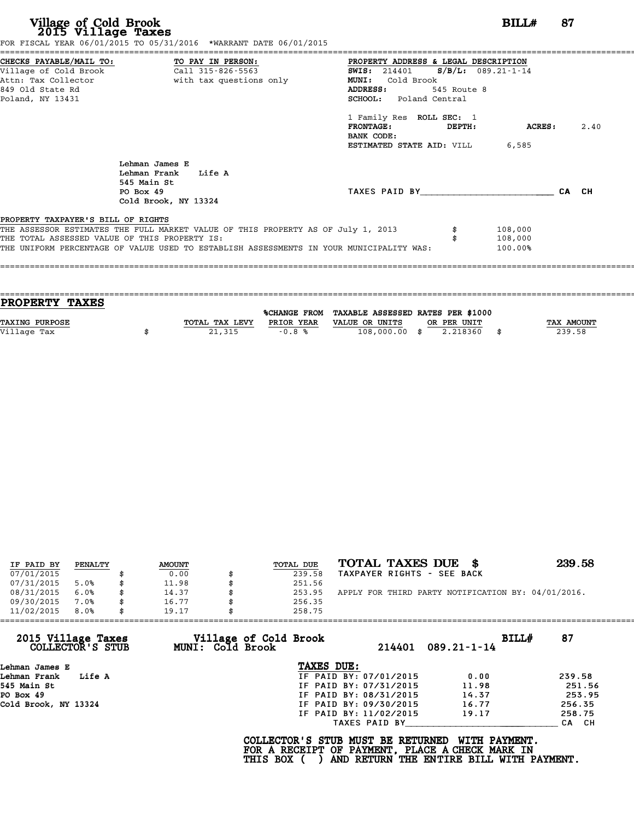|                                                                                      | FOR FISCAL YEAR 06/01/2015 TO 05/31/2016 *WARRANT DATE 06/01/2015                                                                                                           |                                                                                                                                                                                                           |                               |       |
|--------------------------------------------------------------------------------------|-----------------------------------------------------------------------------------------------------------------------------------------------------------------------------|-----------------------------------------------------------------------------------------------------------------------------------------------------------------------------------------------------------|-------------------------------|-------|
| Village of Cold Brook<br>Attn: Tax Collector<br>849 Old State Rd<br>Poland, NY 13431 | CHECKS PAYABLE/MAIL TO: TO PAY IN PERSON:<br>Call 315-826-5563<br>with tax questions only                                                                                   | PROPERTY ADDRESS & LEGAL DESCRIPTION<br>$S/B/L: 089.21-1-14$<br><b>SWIS:</b> 214401<br>Cold Brook<br><b>MUNI:</b><br><b>ADDRESS:</b><br>545 Route 8<br>SCHOOL: Poland Central<br>1 Family Res ROLL SEC: 1 |                               |       |
|                                                                                      | Lehman James E<br>Lehman Frank<br>Life A                                                                                                                                    | $\tt FRONTAGE:$<br><b>DEPTH:</b><br>BANK CODE:<br>ESTIMATED STATE AID: VILL                                                                                                                               | <b>ACRES:</b><br>6,585        | 2.40  |
|                                                                                      | 545 Main St<br>PO Box 49<br>Cold Brook, NY 13324                                                                                                                            | TAXES PAID BY                                                                                                                                                                                             |                               | CA CH |
| PROPERTY TAXPAYER'S BILL OF RIGHTS                                                   |                                                                                                                                                                             |                                                                                                                                                                                                           |                               |       |
| THE TOTAL ASSESSED VALUE OF THIS PROPERTY IS:                                        | THE ASSESSOR ESTIMATES THE FULL MARKET VALUE OF THIS PROPERTY AS OF July 1, 2013<br>THE UNIFORM PERCENTAGE OF VALUE USED TO ESTABLISH ASSESSMENTS IN YOUR MUNICIPALITY WAS: |                                                                                                                                                                                                           | 108,000<br>108,000<br>100.00% |       |
|                                                                                      |                                                                                                                                                                             |                                                                                                                                                                                                           |                               |       |

| TOTAL TAX LEVY | PRIOR YEAR | VALUE OR UNITS |                                                                                            | <b>TAX AMOUNT</b> |
|----------------|------------|----------------|--------------------------------------------------------------------------------------------|-------------------|
|                |            |                |                                                                                            | 239.58            |
|                |            |                |                                                                                            |                   |
|                | 21,315     | $-0.8%$        | %CHANGE FROM TAXABLE ASSESSED RATES PER \$1000<br>OR PER UNIT<br>108,000.00 \$<br>2.218360 |                   |

| IF PAID BY | PENALTY | <b>AMOUNT</b> | TOTAL DUE | TOTAL TAXES DUE \$                                 | 239.58 |
|------------|---------|---------------|-----------|----------------------------------------------------|--------|
| 07/01/2015 |         | 0.00          | 239.58    | TAXPAYER RIGHTS - SEE BACK                         |        |
| 07/31/2015 | 5.0%    | 11.98         | 251.56    |                                                    |        |
| 08/31/2015 | 6.0%    | \$<br>14.37   | 253.95    | APPLY FOR THIRD PARTY NOTIFICATION BY: 04/01/2016. |        |
| 09/30/2015 | 7.0%    | \$<br>16.77   | 256.35    |                                                    |        |
| 11/02/2015 | 8.0%    | \$<br>19.17   | 258.75    |                                                    |        |

| 11/02/2015                             | 8.0%   | 19.17 | 258.75                                           |                                                                                                                                  |                      |       |        |
|----------------------------------------|--------|-------|--------------------------------------------------|----------------------------------------------------------------------------------------------------------------------------------|----------------------|-------|--------|
| 2015 Village Taxes<br>COLLECTOR'S STUB |        |       | Village of Cold Brook<br><b>MUNI: Cold Brook</b> |                                                                                                                                  | $214401$ 089.21-1-14 | BILLH | 87     |
| Lehman James E                         |        |       | TAXES DUE:                                       |                                                                                                                                  |                      |       |        |
| Lehman Frank                           | Life A |       |                                                  | IF PAID BY: 07/01/2015                                                                                                           | 0.00                 |       | 239.58 |
| 545 Main St                            |        |       |                                                  | IF PAID BY: 07/31/2015                                                                                                           | 11.98                |       | 251.56 |
| PO Box 49                              |        |       |                                                  | IF PAID BY: 08/31/2015                                                                                                           | 14.37                |       | 253.95 |
| Cold Brook, NY 13324                   |        |       |                                                  | IF PAID BY: 09/30/2015                                                                                                           | 16.77                |       | 256.35 |
|                                        |        |       |                                                  | IF PAID BY: 11/02/2015                                                                                                           | 19.17                |       | 258.75 |
|                                        |        |       |                                                  | TAXES PAID BY                                                                                                                    |                      |       | CA CH  |
|                                        |        |       | THIS BOX (                                       | COLLECTOR'S STUB MUST BE RETURNED<br>FOR A RECEIPT OF PAYMENT, PLACE A CHECK MARK IN<br>AND RETURN THE ENTIRE BILL WITH PAYMENT. | WITH PAYMENT.        |       |        |
|                                        |        |       |                                                  |                                                                                                                                  |                      |       |        |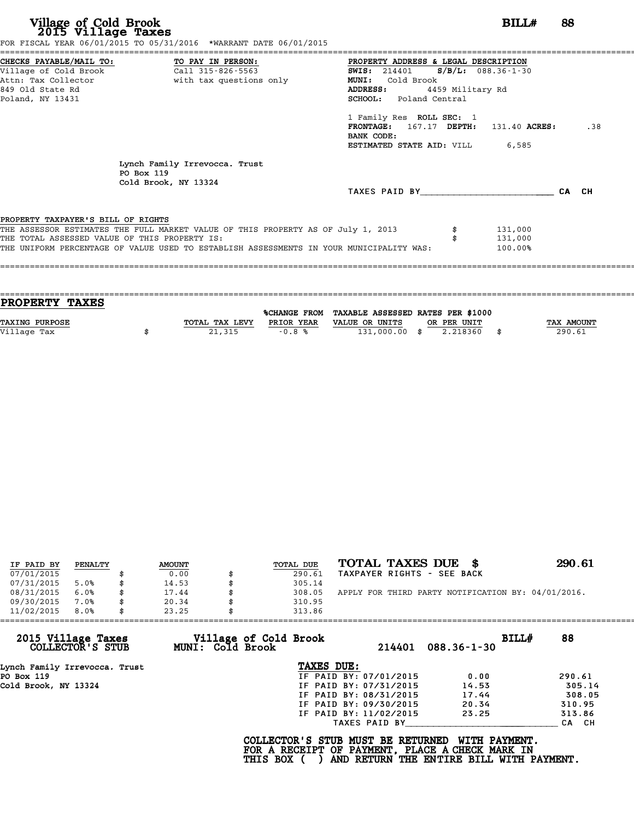|                                                                                         | FOR FISCAL YEAR 06/01/2015 TO 05/31/2016 *WARRANT DATE 06/01/2015                |                                                             |                      |       |
|-----------------------------------------------------------------------------------------|----------------------------------------------------------------------------------|-------------------------------------------------------------|----------------------|-------|
| CHECKS PAYABLE/MAIL TO:<br>Village of Cold Brook                                        | TO PAY IN PERSON:<br>Call 315-826-5563                                           | PROPERTY ADDRESS & LEGAL DESCRIPTION<br><b>SWIS:</b> 214401 | $S/B/L: 088.36-1-30$ |       |
| Attn: Tax Collector                                                                     | with tax questions only                                                          | Cold Brook<br><b>MUNI:</b>                                  |                      |       |
| 849 Old State Rd                                                                        |                                                                                  | ADDRESS:                                                    | 4459 Military Rd     |       |
| Poland, NY 13431                                                                        |                                                                                  | SCHOOL: Poland Central                                      |                      |       |
|                                                                                         |                                                                                  | 1 Family Res ROLL SEC: 1                                    |                      |       |
|                                                                                         |                                                                                  | FRONTAGE: 167.17 DEPTH:<br>BANK CODE:                       | 131.40 ACRES:        | .38   |
|                                                                                         |                                                                                  | <b>ESTIMATED STATE AID:</b> VILL 6,585                      |                      |       |
|                                                                                         | Lynch Family Irrevocca. Trust<br>PO Box 119                                      |                                                             |                      |       |
|                                                                                         | Cold Brook, NY 13324                                                             | TAXES PAID BY                                               |                      | CA CH |
|                                                                                         |                                                                                  |                                                             |                      |       |
| PROPERTY TAXPAYER'S BILL OF RIGHTS                                                      | THE ASSESSOR ESTIMATES THE FULL MARKET VALUE OF THIS PROPERTY AS OF July 1, 2013 |                                                             | 131,000              |       |
| THE TOTAL ASSESSED VALUE OF THIS PROPERTY IS:                                           |                                                                                  |                                                             | 131,000              |       |
| THE UNIFORM PERCENTAGE OF VALUE USED TO ESTABLISH ASSESSMENTS IN YOUR MUNICIPALITY WAS: |                                                                                  | 100.00%                                                     |                      |       |
|                                                                                         |                                                                                  |                                                             |                      |       |

| PROPERTY TAXES        |                |            |                                                |             |                   |
|-----------------------|----------------|------------|------------------------------------------------|-------------|-------------------|
|                       |                |            | %CHANGE FROM TAXABLE ASSESSED RATES PER \$1000 |             |                   |
| <b>TAXING PURPOSE</b> | TOTAL TAX LEVY | PRIOR YEAR | VALUE OR UNITS                                 | OR PER UNIT | <b>TAX AMOUNT</b> |
|                       |                |            |                                                |             |                   |
| Village Tax           | 21,315         | $-0.8%$    | 131,000.00 \$                                  | 2.218360    | 290.61            |
|                       |                |            |                                                |             |                   |

====================================================================================================================================

| IF PAID BY | PENALTY | <b>AMOUNT</b> | TOTAL DUE | TOTAL TAXES DUE \$                                 | 290.61 |
|------------|---------|---------------|-----------|----------------------------------------------------|--------|
| 07/01/2015 |         | 0.00          | 290.61    | TAXPAYER RIGHTS - SEE BACK                         |        |
| 07/31/2015 | 5.0%    | \$<br>14.53   | 305.14    |                                                    |        |
| 08/31/2015 | 6.0%    | \$<br>17.44   | 308.05    | APPLY FOR THIRD PARTY NOTIFICATION BY: 04/01/2016. |        |
| 09/30/2015 | 7.0%    | \$<br>20.34   | 310.95    |                                                    |        |
| 11/02/2015 | 8.0%    | \$<br>23.25   | 313.86    |                                                    |        |

| 11/02/2015<br>8.0%                     | 23.25 |                  | 313.86                                                                                             |                        |                                                                  |       |        |
|----------------------------------------|-------|------------------|----------------------------------------------------------------------------------------------------|------------------------|------------------------------------------------------------------|-------|--------|
| 2015 Village Taxes<br>COLLECTOR'S STUB |       | MUNI: Cold Brook | Village of Cold Brook                                                                              | 214401                 | $088.36 - 1 - 30$                                                | BILL# | 88     |
| Lynch Family Irrevocca. Trust          |       |                  | TAXES DUE:                                                                                         |                        |                                                                  |       |        |
| PO Box 119                             |       |                  |                                                                                                    | IF PAID BY: 07/01/2015 | 0.00                                                             |       | 290.61 |
| Cold Brook, NY 13324                   |       |                  |                                                                                                    | IF PAID BY: 07/31/2015 | 14.53                                                            |       | 305.14 |
|                                        |       |                  |                                                                                                    | IF PAID BY: 08/31/2015 | 17.44                                                            |       | 308.05 |
|                                        |       |                  |                                                                                                    | IF PAID BY: 09/30/2015 | 20.34                                                            |       | 310.95 |
|                                        |       |                  |                                                                                                    | IF PAID BY: 11/02/2015 | 23.25                                                            |       | 313.86 |
|                                        |       |                  |                                                                                                    | TAXES PAID BY          |                                                                  |       | CA CH  |
|                                        |       |                  | COLLECTOR'S STUB MUST BE RETURNED<br>FOR A RECEIPT OF PAYMENT, PLACE A CHECK MARK IN<br>THIS BOX ( |                        | <b>WITH PAYMENT.</b><br>AND RETURN THE ENTIRE BILL WITH PAYMENT. |       |        |
|                                        |       |                  |                                                                                                    |                        |                                                                  |       |        |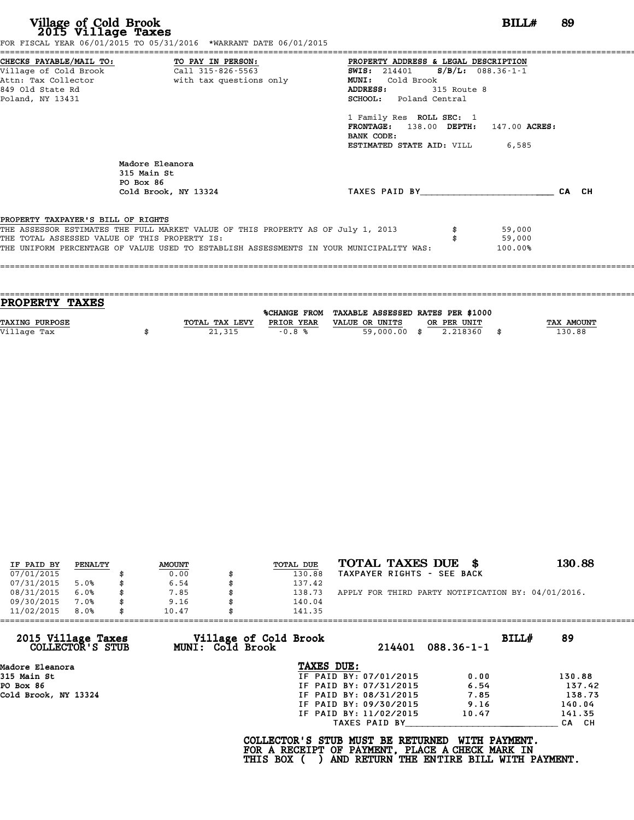|                                               | CHECKS PAYABLE/MAIL TO: TO PAY IN PERSON: PROPERTY ADDRESS & LEGAL DESCRIPTION<br>Village of Cold Brook (Call 315-826-5563) THE SIMIS: 214401 S/B/L: 088.36-1-1 |                                        |             |          |       |
|-----------------------------------------------|-----------------------------------------------------------------------------------------------------------------------------------------------------------------|----------------------------------------|-------------|----------|-------|
|                                               | Attn: Tax Collector and with tax questions only                                                                                                                 | MUNI: Cold Brook                       |             |          |       |
| 849 Old State Rd                              |                                                                                                                                                                 | ADDRESS:                               | 315 Route 8 |          |       |
| Poland, NY 13431                              |                                                                                                                                                                 | <b>SCHOOL:</b> Poland Central          |             |          |       |
|                                               |                                                                                                                                                                 | 1 Family Res ROLL SEC: 1               |             |          |       |
|                                               |                                                                                                                                                                 | FRONTAGE: 138.00 DEPTH: 147.00 ACRES:  |             |          |       |
|                                               |                                                                                                                                                                 | BANK CODE:                             |             |          |       |
|                                               |                                                                                                                                                                 | <b>ESTIMATED STATE AID:</b> VILL 6,585 |             |          |       |
|                                               | Madore Eleanora<br>315 Main St<br>PO Box 86                                                                                                                     |                                        |             |          |       |
|                                               | Cold Brook, NY 13324                                                                                                                                            | TAXES PAID BY                          |             |          | CA CH |
|                                               |                                                                                                                                                                 |                                        |             |          |       |
| PROPERTY TAXPAYER'S BILL OF RIGHTS            |                                                                                                                                                                 |                                        |             |          |       |
|                                               | THE ASSESSOR ESTIMATES THE FULL MARKET VALUE OF THIS PROPERTY AS OF July 1, 2013                                                                                |                                        |             | \$59,000 |       |
|                                               |                                                                                                                                                                 |                                        | 59,000      |          |       |
| THE TOTAL ASSESSED VALUE OF THIS PROPERTY IS: |                                                                                                                                                                 |                                        |             |          |       |

| PROPERTY TAXES        |                |            |                                                |             |            |
|-----------------------|----------------|------------|------------------------------------------------|-------------|------------|
|                       |                |            | %CHANGE FROM TAXABLE ASSESSED RATES PER \$1000 |             |            |
|                       |                |            |                                                |             |            |
| <b>TAXING PURPOSE</b> | TOTAL TAX LEVY | PRIOR YEAR | VALUE OR UNITS                                 | OR PER UNIT | TAX AMOUNT |
| Village Tax           | 21,315         | $-0.8%$    | 59,000.00 \$                                   | 2.218360    | 130.88     |
|                       |                |            |                                                |             |            |

| IF PAID BY | PENALTY | <b>AMOUNT</b> | TOTAL DUE | TOTAL TAXES DUE \$                                 | 130.88 |
|------------|---------|---------------|-----------|----------------------------------------------------|--------|
| 07/01/2015 |         | 0.00          | 130.88    | TAXPAYER RIGHTS - SEE BACK                         |        |
| 07/31/2015 | 5.0%    | 6.54          | 137.42    |                                                    |        |
| 08/31/2015 | 6.0%    | 7.85          | 138.73    | APPLY FOR THIRD PARTY NOTIFICATION BY: 04/01/2016. |        |
| 09/30/2015 | 7.0%    | 9.16          | 140.04    |                                                    |        |
| 11/02/2015 | 8.0%    | 10.47         | 141.35    |                                                    |        |

| 11/02/2015<br>8.0%                     | 10.47                                            | 141.35                                                                                             |                                                           |        |
|----------------------------------------|--------------------------------------------------|----------------------------------------------------------------------------------------------------|-----------------------------------------------------------|--------|
| 2015 Village Taxes<br>COLLECTOR'S STUB | Village of Cold Brook<br><b>MUNI: Cold Brook</b> | 214401                                                                                             | BILL#<br>$088.36 - 1 - 1$                                 | 89     |
| Madore Eleanora                        |                                                  | TAXES DUE:                                                                                         |                                                           |        |
| 315 Main St                            |                                                  | IF PAID BY: 07/01/2015                                                                             | 0.00                                                      | 130.88 |
| PO Box 86                              |                                                  | IF PAID BY: 07/31/2015                                                                             | 6.54                                                      | 137.42 |
| Cold Brook, NY 13324                   |                                                  | IF PAID BY: 08/31/2015                                                                             | 7.85                                                      | 138.73 |
|                                        |                                                  | IF PAID BY: 09/30/2015                                                                             | 9.16                                                      | 140.04 |
|                                        |                                                  | IF PAID BY: 11/02/2015                                                                             | 10.47                                                     | 141.35 |
|                                        |                                                  | TAXES PAID BY                                                                                      |                                                           | CA CH  |
|                                        |                                                  | COLLECTOR'S STUB MUST BE RETURNED<br>FOR A RECEIPT OF PAYMENT, PLACE A CHECK MARK IN<br>THIS BOX ( | WITH PAYMENT.<br>AND RETURN THE ENTIRE BILL WITH PAYMENT. |        |
|                                        |                                                  |                                                                                                    |                                                           |        |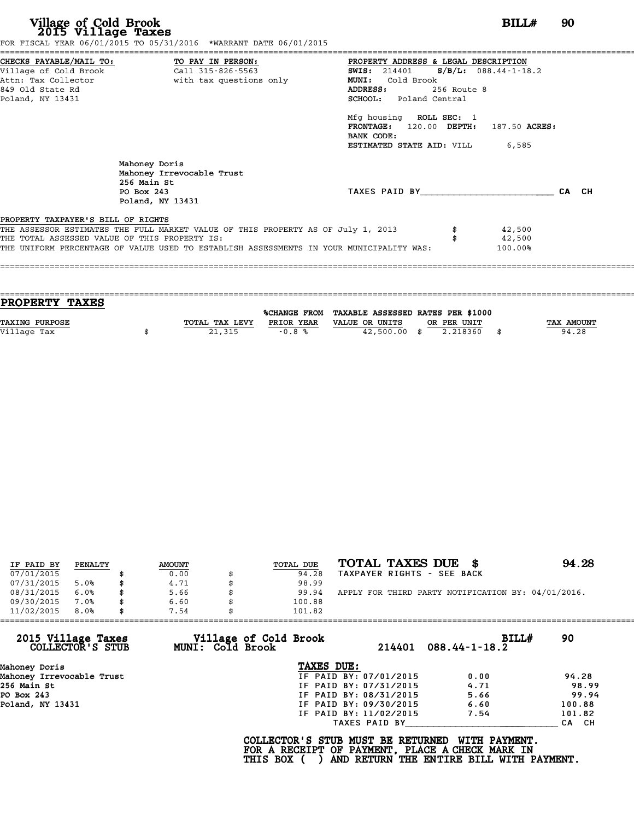| Village of Cold Brook<br>2015 Village Taxes                                         | FOR FISCAL YEAR 06/01/2015 TO 05/31/2016 *WARRANT DATE 06/01/2015                                                                                                           |                                                                                                                                                                                                                                                                                                   | 90                          |       |
|-------------------------------------------------------------------------------------|-----------------------------------------------------------------------------------------------------------------------------------------------------------------------------|---------------------------------------------------------------------------------------------------------------------------------------------------------------------------------------------------------------------------------------------------------------------------------------------------|-----------------------------|-------|
| 849 Old State Rd<br>Poland, NY 13431                                                | Attn: Tax Collector                       with tax questions only                                                                                                           | PROPERTY ADDRESS & LEGAL DESCRIPTION<br>SWIS: $214401$ S/B/L: 088.44-1-18.2<br><b>MUNI:</b><br>Cold Brook<br>ADDRESS:<br>256 Route 8<br><b>SCHOOL:</b> Poland Central<br>Mfg housing ROLL SEC: 1<br>FRONTAGE: 120.00 DEPTH: 187.50 ACRES:<br>BANK CODE:<br><b>ESTIMATED STATE AID:</b> VILL 6,585 |                             |       |
|                                                                                     | Mahoney Doris<br>Mahoney Irrevocable Trust<br>256 Main St<br>PO Box 243<br>Poland, NY 13431                                                                                 | TAXES PAID BY TAXES                                                                                                                                                                                                                                                                               |                             | CA CH |
| PROPERTY TAXPAYER'S BILL OF RIGHTS<br>THE TOTAL ASSESSED VALUE OF THIS PROPERTY IS: | THE ASSESSOR ESTIMATES THE FULL MARKET VALUE OF THIS PROPERTY AS OF July 1, 2013<br>THE UNIFORM PERCENTAGE OF VALUE USED TO ESTABLISH ASSESSMENTS IN YOUR MUNICIPALITY WAS: |                                                                                                                                                                                                                                                                                                   | 42,500<br>42,500<br>100.00% |       |

| PROPERTY TAXES        |                |            |                                                |             |                   |
|-----------------------|----------------|------------|------------------------------------------------|-------------|-------------------|
|                       |                |            | %CHANGE FROM TAXABLE ASSESSED RATES PER \$1000 |             |                   |
| <b>TAXING PURPOSE</b> | TOTAL TAX LEVY | PRIOR YEAR | VALUE OR UNITS                                 | OR PER UNIT | <b>TAX AMOUNT</b> |
| Village Tax           | 21,315         | $-0.8%$    | $42,500.00$ \$                                 | 2.218360    | 94.28             |
|                       |                |            |                                                |             |                   |

| IF PAID BY | PENALTY | <b>AMOUNT</b> | TOTAL DUE | TOTAL TAXES DUE \$                                 | 94.28 |
|------------|---------|---------------|-----------|----------------------------------------------------|-------|
| 07/01/2015 |         | 0.00          | 94.28     | TAXPAYER RIGHTS - SEE BACK                         |       |
| 07/31/2015 | 5.0%    | \$<br>4.71    | 98.99     |                                                    |       |
| 08/31/2015 | 6.0%    | \$<br>5.66    | 99.94     | APPLY FOR THIRD PARTY NOTIFICATION BY: 04/01/2016. |       |
| 09/30/2015 | 7.0%    | \$<br>6.60    | 100.88    |                                                    |       |
| 11/02/2015 | 8.0%    | \$<br>7.54    | 101.82    |                                                    |       |

| 11/02/2015                             | 7.54<br>101.82                                   |                        |                                      |        |
|----------------------------------------|--------------------------------------------------|------------------------|--------------------------------------|--------|
| 2015 Village Taxes<br>COLLECTOR'S STUB | Village of Cold Brook<br><b>MUNI: Cold Brook</b> |                        | <b>BILL#</b><br>214401 088.44-1-18.2 | 90     |
| Mahoney Doris                          | TAXES DUE:                                       |                        |                                      |        |
| Mahoney Irrevocable Trust              |                                                  | IF PAID BY: 07/01/2015 | 0.00                                 | 94.28  |
| 256 Main St                            |                                                  | IF PAID BY: 07/31/2015 | 4.71                                 | 98.99  |
| PO Box 243                             |                                                  | IF PAID BY: 08/31/2015 | 5.66                                 | 99.94  |
| Poland, NY 13431                       |                                                  | IF PAID BY: 09/30/2015 | 6.60                                 | 100.88 |
|                                        |                                                  | IF PAID BY: 11/02/2015 | 7.54                                 | 101.82 |
|                                        |                                                  | TAXES PAID BY          |                                      | CA CH  |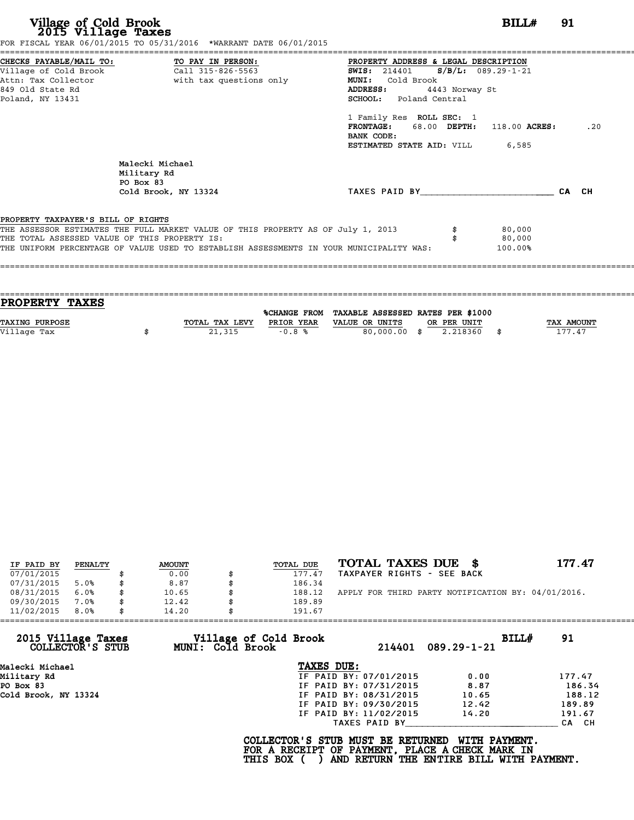| Village of Cold Brook<br>2015 Village Taxes                                                                     | FOR FISCAL YEAR 06/01/2015 TO 05/31/2016 *WARRANT DATE 06/01/2015                                                                                                           |                                                                                                                                                     | BILL#                       | 91    |
|-----------------------------------------------------------------------------------------------------------------|-----------------------------------------------------------------------------------------------------------------------------------------------------------------------------|-----------------------------------------------------------------------------------------------------------------------------------------------------|-----------------------------|-------|
| CHECKS PAYABLE/MAIL TO:<br>Village of Cold Brook<br>Attn: Tax Collector<br>849 Old State Rd<br>Poland, NY 13431 | TO PAY IN PERSON:<br>Call 315-826-5563<br>with tax questions only                                                                                                           | PROPERTY ADDRESS & LEGAL DESCRIPTION<br>SWIS: 214401 S/B/L: 089.29-1-21<br>MUNI: Cold Brook<br>ADDRESS:<br>4443 Norway St<br>SCHOOL: Poland Central |                             |       |
|                                                                                                                 |                                                                                                                                                                             | 1 Family Res ROLL SEC: 1<br>FRONTAGE: 68.00 DEPTH: 118.00 ACRES:<br>BANK CODE:<br>ESTIMATED STATE AID: VILL                                         | 6,585                       | .20   |
|                                                                                                                 | Malecki Michael<br>Military Rd<br>PO Box 83<br>Cold Brook, NY 13324                                                                                                         | TAXES PAID BY                                                                                                                                       |                             | CA CH |
| PROPERTY TAXPAYER'S BILL OF RIGHTS<br>THE TOTAL ASSESSED VALUE OF THIS PROPERTY IS:                             | THE ASSESSOR ESTIMATES THE FULL MARKET VALUE OF THIS PROPERTY AS OF July 1, 2013<br>THE UNIFORM PERCENTAGE OF VALUE USED TO ESTABLISH ASSESSMENTS IN YOUR MUNICIPALITY WAS: |                                                                                                                                                     | 80,000<br>80,000<br>100.00% |       |

| <b>PROPERTY TAXES</b> |                |            |                                                |             |                   |
|-----------------------|----------------|------------|------------------------------------------------|-------------|-------------------|
|                       |                |            |                                                |             |                   |
|                       |                |            | %CHANGE FROM TAXABLE ASSESSED RATES PER \$1000 |             |                   |
| TAXING PURPOSE        | TOTAL TAX LEVY | PRIOR YEAR | VALUE OR UNITS                                 | OR PER UNIT | <b>TAX AMOUNT</b> |
| Village Tax           | 21,315         | $-0.8%$    | 80,000,00 \$                                   | 2.218360    | 177.47            |
|                       |                |            |                                                |             |                   |

| IF PAID BY | PENALTY | <b>AMOUNT</b> | <b>TOTAL DUE</b> | TOTAL TAXES DUE \$                                 | 177.47 |
|------------|---------|---------------|------------------|----------------------------------------------------|--------|
| 07/01/2015 |         | 0.00          | 177.47           | TAXPAYER RIGHTS - SEE BACK                         |        |
| 07/31/2015 | 5.0%    | 8.87          | 186.34           |                                                    |        |
| 08/31/2015 | 6.0%    | \$<br>10.65   | 188.12           | APPLY FOR THIRD PARTY NOTIFICATION BY: 04/01/2016. |        |
| 09/30/2015 | 7.0%    | \$<br>12.42   | 189.89           |                                                    |        |
| 11/02/2015 | 8.0%    | \$<br>14.20   | 191.67           |                                                    |        |

| 11/02/2015                             | 8.0% | 14.20 |                  | 191.67                                                                                             |                        |                                                                  |       |        |
|----------------------------------------|------|-------|------------------|----------------------------------------------------------------------------------------------------|------------------------|------------------------------------------------------------------|-------|--------|
| 2015 Village Taxes<br>COLLECTOR'S STUB |      |       | MUNI: Cold Brook | Village of Cold Brook                                                                              |                        | 214401 089.29-1-21                                               | BILL# | 91     |
| Malecki Michael                        |      |       |                  | TAXES DUE:                                                                                         |                        |                                                                  |       |        |
| Military Rd                            |      |       |                  |                                                                                                    | IF PAID BY: 07/01/2015 | 0.00                                                             |       | 177.47 |
| PO Box 83                              |      |       |                  |                                                                                                    | IF PAID BY: 07/31/2015 | 8.87                                                             |       | 186.34 |
| Cold Brook, NY 13324                   |      |       |                  |                                                                                                    | IF PAID BY: 08/31/2015 | 10.65                                                            |       | 188.12 |
|                                        |      |       |                  |                                                                                                    | IF PAID BY: 09/30/2015 | 12.42                                                            |       | 189.89 |
|                                        |      |       |                  |                                                                                                    | IF PAID BY: 11/02/2015 | 14.20                                                            |       | 191.67 |
|                                        |      |       |                  |                                                                                                    | TAXES PAID BY          |                                                                  |       | CA CH  |
|                                        |      |       |                  | COLLECTOR'S STUB MUST BE RETURNED<br>FOR A RECEIPT OF PAYMENT, PLACE A CHECK MARK IN<br>THIS BOX ( |                        | <b>WITH PAYMENT.</b><br>AND RETURN THE ENTIRE BILL WITH PAYMENT. |       |        |
|                                        |      |       |                  |                                                                                                    |                        |                                                                  |       |        |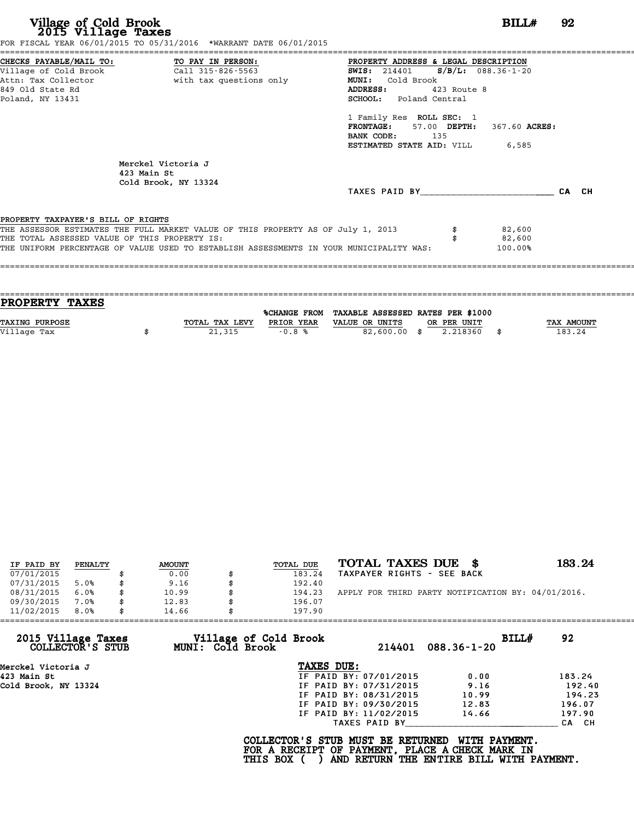|                                    | FOR FISCAL YEAR 06/01/2015 TO 05/31/2016 *WARRANT DATE 06/01/2015                       |                                        |             |         |       |
|------------------------------------|-----------------------------------------------------------------------------------------|----------------------------------------|-------------|---------|-------|
|                                    | CHECKS PAYABLE/MAIL TO: TO PAY IN PERSON:                                               | PROPERTY ADDRESS & LEGAL DESCRIPTION   |             |         |       |
|                                    | Attn: Tax Collector and a with tax questions only                                       | <b>MUNI:</b><br>Cold Brook             |             |         |       |
| 849 Old State Rd                   |                                                                                         | ADDRESS:                               | 423 Route 8 |         |       |
| Poland, NY 13431                   |                                                                                         | <b>SCHOOL:</b> Poland Central          |             |         |       |
|                                    |                                                                                         | 1 Family Res ROLL SEC: 1               |             |         |       |
|                                    |                                                                                         | FRONTAGE: 57.00 DEPTH: 367.60 ACRES:   |             |         |       |
|                                    |                                                                                         | BANK CODE: 135                         |             |         |       |
|                                    |                                                                                         | <b>ESTIMATED STATE AID:</b> VILL 6,585 |             |         |       |
|                                    | Merckel Victoria J<br>423 Main St<br>Cold Brook, NY 13324                               |                                        |             |         |       |
|                                    |                                                                                         | TAXES PAID BY                          |             |         | CA CH |
| PROPERTY TAXPAYER'S BILL OF RIGHTS |                                                                                         |                                        |             |         |       |
|                                    | THE ASSESSOR ESTIMATES THE FULL MARKET VALUE OF THIS PROPERTY AS OF July 1, 2013        |                                        |             | 82,600  |       |
|                                    | THE TOTAL ASSESSED VALUE OF THIS PROPERTY IS:                                           |                                        |             | 82,600  |       |
|                                    | THE UNIFORM PERCENTAGE OF VALUE USED TO ESTABLISH ASSESSMENTS IN YOUR MUNICIPALITY WAS: |                                        |             | 100.00% |       |
|                                    |                                                                                         |                                        |             |         |       |

| PROPERTY TAXES        |                |            |                                                |             |            |
|-----------------------|----------------|------------|------------------------------------------------|-------------|------------|
|                       |                |            | %CHANGE FROM TAXABLE ASSESSED RATES PER \$1000 |             |            |
|                       |                |            |                                                |             |            |
| <b>TAXING PURPOSE</b> | TOTAL TAX LEVY | PRIOR YEAR | VALUE OR UNITS                                 | OR PER UNIT | TAX AMOUNT |
| Village Tax           | 21,315         | $-0.8%$    | 82,600.00 \$                                   | 2.218360    | 183.24     |
|                       |                |            |                                                |             |            |

| IF PAID BY | PENALTY | <b>AMOUNT</b> | TOTAL DUE | TOTAL TAXES DUE \$                                 | 183.24 |
|------------|---------|---------------|-----------|----------------------------------------------------|--------|
| 07/01/2015 |         | 0.00          | 183.24    | TAXPAYER RIGHTS - SEE BACK                         |        |
| 07/31/2015 | 5.0%    | 9.16          | 192.40    |                                                    |        |
| 08/31/2015 | 6.0%    | 10.99         | 194.23    | APPLY FOR THIRD PARTY NOTIFICATION BY: 04/01/2016. |        |
| 09/30/2015 | 7.0%    | 12.83         | 196.07    |                                                    |        |
| 11/02/2015 | 8.0%    | 14.66         | 197.90    |                                                    |        |

| 11/02/2015                             | 8.0% | 14.66 |                  | 197.90                                                                                             |                        |                                                           |       |        |
|----------------------------------------|------|-------|------------------|----------------------------------------------------------------------------------------------------|------------------------|-----------------------------------------------------------|-------|--------|
| 2015 Village Taxes<br>COLLECTOR'S STUB |      |       | MUNI: Cold Brook | Village of Cold Brook                                                                              | 214401                 | $088.36 - 1 - 20$                                         | BILL# | 92     |
| Merckel Victoria J                     |      |       |                  | TAXES DUE:                                                                                         |                        |                                                           |       |        |
| 423 Main St                            |      |       |                  |                                                                                                    | IF PAID BY: 07/01/2015 | 0.00                                                      |       | 183.24 |
| Cold Brook, NY 13324                   |      |       |                  |                                                                                                    | IF PAID BY: 07/31/2015 | 9.16                                                      |       | 192.40 |
|                                        |      |       |                  |                                                                                                    | IF PAID BY: 08/31/2015 | 10.99                                                     |       | 194.23 |
|                                        |      |       |                  |                                                                                                    | IF PAID BY: 09/30/2015 | 12.83                                                     |       | 196.07 |
|                                        |      |       |                  |                                                                                                    | IF PAID BY: 11/02/2015 | 14.66                                                     |       | 197.90 |
|                                        |      |       |                  |                                                                                                    | TAXES PAID BY          |                                                           |       | CA CH  |
|                                        |      |       |                  | COLLECTOR'S STUB MUST BE RETURNED<br>FOR A RECEIPT OF PAYMENT, PLACE A CHECK MARK IN<br>THIS BOX ( |                        | WITH PAYMENT.<br>AND RETURN THE ENTIRE BILL WITH PAYMENT. |       |        |
|                                        |      |       |                  |                                                                                                    |                        |                                                           |       |        |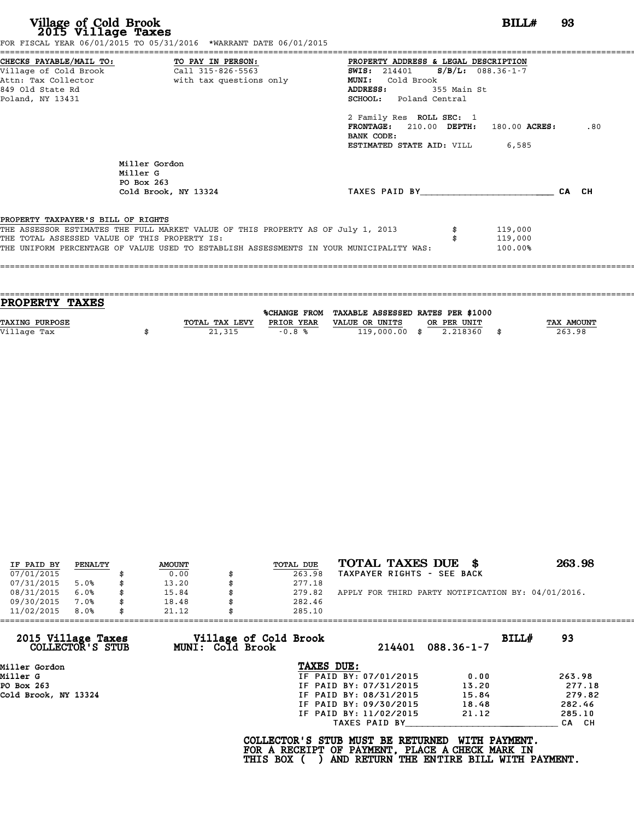|                                               | FOR FISCAL YEAR 06/01/2015 TO 05/31/2016 *WARRANT DATE 06/01/2015                       |                                        |             |         |     |
|-----------------------------------------------|-----------------------------------------------------------------------------------------|----------------------------------------|-------------|---------|-----|
|                                               | CHECKS PAYABLE/MAIL TO: TO PAY IN PERSON:                                               | PROPERTY ADDRESS & LEGAL DESCRIPTION   |             |         |     |
|                                               |                                                                                         | SWIS: $214401$ S/B/L: 088.36-1-7       |             |         |     |
|                                               | Attn: Tax Collector                       with tax questions only                       | Cold Brook<br><b>MUNI:</b>             |             |         |     |
| 849 Old State Rd                              |                                                                                         | ADDRESS:                               | 355 Main St |         |     |
| Poland, NY 13431                              |                                                                                         | <b>SCHOOL:</b> Poland Central          |             |         |     |
|                                               |                                                                                         | 2 Family Res ROLL SEC: 1               |             |         |     |
|                                               |                                                                                         | FRONTAGE: 210.00 DEPTH: 180.00 ACRES:  |             |         | .80 |
|                                               |                                                                                         | BANK CODE:                             |             |         |     |
|                                               |                                                                                         | <b>ESTIMATED STATE AID:</b> VILL 6,585 |             |         |     |
|                                               | Miller Gordon                                                                           |                                        |             |         |     |
|                                               | Miller G                                                                                |                                        |             |         |     |
|                                               | PO Box 263                                                                              |                                        |             |         |     |
|                                               | Cold Brook, NY 13324                                                                    | TAXES PAID BY CA CH                    |             |         |     |
| PROPERTY TAXPAYER'S BILL OF RIGHTS            |                                                                                         |                                        |             |         |     |
|                                               | THE ASSESSOR ESTIMATES THE FULL MARKET VALUE OF THIS PROPERTY AS OF July 1, 2013        |                                        |             | 119,000 |     |
| THE TOTAL ASSESSED VALUE OF THIS PROPERTY IS: |                                                                                         |                                        |             | 119,000 |     |
|                                               | THE UNIFORM PERCENTAGE OF VALUE USED TO ESTABLISH ASSESSMENTS IN YOUR MUNICIPALITY WAS: |                                        |             | 100.00% |     |

| PROPERTY TAXES        |                |            |                                                |             |                   |
|-----------------------|----------------|------------|------------------------------------------------|-------------|-------------------|
|                       |                |            | %CHANGE FROM TAXABLE ASSESSED RATES PER \$1000 |             |                   |
| <b>TAXING PURPOSE</b> | TOTAL TAX LEVY | PRIOR YEAR | VALUE OR UNITS                                 | OR PER UNIT | <b>TAX AMOUNT</b> |
| Village Tax           | 21,315         | $-0.8%$    | $119,000.00$ \$                                | 2.218360    | 263.98            |
|                       |                |            |                                                |             |                   |

| IF PAID BY | PENALTY | <b>AMOUNT</b> | <b>TOTAL DUE</b> | TOTAL TAXES DUE \$                                 | 263.98 |
|------------|---------|---------------|------------------|----------------------------------------------------|--------|
| 07/01/2015 |         | 0.00          | 263.98           | TAXPAYER RIGHTS - SEE BACK                         |        |
| 07/31/2015 | 5.0%    | \$<br>13.20   | 277.18           |                                                    |        |
| 08/31/2015 | 6.0%    | \$<br>15.84   | \$<br>279.82     | APPLY FOR THIRD PARTY NOTIFICATION BY: 04/01/2016. |        |
| 09/30/2015 | 7.0%    | \$<br>18.48   | 282.46           |                                                    |        |
| 11/02/2015 | 8.0%    | \$<br>21.12   | 285.10           |                                                    |        |

| 11/02/2015<br>8.0%                     | 21.12                                     | 285.10                                                                                             |                                                           |        |
|----------------------------------------|-------------------------------------------|----------------------------------------------------------------------------------------------------|-----------------------------------------------------------|--------|
| 2015 Village Taxes<br>COLLECTOR'S STUB | Village of Cold Brook<br>MUNI: Cold Brook | 214401                                                                                             | BILL#<br>088.36-1-7                                       | 93     |
| Miller Gordon                          |                                           | TAXES DUE:                                                                                         |                                                           |        |
| Miller G                               |                                           | IF PAID BY: 07/01/2015                                                                             | 0.00                                                      | 263.98 |
| PO Box 263                             |                                           | IF PAID BY: 07/31/2015                                                                             | 13.20                                                     | 277.18 |
| Cold Brook, NY 13324                   |                                           | IF PAID BY: 08/31/2015                                                                             | 15.84                                                     | 279.82 |
|                                        |                                           | IF PAID BY: 09/30/2015                                                                             | 18.48                                                     | 282.46 |
|                                        |                                           | IF PAID BY: 11/02/2015                                                                             | 21.12                                                     | 285.10 |
|                                        |                                           | TAXES PAID BY                                                                                      |                                                           | CA CH  |
|                                        |                                           | COLLECTOR'S STUB MUST BE RETURNED<br>FOR A RECEIPT OF PAYMENT, PLACE A CHECK MARK IN<br>THIS BOX ( | WITH PAYMENT.<br>AND RETURN THE ENTIRE BILL WITH PAYMENT. |        |
|                                        |                                           |                                                                                                    |                                                           |        |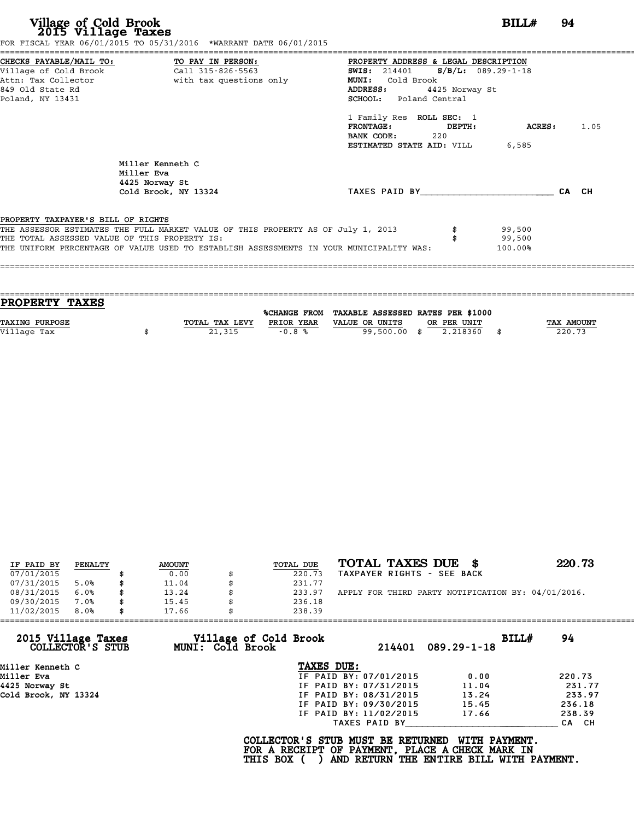|                                               |                                                                                  | PROPERTY ADDRESS & LEGAL DESCRIPTION                                                               |       |
|-----------------------------------------------|----------------------------------------------------------------------------------|----------------------------------------------------------------------------------------------------|-------|
|                                               |                                                                                  | <b>SWIS:</b> 214401 <b>S/B/L:</b> 089.29-1-18                                                      |       |
|                                               | Attn: Tax Collector and with tax questions only                                  | MUNI: Cold Brook                                                                                   |       |
| 849 Old State Rd                              |                                                                                  | ADDRESS:<br>4425 Norway St                                                                         |       |
| Poland, NY 13431                              |                                                                                  | SCHOOL: Poland Central                                                                             |       |
|                                               |                                                                                  | 1 Family Res ROLL SEC: 1                                                                           |       |
|                                               |                                                                                  | FRONTAGE: DEPTH:<br>ACRES:                                                                         | 1.05  |
|                                               |                                                                                  | BANK CODE: 220                                                                                     |       |
|                                               |                                                                                  | <b>ESTIMATED STATE AID:</b> VILL 6,585                                                             |       |
|                                               | Miller Kenneth C<br>Miller Eva<br>4425 Norway St                                 |                                                                                                    |       |
|                                               | Cold Brook, NY 13324                                                             | TAXES PAID BY                                                                                      | CA CH |
|                                               |                                                                                  |                                                                                                    |       |
| PROPERTY TAXPAYER'S BILL OF RIGHTS            |                                                                                  |                                                                                                    |       |
|                                               | THE ASSESSOR ESTIMATES THE FULL MARKET VALUE OF THIS PROPERTY AS OF July 1, 2013 | 99,500                                                                                             |       |
| THE TOTAL ASSESSED VALUE OF THIS PROPERTY IS: |                                                                                  | 99,500                                                                                             |       |
|                                               |                                                                                  | THE UNIFORM PERCENTAGE OF VALUE USED TO ESTABLISH ASSESSMENTS IN YOUR MUNICIPALITY WAS:<br>100.00% |       |

| <b>PROPERTY TAXES</b> |                |                     |                                   |             |      |            |
|-----------------------|----------------|---------------------|-----------------------------------|-------------|------|------------|
|                       |                | <b>%CHANGE FROM</b> | TAXABLE ASSESSED RATES PER \$1000 |             |      |            |
| <b>TAXING PURPOSE</b> | TOTAL TAX LEVY | PRIOR YEAR          | VALUE OR UNITS                    | OR PER UNIT |      | TAX AMOUNT |
| Village Tax           | 21,315         | $-0.8%$             | 99,500.00 \$                      | 2.218360    | - \$ | 220.73     |
|                       |                |                     |                                   |             |      |            |
|                       |                |                     |                                   |             |      |            |

| IF PAID BY | PENALTY | <b>AMOUNT</b> | TOTAL DUE | TOTAL TAXES DUE \$                                 | 220.73 |
|------------|---------|---------------|-----------|----------------------------------------------------|--------|
| 07/01/2015 |         | 0.00          | 220.73    | TAXPAYER RIGHTS - SEE BACK                         |        |
| 07/31/2015 | 5.0%    | 11.04         | 231.77    |                                                    |        |
| 08/31/2015 | 6.0%    | \$<br>13.24   | 233.97    | APPLY FOR THIRD PARTY NOTIFICATION BY: 04/01/2016. |        |
| 09/30/2015 | 7.0%    | \$<br>15.45   | 236.18    |                                                    |        |
| 11/02/2015 | 8.0%    | \$<br>17.66   | 238.39    |                                                    |        |

| 11/02/2015                             | 8.0% | 17.66 |                                           | 238.39                                                                                             |                        |                                                           |       |        |
|----------------------------------------|------|-------|-------------------------------------------|----------------------------------------------------------------------------------------------------|------------------------|-----------------------------------------------------------|-------|--------|
| 2015 Village Taxes<br>COLLECTOR'S STUB |      |       | Village of Cold Brook<br>MUNI: Cold Brook |                                                                                                    | 214401                 | $089.29 - 1 - 18$                                         | BILLH | 94     |
| Miller Kenneth C                       |      |       |                                           | TAXES DUE:                                                                                         |                        |                                                           |       |        |
| Miller Eva                             |      |       |                                           |                                                                                                    | IF PAID BY: 07/01/2015 | 0.00                                                      |       | 220.73 |
| 4425 Norway St                         |      |       |                                           |                                                                                                    | IF PAID BY: 07/31/2015 | 11.04                                                     |       | 231.77 |
| Cold Brook, NY 13324                   |      |       |                                           |                                                                                                    | IF PAID BY: 08/31/2015 | 13.24                                                     |       | 233.97 |
|                                        |      |       |                                           |                                                                                                    | IF PAID BY: 09/30/2015 | 15.45                                                     |       | 236.18 |
|                                        |      |       |                                           |                                                                                                    | IF PAID BY: 11/02/2015 | 17.66                                                     |       | 238.39 |
|                                        |      |       |                                           |                                                                                                    | TAXES PAID BY          |                                                           |       | CA CH  |
|                                        |      |       |                                           | COLLECTOR'S STUB MUST BE RETURNED<br>FOR A RECEIPT OF PAYMENT, PLACE A CHECK MARK IN<br>THIS BOX ( |                        | WITH PAYMENT.<br>AND RETURN THE ENTIRE BILL WITH PAYMENT. |       |        |
|                                        |      |       |                                           |                                                                                                    |                        |                                                           |       |        |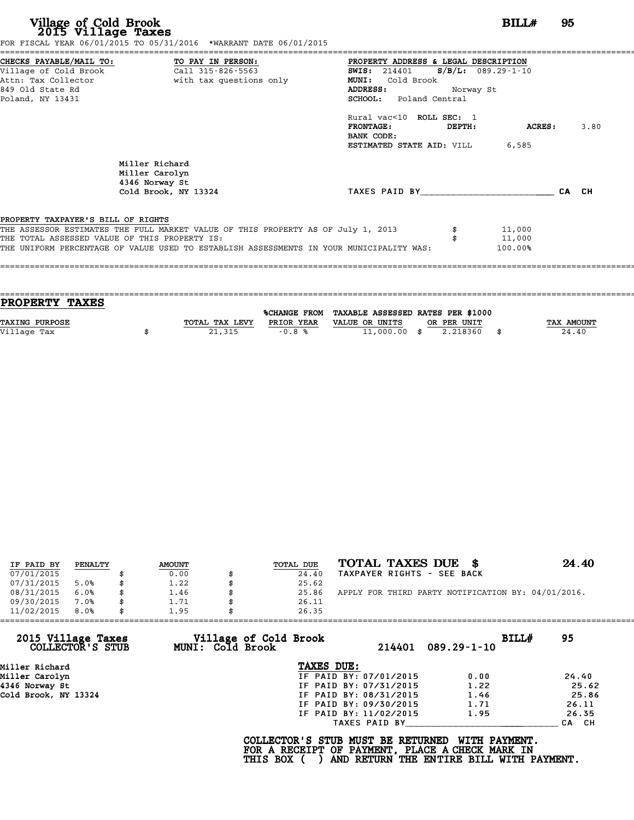| Village of Cold Brook<br>2015 Village Taxes   | FOR FISCAL YEAR 06/01/2015 TO 05/31/2016 *WARRANT DATE 06/01/2015                       | BILL#                                           | 95      |       |
|-----------------------------------------------|-----------------------------------------------------------------------------------------|-------------------------------------------------|---------|-------|
| CHECKS PAYABLE/MAIL TO:                       | TO PAY IN PERSON:                                                                       | PROPERTY ADDRESS & LEGAL DESCRIPTION            |         |       |
| Village of Cold Brook                         | Call 315-826-5563                                                                       | $S/B/L: 089.29 - 1 - 10$<br><b>SWIS:</b> 214401 |         |       |
| Attn: Tax Collector                           | with tax questions only                                                                 | <b>MUNI:</b><br>Cold Brook                      |         |       |
| 849 Old State Rd                              |                                                                                         | ADDRESS:<br>Norway St                           |         |       |
| Poland, NY 13431                              |                                                                                         | <b>SCHOOL:</b> Poland Central                   |         |       |
|                                               |                                                                                         | Rural vac<10 ROLL SEC: 1                        |         |       |
|                                               |                                                                                         | <b>FRONTAGE:</b><br>DEPTH:                      | ACRES : | 3.80  |
|                                               |                                                                                         | BANK CODE:                                      |         |       |
|                                               |                                                                                         | <b>ESTIMATED STATE AID:</b> VILL 6,585          |         |       |
|                                               | Miller Richard<br>Miller Carolyn<br>4346 Norway St                                      |                                                 |         |       |
|                                               | Cold Brook, NY 13324                                                                    | TAXES PAID BY                                   |         | CA CH |
| PROPERTY TAXPAYER'S BILL OF RIGHTS            |                                                                                         |                                                 |         |       |
|                                               | THE ASSESSOR ESTIMATES THE FULL MARKET VALUE OF THIS PROPERTY AS OF July 1, 2013        | 11,000                                          |         |       |
| THE TOTAL ASSESSED VALUE OF THIS PROPERTY IS: |                                                                                         | 11,000                                          |         |       |
|                                               | THE UNIFORM PERCENTAGE OF VALUE USED TO ESTABLISH ASSESSMENTS IN YOUR MUNICIPALITY WAS: | 100.00%                                         |         |       |

| PROPERTY TAXES                                                                         |                   |
|----------------------------------------------------------------------------------------|-------------------|
| %CHANGE FROM TAXABLE ASSESSED RATES PER \$1000                                         |                   |
|                                                                                        |                   |
| <b>TAXING PURPOSE</b><br>TOTAL TAX LEVY<br>PRIOR YEAR<br>VALUE OR UNITS<br>OR PER UNIT | <b>TAX AMOUNT</b> |
| Village Tax<br>2.218360<br>$11,000.00$ \$<br>21,315<br>$-0.8%$                         | 24.40             |
|                                                                                        |                   |

| IF PAID BY | PENALTY | <b>AMOUNT</b> | TOTAL DUE | TOTAL TAXES DUE<br>- 8                             | 24.40 |
|------------|---------|---------------|-----------|----------------------------------------------------|-------|
| 07/01/2015 |         | 0.00          | 24.40     | TAXPAYER RIGHTS - SEE BACK                         |       |
| 07/31/2015 | 5.0%    | 1.22          | 25.62     |                                                    |       |
| 08/31/2015 | 6.0%    | 1.46          | 25.86     | APPLY FOR THIRD PARTY NOTIFICATION BY: 04/01/2016. |       |
| 09/30/2015 | 7.0%    | 1.71          | 26.11     |                                                    |       |
| 11/02/2015 | 8.0%    | 1.95          | 26.35     |                                                    |       |

| 11/02/2015<br>8.0%                     | 1.95                                      | 26.35                                                                                              |                                                           |       |
|----------------------------------------|-------------------------------------------|----------------------------------------------------------------------------------------------------|-----------------------------------------------------------|-------|
| 2015 Village Taxes<br>COLLECTOR'S STUB | Village of Cold Brook<br>MUNI: Cold Brook | 214401                                                                                             | BILL#<br>$089.29 - 1 - 10$                                | 95    |
| Miller Richard                         |                                           | TAXES DUE:                                                                                         |                                                           |       |
| Miller Carolyn                         |                                           | IF PAID BY: 07/01/2015                                                                             | 0.00                                                      | 24.40 |
| 4346 Norway St                         |                                           | IF PAID BY: 07/31/2015                                                                             | 1.22                                                      | 25.62 |
| Cold Brook, NY 13324                   |                                           | IF PAID BY: 08/31/2015                                                                             | 1.46                                                      | 25.86 |
|                                        |                                           | IF PAID BY: 09/30/2015                                                                             | 1.71                                                      | 26.11 |
|                                        |                                           | IF PAID BY: 11/02/2015                                                                             | 1.95                                                      | 26.35 |
|                                        |                                           | TAXES PAID BY                                                                                      |                                                           | CA CH |
|                                        |                                           | COLLECTOR'S STUB MUST BE RETURNED<br>FOR A RECEIPT OF PAYMENT, PLACE A CHECK MARK IN<br>THIS BOX ( | WITH PAYMENT.<br>AND RETURN THE ENTIRE BILL WITH PAYMENT. |       |
|                                        |                                           |                                                                                                    |                                                           |       |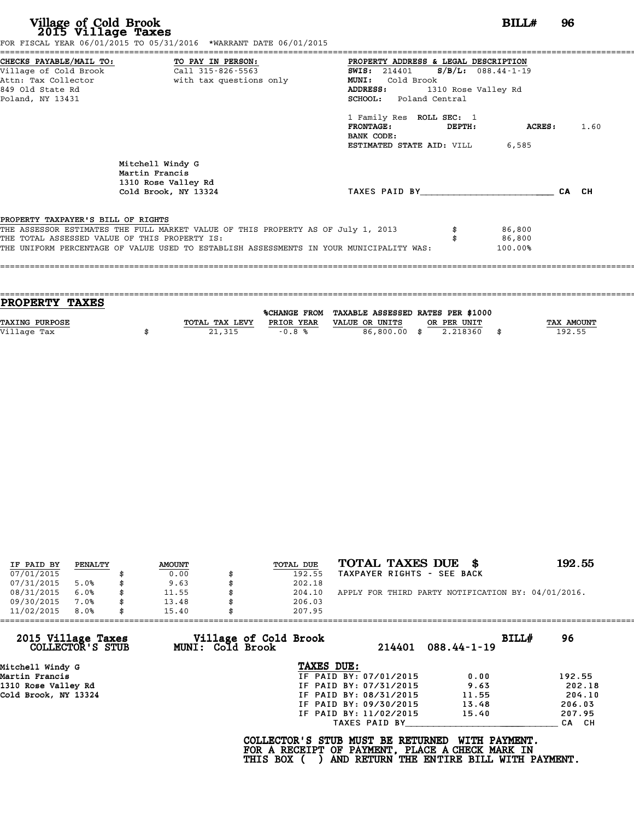|                                    | FOR FISCAL YEAR 06/01/2015 TO 05/31/2016 *WARRANT DATE 06/01/2015                |                                                                                         |                     |         |       |      |
|------------------------------------|----------------------------------------------------------------------------------|-----------------------------------------------------------------------------------------|---------------------|---------|-------|------|
|                                    | CHECKS PAYABLE/MAIL TO: TO PAY IN PERSON:                                        | PROPERTY ADDRESS & LEGAL DESCRIPTION                                                    |                     |         |       |      |
|                                    | Village of Cold Brook Call 315-826-5563                                          | <b>SWIS:</b> 214401 <b>S/B/L:</b> 088.44-1-19                                           |                     |         |       |      |
|                                    | Attn: Tax Collector <b>and South Contains</b> with tax questions only            | MUNI: Cold Brook                                                                        |                     |         |       |      |
| 849 Old State Rd                   |                                                                                  | <b>ADDRESS:</b>                                                                         | 1310 Rose Valley Rd |         |       |      |
| Poland, NY 13431                   |                                                                                  | SCHOOL: Poland Central                                                                  |                     |         |       |      |
|                                    |                                                                                  | 1 Family Res ROLL SEC: 1                                                                |                     |         |       |      |
|                                    |                                                                                  | $\tt FRONTAGE:$                                                                         | DEPTH:              | ACRES : |       | 1.60 |
|                                    |                                                                                  | BANK CODE:                                                                              |                     |         |       |      |
|                                    |                                                                                  | <b>ESTIMATED STATE AID:</b> VILL 6,585                                                  |                     |         |       |      |
|                                    | Mitchell Windy G<br>Martin Francis                                               |                                                                                         |                     |         |       |      |
|                                    | 1310 Rose Valley Rd<br>Cold Brook, NY 13324                                      | TAXES PAID BY TAXES                                                                     |                     |         | CA CH |      |
|                                    |                                                                                  |                                                                                         |                     |         |       |      |
| PROPERTY TAXPAYER'S BILL OF RIGHTS |                                                                                  |                                                                                         |                     |         |       |      |
|                                    | THE ASSESSOR ESTIMATES THE FULL MARKET VALUE OF THIS PROPERTY AS OF July 1, 2013 |                                                                                         |                     | 86,800  |       |      |
|                                    | THE TOTAL ASSESSED VALUE OF THIS PROPERTY IS:                                    |                                                                                         |                     | 86,800  |       |      |
|                                    |                                                                                  | THE UNIFORM PERCENTAGE OF VALUE USED TO ESTABLISH ASSESSMENTS IN YOUR MUNICIPALITY WAS: |                     | 100.00% |       |      |

| TOTAL TAX LEVY | PRIOR YEAR | VALUE OR UNITS | OR PER UNIT |                                                                | <b>TAX AMOUNT</b> |
|----------------|------------|----------------|-------------|----------------------------------------------------------------|-------------------|
|                |            |                | 2.218360    |                                                                | 192.55            |
|                |            |                |             |                                                                |                   |
|                | 21,315     | $-0.8%$        |             | %CHANGE FROM TAXABLE ASSESSED RATES PER \$1000<br>86,800.00 \$ |                   |

| IF PAID BY | PENALTY | <b>AMOUNT</b> |   | TOTAL DUE | TOTAL TAXES DUE \$                                 | 192.55 |
|------------|---------|---------------|---|-----------|----------------------------------------------------|--------|
| 07/01/2015 |         | 0.00          |   | 192.55    | TAXPAYER RIGHTS - SEE BACK                         |        |
| 07/31/2015 | 5.0%    | \$<br>9.63    |   | 202.18    |                                                    |        |
| 08/31/2015 | 6.0%    | \$<br>11.55   | S | 204.10    | APPLY FOR THIRD PARTY NOTIFICATION BY: 04/01/2016. |        |
| 09/30/2015 | 7.0%    | \$<br>13.48   |   | 206.03    |                                                    |        |
| 11/02/2015 | 8.0%    | \$<br>15.40   |   | 207.95    |                                                    |        |

| 11/02/2015                             | 8.0% | 15.40 |                  | 207.95                                                                                             |                        |                                                           |       |        |
|----------------------------------------|------|-------|------------------|----------------------------------------------------------------------------------------------------|------------------------|-----------------------------------------------------------|-------|--------|
| 2015 Village Taxes<br>COLLECTOR'S STUB |      |       | MUNI: Cold Brook | Village of Cold Brook                                                                              | 214401                 | $088.44 - 1 - 19$                                         | BILL# | 96     |
| Mitchell Windy G                       |      |       |                  | TAXES DUE:                                                                                         |                        |                                                           |       |        |
| Martin Francis                         |      |       |                  |                                                                                                    | IF PAID BY: 07/01/2015 | 0.00                                                      |       | 192.55 |
| 1310 Rose Valley Rd                    |      |       |                  |                                                                                                    | IF PAID BY: 07/31/2015 | 9.63                                                      |       | 202.18 |
| Cold Brook, NY 13324                   |      |       |                  |                                                                                                    | IF PAID BY: 08/31/2015 | 11.55                                                     |       | 204.10 |
|                                        |      |       |                  |                                                                                                    | IF PAID BY: 09/30/2015 | 13.48                                                     |       | 206.03 |
|                                        |      |       |                  |                                                                                                    | IF PAID BY: 11/02/2015 | 15.40                                                     |       | 207.95 |
|                                        |      |       |                  |                                                                                                    | TAXES PAID BY          |                                                           |       | CA CH  |
|                                        |      |       |                  | COLLECTOR'S STUB MUST BE RETURNED<br>FOR A RECEIPT OF PAYMENT, PLACE A CHECK MARK IN<br>THIS BOX ( |                        | WITH PAYMENT.<br>AND RETURN THE ENTIRE BILL WITH PAYMENT. |       |        |
|                                        |      |       |                  |                                                                                                    |                        |                                                           |       |        |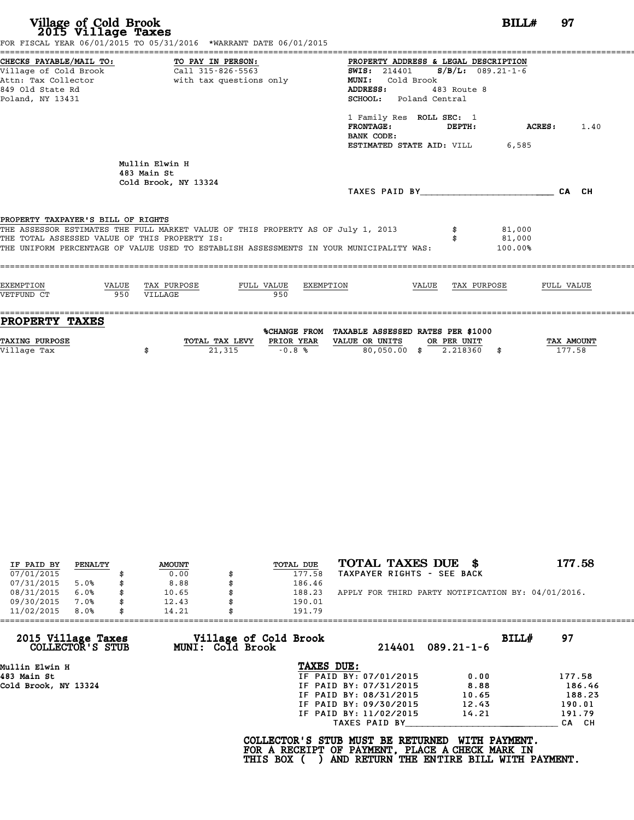| Village of Cold Brook<br>2015 Village Taxes<br>FOR FISCAL YEAR 06/01/2015 TO 05/31/2016 *WARRANT DATE 06/01/2015                                                                                                                                                   |     |                                                       |                         |                                                                                                                              |               |                   | $BILLH$ 97                  |            |                          |
|--------------------------------------------------------------------------------------------------------------------------------------------------------------------------------------------------------------------------------------------------------------------|-----|-------------------------------------------------------|-------------------------|------------------------------------------------------------------------------------------------------------------------------|---------------|-------------------|-----------------------------|------------|--------------------------|
| CHECKS PAYABLE/MAIL TO: TO PAY IN PERSON:<br>Village of Cold Brook Call 315-826-5563<br>Attn: Tax Collector<br>849 Old State Rd<br>Poland, NY 13431                                                                                                                |     |                                                       | with tax questions only | PROPERTY ADDRESS & LEGAL DESCRIPTION<br><b>SWIS:</b> 214401<br>MUNI: Cold Brook<br>ADDRESS:<br><b>SCHOOL:</b> Poland Central |               | 483 Route 8       | $S/B/L: 089.21 - 1 - 6$     |            |                          |
|                                                                                                                                                                                                                                                                    |     |                                                       |                         | 1 Family Res ROLL SEC: 1<br><b>FRONTAGE:</b><br>BANK CODE:<br><b>ESTIMATED STATE AID:</b> VILL 6,585                         | <b>DEPTH:</b> |                   | <b>ACRES:</b> 1.40          |            |                          |
|                                                                                                                                                                                                                                                                    |     | Mullin Elwin H<br>483 Main St<br>Cold Brook, NY 13324 |                         |                                                                                                                              |               |                   | TAXES PAID BY CA CH         |            |                          |
| PROPERTY TAXPAYER'S BILL OF RIGHTS<br>THE ASSESSOR ESTIMATES THE FULL MARKET VALUE OF THIS PROPERTY AS OF July 1, 2013<br>THE TOTAL ASSESSED VALUE OF THIS PROPERTY IS:<br>THE UNIFORM PERCENTAGE OF VALUE USED TO ESTABLISH ASSESSMENTS IN YOUR MUNICIPALITY WAS: |     |                                                       |                         |                                                                                                                              |               |                   | 81,000<br>81,000<br>100.00% |            |                          |
| EXEMPTION<br>VETFUND CT                                                                                                                                                                                                                                            | 950 | VALUE TAX PURPOSE<br>VILLAGE                          | FULL VALUE<br>950       | EXEMPTION                                                                                                                    |               | VALUE TAX PURPOSE |                             | FULL VALUE |                          |
| <b>PROPERTY TAXES</b>                                                                                                                                                                                                                                              |     |                                                       |                         | %CHANGE FROM TAXABLE ASSESSED RATES PER \$1000                                                                               |               |                   |                             |            |                          |
| <b>TAVIMA</b> DIIPDOCP                                                                                                                                                                                                                                             |     |                                                       |                         | חדותו סיסס סרו החדותו כתים המוזוגות המוסיס של המוסים והחרשות החדות                                                           |               |                   |                             |            | <b><i>MAY AMOUNT</i></b> |

| PROPERTY TAXES        |                |            |                                                |             |            |
|-----------------------|----------------|------------|------------------------------------------------|-------------|------------|
|                       |                |            | %CHANGE FROM TAXABLE ASSESSED RATES PER \$1000 |             |            |
| <b>TAXING PURPOSE</b> | TOTAL TAX LEVY | PRIOR YEAR | VALUE OR UNITS                                 | OR PER UNIT | TAX AMOUNT |
| Village Tax           | 21,315         | $-0.8%$    | 80.050.00 \$                                   | 2.218360    | 177.58     |

| IF PAID BY | PENALTY | <b>AMOUNT</b> | TOTAL DUE | TOTAL TAXES DUE<br>- 8                             | 177.58 |
|------------|---------|---------------|-----------|----------------------------------------------------|--------|
| 07/01/2015 |         | 0.00          | 177.58    | TAXPAYER RIGHTS - SEE BACK                         |        |
| 07/31/2015 | 5.0%    | 8.88          | 186.46    |                                                    |        |
| 08/31/2015 | 6.0%    | \$<br>10.65   | 188.23    | APPLY FOR THIRD PARTY NOTIFICATION BY: 04/01/2016. |        |
| 09/30/2015 | 7.0%    | 12.43         | 190.01    |                                                    |        |
| 11/02/2015 | 8.0%    | 14.21         | 191.79    |                                                    |        |

| 11/02/2015<br>8.0%                     | 14.21            | 191.79                          |                           |        |
|----------------------------------------|------------------|---------------------------------|---------------------------|--------|
| 2015 Village Taxes<br>COLLECTOR'S STUB | MUNI: Cold Brook | Village of Cold Brook<br>214401 | BILL#<br>$089.21 - 1 - 6$ | 97     |
| Mullin Elwin H                         |                  | TAXES DUE:                      |                           |        |
| 483 Main St                            |                  | IF PAID BY: 07/01/2015          | 0.00                      | 177.58 |
| Cold Brook, NY 13324                   |                  | IF PAID BY: 07/31/2015          | 8.88                      | 186.46 |
|                                        |                  | IF PAID BY: 08/31/2015          | 10.65                     | 188.23 |
|                                        |                  | IF PAID BY: 09/30/2015          | 12.43                     | 190.01 |
|                                        |                  | IF PAID BY: 11/02/2015          | 14.21                     | 191.79 |
|                                        |                  | TAXES PAID BY                   |                           | CA CH  |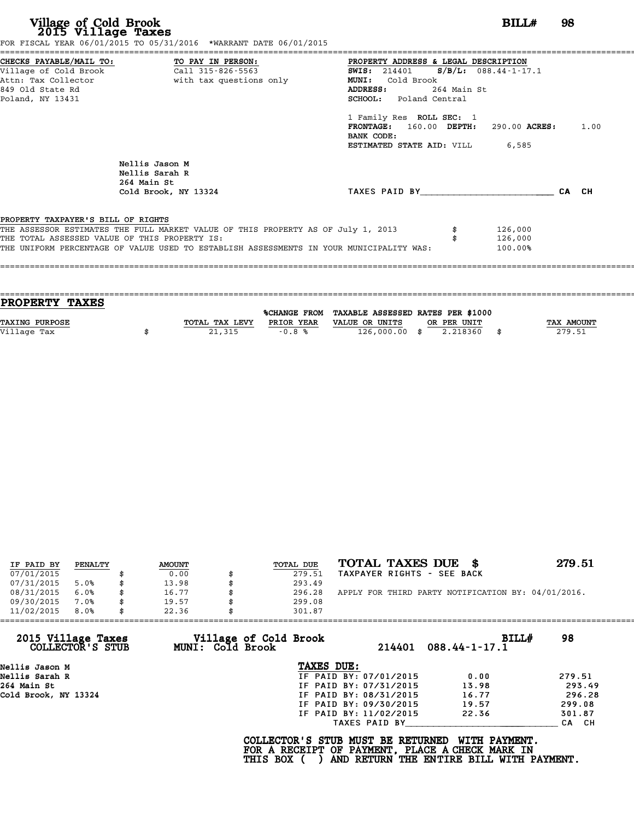|                                               | FOR FISCAL YEAR 06/01/2015 TO 05/31/2016 *WARRANT DATE 06/01/2015                       |                                                 |             |         |       |      |
|-----------------------------------------------|-----------------------------------------------------------------------------------------|-------------------------------------------------|-------------|---------|-------|------|
|                                               | CHECKS PAYABLE/MAIL TO: TO PAY IN PERSON:                                               | PROPERTY ADDRESS & LEGAL DESCRIPTION            |             |         |       |      |
|                                               |                                                                                         | <b>SWIS:</b> 214401 <b>S/B/L:</b> 088.44-1-17.1 |             |         |       |      |
|                                               | Attn: Tax Collector                       with tax questions only                       | MUNI: Cold Brook                                |             |         |       |      |
| 849 Old State Rd                              |                                                                                         | <b>ADDRESS:</b>                                 | 264 Main St |         |       |      |
| Poland, NY 13431                              |                                                                                         | SCHOOL: Poland Central                          |             |         |       |      |
|                                               |                                                                                         | 1 Family Res ROLL SEC: 1                        |             |         |       |      |
|                                               |                                                                                         | FRONTAGE: 160.00 DEPTH: 290.00 ACRES:           |             |         |       | 1.00 |
|                                               |                                                                                         | BANK CODE:                                      |             |         |       |      |
|                                               |                                                                                         | <b>ESTIMATED STATE AID:</b> VILL 6,585          |             |         |       |      |
|                                               | Nellis Jason M<br>Nellis Sarah R                                                        |                                                 |             |         |       |      |
|                                               | 264 Main St<br>Cold Brook, NY 13324                                                     | TAXES PAID BY TAXES                             |             |         | CA CH |      |
|                                               |                                                                                         |                                                 |             |         |       |      |
| PROPERTY TAXPAYER'S BILL OF RIGHTS            |                                                                                         |                                                 |             |         |       |      |
|                                               | THE ASSESSOR ESTIMATES THE FULL MARKET VALUE OF THIS PROPERTY AS OF July 1, 2013        |                                                 |             | 126,000 |       |      |
| THE TOTAL ASSESSED VALUE OF THIS PROPERTY IS: |                                                                                         |                                                 |             | 126,000 |       |      |
|                                               | THE UNIFORM PERCENTAGE OF VALUE USED TO ESTABLISH ASSESSMENTS IN YOUR MUNICIPALITY WAS: |                                                 |             | 100.00% |       |      |
|                                               |                                                                                         |                                                 |             |         |       |      |
|                                               |                                                                                         |                                                 |             |         |       |      |

| PROPERTY TAXES |                |            |                                                |             |                   |
|----------------|----------------|------------|------------------------------------------------|-------------|-------------------|
|                |                |            |                                                |             |                   |
|                |                |            | %CHANGE FROM TAXABLE ASSESSED RATES PER \$1000 |             |                   |
| TAXING PURPOSE | TOTAL TAX LEVY | PRIOR YEAR | VALUE OR UNITS                                 | OR PER UNIT | <b>TAX AMOUNT</b> |
| Village Tax    | 21,315         | $-0.8%$    | 126,000.00 \$                                  | 2.218360    | 279.51            |
|                |                |            |                                                |             |                   |

| IF PAID BY | PENALTY | <b>AMOUNT</b> | TOTAL DUE | TOTAL TAXES DUE \$                                 | 279.51 |
|------------|---------|---------------|-----------|----------------------------------------------------|--------|
| 07/01/2015 |         | 0.00          | 279.51    | TAXPAYER RIGHTS - SEE BACK                         |        |
| 07/31/2015 | 5.0%    | \$<br>13.98   | 293.49    |                                                    |        |
| 08/31/2015 | 6.0%    | \$<br>16.77   | 296.28    | APPLY FOR THIRD PARTY NOTIFICATION BY: 04/01/2016. |        |
| 09/30/2015 | 7.0%    | \$<br>19.57   | 299.08    |                                                    |        |
| 11/02/2015 | 8.0%    | \$<br>22.36   | 301.87    |                                                    |        |

| 2015 Village Taxes<br>COLLECTOR'S STUB | Village of Cold Brook<br><b>MUNI: Cold Brook</b> |                        | BILLH<br>214401 088.44-1-17.1 | 98     |
|----------------------------------------|--------------------------------------------------|------------------------|-------------------------------|--------|
| Nellis Jason M                         |                                                  | TAXES DUE:             |                               |        |
| Nellis Sarah R                         |                                                  | IF PAID BY: 07/01/2015 | 0.00                          | 279.51 |
| 264 Main St                            |                                                  | IF PAID BY: 07/31/2015 | 13.98                         | 293.49 |
| Cold Brook, NY 13324                   |                                                  | IF PAID BY: 08/31/2015 | 16.77                         | 296.28 |
|                                        |                                                  | IF PAID BY: 09/30/2015 | 19.57                         | 299.08 |
|                                        |                                                  | IF PAID BY: 11/02/2015 | 22.36                         | 301.87 |
|                                        |                                                  | TAXES PAID BY          |                               | CA CH  |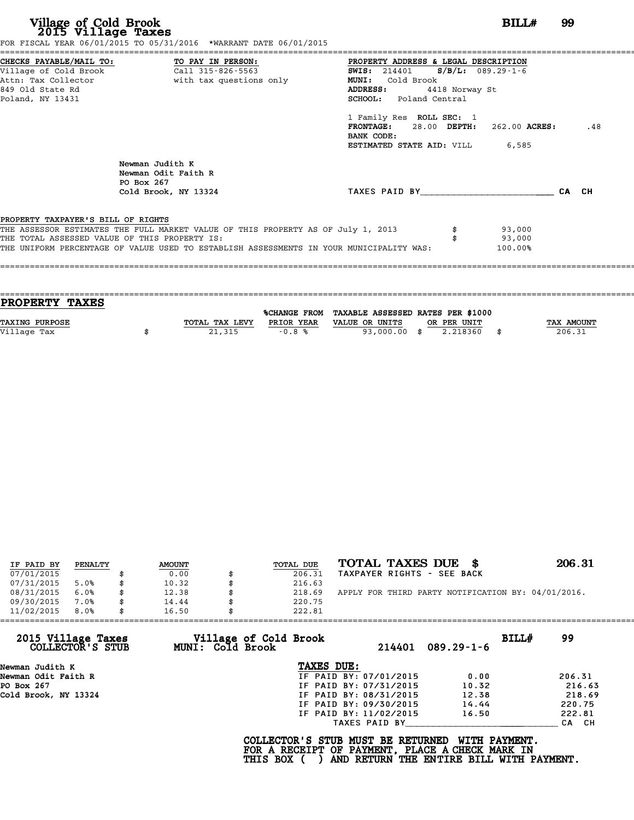|                                                                    |                                                                                  | PROPERTY ADDRESS & LEGAL DESCRIPTION                          |                |                  |     |
|--------------------------------------------------------------------|----------------------------------------------------------------------------------|---------------------------------------------------------------|----------------|------------------|-----|
| CHECKS PAYABLE/MAIL TO: TO PAY IN PERSON:<br>Village of Cold Brook | Call 315-826-5563                                                                | <b>SWIS:</b> 214401 <b>S/B/L:</b> 089.29-1-6                  |                |                  |     |
|                                                                    |                                                                                  | <b>MUNI:</b><br>Cold Brook                                    |                |                  |     |
| 849 Old State Rd                                                   |                                                                                  | ADDRESS:                                                      | 4418 Norway St |                  |     |
| Poland, NY 13431                                                   |                                                                                  | SCHOOL: Poland Central                                        |                |                  |     |
|                                                                    |                                                                                  | 1 Family Res ROLL SEC: 1                                      |                |                  |     |
|                                                                    |                                                                                  | $\texttt{FRONTAGE:}$ 28.00 DEPTH: 262.00 ACRES:<br>BANK CODE: |                |                  | .48 |
|                                                                    |                                                                                  | <b>ESTIMATED STATE AID: VILL 6,585</b>                        |                |                  |     |
|                                                                    |                                                                                  |                                                               |                |                  |     |
|                                                                    | Newman Judith K<br>Newman Odit Faith R<br>PO Box 267                             |                                                               |                |                  |     |
|                                                                    | Cold Brook, NY 13324                                                             | TAXES PAID BY <b>CA</b> CH                                    |                |                  |     |
|                                                                    |                                                                                  |                                                               |                |                  |     |
| PROPERTY TAXPAYER'S BILL OF RIGHTS                                 |                                                                                  |                                                               |                |                  |     |
| THE TOTAL ASSESSED VALUE OF THIS PROPERTY IS:                      | THE ASSESSOR ESTIMATES THE FULL MARKET VALUE OF THIS PROPERTY AS OF July 1, 2013 |                                                               |                | 93,000<br>93,000 |     |

| %CHANGE FROM                 | TAXABLE ASSESSED RATES PER \$1000 |              |          |            |
|------------------------------|-----------------------------------|--------------|----------|------------|
| TOTAL TAX LEVY<br>PRIOR YEAR | VALUE OR UNITS                    | OR PER UNIT  |          | TAX AMOUNT |
|                              |                                   |              | - \$     | 206.31     |
|                              | 21,315<br>$-0.8%$                 | 93,000.00 \$ | 2.218360 |            |

| IF PAID BY | PENALTY | <b>AMOUNT</b> | TOTAL DUE | TOTAL TAXES DUE \$                                 | 206.31 |
|------------|---------|---------------|-----------|----------------------------------------------------|--------|
| 07/01/2015 |         | 0.00          | 206.31    | TAXPAYER RIGHTS - SEE BACK                         |        |
| 07/31/2015 | 5.0%    | 10.32         | 216.63    |                                                    |        |
| 08/31/2015 | 6.0%    | \$<br>12.38   | 218.69    | APPLY FOR THIRD PARTY NOTIFICATION BY: 04/01/2016. |        |
| 09/30/2015 | 7.0%    | \$<br>14.44   | 220.75    |                                                    |        |
| 11/02/2015 | 8.0%    | \$<br>16.50   | 222.81    |                                                    |        |

| Village of Cold Brook |        |                                                                                                                                                               |                                                    |
|-----------------------|--------|---------------------------------------------------------------------------------------------------------------------------------------------------------------|----------------------------------------------------|
| MUNI: Cold Brook      | 214401 | $089.29 - 1 - 6$                                                                                                                                              | BILL#<br>99                                        |
|                       |        |                                                                                                                                                               |                                                    |
|                       |        | 0.00                                                                                                                                                          | 206.31                                             |
|                       |        | 10.32                                                                                                                                                         | 216.63                                             |
|                       |        | 12.38                                                                                                                                                         | 218.69                                             |
|                       |        | 14.44                                                                                                                                                         | 220.75                                             |
|                       |        | 16.50                                                                                                                                                         | 222.81                                             |
|                       |        |                                                                                                                                                               | CA CH                                              |
|                       |        | TAXES DUE:<br>IF PAID BY: 07/01/2015<br>IF PAID BY: 07/31/2015<br>IF PAID BY: 08/31/2015<br>IF PAID BY: 09/30/2015<br>IF PAID BY: 11/02/2015<br>TAXES PAID BY | COLLECTOR'S STUB MUST BE RETURNED<br>WITH PAYMENT. |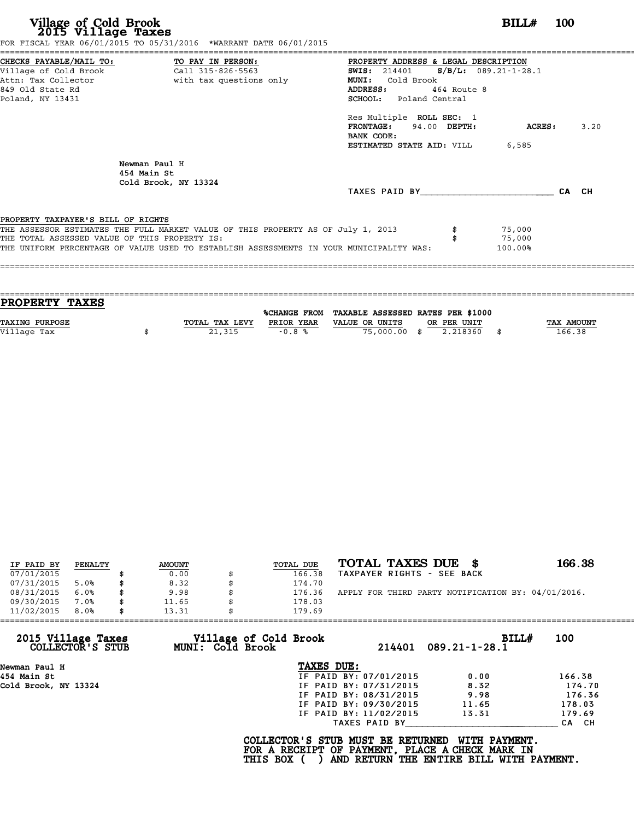|                                               | FOR FISCAL YEAR 06/01/2015 TO 05/31/2016 *WARRANT DATE 06/01/2015                       |                                                 |                     |      |
|-----------------------------------------------|-----------------------------------------------------------------------------------------|-------------------------------------------------|---------------------|------|
|                                               | CHECKS PAYABLE/MAIL TO: TO PAY IN PERSON:                                               | PROPERTY ADDRESS & LEGAL DESCRIPTION            |                     |      |
|                                               |                                                                                         | <b>SWIS:</b> 214401 <b>S/B/L:</b> 089.21-1-28.1 |                     |      |
|                                               | Attn: Tax Collector and a with tax questions only                                       | Cold Brook<br><b>MUNI:</b>                      |                     |      |
| 849 Old State Rd                              |                                                                                         | ADDRESS: 464 Route 8                            |                     |      |
| Poland, NY 13431                              |                                                                                         | <b>SCHOOL:</b> Poland Central                   |                     |      |
|                                               |                                                                                         | Res Multiple ROLL SEC: 1                        |                     |      |
|                                               |                                                                                         | <b>FRONTAGE:</b>                                | 94.00 DEPTH: ACRES: | 3.20 |
|                                               |                                                                                         | BANK CODE:                                      |                     |      |
|                                               |                                                                                         | <b>ESTIMATED STATE AID: VILL 6,585</b>          |                     |      |
|                                               | Newman Paul H<br>454 Main St<br>Cold Brook, NY 13324                                    |                                                 |                     |      |
|                                               |                                                                                         | TAXES PAID BY CA CH                             |                     |      |
|                                               |                                                                                         |                                                 |                     |      |
| PROPERTY TAXPAYER'S BILL OF RIGHTS            |                                                                                         |                                                 |                     |      |
|                                               | THE ASSESSOR ESTIMATES THE FULL MARKET VALUE OF THIS PROPERTY AS OF July 1, 2013        |                                                 | 75,000              |      |
| THE TOTAL ASSESSED VALUE OF THIS PROPERTY IS: |                                                                                         |                                                 | 75,000              |      |
|                                               | THE UNIFORM PERCENTAGE OF VALUE USED TO ESTABLISH ASSESSMENTS IN YOUR MUNICIPALITY WAS: |                                                 | 100.00%             |      |
|                                               |                                                                                         |                                                 |                     |      |

|                           |                                                |            |                | PROPERTY TAXES        |
|---------------------------|------------------------------------------------|------------|----------------|-----------------------|
|                           |                                                |            |                |                       |
|                           | %CHANGE FROM TAXABLE ASSESSED RATES PER \$1000 |            |                |                       |
| TAX AMOUNT<br>OR PER UNIT | VALUE OR UNITS                                 | PRIOR YEAR | TOTAL TAX LEVY | <b>TAXING PURPOSE</b> |
|                           |                                                |            |                |                       |
|                           |                                                |            |                |                       |
| 166.38<br>2.218360        | 75,000,00 \$                                   | $-0.8%$    | 21,315         | Village Tax           |

| IF PAID BY | PENALTY | <b>AMOUNT</b> | <b>TOTAL DUE</b> | TOTAL TAXES DUE<br>- 86                            | 166.38 |
|------------|---------|---------------|------------------|----------------------------------------------------|--------|
| 07/01/2015 |         | 0.00          | 166.38           | TAXPAYER RIGHTS - SEE BACK                         |        |
| 07/31/2015 | 5.0%    | \$<br>8.32    | 174.70           |                                                    |        |
| 08/31/2015 | 6.0%    | \$<br>9.98    | 176.36           | APPLY FOR THIRD PARTY NOTIFICATION BY: 04/01/2016. |        |
| 09/30/2015 | 7.0%    | \$<br>11.65   | 178.03           |                                                    |        |
| 11/02/2015 | 8.0%    | \$<br>13.31   | 179.69           |                                                    |        |

| 11/02/2015                             | 8.0% | 13.31 |                         | 179.69                                          |                        |                                                                                                              |        |
|----------------------------------------|------|-------|-------------------------|-------------------------------------------------|------------------------|--------------------------------------------------------------------------------------------------------------|--------|
| 2015 Village Taxes<br>COLLECTOR'S STUB |      |       | <b>MUNI: Cold Brook</b> | Village of Cold Brook                           |                        | BILL#<br>$214401$ 089.21-1-28.1                                                                              | 100    |
| Newman Paul H                          |      |       |                         | TAXES DUE:                                      |                        |                                                                                                              |        |
| 454 Main St                            |      |       |                         |                                                 | IF PAID BY: 07/01/2015 | 0.00                                                                                                         | 166.38 |
| Cold Brook, NY 13324                   |      |       |                         |                                                 | IF PAID BY: 07/31/2015 | 8.32                                                                                                         | 174.70 |
|                                        |      |       |                         |                                                 | IF PAID BY: 08/31/2015 | 9.98                                                                                                         | 176.36 |
|                                        |      |       |                         |                                                 | IF PAID BY: 09/30/2015 | 11.65                                                                                                        | 178.03 |
|                                        |      |       |                         |                                                 | IF PAID BY: 11/02/2015 | 13.31                                                                                                        | 179.69 |
|                                        |      |       |                         |                                                 | TAXES PAID BY          |                                                                                                              | CA CH  |
|                                        |      |       |                         | COLLECTOR'S STUB MUST BE RETURNED<br>THIS BOX ( |                        | WITH PAYMENT.<br>FOR A RECEIPT OF PAYMENT, PLACE A CHECK MARK IN<br>AND RETURN THE ENTIRE BILL WITH PAYMENT. |        |
|                                        |      |       |                         |                                                 |                        |                                                                                                              |        |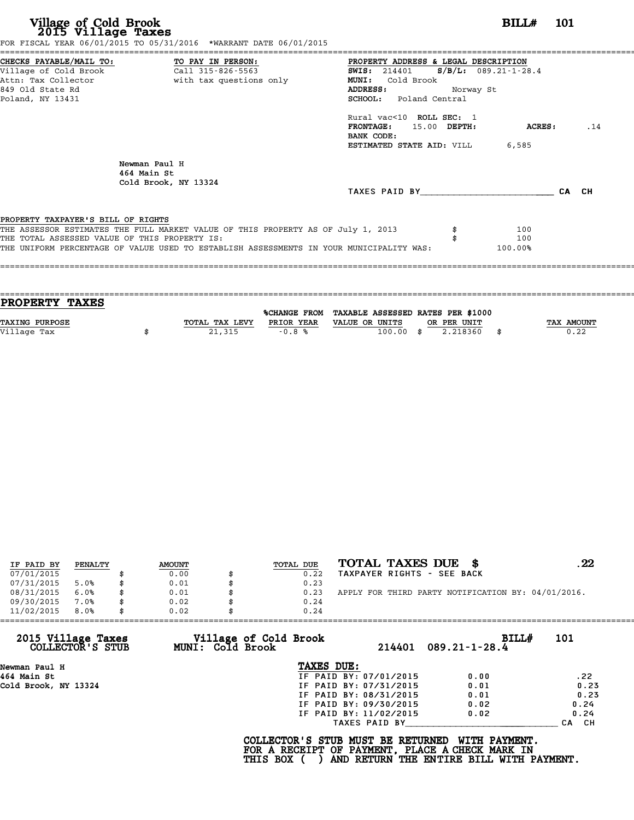| Village of Cold Brook<br>2015 Village Taxes<br>FOR FISCAL YEAR 06/01/2015 TO 05/31/2016 *WARRANT DATE 06/01/2015                                                                                                                                                   | <b>BILL#</b> 101                                                                                                                                 |
|--------------------------------------------------------------------------------------------------------------------------------------------------------------------------------------------------------------------------------------------------------------------|--------------------------------------------------------------------------------------------------------------------------------------------------|
| CHECKS PAYABLE/MAIL TO:<br>TO PAY IN PERSON:<br>Village of Cold Brook<br>Call 315-826-5563<br>with tax questions only<br>Attn: Tax Collector<br>849 Old State Rd<br>Poland, NY 13431                                                                               | PROPERTY ADDRESS & LEGAL DESCRIPTION<br>SWIS: 214401 S/B/L: 089.21-1-28.4<br>MUNI: Cold Brook<br>ADDRESS:<br>Norway St<br>SCHOOL: Poland Central |
|                                                                                                                                                                                                                                                                    | Rural vac<10 ROLL SEC: 1<br>FRONTAGE: 15.00 DEPTH:<br>ACRES:<br>.14<br>BANK CODE:<br><b>ESTIMATED STATE AID:</b> VILL 6,585                      |
| Newman Paul H<br>464 Main St<br>Cold Brook, NY 13324                                                                                                                                                                                                               | TAXES PAID BY TAXES<br>CA CH                                                                                                                     |
| PROPERTY TAXPAYER'S BILL OF RIGHTS<br>THE ASSESSOR ESTIMATES THE FULL MARKET VALUE OF THIS PROPERTY AS OF July 1, 2013<br>THE TOTAL ASSESSED VALUE OF THIS PROPERTY IS:<br>THE UNIFORM PERCENTAGE OF VALUE USED TO ESTABLISH ASSESSMENTS IN YOUR MUNICIPALITY WAS: | 100<br>100<br>100.00%                                                                                                                            |

| PROPERTY TAXES        |                |            |                                                |             |            |
|-----------------------|----------------|------------|------------------------------------------------|-------------|------------|
|                       |                |            | %CHANGE FROM TAXABLE ASSESSED RATES PER \$1000 |             |            |
| <b>TAXING PURPOSE</b> | TOTAL TAX LEVY | PRIOR YEAR | VALUE OR UNITS                                 | OR PER UNIT | TAX AMOUNT |
| Village Tax           | 21,315         | $-0.8%$    | $100.00$ \$                                    | 2.218360    | 0.22       |
|                       |                |            |                                                |             |            |
|                       |                |            |                                                |             |            |

| IF PAID BY | PENALTY |    | <b>AMOUNT</b> | TOTAL DUE | TOTAL TAXES DUE \$                                 | 22 |
|------------|---------|----|---------------|-----------|----------------------------------------------------|----|
| 07/01/2015 |         |    | 0.00          | 0.22      | TAXPAYER RIGHTS - SEE BACK                         |    |
| 07/31/2015 | 5.0%    | S  | 0.01          | 0.23      |                                                    |    |
| 08/31/2015 | 6.0%    | \$ | 0.01          | 0.23      | APPLY FOR THIRD PARTY NOTIFICATION BY: 04/01/2016. |    |
| 09/30/2015 | 7.0%    | \$ | 0.02          | 0.24      |                                                    |    |
| 11/02/2015 | 8.0%    | \$ | 0.02          | 0.24      |                                                    |    |

| 11/02/2015<br>8.0%                     | 0.02                                      | 0.24                                                                                 |                                                           |                  |
|----------------------------------------|-------------------------------------------|--------------------------------------------------------------------------------------|-----------------------------------------------------------|------------------|
| 2015 Village Taxes<br>COLLECTOR'S STUB | Village of Cold Brook<br>MUNI: Cold Brook |                                                                                      | <b>BILL#</b><br>$214401$ 089.21-1-28.4                    | 101              |
| Newman Paul H                          |                                           | TAXES DUE:                                                                           |                                                           |                  |
| 464 Main St                            |                                           | IF PAID BY: 07/01/2015                                                               | 0.00                                                      | .22              |
| Cold Brook, NY 13324                   |                                           | IF PAID BY: 07/31/2015                                                               | 0.01                                                      | 0.23             |
|                                        |                                           | IF PAID BY: 08/31/2015                                                               | 0.01                                                      | 0.23             |
|                                        |                                           | IF PAID BY: 09/30/2015                                                               | 0.02                                                      | 0.24             |
|                                        |                                           | IF PAID BY: 11/02/2015                                                               | 0.02                                                      | 0.24             |
|                                        |                                           | TAXES PAID BY                                                                        |                                                           | CH.<br><b>CA</b> |
|                                        | <b>THIS BOX (</b>                         | COLLECTOR'S STUB MUST BE RETURNED<br>FOR A RECEIPT OF PAYMENT, PLACE A CHECK MARK IN | WITH PAYMENT.<br>AND RETURN THE ENTIRE BILL WITH PAYMENT. |                  |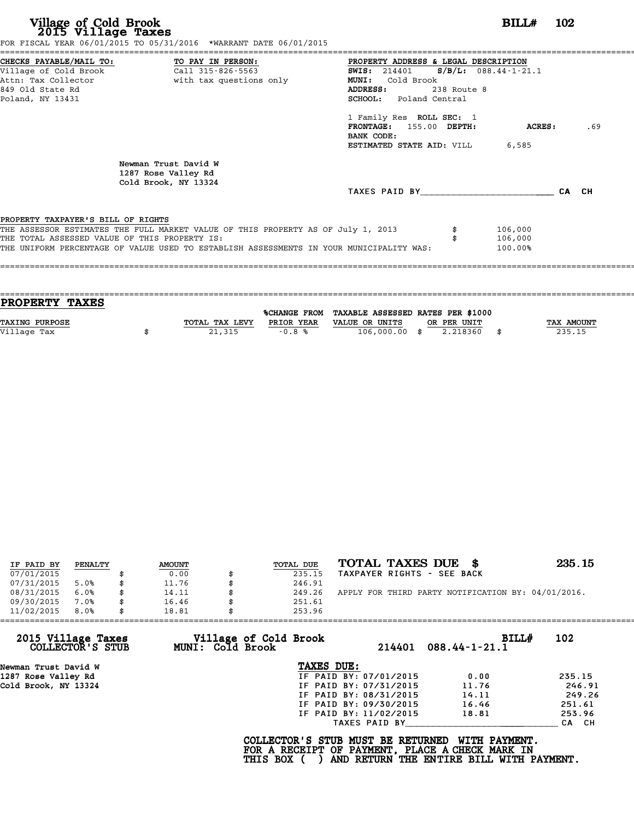|                                               | FOR FISCAL YEAR 06/01/2015 TO 05/31/2016 *WARRANT DATE 06/01/2015                       |                                                 |               |     |
|-----------------------------------------------|-----------------------------------------------------------------------------------------|-------------------------------------------------|---------------|-----|
|                                               | CHECKS PAYABLE/MAIL TO: TO PAY IN PERSON:                                               | PROPERTY ADDRESS & LEGAL DESCRIPTION            |               |     |
|                                               |                                                                                         | <b>SWIS:</b> 214401 <b>S/B/L:</b> 088.44-1-21.1 |               |     |
|                                               | Attn: Tax Collector and a with tax questions only                                       | Cold Brook<br><b>MUNI:</b>                      |               |     |
| 849 Old State Rd                              |                                                                                         | ADDRESS:<br>238 Route 8                         |               |     |
| Poland, NY 13431                              |                                                                                         | <b>SCHOOL:</b> Poland Central                   |               |     |
|                                               |                                                                                         | 1 Family Res ROLL SEC: 1                        |               |     |
|                                               |                                                                                         | FRONTAGE: 155.00 DEPTH:                         | <b>ACRES:</b> | .69 |
|                                               |                                                                                         | BANK CODE:                                      |               |     |
|                                               |                                                                                         | ESTIMATED STATE AID: VILL                       | 6,585         |     |
|                                               | Newman Trust David W<br>1287 Rose Valley Rd<br>Cold Brook, NY 13324                     |                                                 |               |     |
|                                               |                                                                                         | TAXES PAID BY CA CH                             |               |     |
| PROPERTY TAXPAYER'S BILL OF RIGHTS            |                                                                                         |                                                 |               |     |
|                                               | THE ASSESSOR ESTIMATES THE FULL MARKET VALUE OF THIS PROPERTY AS OF July 1, 2013        |                                                 | 106,000       |     |
| THE TOTAL ASSESSED VALUE OF THIS PROPERTY IS: |                                                                                         |                                                 | 106,000       |     |
|                                               | THE UNIFORM PERCENTAGE OF VALUE USED TO ESTABLISH ASSESSMENTS IN YOUR MUNICIPALITY WAS: |                                                 | 100.00%       |     |
|                                               |                                                                                         |                                                 |               |     |
|                                               |                                                                                         |                                                 |               |     |

| PROPERTY TAXES        |                |                     |                                   |             |            |
|-----------------------|----------------|---------------------|-----------------------------------|-------------|------------|
|                       |                |                     |                                   |             |            |
|                       |                | <b>%CHANGE FROM</b> | TAXABLE ASSESSED RATES PER \$1000 |             |            |
| <b>TAXING PURPOSE</b> | TOTAL TAX LEVY | PRIOR YEAR          | VALUE OR UNITS                    | OR PER UNIT | TAX AMOUNT |
| Village Tax           | 21,315         | $-0.8%$             | $106,000.00$ \$                   | 2.218360    | 235.15     |
|                       |                |                     |                                   |             |            |

| IF PAID BY | PENALTY | <b>AMOUNT</b> | TOTAL DUE | TOTAL TAXES DUE \$                                 | 235.15 |
|------------|---------|---------------|-----------|----------------------------------------------------|--------|
| 07/01/2015 |         | 0.00          | 235.15    | TAXPAYER RIGHTS - SEE BACK                         |        |
| 07/31/2015 | 5.0%    | \$<br>11.76   | 246.91    |                                                    |        |
| 08/31/2015 | 6.0%    | \$<br>14.11   | 249.26    | APPLY FOR THIRD PARTY NOTIFICATION BY: 04/01/2016. |        |
| 09/30/2015 | 7.0%    | \$<br>16.46   | 251.61    |                                                    |        |
| 11/02/2015 | 8.0%    | \$<br>18.81   | 253.96    |                                                    |        |

| 11/02/2015           | 8.0%             | 18.81 |                         | 253.96                                          |                        |                                                                                                              |              |        |
|----------------------|------------------|-------|-------------------------|-------------------------------------------------|------------------------|--------------------------------------------------------------------------------------------------------------|--------------|--------|
| 2015 Village Taxes   | COLLECTOR'S STUB |       | <b>MUNI: Cold Brook</b> | Village of Cold Brook                           | 214401                 | $088.44 - 1 - 21.1$                                                                                          | BILL#<br>102 |        |
| Newman Trust David W |                  |       |                         | TAXES DUE:                                      |                        |                                                                                                              |              |        |
| 1287 Rose Valley Rd  |                  |       |                         |                                                 | IF PAID BY: 07/01/2015 | 0.00                                                                                                         | 235.15       |        |
| Cold Brook, NY 13324 |                  |       |                         |                                                 | IF PAID BY: 07/31/2015 | 11.76                                                                                                        |              | 246.91 |
|                      |                  |       |                         |                                                 | IF PAID BY: 08/31/2015 | 14.11                                                                                                        |              | 249.26 |
|                      |                  |       |                         |                                                 | IF PAID BY: 09/30/2015 | 16.46                                                                                                        | 251.61       |        |
|                      |                  |       |                         |                                                 | IF PAID BY: 11/02/2015 | 18.81                                                                                                        | 253.96       |        |
|                      |                  |       |                         |                                                 | TAXES PAID BY          |                                                                                                              |              | CA CH  |
|                      |                  |       |                         | COLLECTOR'S STUB MUST BE RETURNED<br>THIS BOX ( |                        | WITH PAYMENT.<br>FOR A RECEIPT OF PAYMENT, PLACE A CHECK MARK IN<br>AND RETURN THE ENTIRE BILL WITH PAYMENT. |              |        |
|                      |                  |       |                         |                                                 |                        |                                                                                                              |              |        |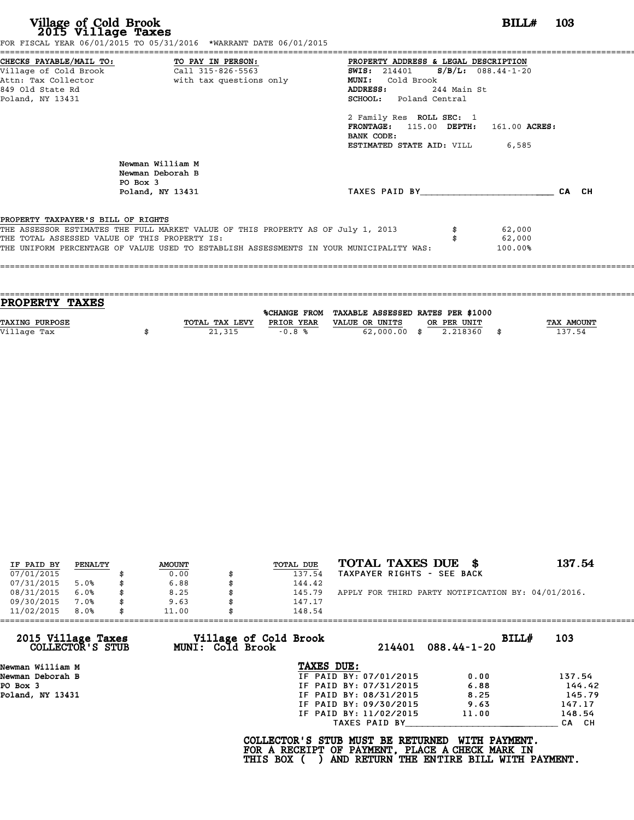| Village of Cold Brook<br>2015 Village Taxes                                                                                                         | FOR FISCAL YEAR 06/01/2015 TO 05/31/2016 *WARRANT DATE 06/01/2015                                                                                                           |                                                                                                                                                                 | BILL#                       | - 103 |
|-----------------------------------------------------------------------------------------------------------------------------------------------------|-----------------------------------------------------------------------------------------------------------------------------------------------------------------------------|-----------------------------------------------------------------------------------------------------------------------------------------------------------------|-----------------------------|-------|
| CHECKS PAYABLE/MAIL TO: TO PAY IN PERSON:<br>Village of Cold Brook Call 315-826-5563<br>Attn: Tax Collector<br>849 Old State Rd<br>Poland, NY 13431 | with tax questions only                                                                                                                                                     | PROPERTY ADDRESS & LEGAL DESCRIPTION<br>SWIS: $214401$ S/B/L: $088.44 - 1 - 20$<br>MUNI: Cold Brook<br>244 Main St<br>ADDRESS:<br><b>SCHOOL:</b> Poland Central |                             |       |
|                                                                                                                                                     |                                                                                                                                                                             | 2 Family Res ROLL SEC: 1<br>FRONTAGE: 115.00 DEPTH: 161.00 ACRES:<br>BANK CODE:<br><b>ESTIMATED STATE AID:</b> VILL 6,585                                       |                             |       |
| PO Box 3                                                                                                                                            | Newman William M<br>Newman Deborah B<br>Poland, NY 13431                                                                                                                    | TAXES PAID BY CA CH                                                                                                                                             |                             |       |
| PROPERTY TAXPAYER'S BILL OF RIGHTS<br>THE TOTAL ASSESSED VALUE OF THIS PROPERTY IS:                                                                 | THE ASSESSOR ESTIMATES THE FULL MARKET VALUE OF THIS PROPERTY AS OF July 1, 2013<br>THE UNIFORM PERCENTAGE OF VALUE USED TO ESTABLISH ASSESSMENTS IN YOUR MUNICIPALITY WAS: |                                                                                                                                                                 | 62,000<br>62,000<br>100.00% |       |

| PROPERTY TAXES        |                |            |                                                |             |                   |
|-----------------------|----------------|------------|------------------------------------------------|-------------|-------------------|
|                       |                |            | %CHANGE FROM TAXABLE ASSESSED RATES PER \$1000 |             |                   |
| <b>TAXING PURPOSE</b> | TOTAL TAX LEVY | PRIOR YEAR | VALUE OR UNITS                                 | OR PER UNIT | <b>TAX AMOUNT</b> |
|                       |                |            |                                                |             |                   |
| Village Tax           | 21,315         | $-0.8%$    | $62,000.00$ \$                                 | 2.218360    | 137.54            |
|                       |                |            |                                                |             |                   |

| IF PAID BY | PENALTY | <b>AMOUNT</b> |   | TOTAL DUE | TOTAL TAXES DUE \$                                 | 137.54 |
|------------|---------|---------------|---|-----------|----------------------------------------------------|--------|
| 07/01/2015 |         | 0.00          |   | 137.54    | TAXPAYER RIGHTS - SEE BACK                         |        |
| 07/31/2015 | 5.0%    | \$<br>6.88    |   | 144.42    |                                                    |        |
| 08/31/2015 | 6.0%    | \$<br>8.25    | S | 145.79    | APPLY FOR THIRD PARTY NOTIFICATION BY: 04/01/2016. |        |
| 09/30/2015 | 7.0%    | \$<br>9.63    |   | 147.17    |                                                    |        |
| 11/02/2015 | 8.0%    | \$<br>11.00   |   | 148.54    |                                                    |        |

| 11/02/2015<br>8.0%                     | 11.00 |                                                  | 148.54                                                                                             |                        |                                                           |       |        |
|----------------------------------------|-------|--------------------------------------------------|----------------------------------------------------------------------------------------------------|------------------------|-----------------------------------------------------------|-------|--------|
| 2015 Village Taxes<br>COLLECTOR'S STUB |       | Village of Cold Brook<br><b>MUNI: Cold Brook</b> |                                                                                                    | 214401                 | $088.44 - 1 - 20$                                         | BILL# | 103    |
| Newman William M                       |       |                                                  | TAXES DUE:                                                                                         |                        |                                                           |       |        |
| Newman Deborah B                       |       |                                                  |                                                                                                    | IF PAID BY: 07/01/2015 | 0.00                                                      |       | 137.54 |
| PO Box 3                               |       |                                                  |                                                                                                    | IF PAID BY: 07/31/2015 | 6.88                                                      |       | 144.42 |
| Poland, NY 13431                       |       |                                                  |                                                                                                    | IF PAID BY: 08/31/2015 | 8.25                                                      |       | 145.79 |
|                                        |       |                                                  |                                                                                                    | IF PAID BY: 09/30/2015 | 9.63                                                      |       | 147.17 |
|                                        |       |                                                  |                                                                                                    | IF PAID BY: 11/02/2015 | 11.00                                                     |       | 148.54 |
|                                        |       |                                                  |                                                                                                    | TAXES PAID BY          |                                                           |       | CA CH  |
|                                        |       |                                                  | COLLECTOR'S STUB MUST BE RETURNED<br>FOR A RECEIPT OF PAYMENT, PLACE A CHECK MARK IN<br>THIS BOX ( |                        | WITH PAYMENT.<br>AND RETURN THE ENTIRE BILL WITH PAYMENT. |       |        |
|                                        |       |                                                  |                                                                                                    |                        |                                                           |       |        |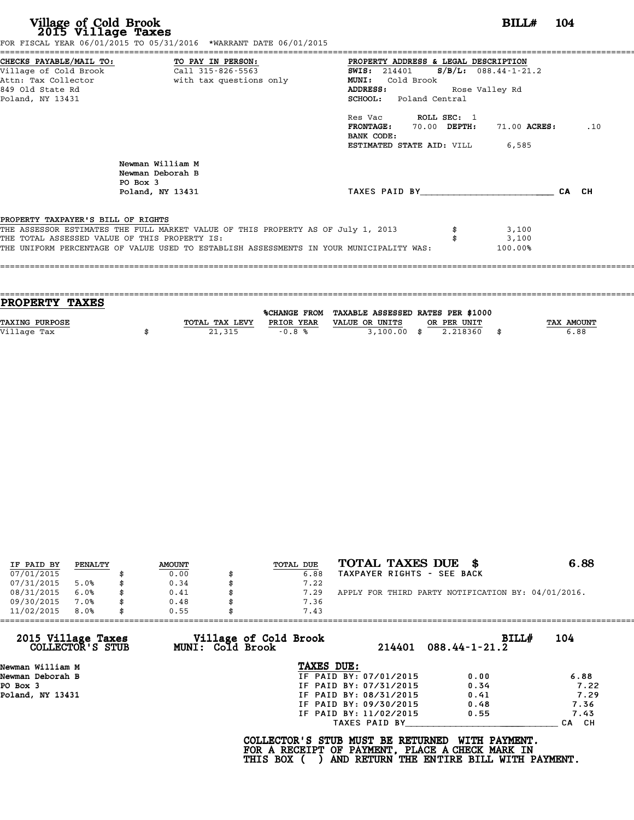**Village of Cold Brook**<br> **2015 Village Taxes**<br>
FOR FISCAL YEAR 06/31/2016 TO 05/31/2016 \*WARRANT DATE 06/01/2015<br> **POR FISCAL YEAR 06/01/2015** 

|                                                                                     | CHECKS PAYABLE/MAIL TO: TO PAY IN PERSON:                                               | PROPERTY ADDRESS & LEGAL DESCRIPTION   |                  |       |
|-------------------------------------------------------------------------------------|-----------------------------------------------------------------------------------------|----------------------------------------|------------------|-------|
| Village of Cold Brook                                                               | Call 315-826-5563                                                                       | SWIS: $214401$ S/B/L: 088.44-1-21.2    |                  |       |
|                                                                                     |                                                                                         | MUNI: Cold Brook                       |                  |       |
| 849 Old State Rd                                                                    |                                                                                         | Rose Valley Rd<br>ADDRESS:             |                  |       |
| Poland, NY 13431                                                                    |                                                                                         | SCHOOL: Poland Central                 |                  |       |
|                                                                                     |                                                                                         | Res Vac ROLL SEC: 1                    |                  |       |
|                                                                                     |                                                                                         | FRONTAGE: 70.00 DEPTH:                 | 71.00 ACRES:     | .10   |
|                                                                                     |                                                                                         | BANK CODE:                             |                  |       |
|                                                                                     |                                                                                         | <b>ESTIMATED STATE AID:</b> VILL 6,585 |                  |       |
|                                                                                     | Newman William M<br>Newman Deborah B<br>PO Box 3                                        |                                        |                  |       |
|                                                                                     |                                                                                         |                                        |                  |       |
|                                                                                     | Poland, NY 13431                                                                        | TAXES PAID BY                          |                  | CA CH |
|                                                                                     |                                                                                         |                                        |                  |       |
|                                                                                     |                                                                                         |                                        |                  |       |
|                                                                                     | THE ASSESSOR ESTIMATES THE FULL MARKET VALUE OF THIS PROPERTY AS OF July 1, 2013        |                                        | 3,100            |       |
| PROPERTY TAXPAYER'S BILL OF RIGHTS<br>THE TOTAL ASSESSED VALUE OF THIS PROPERTY IS: | THE UNIFORM PERCENTAGE OF VALUE USED TO ESTABLISH ASSESSMENTS IN YOUR MUNICIPALITY WAS: |                                        | 3,100<br>100.00% |       |

| PROPERTY TAXES        |                |              |                                   |             |      |                   |
|-----------------------|----------------|--------------|-----------------------------------|-------------|------|-------------------|
|                       |                |              |                                   |             |      |                   |
|                       |                | %CHANGE FROM | TAXABLE ASSESSED RATES PER \$1000 |             |      |                   |
| <b>TAXING PURPOSE</b> | TOTAL TAX LEVY | PRIOR YEAR   | VALUE OR UNITS                    | OR PER UNIT |      | <b>TAX AMOUNT</b> |
| Village Tax           | 21,315         | $-0.8%$      | $3,100.00$ \$                     | 2.218360    | - \$ | 6.88              |
|                       |                |              |                                   |             |      |                   |
|                       |                |              |                                   |             |      |                   |

| IF PAID BY | PENALTY | <b>AMOUNT</b> | TOTAL DUE | TOTAL TAXES DUE \$                                 | 6.88 |
|------------|---------|---------------|-----------|----------------------------------------------------|------|
| 07/01/2015 |         | 0.00          | 6.88      | TAXPAYER RIGHTS - SEE BACK                         |      |
| 07/31/2015 | 5.0%    | \$<br>0.34    | 7.22      |                                                    |      |
| 08/31/2015 | 6.0%    | \$<br>0.41    | 7.29      | APPLY FOR THIRD PARTY NOTIFICATION BY: 04/01/2016. |      |
| 09/30/2015 | 7.0%    | \$<br>0.48    | 7.36      |                                                    |      |
| 11/02/2015 | 8.0%    | \$<br>0.55    | 7.43      |                                                    |      |

| 11/02/2015<br>8.0%                     | 0.55                                             | 7.43                                                                                 |                                                           |                  |
|----------------------------------------|--------------------------------------------------|--------------------------------------------------------------------------------------|-----------------------------------------------------------|------------------|
| 2015 Village Taxes<br>COLLECTOR'S STUB | Village of Cold Brook<br><b>MUNI: Cold Brook</b> | 214401                                                                               | <b>BILL#</b><br>$088.44 - 1 - 21.2$                       | 104              |
| Newman William M                       |                                                  | TAXES DUE:                                                                           |                                                           |                  |
| Newman Deborah B                       |                                                  | IF PAID BY: 07/01/2015                                                               | 0.00                                                      | 6.88             |
| PO Box 3                               |                                                  | IF PAID BY: 07/31/2015                                                               | 0.34                                                      | 7.22             |
| Poland, NY 13431                       |                                                  | IF PAID BY: 08/31/2015                                                               | 0.41                                                      | 7.29             |
|                                        |                                                  | IF PAID BY: 09/30/2015                                                               | 0.48                                                      | 7.36             |
|                                        |                                                  | IF PAID BY: 11/02/2015                                                               | 0.55                                                      | 7.43             |
|                                        |                                                  | TAXES PAID BY                                                                        |                                                           | CH.<br><b>CA</b> |
|                                        | THIS BOX (                                       | COLLECTOR'S STUB MUST BE RETURNED<br>FOR A RECEIPT OF PAYMENT, PLACE A CHECK MARK IN | WITH PAYMENT.<br>AND RETURN THE ENTIRE BILL WITH PAYMENT. |                  |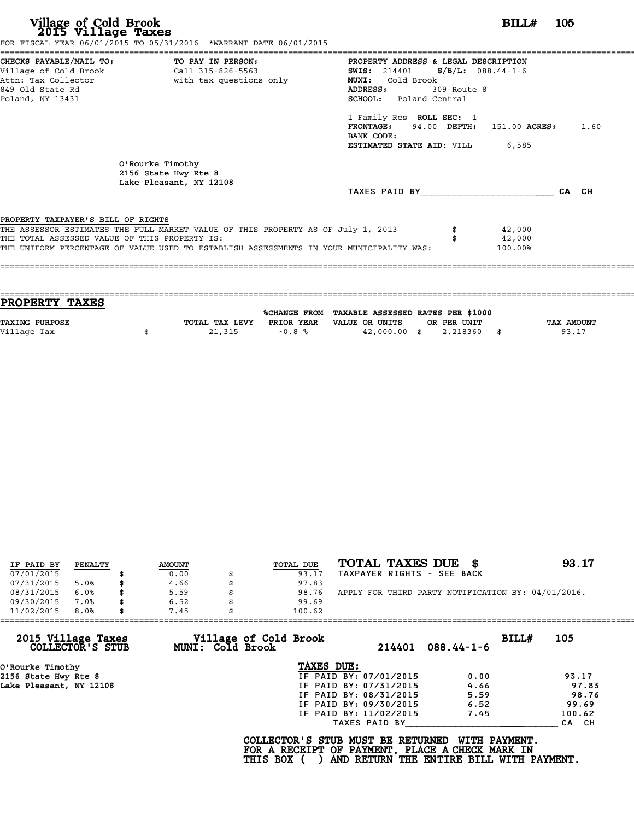**Village of Cold Brook**<br> **2015 Village Taxes**<br>
FOR FISCAL YEAR 06/31/2016 TO 05/31/2015<br> **POR FISCAL YEAR 06/01/2015**<br> **POR FISCAL YEAR 06/01/2015** 

|                                               | FOR FISCAL YEAR 06/01/2015 TO 05/31/2016 *WARRANT DATE 06/01/2015                       |                                              |             |         |      |
|-----------------------------------------------|-----------------------------------------------------------------------------------------|----------------------------------------------|-------------|---------|------|
| CHECKS PAYABLE/MAIL TO: TO PAY IN PERSON:     |                                                                                         | PROPERTY ADDRESS & LEGAL DESCRIPTION         |             |         |      |
|                                               |                                                                                         | <b>SWIS:</b> 214401 <b>S/B/L:</b> 088.44-1-6 |             |         |      |
|                                               | Attn: Tax Collector                         with tax questions only                     | <b>MUNI:</b><br>Cold Brook                   |             |         |      |
| 849 Old State Rd                              |                                                                                         | ADDRESS:                                     | 309 Route 8 |         |      |
| Poland, NY 13431                              |                                                                                         | SCHOOL: Poland Central                       |             |         |      |
|                                               |                                                                                         | 1 Family Res ROLL SEC: 1                     |             |         |      |
|                                               |                                                                                         | FRONTAGE: 94.00 DEPTH: 151.00 ACRES:         |             |         | 1.60 |
|                                               |                                                                                         | BANK CODE:                                   |             |         |      |
|                                               |                                                                                         | <b>ESTIMATED STATE AID:</b> VILL 6,585       |             |         |      |
|                                               | O'Rourke Timothy<br>2156 State Hwy Rte 8<br>Lake Pleasant, NY 12108                     |                                              |             |         |      |
|                                               |                                                                                         | TAXES PAID BY CA CH                          |             |         |      |
|                                               |                                                                                         |                                              |             |         |      |
| PROPERTY TAXPAYER'S BILL OF RIGHTS            |                                                                                         |                                              |             |         |      |
|                                               | THE ASSESSOR ESTIMATES THE FULL MARKET VALUE OF THIS PROPERTY AS OF July 1, 2013        |                                              |             | 42,000  |      |
| THE TOTAL ASSESSED VALUE OF THIS PROPERTY IS: |                                                                                         |                                              |             | 42,000  |      |
|                                               | THE UNIFORM PERCENTAGE OF VALUE USED TO ESTABLISH ASSESSMENTS IN YOUR MUNICIPALITY WAS: |                                              |             | 100.00% |      |
|                                               |                                                                                         |                                              |             |         |      |
|                                               |                                                                                         |                                              |             |         |      |

| <b>PROPERTY TAXES</b>                                                                                       |  |
|-------------------------------------------------------------------------------------------------------------|--|
| %CHANGE FROM TAXABLE ASSESSED RATES PER \$1000                                                              |  |
|                                                                                                             |  |
| <b>TAX AMOUNT</b><br><b>TAXING PURPOSE</b><br>TOTAL TAX LEVY<br>PRIOR YEAR<br>VALUE OR UNITS<br>OR PER UNIT |  |
| 93.17<br>Village Tax<br>42,000.00 \$<br>2.218360<br>21,315<br>$-0.8%$                                       |  |
|                                                                                                             |  |

|            |         |               |           | TOTAL TAXES DUE \$                                 | 93.17 |
|------------|---------|---------------|-----------|----------------------------------------------------|-------|
| IF PAID BY | PENALTY | <b>AMOUNT</b> | TOTAL DUE |                                                    |       |
| 07/01/2015 |         | 0.00          | 93.17     | TAXPAYER RIGHTS - SEE BACK                         |       |
| 07/31/2015 | 5.0%    | 4.66          | 97.83     |                                                    |       |
| 08/31/2015 | 6.0%    | 5.59          | 98.76     | APPLY FOR THIRD PARTY NOTIFICATION BY: 04/01/2016. |       |
| 09/30/2015 | 7.0%    | 6.52          | 99.69     |                                                    |       |
| 11/02/2015 | 8.0%    | 7.45          | 100.62    |                                                    |       |

| 11/02/2015                             | 8.0% | 7.45 | 100.62                                          |            |                        |                                                                                             |                      |        |
|----------------------------------------|------|------|-------------------------------------------------|------------|------------------------|---------------------------------------------------------------------------------------------|----------------------|--------|
| 2015 Village Taxes<br>COLLECTOR'S STUB |      |      | Village of Cold Brook<br>MUNI: Cold Brook       |            | 214401                 | $088.44 - 1 - 6$                                                                            | BILLH                | 105    |
| O'Rourke Timothy                       |      |      |                                                 | TAXES DUE: |                        |                                                                                             |                      |        |
| 2156 State Hwy Rte 8                   |      |      |                                                 |            | IF PAID BY: 07/01/2015 | 0.00                                                                                        |                      | 93.17  |
| Lake Pleasant, NY 12108                |      |      |                                                 |            | IF PAID BY: 07/31/2015 | 4.66                                                                                        |                      | 97.83  |
|                                        |      |      |                                                 |            | IF PAID BY: 08/31/2015 | 5.59                                                                                        |                      | 98.76  |
|                                        |      |      |                                                 |            | IF PAID BY: 09/30/2015 | 6.52                                                                                        |                      | 99.69  |
|                                        |      |      |                                                 |            | IF PAID BY: 11/02/2015 | 7.45                                                                                        |                      | 100.62 |
|                                        |      |      |                                                 |            | TAXES PAID BY          |                                                                                             |                      | CA CH  |
|                                        |      |      | COLLECTOR'S STUB MUST BE RETURNED<br>THIS BOX ( |            |                        | FOR A RECEIPT OF PAYMENT, PLACE A CHECK MARK IN<br>AND RETURN THE ENTIRE BILL WITH PAYMENT. | <b>WITH PAYMENT.</b> |        |
|                                        |      |      |                                                 |            |                        |                                                                                             |                      |        |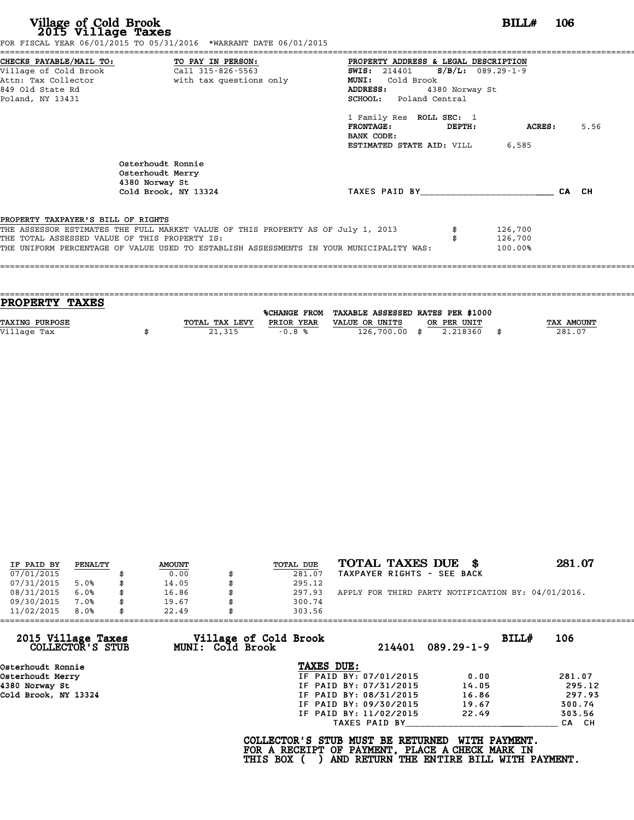| Village of Cold Brook<br>2015 Village Taxes   | FOR FISCAL YEAR 06/01/2015 TO 05/31/2016 *WARRANT DATE 06/01/2015                       | BILL#<br>106                                                                    |      |
|-----------------------------------------------|-----------------------------------------------------------------------------------------|---------------------------------------------------------------------------------|------|
| CHECKS PAYABLE/MAIL TO:                       | TO PAY IN PERSON:                                                                       | PROPERTY ADDRESS & LEGAL DESCRIPTION                                            |      |
| Village of Cold Brook<br>Attn: Tax Collector  | Call 315-826-5563<br>with tax questions only                                            | $S/B/L: 089.29 - 1 - 9$<br><b>SWIS:</b> 214401<br>MUNI: Cold Brook              |      |
| 849 Old State Rd                              |                                                                                         | ADDRESS:<br>4380 Norway St                                                      |      |
| Poland, NY 13431                              |                                                                                         | SCHOOL: Poland Central                                                          |      |
|                                               |                                                                                         | 1 Family Res ROLL SEC: 1<br><b>FRONTAGE:</b><br>DEPTH:<br>ACRES :<br>BANK CODE: | 5.56 |
|                                               |                                                                                         | <b>ESTIMATED STATE AID:</b> VILL 6,585                                          |      |
|                                               | Osterhoudt Ronnie<br>Osterhoudt Merry<br>4380 Norway St                                 |                                                                                 |      |
|                                               | Cold Brook, NY 13324                                                                    | TAXES PAID BY<br>CA CH                                                          |      |
| PROPERTY TAXPAYER'S BILL OF RIGHTS            |                                                                                         |                                                                                 |      |
|                                               | THE ASSESSOR ESTIMATES THE FULL MARKET VALUE OF THIS PROPERTY AS OF July 1, 2013        | 126,700                                                                         |      |
| THE TOTAL ASSESSED VALUE OF THIS PROPERTY IS: |                                                                                         | 126,700                                                                         |      |
|                                               | THE UNIFORM PERCENTAGE OF VALUE USED TO ESTABLISH ASSESSMENTS IN YOUR MUNICIPALITY WAS: | 100.00%                                                                         |      |

| PROPERTY TAXES        |                |            |                                                |             |                   |
|-----------------------|----------------|------------|------------------------------------------------|-------------|-------------------|
|                       |                |            | %CHANGE FROM TAXABLE ASSESSED RATES PER \$1000 |             |                   |
|                       |                |            |                                                |             |                   |
| <b>TAXING PURPOSE</b> | TOTAL TAX LEVY | PRIOR YEAR | VALUE OR UNITS                                 | OR PER UNIT | <b>TAX AMOUNT</b> |
| Village Tax           | 21,315         | $-0.8%$    | 126,700.00 \$                                  | 2.218360    | 281.07            |
|                       |                |            |                                                |             |                   |

| IF PAID BY | PENALTY | <b>AMOUNT</b> | <b>TOTAL DUE</b> | TOTAL TAXES DUE<br>- 86                            | 281.07 |
|------------|---------|---------------|------------------|----------------------------------------------------|--------|
| 07/01/2015 |         | 0.00          | 281.07           | TAXPAYER RIGHTS - SEE BACK                         |        |
| 07/31/2015 | 5.0%    | \$<br>14.05   | 295.12           |                                                    |        |
| 08/31/2015 | 6.0%    | \$<br>16.86   | 297.93           | APPLY FOR THIRD PARTY NOTIFICATION BY: 04/01/2016. |        |
| 09/30/2015 | 7.0%    | \$<br>19.67   | 300.74           |                                                    |        |
| 11/02/2015 | 8.0%    | \$<br>22.49   | 303.56           |                                                    |        |

| 11/02/2015                             | 8.0% | 22.49 | 303.56                                    |                                                                                                                                  |                  |       |        |
|----------------------------------------|------|-------|-------------------------------------------|----------------------------------------------------------------------------------------------------------------------------------|------------------|-------|--------|
| 2015 Village Taxes<br>COLLECTOR'S STUB |      |       | Village of Cold Brook<br>MUNI: Cold Brook | 214401                                                                                                                           | $089.29 - 1 - 9$ | BILL# | 106    |
| Osterhoudt Ronnie                      |      |       |                                           | TAXES DUE:                                                                                                                       |                  |       |        |
| Osterhoudt Merry                       |      |       |                                           | IF PAID BY: 07/01/2015                                                                                                           | 0.00             |       | 281.07 |
| 4380 Norway St                         |      |       |                                           | IF PAID BY: 07/31/2015                                                                                                           | 14.05            |       | 295.12 |
| Cold Brook, NY 13324                   |      |       |                                           | IF PAID BY: 08/31/2015                                                                                                           | 16.86            |       | 297.93 |
|                                        |      |       |                                           | IF PAID BY: 09/30/2015                                                                                                           | 19.67            |       | 300.74 |
|                                        |      |       |                                           | IF PAID BY: 11/02/2015                                                                                                           | 22.49            |       | 303.56 |
|                                        |      |       |                                           | TAXES PAID BY                                                                                                                    |                  |       | CA CH  |
|                                        |      |       | THIS BOX (                                | COLLECTOR'S STUB MUST BE RETURNED<br>FOR A RECEIPT OF PAYMENT, PLACE A CHECK MARK IN<br>AND RETURN THE ENTIRE BILL WITH PAYMENT. | WITH PAYMENT.    |       |        |
|                                        |      |       |                                           |                                                                                                                                  |                  |       |        |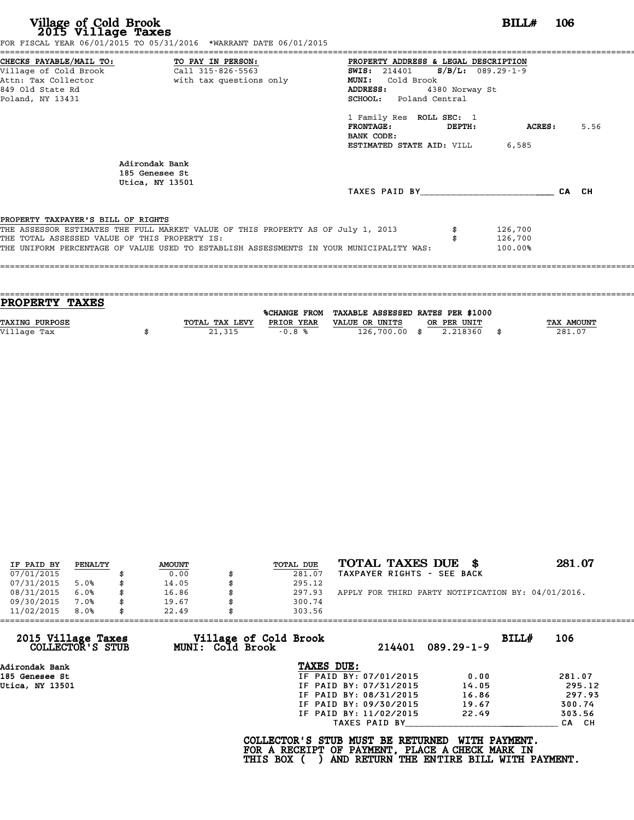|                                                                                     | FOR FISCAL YEAR 06/01/2015 TO 05/31/2016 *WARRANT DATE 06/01/2015                                                                                                           |                                                                                                                                                                 |                |                               |       |      |
|-------------------------------------------------------------------------------------|-----------------------------------------------------------------------------------------------------------------------------------------------------------------------------|-----------------------------------------------------------------------------------------------------------------------------------------------------------------|----------------|-------------------------------|-------|------|
| 849 Old State Rd<br>Poland, NY 13431                                                | CHECKS PAYABLE/MAIL TO: TO PAY IN PERSON:<br>Village of Cold Brook Call 315-826-5563<br>Attn: Tax Collector and the with tax questions only                                 | PROPERTY ADDRESS & LEGAL DESCRIPTION<br><b>SWIS:</b> 214401 <b>S/B/L:</b> 089.29-1-9<br>Cold Brook<br><b>MUNI:</b><br><b>ADDRESS:</b><br>SCHOOL: Poland Central | 4380 Norway St |                               |       |      |
|                                                                                     |                                                                                                                                                                             | 1 Family Res ROLL SEC: 1<br>$\tt FRONTAGE:$<br>BANK CODE:<br><b>ESTIMATED STATE AID:</b> VILL 6,585                                                             | DEPTH:         | ACRES :                       |       | 5.56 |
|                                                                                     | Adirondak Bank<br>185 Genesee St<br>Utica, NY 13501                                                                                                                         | TAXES PAID BY                                                                                                                                                   |                |                               | CA CH |      |
| PROPERTY TAXPAYER'S BILL OF RIGHTS<br>THE TOTAL ASSESSED VALUE OF THIS PROPERTY IS: | THE ASSESSOR ESTIMATES THE FULL MARKET VALUE OF THIS PROPERTY AS OF July 1, 2013<br>THE UNIFORM PERCENTAGE OF VALUE USED TO ESTABLISH ASSESSMENTS IN YOUR MUNICIPALITY WAS: |                                                                                                                                                                 |                | 126,700<br>126,700<br>100.00% |       |      |
|                                                                                     |                                                                                                                                                                             |                                                                                                                                                                 |                |                               |       |      |

| PROPERTY TAXES        |                |              |                                   |             |      |            |
|-----------------------|----------------|--------------|-----------------------------------|-------------|------|------------|
|                       |                |              |                                   |             |      |            |
|                       |                | %CHANGE FROM | TAXABLE ASSESSED RATES PER \$1000 |             |      |            |
| <b>TAXING PURPOSE</b> | TOTAL TAX LEVY | PRIOR YEAR   | VALUE OR UNITS                    | OR PER UNIT |      | TAX AMOUNT |
| Village Tax           | 21,315         | $-0.8%$      | 126,700.00 \$                     | 2.218360    | - \$ | 281.07     |
|                       |                |              |                                   |             |      |            |

| IF PAID BY | PENALTY | <b>AMOUNT</b> | TOTAL DUE | TOTAL TAXES DUE \$                                 | 281.07 |
|------------|---------|---------------|-----------|----------------------------------------------------|--------|
| 07/01/2015 |         | 0.00          | 281.07    | TAXPAYER RIGHTS - SEE BACK                         |        |
| 07/31/2015 | 5.0%    | 14.05         | 295.12    |                                                    |        |
| 08/31/2015 | 6.0%    | 16.86         | 297.93    | APPLY FOR THIRD PARTY NOTIFICATION BY: 04/01/2016. |        |
| 09/30/2015 | 7.0%    | 19.67         | 300.74    |                                                    |        |
| 11/02/2015 | 8.0%    | 22.49         | 303.56    |                                                    |        |

| 11/02/2015                             | 8.0% | 22.49 |                                           | 303.56                                                                                             |                        |                                                           |       |        |
|----------------------------------------|------|-------|-------------------------------------------|----------------------------------------------------------------------------------------------------|------------------------|-----------------------------------------------------------|-------|--------|
| 2015 Village Taxes<br>COLLECTOR'S STUB |      |       | Village of Cold Brook<br>MUNI: Cold Brook |                                                                                                    | 214401                 | $089.29 - 1 - 9$                                          | BILL# | 106    |
| Adirondak Bank                         |      |       |                                           | TAXES DUE:                                                                                         |                        |                                                           |       |        |
| 185 Genesee St                         |      |       |                                           |                                                                                                    | IF PAID BY: 07/01/2015 | 0.00                                                      |       | 281.07 |
| Utica, NY 13501                        |      |       |                                           |                                                                                                    | IF PAID BY: 07/31/2015 | 14.05                                                     |       | 295.12 |
|                                        |      |       |                                           |                                                                                                    | IF PAID BY: 08/31/2015 | 16.86                                                     |       | 297.93 |
|                                        |      |       |                                           |                                                                                                    | IF PAID BY: 09/30/2015 | 19.67                                                     |       | 300.74 |
|                                        |      |       |                                           |                                                                                                    | IF PAID BY: 11/02/2015 | 22.49                                                     |       | 303.56 |
|                                        |      |       |                                           |                                                                                                    | TAXES PAID BY          |                                                           |       | CA CH  |
|                                        |      |       |                                           | COLLECTOR'S STUB MUST BE RETURNED<br>FOR A RECEIPT OF PAYMENT, PLACE A CHECK MARK IN<br>THIS BOX ( |                        | WITH PAYMENT.<br>AND RETURN THE ENTIRE BILL WITH PAYMENT. |       |        |
|                                        |      |       |                                           |                                                                                                    |                        |                                                           |       |        |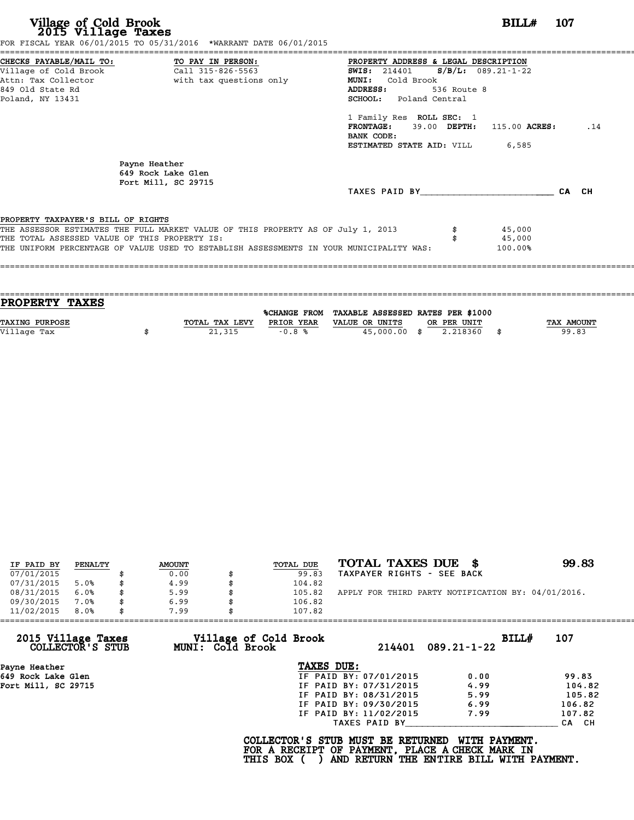| Village of Cold Brook<br>2015 Village Taxes                                                                                       | FOR FISCAL YEAR 06/01/2015 TO 05/31/2016 *WARRANT DATE 06/01/2015                                                                                                           |                                                                                                                                                                                                                                                                                                         | BILL#                       | - 107 |
|-----------------------------------------------------------------------------------------------------------------------------------|-----------------------------------------------------------------------------------------------------------------------------------------------------------------------------|---------------------------------------------------------------------------------------------------------------------------------------------------------------------------------------------------------------------------------------------------------------------------------------------------------|-----------------------------|-------|
| CHECKS PAYABLE/MAIL TO: TO PAY IN PERSON:<br>Village of Cold Brook<br>Attn: Tax Collector<br>849 Old State Rd<br>Poland, NY 13431 | Call 315-826-5563<br>with tax questions only                                                                                                                                | PROPERTY ADDRESS & LEGAL DESCRIPTION<br>SWIS: $214401$ S/B/L: $089.21 - 1 - 22$<br>Cold Brook<br><b>MUNI:</b><br>ADDRESS:<br>536 Route 8<br><b>SCHOOL:</b> Poland Central<br>1 Family Res ROLL SEC: 1<br>$FRONTAGE:$ 39.00 DEPTH: 115.00 ACRES:<br>BANK CODE:<br><b>ESTIMATED STATE AID:</b> VILL 6,585 |                             | .14   |
|                                                                                                                                   | Payne Heather<br>649 Rock Lake Glen<br>Fort Mill, SC 29715                                                                                                                  | TAXES PAID BY                                                                                                                                                                                                                                                                                           |                             | CA CH |
| PROPERTY TAXPAYER'S BILL OF RIGHTS<br>THE TOTAL ASSESSED VALUE OF THIS PROPERTY IS:                                               | THE ASSESSOR ESTIMATES THE FULL MARKET VALUE OF THIS PROPERTY AS OF July 1, 2013<br>THE UNIFORM PERCENTAGE OF VALUE USED TO ESTABLISH ASSESSMENTS IN YOUR MUNICIPALITY WAS: |                                                                                                                                                                                                                                                                                                         | 45,000<br>45,000<br>100.00% |       |

| PROPERTY TAXES        |                |            |                                                |             |                   |
|-----------------------|----------------|------------|------------------------------------------------|-------------|-------------------|
|                       |                |            | %CHANGE FROM TAXABLE ASSESSED RATES PER \$1000 |             |                   |
| <b>TAXING PURPOSE</b> | TOTAL TAX LEVY | PRIOR YEAR | VALUE OR UNITS                                 | OR PER UNIT | <b>TAX AMOUNT</b> |
| Village Tax           | 21,315         | $-0.8%$    | 45,000.00 \$                                   | 2.218360    | 99.83             |
|                       |                |            |                                                |             |                   |

| IF PAID BY | PENALTY | <b>AMOUNT</b> | TOTAL DUE | TOTAL TAXES DUE \$                                 | 99.83 |
|------------|---------|---------------|-----------|----------------------------------------------------|-------|
| 07/01/2015 |         | 0.00          | 99.83     | TAXPAYER RIGHTS - SEE BACK                         |       |
| 07/31/2015 | 5.0%    | 4.99          | 104.82    |                                                    |       |
| 08/31/2015 | $6.0\%$ | 5.99          | 105.82    | APPLY FOR THIRD PARTY NOTIFICATION BY: 04/01/2016. |       |
| 09/30/2015 | 7.0%    | 6.99          | 106.82    |                                                    |       |
| 11/02/2015 | 8.0%    | 7.99          | 107.82    |                                                    |       |

| 11/02/2015                             | 8.0% | 7.99 |                  | 107.82                                                                                             |                        |                                                           |       |        |
|----------------------------------------|------|------|------------------|----------------------------------------------------------------------------------------------------|------------------------|-----------------------------------------------------------|-------|--------|
| 2015 Village Taxes<br>COLLECTOR'S STUB |      |      | MUNI: Cold Brook | Village of Cold Brook                                                                              | 214401                 | $089.21 - 1 - 22$                                         | BILL# | 107    |
| Payne Heather                          |      |      |                  | TAXES DUE:                                                                                         |                        |                                                           |       |        |
| 649 Rock Lake Glen                     |      |      |                  |                                                                                                    | IF PAID BY: 07/01/2015 | 0.00                                                      |       | 99.83  |
| Fort Mill, SC 29715                    |      |      |                  |                                                                                                    | IF PAID BY: 07/31/2015 | 4.99                                                      |       | 104.82 |
|                                        |      |      |                  |                                                                                                    | IF PAID BY: 08/31/2015 | 5.99                                                      |       | 105.82 |
|                                        |      |      |                  |                                                                                                    | IF PAID BY: 09/30/2015 | 6.99                                                      |       | 106.82 |
|                                        |      |      |                  |                                                                                                    | IF PAID BY: 11/02/2015 | 7.99                                                      |       | 107.82 |
|                                        |      |      |                  |                                                                                                    | TAXES PAID BY          |                                                           |       | CA CH  |
|                                        |      |      |                  | COLLECTOR'S STUB MUST BE RETURNED<br>FOR A RECEIPT OF PAYMENT, PLACE A CHECK MARK IN<br>THIS BOX ( |                        | WITH PAYMENT.<br>AND RETURN THE ENTIRE BILL WITH PAYMENT. |       |        |
|                                        |      |      |                  |                                                                                                    |                        |                                                           |       |        |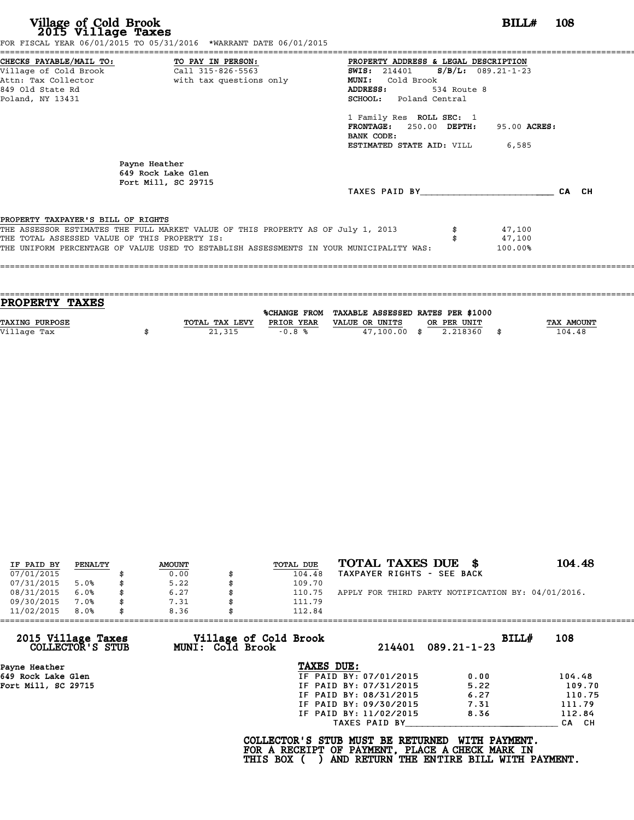| FOR FISCAL YEAR 06/01/2015 TO 05/31/2016 *WARRANT DATE 06/01/2015                       |                                               |             |              |       |
|-----------------------------------------------------------------------------------------|-----------------------------------------------|-------------|--------------|-------|
| CHECKS PAYABLE/MAIL TO: TO PAY IN PERSON:                                               | PROPERTY ADDRESS & LEGAL DESCRIPTION          |             |              |       |
| Village of Cold Brook Call 315-826-5563                                                 | <b>SWIS:</b> 214401 <b>S/B/L:</b> 089.21-1-23 |             |              |       |
| Attn: Tax Collector and with tax questions only                                         | MUNI: Cold Brook                              |             |              |       |
| 849 Old State Rd                                                                        | <b>ADDRESS:</b>                               | 534 Route 8 |              |       |
| Poland, NY 13431                                                                        | SCHOOL: Poland Central                        |             |              |       |
|                                                                                         | 1 Family Res ROLL SEC: 1                      |             |              |       |
|                                                                                         | FRONTAGE: 250.00 DEPTH:                       |             | 95.00 ACRES: |       |
|                                                                                         | BANK CODE:                                    |             |              |       |
|                                                                                         | <b>ESTIMATED STATE AID:</b> VILL 6,585        |             |              |       |
| Payne Heather<br>649 Rock Lake Glen<br>Fort Mill, SC 29715                              |                                               |             |              |       |
|                                                                                         | TAXES PAID BY TAXES                           |             |              | CA CH |
| PROPERTY TAXPAYER'S BILL OF RIGHTS                                                      |                                               |             |              |       |
| THE ASSESSOR ESTIMATES THE FULL MARKET VALUE OF THIS PROPERTY AS OF July 1, 2013        |                                               |             | 47,100       |       |
| THE TOTAL ASSESSED VALUE OF THIS PROPERTY IS:                                           |                                               |             | 47,100       |       |
| THE UNIFORM PERCENTAGE OF VALUE USED TO ESTABLISH ASSESSMENTS IN YOUR MUNICIPALITY WAS: |                                               |             | 100.00%      |       |
|                                                                                         |                                               |             |              |       |
|                                                                                         |                                               |             |              |       |

| <b>PROPERTY TAXES</b> |                |            |                                                |             |                   |
|-----------------------|----------------|------------|------------------------------------------------|-------------|-------------------|
|                       |                |            | %CHANGE FROM TAXABLE ASSESSED RATES PER \$1000 |             |                   |
| <b>TAXING PURPOSE</b> | TOTAL TAX LEVY | PRIOR YEAR | VALUE OR UNITS                                 | OR PER UNIT | <b>TAX AMOUNT</b> |
| Village Tax           | 21,315         | $-0.8%$    | $47,100.00$ \$                                 | 2.218360    | 104.48            |
|                       |                |            |                                                |             |                   |

| IF PAID BY | PENALTY | <b>AMOUNT</b> | <b>TOTAL DUE</b> | TOTAL TAXES DUE \$                                 | 104.48 |
|------------|---------|---------------|------------------|----------------------------------------------------|--------|
| 07/01/2015 |         | 0.00          | 104.48           | TAXPAYER RIGHTS - SEE BACK                         |        |
| 07/31/2015 | 5.0%    | 5.22          | 109.70           |                                                    |        |
| 08/31/2015 | 6.0%    | \$<br>6.27    | 110.75           | APPLY FOR THIRD PARTY NOTIFICATION BY: 04/01/2016. |        |
| 09/30/2015 | 7.0%    | \$<br>7.31    | 111.79           |                                                    |        |
| 11/02/2015 | 8.0%    | \$<br>8.36    | 112.84           |                                                    |        |

| 11/02/2015                             | 8.0% | 8.36 |                  | 112.84                                                                                             |                        |                                                           |       |        |
|----------------------------------------|------|------|------------------|----------------------------------------------------------------------------------------------------|------------------------|-----------------------------------------------------------|-------|--------|
| 2015 Village Taxes<br>COLLECTOR'S STUB |      |      | MUNI: Cold Brook | Village of Cold Brook                                                                              |                        | $214401$ 089.21-1-23                                      | BILLH | 108    |
| Payne Heather                          |      |      |                  | TAXES DUE:                                                                                         |                        |                                                           |       |        |
| 649 Rock Lake Glen                     |      |      |                  |                                                                                                    | IF PAID BY: 07/01/2015 | 0.00                                                      |       | 104.48 |
| Fort Mill, SC 29715                    |      |      |                  |                                                                                                    | IF PAID BY: 07/31/2015 | 5.22                                                      |       | 109.70 |
|                                        |      |      |                  |                                                                                                    | IF PAID BY: 08/31/2015 | 6.27                                                      |       | 110.75 |
|                                        |      |      |                  |                                                                                                    | IF PAID BY: 09/30/2015 | 7.31                                                      |       | 111.79 |
|                                        |      |      |                  |                                                                                                    | IF PAID BY: 11/02/2015 | 8.36                                                      |       | 112.84 |
|                                        |      |      |                  |                                                                                                    | TAXES PAID BY          |                                                           |       | CA CH  |
|                                        |      |      |                  | COLLECTOR'S STUB MUST BE RETURNED<br>FOR A RECEIPT OF PAYMENT, PLACE A CHECK MARK IN<br>THIS BOX ( |                        | WITH PAYMENT.<br>AND RETURN THE ENTIRE BILL WITH PAYMENT. |       |        |
|                                        |      |      |                  |                                                                                                    |                        |                                                           |       |        |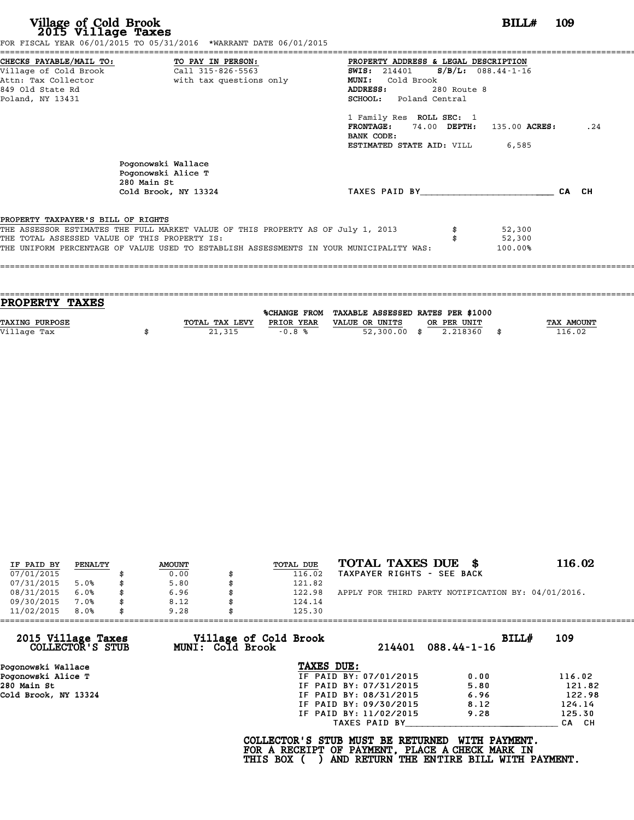|                                               | FOR FISCAL YEAR 06/01/2015 TO 05/31/2016 *WARRANT DATE 06/01/2015                       |                                               |                            |     |
|-----------------------------------------------|-----------------------------------------------------------------------------------------|-----------------------------------------------|----------------------------|-----|
|                                               | CHECKS PAYABLE/MAIL TO: TO PAY IN PERSON:                                               | PROPERTY ADDRESS & LEGAL DESCRIPTION          |                            |     |
|                                               |                                                                                         | <b>SWIS:</b> 214401 <b>S/B/L:</b> 088.44-1-16 |                            |     |
|                                               | Attn: Tax Collector The South With tax questions only                                   | Cold Brook<br>MUNI:                           |                            |     |
| 849 Old State Rd                              |                                                                                         | 280 Route 8<br>ADDRESS:                       |                            |     |
| Poland, NY 13431                              |                                                                                         | <b>SCHOOL:</b> Poland Central                 |                            |     |
|                                               |                                                                                         | 1 Family Res ROLL SEC: 1                      |                            |     |
|                                               |                                                                                         | <b>FRONTAGE:</b>                              | 74.00 DEPTH: 135.00 ACRES: | .24 |
|                                               |                                                                                         | BANK CODE:                                    |                            |     |
|                                               |                                                                                         | <b>ESTIMATED STATE AID:</b> VILL 6,585        |                            |     |
|                                               | Pogonowski Wallace<br>Pogonowski Alice T<br>280 Main St                                 |                                               |                            |     |
|                                               | Cold Brook, NY 13324                                                                    | TAXES PAID BY                                 | CA CH                      |     |
|                                               |                                                                                         |                                               |                            |     |
| PROPERTY TAXPAYER'S BILL OF RIGHTS            |                                                                                         |                                               |                            |     |
|                                               | THE ASSESSOR ESTIMATES THE FULL MARKET VALUE OF THIS PROPERTY AS OF July 1, 2013        |                                               | 52,300                     |     |
| THE TOTAL ASSESSED VALUE OF THIS PROPERTY IS: |                                                                                         |                                               | 52,300                     |     |
|                                               | THE UNIFORM PERCENTAGE OF VALUE USED TO ESTABLISH ASSESSMENTS IN YOUR MUNICIPALITY WAS: |                                               | 100.00%                    |     |
|                                               |                                                                                         |                                               |                            |     |
|                                               |                                                                                         |                                               |                            |     |
|                                               |                                                                                         |                                               |                            |     |

| TOTAL TAX LEVY | PRIOR YEAR | VALUE OR UNITS<br>OR PER UNIT | <b>TAX AMOUNT</b>                                                            |
|----------------|------------|-------------------------------|------------------------------------------------------------------------------|
|                |            |                               | 116.02                                                                       |
|                |            |                               |                                                                              |
|                | 21,315     | $-0.8%$                       | %CHANGE FROM TAXABLE ASSESSED RATES PER \$1000<br>$52,300.00$ \$<br>2.218360 |

| IF PAID BY | PENALTY | <b>AMOUNT</b> | TOTAL DUE | TOTAL TAXES DUE \$                                 | 116.02 |
|------------|---------|---------------|-----------|----------------------------------------------------|--------|
| 07/01/2015 |         | 0.00          | 116.02    | TAXPAYER RIGHTS - SEE BACK                         |        |
| 07/31/2015 | 5.0%    | 5.80          | 121.82    |                                                    |        |
| 08/31/2015 | 6.0%    | 6.96          | 122.98    | APPLY FOR THIRD PARTY NOTIFICATION BY: 04/01/2016. |        |
| 09/30/2015 | 7.0%    | 8.12          | 124.14    |                                                    |        |
| 11/02/2015 | 8.0%    | 9.28          | 125.30    |                                                    |        |

| 11/02/2015<br>8.0%                     | 9.28             | 125.30                                          |                        |                                                                                                              |        |
|----------------------------------------|------------------|-------------------------------------------------|------------------------|--------------------------------------------------------------------------------------------------------------|--------|
| 2015 Village Taxes<br>COLLECTOR'S STUB | MUNI: Cold Brook | Village of Cold Brook                           | 214401                 | BILLH<br>$088.44 - 1 - 16$                                                                                   | 109    |
| Pogonowski Wallace                     |                  | TAXES DUE:                                      |                        |                                                                                                              |        |
| Pogonowski Alice T                     |                  |                                                 | IF PAID BY: 07/01/2015 | 0.00                                                                                                         | 116.02 |
| 280 Main St                            |                  |                                                 | IF PAID BY: 07/31/2015 | 5.80                                                                                                         | 121.82 |
| Cold Brook, NY 13324                   |                  |                                                 | IF PAID BY: 08/31/2015 | 6.96                                                                                                         | 122.98 |
|                                        |                  |                                                 | IF PAID BY: 09/30/2015 | 8.12                                                                                                         | 124.14 |
|                                        |                  |                                                 | IF PAID BY: 11/02/2015 | 9.28                                                                                                         | 125.30 |
|                                        |                  |                                                 | TAXES PAID BY          |                                                                                                              | CA CH  |
|                                        |                  | COLLECTOR'S STUB MUST BE RETURNED<br>THIS BOX ( |                        | WITH PAYMENT.<br>FOR A RECEIPT OF PAYMENT, PLACE A CHECK MARK IN<br>AND RETURN THE ENTIRE BILL WITH PAYMENT. |        |
|                                        |                  |                                                 |                        |                                                                                                              |        |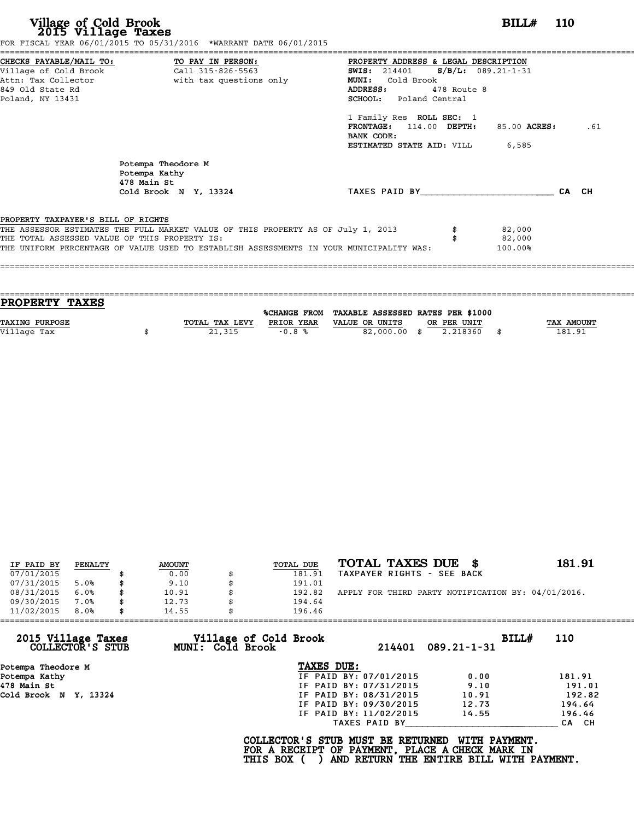|                                               | FOR FISCAL YEAR 06/01/2015 TO 05/31/2016 *WARRANT DATE 06/01/2015                |                                               |             |              |       |     |
|-----------------------------------------------|----------------------------------------------------------------------------------|-----------------------------------------------|-------------|--------------|-------|-----|
|                                               |                                                                                  | PROPERTY ADDRESS & LEGAL DESCRIPTION          |             |              |       |     |
|                                               |                                                                                  | <b>SWIS:</b> 214401 <b>S/B/L:</b> 089.21-1-31 |             |              |       |     |
|                                               | Attn: Tax Collector and with tax questions only                                  | <b>MUNI:</b><br>Cold Brook                    |             |              |       |     |
| 849 Old State Rd                              |                                                                                  | <b>ADDRESS:</b>                               | 478 Route 8 |              |       |     |
| Poland, NY 13431                              |                                                                                  | SCHOOL: Poland Central                        |             |              |       |     |
|                                               |                                                                                  | 1 Family Res ROLL SEC: 1                      |             |              |       |     |
|                                               |                                                                                  | FRONTAGE: 114.00 DEPTH:<br>BANK CODE:         |             | 85.00 ACRES: |       | .61 |
|                                               |                                                                                  | <b>ESTIMATED STATE AID:</b> VILL 6,585        |             |              |       |     |
|                                               | Potempa Theodore M<br>Potempa Kathy<br>478 Main St                               |                                               |             |              |       |     |
|                                               | Cold Brook N Y, 13324                                                            | TAXES PAID BY                                 |             |              | CA CH |     |
| PROPERTY TAXPAYER'S BILL OF RIGHTS            |                                                                                  |                                               |             |              |       |     |
|                                               | THE ASSESSOR ESTIMATES THE FULL MARKET VALUE OF THIS PROPERTY AS OF July 1, 2013 |                                               |             | 82,000       |       |     |
|                                               |                                                                                  |                                               |             | 82,000       |       |     |
| THE TOTAL ASSESSED VALUE OF THIS PROPERTY IS: |                                                                                  |                                               |             |              |       |     |

| <b>PROPERTY TAXES</b> |                |                     |                                   |             |      |            |
|-----------------------|----------------|---------------------|-----------------------------------|-------------|------|------------|
|                       |                | <b>%CHANGE FROM</b> | TAXABLE ASSESSED RATES PER \$1000 |             |      |            |
| <b>TAXING PURPOSE</b> | TOTAL TAX LEVY | PRIOR YEAR          | VALUE OR UNITS                    | OR PER UNIT |      | TAX AMOUNT |
| Village Tax           | 21,315         | $-0.8%$             | 82,000.00 \$                      | 2.218360    | - \$ | 181.91     |
|                       |                |                     |                                   |             |      |            |
|                       |                |                     |                                   |             |      |            |

| IF PAID BY | PENALTY | <b>AMOUNT</b> | TOTAL DUE | TOTAL TAXES DUE \$                                 | 181.91 |
|------------|---------|---------------|-----------|----------------------------------------------------|--------|
| 07/01/2015 |         | 0.00          | 181.91    | TAXPAYER RIGHTS - SEE BACK                         |        |
| 07/31/2015 | 5.0%    | 9.10          | 191.01    |                                                    |        |
| 08/31/2015 | 6.0%    | 10.91         | 192.82    | APPLY FOR THIRD PARTY NOTIFICATION BY: 04/01/2016. |        |
| 09/30/2015 | 7.0%    | 12.73         | 194.64    |                                                    |        |
| 11/02/2015 | 8.0%    | 14.55         | 196.46    |                                                    |        |

| 11/02/2015<br>8.0%                     | 14.55                                            | 196.46                                                                                             |                                                           |        |
|----------------------------------------|--------------------------------------------------|----------------------------------------------------------------------------------------------------|-----------------------------------------------------------|--------|
| 2015 Village Taxes<br>COLLECTOR'S STUB | Village of Cold Brook<br><b>MUNI: Cold Brook</b> | 214401                                                                                             | BILL#<br>$089.21 - 1 - 31$                                | 110    |
| Potempa Theodore M                     |                                                  | TAXES DUE:                                                                                         |                                                           |        |
| Potempa Kathy                          |                                                  | IF PAID BY: 07/01/2015                                                                             | 0.00                                                      | 181.91 |
| 478 Main St                            |                                                  | IF PAID BY: 07/31/2015                                                                             | 9.10                                                      | 191.01 |
| Cold Brook N Y, 13324                  |                                                  | IF PAID BY: 08/31/2015                                                                             | 10.91                                                     | 192.82 |
|                                        |                                                  | IF PAID BY: 09/30/2015                                                                             | 12.73                                                     | 194.64 |
|                                        |                                                  | IF PAID BY: 11/02/2015                                                                             | 14.55                                                     | 196.46 |
|                                        |                                                  | TAXES PAID BY                                                                                      |                                                           | CA CH  |
|                                        |                                                  | COLLECTOR'S STUB MUST BE RETURNED<br>FOR A RECEIPT OF PAYMENT, PLACE A CHECK MARK IN<br>THIS BOX ( | WITH PAYMENT.<br>AND RETURN THE ENTIRE BILL WITH PAYMENT. |        |
|                                        |                                                  |                                                                                                    |                                                           |        |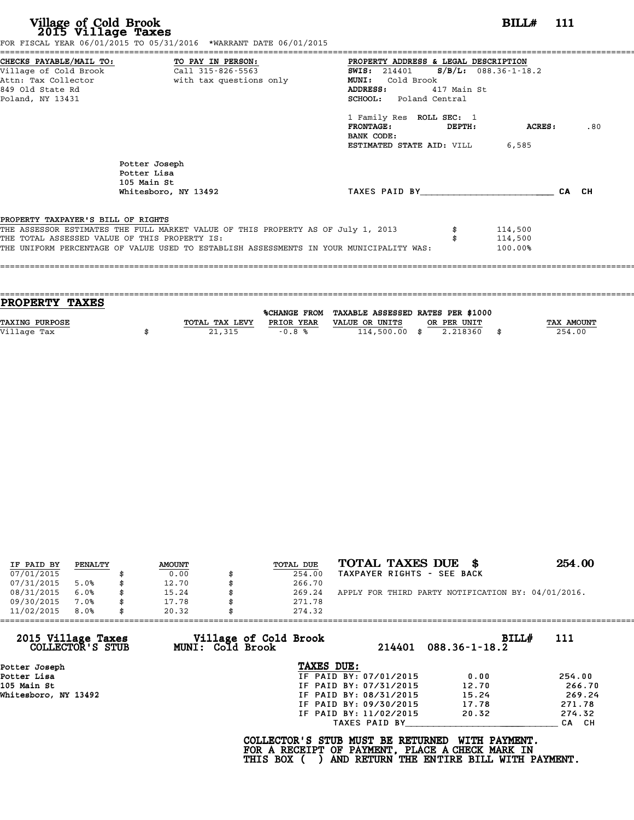| Village of Cold Brook<br>2015 Village Taxes                                          | FOR FISCAL YEAR 06/01/2015 TO 05/31/2016 *WARRANT DATE 06/01/2015                                                                                                           |                                                                                                                                                             | BILL# 111                     |       |
|--------------------------------------------------------------------------------------|-----------------------------------------------------------------------------------------------------------------------------------------------------------------------------|-------------------------------------------------------------------------------------------------------------------------------------------------------------|-------------------------------|-------|
| Village of Cold Brook<br>Attn: Tax Collector<br>849 Old State Rd<br>Poland, NY 13431 | CHECKS PAYABLE/MAIL TO: TO PAY IN PERSON:<br>Call 315-826-5563<br>with tax questions only                                                                                   | PROPERTY ADDRESS & LEGAL DESCRIPTION<br>SWIS: $214401$ S/B/L: 088.36-1-18.2<br>MUNI: Cold Brook<br>ADDRESS:<br>417 Main St<br><b>SCHOOL:</b> Poland Central |                               |       |
|                                                                                      |                                                                                                                                                                             | 1 Family Res ROLL SEC: 1<br><b>FRONTAGE:</b><br>DEPTH:<br>BANK CODE:<br><b>ESTIMATED STATE AID:</b> VILL 6,585                                              | <b>ACRES:</b>                 | .80   |
|                                                                                      | Potter Joseph<br>Potter Lisa<br>105 Main St<br>Whitesboro, NY 13492                                                                                                         | TAXES PAID BY                                                                                                                                               |                               | CA CH |
| PROPERTY TAXPAYER'S BILL OF RIGHTS<br>THE TOTAL ASSESSED VALUE OF THIS PROPERTY IS:  | THE ASSESSOR ESTIMATES THE FULL MARKET VALUE OF THIS PROPERTY AS OF July 1, 2013<br>THE UNIFORM PERCENTAGE OF VALUE USED TO ESTABLISH ASSESSMENTS IN YOUR MUNICIPALITY WAS: |                                                                                                                                                             | 114,500<br>114,500<br>100.00% |       |

| PROPERTY TAXES        |                |            |                                                |             |                   |
|-----------------------|----------------|------------|------------------------------------------------|-------------|-------------------|
|                       |                |            |                                                |             |                   |
|                       |                |            | %CHANGE FROM TAXABLE ASSESSED RATES PER \$1000 |             |                   |
| <b>TAXING PURPOSE</b> | TOTAL TAX LEVY | PRIOR YEAR | VALUE OR UNITS                                 | OR PER UNIT | <b>TAX AMOUNT</b> |
|                       |                |            |                                                |             |                   |
| Village Tax           | 21,315         | $-0.8%$    | $114,500.00$ \$                                | 2.218360    | 254.00            |
|                       |                |            |                                                |             |                   |

| IF PAID BY | PENALTY | <b>AMOUNT</b> | TOTAL DUE | TOTAL TAXES DUE<br>- 86                            | 254.00 |
|------------|---------|---------------|-----------|----------------------------------------------------|--------|
| 07/01/2015 |         | 0.00          | 254.00    | TAXPAYER RIGHTS - SEE BACK                         |        |
| 07/31/2015 | 5.0%    | \$<br>12.70   | 266.70    |                                                    |        |
| 08/31/2015 | 6.0%    | \$<br>15.24   | 269.24    | APPLY FOR THIRD PARTY NOTIFICATION BY: 04/01/2016. |        |
| 09/30/2015 | 7.0%    | \$<br>17.78   | 271.78    |                                                    |        |
| 11/02/2015 | 8.0%    | \$<br>20.32   | 274.32    |                                                    |        |
|            |         |               |           |                                                    |        |

| 11/02/2015<br>8.0%                     | 20.32            | 274.32                                          |                        |                                                                                                              |        |
|----------------------------------------|------------------|-------------------------------------------------|------------------------|--------------------------------------------------------------------------------------------------------------|--------|
| 2015 Village Taxes<br>COLLECTOR'S STUB | MUNI: Cold Brook | Village of Cold Brook                           | 214401                 | <b>BILL#</b><br>$088.36 - 1 - 18.2$                                                                          | 111    |
| Potter Joseph                          |                  | TAXES DUE:                                      |                        |                                                                                                              |        |
| Potter Lisa                            |                  |                                                 | IF PAID BY: 07/01/2015 | 0.00                                                                                                         | 254.00 |
| 105 Main St                            |                  |                                                 | IF PAID BY: 07/31/2015 | 12.70                                                                                                        | 266.70 |
| Whitesboro, NY 13492                   |                  |                                                 | IF PAID BY: 08/31/2015 | 15.24                                                                                                        | 269.24 |
|                                        |                  |                                                 | IF PAID BY: 09/30/2015 | 17.78                                                                                                        | 271.78 |
|                                        |                  |                                                 | IF PAID BY: 11/02/2015 | 20.32                                                                                                        | 274.32 |
|                                        |                  |                                                 | TAXES PAID BY          |                                                                                                              | CA CH  |
|                                        |                  | COLLECTOR'S STUB MUST BE RETURNED<br>THIS BOX ( |                        | WITH PAYMENT.<br>FOR A RECEIPT OF PAYMENT, PLACE A CHECK MARK IN<br>AND RETURN THE ENTIRE BILL WITH PAYMENT. |        |
|                                        |                  |                                                 |                        |                                                                                                              |        |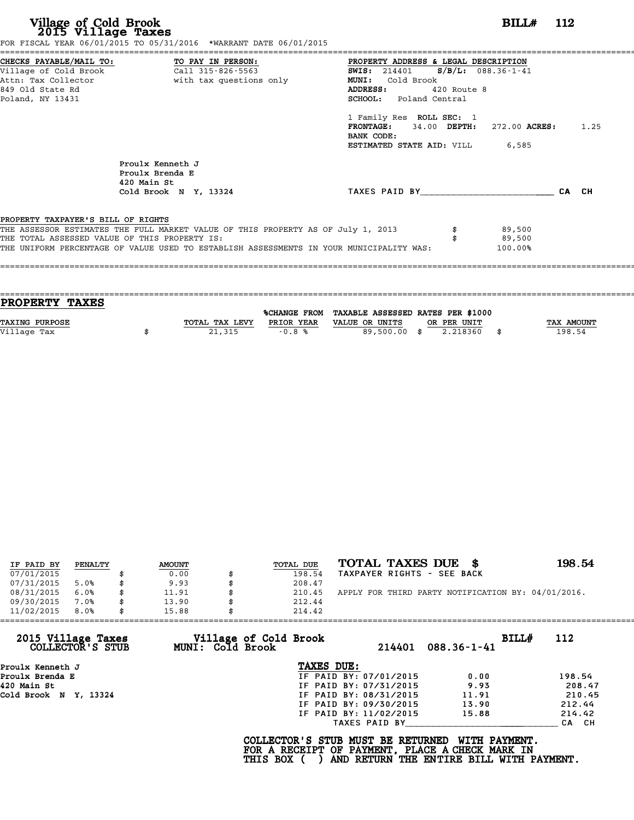| Village of Cold Brook<br>2015 Village Taxes                                                                     | FOR FISCAL YEAR 06/01/2015 TO 05/31/2016 *WARRANT DATE 06/01/2015                                                                                                           |                                                                                                                                                         | BILL# 112 |
|-----------------------------------------------------------------------------------------------------------------|-----------------------------------------------------------------------------------------------------------------------------------------------------------------------------|---------------------------------------------------------------------------------------------------------------------------------------------------------|-----------|
| CHECKS PAYABLE/MAIL TO:<br>Village of Cold Brook<br>Attn: Tax Collector<br>849 Old State Rd<br>Poland, NY 13431 | TO PAY IN PERSON:<br>Call 315-826-5563<br>with tax questions only                                                                                                           | PROPERTY ADDRESS & LEGAL DESCRIPTION<br>SWIS: 214401 S/B/L: 088.36-1-41<br>MUNI: Cold Brook<br>ADDRESS:<br>420 Route 8<br><b>SCHOOL:</b> Poland Central |           |
|                                                                                                                 |                                                                                                                                                                             | 1 Family Res ROLL SEC: 1<br><b>FRONTAGE:</b> 34.00 DEPTH: 272.00 ACRES: 1.25<br>BANK CODE:<br><b>ESTIMATED STATE AID:</b> VILL 6,585                    |           |
|                                                                                                                 | Proulx Kenneth J<br>Proulx Brenda E<br>420 Main St<br>Cold Brook N Y, 13324                                                                                                 | TAXES PAID BY                                                                                                                                           | CA CH     |
| PROPERTY TAXPAYER'S BILL OF RIGHTS<br>THE TOTAL ASSESSED VALUE OF THIS PROPERTY IS:                             | THE ASSESSOR ESTIMATES THE FULL MARKET VALUE OF THIS PROPERTY AS OF July 1, 2013<br>THE UNIFORM PERCENTAGE OF VALUE USED TO ESTABLISH ASSESSMENTS IN YOUR MUNICIPALITY WAS: | 89,500<br>89,500<br>100.00%                                                                                                                             |           |

| PROPERTY TAXES        |                |            |                                                |             |                   |
|-----------------------|----------------|------------|------------------------------------------------|-------------|-------------------|
|                       |                |            | %CHANGE FROM TAXABLE ASSESSED RATES PER \$1000 |             |                   |
| <b>TAXING PURPOSE</b> | TOTAL TAX LEVY | PRIOR YEAR | VALUE OR UNITS                                 | OR PER UNIT | <b>TAX AMOUNT</b> |
| Village Tax           | 21,315         | $-0.8%$    | 89,500.00 \$                                   | 2.218360    | 198.54            |
|                       |                |            |                                                |             |                   |

| IF PAID BY | PENALTY | <b>AMOUNT</b> | TOTAL DUE | TOTAL TAXES DUE \$                                 | 198.54 |
|------------|---------|---------------|-----------|----------------------------------------------------|--------|
| 07/01/2015 |         | 0.00          | 198.54    | TAXPAYER RIGHTS - SEE BACK                         |        |
| 07/31/2015 | 5.0%    | \$<br>9.93    | 208.47    |                                                    |        |
| 08/31/2015 | 6.0%    | \$<br>11.91   | 210.45    | APPLY FOR THIRD PARTY NOTIFICATION BY: 04/01/2016. |        |
| 09/30/2015 | 7.0%    | \$<br>13.90   | 212.44    |                                                    |        |
| 11/02/2015 | 8.0%    | \$<br>15.88   | 214.42    |                                                    |        |

| 11/02/2015<br>8.0%                     | 15.88                                            | 214.42                                                                                             |                                                           |        |
|----------------------------------------|--------------------------------------------------|----------------------------------------------------------------------------------------------------|-----------------------------------------------------------|--------|
| 2015 Village Taxes<br>COLLECTOR'S STUB | Village of Cold Brook<br><b>MUNI: Cold Brook</b> | 214401                                                                                             | BILLH<br>$088.36 - 1 - 41$                                | 112    |
| Proulx Kenneth J                       |                                                  | TAXES DUE:                                                                                         |                                                           |        |
| Proulx Brenda E                        |                                                  | IF PAID BY: 07/01/2015                                                                             | 0.00                                                      | 198.54 |
| 420 Main St                            |                                                  | IF PAID BY: 07/31/2015                                                                             | 9.93                                                      | 208.47 |
| Cold Brook N Y, 13324                  |                                                  | IF PAID BY: 08/31/2015                                                                             | 11.91                                                     | 210.45 |
|                                        |                                                  | IF PAID BY: 09/30/2015                                                                             | 13.90                                                     | 212.44 |
|                                        |                                                  | IF PAID BY: 11/02/2015                                                                             | 15.88                                                     | 214.42 |
|                                        |                                                  | TAXES PAID BY                                                                                      |                                                           | CA CH  |
|                                        |                                                  | COLLECTOR'S STUB MUST BE RETURNED<br>FOR A RECEIPT OF PAYMENT, PLACE A CHECK MARK IN<br>THIS BOX ( | WITH PAYMENT.<br>AND RETURN THE ENTIRE BILL WITH PAYMENT. |        |
|                                        |                                                  |                                                                                                    |                                                           |        |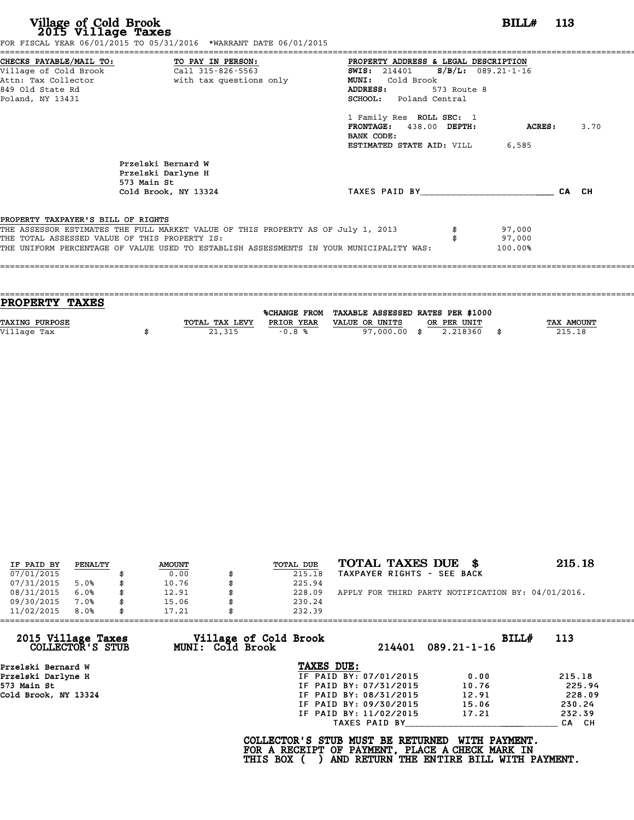|                                               |                                                                                  | PROPERTY ADDRESS & LEGAL DESCRIPTION          |             |        |       |      |
|-----------------------------------------------|----------------------------------------------------------------------------------|-----------------------------------------------|-------------|--------|-------|------|
|                                               |                                                                                  | <b>SWIS:</b> 214401 <b>S/B/L:</b> 089.21-1-16 |             |        |       |      |
|                                               | Attn: Tax Collector and the with tax questions only                              | MUNI: Cold Brook                              |             |        |       |      |
| 849 Old State Rd                              |                                                                                  | <b>ADDRESS:</b>                               | 573 Route 8 |        |       |      |
| Poland, NY 13431                              |                                                                                  | SCHOOL: Poland Central                        |             |        |       |      |
|                                               |                                                                                  | 1 Family Res ROLL SEC: 1                      |             |        |       |      |
|                                               |                                                                                  | FRONTAGE: 438.00 DEPTH:<br>BANK CODE:         |             | ACRES: |       | 3.70 |
|                                               |                                                                                  | <b>ESTIMATED STATE AID: VILL 6,585</b>        |             |        |       |      |
|                                               | Przelski Bernard W<br>Przelski Darlyne H<br>573 Main St                          |                                               |             |        |       |      |
|                                               | Cold Brook, NY 13324                                                             | TAXES PAID BY TAXES                           |             |        | CA CH |      |
| PROPERTY TAXPAYER'S BILL OF RIGHTS            |                                                                                  |                                               |             |        |       |      |
|                                               | THE ASSESSOR ESTIMATES THE FULL MARKET VALUE OF THIS PROPERTY AS OF July 1, 2013 |                                               |             | 97,000 |       |      |
|                                               |                                                                                  |                                               |             | 97,000 |       |      |
| THE TOTAL ASSESSED VALUE OF THIS PROPERTY IS: |                                                                                  |                                               |             |        |       |      |

| <b>PROPERTY TAXES</b> |                |            |                                                |             |            |
|-----------------------|----------------|------------|------------------------------------------------|-------------|------------|
|                       |                |            | %CHANGE FROM TAXABLE ASSESSED RATES PER \$1000 |             |            |
|                       |                |            |                                                |             |            |
| <b>TAXING PURPOSE</b> | TOTAL TAX LEVY | PRIOR YEAR | VALUE OR UNITS                                 | OR PER UNIT | TAX AMOUNT |
| Village Tax           | 21,315         | $-0.8%$    | 97,000,00 \$                                   | 2.218360    | 215.18     |
|                       |                |            |                                                |             |            |
|                       |                |            |                                                |             |            |

| IF PAID BY | PENALTY | <b>AMOUNT</b> | TOTAL DUE | TOTAL TAXES DUE \$                                 | 215.18 |
|------------|---------|---------------|-----------|----------------------------------------------------|--------|
| 07/01/2015 |         | 0.00          | 215.18    | TAXPAYER RIGHTS - SEE BACK                         |        |
| 07/31/2015 | 5.0%    | \$<br>10.76   | 225.94    |                                                    |        |
| 08/31/2015 | 6.0%    | \$<br>12.91   | 228.09    | APPLY FOR THIRD PARTY NOTIFICATION BY: 04/01/2016. |        |
| 09/30/2015 | 7.0%    | \$<br>15.06   | 230.24    |                                                    |        |
| 11/02/2015 | 8.0%    | \$<br>17.21   | 232.39    |                                                    |        |

| 11/02/2015                             | 8.0% | 17.21 |                         | 232.39                                                                                             |                        |                                                           |       |        |
|----------------------------------------|------|-------|-------------------------|----------------------------------------------------------------------------------------------------|------------------------|-----------------------------------------------------------|-------|--------|
| 2015 Village Taxes<br>COLLECTOR'S STUB |      |       | <b>MUNI: Cold Brook</b> | Village of Cold Brook                                                                              | 214401                 | $089.21 - 1 - 16$                                         | BILLH | 113    |
| Przelski Bernard W                     |      |       |                         | TAXES DUE:                                                                                         |                        |                                                           |       |        |
| Przelski Darlyne H                     |      |       |                         |                                                                                                    | IF PAID BY: 07/01/2015 | 0.00                                                      |       | 215.18 |
| 573 Main St                            |      |       |                         |                                                                                                    | IF PAID BY: 07/31/2015 | 10.76                                                     |       | 225.94 |
| Cold Brook, NY 13324                   |      |       |                         |                                                                                                    | IF PAID BY: 08/31/2015 | 12.91                                                     |       | 228.09 |
|                                        |      |       |                         |                                                                                                    | IF PAID BY: 09/30/2015 | 15.06                                                     |       | 230.24 |
|                                        |      |       |                         |                                                                                                    | IF PAID BY: 11/02/2015 | 17.21                                                     |       | 232.39 |
|                                        |      |       |                         |                                                                                                    | TAXES PAID BY          |                                                           |       | CA CH  |
|                                        |      |       |                         | COLLECTOR'S STUB MUST BE RETURNED<br>FOR A RECEIPT OF PAYMENT, PLACE A CHECK MARK IN<br>THIS BOX ( |                        | WITH PAYMENT.<br>AND RETURN THE ENTIRE BILL WITH PAYMENT. |       |        |
|                                        |      |       |                         |                                                                                                    |                        |                                                           |       |        |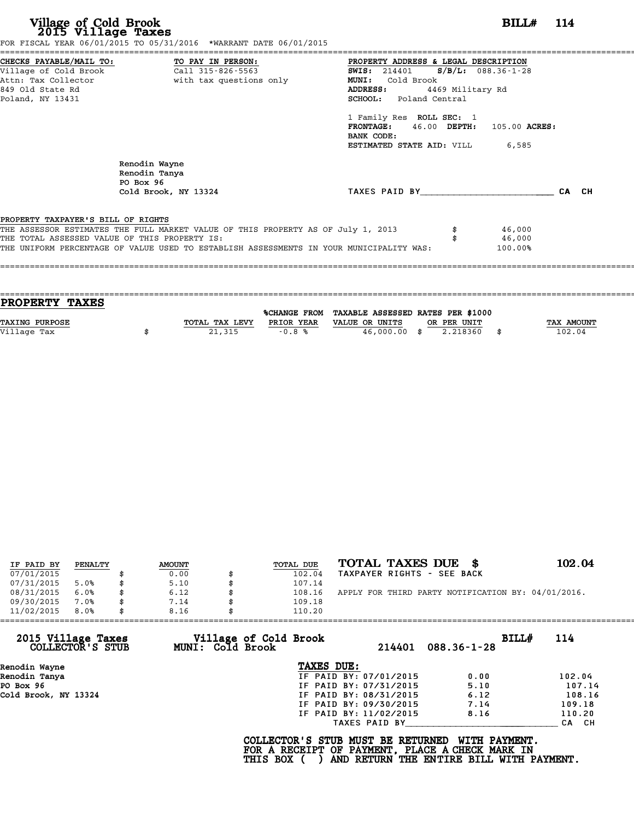| CHECKS PAYABLE/MAIL TO:                       | TO PAY IN PERSON:                                                                | PROPERTY ADDRESS & LEGAL DESCRIPTION          |                  |               |       |
|-----------------------------------------------|----------------------------------------------------------------------------------|-----------------------------------------------|------------------|---------------|-------|
| Village of Cold Brook                         | Call 315-826-5563                                                                | <b>SWIS:</b> 214401 <b>S/B/L:</b> 088.36-1-28 |                  |               |       |
| Attn: Tax Collector                           | with tax questions only                                                          | Cold Brook<br><b>MUNI:</b>                    |                  |               |       |
| 849 Old State Rd                              |                                                                                  | ADDRESS:                                      | 4469 Military Rd |               |       |
| Poland, NY 13431                              |                                                                                  | SCHOOL: Poland Central                        |                  |               |       |
|                                               |                                                                                  | 1 Family Res ROLL SEC: 1                      |                  |               |       |
|                                               |                                                                                  | <b>FRONTAGE:</b>                              | $46.00$ DEPTH:   | 105.00 ACRES: |       |
|                                               |                                                                                  | BANK CODE:                                    |                  |               |       |
|                                               |                                                                                  | ESTIMATED STATE AID: VILL                     |                  | 6,585         |       |
|                                               | Renodin Wayne<br>Renodin Tanya<br>PO Box 96                                      |                                               |                  |               |       |
|                                               | Cold Brook, NY 13324                                                             | TAXES PAID BY                                 |                  |               | CA CH |
| PROPERTY TAXPAYER'S BILL OF RIGHTS            |                                                                                  |                                               |                  |               |       |
|                                               | THE ASSESSOR ESTIMATES THE FULL MARKET VALUE OF THIS PROPERTY AS OF July 1, 2013 |                                               |                  | 46,000        |       |
|                                               |                                                                                  |                                               |                  | 46,000        |       |
| THE TOTAL ASSESSED VALUE OF THIS PROPERTY IS: |                                                                                  |                                               |                  |               |       |

| TOTAL TAX LEVY | PRIOR YEAR | VALUE OR UNITS | OR PER UNIT |              | <b>TAX AMOUNT</b>                              |
|----------------|------------|----------------|-------------|--------------|------------------------------------------------|
|                |            |                | 2.218360    |              | 102.04                                         |
|                |            |                |             |              |                                                |
|                | 21,315     | $-0.8%$        |             | 46,000.00 \$ | %CHANGE FROM TAXABLE ASSESSED RATES PER \$1000 |

| IF PAID BY | PENALTY | <b>AMOUNT</b> | TOTAL DUE | TOTAL TAXES DUE \$                                 | 102.04 |
|------------|---------|---------------|-----------|----------------------------------------------------|--------|
| 07/01/2015 |         | 0.00          | 102.04    | TAXPAYER RIGHTS - SEE BACK                         |        |
| 07/31/2015 | 5.0%    | \$<br>5.10    | 107.14    |                                                    |        |
| 08/31/2015 | 6.0%    | \$<br>6.12    | 108.16    | APPLY FOR THIRD PARTY NOTIFICATION BY: 04/01/2016. |        |
| 09/30/2015 | 7.0%    | \$<br>7.14    | 109.18    |                                                    |        |
| 11/02/2015 | 8.0%    | \$<br>8.16    | 110.20    |                                                    |        |

| 11/02/2015<br>8.0%                     | 8.16                                      | 110.20                                                                                             |                                                           |        |
|----------------------------------------|-------------------------------------------|----------------------------------------------------------------------------------------------------|-----------------------------------------------------------|--------|
| 2015 Village Taxes<br>COLLECTOR'S STUB | Village of Cold Brook<br>MUNI: Cold Brook | 214401                                                                                             | BILLH<br>$088.36 - 1 - 28$                                | 114    |
| Renodin Wayne                          |                                           | TAXES DUE:                                                                                         |                                                           |        |
| Renodin Tanya                          |                                           | IF PAID BY: 07/01/2015                                                                             | 0.00                                                      | 102.04 |
| PO Box 96                              |                                           | IF PAID BY: 07/31/2015                                                                             | 5.10                                                      | 107.14 |
| Cold Brook, NY 13324                   |                                           | IF PAID BY: 08/31/2015                                                                             | 6.12                                                      | 108.16 |
|                                        |                                           | IF PAID BY: 09/30/2015                                                                             | 7.14                                                      | 109.18 |
|                                        |                                           | IF PAID BY: 11/02/2015                                                                             | 8.16                                                      | 110.20 |
|                                        |                                           | TAXES PAID BY                                                                                      |                                                           | CA CH  |
|                                        |                                           | COLLECTOR'S STUB MUST BE RETURNED<br>FOR A RECEIPT OF PAYMENT, PLACE A CHECK MARK IN<br>THIS BOX ( | WITH PAYMENT.<br>AND RETURN THE ENTIRE BILL WITH PAYMENT. |        |
|                                        |                                           |                                                                                                    |                                                           |        |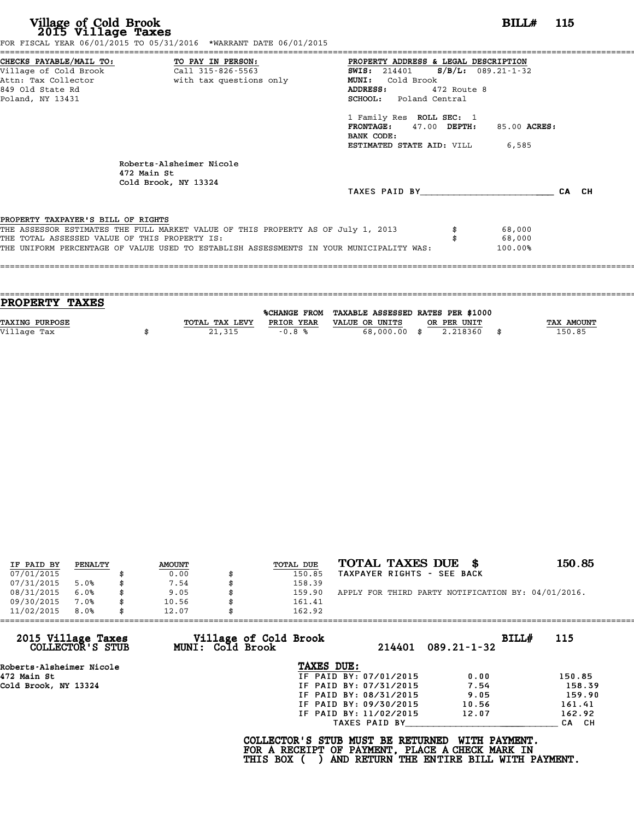|                                               | FOR FISCAL YEAR 06/01/2015 TO 05/31/2016 *WARRANT DATE 06/01/2015                       |                                              |       |
|-----------------------------------------------|-----------------------------------------------------------------------------------------|----------------------------------------------|-------|
|                                               | CHECKS PAYABLE/MAIL TO: TO PAY IN PERSON:                                               | PROPERTY ADDRESS & LEGAL DESCRIPTION         |       |
| Village of Cold Brook                         | Call 315-826-5563                                                                       | $S/B/L$ : 089.21-1-32<br><b>SWIS:</b> 214401 |       |
| Attn: Tax Collector                           | with tax questions only                                                                 | Cold Brook<br><b>MUNI:</b>                   |       |
| 849 Old State Rd                              |                                                                                         | ADDRESS:<br>472 Route 8                      |       |
| Poland, NY 13431                              |                                                                                         | <b>SCHOOL:</b> Poland Central                |       |
|                                               |                                                                                         | 1 Family Res ROLL SEC: 1                     |       |
|                                               |                                                                                         | FRONTAGE: 47.00 DEPTH:<br>85.00 ACRES:       |       |
|                                               |                                                                                         | BANK CODE:                                   |       |
|                                               |                                                                                         | <b>ESTIMATED STATE AID:</b> VILL 6,585       |       |
|                                               | Roberts-Alsheimer Nicole<br>472 Main St<br>Cold Brook, NY 13324                         |                                              |       |
|                                               |                                                                                         | TAXES PAID BY                                | CA CH |
| PROPERTY TAXPAYER'S BILL OF RIGHTS            |                                                                                         |                                              |       |
|                                               | THE ASSESSOR ESTIMATES THE FULL MARKET VALUE OF THIS PROPERTY AS OF July 1, 2013        | 68,000                                       |       |
| THE TOTAL ASSESSED VALUE OF THIS PROPERTY IS: |                                                                                         | 68,000                                       |       |
|                                               | THE UNIFORM PERCENTAGE OF VALUE USED TO ESTABLISH ASSESSMENTS IN YOUR MUNICIPALITY WAS: | 100.00%                                      |       |
|                                               |                                                                                         |                                              |       |

| <b>PROPERTY TAXES</b> |                |            |                                                |             |                   |
|-----------------------|----------------|------------|------------------------------------------------|-------------|-------------------|
|                       |                |            |                                                |             |                   |
|                       |                |            | %CHANGE FROM TAXABLE ASSESSED RATES PER \$1000 |             |                   |
| <b>TAXING PURPOSE</b> | TOTAL TAX LEVY | PRIOR YEAR | VALUE OR UNITS                                 | OR PER UNIT | <b>TAX AMOUNT</b> |
| Village Tax           | 21,315         | $-0.8%$    | 68,000.00 \$                                   | 2.218360    | 150.85            |
|                       |                |            |                                                |             |                   |

| IF PAID BY | PENALTY | <b>AMOUNT</b> | TOTAL DUE | TOTAL TAXES DUE<br>- 86                            | 150.85 |
|------------|---------|---------------|-----------|----------------------------------------------------|--------|
| 07/01/2015 |         | 0.00          | 150.85    | TAXPAYER RIGHTS - SEE BACK                         |        |
| 07/31/2015 | 5.0%    | 7.54          | 158.39    |                                                    |        |
| 08/31/2015 | 6.0%    | 9.05          | 159.90    | APPLY FOR THIRD PARTY NOTIFICATION BY: 04/01/2016. |        |
| 09/30/2015 | 7.0%    | 10.56         | 161.41    |                                                    |        |
| 11/02/2015 | 8.0%    | 12.07         | 162.92    |                                                    |        |

| Village of Cold Brook<br>2015 Village Taxes<br>BILLH<br>115<br>MUNI: Cold Brook<br>COLLECTOR'S STUB<br>214401<br>$089.21 - 1 - 32$<br>TAXES DUE:<br>Roberts-Alsheimer Nicole<br>IF PAID BY: 07/01/2015<br>0.00<br>150.85<br>472 Main St<br>Cold Brook, NY 13324<br>IF PAID BY: 07/31/2015<br>158.39<br>7.54<br>159.90<br>9.05<br>IF PAID BY: 08/31/2015<br>161.41<br>IF PAID BY: 09/30/2015<br>10.56<br>162.92<br>IF PAID BY: 11/02/2015<br>12.07<br>TAXES PAID BY<br>CA CH<br>COLLECTOR'S STUB MUST BE RETURNED<br>WITH PAYMENT.<br>FOR A RECEIPT OF PAYMENT, PLACE A CHECK MARK IN<br>AND RETURN THE ENTIRE BILL WITH PAYMENT.<br>THIS BOX ( | 11/02/2015<br>8.0% | 12.07 | 162.92 |  |  |
|------------------------------------------------------------------------------------------------------------------------------------------------------------------------------------------------------------------------------------------------------------------------------------------------------------------------------------------------------------------------------------------------------------------------------------------------------------------------------------------------------------------------------------------------------------------------------------------------------------------------------------------------|--------------------|-------|--------|--|--|
|                                                                                                                                                                                                                                                                                                                                                                                                                                                                                                                                                                                                                                                |                    |       |        |  |  |
|                                                                                                                                                                                                                                                                                                                                                                                                                                                                                                                                                                                                                                                |                    |       |        |  |  |
|                                                                                                                                                                                                                                                                                                                                                                                                                                                                                                                                                                                                                                                |                    |       |        |  |  |
|                                                                                                                                                                                                                                                                                                                                                                                                                                                                                                                                                                                                                                                |                    |       |        |  |  |
|                                                                                                                                                                                                                                                                                                                                                                                                                                                                                                                                                                                                                                                |                    |       |        |  |  |
|                                                                                                                                                                                                                                                                                                                                                                                                                                                                                                                                                                                                                                                |                    |       |        |  |  |
|                                                                                                                                                                                                                                                                                                                                                                                                                                                                                                                                                                                                                                                |                    |       |        |  |  |
|                                                                                                                                                                                                                                                                                                                                                                                                                                                                                                                                                                                                                                                |                    |       |        |  |  |
|                                                                                                                                                                                                                                                                                                                                                                                                                                                                                                                                                                                                                                                |                    |       |        |  |  |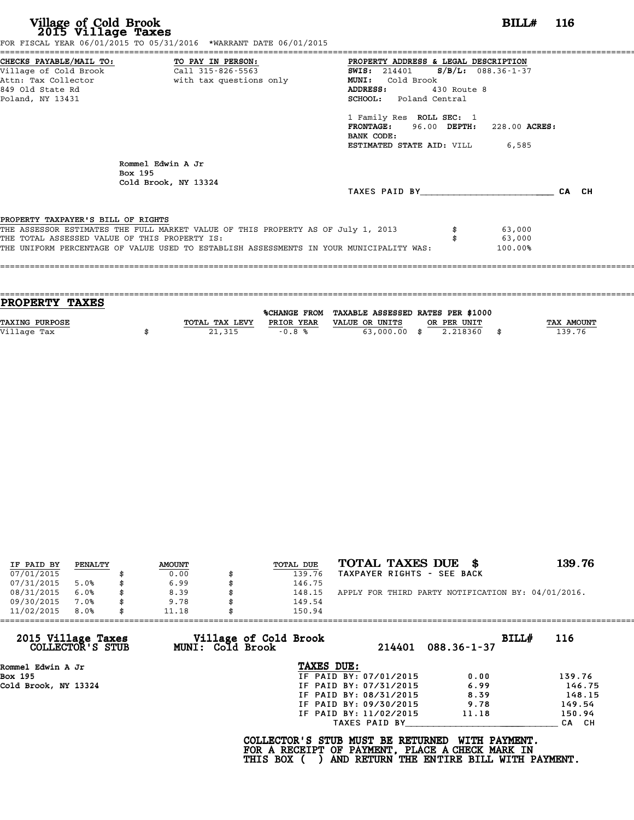| CHECKS PAYABLE/MAIL TO: TO PAY IN PERSON:     |                                                                                         | PROPERTY ADDRESS & LEGAL DESCRIPTION          |               |               |       |
|-----------------------------------------------|-----------------------------------------------------------------------------------------|-----------------------------------------------|---------------|---------------|-------|
|                                               |                                                                                         | <b>SWIS:</b> 214401 <b>S/B/L:</b> 088.36-1-37 |               |               |       |
|                                               | Attn: Tax Collector The With tax questions only                                         | MUNI: Cold Brook                              |               |               |       |
| 849 Old State Rd                              |                                                                                         | ADDRESS:                                      | $430$ Route 8 |               |       |
| Poland, NY 13431                              |                                                                                         | SCHOOL: Poland Central                        |               |               |       |
|                                               |                                                                                         | 1 Family Res ROLL SEC: 1                      |               |               |       |
|                                               |                                                                                         | FRONTAGE: 96.00 DEPTH:                        |               | 228.00 ACRES: |       |
|                                               |                                                                                         | BANK CODE:                                    |               |               |       |
|                                               |                                                                                         | <b>ESTIMATED STATE AID:</b> VILL 6,585        |               |               |       |
| Box 195                                       | Rommel Edwin A Jr<br>Cold Brook, NY 13324                                               |                                               |               |               |       |
|                                               |                                                                                         | TAXES PAID BY                                 |               |               | CA CH |
|                                               |                                                                                         |                                               |               |               |       |
| PROPERTY TAXPAYER'S BILL OF RIGHTS            |                                                                                         |                                               |               |               |       |
|                                               | THE ASSESSOR ESTIMATES THE FULL MARKET VALUE OF THIS PROPERTY AS OF July 1, 2013        |                                               |               | 63,000        |       |
| THE TOTAL ASSESSED VALUE OF THIS PROPERTY IS: | THE UNIFORM PERCENTAGE OF VALUE USED TO ESTABLISH ASSESSMENTS IN YOUR MUNICIPALITY WAS: |                                               |               | 63,000        |       |
|                                               |                                                                                         |                                               |               | 100.00%       |       |

| TOTAL TAX LEVY | PRIOR YEAR | VALUE OR UNITS | OR PER UNIT |              | <b>TAX AMOUNT</b>                              |
|----------------|------------|----------------|-------------|--------------|------------------------------------------------|
|                |            |                | 2.218360    |              | 139.76                                         |
|                |            |                |             |              |                                                |
|                | 21,315     | $-0.8%$        |             | 63,000.00 \$ | %CHANGE FROM TAXABLE ASSESSED RATES PER \$1000 |

| IF PAID BY | PENALTY | <b>AMOUNT</b> | <b>TOTAL DUE</b> | TOTAL TAXES DUE \$                                 | 139.76 |
|------------|---------|---------------|------------------|----------------------------------------------------|--------|
| 07/01/2015 |         | 0.00          | 139.76           | TAXPAYER RIGHTS - SEE BACK                         |        |
| 07/31/2015 | 5.0%    | \$<br>6.99    | 146.75           |                                                    |        |
| 08/31/2015 | 6.0%    | \$<br>8.39    | \$<br>148.15     | APPLY FOR THIRD PARTY NOTIFICATION BY: 04/01/2016. |        |
| 09/30/2015 | 7.0%    | \$<br>9.78    | 149.54           |                                                    |        |
| 11/02/2015 | 8.0%    | \$<br>11.18   | 150.94           |                                                    |        |

| 11/02/2015                             | 8.0% | 11.18 |                         | 150.94                                                                                             |                        |                                                           |       |        |
|----------------------------------------|------|-------|-------------------------|----------------------------------------------------------------------------------------------------|------------------------|-----------------------------------------------------------|-------|--------|
| 2015 Village Taxes<br>COLLECTOR'S STUB |      |       | <b>MUNI: Cold Brook</b> | Village of Cold Brook                                                                              | 214401                 | $088.36 - 1 - 37$                                         | BILLH | 116    |
| Rommel Edwin A Jr                      |      |       |                         | TAXES DUE:                                                                                         |                        |                                                           |       |        |
| Box 195                                |      |       |                         |                                                                                                    | IF PAID BY: 07/01/2015 | 0.00                                                      |       | 139.76 |
| Cold Brook, NY 13324                   |      |       |                         |                                                                                                    | IF PAID BY: 07/31/2015 | 6.99                                                      |       | 146.75 |
|                                        |      |       |                         |                                                                                                    | IF PAID BY: 08/31/2015 | 8.39                                                      |       | 148.15 |
|                                        |      |       |                         |                                                                                                    | IF PAID BY: 09/30/2015 | 9.78                                                      |       | 149.54 |
|                                        |      |       |                         |                                                                                                    | IF PAID BY: 11/02/2015 | 11.18                                                     |       | 150.94 |
|                                        |      |       |                         |                                                                                                    | TAXES PAID BY          |                                                           |       | CA CH  |
|                                        |      |       |                         | COLLECTOR'S STUB MUST BE RETURNED<br>FOR A RECEIPT OF PAYMENT, PLACE A CHECK MARK IN<br>THIS BOX ( |                        | WITH PAYMENT.<br>AND RETURN THE ENTIRE BILL WITH PAYMENT. |       |        |
|                                        |      |       |                         |                                                                                                    |                        |                                                           |       |        |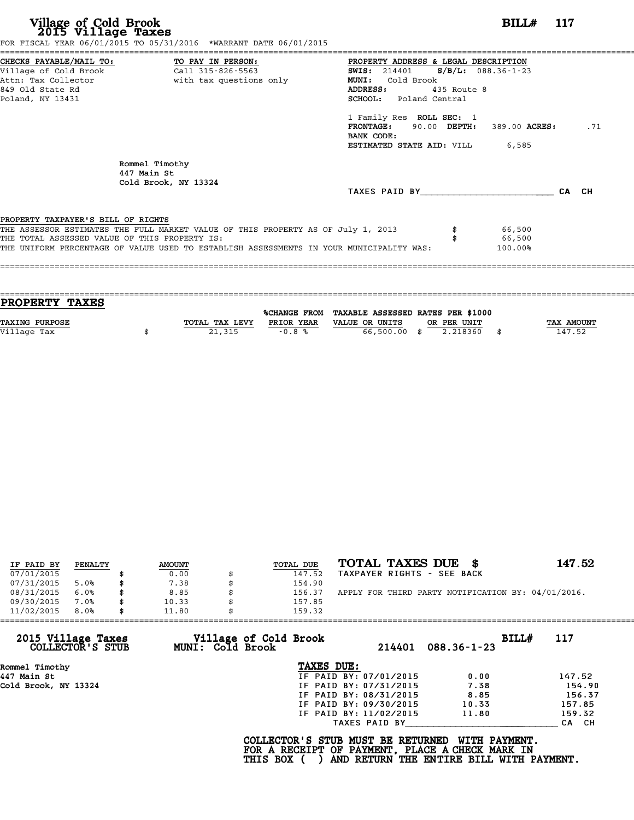|                                               | FOR FISCAL YEAR 06/01/2015 TO 05/31/2016 *WARRANT DATE 06/01/2015                       |                                               |             |         |     |
|-----------------------------------------------|-----------------------------------------------------------------------------------------|-----------------------------------------------|-------------|---------|-----|
|                                               | CHECKS PAYABLE/MAIL TO: TO PAY IN PERSON:                                               | PROPERTY ADDRESS & LEGAL DESCRIPTION          |             |         |     |
|                                               | Village of Cold Brook Call 315-826-5563                                                 | <b>SWIS:</b> 214401 <b>S/B/L:</b> 088.36-1-23 |             |         |     |
|                                               | Attn: Tax Collector                       with tax questions only                       | <b>MUNI:</b><br>Cold Brook                    |             |         |     |
| 849 Old State Rd                              |                                                                                         | ADDRESS:                                      | 435 Route 8 |         |     |
| Poland, NY 13431                              |                                                                                         | SCHOOL: Poland Central                        |             |         |     |
|                                               |                                                                                         | 1 Family Res ROLL SEC: 1                      |             |         |     |
|                                               |                                                                                         | FRONTAGE: 90.00 DEPTH: 389.00 ACRES:          |             |         | .71 |
|                                               |                                                                                         | BANK CODE:                                    |             |         |     |
|                                               |                                                                                         | <b>ESTIMATED STATE AID:</b> VILL 6,585        |             |         |     |
|                                               | Rommel Timothy<br>447 Main St<br>Cold Brook, NY 13324                                   |                                               |             |         |     |
|                                               |                                                                                         | TAXES PAID BY CA CH                           |             |         |     |
|                                               |                                                                                         |                                               |             |         |     |
| PROPERTY TAXPAYER'S BILL OF RIGHTS            |                                                                                         |                                               |             |         |     |
|                                               | THE ASSESSOR ESTIMATES THE FULL MARKET VALUE OF THIS PROPERTY AS OF July 1, 2013        |                                               |             | 66,500  |     |
| THE TOTAL ASSESSED VALUE OF THIS PROPERTY IS: |                                                                                         |                                               |             | 66,500  |     |
|                                               |                                                                                         |                                               |             |         |     |
|                                               | THE UNIFORM PERCENTAGE OF VALUE USED TO ESTABLISH ASSESSMENTS IN YOUR MUNICIPALITY WAS: |                                               |             | 100.00% |     |

| <b>PROPERTY TAXES</b> |                |            |                                                |                   |
|-----------------------|----------------|------------|------------------------------------------------|-------------------|
|                       |                |            |                                                |                   |
|                       |                |            | %CHANGE FROM TAXABLE ASSESSED RATES PER \$1000 |                   |
| TAXING PURPOSE        | TOTAL TAX LEVY | PRIOR YEAR | VALUE OR UNITS<br>OR PER UNIT                  | <b>TAX AMOUNT</b> |
| Village Tax           | 21,315         | $-0.8%$    | 66,500.00 \$<br>2.218360                       | 147.52            |
|                       |                |            |                                                |                   |

| IF PAID BY | PENALTY | <b>AMOUNT</b> | TOTAL DUE | TOTAL TAXES DUE \$                                 | 147.52 |
|------------|---------|---------------|-----------|----------------------------------------------------|--------|
| 07/01/2015 |         | 0.00          | 147.52    | TAXPAYER RIGHTS - SEE BACK                         |        |
| 07/31/2015 | 5.0%    | \$<br>7.38    | 154.90    |                                                    |        |
| 08/31/2015 | 6.0%    | \$<br>8.85    | 156.37    | APPLY FOR THIRD PARTY NOTIFICATION BY: 04/01/2016. |        |
| 09/30/2015 | 7.0%    | \$<br>10.33   | 157.85    |                                                    |        |
| 11/02/2015 | 8.0%    | \$<br>11.80   | 159.32    |                                                    |        |

| 11/02/2015                             | 8.0% | 11.80 |                  | 159.32                                                                                                    |                        |                                                           |       |        |
|----------------------------------------|------|-------|------------------|-----------------------------------------------------------------------------------------------------------|------------------------|-----------------------------------------------------------|-------|--------|
| 2015 Village Taxes<br>COLLECTOR'S STUB |      |       | MUNI: Cold Brook | Village of Cold Brook                                                                                     | 214401                 | $088.36 - 1 - 23$                                         | BILLH | 117    |
| Rommel Timothy                         |      |       |                  | TAXES DUE:                                                                                                |                        |                                                           |       |        |
| 447 Main St                            |      |       |                  |                                                                                                           | IF PAID BY: 07/01/2015 | 0.00                                                      |       | 147.52 |
| Cold Brook, NY 13324                   |      |       |                  |                                                                                                           | IF PAID BY: 07/31/2015 | 7.38                                                      |       | 154.90 |
|                                        |      |       |                  |                                                                                                           | IF PAID BY: 08/31/2015 | 8.85                                                      |       | 156.37 |
|                                        |      |       |                  |                                                                                                           | IF PAID BY: 09/30/2015 | 10.33                                                     |       | 157.85 |
|                                        |      |       |                  |                                                                                                           | IF PAID BY: 11/02/2015 | 11.80                                                     |       | 159.32 |
|                                        |      |       |                  |                                                                                                           | TAXES PAID BY          |                                                           |       | CA CH  |
|                                        |      |       |                  | COLLECTOR'S STUB MUST BE RETURNED<br>FOR A RECEIPT OF PAYMENT, PLACE A CHECK MARK IN<br><b>THIS BOX (</b> |                        | WITH PAYMENT.<br>AND RETURN THE ENTIRE BILL WITH PAYMENT. |       |        |
|                                        |      |       |                  |                                                                                                           |                        |                                                           |       |        |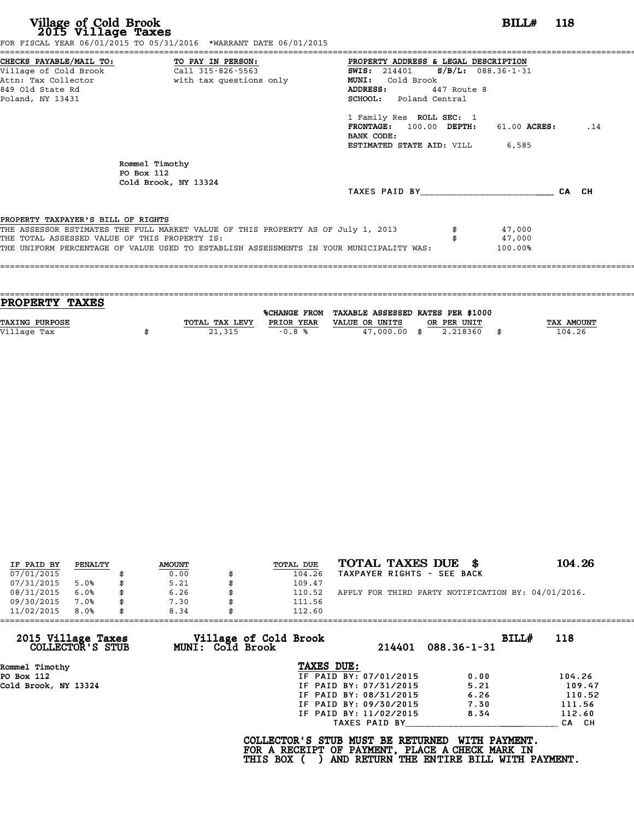|                                               | FOR FISCAL YEAR 06/01/2015 TO 05/31/2016 *WARRANT DATE 06/01/2015                       |                                               |             |              |     |
|-----------------------------------------------|-----------------------------------------------------------------------------------------|-----------------------------------------------|-------------|--------------|-----|
|                                               | CHECKS PAYABLE/MAIL TO: TO PAY IN PERSON:                                               | PROPERTY ADDRESS & LEGAL DESCRIPTION          |             |              |     |
|                                               |                                                                                         | <b>SWIS:</b> 214401 <b>S/B/L:</b> 088.36-1-31 |             |              |     |
|                                               | Attn: Tax Collector                       with tax questions only                       | Cold Brook<br><b>MUNI:</b>                    |             |              |     |
| 849 Old State Rd                              |                                                                                         | <b>ADDRESS:</b>                               | 447 Route 8 |              |     |
| Poland, NY 13431                              |                                                                                         | SCHOOL: Poland Central                        |             |              |     |
|                                               |                                                                                         | 1 Family Res ROLL SEC: 1                      |             |              |     |
|                                               |                                                                                         | FRONTAGE: 100.00 DEPTH:                       |             | 61.00 ACRES: | .14 |
|                                               |                                                                                         | BANK CODE:                                    |             |              |     |
|                                               |                                                                                         | <b>ESTIMATED STATE AID:</b> VILL 6,585        |             |              |     |
|                                               | Rommel Timothy                                                                          |                                               |             |              |     |
|                                               | PO Box 112                                                                              |                                               |             |              |     |
|                                               | Cold Brook, NY 13324                                                                    |                                               |             |              |     |
|                                               |                                                                                         | TAXES PAID BY CA CH                           |             |              |     |
| PROPERTY TAXPAYER'S BILL OF RIGHTS            |                                                                                         |                                               |             |              |     |
|                                               | THE ASSESSOR ESTIMATES THE FULL MARKET VALUE OF THIS PROPERTY AS OF July 1, 2013        |                                               |             | 47,000       |     |
| THE TOTAL ASSESSED VALUE OF THIS PROPERTY IS: |                                                                                         |                                               |             | 47,000       |     |
|                                               | THE UNIFORM PERCENTAGE OF VALUE USED TO ESTABLISH ASSESSMENTS IN YOUR MUNICIPALITY WAS: |                                               |             | 100.00%      |     |
|                                               |                                                                                         |                                               |             |              |     |
|                                               |                                                                                         |                                               |             |              |     |
|                                               |                                                                                         |                                               |             |              |     |

| <b>PROPERTY TAXES</b> |                |            |                                                |             |                   |
|-----------------------|----------------|------------|------------------------------------------------|-------------|-------------------|
|                       |                |            |                                                |             |                   |
|                       |                |            | %CHANGE FROM TAXABLE ASSESSED RATES PER \$1000 |             |                   |
| <b>TAXING PURPOSE</b> | TOTAL TAX LEVY | PRIOR YEAR | VALUE OR UNITS                                 | OR PER UNIT | <b>TAX AMOUNT</b> |
| Village Tax           | 21,315         | $-0.8%$    | 47,000.00 \$                                   | 2.218360    | 104.26            |
|                       |                |            |                                                |             |                   |

| IF PAID BY | PENALTY | <b>AMOUNT</b> | TOTAL DUE | TOTAL TAXES DUE \$                                 | 104.26 |
|------------|---------|---------------|-----------|----------------------------------------------------|--------|
| 07/01/2015 |         | 0.00          | 104.26    | TAXPAYER RIGHTS - SEE BACK                         |        |
| 07/31/2015 | 5.0%    | \$<br>5.21    | 109.47    |                                                    |        |
| 08/31/2015 | 6.0%    | \$<br>6.26    | 110.52    | APPLY FOR THIRD PARTY NOTIFICATION BY: 04/01/2016. |        |
| 09/30/2015 | 7.0%    | \$<br>7.30    | 111.56    |                                                    |        |
|            |         |               |           |                                                    |        |
| 11/02/2015 | 8.0%    | \$<br>8.34    | 112.60    |                                                    |        |

| 11/02/2015<br>8.0%                     | 8.34                                      | 112.60                                                                                             |                                                           |        |
|----------------------------------------|-------------------------------------------|----------------------------------------------------------------------------------------------------|-----------------------------------------------------------|--------|
| 2015 Village Taxes<br>COLLECTOR'S STUB | Village of Cold Brook<br>MUNI: Cold Brook | 214401                                                                                             | BILLH<br>$088.36 - 1 - 31$                                | 118    |
| Rommel Timothy                         |                                           | TAXES DUE:                                                                                         |                                                           |        |
| PO Box 112                             |                                           | IF PAID BY: 07/01/2015                                                                             | 0.00                                                      | 104.26 |
| Cold Brook, NY 13324                   |                                           | IF PAID BY: 07/31/2015                                                                             | 5.21                                                      | 109.47 |
|                                        |                                           | IF PAID BY: 08/31/2015                                                                             | 6.26                                                      | 110.52 |
|                                        |                                           | IF PAID BY: 09/30/2015                                                                             | 7.30                                                      | 111.56 |
|                                        |                                           | IF PAID BY: 11/02/2015                                                                             | 8.34                                                      | 112.60 |
|                                        |                                           | TAXES PAID BY                                                                                      |                                                           | CA CH  |
|                                        |                                           | COLLECTOR'S STUB MUST BE RETURNED<br>FOR A RECEIPT OF PAYMENT, PLACE A CHECK MARK IN<br>THIS BOX ( | WITH PAYMENT.<br>AND RETURN THE ENTIRE BILL WITH PAYMENT. |        |
|                                        |                                           |                                                                                                    |                                                           |        |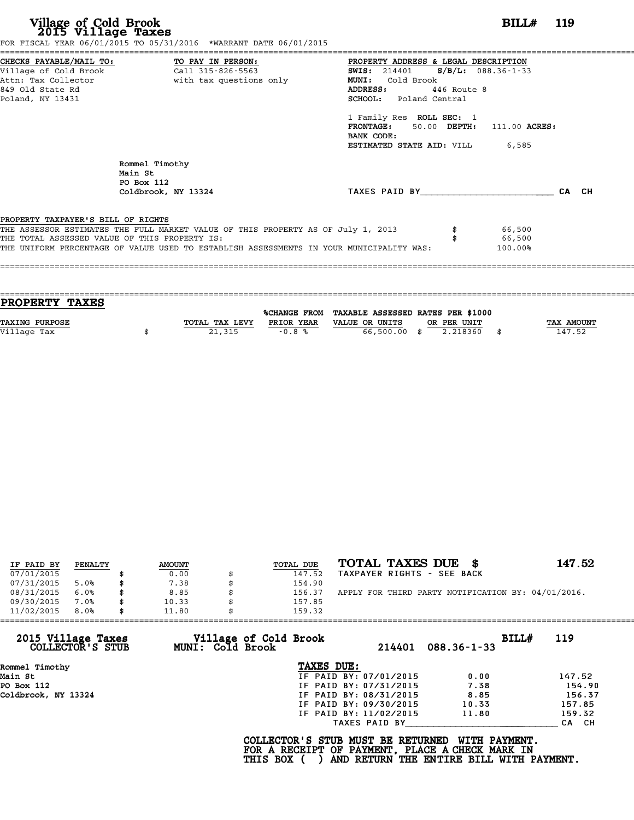| Village of Cold Brook<br>2015 Village Taxes                                                                                       | FOR FISCAL YEAR 06/01/2015 TO 05/31/2016 *WARRANT DATE 06/01/2015                                                                                                           |                                                                                                                                                                        | <b>BILL#</b> 119            |
|-----------------------------------------------------------------------------------------------------------------------------------|-----------------------------------------------------------------------------------------------------------------------------------------------------------------------------|------------------------------------------------------------------------------------------------------------------------------------------------------------------------|-----------------------------|
| CHECKS PAYABLE/MAIL TO: TO PAY IN PERSON:<br>Village of Cold Brook<br>Attn: Tax Collector<br>849 Old State Rd<br>Poland, NY 13431 | Call 315-826-5563<br>with tax questions only                                                                                                                                | =====================<br>PROPERTY ADDRESS & LEGAL DESCRIPTION<br>SWIS: 214401 S/B/L: 088.36-1-33<br>MUNI: Cold Brook<br>ADDRESS: 446 Route 8<br>SCHOOL: Poland Central |                             |
|                                                                                                                                   |                                                                                                                                                                             | 1 Family Res ROLL SEC: 1<br>FRONTAGE: 50.00 DEPTH: 111.00 ACRES:<br>BANK CODE:<br><b>ESTIMATED STATE AID:</b> VILL 6,585                                               |                             |
| Main St                                                                                                                           | Rommel Timothy<br>PO Box 112<br>Coldbrook, NY 13324                                                                                                                         | TAXES PAID BY CA CH                                                                                                                                                    |                             |
| PROPERTY TAXPAYER'S BILL OF RIGHTS<br>THE TOTAL ASSESSED VALUE OF THIS PROPERTY IS:                                               | THE ASSESSOR ESTIMATES THE FULL MARKET VALUE OF THIS PROPERTY AS OF July 1, 2013<br>THE UNIFORM PERCENTAGE OF VALUE USED TO ESTABLISH ASSESSMENTS IN YOUR MUNICIPALITY WAS: |                                                                                                                                                                        | 66,500<br>66,500<br>100.00% |

| <b>PROPERTY TAXES</b> |                |            |                                                |                   |
|-----------------------|----------------|------------|------------------------------------------------|-------------------|
|                       |                |            |                                                |                   |
|                       |                |            | %CHANGE FROM TAXABLE ASSESSED RATES PER \$1000 |                   |
| TAXING PURPOSE        | TOTAL TAX LEVY | PRIOR YEAR | VALUE OR UNITS<br>OR PER UNIT                  | <b>TAX AMOUNT</b> |
| Village Tax           | 21,315         | $-0.8%$    | 66,500.00 \$<br>2.218360                       | 147.52            |
|                       |                |            |                                                |                   |

| IF PAID BY | PENALTY | <b>AMOUNT</b> | <b>TOTAL DUE</b> | TOTAL TAXES DUE \$                                 | 147.52 |
|------------|---------|---------------|------------------|----------------------------------------------------|--------|
| 07/01/2015 |         | 0.00          | 147.52           | TAXPAYER RIGHTS - SEE BACK                         |        |
| 07/31/2015 | 5.0%    | 7.38          | 154.90           |                                                    |        |
| 08/31/2015 | 6.0%    | \$<br>8.85    | \$<br>156.37     | APPLY FOR THIRD PARTY NOTIFICATION BY: 04/01/2016. |        |
| 09/30/2015 | 7.0%    | \$<br>10.33   | 157.85           |                                                    |        |
| 11/02/2015 | 8.0%    | \$<br>11.80   | 159.32           |                                                    |        |

| 11/02/2015                             | 8.0% | 11.80 |                  | 159.32                                                                                             |                                          |                   |       |        |
|----------------------------------------|------|-------|------------------|----------------------------------------------------------------------------------------------------|------------------------------------------|-------------------|-------|--------|
| 2015 Village Taxes<br>COLLECTOR'S STUB |      |       | MUNI: Cold Brook | Village of Cold Brook                                                                              | 214401                                   | $088.36 - 1 - 33$ | BILL# | 119    |
| Rommel Timothy                         |      |       |                  | TAXES DUE:                                                                                         |                                          |                   |       |        |
| Main St                                |      |       |                  |                                                                                                    | IF PAID BY: 07/01/2015                   | 0.00              |       | 147.52 |
| PO Box 112                             |      |       |                  |                                                                                                    | IF PAID BY: 07/31/2015                   | 7.38              |       | 154.90 |
| Coldbrook, NY 13324                    |      |       |                  |                                                                                                    | IF PAID BY: 08/31/2015                   | 8.85              |       | 156.37 |
|                                        |      |       |                  |                                                                                                    | IF PAID BY: 09/30/2015                   | 10.33             |       | 157.85 |
|                                        |      |       |                  |                                                                                                    | IF PAID BY: 11/02/2015                   | 11.80             |       | 159.32 |
|                                        |      |       |                  |                                                                                                    | TAXES PAID BY                            |                   |       | CA CH  |
|                                        |      |       |                  | COLLECTOR'S STUB MUST BE RETURNED<br>FOR A RECEIPT OF PAYMENT, PLACE A CHECK MARK IN<br>THIS BOX ( | AND RETURN THE ENTIRE BILL WITH PAYMENT. | WITH PAYMENT.     |       |        |
|                                        |      |       |                  |                                                                                                    |                                          |                   |       |        |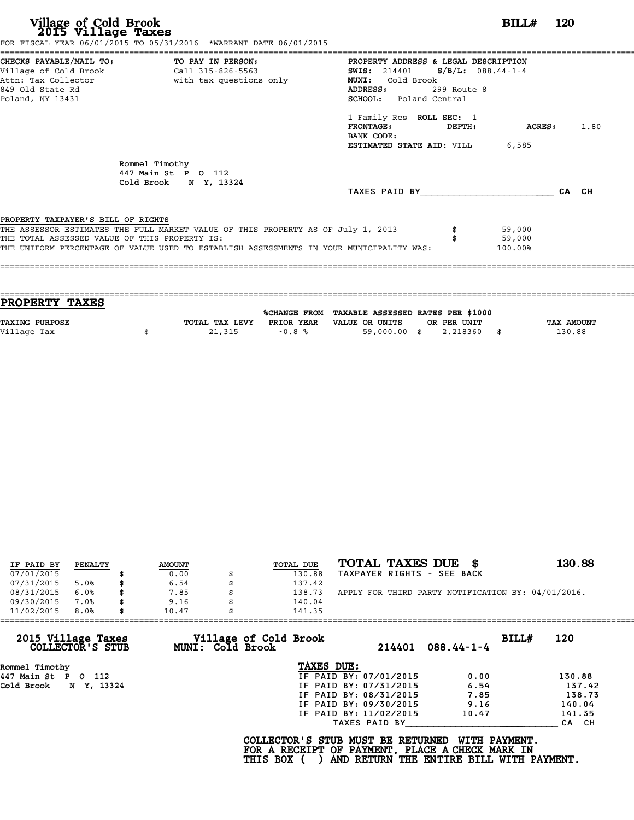| Village of Cold Brook<br>2015 Village Taxes<br>FOR FISCAL YEAR 06/01/2015 TO 05/31/2016 *WARRANT DATE 06/01/2015                                                                                                                                                   | <b>BILL#</b> 120                                                                                                                                                                                                                                                                                    |
|--------------------------------------------------------------------------------------------------------------------------------------------------------------------------------------------------------------------------------------------------------------------|-----------------------------------------------------------------------------------------------------------------------------------------------------------------------------------------------------------------------------------------------------------------------------------------------------|
| CHECKS PAYABLE/MAIL TO: TO PAY IN PERSON:<br>Village of Cold Brook<br>$\overline{c}$ all 315-826-5563<br>Attn: Tax Collector and the with tax questions only<br>849 Old State Rd<br>Poland, NY 13431                                                               | PROPERTY ADDRESS & LEGAL DESCRIPTION<br>SWIS: $214401$ S/B/L: 088.44-1-4<br>MUNI:<br>Cold Brook<br>299 Route 8<br>ADDRESS:<br><b>SCHOOL:</b> Poland Central<br>1 Family Res ROLL SEC: 1<br><b>FRONTAGE:</b><br><b>ACRES:</b> 1.80<br>DEPTH:<br>BANK CODE:<br><b>ESTIMATED STATE AID:</b> VILL 6,585 |
| Rommel Timothy<br>447 Main St P O 112<br>Cold Brook N Y, 13324                                                                                                                                                                                                     | TAXES PAID BY CA CH                                                                                                                                                                                                                                                                                 |
| PROPERTY TAXPAYER'S BILL OF RIGHTS<br>THE ASSESSOR ESTIMATES THE FULL MARKET VALUE OF THIS PROPERTY AS OF July 1, 2013<br>THE TOTAL ASSESSED VALUE OF THIS PROPERTY IS:<br>THE UNIFORM PERCENTAGE OF VALUE USED TO ESTABLISH ASSESSMENTS IN YOUR MUNICIPALITY WAS: | 59,000<br>59,000<br>100.00%                                                                                                                                                                                                                                                                         |

| <b>PROPERTY TAXES</b> |                |            |                                                |             |                   |
|-----------------------|----------------|------------|------------------------------------------------|-------------|-------------------|
|                       |                |            |                                                |             |                   |
|                       |                |            | %CHANGE FROM TAXABLE ASSESSED RATES PER \$1000 |             |                   |
| TAXING PURPOSE        | TOTAL TAX LEVY | PRIOR YEAR | VALUE OR UNITS                                 | OR PER UNIT | <b>TAX AMOUNT</b> |
| Village Tax           | 21,315         | $-0.8%$    | 59,000.00 \$                                   | 2.218360    | 130.88            |
|                       |                |            |                                                |             |                   |
|                       |                |            |                                                |             |                   |

| IF PAID BY | PENALTY | <b>AMOUNT</b> | TOTAL DUE | TOTAL TAXES DUE \$                                 | 130.88 |
|------------|---------|---------------|-----------|----------------------------------------------------|--------|
| 07/01/2015 |         | 0.00          | 130.88    | TAXPAYER RIGHTS - SEE BACK                         |        |
| 07/31/2015 | 5.0%    | 6.54          | 137.42    |                                                    |        |
| 08/31/2015 | 6.0%    | 7.85          | 138.73    | APPLY FOR THIRD PARTY NOTIFICATION BY: 04/01/2016. |        |
| 09/30/2015 | 7.0%    | 9.16          | 140.04    |                                                    |        |
| 11/02/2015 | 8.0%    | 10.47         | 141.35    |                                                    |        |

| 11/02/2015<br>8.0%                     | 10.47                                            | 141.35                                                                               |                                                           |        |
|----------------------------------------|--------------------------------------------------|--------------------------------------------------------------------------------------|-----------------------------------------------------------|--------|
| 2015 Village Taxes<br>COLLECTOR'S STUB | Village of Cold Brook<br><b>MUNI: Cold Brook</b> | 214401                                                                               | BILLH<br>$088.44 - 1 - 4$                                 | 120    |
| Rommel Timothy                         |                                                  | TAXES DUE:                                                                           |                                                           |        |
| 447 Main St P O 112                    |                                                  | IF PAID BY: 07/01/2015                                                               | 0.00                                                      | 130.88 |
| Cold Brook N Y, 13324                  |                                                  | IF PAID BY: 07/31/2015                                                               | 6.54                                                      | 137.42 |
|                                        |                                                  | IF PAID BY: 08/31/2015                                                               | 7.85                                                      | 138.73 |
|                                        |                                                  | IF PAID BY: 09/30/2015                                                               | 9.16                                                      | 140.04 |
|                                        |                                                  | IF PAID BY: 11/02/2015                                                               | 10.47                                                     | 141.35 |
|                                        |                                                  | TAXES PAID BY                                                                        |                                                           | CA CH  |
|                                        | THIS BOX (                                       | COLLECTOR'S STUB MUST BE RETURNED<br>FOR A RECEIPT OF PAYMENT, PLACE A CHECK MARK IN | WITH PAYMENT.<br>AND RETURN THE ENTIRE BILL WITH PAYMENT. |        |
|                                        |                                                  |                                                                                      |                                                           |        |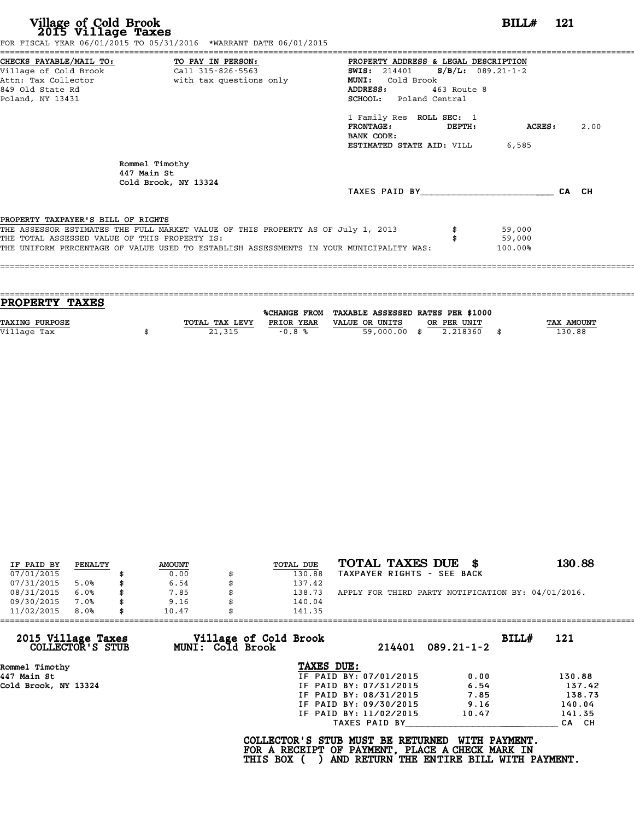| Village of Cold Brook<br>2015 Village Taxes                                                                                       | FOR FISCAL YEAR 06/01/2015 TO 05/31/2016 *WARRANT DATE 06/01/2015                                                                                                           |                                                                                                                                                                                         | BILL# 121                   |      |
|-----------------------------------------------------------------------------------------------------------------------------------|-----------------------------------------------------------------------------------------------------------------------------------------------------------------------------|-----------------------------------------------------------------------------------------------------------------------------------------------------------------------------------------|-----------------------------|------|
| CHECKS PAYABLE/MAIL TO: TO PAY IN PERSON:<br>Village of Cold Brook<br>Attn: Tax Collector<br>849 Old State Rd<br>Poland, NY 13431 | Call 315-826-5563<br>with tax questions only                                                                                                                                | PROPERTY ADDRESS & LEGAL DESCRIPTION<br>SWIS: $214401$ S/B/L: 089.21-1-2<br><b>MUNI:</b><br>Cold Brook<br>463 Route 8<br>ADDRESS:<br>SCHOOL: Poland Central<br>1 Family Res ROLL SEC: 1 |                             | 2.00 |
|                                                                                                                                   |                                                                                                                                                                             | <b>FRONTAGE :</b><br>DEPTH:<br>BANK CODE:<br><b>ESTIMATED STATE AID:</b> VILL 6,585                                                                                                     | ACRES :                     |      |
|                                                                                                                                   | Rommel Timothy<br>447 Main St<br>Cold Brook, NY 13324                                                                                                                       |                                                                                                                                                                                         |                             |      |
|                                                                                                                                   |                                                                                                                                                                             | TAXES PAID BY CA CH                                                                                                                                                                     |                             |      |
| PROPERTY TAXPAYER'S BILL OF RIGHTS                                                                                                |                                                                                                                                                                             |                                                                                                                                                                                         |                             |      |
| THE TOTAL ASSESSED VALUE OF THIS PROPERTY IS:                                                                                     | THE ASSESSOR ESTIMATES THE FULL MARKET VALUE OF THIS PROPERTY AS OF July 1, 2013<br>THE UNIFORM PERCENTAGE OF VALUE USED TO ESTABLISH ASSESSMENTS IN YOUR MUNICIPALITY WAS: |                                                                                                                                                                                         | 59,000<br>59,000<br>100.00% |      |

| <b>PROPERTY TAXES</b> |                |            |                                                |             |                   |
|-----------------------|----------------|------------|------------------------------------------------|-------------|-------------------|
|                       |                |            |                                                |             |                   |
|                       |                |            | %CHANGE FROM TAXABLE ASSESSED RATES PER \$1000 |             |                   |
| TAXING PURPOSE        | TOTAL TAX LEVY | PRIOR YEAR | VALUE OR UNITS                                 | OR PER UNIT | <b>TAX AMOUNT</b> |
| Village Tax           | 21,315         | $-0.8%$    | 59,000.00 \$                                   | 2.218360    | 130.88            |
|                       |                |            |                                                |             |                   |
|                       |                |            |                                                |             |                   |

| IF PAID BY | PENALTY | <b>AMOUNT</b> | TOTAL DUE | TOTAL TAXES DUE \$                                 | 130.88 |
|------------|---------|---------------|-----------|----------------------------------------------------|--------|
| 07/01/2015 |         | 0.00          | 130.88    | TAXPAYER RIGHTS - SEE BACK                         |        |
| 07/31/2015 | 5.0%    | 6.54          | 137.42    |                                                    |        |
| 08/31/2015 | 6.0%    | 7.85          | 138.73    | APPLY FOR THIRD PARTY NOTIFICATION BY: 04/01/2016. |        |
| 09/30/2015 | 7.0%    | 9.16          | 140.04    |                                                    |        |
| 11/02/2015 | 8.0%    | 10.47         | 141.35    |                                                    |        |

| 11/02/2015<br>8.0%                     | 10.47            | 141.35                 |        |                  |       |        |
|----------------------------------------|------------------|------------------------|--------|------------------|-------|--------|
| 2015 Village Taxes<br>COLLECTOR'S STUB | MUNI: Cold Brook | Village of Cold Brook  | 214401 | $089.21 - 1 - 2$ | BILL# | 121    |
| Rommel Timothy                         |                  | TAXES DUE:             |        |                  |       |        |
| 447 Main St                            |                  | IF PAID BY: 07/01/2015 |        | 0.00             |       | 130.88 |
| Cold Brook, NY 13324                   |                  | IF PAID BY: 07/31/2015 |        | 6.54             |       | 137.42 |
|                                        |                  | IF PAID BY: 08/31/2015 |        | 7.85             |       | 138.73 |
|                                        |                  | IF PAID BY: 09/30/2015 |        | 9.16             |       | 140.04 |
|                                        |                  | IF PAID BY: 11/02/2015 |        | 10.47            |       | 141.35 |
|                                        |                  | TAXES PAID BY          |        |                  |       | CA CH  |

COLLECTOR'S STUB MUST BE RETURNED WITH PAYMENT.<br>FOR A RECEIPT OF PAYMENT, PLACE A CHECK MARK IN<br>THIS BOX ( ) AND RETURN THE ENTIRE BILL WITH PAYMENT.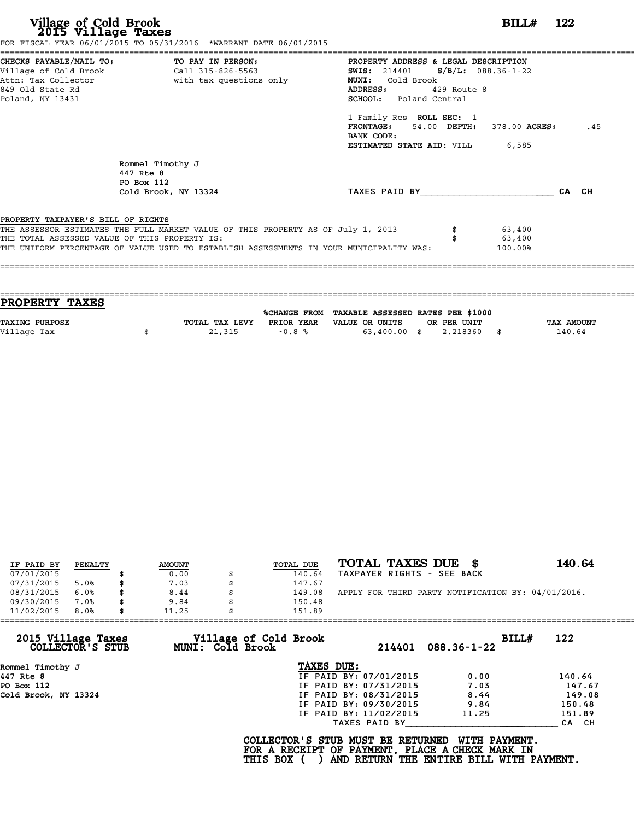|                                               |                                                                                         | PROPERTY ADDRESS & LEGAL DESCRIPTION                 |             |           |     |
|-----------------------------------------------|-----------------------------------------------------------------------------------------|------------------------------------------------------|-------------|-----------|-----|
|                                               |                                                                                         | <b>SWIS:</b> 214401 <b>S/B/L:</b> 088.36-1-22        |             |           |     |
|                                               | Attn: Tax Collector and with tax questions only                                         | MUNI: Cold Brook                                     |             |           |     |
| 849 Old State Rd                              |                                                                                         | <b>ADDRESS:</b>                                      | 429 Route 8 |           |     |
| Poland, NY 13431                              |                                                                                         | SCHOOL: Poland Central                               |             |           |     |
|                                               |                                                                                         | 1 Family Res ROLL SEC: 1                             |             |           |     |
|                                               |                                                                                         | $FRONTAGE: 54.00$ $DEPTH: 378.00$ $ACRES:$           |             |           | .45 |
|                                               |                                                                                         | BANK CODE:<br><b>ESTIMATED STATE AID: VILL 6,585</b> |             |           |     |
|                                               | Rommel Timothy J<br>447 Rte 8<br>PO Box 112                                             |                                                      |             |           |     |
|                                               | Cold Brook, NY 13324                                                                    | TAXES PAID BY CA CH                                  |             |           |     |
|                                               |                                                                                         |                                                      |             |           |     |
| PROPERTY TAXPAYER'S BILL OF RIGHTS            |                                                                                         |                                                      |             |           |     |
|                                               | THE ASSESSOR ESTIMATES THE FULL MARKET VALUE OF THIS PROPERTY AS OF July 1, 2013        |                                                      |             | \$ 63,400 |     |
| THE TOTAL ASSESSED VALUE OF THIS PROPERTY IS: |                                                                                         |                                                      |             | 63,400    |     |
|                                               | THE UNIFORM PERCENTAGE OF VALUE USED TO ESTABLISH ASSESSMENTS IN YOUR MUNICIPALITY WAS: |                                                      |             | 100.00%   |     |

| PROPERTY TAXES        |                |                     |                                   |             |      |            |
|-----------------------|----------------|---------------------|-----------------------------------|-------------|------|------------|
|                       |                | <b>%CHANGE FROM</b> | TAXABLE ASSESSED RATES PER \$1000 |             |      |            |
| <b>TAXING PURPOSE</b> | TOTAL TAX LEVY | PRIOR YEAR          | VALUE OR UNITS                    | OR PER UNIT |      | TAX AMOUNT |
|                       |                |                     |                                   |             |      |            |
| Village Tax           | 21,315         | $-0.8%$             | $63,400.00$ \$                    | 2.218360    | - \$ | 140.64     |
|                       |                |                     |                                   |             |      |            |

| IF PAID BY | PENALTY | <b>AMOUNT</b> | <b>TOTAL DUE</b> | TOTAL TAXES DUE \$                                 | 140.64 |
|------------|---------|---------------|------------------|----------------------------------------------------|--------|
| 07/01/2015 |         | 0.00          | 140.64           | TAXPAYER RIGHTS - SEE BACK                         |        |
| 07/31/2015 | 5.0%    | \$<br>7.03    | 147.67           |                                                    |        |
| 08/31/2015 | 6.0%    | \$<br>8.44    | \$<br>149.08     | APPLY FOR THIRD PARTY NOTIFICATION BY: 04/01/2016. |        |
| 09/30/2015 | 7.0%    | 9.84          | 150.48           |                                                    |        |
| 11/02/2015 | 8.0%    | \$<br>11.25   | 151.89           |                                                    |        |

| 11/02/2015<br>8.0%                     | 11.25                                     | 151.89                                                                               |                                                           |        |
|----------------------------------------|-------------------------------------------|--------------------------------------------------------------------------------------|-----------------------------------------------------------|--------|
| 2015 Village Taxes<br>COLLECTOR'S STUB | Village of Cold Brook<br>MUNI: Cold Brook | 214401                                                                               | BILLH<br>$088.36 - 1 - 22$                                | 122    |
| Rommel Timothy J                       |                                           | TAXES DUE:                                                                           |                                                           |        |
| 447 Rte 8                              |                                           | IF PAID BY: 07/01/2015                                                               | 0.00                                                      | 140.64 |
| PO Box 112                             |                                           | IF PAID BY: 07/31/2015                                                               | 7.03                                                      | 147.67 |
| Cold Brook, NY 13324                   |                                           | IF PAID BY: 08/31/2015                                                               | 8.44                                                      | 149.08 |
|                                        |                                           | IF PAID BY: 09/30/2015                                                               | 9.84                                                      | 150.48 |
|                                        |                                           | IF PAID BY: 11/02/2015                                                               | 11.25                                                     | 151.89 |
|                                        |                                           | TAXES PAID BY                                                                        |                                                           | CA CH  |
|                                        | THIS BOX (                                | COLLECTOR'S STUB MUST BE RETURNED<br>FOR A RECEIPT OF PAYMENT, PLACE A CHECK MARK IN | WITH PAYMENT.<br>AND RETURN THE ENTIRE BILL WITH PAYMENT. |        |
|                                        |                                           |                                                                                      |                                                           |        |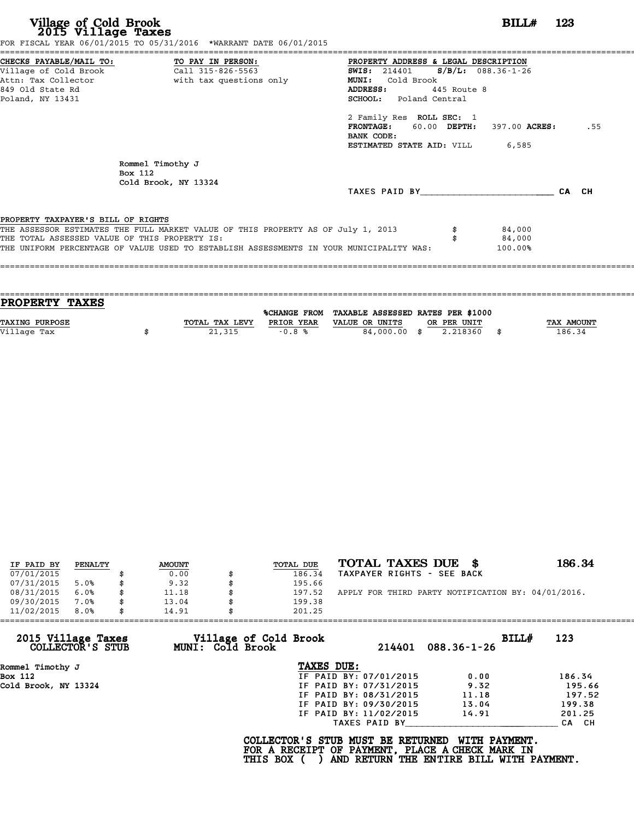| FOR FISCAL YEAR 06/01/2015 TO 05/31/2016 *WARRANT DATE 06/01/2015                                                                                                                                                                                     |                                                                      |
|-------------------------------------------------------------------------------------------------------------------------------------------------------------------------------------------------------------------------------------------------------|----------------------------------------------------------------------|
| PROPERTY ADDRESS & LEGAL DESCRIPTION<br>SWIS: 214401 S/B/L: 088.36-1-26<br>Cold Brook<br><b>MUNI:</b><br>ADDRESS:<br>445 Route 8<br><b>SCHOOL:</b> Poland Central<br>2 Family Res ROLL SEC: 1<br>BANK CODE:<br><b>ESTIMATED STATE AID:</b> VILL 6,585 | .55                                                                  |
|                                                                                                                                                                                                                                                       | CA CH                                                                |
| THE ASSESSOR ESTIMATES THE FULL MARKET VALUE OF THIS PROPERTY AS OF July 1, 2013<br>84,000<br>84,000<br>THE UNIFORM PERCENTAGE OF VALUE USED TO ESTABLISH ASSESSMENTS IN YOUR MUNICIPALITY WAS:<br>100.00%                                            |                                                                      |
|                                                                                                                                                                                                                                                       | $BILLH$ 123<br>FRONTAGE: 60.00 DEPTH: 397.00 ACRES:<br>TAXES PAID BY |

| PROPERTY TAXES        |                |            |                                                |             |                   |
|-----------------------|----------------|------------|------------------------------------------------|-------------|-------------------|
|                       |                |            | %CHANGE FROM TAXABLE ASSESSED RATES PER \$1000 |             |                   |
|                       |                |            |                                                |             |                   |
| <b>TAXING PURPOSE</b> | TOTAL TAX LEVY | PRIOR YEAR | VALUE OR UNITS                                 | OR PER UNIT | <b>TAX AMOUNT</b> |
| Village Tax           | 21,315         | $-0.8%$    | 84,000.00 \$                                   | 2.218360    | 186.34            |
|                       |                |            |                                                |             |                   |

| IF PAID BY | PENALTY | <b>AMOUNT</b> | TOTAL DUE | TOTAL TAXES DUE \$                                 | 186.34 |
|------------|---------|---------------|-----------|----------------------------------------------------|--------|
| 07/01/2015 |         | 0.00          | 186.34    | TAXPAYER RIGHTS - SEE BACK                         |        |
| 07/31/2015 | 5.0%    | \$<br>9.32    | 195.66    |                                                    |        |
| 08/31/2015 | 6.0%    | 11.18         | 197.52    | APPLY FOR THIRD PARTY NOTIFICATION BY: 04/01/2016. |        |
| 09/30/2015 | 7.0%    | \$<br>13.04   | 199.38    |                                                    |        |
| 11/02/2015 | 8.0%    | \$<br>14.91   | 201.25    |                                                    |        |

| BILLH<br>123<br>214401<br>$088.36 - 1 - 26$<br>0.00<br>186.34<br>9.32<br>195.66                              |                        | Village of Cold Brook<br>MUNI: Cold Brook |  |  | 2015 Village Taxes   |  |
|--------------------------------------------------------------------------------------------------------------|------------------------|-------------------------------------------|--|--|----------------------|--|
|                                                                                                              |                        |                                           |  |  | COLLECTOR'S STUB     |  |
|                                                                                                              | TAXES DUE:             |                                           |  |  | Rommel Timothy J     |  |
|                                                                                                              | IF PAID BY: 07/01/2015 |                                           |  |  | Box 112              |  |
|                                                                                                              | IF PAID BY: 07/31/2015 |                                           |  |  | Cold Brook, NY 13324 |  |
| 197.52<br>11.18                                                                                              | IF PAID BY: 08/31/2015 |                                           |  |  |                      |  |
| 199.38<br>13.04                                                                                              | IF PAID BY: 09/30/2015 |                                           |  |  |                      |  |
| 201.25<br>14.91                                                                                              | IF PAID BY: 11/02/2015 |                                           |  |  |                      |  |
| CA CH                                                                                                        | TAXES PAID BY          |                                           |  |  |                      |  |
| WITH PAYMENT.<br>FOR A RECEIPT OF PAYMENT, PLACE A CHECK MARK IN<br>AND RETURN THE ENTIRE BILL WITH PAYMENT. |                        | COLLECTOR'S STUB MUST BE RETURNED         |  |  |                      |  |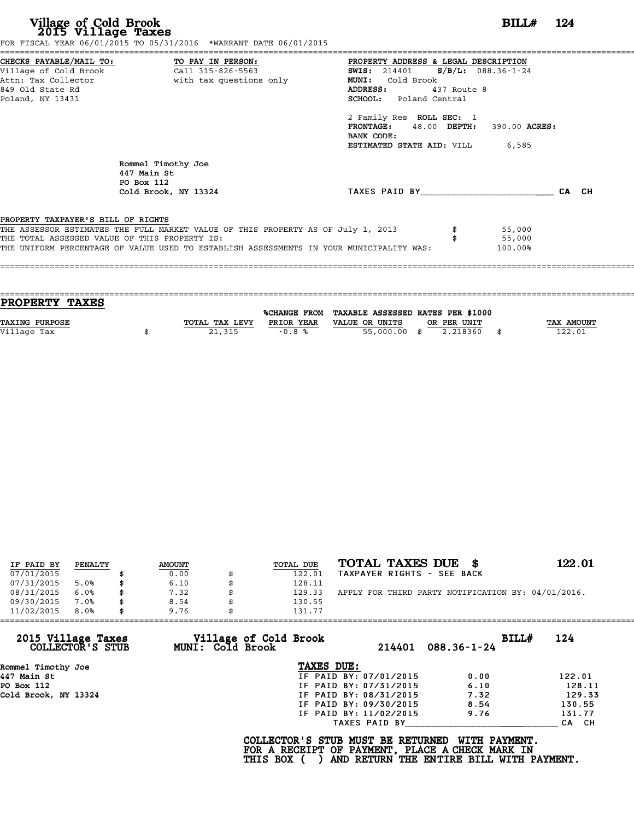| Village of Cold Brook<br>2015 Village Taxes                                                                                                         | FOR FISCAL YEAR 06/01/2015 TO 05/31/2016 *WARRANT DATE 06/01/2015                                                                                                           |                                                                                                                                                                                                                                                         | $BILLH$ 124                 |  |
|-----------------------------------------------------------------------------------------------------------------------------------------------------|-----------------------------------------------------------------------------------------------------------------------------------------------------------------------------|---------------------------------------------------------------------------------------------------------------------------------------------------------------------------------------------------------------------------------------------------------|-----------------------------|--|
| CHECKS PAYABLE/MAIL TO: TO PAY IN PERSON:<br>Village of Cold Brook Call 315-826-5563<br>Attn: Tax Collector<br>849 Old State Rd<br>Poland, NY 13431 | with tax questions only                                                                                                                                                     | PROPERTY ADDRESS & LEGAL DESCRIPTION<br><b>SWIS:</b> 214401 <b>S/B/L:</b> 088.36-1-24<br>MUNI: Cold Brook<br>ADDRESS:<br>437 Route 8<br><b>SCHOOL:</b> Poland Central<br>2 Family Res ROLL SEC: 1<br>FRONTAGE: 48.00 DEPTH: 390.00 ACRES:<br>BANK CODE: |                             |  |
|                                                                                                                                                     | Rommel Timothy Joe<br>447 Main St<br>PO Box 112<br>Cold Brook, NY 13324                                                                                                     | <b>ESTIMATED STATE AID:</b> VILL 6,585<br>TAXES PAID BY CA CH                                                                                                                                                                                           |                             |  |
| PROPERTY TAXPAYER'S BILL OF RIGHTS<br>THE TOTAL ASSESSED VALUE OF THIS PROPERTY IS:                                                                 | THE ASSESSOR ESTIMATES THE FULL MARKET VALUE OF THIS PROPERTY AS OF July 1, 2013<br>THE UNIFORM PERCENTAGE OF VALUE USED TO ESTABLISH ASSESSMENTS IN YOUR MUNICIPALITY WAS: |                                                                                                                                                                                                                                                         | 55,000<br>55,000<br>100.00% |  |

| <b>TAX AMOUNT</b> |
|-------------------|
| 122.01            |
|                   |
|                   |

|            |         |               |                  | TOTAL TAXES DUE \$                                 | 122.01 |
|------------|---------|---------------|------------------|----------------------------------------------------|--------|
| IF PAID BY | PENALTY | <b>AMOUNT</b> | <b>TOTAL DUE</b> |                                                    |        |
| 07/01/2015 |         | 0.00          | 122.01           | TAXPAYER RIGHTS - SEE BACK                         |        |
| 07/31/2015 | 5.0%    | 6.10          | 128.11           |                                                    |        |
| 08/31/2015 | 6.0%    | \$<br>7.32    | 129.33           | APPLY FOR THIRD PARTY NOTIFICATION BY: 04/01/2016. |        |
| 09/30/2015 | 7.0%    | \$<br>8.54    | 130.55           |                                                    |        |
| 11/02/2015 | 8.0%    | \$<br>9.76    | 131.77           |                                                    |        |

| 11/02/2015<br>8.0%                     | 9.76                    | 131.77                                                                                             |                                                           |        |
|----------------------------------------|-------------------------|----------------------------------------------------------------------------------------------------|-----------------------------------------------------------|--------|
| 2015 Village Taxes<br>COLLECTOR'S STUB | <b>MUNI: Cold Brook</b> | Village of Cold Brook                                                                              | BILLH<br>214401 088.36-1-24                               | 124    |
| Rommel Timothy Joe                     |                         | TAXES DUE:                                                                                         |                                                           |        |
| 447 Main St                            |                         | IF PAID BY: 07/01/2015                                                                             | 0.00                                                      | 122.01 |
| PO Box 112                             |                         | IF PAID BY: 07/31/2015                                                                             | 6.10                                                      | 128.11 |
| Cold Brook, NY 13324                   |                         | IF PAID BY: 08/31/2015                                                                             | 7.32                                                      | 129.33 |
|                                        |                         | IF PAID BY: 09/30/2015                                                                             | 8.54                                                      | 130.55 |
|                                        |                         | IF PAID BY: 11/02/2015                                                                             | 9.76                                                      | 131.77 |
|                                        |                         | TAXES PAID BY                                                                                      |                                                           | CA CH  |
|                                        |                         | COLLECTOR'S STUB MUST BE RETURNED<br>FOR A RECEIPT OF PAYMENT, PLACE A CHECK MARK IN<br>THIS BOX ( | WITH PAYMENT.<br>AND RETURN THE ENTIRE BILL WITH PAYMENT. |        |
|                                        |                         |                                                                                                    |                                                           |        |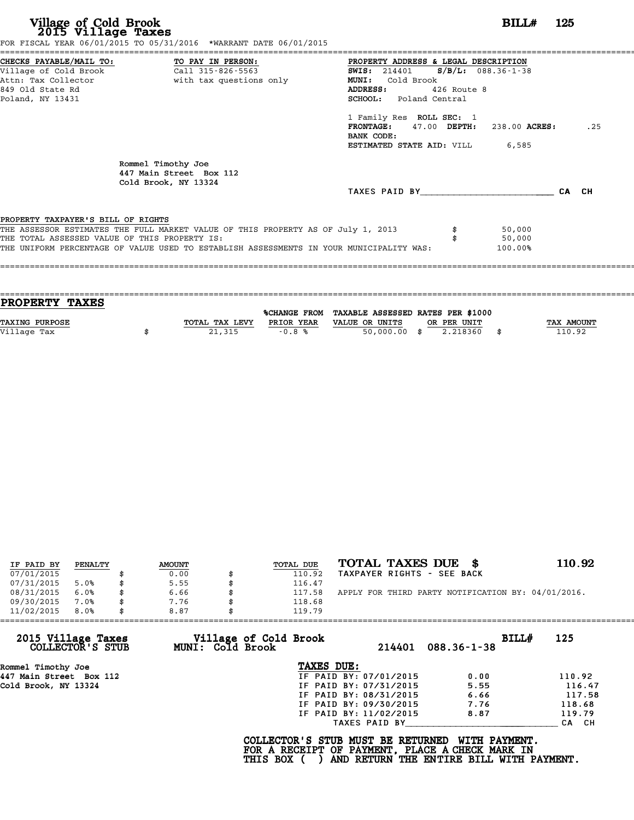| Village of Cold Brook<br>2015 Village Taxes   | FOR FISCAL YEAR 06/01/2015 TO 05/31/2016 *WARRANT DATE 06/01/2015                                |                                                                                                                                                          | BILL#                 | - 125 |
|-----------------------------------------------|--------------------------------------------------------------------------------------------------|----------------------------------------------------------------------------------------------------------------------------------------------------------|-----------------------|-------|
| 849 Old State Rd                              | CHECKS PAYABLE/MAIL TO: TO PAY IN PERSON:<br>Attn: Tax Collector and the with tax questions only | ========================<br>PROPERTY ADDRESS & LEGAL DESCRIPTION<br><b>SWIS:</b> 214401<br><b>MUNI:</b><br>Cold Brook<br>ADDRESS: 426 Route 8            | $S/B/L$ : 088.36-1-38 |       |
| Poland, NY 13431                              |                                                                                                  | SCHOOL: Poland Central<br>1 Family Res ROLL SEC: 1<br>$FRONTAGE: 47.00$ $DEPTH: 238.00$ $ACRES:$<br>BANK CODE:<br><b>ESTIMATED STATE AID:</b> VILL 6,585 |                       | .25   |
|                                               | Rommel Timothy Joe<br>447 Main Street Box 112<br>Cold Brook, NY 13324                            |                                                                                                                                                          |                       |       |
|                                               |                                                                                                  | TAXES PAID BY CA CH                                                                                                                                      |                       |       |
| PROPERTY TAXPAYER'S BILL OF RIGHTS            |                                                                                                  |                                                                                                                                                          |                       |       |
| THE TOTAL ASSESSED VALUE OF THIS PROPERTY IS: | THE ASSESSOR ESTIMATES THE FULL MARKET VALUE OF THIS PROPERTY AS OF July 1, 2013                 |                                                                                                                                                          | 50,000<br>50,000      |       |
|                                               | THE UNIFORM PERCENTAGE OF VALUE USED TO ESTABLISH ASSESSMENTS IN YOUR MUNICIPALITY WAS:          |                                                                                                                                                          | 100.00%               |       |

| PROPERTY TAXES        |                |            |                                                |             |                   |
|-----------------------|----------------|------------|------------------------------------------------|-------------|-------------------|
|                       |                |            | %CHANGE FROM TAXABLE ASSESSED RATES PER \$1000 |             |                   |
| <b>TAXING PURPOSE</b> | TOTAL TAX LEVY | PRIOR YEAR | VALUE OR UNITS                                 | OR PER UNIT | <b>TAX AMOUNT</b> |
| Village Tax           | 21,315         | $-0.8%$    | $50,000.00$ \$                                 | 2.218360    | 110.92            |
|                       |                |            |                                                |             |                   |

|            |         |               |                  | TOTAL TAXES DUE \$                                 | 110.92 |
|------------|---------|---------------|------------------|----------------------------------------------------|--------|
| IF PAID BY | PENALTY | <b>AMOUNT</b> | <b>TOTAL DUE</b> |                                                    |        |
| 07/01/2015 |         | 0.00          | 110.92           | TAXPAYER RIGHTS - SEE BACK                         |        |
| 07/31/2015 | 5.0%    | 5.55          | 116.47           |                                                    |        |
| 08/31/2015 | 6.0%    | \$<br>6.66    | 117.58           | APPLY FOR THIRD PARTY NOTIFICATION BY: 04/01/2016. |        |
| 09/30/2015 | 7.0%    | \$<br>7.76    | 118.68           |                                                    |        |
| 11/02/2015 | 8.0%    | \$<br>8.87    | 119.79           |                                                    |        |

| 11/02/2015<br>8.0%                     | 8.87                                             | 119.79                                                                               |                                          |        |
|----------------------------------------|--------------------------------------------------|--------------------------------------------------------------------------------------|------------------------------------------|--------|
| 2015 Village Taxes<br>COLLECTOR'S STUB | Village of Cold Brook<br><b>MUNI: Cold Brook</b> | 214401                                                                               | BILLH<br>$088.36 - 1 - 38$               | 125    |
| Rommel Timothy Joe                     |                                                  | TAXES DUE:                                                                           |                                          |        |
| 447 Main Street Box 112                |                                                  | IF PAID BY: 07/01/2015                                                               | 0.00                                     | 110.92 |
| Cold Brook, NY 13324                   |                                                  | IF PAID BY: 07/31/2015                                                               | 5.55                                     | 116.47 |
|                                        |                                                  | IF PAID BY: 08/31/2015                                                               | 6.66                                     | 117.58 |
|                                        |                                                  | IF PAID BY: 09/30/2015                                                               | 7.76                                     | 118.68 |
|                                        |                                                  | IF PAID BY: 11/02/2015                                                               | 8.87                                     | 119.79 |
|                                        |                                                  | TAXES PAID BY                                                                        |                                          | CA CH  |
|                                        |                                                  | COLLECTOR'S STUB MUST BE RETURNED<br>FOR A RECEIPT OF PAYMENT, PLACE A CHECK MARK IN | WITH PAYMENT.                            |        |
|                                        |                                                  | THIS BOX (                                                                           | AND RETURN THE ENTIRE BILL WITH PAYMENT. |        |
|                                        |                                                  |                                                                                      |                                          |        |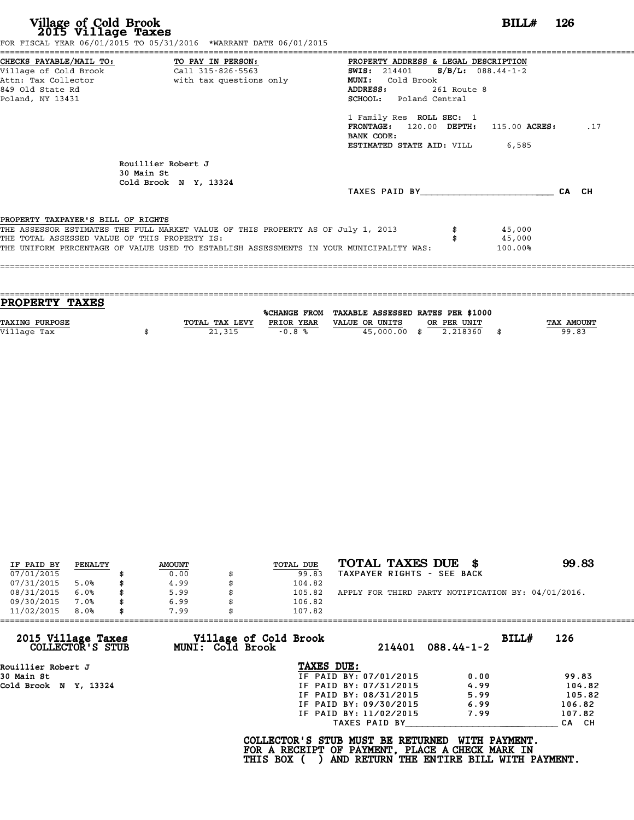|                                                                                     | FOR FISCAL YEAR 06/01/2015 TO 05/31/2016 *WARRANT DATE 06/01/2015                                                                                                           |                                                                                                                                                                        |             |                             |       |     |
|-------------------------------------------------------------------------------------|-----------------------------------------------------------------------------------------------------------------------------------------------------------------------------|------------------------------------------------------------------------------------------------------------------------------------------------------------------------|-------------|-----------------------------|-------|-----|
| CHECKS PAYABLE/MAIL TO: TO PAY IN PERSON:<br>849 Old State Rd<br>Poland, NY 13431   | Village of Cold Brook Call 315-826-5563<br>Attn: Tax Collector                       with tax questions only                                                                | PROPERTY ADDRESS & LEGAL DESCRIPTION<br><b>SWIS:</b> 214401 <b>S/B/L:</b> 088.44-1-2<br><b>MUNI:</b><br>Cold Brook<br><b>ADDRESS:</b><br><b>SCHOOL:</b> Poland Central | 261 Route 8 |                             |       |     |
|                                                                                     |                                                                                                                                                                             | 1 Family Res ROLL SEC: 1<br>$FRONTAGE: 120.00$ $DEPTH: 115.00$ $ACRES:$<br>BANK CODE:<br><b>ESTIMATED STATE AID:</b> VILL 6,585                                        |             |                             |       | .17 |
| 30 Main St                                                                          | Rouillier Robert J<br>Cold Brook N Y, 13324                                                                                                                                 | TAXES PAID BY                                                                                                                                                          |             |                             | CA CH |     |
| PROPERTY TAXPAYER'S BILL OF RIGHTS<br>THE TOTAL ASSESSED VALUE OF THIS PROPERTY IS: | THE ASSESSOR ESTIMATES THE FULL MARKET VALUE OF THIS PROPERTY AS OF July 1, 2013<br>THE UNIFORM PERCENTAGE OF VALUE USED TO ESTABLISH ASSESSMENTS IN YOUR MUNICIPALITY WAS: |                                                                                                                                                                        |             | 45,000<br>45,000<br>100.00% |       |     |

| PROPERTY TAXES        |                |            |                                                |             |                   |
|-----------------------|----------------|------------|------------------------------------------------|-------------|-------------------|
|                       |                |            | %CHANGE FROM TAXABLE ASSESSED RATES PER \$1000 |             |                   |
| <b>TAXING PURPOSE</b> | TOTAL TAX LEVY | PRIOR YEAR | VALUE OR UNITS                                 | OR PER UNIT | <b>TAX AMOUNT</b> |
| Village Tax           | 21,315         | $-0.8%$    | 45,000.00 \$                                   | 2.218360    | 99.83             |
|                       |                |            |                                                |             |                   |

| IF PAID BY | PENALTY | <b>AMOUNT</b> | TOTAL DUE | TOTAL TAXES DUE \$                                 | 99.83 |
|------------|---------|---------------|-----------|----------------------------------------------------|-------|
| 07/01/2015 |         | 0.00          | 99.83     | TAXPAYER RIGHTS - SEE BACK                         |       |
| 07/31/2015 | 5.0%    | \$<br>4.99    | 104.82    |                                                    |       |
| 08/31/2015 | 6.0%    | \$<br>5.99    | 105.82    | APPLY FOR THIRD PARTY NOTIFICATION BY: 04/01/2016. |       |
| 09/30/2015 | 7.0%    | \$<br>6.99    | 106.82    |                                                    |       |
| 11/02/2015 | 8.0%    | \$<br>7.99    | 107.82    |                                                    |       |

| 11/02/2015<br>8.0%                     | 7.99             | 107.82                |                        |                  |       |        |
|----------------------------------------|------------------|-----------------------|------------------------|------------------|-------|--------|
| 2015 Village Taxes<br>COLLECTOR'S STUB | MUNI: Cold Brook | Village of Cold Brook | 214401                 | $088.44 - 1 - 2$ | BILL# | 126    |
| Rouillier Robert J                     |                  | TAXES DUE:            |                        |                  |       |        |
| 30 Main St                             |                  |                       | IF PAID BY: 07/01/2015 | 0.00             |       | 99.83  |
| Cold Brook N Y, 13324                  |                  |                       | IF PAID BY: 07/31/2015 | 4.99             |       | 104.82 |
|                                        |                  |                       | IF PAID BY: 08/31/2015 | 5.99             |       | 105.82 |
|                                        |                  |                       | IF PAID BY: 09/30/2015 | 6.99             |       | 106.82 |
|                                        |                  |                       | IF PAID BY: 11/02/2015 | 7.99             |       | 107.82 |
|                                        |                  |                       | TAXES PAID BY          |                  |       | CA CH  |

COLLECTOR'S STUB MUST BE RETURNED WITH PAYMENT.<br>FOR A RECEIPT OF PAYMENT, PLACE A CHECK MARK IN<br>THIS BOX ( ) AND RETURN THE ENTIRE BILL WITH PAYMENT.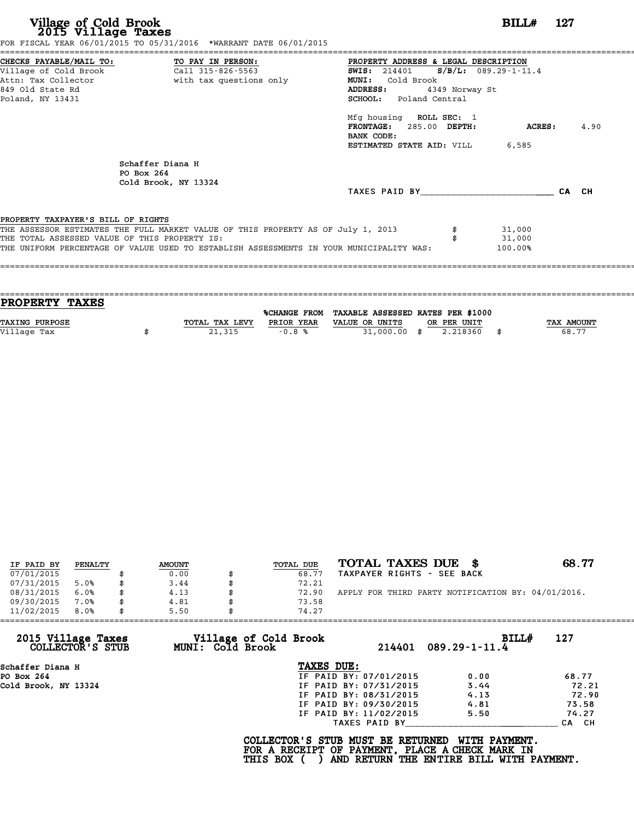| CHECKS PAYABLE/MAIL TO: TO PAY IN PERSON:<br>PROPERTY ADDRESS & LEGAL DESCRIPTION<br><b>SWIS:</b> 214401 <b>S/B/L:</b> 089.29-1-11.4<br>MUNI: Cold Brook<br>ADDRESS:<br>4349 Norway St<br>SCHOOL: Poland Central<br>Mfg housing ROLL SEC: 1<br>FRONTAGE: 285.00 DEPTH:<br><b>ACRES:</b><br>BANK CODE:<br><b>ESTIMATED STATE AID:</b> VILL 6,585<br>Schaffer Diana H<br>PO Box 264<br>Cold Brook, NY 13324<br>TAXES PAID BY TAXES<br>CA CH<br>31,000<br>31,000<br>100.00% | FOR FISCAL YEAR 06/01/2015 TO 05/31/2016 *WARRANT DATE 06/01/2015 |  |  |      |
|--------------------------------------------------------------------------------------------------------------------------------------------------------------------------------------------------------------------------------------------------------------------------------------------------------------------------------------------------------------------------------------------------------------------------------------------------------------------------|-------------------------------------------------------------------|--|--|------|
|                                                                                                                                                                                                                                                                                                                                                                                                                                                                          |                                                                   |  |  |      |
| Attn: Tax Collector and a with tax questions only<br>849 Old State Rd<br>Poland, NY 13431                                                                                                                                                                                                                                                                                                                                                                                |                                                                   |  |  |      |
|                                                                                                                                                                                                                                                                                                                                                                                                                                                                          |                                                                   |  |  |      |
|                                                                                                                                                                                                                                                                                                                                                                                                                                                                          |                                                                   |  |  |      |
|                                                                                                                                                                                                                                                                                                                                                                                                                                                                          |                                                                   |  |  |      |
| PROPERTY TAXPAYER'S BILL OF RIGHTS<br>THE ASSESSOR ESTIMATES THE FULL MARKET VALUE OF THIS PROPERTY AS OF July 1, 2013<br>THE TOTAL ASSESSED VALUE OF THIS PROPERTY IS:<br>THE UNIFORM PERCENTAGE OF VALUE USED TO ESTABLISH ASSESSMENTS IN YOUR MUNICIPALITY WAS:                                                                                                                                                                                                       |                                                                   |  |  |      |
|                                                                                                                                                                                                                                                                                                                                                                                                                                                                          |                                                                   |  |  | 4.90 |
|                                                                                                                                                                                                                                                                                                                                                                                                                                                                          |                                                                   |  |  |      |
|                                                                                                                                                                                                                                                                                                                                                                                                                                                                          |                                                                   |  |  |      |
|                                                                                                                                                                                                                                                                                                                                                                                                                                                                          |                                                                   |  |  |      |
|                                                                                                                                                                                                                                                                                                                                                                                                                                                                          |                                                                   |  |  |      |
|                                                                                                                                                                                                                                                                                                                                                                                                                                                                          |                                                                   |  |  |      |
|                                                                                                                                                                                                                                                                                                                                                                                                                                                                          |                                                                   |  |  |      |
|                                                                                                                                                                                                                                                                                                                                                                                                                                                                          |                                                                   |  |  |      |
|                                                                                                                                                                                                                                                                                                                                                                                                                                                                          |                                                                   |  |  |      |
|                                                                                                                                                                                                                                                                                                                                                                                                                                                                          |                                                                   |  |  |      |
|                                                                                                                                                                                                                                                                                                                                                                                                                                                                          |                                                                   |  |  |      |
|                                                                                                                                                                                                                                                                                                                                                                                                                                                                          |                                                                   |  |  |      |
|                                                                                                                                                                                                                                                                                                                                                                                                                                                                          |                                                                   |  |  |      |

| TAX AMOUNT |
|------------|
| 68.77      |
|            |
|            |

| IF PAID BY | PENALTY | <b>AMOUNT</b> | TOTAL DUE | TOTAL TAXES DUE \$                                 | 68.77 |
|------------|---------|---------------|-----------|----------------------------------------------------|-------|
| 07/01/2015 |         | 0.00          | 68.77     | TAXPAYER RIGHTS - SEE BACK                         |       |
| 07/31/2015 | 5.0%    | \$<br>3.44    | 72.21     |                                                    |       |
| 08/31/2015 | 6.0%    | \$<br>4.13    | 72.90     | APPLY FOR THIRD PARTY NOTIFICATION BY: 04/01/2016. |       |
| 09/30/2015 | 7.0%    | \$<br>4.81    | 73.58     |                                                    |       |
| 11/02/2015 | 8.0%    | \$<br>5.50    | 74.27     |                                                    |       |

| 11/02/2015<br>8.0%                     | 5.50                                      | 74.27                                                                                |                                                           |       |
|----------------------------------------|-------------------------------------------|--------------------------------------------------------------------------------------|-----------------------------------------------------------|-------|
| 2015 Village Taxes<br>COLLECTOR'S STUB | Village of Cold Brook<br>MUNI: Cold Brook | 214401                                                                               | <b>BILL#</b><br>$089.29 - 1 - 11.4$                       | 127   |
| Schaffer Diana H                       |                                           | TAXES DUE:                                                                           |                                                           |       |
| PO Box 264                             |                                           | IF PAID BY: 07/01/2015                                                               | 0.00                                                      | 68.77 |
| Cold Brook, NY 13324                   |                                           | IF PAID BY: 07/31/2015                                                               | 3.44                                                      | 72.21 |
|                                        |                                           | IF PAID BY: 08/31/2015                                                               | 4.13                                                      | 72.90 |
|                                        |                                           | IF PAID BY: 09/30/2015                                                               | 4.81                                                      | 73.58 |
|                                        |                                           | IF PAID BY: 11/02/2015                                                               | 5.50                                                      | 74.27 |
|                                        |                                           | TAXES PAID BY                                                                        |                                                           | CA CH |
|                                        | <b>THIS BOX</b>                           | COLLECTOR'S STUB MUST BE RETURNED<br>FOR A RECEIPT OF PAYMENT, PLACE A CHECK MARK IN | WITH PAYMENT.<br>AND RETURN THE ENTIRE BILL WITH PAYMENT. |       |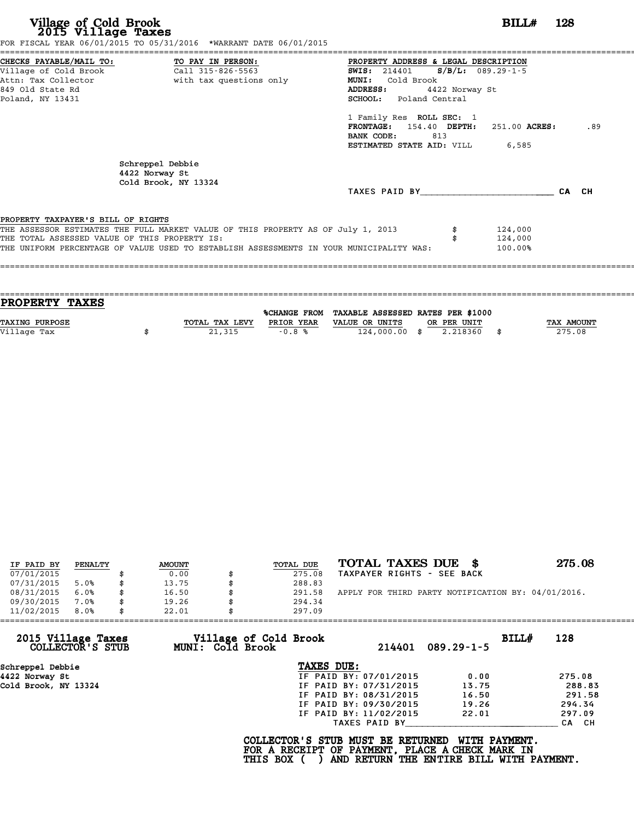|                                               | FOR FISCAL YEAR 06/01/2015 TO 05/31/2016 *WARRANT DATE 06/01/2015                       |                                              |                |               |     |
|-----------------------------------------------|-----------------------------------------------------------------------------------------|----------------------------------------------|----------------|---------------|-----|
|                                               | CHECKS PAYABLE/MAIL TO: TO PAY IN PERSON:                                               | PROPERTY ADDRESS & LEGAL DESCRIPTION         |                |               |     |
|                                               |                                                                                         | <b>SWIS:</b> 214401 <b>S/B/L:</b> 089.29-1-5 |                |               |     |
|                                               | Attn: Tax Collector and with tax questions only                                         | MUNI: Cold Brook                             |                |               |     |
| 849 Old State Rd                              |                                                                                         | <b>ADDRESS:</b>                              | 4422 Norway St |               |     |
| Poland, NY 13431                              |                                                                                         | SCHOOL: Poland Central                       |                |               |     |
|                                               |                                                                                         | 1 Family Res ROLL SEC: 1                     |                |               |     |
|                                               |                                                                                         | FRONTAGE: 154.40 DEPTH:                      |                | 251.00 ACRES: | .89 |
|                                               |                                                                                         | BANK CODE:                                   | 813            |               |     |
|                                               |                                                                                         | ESTIMATED STATE AID: VILL                    |                | 6,585         |     |
|                                               | Schreppel Debbie<br>4422 Norway St                                                      |                                              |                |               |     |
|                                               | Cold Brook, NY 13324                                                                    | TAXES PAID BY CA CH                          |                |               |     |
| PROPERTY TAXPAYER'S BILL OF RIGHTS            |                                                                                         |                                              |                |               |     |
|                                               | THE ASSESSOR ESTIMATES THE FULL MARKET VALUE OF THIS PROPERTY AS OF July 1, 2013        |                                              |                | 124,000       |     |
| THE TOTAL ASSESSED VALUE OF THIS PROPERTY IS: |                                                                                         |                                              |                | 124,000       |     |
|                                               | THE UNIFORM PERCENTAGE OF VALUE USED TO ESTABLISH ASSESSMENTS IN YOUR MUNICIPALITY WAS: |                                              |                | 100.00%       |     |
|                                               |                                                                                         |                                              |                |               |     |
|                                               |                                                                                         |                                              |                |               |     |

| <b>PROPERTY TAXES</b> |                |            |                                                |             |                   |
|-----------------------|----------------|------------|------------------------------------------------|-------------|-------------------|
|                       |                |            | %CHANGE FROM TAXABLE ASSESSED RATES PER \$1000 |             |                   |
|                       |                |            |                                                |             |                   |
| <b>TAXING PURPOSE</b> | TOTAL TAX LEVY | PRIOR YEAR | VALUE OR UNITS                                 | OR PER UNIT | <b>TAX AMOUNT</b> |
| Village Tax           | 21,315         | $-0.8%$    | $124,000.00$ \$                                | 2.218360    | 275.08            |
|                       |                |            |                                                |             |                   |
|                       |                |            |                                                |             |                   |

| IF PAID BY | PENALTY | <b>AMOUNT</b> | TOTAL DUE | TOTAL TAXES DUE \$                                 | 275.08 |
|------------|---------|---------------|-----------|----------------------------------------------------|--------|
| 07/01/2015 |         | 0.00          | 275.08    | TAXPAYER RIGHTS - SEE BACK                         |        |
| 07/31/2015 | 5.0%    | 13.75         | 288.83    |                                                    |        |
| 08/31/2015 | 6.0%    | 16.50         | 291.58    | APPLY FOR THIRD PARTY NOTIFICATION BY: 04/01/2016. |        |
| 09/30/2015 | 7.0%    | 19.26         | 294.34    |                                                    |        |
| 11/02/2015 | 8.0%    | 22.01         | 297.09    |                                                    |        |

| 11/02/2015           | 8.0%             | 22.01 |                  | 297.09                                                                                             |                        |                                                           |       |        |
|----------------------|------------------|-------|------------------|----------------------------------------------------------------------------------------------------|------------------------|-----------------------------------------------------------|-------|--------|
| 2015 Village Taxes   | COLLECTOR'S STUB |       | MUNI: Cold Brook | Village of Cold Brook                                                                              | 214401                 | $089.29 - 1 - 5$                                          | BILLH | 128    |
| Schreppel Debbie     |                  |       |                  | TAXES DUE:                                                                                         |                        |                                                           |       |        |
| 4422 Norway St       |                  |       |                  |                                                                                                    | IF PAID BY: 07/01/2015 | 0.00                                                      |       | 275.08 |
| Cold Brook, NY 13324 |                  |       |                  |                                                                                                    | IF PAID BY: 07/31/2015 | 13.75                                                     |       | 288.83 |
|                      |                  |       |                  |                                                                                                    | IF PAID BY: 08/31/2015 | 16.50                                                     |       | 291.58 |
|                      |                  |       |                  |                                                                                                    | IF PAID BY: 09/30/2015 | 19.26                                                     |       | 294.34 |
|                      |                  |       |                  |                                                                                                    | IF PAID BY: 11/02/2015 | 22.01                                                     |       | 297.09 |
|                      |                  |       |                  |                                                                                                    | TAXES PAID BY          |                                                           |       | CA CH  |
|                      |                  |       |                  | COLLECTOR'S STUB MUST BE RETURNED<br>FOR A RECEIPT OF PAYMENT, PLACE A CHECK MARK IN<br>THIS BOX ( |                        | WITH PAYMENT.<br>AND RETURN THE ENTIRE BILL WITH PAYMENT. |       |        |
|                      |                  |       |                  |                                                                                                    |                        |                                                           |       |        |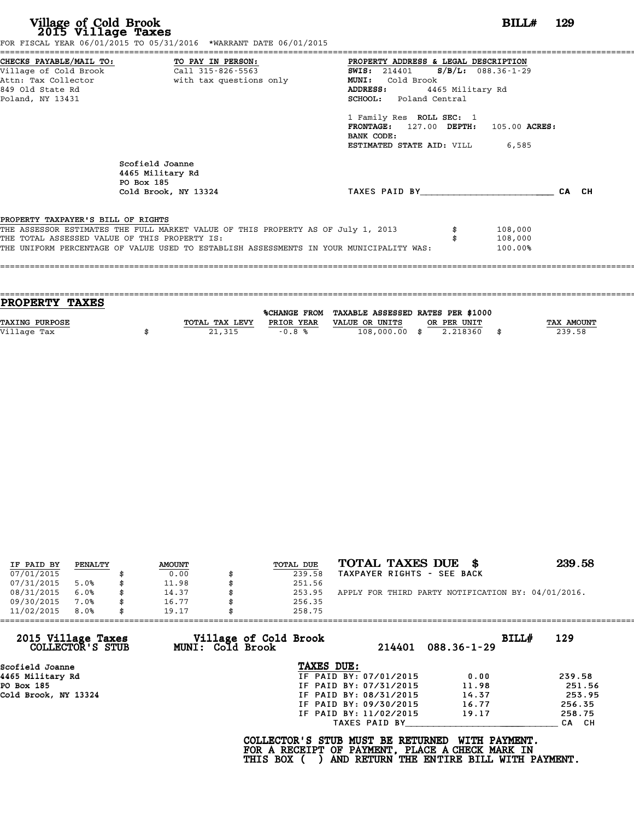|                                               | CHECKS PAYABLE/MAIL TO: TO PAY IN PERSON:                                        | PROPERTY ADDRESS & LEGAL DESCRIPTION          |                  |       |
|-----------------------------------------------|----------------------------------------------------------------------------------|-----------------------------------------------|------------------|-------|
|                                               |                                                                                  | <b>SWIS:</b> 214401 <b>S/B/L:</b> 088.36-1-29 |                  |       |
|                                               | Attn: Tax Collector The With tax questions only                                  | MUNI: Cold Brook                              |                  |       |
| 849 Old State Rd                              |                                                                                  | ADDRESS:                                      | 4465 Military Rd |       |
| Poland, NY 13431                              |                                                                                  | SCHOOL: Poland Central                        |                  |       |
|                                               |                                                                                  | 1 Family Res ROLL SEC: 1                      |                  |       |
|                                               |                                                                                  | FRONTAGE: 127.00 DEPTH: 105.00 ACRES:         |                  |       |
|                                               |                                                                                  | BANK CODE:                                    |                  |       |
|                                               |                                                                                  | <b>ESTIMATED STATE AID:</b> VILL 6,585        |                  |       |
|                                               | Scofield Joanne<br>4465 Military Rd<br>PO Box 185                                |                                               |                  |       |
|                                               | Cold Brook, NY 13324                                                             | TAXES PAID BY                                 |                  | CA CH |
| PROPERTY TAXPAYER'S BILL OF RIGHTS            |                                                                                  |                                               |                  |       |
|                                               | THE ASSESSOR ESTIMATES THE FULL MARKET VALUE OF THIS PROPERTY AS OF July 1, 2013 |                                               | 108,000          |       |
|                                               |                                                                                  |                                               | 108,000          |       |
| THE TOTAL ASSESSED VALUE OF THIS PROPERTY IS: |                                                                                  |                                               |                  |       |

| TOTAL TAX LEVY | PRIOR YEAR | VALUE OR UNITS |                                                                                            | <b>TAX AMOUNT</b> |
|----------------|------------|----------------|--------------------------------------------------------------------------------------------|-------------------|
|                |            |                |                                                                                            | 239.58            |
|                |            |                |                                                                                            |                   |
|                | 21,315     | $-0.8%$        | %CHANGE FROM TAXABLE ASSESSED RATES PER \$1000<br>OR PER UNIT<br>108,000.00 \$<br>2.218360 |                   |

| IF PAID BY | PENALTY | <b>AMOUNT</b> | TOTAL DUE | TOTAL TAXES DUE \$                                 | 239.58 |
|------------|---------|---------------|-----------|----------------------------------------------------|--------|
| 07/01/2015 |         | 0.00          | 239.58    | TAXPAYER RIGHTS - SEE BACK                         |        |
| 07/31/2015 | 5.0%    | 11.98         | 251.56    |                                                    |        |
| 08/31/2015 | 6.0%    | 14.37         | 253.95    | APPLY FOR THIRD PARTY NOTIFICATION BY: 04/01/2016. |        |
| 09/30/2015 | 7.0%    | 16.77         | 256.35    |                                                    |        |
| 11/02/2015 | 8.0%    | 19.17         | 258.75    |                                                    |        |

| 11/02/2015                             | 8.0% | 19.17 |                                           | 258.75                                                                                             |                        |                                                           |       |        |
|----------------------------------------|------|-------|-------------------------------------------|----------------------------------------------------------------------------------------------------|------------------------|-----------------------------------------------------------|-------|--------|
| 2015 Village Taxes<br>COLLECTOR'S STUB |      |       | Village of Cold Brook<br>MUNI: Cold Brook |                                                                                                    | 214401                 | $088.36 - 1 - 29$                                         | BILLH | 129    |
| Scofield Joanne                        |      |       |                                           | TAXES DUE:                                                                                         |                        |                                                           |       |        |
| 4465 Military Rd                       |      |       |                                           |                                                                                                    | IF PAID BY: 07/01/2015 | 0.00                                                      |       | 239.58 |
| PO Box 185                             |      |       |                                           |                                                                                                    | IF PAID BY: 07/31/2015 | 11.98                                                     |       | 251.56 |
| Cold Brook, NY 13324                   |      |       |                                           |                                                                                                    | IF PAID BY: 08/31/2015 | 14.37                                                     |       | 253.95 |
|                                        |      |       |                                           |                                                                                                    | IF PAID BY: 09/30/2015 | 16.77                                                     |       | 256.35 |
|                                        |      |       |                                           |                                                                                                    | IF PAID BY: 11/02/2015 | 19.17                                                     |       | 258.75 |
|                                        |      |       |                                           |                                                                                                    | TAXES PAID BY          |                                                           |       | CA CH  |
|                                        |      |       |                                           | COLLECTOR'S STUB MUST BE RETURNED<br>FOR A RECEIPT OF PAYMENT, PLACE A CHECK MARK IN<br>THIS BOX ( |                        | WITH PAYMENT.<br>AND RETURN THE ENTIRE BILL WITH PAYMENT. |       |        |
|                                        |      |       |                                           |                                                                                                    |                        |                                                           |       |        |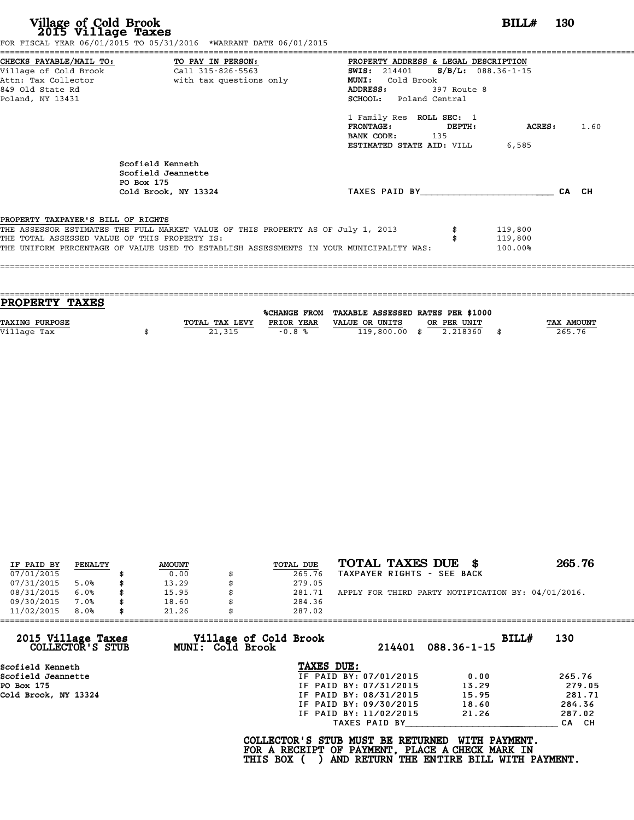|                                               | FOR FISCAL YEAR 06/01/2015 TO 05/31/2016 *WARRANT DATE 06/01/2015                       |                                               |             |            |       |      |
|-----------------------------------------------|-----------------------------------------------------------------------------------------|-----------------------------------------------|-------------|------------|-------|------|
|                                               | CHECKS PAYABLE/MAIL TO: TO PAY IN PERSON:                                               | PROPERTY ADDRESS & LEGAL DESCRIPTION          |             |            |       |      |
|                                               |                                                                                         | <b>SWIS:</b> 214401 <b>S/B/L:</b> 088.36-1-15 |             |            |       |      |
|                                               | Attn: Tax Collector and the with tax questions only                                     | MUNI: Cold Brook                              |             |            |       |      |
| 849 Old State Rd                              |                                                                                         | ADDRESS:                                      | 397 Route 8 |            |       |      |
| Poland, NY 13431                              |                                                                                         | <b>SCHOOL:</b> Poland Central                 |             |            |       |      |
|                                               |                                                                                         | 1 Family Res ROLL SEC: 1                      |             |            |       |      |
|                                               |                                                                                         | PRONTAGE:                                     | DEPTH:      | ACRES :    |       | 1.60 |
|                                               |                                                                                         | <b>BANK CODE:</b> 135                         |             |            |       |      |
|                                               |                                                                                         | <b>ESTIMATED STATE AID: VILL 6,585</b>        |             |            |       |      |
|                                               | Scofield Kenneth<br>Scofield Jeannette<br>PO Box 175                                    |                                               |             |            |       |      |
|                                               | Cold Brook, NY 13324                                                                    | TAXES PAID BY                                 |             |            | CA CH |      |
|                                               |                                                                                         |                                               |             |            |       |      |
| PROPERTY TAXPAYER'S BILL OF RIGHTS            |                                                                                         |                                               |             |            |       |      |
|                                               | THE ASSESSOR ESTIMATES THE FULL MARKET VALUE OF THIS PROPERTY AS OF July 1, 2013        |                                               |             | 119,800    |       |      |
| THE TOTAL ASSESSED VALUE OF THIS PROPERTY IS: |                                                                                         |                                               |             | 119,800    |       |      |
|                                               | THE UNIFORM PERCENTAGE OF VALUE USED TO ESTABLISH ASSESSMENTS IN YOUR MUNICIPALITY WAS: |                                               |             | $100.00\%$ |       |      |
|                                               |                                                                                         |                                               |             |            |       |      |
|                                               |                                                                                         |                                               |             |            |       |      |
|                                               |                                                                                         |                                               |             |            |       |      |

| <b>PROPERTY TAXES</b> |                |            |                                                |             |            |
|-----------------------|----------------|------------|------------------------------------------------|-------------|------------|
|                       |                |            | %CHANGE FROM TAXABLE ASSESSED RATES PER \$1000 |             |            |
|                       |                |            |                                                |             |            |
| <b>TAXING PURPOSE</b> | TOTAL TAX LEVY | PRIOR YEAR | VALUE OR UNITS                                 | OR PER UNIT | TAX AMOUNT |
| Village Tax           | 21,315         | $-0.8%$    | $119,800.00$ \$                                | 2.218360    | 265.76     |
|                       |                |            |                                                |             |            |
|                       |                |            |                                                |             |            |

| IF PAID BY | PENALTY | <b>AMOUNT</b> | TOTAL DUE | TOTAL TAXES DUE<br>- 86                            | 265.76 |
|------------|---------|---------------|-----------|----------------------------------------------------|--------|
| 07/01/2015 |         | 0.00          | 265.76    | TAXPAYER RIGHTS - SEE BACK                         |        |
| 07/31/2015 | 5.0%    | 13.29         | 279.05    |                                                    |        |
| 08/31/2015 | 6.0%    | 15.95         | 281.71    | APPLY FOR THIRD PARTY NOTIFICATION BY: 04/01/2016. |        |
| 09/30/2015 | 7.0%    | 18.60         | 284.36    |                                                    |        |
| 11/02/2015 | 8.0%    | 21.26         | 287.02    |                                                    |        |

| 11/02/2015                             | 8.0% | 21.26 |                  | 287.02                                                                                             |                        |                                                           |       |        |
|----------------------------------------|------|-------|------------------|----------------------------------------------------------------------------------------------------|------------------------|-----------------------------------------------------------|-------|--------|
| 2015 Village Taxes<br>COLLECTOR'S STUB |      |       | MUNI: Cold Brook | Village of Cold Brook                                                                              | 214401                 | $088.36 - 1 - 15$                                         | BILLH | 130    |
| Scofield Kenneth                       |      |       |                  | TAXES DUE:                                                                                         |                        |                                                           |       |        |
| Scofield Jeannette                     |      |       |                  |                                                                                                    | IF PAID BY: 07/01/2015 | 0.00                                                      |       | 265.76 |
| PO Box 175                             |      |       |                  |                                                                                                    | IF PAID BY: 07/31/2015 | 13.29                                                     |       | 279.05 |
| Cold Brook, NY 13324                   |      |       |                  |                                                                                                    | IF PAID BY: 08/31/2015 | 15.95                                                     |       | 281.71 |
|                                        |      |       |                  |                                                                                                    | IF PAID BY: 09/30/2015 | 18.60                                                     |       | 284.36 |
|                                        |      |       |                  |                                                                                                    | IF PAID BY: 11/02/2015 | 21.26                                                     |       | 287.02 |
|                                        |      |       |                  |                                                                                                    | TAXES PAID BY          |                                                           |       | CA CH  |
|                                        |      |       |                  | COLLECTOR'S STUB MUST BE RETURNED<br>FOR A RECEIPT OF PAYMENT, PLACE A CHECK MARK IN<br>THIS BOX ( |                        | WITH PAYMENT.<br>AND RETURN THE ENTIRE BILL WITH PAYMENT. |       |        |
|                                        |      |       |                  |                                                                                                    |                        |                                                           |       |        |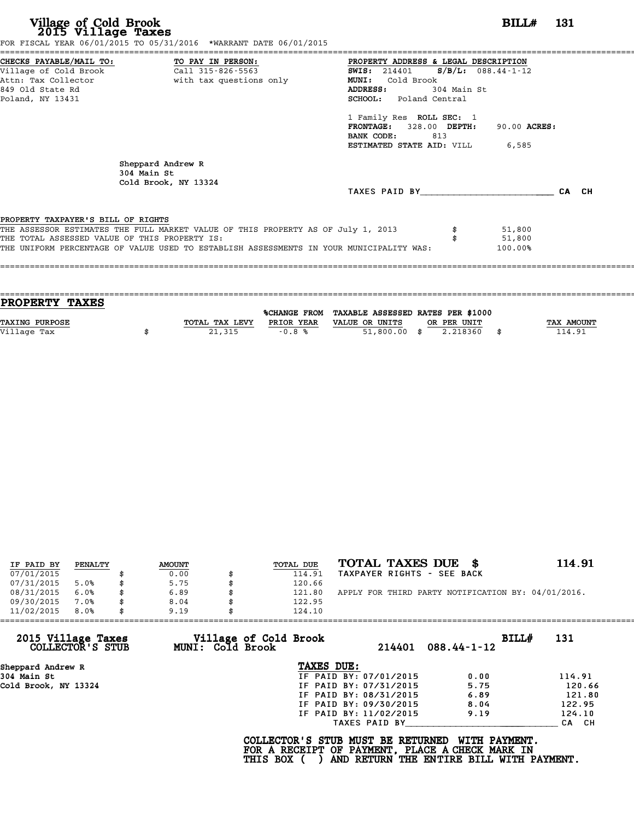| Village of Cold Brook<br>2015 Village Taxes                                         | FOR FISCAL YEAR 06/01/2015 TO 05/31/2016 *WARRANT DATE 06/01/2015                                                                                                            |                                                                                                                                                                                                                                                                                         | <b>BILL#</b> 131            |  |
|-------------------------------------------------------------------------------------|------------------------------------------------------------------------------------------------------------------------------------------------------------------------------|-----------------------------------------------------------------------------------------------------------------------------------------------------------------------------------------------------------------------------------------------------------------------------------------|-----------------------------|--|
| 849 Old State Rd<br>Poland, NY 13431                                                | CHECKS PAYABLE/MAIL TO: TO PAY IN PERSON:<br>Village of Cold Brook Call 315-826-5563<br>$\frac{21}{211}$ 315-826-5563<br>Attn: Tax Collector and the with tax questions only | PROPERTY ADDRESS & LEGAL DESCRIPTION<br>SWIS: 214401 S/B/L: 088.44-1-12<br><b>MUNI:</b><br>Cold Brook<br>304 Main St<br>ADDRESS:<br><b>SCHOOL:</b> Poland Central<br>1 Family Res ROLL SEC: 1<br>FRONTAGE: 328.00 DEPTH:<br>BANK CODE:<br>813<br><b>ESTIMATED STATE AID:</b> VILL 6,585 | 90.00 ACRES:                |  |
|                                                                                     | Sheppard Andrew R<br>304 Main St<br>Cold Brook, NY 13324                                                                                                                     | TAXES PAID BY CA CH                                                                                                                                                                                                                                                                     |                             |  |
| PROPERTY TAXPAYER'S BILL OF RIGHTS<br>THE TOTAL ASSESSED VALUE OF THIS PROPERTY IS: | THE ASSESSOR ESTIMATES THE FULL MARKET VALUE OF THIS PROPERTY AS OF July 1, 2013<br>THE UNIFORM PERCENTAGE OF VALUE USED TO ESTABLISH ASSESSMENTS IN YOUR MUNICIPALITY WAS:  |                                                                                                                                                                                                                                                                                         | 51,800<br>51,800<br>100.00% |  |

| TOTAL TAX LEVY | PRIOR YEAR | VALUE OR UNITS | OR PER UNIT |                                                                  | <b>TAX AMOUNT</b> |
|----------------|------------|----------------|-------------|------------------------------------------------------------------|-------------------|
|                |            |                | 2.218360    |                                                                  | 114.91            |
|                |            |                |             |                                                                  |                   |
|                | 21,315     | $-0.8%$        |             | %CHANGE FROM TAXABLE ASSESSED RATES PER \$1000<br>$51,800.00$ \$ |                   |

| IF PAID BY | PENALTY | <b>AMOUNT</b> | <b>TOTAL DUE</b> | TOTAL TAXES DUE \$                                 | 114.91 |
|------------|---------|---------------|------------------|----------------------------------------------------|--------|
| 07/01/2015 |         | 0.00          | 114.91           | TAXPAYER RIGHTS - SEE BACK                         |        |
| 07/31/2015 | 5.0%    | \$<br>5.75    | 120.66           |                                                    |        |
| 08/31/2015 | 6.0%    | \$<br>6.89    | \$<br>121.80     | APPLY FOR THIRD PARTY NOTIFICATION BY: 04/01/2016. |        |
| 09/30/2015 | 7.0%    | 8.04          | 122.95           |                                                    |        |
| 11/02/2015 | 8.0%    | \$<br>9.19    | 124.10           |                                                    |        |

| 11/02/2015<br>8.0%                     |  | 9.19 | 124.10                                    |                                                                                                                                  |                   |       |        |
|----------------------------------------|--|------|-------------------------------------------|----------------------------------------------------------------------------------------------------------------------------------|-------------------|-------|--------|
| 2015 Village Taxes<br>COLLECTOR'S STUB |  |      | Village of Cold Brook<br>MUNI: Cold Brook | 214401                                                                                                                           | $088.44 - 1 - 12$ | BILL# | 131    |
| Sheppard Andrew R                      |  |      |                                           | TAXES DUE:                                                                                                                       |                   |       |        |
| 304 Main St                            |  |      |                                           | IF PAID BY: 07/01/2015                                                                                                           | 0.00              |       | 114.91 |
| Cold Brook, NY 13324                   |  |      |                                           | IF PAID BY: 07/31/2015                                                                                                           | 5.75              |       | 120.66 |
|                                        |  |      |                                           | IF PAID BY: 08/31/2015                                                                                                           | 6.89              |       | 121.80 |
|                                        |  |      |                                           | IF PAID BY: 09/30/2015                                                                                                           | 8.04              |       | 122.95 |
|                                        |  |      |                                           | IF PAID BY: 11/02/2015                                                                                                           | 9.19              |       | 124.10 |
|                                        |  |      |                                           | TAXES PAID BY                                                                                                                    |                   |       | CA CH  |
|                                        |  |      | THIS BOX (                                | COLLECTOR'S STUB MUST BE RETURNED<br>FOR A RECEIPT OF PAYMENT, PLACE A CHECK MARK IN<br>AND RETURN THE ENTIRE BILL WITH PAYMENT. | WITH PAYMENT.     |       |        |
|                                        |  |      |                                           |                                                                                                                                  |                   |       |        |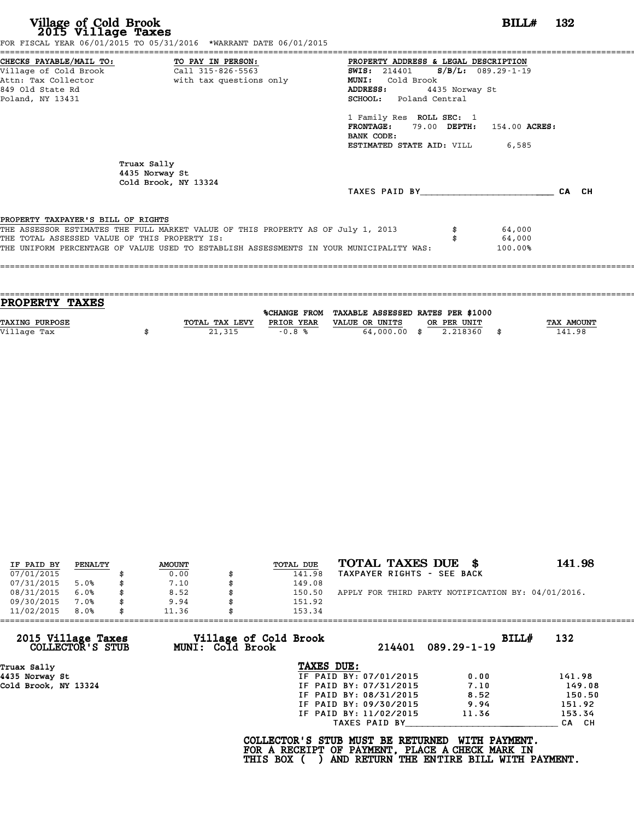|                                               | FOR FISCAL YEAR 06/01/2015 TO 05/31/2016 *WARRANT DATE 06/01/2015                       |                                               |                |       |
|-----------------------------------------------|-----------------------------------------------------------------------------------------|-----------------------------------------------|----------------|-------|
|                                               | CHECKS PAYABLE/MAIL TO: TO PAY IN PERSON:                                               | PROPERTY ADDRESS & LEGAL DESCRIPTION          |                |       |
|                                               | Village of Cold Brook Call 315-826-5563                                                 | <b>SWIS:</b> 214401 <b>S/B/L:</b> 089.29-1-19 |                |       |
|                                               | Attn: Tax Collector and the with tax questions only                                     | <b>MUNI:</b><br>Cold Brook                    |                |       |
| 849 Old State Rd                              |                                                                                         | ADDRESS:                                      | 4435 Norway St |       |
| Poland, NY 13431                              |                                                                                         | SCHOOL: Poland Central                        |                |       |
|                                               |                                                                                         | 1 Family Res ROLL SEC: 1                      |                |       |
|                                               |                                                                                         | FRONTAGE: 79.00 DEPTH: 154.00 ACRES:          |                |       |
|                                               |                                                                                         | BANK CODE:                                    |                |       |
|                                               |                                                                                         | <b>ESTIMATED STATE AID:</b> VILL 6,585        |                |       |
|                                               | Truax Sally<br>4435 Norway St<br>Cold Brook, NY 13324                                   |                                               |                |       |
|                                               |                                                                                         | TAXES PAID BY                                 |                | CA CH |
|                                               |                                                                                         |                                               |                |       |
| PROPERTY TAXPAYER'S BILL OF RIGHTS            |                                                                                         |                                               |                |       |
|                                               | THE ASSESSOR ESTIMATES THE FULL MARKET VALUE OF THIS PROPERTY AS OF July 1, 2013        |                                               | 64,000         |       |
| THE TOTAL ASSESSED VALUE OF THIS PROPERTY IS: |                                                                                         |                                               | 64,000         |       |
|                                               | THE UNIFORM PERCENTAGE OF VALUE USED TO ESTABLISH ASSESSMENTS IN YOUR MUNICIPALITY WAS: |                                               | 100.00%        |       |
|                                               |                                                                                         |                                               |                |       |

| <b>PROPERTY TAXES</b> |                |                     |                                   |             |      |            |
|-----------------------|----------------|---------------------|-----------------------------------|-------------|------|------------|
|                       |                | <b>%CHANGE FROM</b> | TAXABLE ASSESSED RATES PER \$1000 |             |      |            |
| <b>TAXING PURPOSE</b> | TOTAL TAX LEVY | PRIOR YEAR          | VALUE OR UNITS                    | OR PER UNIT |      | TAX AMOUNT |
|                       |                |                     |                                   |             |      |            |
| Village Tax           | 21,315         | $-0.8%$             | 64,000,00 \$                      | 2.218360    | - \$ | 141.98     |
|                       |                |                     |                                   |             |      |            |

| IF PAID BY | PENALTY | <b>AMOUNT</b> | <b>TOTAL DUE</b> | TOTAL TAXES DUE \$                                 | 141.98 |
|------------|---------|---------------|------------------|----------------------------------------------------|--------|
| 07/01/2015 |         | 0.00          | 141.98           | TAXPAYER RIGHTS - SEE BACK                         |        |
| 07/31/2015 | 5.0%    | \$<br>7.10    | 149.08           |                                                    |        |
| 08/31/2015 | 6.0%    | \$<br>8.52    | 150.50           | APPLY FOR THIRD PARTY NOTIFICATION BY: 04/01/2016. |        |
| 09/30/2015 | 7.0%    | \$<br>9.94    | 151.92           |                                                    |        |
| 11/02/2015 | 8.0%    | \$<br>11.36   | 153.34           |                                                    |        |

| 11/02/2015<br>8.0%                     | 11.36            | 153.34                          |                            |        |
|----------------------------------------|------------------|---------------------------------|----------------------------|--------|
| 2015 Village Taxes<br>COLLECTOR'S STUB | MUNI: Cold Brook | Village of Cold Brook<br>214401 | BILL#<br>$089.29 - 1 - 19$ | 132    |
| Truax Sally                            |                  | TAXES DUE:                      |                            |        |
| 4435 Norway St                         |                  | IF PAID BY: 07/01/2015          | 0.00                       | 141.98 |
| Cold Brook, NY 13324                   |                  | IF PAID BY: 07/31/2015          | 7.10                       | 149.08 |
|                                        |                  | IF PAID BY: 08/31/2015          | 8.52                       | 150.50 |
|                                        |                  | IF PAID BY: 09/30/2015          | 9.94                       | 151.92 |
|                                        |                  | IF PAID BY: 11/02/2015          | 11.36                      | 153.34 |
|                                        |                  | TAXES PAID BY                   |                            | CA CH  |

COLLECTOR'S STUB MUST BE RETURNED WITH PAYMENT.<br>FOR A RECEIPT OF PAYMENT, PLACE A CHECK MARK IN<br>THIS BOX ( ) AND RETURN THE ENTIRE BILL WITH PAYMENT.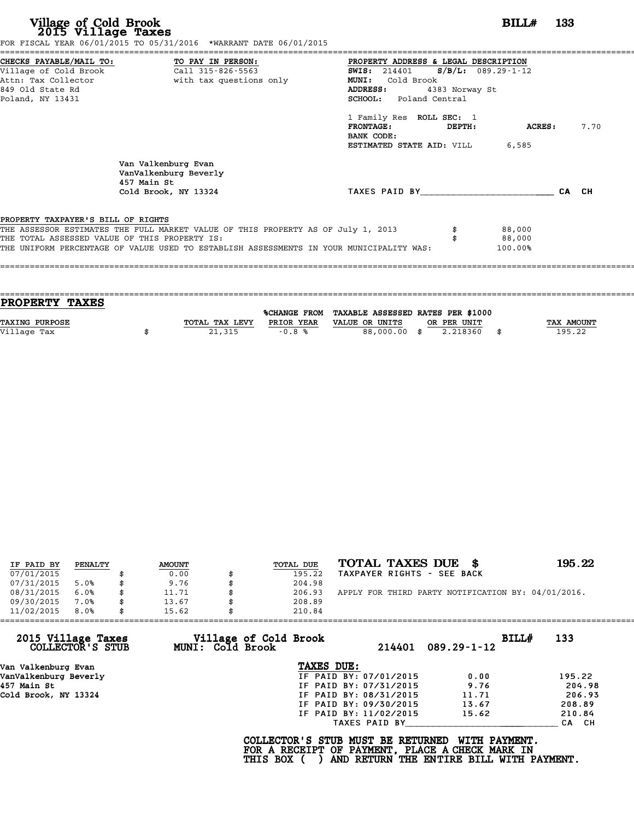|                                               | CHECKS PAYABLE/MAIL TO: TO PAY IN PERSON:                                        | PROPERTY ADDRESS & LEGAL DESCRIPTION   |                   |      |
|-----------------------------------------------|----------------------------------------------------------------------------------|----------------------------------------|-------------------|------|
|                                               |                                                                                  | SWIS: $214401$ S/B/L: 089.29-1-12      |                   |      |
|                                               | Attn: Tax Collector and with tax questions only                                  | Cold Brook<br><b>MUNI:</b>             |                   |      |
| 849 Old State Rd                              |                                                                                  | <b>ADDRESS:</b>                        | 4383 Norway St    |      |
| Poland, NY 13431                              |                                                                                  | SCHOOL: Poland Central                 |                   |      |
|                                               |                                                                                  | 1 Family Res ROLL SEC: 1               |                   |      |
|                                               |                                                                                  | FRONTAGE:                              | DEPTH:<br>ACRES : | 7.70 |
|                                               |                                                                                  | BANK CODE:                             |                   |      |
|                                               |                                                                                  | <b>ESTIMATED STATE AID: VILL 6,585</b> |                   |      |
|                                               | Van Valkenburg Evan<br>VanValkenburg Beverly<br>457 Main St                      |                                        |                   |      |
|                                               |                                                                                  |                                        |                   |      |
|                                               | Cold Brook, NY 13324                                                             | TAXES PAID BY <b>CA</b> CH             |                   |      |
|                                               |                                                                                  |                                        |                   |      |
| PROPERTY TAXPAYER'S BILL OF RIGHTS            |                                                                                  |                                        |                   |      |
| THE TOTAL ASSESSED VALUE OF THIS PROPERTY IS: | THE ASSESSOR ESTIMATES THE FULL MARKET VALUE OF THIS PROPERTY AS OF July 1, 2013 |                                        | 88,000<br>88,000  |      |

| <b>PROPERTY TAXES</b> |                |                     |                                   |             |      |            |
|-----------------------|----------------|---------------------|-----------------------------------|-------------|------|------------|
|                       |                | <b>%CHANGE FROM</b> | TAXABLE ASSESSED RATES PER \$1000 |             |      |            |
|                       |                |                     |                                   |             |      |            |
| <b>TAXING PURPOSE</b> | TOTAL TAX LEVY | PRIOR YEAR          | VALUE OR UNITS                    | OR PER UNIT |      | TAX AMOUNT |
| Village Tax           | 21,315         | $-0.8%$             | 88,000.00 \$                      | 2.218360    | - \$ | 195.22     |
|                       |                |                     |                                   |             |      |            |

|            |         |               |                  | TOTAL TAXES DUE \$                                 | 195.22 |
|------------|---------|---------------|------------------|----------------------------------------------------|--------|
| IF PAID BY | PENALTY | <b>AMOUNT</b> | <b>TOTAL DUE</b> |                                                    |        |
| 07/01/2015 |         | 0.00          | 195.22           | TAXPAYER RIGHTS - SEE BACK                         |        |
| 07/31/2015 | 5.0%    | \$<br>9.76    | 204.98           |                                                    |        |
| 08/31/2015 | 6.0%    | \$<br>11.71   | 206.93           | APPLY FOR THIRD PARTY NOTIFICATION BY: 04/01/2016. |        |
| 09/30/2015 | 7.0%    | \$<br>13.67   | 208.89           |                                                    |        |
| 11/02/2015 | 8.0%    | \$<br>15.62   | 210.84           |                                                    |        |

| 11/02/2015                             | 8.0% | 15.62 |                         | 210.84                                                                                             |                        |                                                                  |       |        |
|----------------------------------------|------|-------|-------------------------|----------------------------------------------------------------------------------------------------|------------------------|------------------------------------------------------------------|-------|--------|
| 2015 Village Taxes<br>COLLECTOR'S STUB |      |       | <b>MUNI: Cold Brook</b> | Village of Cold Brook                                                                              | 214401                 | $089.29 - 1 - 12$                                                | BILL# | 133    |
| Van Valkenburg Evan                    |      |       |                         | TAXES DUE:                                                                                         |                        |                                                                  |       |        |
| VanValkenburg Beverly                  |      |       |                         |                                                                                                    | IF PAID BY: 07/01/2015 | 0.00                                                             |       | 195.22 |
| 457 Main St                            |      |       |                         |                                                                                                    | IF PAID BY: 07/31/2015 | 9.76                                                             |       | 204.98 |
| Cold Brook, NY 13324                   |      |       |                         |                                                                                                    | IF PAID BY: 08/31/2015 | 11.71                                                            |       | 206.93 |
|                                        |      |       |                         |                                                                                                    | IF PAID BY: 09/30/2015 | 13.67                                                            |       | 208.89 |
|                                        |      |       |                         |                                                                                                    | IF PAID BY: 11/02/2015 | 15.62                                                            |       | 210.84 |
|                                        |      |       |                         |                                                                                                    | TAXES PAID BY          |                                                                  |       | CA CH  |
|                                        |      |       |                         | COLLECTOR'S STUB MUST BE RETURNED<br>FOR A RECEIPT OF PAYMENT, PLACE A CHECK MARK IN<br>THIS BOX ( |                        | <b>WITH PAYMENT.</b><br>AND RETURN THE ENTIRE BILL WITH PAYMENT. |       |        |
|                                        |      |       |                         |                                                                                                    |                        |                                                                  |       |        |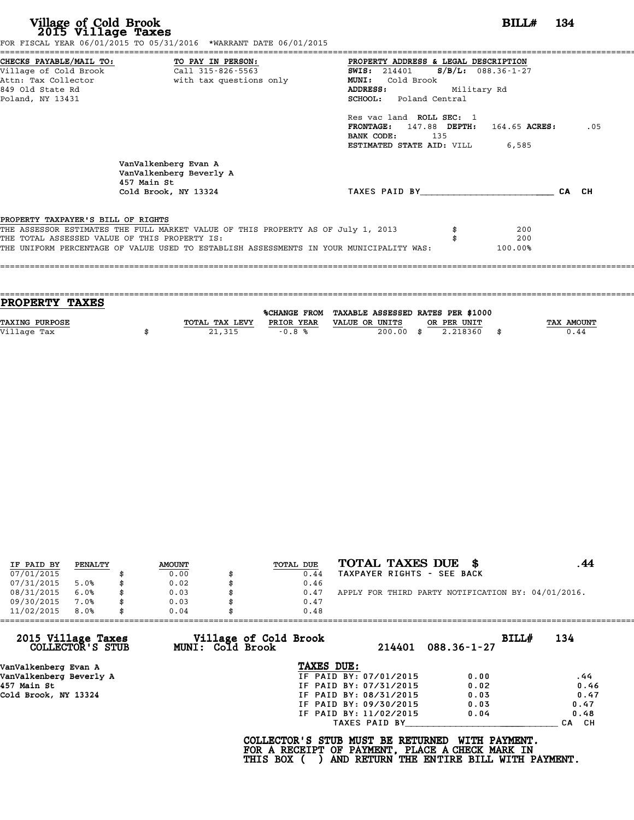|                                               | FOR FISCAL YEAR 06/01/2015 TO 05/31/2016 *WARRANT DATE 06/01/2015                |                                           |             |     |       |     |
|-----------------------------------------------|----------------------------------------------------------------------------------|-------------------------------------------|-------------|-----|-------|-----|
|                                               | CHECKS PAYABLE/MAIL TO: TO PAY IN PERSON:                                        | PROPERTY ADDRESS & LEGAL DESCRIPTION      |             |     |       |     |
| Village of Cold Brook                         | Call 315-826-5563                                                                | SWIS: $214401$ S/B/L: 088.36-1-27         |             |     |       |     |
| Attn: Tax Collector                           | with tax questions only                                                          | MUNI: Cold Brook                          |             |     |       |     |
| 849 Old State Rd                              |                                                                                  | <b>ADDRESS:</b>                           | Military Rd |     |       |     |
| Poland, NY 13431                              |                                                                                  | SCHOOL: Poland Central                    |             |     |       |     |
|                                               |                                                                                  | Res vac land ROLL SEC: 1                  |             |     |       |     |
|                                               |                                                                                  | FRONTAGE: $147.88$ DEPTH: $164.65$ ACRES: |             |     |       | .05 |
|                                               |                                                                                  | BANK CODE:                                | 135         |     |       |     |
|                                               |                                                                                  | <b>ESTIMATED STATE AID:</b> VILL 6,585    |             |     |       |     |
|                                               | VanValkenberg Evan A<br>VanValkenberg Beverly A<br>457 Main St                   |                                           |             |     |       |     |
|                                               | Cold Brook, NY 13324                                                             | TAXES PAID BY                             |             |     | CA CH |     |
| PROPERTY TAXPAYER'S BILL OF RIGHTS            |                                                                                  |                                           |             |     |       |     |
|                                               | THE ASSESSOR ESTIMATES THE FULL MARKET VALUE OF THIS PROPERTY AS OF July 1, 2013 |                                           |             | 200 |       |     |
|                                               |                                                                                  |                                           |             | 200 |       |     |
| THE TOTAL ASSESSED VALUE OF THIS PROPERTY IS: |                                                                                  |                                           |             |     |       |     |

| <b>PROPERTY TAXES</b> |                |            |                                                |                |            |
|-----------------------|----------------|------------|------------------------------------------------|----------------|------------|
|                       |                |            |                                                |                |            |
|                       |                |            | %CHANGE FROM TAXABLE ASSESSED RATES PER \$1000 |                |            |
| <b>TAXING PURPOSE</b> | TOTAL TAX LEVY | PRIOR YEAR | VALUE OR UNITS<br>OR PER UNIT                  |                | TAX AMOUNT |
| Village Tax           | 21,315         | $-0.8%$    | 200.00<br>.ቋ                                   | 2.218360<br>\$ | 0.44       |
|                       |                |            |                                                |                |            |

| IF PAID BY | PENALTY | <b>AMOUNT</b> | TOTAL DUE | TOTAL TAXES DUE \$                                 |  |
|------------|---------|---------------|-----------|----------------------------------------------------|--|
| 07/01/2015 |         | 0.00          | 0.44      | TAXPAYER RIGHTS - SEE BACK                         |  |
| 07/31/2015 | 5.0%    | 0.02          | 0.46      |                                                    |  |
| 08/31/2015 | 6.0%    | 0.03          | 0.47      | APPLY FOR THIRD PARTY NOTIFICATION BY: 04/01/2016. |  |
| 09/30/2015 | 7.0%    | 0.03          | 0.47      |                                                    |  |
| 11/02/2015 | 8.0%    | 0.04          | 0.48      |                                                    |  |

| 11/02/2015<br>8.0%                     | 0.04<br>0.48                              |                        |                            |                  |
|----------------------------------------|-------------------------------------------|------------------------|----------------------------|------------------|
| 2015 Village Taxes<br>COLLECTOR'S STUB | Village of Cold Brook<br>MUNI: Cold Brook | 214401                 | BILLH<br>$088.36 - 1 - 27$ | 134              |
| VanValkenberg Evan A                   | TAXES DUE:                                |                        |                            |                  |
| VanValkenberg Beverly A                |                                           | IF PAID BY: 07/01/2015 | 0.00                       | . 44             |
| 457 Main St                            |                                           | IF PAID BY: 07/31/2015 | 0.02                       | 0.46             |
| Cold Brook, NY 13324                   |                                           | IF PAID BY: 08/31/2015 | 0.03                       | 0.47             |
|                                        |                                           | IF PAID BY: 09/30/2015 | 0.03                       | 0.47             |
|                                        |                                           | IF PAID BY: 11/02/2015 | 0.04                       | 0.48             |
|                                        |                                           | TAXES PAID BY          |                            | <b>CA</b><br>CH. |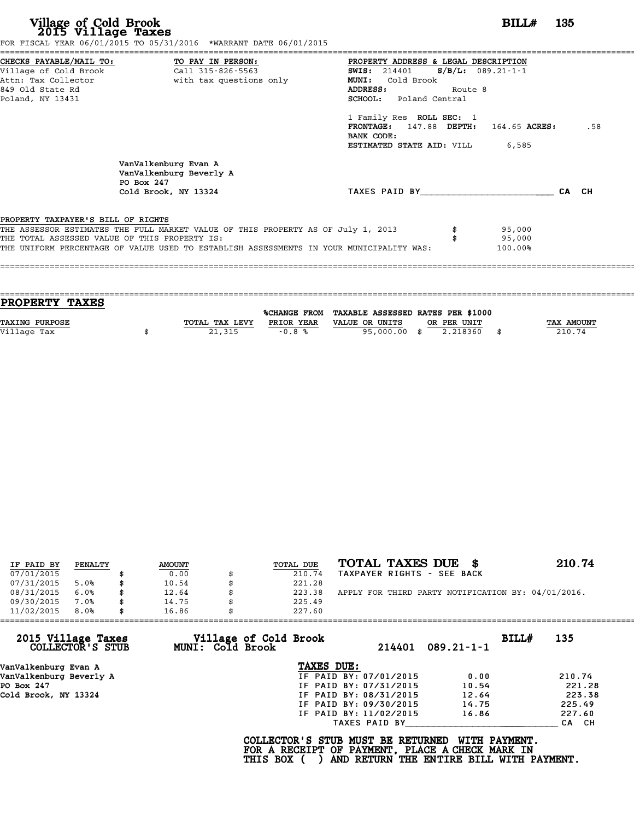|                                                                                     | FOR FISCAL YEAR 06/01/2015 TO 05/31/2016 *WARRANT DATE 06/01/2015                |                                                      |         |        |       |     |
|-------------------------------------------------------------------------------------|----------------------------------------------------------------------------------|------------------------------------------------------|---------|--------|-------|-----|
|                                                                                     |                                                                                  | PROPERTY ADDRESS & LEGAL DESCRIPTION                 |         |        |       |     |
|                                                                                     |                                                                                  | SWIS: $214401$ S/B/L: 089.21-1-1                     |         |        |       |     |
|                                                                                     | Attn: Tax Collector and with tax questions only                                  | <b>MUNI:</b><br>Cold Brook                           |         |        |       |     |
| 849 Old State Rd                                                                    |                                                                                  | ADDRESS:                                             | Route 8 |        |       |     |
| Poland, NY 13431                                                                    |                                                                                  | SCHOOL: Poland Central                               |         |        |       |     |
|                                                                                     |                                                                                  | 1 Family Res ROLL SEC: 1                             |         |        |       |     |
|                                                                                     |                                                                                  | FRONTAGE: 147.88 DEPTH: 164.65 ACRES:                |         |        |       | .58 |
|                                                                                     |                                                                                  | BANK CODE:<br><b>ESTIMATED STATE AID:</b> VILL 6,585 |         |        |       |     |
|                                                                                     | VanValkenburg Evan A<br>VanValkenburg Beverly A<br>PO Box 247                    |                                                      |         |        |       |     |
|                                                                                     | Cold Brook, NY 13324                                                             | TAXES PAID BY                                        |         |        | CA CH |     |
|                                                                                     |                                                                                  |                                                      |         |        |       |     |
|                                                                                     |                                                                                  |                                                      |         |        |       |     |
|                                                                                     |                                                                                  |                                                      |         | 95,000 |       |     |
| PROPERTY TAXPAYER'S BILL OF RIGHTS<br>THE TOTAL ASSESSED VALUE OF THIS PROPERTY IS: | THE ASSESSOR ESTIMATES THE FULL MARKET VALUE OF THIS PROPERTY AS OF July 1, 2013 |                                                      |         | 95,000 |       |     |

| <b>TAX AMOUNT</b> |
|-------------------|
| 210.74            |
|                   |
|                   |

| IF PAID BY | PENALTY | <b>AMOUNT</b> | TOTAL DUE | TOTAL TAXES DUE \$                                 | 210.74 |
|------------|---------|---------------|-----------|----------------------------------------------------|--------|
| 07/01/2015 |         | 0.00          | 210.74    | TAXPAYER RIGHTS - SEE BACK                         |        |
| 07/31/2015 | 5.0%    | 10.54         | 221.28    |                                                    |        |
| 08/31/2015 | 6.0%    | \$<br>12.64   | 223.38    | APPLY FOR THIRD PARTY NOTIFICATION BY: 04/01/2016. |        |
| 09/30/2015 | 7.0%    | \$<br>14.75   | 225.49    |                                                    |        |
| 11/02/2015 | 8.0%    | \$<br>16.86   | 227.60    |                                                    |        |
|            |         |               |           |                                                    |        |

| 11/02/2015                             | 8.0% | 16.86            | 227.60                                                                                             |                                          |                  |       |        |
|----------------------------------------|------|------------------|----------------------------------------------------------------------------------------------------|------------------------------------------|------------------|-------|--------|
| 2015 Village Taxes<br>COLLECTOR'S STUB |      | MUNI: Cold Brook | Village of Cold Brook                                                                              | 214401                                   | $089.21 - 1 - 1$ | BILL# | 135    |
| VanValkenburg Evan A                   |      |                  | TAXES DUE:                                                                                         |                                          |                  |       |        |
| VanValkenburg Beverly A                |      |                  |                                                                                                    | IF PAID BY: 07/01/2015                   | 0.00             |       | 210.74 |
| PO Box 247                             |      |                  |                                                                                                    | IF PAID BY: 07/31/2015                   | 10.54            |       | 221.28 |
| Cold Brook, NY 13324                   |      |                  |                                                                                                    | IF PAID BY: 08/31/2015                   | 12.64            |       | 223.38 |
|                                        |      |                  |                                                                                                    | IF PAID BY: 09/30/2015                   | 14.75            |       | 225.49 |
|                                        |      |                  |                                                                                                    | IF PAID BY: 11/02/2015                   | 16.86            |       | 227.60 |
|                                        |      |                  |                                                                                                    | TAXES PAID BY                            |                  |       | CA CH  |
|                                        |      |                  | COLLECTOR'S STUB MUST BE RETURNED<br>FOR A RECEIPT OF PAYMENT, PLACE A CHECK MARK IN<br>THIS BOX ( | AND RETURN THE ENTIRE BILL WITH PAYMENT. | WITH PAYMENT.    |       |        |
|                                        |      |                  |                                                                                                    |                                          |                  |       |        |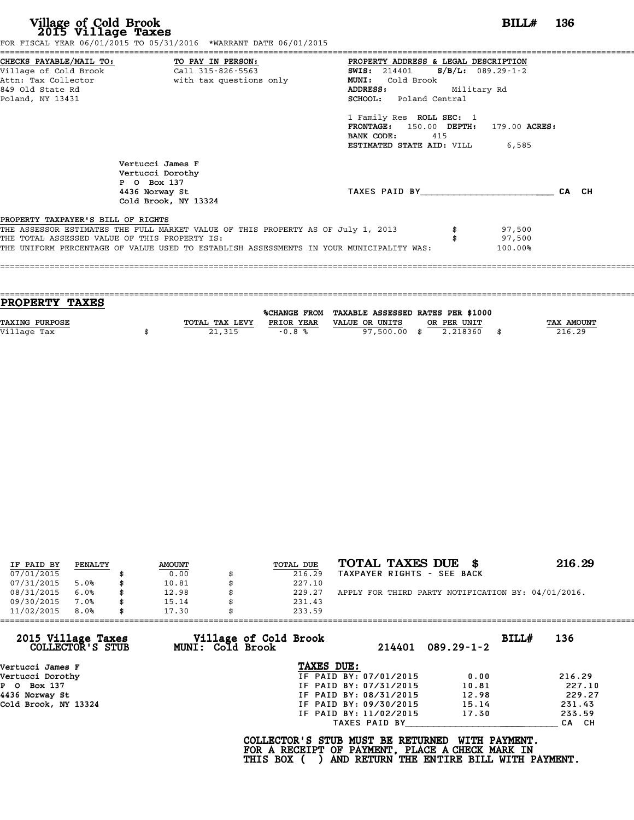|                                               | FOR FISCAL YEAR 06/01/2015 TO 05/31/2016 *WARRANT DATE 06/01/2015                       |                                            |       |
|-----------------------------------------------|-----------------------------------------------------------------------------------------|--------------------------------------------|-------|
|                                               | CHECKS PAYABLE/MAIL TO: TO PAY IN PERSON:                                               | PROPERTY ADDRESS & LEGAL DESCRIPTION       |       |
| Village of Cold Brook                         | Call 315-826-5563                                                                       | $S/B/L: 089.29-1-2$<br><b>SWIS:</b> 214401 |       |
|                                               | Attn: Tax Collector and the with tax questions only                                     | <b>MUNI:</b><br>Cold Brook                 |       |
| 849 Old State Rd                              |                                                                                         | Military Rd<br><b>ADDRESS:</b>             |       |
| Poland, NY 13431                              |                                                                                         | <b>SCHOOL:</b> Poland Central              |       |
|                                               |                                                                                         | 1 Family Res ROLL SEC: 1                   |       |
|                                               |                                                                                         | FRONTAGE: 150.00 DEPTH: 179.00 ACRES:      |       |
|                                               |                                                                                         | BANK CODE:<br>415                          |       |
|                                               |                                                                                         | <b>ESTIMATED STATE AID:</b> VILL 6,585     |       |
|                                               | Vertucci James F                                                                        |                                            |       |
|                                               | Vertucci Dorothy                                                                        |                                            |       |
|                                               | P 0 Box 137                                                                             |                                            |       |
|                                               | 4436 Norway St                                                                          | TAXES PAID BY                              | CA CH |
|                                               | Cold Brook, NY 13324                                                                    |                                            |       |
| PROPERTY TAXPAYER'S BILL OF RIGHTS            |                                                                                         |                                            |       |
|                                               | THE ASSESSOR ESTIMATES THE FULL MARKET VALUE OF THIS PROPERTY AS OF July 1, 2013        | 97,500                                     |       |
| THE TOTAL ASSESSED VALUE OF THIS PROPERTY IS: |                                                                                         | 97,500                                     |       |
|                                               | THE UNIFORM PERCENTAGE OF VALUE USED TO ESTABLISH ASSESSMENTS IN YOUR MUNICIPALITY WAS: | 100.00%                                    |       |
|                                               |                                                                                         |                                            |       |

| <b>PROPERTY TAXES</b> |                |            |                                                |             |                   |
|-----------------------|----------------|------------|------------------------------------------------|-------------|-------------------|
|                       |                |            |                                                |             |                   |
|                       |                |            | %CHANGE FROM TAXABLE ASSESSED RATES PER \$1000 |             |                   |
| <b>TAXING PURPOSE</b> | TOTAL TAX LEVY | PRIOR YEAR | VALUE OR UNITS                                 | OR PER UNIT | <b>TAX AMOUNT</b> |
| Village Tax           | 21,315         | $-0.8%$    | 97,500.00 \$                                   | 2.218360    | 216.29            |
|                       |                |            |                                                |             |                   |

| IF PAID BY | PENALTY | <b>AMOUNT</b> | TOTAL DUE | TOTAL TAXES DUE \$                                 | 216.29 |
|------------|---------|---------------|-----------|----------------------------------------------------|--------|
| 07/01/2015 |         | 0.00          | 216.29    | TAXPAYER RIGHTS - SEE BACK                         |        |
| 07/31/2015 | 5.0%    | \$<br>10.81   | 227.10    |                                                    |        |
| 08/31/2015 | 6.0%    | \$<br>12.98   | 229.27    | APPLY FOR THIRD PARTY NOTIFICATION BY: 04/01/2016. |        |
| 09/30/2015 | 7.0%    | \$<br>15.14   | 231.43    |                                                    |        |
| 11/02/2015 | 8.0%    | \$<br>17.30   | 233.59    |                                                    |        |

| 11/02/2015<br>8.0%                     | 17.30 |                  | 233.59                                                                                              |                        |                                                                  |       |        |
|----------------------------------------|-------|------------------|-----------------------------------------------------------------------------------------------------|------------------------|------------------------------------------------------------------|-------|--------|
| 2015 Village Taxes<br>COLLECTOR'S STUB |       | MUNI: Cold Brook | Village of Cold Brook                                                                               | 214401                 | $089.29 - 1 - 2$                                                 | BILLH | 136    |
| Vertucci James F                       |       |                  | TAXES DUE:                                                                                          |                        |                                                                  |       |        |
| Vertucci Dorothy                       |       |                  |                                                                                                     | IF PAID BY: 07/01/2015 | 0.00                                                             |       | 216.29 |
| P 0 Box 137                            |       |                  |                                                                                                     | IF PAID BY: 07/31/2015 | 10.81                                                            |       | 227.10 |
| 4436 Norway St                         |       |                  |                                                                                                     | IF PAID BY: 08/31/2015 | 12.98                                                            |       | 229.27 |
| Cold Brook, NY 13324                   |       |                  |                                                                                                     | IF PAID BY: 09/30/2015 | 15.14                                                            |       | 231.43 |
|                                        |       |                  |                                                                                                     | IF PAID BY: 11/02/2015 | 17.30                                                            |       | 233.59 |
|                                        |       |                  |                                                                                                     | TAXES PAID BY          |                                                                  |       | CA CH  |
|                                        |       |                  | COLLECTOR'S STUB MUST BE RETURNED<br>FOR A RECEIPT OF PAYMENT, PLACE A CHECK MARK IN<br>THIS BOX () |                        | <b>WITH PAYMENT.</b><br>AND RETURN THE ENTIRE BILL WITH PAYMENT. |       |        |
|                                        |       |                  |                                                                                                     |                        |                                                                  |       |        |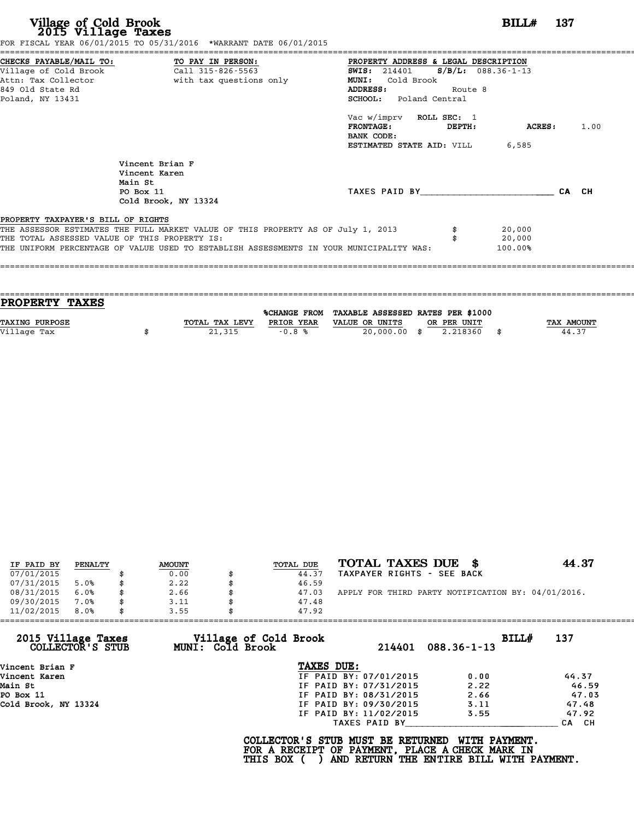| CHECKS PAYABLE/MAIL TO: TO PAY IN PERSON:                                                                                                                                                                                                                          | PROPERTY ADDRESS & LEGAL DESCRIPTION                                                                                                  |                                              |  |  |  |  |  |  |  |
|--------------------------------------------------------------------------------------------------------------------------------------------------------------------------------------------------------------------------------------------------------------------|---------------------------------------------------------------------------------------------------------------------------------------|----------------------------------------------|--|--|--|--|--|--|--|
| Village of Cold Brook<br>Call 315-826-5563<br>with tax questions only<br>Attn: Tax Collector<br>849 Old State Rd<br>Poland, NY 13431                                                                                                                               | <b>MUNI:</b><br>Cold Brook<br>Route 8<br>ADDRESS:<br><b>SCHOOL:</b> Poland Central                                                    | $S/B/L$ : 088.36-1-13<br><b>SWIS:</b> 214401 |  |  |  |  |  |  |  |
|                                                                                                                                                                                                                                                                    | Vac w/imprv ROLL SEC: 1<br><b>FRONTAGE:</b><br><b>DEPTH:</b><br><b>ACRES:</b><br>BANK CODE:<br><b>ESTIMATED STATE AID:</b> VILL 6,585 | 1.00                                         |  |  |  |  |  |  |  |
| Vincent Brian F<br>Vincent Karen<br>Main St<br>PO Box 11<br>Cold Brook, NY 13324                                                                                                                                                                                   | TAXES PAID BY                                                                                                                         | CA CH                                        |  |  |  |  |  |  |  |
| PROPERTY TAXPAYER'S BILL OF RIGHTS<br>THE ASSESSOR ESTIMATES THE FULL MARKET VALUE OF THIS PROPERTY AS OF July 1, 2013<br>THE TOTAL ASSESSED VALUE OF THIS PROPERTY IS:<br>THE UNIFORM PERCENTAGE OF VALUE USED TO ESTABLISH ASSESSMENTS IN YOUR MUNICIPALITY WAS: | 20,000<br>20,000<br>100.00%                                                                                                           |                                              |  |  |  |  |  |  |  |

| PROPERTY TAXES        |                |            |                                                |             |                   |
|-----------------------|----------------|------------|------------------------------------------------|-------------|-------------------|
|                       |                |            | %CHANGE FROM TAXABLE ASSESSED RATES PER \$1000 |             |                   |
| <b>TAXING PURPOSE</b> | TOTAL TAX LEVY | PRIOR YEAR | VALUE OR UNITS                                 | OR PER UNIT | <b>TAX AMOUNT</b> |
| Village Tax           | 21,315         | $-0.8%$    | 20,000.00 \$                                   | 2.218360    | 44.37             |
|                       |                |            |                                                |             |                   |

| IF PAID BY | PENALTY | <b>AMOUNT</b> | TOTAL DUE | TOTAL TAXES DUE \$                                 | 44.37 |
|------------|---------|---------------|-----------|----------------------------------------------------|-------|
| 07/01/2015 |         | 0.00          | 44.37     | TAXPAYER RIGHTS - SEE BACK                         |       |
| 07/31/2015 | 5.0%    | 2.22          | 46.59     |                                                    |       |
| 08/31/2015 | 6.0%    | \$<br>2.66    | 47.03     | APPLY FOR THIRD PARTY NOTIFICATION BY: 04/01/2016. |       |
| 09/30/2015 | 7.0%    | \$<br>3.11    | 47.48     |                                                    |       |
| 11/02/2015 | 8.0%    | \$<br>3.55    | 47.92     |                                                    |       |

| 11/02/2015<br>8.0%                     | 3.55<br>47.92                                    |                        |                            |       |
|----------------------------------------|--------------------------------------------------|------------------------|----------------------------|-------|
| 2015 Village Taxes<br>COLLECTOR'S STUB | Village of Cold Brook<br><b>MUNI: Cold Brook</b> | 214401                 | BILL#<br>$088.36 - 1 - 13$ | 137   |
| Vincent Brian F                        | TAXES DUE:                                       |                        |                            |       |
| Vincent Karen                          |                                                  | IF PAID BY: 07/01/2015 | 0.00                       | 44.37 |
| Main St                                |                                                  | IF PAID BY: 07/31/2015 | 2.22                       | 46.59 |
| PO Box 11                              |                                                  | IF PAID BY: 08/31/2015 | 2.66                       | 47.03 |
| Cold Brook, NY 13324                   |                                                  | IF PAID BY: 09/30/2015 | 3.11                       | 47.48 |
|                                        |                                                  | IF PAID BY: 11/02/2015 | 3.55                       | 47.92 |
|                                        |                                                  | TAXES PAID BY          |                            | CA CH |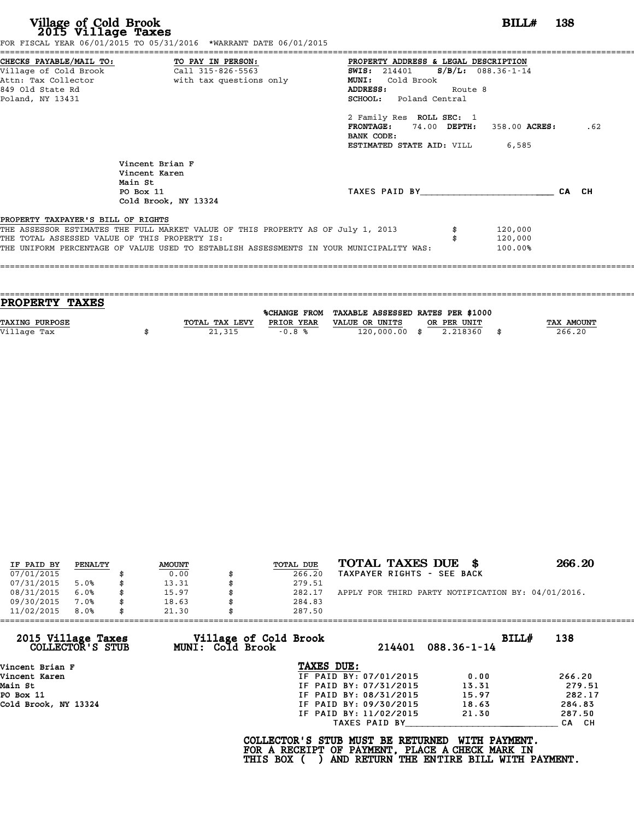|                                               | FOR FISCAL YEAR 06/01/2015 TO 05/31/2016 *WARRANT DATE 06/01/2015                       |                                        |         |       |
|-----------------------------------------------|-----------------------------------------------------------------------------------------|----------------------------------------|---------|-------|
| CHECKS PAYABLE/MAIL TO: TO PAY IN PERSON:     |                                                                                         | PROPERTY ADDRESS & LEGAL DESCRIPTION   |         |       |
|                                               |                                                                                         | SWIS: 214401 S/B/L: 088.36-1-14        |         |       |
| Attn: Tax Collector                           | with tax questions only                                                                 | <b>MUNI:</b><br>Cold Brook             |         |       |
| 849 Old State Rd                              |                                                                                         | <b>ADDRESS:</b><br>Route 8             |         |       |
| Poland, NY 13431                              |                                                                                         | <b>SCHOOL:</b> Poland Central          |         |       |
|                                               |                                                                                         | 2 Family Res ROLL SEC: 1               |         |       |
|                                               |                                                                                         | $FRONTAGE: 74.00 DEPTH: 358.00 ACRES:$ |         | .62   |
|                                               |                                                                                         | BANK CODE:                             |         |       |
|                                               |                                                                                         | <b>ESTIMATED STATE AID:</b> VILL 6,585 |         |       |
|                                               | Vincent Brian F                                                                         |                                        |         |       |
|                                               | Vincent Karen                                                                           |                                        |         |       |
| Main St                                       |                                                                                         |                                        |         |       |
| PO Box 11                                     |                                                                                         | TAXES PAID BY                          |         | CA CH |
|                                               | Cold Brook, NY 13324                                                                    |                                        |         |       |
| PROPERTY TAXPAYER'S BILL OF RIGHTS            |                                                                                         |                                        |         |       |
|                                               | THE ASSESSOR ESTIMATES THE FULL MARKET VALUE OF THIS PROPERTY AS OF July 1, 2013        |                                        | 120,000 |       |
| THE TOTAL ASSESSED VALUE OF THIS PROPERTY IS: |                                                                                         |                                        | 120,000 |       |
|                                               | THE UNIFORM PERCENTAGE OF VALUE USED TO ESTABLISH ASSESSMENTS IN YOUR MUNICIPALITY WAS: |                                        | 100.00% |       |
|                                               |                                                                                         |                                        |         |       |

| TOTAL TAX LEVY | PRIOR YEAR | VALUE OR UNITS | OR PER UNIT |                                                                             | <b>TAX AMOUNT</b> |
|----------------|------------|----------------|-------------|-----------------------------------------------------------------------------|-------------------|
|                |            |                |             |                                                                             | 266.20            |
|                |            |                |             |                                                                             |                   |
|                | 21,315     | $-0.8%$        |             | %CHANGE FROM TAXABLE ASSESSED RATES PER \$1000<br>120,000.00 \$<br>2.218360 |                   |

| IF PAID BY | PENALTY | <b>AMOUNT</b> | TOTAL DUE | TOTAL TAXES DUE \$                                 | 266.20 |
|------------|---------|---------------|-----------|----------------------------------------------------|--------|
| 07/01/2015 |         | 0.00          | 266.20    | TAXPAYER RIGHTS - SEE BACK                         |        |
| 07/31/2015 | 5.0%    | 13.31         | 279.51    |                                                    |        |
| 08/31/2015 | 6.0%    | \$<br>15.97   | 282.17    | APPLY FOR THIRD PARTY NOTIFICATION BY: 04/01/2016. |        |
| 09/30/2015 | 7.0%    | \$<br>18.63   | 284.83    |                                                    |        |
| 11/02/2015 | 8.0%    | \$<br>21.30   | 287.50    |                                                    |        |

| 11/02/2015                             | 8.0% | 21.30 |                                                  | 287.50                                                                                             |                        |                                                                  |       |        |
|----------------------------------------|------|-------|--------------------------------------------------|----------------------------------------------------------------------------------------------------|------------------------|------------------------------------------------------------------|-------|--------|
| 2015 Village Taxes<br>COLLECTOR'S STUB |      |       | Village of Cold Brook<br><b>MUNI: Cold Brook</b> |                                                                                                    | 214401                 | $088.36 - 1 - 14$                                                | BILLH | 138    |
| Vincent Brian F                        |      |       |                                                  | TAXES DUE:                                                                                         |                        |                                                                  |       |        |
| Vincent Karen                          |      |       |                                                  |                                                                                                    | IF PAID BY: 07/01/2015 | 0.00                                                             |       | 266.20 |
| Main St                                |      |       |                                                  |                                                                                                    | IF PAID BY: 07/31/2015 | 13.31                                                            |       | 279.51 |
| PO Box 11                              |      |       |                                                  |                                                                                                    | IF PAID BY: 08/31/2015 | 15.97                                                            |       | 282.17 |
| Cold Brook, NY 13324                   |      |       |                                                  |                                                                                                    | IF PAID BY: 09/30/2015 | 18.63                                                            |       | 284.83 |
|                                        |      |       |                                                  |                                                                                                    | IF PAID BY: 11/02/2015 | 21.30                                                            |       | 287.50 |
|                                        |      |       |                                                  |                                                                                                    | TAXES PAID BY          |                                                                  |       | CA CH  |
|                                        |      |       |                                                  | COLLECTOR'S STUB MUST BE RETURNED<br>FOR A RECEIPT OF PAYMENT, PLACE A CHECK MARK IN<br>THIS BOX ( |                        | <b>WITH PAYMENT.</b><br>AND RETURN THE ENTIRE BILL WITH PAYMENT. |       |        |
|                                        |      |       |                                                  |                                                                                                    |                        |                                                                  |       |        |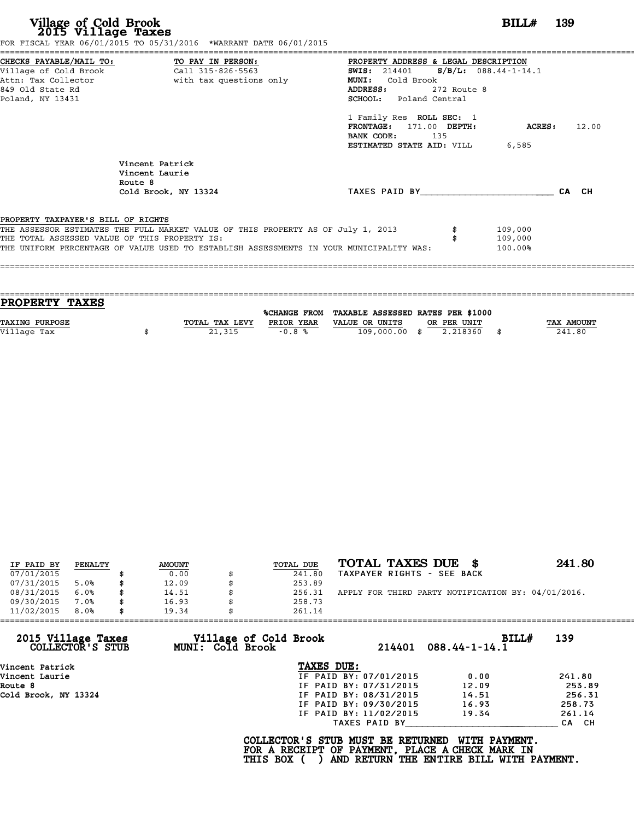|                                               | FOR FISCAL YEAR 06/01/2015 TO 05/31/2016 *WARRANT DATE 06/01/2015                       |                                                 |             |               |       |
|-----------------------------------------------|-----------------------------------------------------------------------------------------|-------------------------------------------------|-------------|---------------|-------|
|                                               | CHECKS PAYABLE/MAIL TO: TO PAY IN PERSON:                                               | PROPERTY ADDRESS & LEGAL DESCRIPTION            |             |               |       |
|                                               |                                                                                         | <b>SWIS:</b> 214401 <b>S/B/L:</b> 088.44-1-14.1 |             |               |       |
|                                               | Attn: Tax Collector                       with tax questions only                       | MUNI: Cold Brook                                |             |               |       |
| 849 Old State Rd                              |                                                                                         | <b>ADDRESS:</b>                                 | 272 Route 8 |               |       |
| Poland, NY 13431                              |                                                                                         | SCHOOL: Poland Central                          |             |               |       |
|                                               |                                                                                         | 1 Family Res ROLL SEC: 1                        |             |               |       |
|                                               |                                                                                         | FRONTAGE: 171.00 DEPTH:                         |             | <b>ACRES:</b> | 12.00 |
|                                               |                                                                                         | BANK CODE: 135                                  |             |               |       |
|                                               |                                                                                         | <b>ESTIMATED STATE AID:</b> VILL 6,585          |             |               |       |
|                                               | Vincent Patrick<br>Vincent Laurie                                                       |                                                 |             |               |       |
|                                               | Route 8                                                                                 |                                                 |             |               |       |
|                                               | Cold Brook, NY 13324                                                                    | TAXES PAID BY TAXES                             |             |               | CA CH |
|                                               |                                                                                         |                                                 |             |               |       |
| PROPERTY TAXPAYER'S BILL OF RIGHTS            |                                                                                         |                                                 |             |               |       |
|                                               | THE ASSESSOR ESTIMATES THE FULL MARKET VALUE OF THIS PROPERTY AS OF July 1, 2013        |                                                 |             | 109,000       |       |
| THE TOTAL ASSESSED VALUE OF THIS PROPERTY IS: |                                                                                         |                                                 |             | 109,000       |       |
|                                               | THE UNIFORM PERCENTAGE OF VALUE USED TO ESTABLISH ASSESSMENTS IN YOUR MUNICIPALITY WAS: |                                                 |             | 100.00%       |       |
|                                               |                                                                                         |                                                 |             |               |       |
|                                               |                                                                                         |                                                 |             |               |       |

| <b>PROPERTY TAXES</b> |                |            |                                                |             |                   |
|-----------------------|----------------|------------|------------------------------------------------|-------------|-------------------|
|                       |                |            |                                                |             |                   |
|                       |                |            | %CHANGE FROM TAXABLE ASSESSED RATES PER \$1000 |             |                   |
| <b>TAXING PURPOSE</b> | TOTAL TAX LEVY | PRIOR YEAR | VALUE OR UNITS                                 | OR PER UNIT | <b>TAX AMOUNT</b> |
|                       |                |            |                                                |             |                   |
| Village Tax           | 21,315         | $-0.8%$    | 109,000.00 \$                                  | 2.218360    | 241.80            |
|                       |                |            |                                                |             |                   |

| IF PAID BY | PENALTY | <b>AMOUNT</b> | TOTAL DUE | TOTAL TAXES DUE<br>- 86                            | 241.80 |
|------------|---------|---------------|-----------|----------------------------------------------------|--------|
| 07/01/2015 |         | 0.00          | 241.80    | TAXPAYER RIGHTS - SEE BACK                         |        |
| 07/31/2015 | 5.0%    | 12.09         | 253.89    |                                                    |        |
| 08/31/2015 | 6.0%    | \$<br>14.51   | 256.31    | APPLY FOR THIRD PARTY NOTIFICATION BY: 04/01/2016. |        |
| 09/30/2015 | 7.0%    | 16.93         | 258.73    |                                                    |        |
| 11/02/2015 | 8.0%    | 19.34         | 261.14    |                                                    |        |

| 11/02/2015                             | 8.0% | 19.34 |                         | 261.14                                          |                        |                                                                                                              |        |
|----------------------------------------|------|-------|-------------------------|-------------------------------------------------|------------------------|--------------------------------------------------------------------------------------------------------------|--------|
| 2015 Village Taxes<br>COLLECTOR'S STUB |      |       | <b>MUNI: Cold Brook</b> | Village of Cold Brook                           |                        | BILL#<br>$214401$ $088.44 - 1 - 14.1$                                                                        | 139    |
| Vincent Patrick                        |      |       |                         | TAXES DUE:                                      |                        |                                                                                                              |        |
| Vincent Laurie                         |      |       |                         |                                                 | IF PAID BY: 07/01/2015 | 0.00                                                                                                         | 241.80 |
| Route 8                                |      |       |                         |                                                 | IF PAID BY: 07/31/2015 | 12.09                                                                                                        | 253.89 |
| Cold Brook, NY 13324                   |      |       |                         |                                                 | IF PAID BY: 08/31/2015 | 14.51                                                                                                        | 256.31 |
|                                        |      |       |                         |                                                 | IF PAID BY: 09/30/2015 | 16.93                                                                                                        | 258.73 |
|                                        |      |       |                         |                                                 | IF PAID BY: 11/02/2015 | 19.34                                                                                                        | 261.14 |
|                                        |      |       |                         |                                                 | TAXES PAID BY          |                                                                                                              | CA CH  |
|                                        |      |       |                         | COLLECTOR'S STUB MUST BE RETURNED<br>THIS BOX ( |                        | WITH PAYMENT.<br>FOR A RECEIPT OF PAYMENT, PLACE A CHECK MARK IN<br>AND RETURN THE ENTIRE BILL WITH PAYMENT. |        |
|                                        |      |       |                         |                                                 |                        |                                                                                                              |        |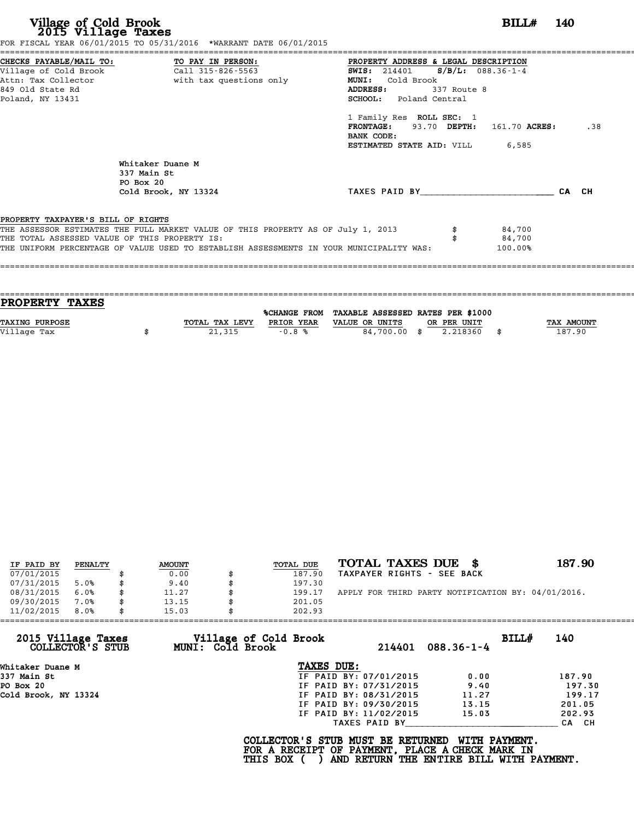|                                               | FOR FISCAL YEAR 06/01/2015 TO 05/31/2016 *WARRANT DATE 06/01/2015                       |                                              |             |            |       |     |
|-----------------------------------------------|-----------------------------------------------------------------------------------------|----------------------------------------------|-------------|------------|-------|-----|
|                                               | CHECKS PAYABLE/MAIL TO: TO PAY IN PERSON:                                               | PROPERTY ADDRESS & LEGAL DESCRIPTION         |             |            |       |     |
|                                               | Village of Cold Brook call 315-826-5563                                                 | <b>SWIS:</b> 214401 <b>S/B/L:</b> 088.36-1-4 |             |            |       |     |
|                                               | Attn: Tax Collector and with tax questions only                                         | MUNI: Cold Brook                             |             |            |       |     |
| 849 Old State Rd                              |                                                                                         | ADDRESS:                                     | 337 Route 8 |            |       |     |
| Poland, NY 13431                              |                                                                                         | <b>SCHOOL:</b> Poland Central                |             |            |       |     |
|                                               |                                                                                         | 1 Family Res ROLL SEC: 1                     |             |            |       |     |
|                                               |                                                                                         | FRONTAGE: 93.70 DEPTH: 161.70 ACRES:         |             |            |       | .38 |
|                                               |                                                                                         | BANK CODE:                                   |             |            |       |     |
|                                               |                                                                                         | <b>ESTIMATED STATE AID:</b> VILL 6,585       |             |            |       |     |
|                                               | Whitaker Duane M                                                                        |                                              |             |            |       |     |
|                                               | 337 Main St                                                                             |                                              |             |            |       |     |
|                                               | PO Box 20                                                                               |                                              |             |            |       |     |
|                                               | Cold Brook, NY 13324                                                                    | TAXES PAID BY                                |             |            | CA CH |     |
| PROPERTY TAXPAYER'S BILL OF RIGHTS            |                                                                                         |                                              |             |            |       |     |
|                                               | THE ASSESSOR ESTIMATES THE FULL MARKET VALUE OF THIS PROPERTY AS OF July 1, 2013        |                                              |             | 84,700     |       |     |
| THE TOTAL ASSESSED VALUE OF THIS PROPERTY IS: |                                                                                         |                                              |             | 84,700     |       |     |
|                                               | THE UNIFORM PERCENTAGE OF VALUE USED TO ESTABLISH ASSESSMENTS IN YOUR MUNICIPALITY WAS: |                                              |             | $100.00\%$ |       |     |
|                                               |                                                                                         |                                              |             |            |       |     |
|                                               |                                                                                         |                                              |             |            |       |     |
|                                               |                                                                                         |                                              |             |            |       |     |

| PROPERTY TAXES        |                |            |                                                |             |                   |
|-----------------------|----------------|------------|------------------------------------------------|-------------|-------------------|
|                       |                |            | %CHANGE FROM TAXABLE ASSESSED RATES PER \$1000 |             |                   |
| <b>TAXING PURPOSE</b> | TOTAL TAX LEVY | PRIOR YEAR | VALUE OR UNITS                                 | OR PER UNIT | <b>TAX AMOUNT</b> |
|                       |                |            |                                                |             |                   |
| Village Tax           | 21,315         | $-0.8%$    | 84,700.00 \$                                   | 2.218360    | 187.90            |
|                       |                |            |                                                |             |                   |

| IF PAID BY | PENALTY | <b>AMOUNT</b> | TOTAL DUE | TOTAL TAXES DUE \$                                 | 187.90 |
|------------|---------|---------------|-----------|----------------------------------------------------|--------|
| 07/01/2015 |         | 0.00          | 187.90    | TAXPAYER RIGHTS - SEE BACK                         |        |
| 07/31/2015 | 5.0%    | 9.40          | 197.30    |                                                    |        |
| 08/31/2015 | 6.0%    | 11.27         | 199.17    | APPLY FOR THIRD PARTY NOTIFICATION BY: 04/01/2016. |        |
| 09/30/2015 | 7.0%    | 13.15         | 201.05    |                                                    |        |
| 11/02/2015 | 8.0%    | 15.03         | 202.93    |                                                    |        |

|                                        | 15.03            | 202.93                          |                           |        |
|----------------------------------------|------------------|---------------------------------|---------------------------|--------|
| 2015 Village Taxes<br>COLLECTOR'S STUB | MUNI: Cold Brook | Village of Cold Brook<br>214401 | BILL#<br>$088.36 - 1 - 4$ | 140    |
| Whitaker Duane M                       |                  | TAXES DUE:                      |                           |        |
| 337 Main St                            |                  | IF PAID BY: 07/01/2015          | 0.00                      | 187.90 |
| PO Box 20                              |                  | IF PAID BY: 07/31/2015          | 9.40                      | 197.30 |
| Cold Brook, NY 13324                   |                  | IF PAID BY: 08/31/2015          | 11.27                     | 199.17 |
|                                        |                  | IF PAID BY: 09/30/2015          | 13.15                     | 201.05 |
|                                        |                  | IF PAID BY: 11/02/2015          | 15.03                     | 202.93 |
|                                        |                  | TAXES PAID BY                   |                           | CA CH  |

COLLECTOR'S STUB MUST BE RETURNED WITH PAYMENT.<br>FOR A RECEIPT OF PAYMENT, PLACE A CHECK MARK IN<br>THIS BOX ( ) AND RETURN THE ENTIRE BILL WITH PAYMENT.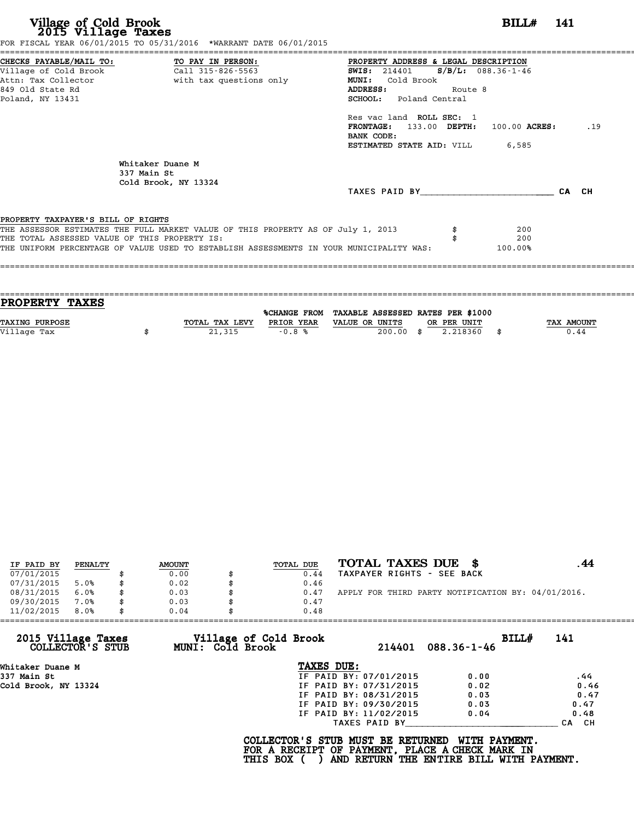**Village of Cold Brook**<br> **2015 Village Taxes**<br>
FOR FISCAL YEAR 06/31/2016 TO 05/31/2015<br> **EXECUTE:** TO 05/31/2016 \*WARRANT DATE 06/01/2015

|                                               |                                                                                  | PROPERTY ADDRESS & LEGAL DESCRIPTION                                                    |         |         |       |
|-----------------------------------------------|----------------------------------------------------------------------------------|-----------------------------------------------------------------------------------------|---------|---------|-------|
|                                               |                                                                                  | <b>SWIS:</b> 214401 <b>S/B/L:</b> 088.36-1-46                                           |         |         |       |
|                                               | Attn: Tax Collector and with tax questions only                                  | MUNI: Cold Brook                                                                        |         |         |       |
| 849 Old State Rd                              |                                                                                  | ADDRESS:                                                                                | Route 8 |         |       |
| Poland, NY 13431                              |                                                                                  | SCHOOL: Poland Central                                                                  |         |         |       |
|                                               |                                                                                  | Res vac land ROLL SEC: 1                                                                |         |         |       |
|                                               |                                                                                  | FRONTAGE: 133.00 DEPTH: 100.00 ACRES:<br>BANK CODE:                                     |         |         | .19   |
|                                               |                                                                                  | <b>ESTIMATED STATE AID:</b> VILL 6,585                                                  |         |         |       |
|                                               | Whitaker Duane M                                                                 |                                                                                         |         |         |       |
|                                               | 337 Main St                                                                      |                                                                                         |         |         |       |
|                                               | Cold Brook, NY 13324                                                             |                                                                                         |         |         |       |
|                                               |                                                                                  | TAXES PAID BY TAXES                                                                     |         |         | CA CH |
| PROPERTY TAXPAYER'S BILL OF RIGHTS            |                                                                                  |                                                                                         |         |         |       |
|                                               | THE ASSESSOR ESTIMATES THE FULL MARKET VALUE OF THIS PROPERTY AS OF July 1, 2013 |                                                                                         |         | 200     |       |
|                                               |                                                                                  |                                                                                         |         | 200     |       |
| THE TOTAL ASSESSED VALUE OF THIS PROPERTY IS: |                                                                                  | THE UNIFORM PERCENTAGE OF VALUE USED TO ESTABLISH ASSESSMENTS IN YOUR MUNICIPALITY WAS: |         | 100.00% |       |

| <b>PROPERTY TAXES</b> |                |                     |                                   |      |             |      |            |
|-----------------------|----------------|---------------------|-----------------------------------|------|-------------|------|------------|
|                       |                | <b>%CHANGE FROM</b> | TAXABLE ASSESSED RATES PER \$1000 |      |             |      |            |
| <b>TAXING PURPOSE</b> | TOTAL TAX LEVY | PRIOR YEAR          | VALUE OR UNITS                    |      | OR PER UNIT |      | TAX AMOUNT |
| Village Tax           | 21,315         | $-0.8%$             | 200.00                            | - \$ | 2.218360    | - \$ | 0.44       |
|                       |                |                     |                                   |      |             |      |            |

| IF PAID BY | PENALTY | <b>AMOUNT</b> | TOTAL DUE | TOTAL TAXES DUE \$                                 |  |
|------------|---------|---------------|-----------|----------------------------------------------------|--|
| 07/01/2015 |         | 0.00          | 0.44      | TAXPAYER RIGHTS - SEE BACK                         |  |
| 07/31/2015 | 5.0%    | 0.02          | 0.46      |                                                    |  |
| 08/31/2015 | 6.0%    | 0.03          | 0.47      | APPLY FOR THIRD PARTY NOTIFICATION BY: 04/01/2016. |  |
| 09/30/2015 | 7.0%    | 0.03          | 0.47      |                                                    |  |
| 11/02/2015 | 8.0%    | 0.04          | 0.48      |                                                    |  |

|                                        | 0.04<br>0.48                              |                        |                            |           |
|----------------------------------------|-------------------------------------------|------------------------|----------------------------|-----------|
| 2015 Village Taxes<br>COLLECTOR'S STUB | Village of Cold Brook<br>MUNI: Cold Brook | 214401                 | BILL#<br>$088.36 - 1 - 46$ | 141       |
| Whitaker Duane M                       | TAXES DUE:                                |                        |                            |           |
| 337 Main St                            |                                           | IF PAID BY: 07/01/2015 | 0.00                       | .44       |
| Cold Brook, NY 13324                   |                                           | IF PAID BY: 07/31/2015 | 0.02                       | 0.46      |
|                                        |                                           | IF PAID BY: 08/31/2015 | 0.03                       | 0.47      |
|                                        |                                           | IF PAID BY: 09/30/2015 | 0.03                       | 0.47      |
|                                        |                                           | IF PAID BY: 11/02/2015 | 0.04                       | 0.48      |
|                                        |                                           | TAXES PAID BY          |                            | CH.<br>CA |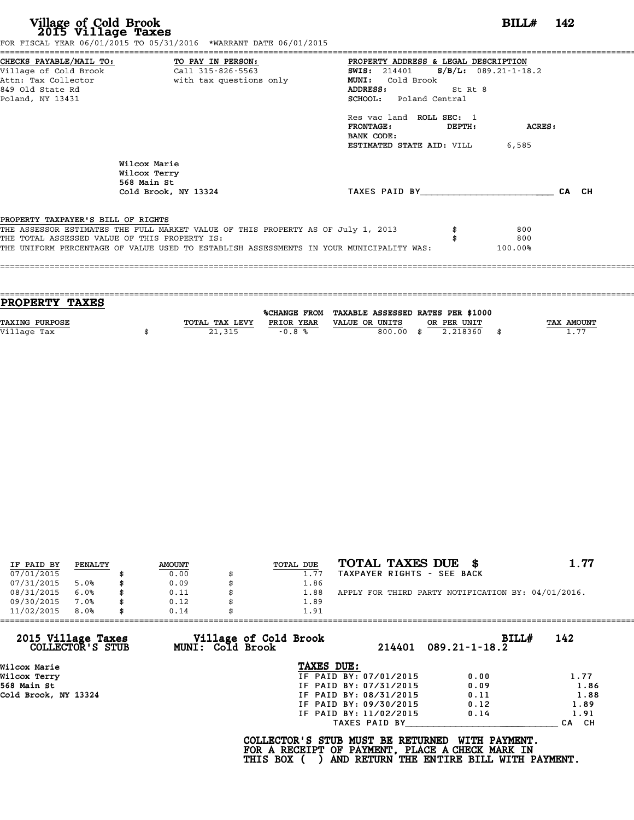| Village of Cold Brook<br>2015 Village Taxes<br>FOR FISCAL YEAR 06/01/2015 TO 05/31/2016 *WARRANT DATE 06/01/2015                                                                                                                                                   | BILL#<br>- 142                                                                                                                                                                                                                                                                                  |       |
|--------------------------------------------------------------------------------------------------------------------------------------------------------------------------------------------------------------------------------------------------------------------|-------------------------------------------------------------------------------------------------------------------------------------------------------------------------------------------------------------------------------------------------------------------------------------------------|-------|
| CHECKS PAYABLE/MAIL TO: TO PAY IN PERSON:<br>Village of Cold Brook Call 315-826-5563<br>with tax questions only<br>Attn: Tax Collector<br>849 Old State Rd<br>Poland, NY 13431                                                                                     | PROPERTY ADDRESS & LEGAL DESCRIPTION<br><b>SWIS:</b> 214401 <b>S/B/L:</b> 089.21-1-18.2<br>MUNI: Cold Brook<br>ADDRESS:<br>St Rt 8<br><b>SCHOOL:</b> Poland Central<br>Res vac land ROLL SEC: 1<br><b>FRONTAGE:</b><br>ACRES:<br>DEPTH:<br>BANK CODE:<br><b>ESTIMATED STATE AID:</b> VILL 6,585 |       |
| Wilcox Marie<br>Wilcox Terry<br>568 Main St<br>Cold Brook, NY 13324                                                                                                                                                                                                | TAXES PAID BY AND AND TAXES PAID BY                                                                                                                                                                                                                                                             | CA CH |
| PROPERTY TAXPAYER'S BILL OF RIGHTS<br>THE ASSESSOR ESTIMATES THE FULL MARKET VALUE OF THIS PROPERTY AS OF July 1, 2013<br>THE TOTAL ASSESSED VALUE OF THIS PROPERTY IS:<br>THE UNIFORM PERCENTAGE OF VALUE USED TO ESTABLISH ASSESSMENTS IN YOUR MUNICIPALITY WAS: | 800<br>800<br>100.00%                                                                                                                                                                                                                                                                           |       |

| <b>PROPERTY TAXES</b> |                |            |                                                |                 |                   |
|-----------------------|----------------|------------|------------------------------------------------|-----------------|-------------------|
|                       |                |            | %CHANGE FROM TAXABLE ASSESSED RATES PER \$1000 |                 |                   |
| <b>TAXING PURPOSE</b> | TOTAL TAX LEVY | PRIOR YEAR | VALUE OR UNITS                                 | OR PER UNIT     | <b>TAX AMOUNT</b> |
| Village Tax           | 21,315         | $-0.8%$    | 800.00                                         | 2.218360<br>-83 | 1.77              |
|                       |                |            |                                                |                 |                   |

| IF PAID BY | PENALTY | <b>AMOUNT</b> | TOTAL DUE | TOTAL TAXES DUE \$                                 | 1.77 |
|------------|---------|---------------|-----------|----------------------------------------------------|------|
| 07/01/2015 |         | 0.00          | 1.77      | TAXPAYER RIGHTS - SEE BACK                         |      |
| 07/31/2015 | 5.0%    | 0.09          | 1.86      |                                                    |      |
| 08/31/2015 | 6.0%    | 0.11          | 1.88      | APPLY FOR THIRD PARTY NOTIFICATION BY: 04/01/2016. |      |
| 09/30/2015 | 7.0%    | 0.12          | 1.89      |                                                    |      |
| 11/02/2015 | 8.0%    | 0.14          | 1.91      |                                                    |      |

| 11/02/2015<br>8.0%                     | 0.14<br>1.91                                     |                        |                                        |                  |
|----------------------------------------|--------------------------------------------------|------------------------|----------------------------------------|------------------|
| 2015 Village Taxes<br>COLLECTOR'S STUB | Village of Cold Brook<br><b>MUNI: Cold Brook</b> |                        | <b>BILL#</b><br>$214401$ 089.21-1-18.2 | 142              |
| Wilcox Marie                           | TAXES DUE:                                       |                        |                                        |                  |
| Wilcox Terry                           |                                                  | IF PAID BY: 07/01/2015 | 0.00                                   | 1.77             |
| 568 Main St                            |                                                  | IF PAID BY: 07/31/2015 | 0.09                                   | 1.86             |
| Cold Brook, NY 13324                   |                                                  | IF PAID BY: 08/31/2015 | 0.11                                   | 1.88             |
|                                        |                                                  | IF PAID BY: 09/30/2015 | 0.12                                   | 1.89             |
|                                        |                                                  | IF PAID BY: 11/02/2015 | 0.14                                   | 1.91             |
|                                        |                                                  | TAXES PAID BY          |                                        | CH.<br><b>CA</b> |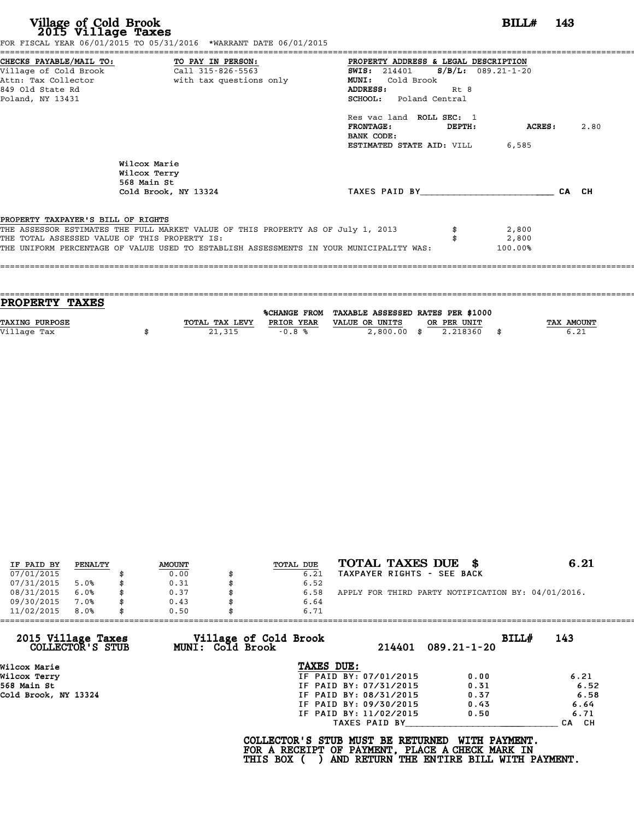| Village of Cold Brook<br>2015 Village Taxes                                                                                       | FOR FISCAL YEAR 06/01/2015 TO 05/31/2016 *WARRANT DATE 06/01/2015                                                                                                           |                                                                                                                                                                                                                                       | $BILLH$ 143   |       |      |
|-----------------------------------------------------------------------------------------------------------------------------------|-----------------------------------------------------------------------------------------------------------------------------------------------------------------------------|---------------------------------------------------------------------------------------------------------------------------------------------------------------------------------------------------------------------------------------|---------------|-------|------|
| CHECKS PAYABLE/MAIL TO: TO PAY IN PERSON:<br>Village of Cold Brook<br>Attn: Tax Collector<br>849 Old State Rd<br>Poland, NY 13431 | Call 315-826-5563<br>with tax questions only                                                                                                                                | PROPERTY ADDRESS & LEGAL DESCRIPTION<br>$S/B/L$ : 089.21-1-20<br><b>SWIS:</b> 214401<br>MUNI: Cold Brook<br>ADDRESS:<br>Rt 8<br><b>SCHOOL:</b> Poland Central<br>Res vac land ROLL SEC: 1<br><b>FRONTAGE:</b><br>DEPTH:<br>BANK CODE: | <b>ACRES:</b> |       | 2.80 |
|                                                                                                                                   | Wilcox Marie<br>Wilcox Terry<br>568 Main St<br>Cold Brook, NY 13324                                                                                                         | <b>ESTIMATED STATE AID:</b> VILL 6,585<br>TAXES PAID BY                                                                                                                                                                               |               | CA CH |      |
| PROPERTY TAXPAYER'S BILL OF RIGHTS<br>THE TOTAL ASSESSED VALUE OF THIS PROPERTY IS:                                               | THE ASSESSOR ESTIMATES THE FULL MARKET VALUE OF THIS PROPERTY AS OF July 1, 2013<br>THE UNIFORM PERCENTAGE OF VALUE USED TO ESTABLISH ASSESSMENTS IN YOUR MUNICIPALITY WAS: | 2,800<br>2,800<br>100.00%                                                                                                                                                                                                             |               |       |      |

| <b>PROPERTY TAXES</b> |                |            |                                                |             |                   |
|-----------------------|----------------|------------|------------------------------------------------|-------------|-------------------|
|                       |                |            | %CHANGE FROM TAXABLE ASSESSED RATES PER \$1000 |             |                   |
| <b>TAXING PURPOSE</b> | TOTAL TAX LEVY | PRIOR YEAR | VALUE OR UNITS                                 | OR PER UNIT | <b>TAX AMOUNT</b> |
| Village Tax           | 21,315         | $-0.8%$    | $2,800.00$ \$                                  | 2.218360    | 6.21              |
|                       |                |            |                                                |             |                   |

|            | PENALTY | <b>AMOUNT</b> | TOTAL DUE | TOTAL TAXES DUE \$                                 | 6.21 |
|------------|---------|---------------|-----------|----------------------------------------------------|------|
| IF PAID BY |         |               |           |                                                    |      |
| 07/01/2015 |         | 0.00          | 6.21      | TAXPAYER RIGHTS - SEE BACK                         |      |
| 07/31/2015 | 5.0%    | 0.31          | 6.52      |                                                    |      |
| 08/31/2015 | 6.0%    | \$<br>0.37    | 6.58      | APPLY FOR THIRD PARTY NOTIFICATION BY: 04/01/2016. |      |
| 09/30/2015 | 7.0%    | \$<br>0.43    | 6.64      |                                                    |      |
| 11/02/2015 | 8.0%    | \$<br>0.50    | 6.71      |                                                    |      |
|            |         |               |           |                                                    |      |

| 2015 Village Taxes<br>COLLECTOR'S STUB | Village of Cold Brook<br>MUNI: Cold Brook | 214401                 | BILL#<br>$089.21 - 1 - 20$ | 143   |
|----------------------------------------|-------------------------------------------|------------------------|----------------------------|-------|
| Wilcox Marie                           | TAXES DUE:                                |                        |                            |       |
| Wilcox Terry                           |                                           | IF PAID BY: 07/01/2015 | 0.00                       | 6.21  |
| 568 Main St                            |                                           | IF PAID BY: 07/31/2015 | 0.31                       | 6.52  |
| Cold Brook, NY 13324                   |                                           | IF PAID BY: 08/31/2015 | 0.37                       | 6.58  |
|                                        |                                           | IF PAID BY: 09/30/2015 | 0.43                       | 6.64  |
|                                        |                                           | IF PAID BY: 11/02/2015 | 0.50                       | 6.71  |
|                                        |                                           | TAXES PAID BY          |                            | CA CH |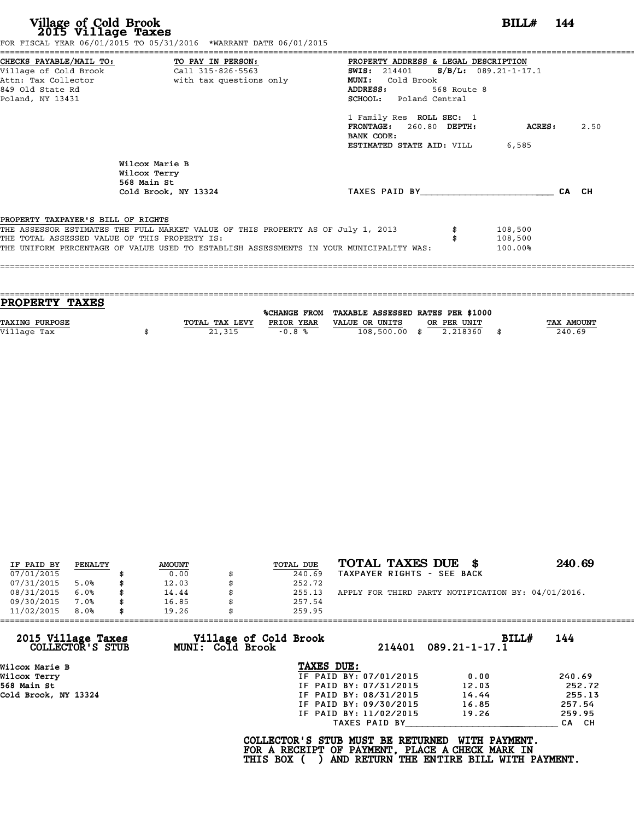**Village of Cold Brook**<br> **2015 Village Taxes**<br>
FOR FISCAL YEAR 06/31/2016 TO 05/31/2015<br> **EXECUTE:** TO 05/31/2016 \*WARRANT DATE 06/01/2015

|                                               | CHECKS PAYABLE/MAIL TO: TO PAY IN PERSON:                                        | PROPERTY ADDRESS & LEGAL DESCRIPTION            |             |                    |      |
|-----------------------------------------------|----------------------------------------------------------------------------------|-------------------------------------------------|-------------|--------------------|------|
|                                               |                                                                                  | <b>SWIS:</b> 214401 <b>S/B/L:</b> 089.21-1-17.1 |             |                    |      |
|                                               | Attn: Tax Collector and the with tax questions only                              | MUNI: Cold Brook                                |             |                    |      |
| 849 Old State Rd                              |                                                                                  | <b>ADDRESS:</b>                                 | 568 Route 8 |                    |      |
| Poland, NY 13431                              |                                                                                  | SCHOOL: Poland Central                          |             |                    |      |
|                                               |                                                                                  | 1 Family Res ROLL SEC: 1                        |             |                    |      |
|                                               |                                                                                  | FRONTAGE: 260.80 DEPTH:                         |             | ACRES:             | 2.50 |
|                                               |                                                                                  | BANK CODE:                                      |             |                    |      |
|                                               |                                                                                  | <b>ESTIMATED STATE AID:</b> VILL 6,585          |             |                    |      |
|                                               | Wilcox Marie B<br>Wilcox Terry                                                   |                                                 |             |                    |      |
|                                               | 568 Main St                                                                      |                                                 |             |                    |      |
|                                               | Cold Brook, NY 13324                                                             | TAXES PAID BY CA CH                             |             |                    |      |
|                                               |                                                                                  |                                                 |             |                    |      |
| PROPERTY TAXPAYER'S BILL OF RIGHTS            |                                                                                  |                                                 |             |                    |      |
| THE TOTAL ASSESSED VALUE OF THIS PROPERTY IS: | THE ASSESSOR ESTIMATES THE FULL MARKET VALUE OF THIS PROPERTY AS OF July 1, 2013 |                                                 |             | 108,500<br>108,500 |      |

| <b>PROPERTY TAXES</b> |                |            |                                                |             |            |
|-----------------------|----------------|------------|------------------------------------------------|-------------|------------|
|                       |                |            |                                                |             |            |
|                       |                |            | %CHANGE FROM TAXABLE ASSESSED RATES PER \$1000 |             |            |
| <b>TAXING PURPOSE</b> | TOTAL TAX LEVY | PRIOR YEAR | VALUE OR UNITS                                 | OR PER UNIT | TAX AMOUNT |
| Village Tax           | 21,315         | $-0.8%$    | $108,500.00$ \$                                | 2.218360    | 240.69     |
|                       |                |            |                                                |             |            |
|                       |                |            |                                                |             |            |

| IF PAID BY | PENALTY | <b>AMOUNT</b> | TOTAL DUE | TOTAL TAXES DUE \$                                 | 240.69 |
|------------|---------|---------------|-----------|----------------------------------------------------|--------|
| 07/01/2015 |         | 0.00          | 240.69    | TAXPAYER RIGHTS - SEE BACK                         |        |
| 07/31/2015 | 5.0%    | \$<br>12.03   | 252.72    |                                                    |        |
| 08/31/2015 | 6.0%    | \$<br>14.44   | 255.13    | APPLY FOR THIRD PARTY NOTIFICATION BY: 04/01/2016. |        |
| 09/30/2015 | 7.0%    | \$<br>16.85   | 257.54    |                                                    |        |
| 11/02/2015 | 8.0%    | \$<br>19.26   | 259.95    |                                                    |        |

| 11/02/2015                             | 8.0% | 19.26 |                                                  | 259.95                                          |                        |                                                                                                              |        |
|----------------------------------------|------|-------|--------------------------------------------------|-------------------------------------------------|------------------------|--------------------------------------------------------------------------------------------------------------|--------|
| 2015 Village Taxes<br>COLLECTOR'S STUB |      |       | Village of Cold Brook<br><b>MUNI: Cold Brook</b> |                                                 |                        | BILL#<br>$214401$ 089.21-1-17.1                                                                              | 144    |
| Wilcox Marie B                         |      |       |                                                  | TAXES DUE:                                      |                        |                                                                                                              |        |
| Wilcox Terry                           |      |       |                                                  |                                                 | IF PAID BY: 07/01/2015 | 0.00                                                                                                         | 240.69 |
| 568 Main St                            |      |       |                                                  |                                                 | IF PAID BY: 07/31/2015 | 12.03                                                                                                        | 252.72 |
| Cold Brook, NY 13324                   |      |       |                                                  |                                                 | IF PAID BY: 08/31/2015 | 14.44                                                                                                        | 255.13 |
|                                        |      |       |                                                  |                                                 | IF PAID BY: 09/30/2015 | 16.85                                                                                                        | 257.54 |
|                                        |      |       |                                                  |                                                 | IF PAID BY: 11/02/2015 | 19.26                                                                                                        | 259.95 |
|                                        |      |       |                                                  |                                                 | TAXES PAID BY          |                                                                                                              | CA CH  |
|                                        |      |       |                                                  | COLLECTOR'S STUB MUST BE RETURNED<br>THIS BOX ( |                        | WITH PAYMENT.<br>FOR A RECEIPT OF PAYMENT, PLACE A CHECK MARK IN<br>AND RETURN THE ENTIRE BILL WITH PAYMENT. |        |
|                                        |      |       |                                                  |                                                 |                        |                                                                                                              |        |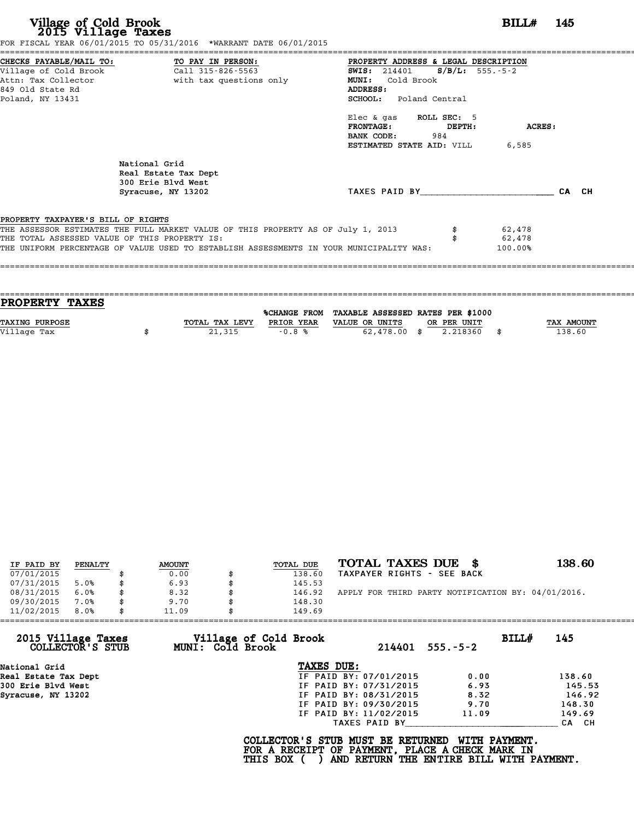|                                               |                                                                                  | PROPERTY ADDRESS & LEGAL DESCRIPTION                                         |                  |       |
|-----------------------------------------------|----------------------------------------------------------------------------------|------------------------------------------------------------------------------|------------------|-------|
|                                               |                                                                                  | SWIS: $214401$ S/B/L: 555.-5-2                                               |                  |       |
|                                               | Attn: Tax Collector The With tax questions only                                  | MUNI: Cold Brook                                                             |                  |       |
| 849 Old State Rd                              |                                                                                  | ADDRESS:                                                                     |                  |       |
| Poland, NY 13431                              |                                                                                  | <b>SCHOOL:</b> Poland Central                                                |                  |       |
|                                               |                                                                                  | Elec & gas ROLL SEC: 5<br>$\tt FRONTAGE:$<br>DEPTH:<br><b>BANK CODE:</b> 984 | ACRES:           |       |
|                                               |                                                                                  | <b>ESTIMATED STATE AID:</b> VILL 6,585                                       |                  |       |
|                                               | National Grid<br>Real Estate Tax Dept<br>300 Erie Blvd West                      |                                                                              |                  |       |
|                                               |                                                                                  | TAXES PAID BY                                                                |                  | CA CH |
|                                               | Syracuse, NY 13202                                                               |                                                                              |                  |       |
|                                               |                                                                                  |                                                                              |                  |       |
| PROPERTY TAXPAYER'S BILL OF RIGHTS            |                                                                                  |                                                                              |                  |       |
| THE TOTAL ASSESSED VALUE OF THIS PROPERTY IS: | THE ASSESSOR ESTIMATES THE FULL MARKET VALUE OF THIS PROPERTY AS OF July 1, 2013 |                                                                              | 62,478<br>62,478 |       |

| <b>PROPERTY TAXES</b> |                |            |                                                |             |            |
|-----------------------|----------------|------------|------------------------------------------------|-------------|------------|
|                       |                |            |                                                |             |            |
|                       |                |            | %CHANGE FROM TAXABLE ASSESSED RATES PER \$1000 |             |            |
| <b>TAXING PURPOSE</b> | TOTAL TAX LEVY | PRIOR YEAR | VALUE OR UNITS                                 | OR PER UNIT | TAX AMOUNT |
| Village Tax           | 21,315         | $-0.8%$    | $62,478.00$ \$                                 | 2.218360    | 138.60     |
|                       |                |            |                                                |             |            |
|                       |                |            |                                                |             |            |

| IF PAID BY | PENALTY | <b>AMOUNT</b> |   | TOTAL DUE | TOTAL TAXES DUE \$                                 | 138.60 |
|------------|---------|---------------|---|-----------|----------------------------------------------------|--------|
| 07/01/2015 |         | 0.00          |   | 138.60    | TAXPAYER RIGHTS - SEE BACK                         |        |
| 07/31/2015 | 5.0%    | \$<br>6.93    |   | 145.53    |                                                    |        |
| 08/31/2015 | 6.0%    | \$<br>8.32    | S | 146.92    | APPLY FOR THIRD PARTY NOTIFICATION BY: 04/01/2016. |        |
| 09/30/2015 | 7.0%    | \$<br>9.70    |   | 148.30    |                                                    |        |
| 11/02/2015 | 8.0%    | \$<br>11.09   |   | 149.69    |                                                    |        |

|                                        | 11.09            | 149.69                          |                         |        |
|----------------------------------------|------------------|---------------------------------|-------------------------|--------|
| 2015 Village Taxes<br>COLLECTOR'S STUB | MUNI: Cold Brook | Village of Cold Brook<br>214401 | BILL#<br>$555. - 5 - 2$ | 145    |
| National Grid                          |                  | TAXES DUE:                      |                         |        |
| Real Estate Tax Dept                   |                  | IF PAID BY: 07/01/2015          | 0.00                    | 138.60 |
| 300 Erie Blvd West                     |                  | IF PAID BY: 07/31/2015          | 6.93                    | 145.53 |
| Syracuse, NY 13202                     |                  | IF PAID BY: 08/31/2015          | 8.32                    | 146.92 |
|                                        |                  | IF PAID BY: 09/30/2015          | 9.70                    | 148.30 |
|                                        |                  | IF PAID BY: 11/02/2015          | 11.09                   | 149.69 |
|                                        |                  | TAXES PAID BY                   |                         | CA CH  |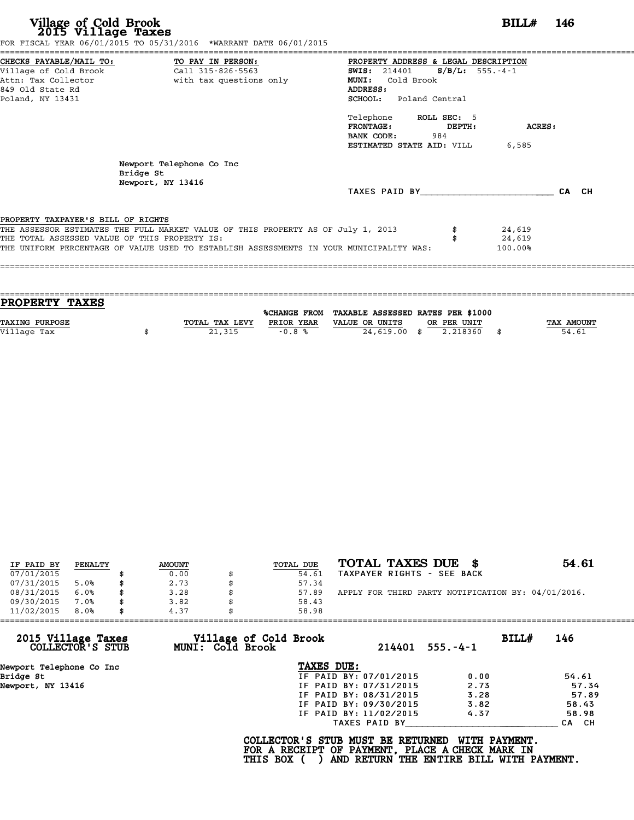| Village of Cold Brook<br>2015 Village Taxes<br>FOR FISCAL YEAR 06/01/2015 TO 05/31/2016 *WARRANT DATE 06/01/2015                                                                                                                                                   | BILL#                                                                                                                                                                                                                                                                                   | - 146 |
|--------------------------------------------------------------------------------------------------------------------------------------------------------------------------------------------------------------------------------------------------------------------|-----------------------------------------------------------------------------------------------------------------------------------------------------------------------------------------------------------------------------------------------------------------------------------------|-------|
| CHECKS PAYABLE/MAIL TO: TO PAY IN PERSON:<br>Village of Cold Brook<br>Call 315-826-5563<br>with tax questions only<br>Attn: Tax Collector<br>849 Old State Rd<br>Poland, NY 13431                                                                                  | PROPERTY ADDRESS & LEGAL DESCRIPTION<br>$S/B/L$ : 555.-4-1<br><b>SWIS:</b> 214401<br><b>MUNI:</b><br>Cold Brook<br>ADDRESS:<br><b>SCHOOL:</b> Poland Central<br>Telephone ROLL SEC: 5<br>$\tt FRONTAGE:$<br>DEPTH:<br>ACRES:<br>BANK CODE:<br>984<br>ESTIMATED STATE AID: VILL<br>6,585 |       |
| Newport Telephone Co Inc<br>Bridge St<br>Newport, NY 13416                                                                                                                                                                                                         | TAXES PAID BY TAXES                                                                                                                                                                                                                                                                     | CA CH |
| PROPERTY TAXPAYER'S BILL OF RIGHTS<br>THE ASSESSOR ESTIMATES THE FULL MARKET VALUE OF THIS PROPERTY AS OF July 1, 2013<br>THE TOTAL ASSESSED VALUE OF THIS PROPERTY IS:<br>THE UNIFORM PERCENTAGE OF VALUE USED TO ESTABLISH ASSESSMENTS IN YOUR MUNICIPALITY WAS: | 24,619<br>24,619<br>100.00%                                                                                                                                                                                                                                                             |       |

| PROPERTY TAXES        |                |            |                                                |             |                   |
|-----------------------|----------------|------------|------------------------------------------------|-------------|-------------------|
|                       |                |            | %CHANGE FROM TAXABLE ASSESSED RATES PER \$1000 |             |                   |
| <b>TAXING PURPOSE</b> | TOTAL TAX LEVY | PRIOR YEAR | VALUE OR UNITS                                 | OR PER UNIT | <b>TAX AMOUNT</b> |
| Village Tax           | 21,315         | $-0.8%$    | $24,619.00$ \$                                 | 2.218360    | 54.61             |
|                       |                |            |                                                |             |                   |

====================================================================================================================================

| IF PAID BY | PENALTY | <b>AMOUNT</b> |    | TOTAL DUE | TOTAL TAXES DUE \$                                 | 54.61 |
|------------|---------|---------------|----|-----------|----------------------------------------------------|-------|
| 07/01/2015 |         | 0.00          |    | 54.61     | TAXPAYER RIGHTS - SEE BACK                         |       |
| 07/31/2015 | 5.0%    | \$<br>2.73    |    | 57.34     |                                                    |       |
| 08/31/2015 | 6.0%    | \$<br>3.28    | Я. | 57.89     | APPLY FOR THIRD PARTY NOTIFICATION BY: 04/01/2016. |       |
| 09/30/2015 | 7.0%    | 3.82          |    | 58.43     |                                                    |       |
| 11/02/2015 | 8.0%    | \$<br>4.37    |    | 58.98     |                                                    |       |

| 11/02/2015<br>8.0%                     | 4.37                                      | 58.98                  |                         |       |
|----------------------------------------|-------------------------------------------|------------------------|-------------------------|-------|
| 2015 Village Taxes<br>COLLECTOR'S STUB | Village of Cold Brook<br>MUNI: Cold Brook | 214401                 | BILL#<br>$555. - 4 - 1$ | 146   |
| Newport Telephone Co Inc               |                                           | TAXES DUE:             |                         |       |
| Bridge St                              |                                           | IF PAID BY: 07/01/2015 | 0.00                    | 54.61 |
| Newport, NY 13416                      |                                           | IF PAID BY: 07/31/2015 | 2.73                    | 57.34 |
|                                        |                                           | IF PAID BY: 08/31/2015 | 3.28                    | 57.89 |
|                                        |                                           | IF PAID BY: 09/30/2015 | 3.82                    | 58.43 |
|                                        |                                           | IF PAID BY: 11/02/2015 | 4.37                    | 58.98 |
|                                        |                                           | TAXES PAID BY          |                         | CA CH |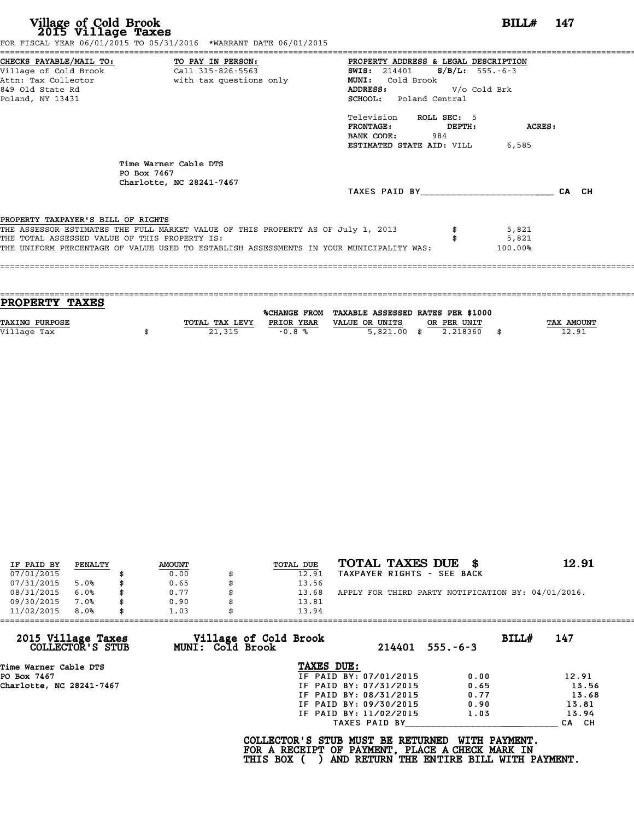|                                               | FOR FISCAL YEAR 06/01/2015 TO 05/31/2016 *WARRANT DATE 06/01/2015                       |                                            |
|-----------------------------------------------|-----------------------------------------------------------------------------------------|--------------------------------------------|
|                                               | CHECKS PAYABLE/MAIL TO: TO PAY IN PERSON: PROPERTY ADDRESS & LEGAL DESCRIPTION          |                                            |
|                                               |                                                                                         | <b>SWIS:</b> 214401 <b>S/B/L:</b> 555.-6-3 |
|                                               | Attn: Tax Collector and the with tax questions only                                     | Cold Brook<br><b>MUNI:</b>                 |
| 849 Old State Rd                              |                                                                                         | V/o Cold Brk<br><b>ADDRESS:</b>            |
| Poland, NY 13431                              |                                                                                         | <b>SCHOOL:</b> Poland Central              |
|                                               |                                                                                         | Television ROLL SEC: 5                     |
|                                               |                                                                                         | $FRONTAGE:$ $DEPTH:$<br>ACRES:             |
|                                               |                                                                                         | 984<br>BANK CODE:                          |
|                                               |                                                                                         | <b>ESTIMATED STATE AID:</b> VILL 6,585     |
|                                               | Time Warner Cable DTS<br>PO Box 7467<br>Charlotte, NC 28241-7467                        |                                            |
|                                               |                                                                                         | TAXES PAID BY<br>CA CH                     |
| PROPERTY TAXPAYER'S BILL OF RIGHTS            |                                                                                         |                                            |
|                                               | THE ASSESSOR ESTIMATES THE FULL MARKET VALUE OF THIS PROPERTY AS OF July 1, 2013        | 5,821                                      |
| THE TOTAL ASSESSED VALUE OF THIS PROPERTY IS: |                                                                                         | 5,821                                      |
|                                               | THE UNIFORM PERCENTAGE OF VALUE USED TO ESTABLISH ASSESSMENTS IN YOUR MUNICIPALITY WAS: | 100.00%                                    |
|                                               |                                                                                         |                                            |
|                                               |                                                                                         |                                            |

| <b>PROPERTY TAXES</b> |                |            |                                                |            |
|-----------------------|----------------|------------|------------------------------------------------|------------|
|                       |                |            |                                                |            |
|                       |                |            | %CHANGE FROM TAXABLE ASSESSED RATES PER \$1000 |            |
| <b>TAXING PURPOSE</b> | TOTAL TAX LEVY | PRIOR YEAR | VALUE OR UNITS<br>OR PER UNIT                  | TAX AMOUNT |
| Village Tax           | 21,315         | $-0.8%$    | $5,821.00$ \$<br>2.218360                      | 12.91      |
|                       |                |            |                                                |            |

| IF PAID BY | PENALTY | <b>AMOUNT</b> | TOTAL DUE | TOTAL TAXES DUE \$                                 | 12.91 |
|------------|---------|---------------|-----------|----------------------------------------------------|-------|
| 07/01/2015 |         | 0.00          | 12.91     | TAXPAYER RIGHTS - SEE BACK                         |       |
| 07/31/2015 | 5.0%    | \$<br>0.65    | 13.56     |                                                    |       |
| 08/31/2015 | 6.0%    | \$<br>0.77    | 13.68     | APPLY FOR THIRD PARTY NOTIFICATION BY: 04/01/2016. |       |
| 09/30/2015 | 7.0%    | \$<br>0.90    | 13.81     |                                                    |       |
| 11/02/2015 | 8.0%    | \$<br>1.03    | 13.94     |                                                    |       |

| 11/02/2015<br>8.0%                     | 1.03             | 13.94                           |                         |       |
|----------------------------------------|------------------|---------------------------------|-------------------------|-------|
| 2015 Village Taxes<br>COLLECTOR'S STUB | MUNI: Cold Brook | Village of Cold Brook<br>214401 | BILL#<br>$555. - 6 - 3$ | 147   |
| Time Warner Cable DTS                  |                  | TAXES DUE:                      |                         |       |
| PO Box 7467                            |                  | IF PAID BY: 07/01/2015          | 0.00                    | 12.91 |
| Charlotte, NC 28241-7467               |                  | IF PAID BY: 07/31/2015          | 0.65                    | 13.56 |
|                                        |                  | IF PAID BY: 08/31/2015          | 0.77                    | 13.68 |
|                                        |                  | IF PAID BY: 09/30/2015          | 0.90                    | 13.81 |
|                                        |                  | IF PAID BY: 11/02/2015          | 1.03                    | 13.94 |
|                                        |                  | TAXES PAID BY                   |                         | CA CH |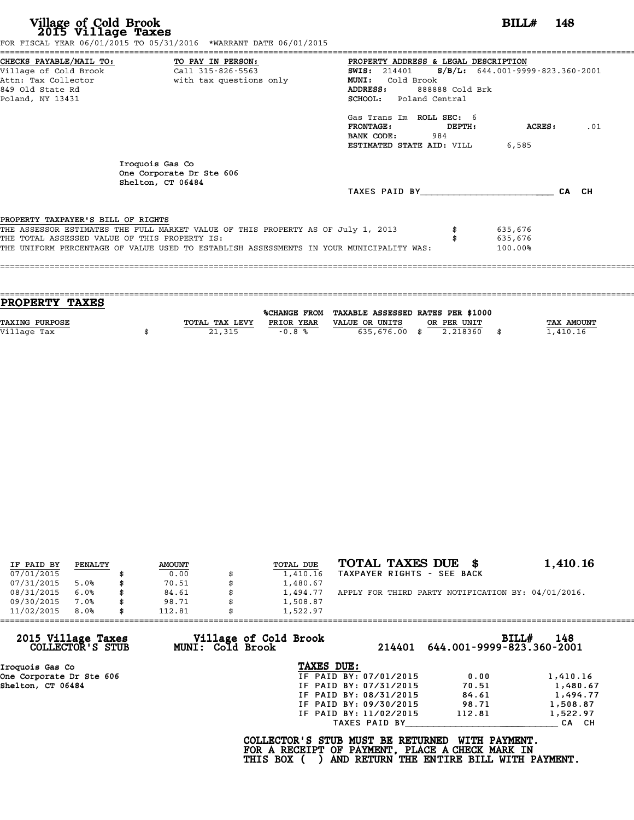|                                                                                     | FOR FISCAL YEAR 06/01/2015 TO 05/31/2016 *WARRANT DATE 06/01/2015                |                                                                                                     |       |
|-------------------------------------------------------------------------------------|----------------------------------------------------------------------------------|-----------------------------------------------------------------------------------------------------|-------|
| CHECKS PAYABLE/MAIL TO:<br>Village of Cold Brook                                    | TO PAY IN PERSON:<br>Call 315-826-5563                                           | PROPERTY ADDRESS & LEGAL DESCRIPTION<br><b>SWIS:</b> 214401 <b>S/B/L:</b> 644.001-9999-823.360-2001 |       |
| Attn: Tax Collector                                                                 | with tax questions only                                                          | <b>MUNI:</b><br>Cold Brook                                                                          |       |
| 849 Old State Rd                                                                    |                                                                                  | ADDRESS:<br>888888 Cold Brk                                                                         |       |
| Poland, NY 13431                                                                    |                                                                                  | <b>SCHOOL:</b> Poland Central                                                                       |       |
|                                                                                     |                                                                                  | Gas Trans Im ROLL SEC: 6                                                                            |       |
|                                                                                     |                                                                                  | <b>FRONTAGE:</b><br>ACRES :<br>DEPTH:                                                               | .01   |
|                                                                                     |                                                                                  | BANK CODE: 984                                                                                      |       |
|                                                                                     |                                                                                  | 6,585<br>ESTIMATED STATE AID: VILL                                                                  |       |
|                                                                                     | Iroquois Gas Co<br>One Corporate Dr Ste 606<br>Shelton, CT 06484                 |                                                                                                     |       |
|                                                                                     |                                                                                  |                                                                                                     |       |
|                                                                                     |                                                                                  | TAXES PAID BY                                                                                       | CA CH |
|                                                                                     |                                                                                  |                                                                                                     |       |
|                                                                                     |                                                                                  |                                                                                                     |       |
| PROPERTY TAXPAYER'S BILL OF RIGHTS<br>THE TOTAL ASSESSED VALUE OF THIS PROPERTY IS: | THE ASSESSOR ESTIMATES THE FULL MARKET VALUE OF THIS PROPERTY AS OF July 1, 2013 | 635,676<br>635,676                                                                                  |       |

| PROPERTY TAXES        |                |            |                                                |             |                   |
|-----------------------|----------------|------------|------------------------------------------------|-------------|-------------------|
|                       |                |            | %CHANGE FROM TAXABLE ASSESSED RATES PER \$1000 |             |                   |
| <b>TAXING PURPOSE</b> | TOTAL TAX LEVY | PRIOR YEAR | VALUE OR UNITS                                 | OR PER UNIT | <b>TAX AMOUNT</b> |
| Village Tax           | 21,315         | $-0.8%$    | 635,676.00 \$                                  | 2.218360    | 1,410.16          |
|                       |                |            |                                                |             |                   |

| IF PAID BY | PENALTY | <b>AMOUNT</b> | TOTAL DUE      | TOTAL TAXES DUE                                    | 1,410.16 |
|------------|---------|---------------|----------------|----------------------------------------------------|----------|
| 07/01/2015 |         | 0.00          | 1,410.16       | TAXPAYER RIGHTS - SEE BACK                         |          |
| 07/31/2015 | 5.0%    | \$<br>70.51   | 1,480.67       |                                                    |          |
| 08/31/2015 | 6.0%    | \$<br>84.61   | 1,494.77       | APPLY FOR THIRD PARTY NOTIFICATION BY: 04/01/2016. |          |
| 09/30/2015 | 7.0%    | \$<br>98.71   | \$<br>1,508.87 |                                                    |          |
| 11/02/2015 | 8.0%    | \$<br>112.81  | 1,522.97       |                                                    |          |

| 11/02/2015                             | 8.0% | 112.81 | 1,522.97                                  |                        |                           |                     |
|----------------------------------------|------|--------|-------------------------------------------|------------------------|---------------------------|---------------------|
| 2015 Village Taxes<br>COLLECTOR'S STUB |      |        | Village of Cold Brook<br>MUNI: Cold Brook | 214401                 | 644.001-9999-823.360-2001 | <b>BILL#</b><br>148 |
| Iroquois Gas Co                        |      |        | TAXES DUE:                                |                        |                           |                     |
| One Corporate Dr Ste 606               |      |        |                                           | IF PAID BY: 07/01/2015 | 0.00                      | 1,410.16            |
| Shelton, CT 06484                      |      |        |                                           | IF PAID BY: 07/31/2015 | 70.51                     | 1,480.67            |
|                                        |      |        |                                           | IF PAID BY: 08/31/2015 | 84.61                     | 1,494.77            |
|                                        |      |        |                                           | IF PAID BY: 09/30/2015 | 98.71                     | 1,508.87            |
|                                        |      |        |                                           | IF PAID BY: 11/02/2015 | 112.81                    | 1,522.97            |
|                                        |      |        |                                           | TAXES PAID BY          |                           | CA CH               |

**FOR A RECEIPT OF PAYMENT, PLACE A CHECK MARK IN** COLLECTOR'S STUB MUST BE RETURNED WITH PAYMENT.<br>FOR A RECEIPT OF PAYMENT, PLACE A CHECK MARK IN<br>THIS BOX ( ) AND RETURN THE ENTIRE BILL WITH PAYMENT.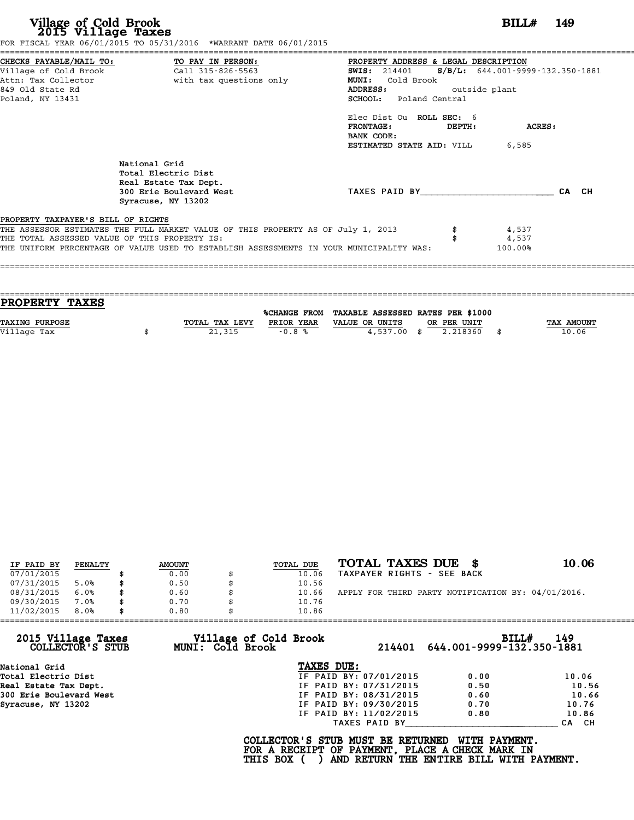|                                               | FOR FISCAL YEAR 06/01/2015 TO 05/31/2016 *WARRANT DATE 06/01/2015                       |                                                                                                     |         |
|-----------------------------------------------|-----------------------------------------------------------------------------------------|-----------------------------------------------------------------------------------------------------|---------|
| Village of Cold Brook                         | CHECKS PAYABLE/MAIL TO: TO PAY IN PERSON:<br>Call 315-826-5563                          | PROPERTY ADDRESS & LEGAL DESCRIPTION<br><b>SWIS:</b> 214401 <b>S/B/L:</b> 644.001-9999-132.350-1881 |         |
| Attn: Tax Collector                           | with tax questions only                                                                 | Cold Brook<br><b>MUNI:</b>                                                                          |         |
| 849 Old State Rd                              |                                                                                         | outside plant<br>ADDRESS:                                                                           |         |
| Poland, NY 13431                              |                                                                                         | SCHOOL: Poland Central                                                                              |         |
|                                               |                                                                                         | Elec Dist Ou ROLL SEC: 6                                                                            |         |
|                                               |                                                                                         | <b>FRONTAGE:</b><br>DEPTH:<br>BANK CODE:                                                            | ACRES:  |
|                                               |                                                                                         | ESTIMATED STATE AID: VILL                                                                           | 6,585   |
|                                               | National Grid<br>Total Electric Dist<br>Real Estate Tax Dept.                           |                                                                                                     |         |
|                                               | 300 Erie Boulevard West<br>Syracuse, NY 13202                                           | TAXES PAID BY                                                                                       | CA CH   |
| PROPERTY TAXPAYER'S BILL OF RIGHTS            |                                                                                         |                                                                                                     |         |
|                                               | THE ASSESSOR ESTIMATES THE FULL MARKET VALUE OF THIS PROPERTY AS OF July 1, 2013        |                                                                                                     | 4,537   |
| THE TOTAL ASSESSED VALUE OF THIS PROPERTY IS: |                                                                                         |                                                                                                     | 4,537   |
|                                               | THE UNIFORM PERCENTAGE OF VALUE USED TO ESTABLISH ASSESSMENTS IN YOUR MUNICIPALITY WAS: |                                                                                                     | 100.00% |
|                                               |                                                                                         |                                                                                                     |         |

| PROPERTY TAXES        |                |                     |                                   |             |      |            |
|-----------------------|----------------|---------------------|-----------------------------------|-------------|------|------------|
|                       |                |                     |                                   |             |      |            |
|                       |                | <b>%CHANGE FROM</b> | TAXABLE ASSESSED RATES PER \$1000 |             |      |            |
| <b>TAXING PURPOSE</b> | TOTAL TAX LEVY | PRIOR YEAR          | VALUE OR UNITS                    | OR PER UNIT |      | TAX AMOUNT |
| Village Tax           | 21,315         | $-0.8%$             | $4.537.00$ \$                     | 2.218360    | - \$ | 10.06      |
|                       |                |                     |                                   |             |      |            |

====================================================================================================================================

| IF PAID BY | PENALTY | <b>AMOUNT</b> | TOTAL DUE | TOTAL TAXES DUE<br>- 86                            | 10.06 |
|------------|---------|---------------|-----------|----------------------------------------------------|-------|
| 07/01/2015 |         | 0.00          | 10.06     | TAXPAYER RIGHTS - SEE BACK                         |       |
| 07/31/2015 | 5.0%    | 0.50          | 10.56     |                                                    |       |
| 08/31/2015 | 6.0%    | 0.60          | 10.66     | APPLY FOR THIRD PARTY NOTIFICATION BY: 04/01/2016. |       |
| 09/30/2015 | 7.0%    | \$<br>0.70    | 10.76     |                                                    |       |
| 11/02/2015 | 8.0%    | \$<br>0.80    | 10.86     |                                                    |       |

|                                        |                                           | 10.86                  |                                           |       |
|----------------------------------------|-------------------------------------------|------------------------|-------------------------------------------|-------|
| 2015 Village Taxes<br>COLLECTOR'S STUB | Village of Cold Brook<br>MUNI: Cold Brook |                        | BILL#<br>214401 644.001-9999-132.350-1881 | 149   |
| National Grid                          |                                           | TAXES DUE:             |                                           |       |
| Total Electric Dist                    |                                           | IF PAID BY: 07/01/2015 | 0.00                                      | 10.06 |
| Real Estate Tax Dept.                  |                                           | IF PAID BY: 07/31/2015 | 0.50                                      | 10.56 |
| 300 Erie Boulevard West                |                                           | IF PAID BY: 08/31/2015 | 0.60                                      | 10.66 |
| Syracuse, NY 13202                     |                                           | IF PAID BY: 09/30/2015 | 0.70                                      | 10.76 |
|                                        |                                           | IF PAID BY: 11/02/2015 | 0.80                                      | 10.86 |
|                                        |                                           | TAXES PAID BY          |                                           | CA CH |